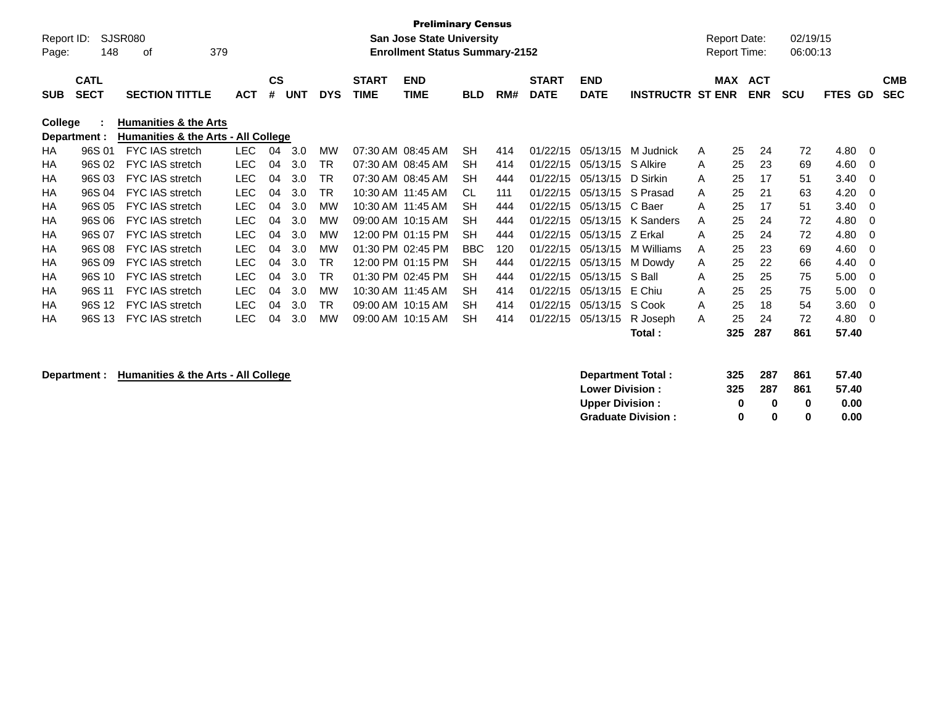|            |                                                                                                                                                                                                   | <b>Preliminary Census</b>                          |            |           |            |            |              |                                       |            |     |              |             |                         |   |                     |            |            |             |             |            |
|------------|---------------------------------------------------------------------------------------------------------------------------------------------------------------------------------------------------|----------------------------------------------------|------------|-----------|------------|------------|--------------|---------------------------------------|------------|-----|--------------|-------------|-------------------------|---|---------------------|------------|------------|-------------|-------------|------------|
| Report ID: |                                                                                                                                                                                                   | <b>SJSR080</b><br><b>San Jose State University</b> |            |           |            |            |              |                                       |            |     |              |             |                         |   | <b>Report Date:</b> |            | 02/19/15   |             |             |            |
| Page:      | 148                                                                                                                                                                                               | оf                                                 | 379        |           |            |            |              | <b>Enrollment Status Summary-2152</b> |            |     |              |             |                         |   | <b>Report Time:</b> |            | 06:00:13   |             |             |            |
|            |                                                                                                                                                                                                   |                                                    |            |           |            |            |              |                                       |            |     |              |             |                         |   |                     |            |            |             |             |            |
|            | <b>CATL</b>                                                                                                                                                                                       |                                                    |            | <b>CS</b> |            |            | <b>START</b> | <b>END</b>                            |            |     | <b>START</b> | <b>END</b>  |                         |   | <b>MAX</b>          | <b>ACT</b> |            |             |             | <b>CMB</b> |
| <b>SUB</b> | <b>SECT</b>                                                                                                                                                                                       | <b>SECTION TITTLE</b>                              | <b>ACT</b> | #         | <b>UNT</b> | <b>DYS</b> | <b>TIME</b>  | <b>TIME</b>                           | <b>BLD</b> | RM# | <b>DATE</b>  | <b>DATE</b> | <b>INSTRUCTR ST ENR</b> |   |                     | <b>ENR</b> | <b>SCU</b> | <b>FTES</b> | <b>GD</b>   | <b>SEC</b> |
| College    |                                                                                                                                                                                                   |                                                    |            |           |            |            |              |                                       |            |     |              |             |                         |   |                     |            |            |             |             |            |
|            | <b>Humanities &amp; the Arts</b><br>Humanities & the Arts - All College<br>Department :                                                                                                           |                                                    |            |           |            |            |              |                                       |            |     |              |             |                         |   |                     |            |            |             |             |            |
| HA         | <b>LEC</b><br>96S 01<br><b>FYC IAS stretch</b><br>04<br>3.0<br><b>MW</b><br>07:30 AM 08:45 AM<br><b>SH</b><br>414<br>01/22/15<br>05/13/15<br>M Judnick<br>25<br>72<br>4.80<br>24<br>A<br>$\Omega$ |                                                    |            |           |            |            |              |                                       |            |     |              |             |                         |   |                     |            |            |             |             |            |
| НA         | 96S 02                                                                                                                                                                                            | <b>FYC IAS stretch</b>                             | <b>LEC</b> | 04        | 3.0        | TR         |              | 07:30 AM 08:45 AM                     | <b>SH</b>  | 414 | 01/22/15     | 05/13/15    | S Alkire                | A | 25                  | 23         | 69         | 4.60        | 0           |            |
| ΗA         | 96S 03                                                                                                                                                                                            | <b>FYC IAS stretch</b>                             | <b>LEC</b> | 04        | 3.0        | TR         |              | 07:30 AM 08:45 AM                     | <b>SH</b>  | 444 | 01/22/15     | 05/13/15    | D Sirkin                | A | 25                  | 17         | 51         | 3.40        | $\Omega$    |            |
| ΗA         | 96S 04                                                                                                                                                                                            | <b>FYC IAS stretch</b>                             | <b>LEC</b> | 04        | 3.0        | TR         |              | 10:30 AM 11:45 AM                     | CL         | 111 | 01/22/15     | 05/13/15    | S Prasad                | A | 25                  | 21         | 63         | 4.20        | 0           |            |
| HA         | 96S 05                                                                                                                                                                                            | <b>FYC IAS stretch</b>                             | <b>LEC</b> | 04        | 3.0        | <b>MW</b>  |              | 10:30 AM 11:45 AM                     | <b>SH</b>  | 444 | 01/22/15     | 05/13/15    | C Baer                  | A | 25                  | 17         | 51         | 3.40        | 0           |            |
| HA         | 96S 06                                                                                                                                                                                            | <b>FYC IAS stretch</b>                             | <b>LEC</b> | 04        | 3.0        | <b>MW</b>  |              | 09:00 AM 10:15 AM                     | <b>SH</b>  | 444 | 01/22/15     | 05/13/15    | K Sanders               | A | 25                  | 24         | 72         | 4.80        | 0           |            |
| НA         | 96S 07                                                                                                                                                                                            | <b>FYC IAS stretch</b>                             | <b>LEC</b> | 04        | 3.0        | МW         |              | 12:00 PM 01:15 PM                     | <b>SH</b>  | 444 | 01/22/15     | 05/13/15    | Z Erkal                 | A | 25                  | 24         | 72         | 4.80        | 0           |            |
| ΗA         | 96S 08                                                                                                                                                                                            | FYC IAS stretch                                    | <b>LEC</b> | 04        | 3.0        | MW         |              | 01:30 PM 02:45 PM                     | <b>BBC</b> | 120 | 01/22/15     | 05/13/15    | M Williams              | A | 25                  | 23         | 69         | 4.60        | $\Omega$    |            |
| НA         | 96S 09                                                                                                                                                                                            | <b>FYC IAS stretch</b>                             | <b>LEC</b> | 04        | 3.0        | TR         |              | 12:00 PM 01:15 PM                     | <b>SH</b>  | 444 | 01/22/15     | 05/13/15    | M Dowdy                 | A | 25                  | 22         | 66         | 4.40        | 0           |            |
| HA         | 96S 10                                                                                                                                                                                            | <b>FYC IAS stretch</b>                             | <b>LEC</b> | 04        | 3.0        | TR         |              | 01:30 PM 02:45 PM                     | <b>SH</b>  | 444 | 01/22/15     | 05/13/15    | S Ball                  | A | 25                  | 25         | 75         | 5.00        | 0           |            |
| НA         | 96S 11                                                                                                                                                                                            | <b>FYC IAS stretch</b>                             | <b>LEC</b> | 04        | 3.0        | MW         |              | 10:30 AM 11:45 AM                     | <b>SH</b>  | 414 | 01/22/15     | 05/13/15    | E Chiu                  | A | 25                  | 25         | 75         | 5.00        | 0           |            |
| НA         | 96S 12                                                                                                                                                                                            | <b>FYC IAS stretch</b>                             | <b>LEC</b> | 04        | 3.0        | <b>TR</b>  |              | 09:00 AM 10:15 AM                     | <b>SH</b>  | 414 | 01/22/15     | 05/13/15    | S Cook                  | A | 25                  | 18         | 54         | 3.60        | $\mathbf 0$ |            |
| ΗA         | 96S 13                                                                                                                                                                                            | <b>FYC IAS stretch</b>                             | <b>LEC</b> | 04        | 3.0        | <b>MW</b>  |              | 09:00 AM 10:15 AM                     | <b>SH</b>  | 414 | 01/22/15     | 05/13/15    | R Joseph                | A | 25                  | 24         | 72         | 4.80        | 0           |            |
|            |                                                                                                                                                                                                   |                                                    |            |           |            |            |              |                                       |            |     |              |             | Total:                  |   | 325                 | 287        | 861        | 57.40       |             |            |

## **Department : Humanities & the Arts - All College**

| 325 | 287          | 861 | 57.40 |
|-----|--------------|-----|-------|
| 325 | 287          | 861 | 57.40 |
| n   | $\mathbf{u}$ | 0   | 0.00  |
| n   | n            | o   | 0.00  |
|     |              |     |       |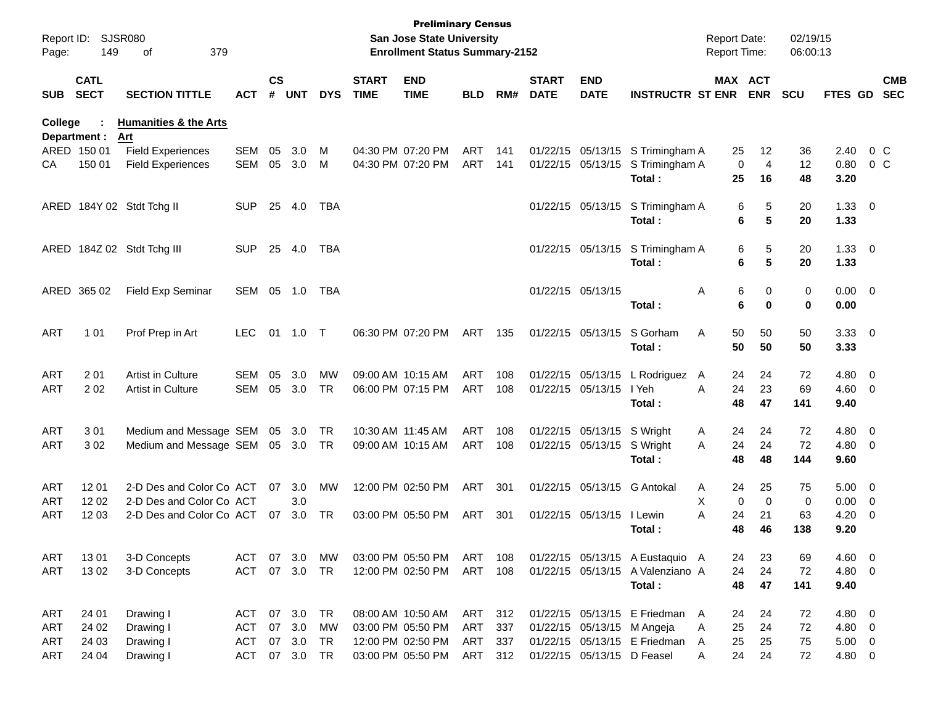| Page:      | Report ID: SJSR080<br>149  | 379<br>οf                               |               |                    |            |            |                             | <b>Preliminary Census</b><br><b>San Jose State University</b><br><b>Enrollment Status Summary-2152</b> |            |     |                             |                             |                                  | <b>Report Date:</b><br>Report Time: |                   | 02/19/15<br>06:00:13 |             |                          |                |
|------------|----------------------------|-----------------------------------------|---------------|--------------------|------------|------------|-----------------------------|--------------------------------------------------------------------------------------------------------|------------|-----|-----------------------------|-----------------------------|----------------------------------|-------------------------------------|-------------------|----------------------|-------------|--------------------------|----------------|
| <b>SUB</b> | <b>CATL</b><br><b>SECT</b> | <b>SECTION TITTLE</b>                   | <b>ACT</b>    | $\mathsf{cs}$<br># | <b>UNT</b> | <b>DYS</b> | <b>START</b><br><b>TIME</b> | <b>END</b><br><b>TIME</b>                                                                              | <b>BLD</b> | RM# | <b>START</b><br><b>DATE</b> | <b>END</b><br><b>DATE</b>   | <b>INSTRUCTR ST ENR</b>          | MAX ACT                             | <b>ENR</b>        | <b>SCU</b>           | FTES GD SEC |                          | <b>CMB</b>     |
| College    | Department :               | <b>Humanities &amp; the Arts</b><br>Art |               |                    |            |            |                             |                                                                                                        |            |     |                             |                             |                                  |                                     |                   |                      |             |                          |                |
|            | ARED 150 01                | <b>Field Experiences</b>                | <b>SEM</b>    | 05                 | 3.0        | M          |                             | 04:30 PM 07:20 PM                                                                                      | ART        | 141 |                             |                             | 01/22/15 05/13/15 S Trimingham A | 25                                  | $12 \overline{ }$ | 36                   | 2.40        |                          | $0\,$ C        |
| CА         | 150 01                     | <b>Field Experiences</b>                | <b>SEM</b>    | 05                 | 3.0        | M          |                             | 04:30 PM 07:20 PM                                                                                      | ART        | 141 |                             |                             | 01/22/15 05/13/15 S Trimingham A | $\mathbf 0$                         | $\overline{4}$    | 12                   | 0.80        |                          | 0 <sup>o</sup> |
|            |                            |                                         |               |                    |            |            |                             |                                                                                                        |            |     |                             |                             | Total:                           | 25                                  | 16                | 48                   | 3.20        |                          |                |
|            |                            | ARED 184Y 02 Stdt Tchg II               | <b>SUP</b>    | 25                 | 4.0        | TBA        |                             |                                                                                                        |            |     |                             |                             | 01/22/15 05/13/15 S Trimingham A | 6                                   | 5                 | 20                   | $1.33 \ 0$  |                          |                |
|            |                            |                                         |               |                    |            |            |                             |                                                                                                        |            |     |                             |                             | Total :                          | 6                                   | 5                 | 20                   | 1.33        |                          |                |
|            |                            | ARED 184Z 02 Stdt Tchg III              | <b>SUP</b>    |                    | 25 4.0     | TBA        |                             |                                                                                                        |            |     |                             |                             | 01/22/15 05/13/15 S Trimingham A | 6                                   | 5                 | 20                   | $1.33 \ 0$  |                          |                |
|            |                            |                                         |               |                    |            |            |                             |                                                                                                        |            |     |                             |                             | Total :                          | 6                                   | 5                 | 20                   | 1.33        |                          |                |
|            | ARED 365 02                | <b>Field Exp Seminar</b>                | SEM 05 1.0    |                    |            | TBA        |                             |                                                                                                        |            |     |                             | 01/22/15 05/13/15           |                                  | 6<br>A                              | 0                 | 0                    | $0.00 \t 0$ |                          |                |
|            |                            |                                         |               |                    |            |            |                             |                                                                                                        |            |     |                             |                             | Total:                           | 6                                   | 0                 | 0                    | 0.00        |                          |                |
| ART        | 1 0 1                      | Prof Prep in Art                        | <b>LEC</b>    | 01                 | 1.0 T      |            |                             | 06:30 PM 07:20 PM                                                                                      | ART        | 135 |                             | 01/22/15 05/13/15           | S Gorham                         | 50<br>A                             | 50                | 50                   | $3.33 \ 0$  |                          |                |
|            |                            |                                         |               |                    |            |            |                             |                                                                                                        |            |     |                             |                             | Total :                          | 50                                  | 50                | 50                   | 3.33        |                          |                |
| <b>ART</b> | 2 0 1                      | Artist in Culture                       | SEM           | 05                 | 3.0        | <b>MW</b>  |                             | 09:00 AM 10:15 AM                                                                                      | ART        | 108 |                             |                             | 01/22/15 05/13/15 L Rodriguez    | 24<br>A                             | 24                | 72                   | $4.80$ 0    |                          |                |
| ART        | 202                        | Artist in Culture                       | SEM           | 05                 | 3.0        | <b>TR</b>  |                             | 06:00 PM 07:15 PM                                                                                      | ART        | 108 |                             | 01/22/15 05/13/15           | I Yeh                            | 24<br>A                             | 23                | 69                   | $4.60$ 0    |                          |                |
|            |                            |                                         |               |                    |            |            |                             |                                                                                                        |            |     |                             |                             | Total:                           | 48                                  | 47                | 141                  | 9.40        |                          |                |
| <b>ART</b> | 301                        | Medium and Message SEM                  |               |                    | 05 3.0     | TR         | 10:30 AM 11:45 AM           |                                                                                                        | ART        | 108 |                             | 01/22/15 05/13/15 S Wright  |                                  | 24<br>A                             | 24                | 72                   | 4.80 0      |                          |                |
| ART        | 302                        | Medium and Message SEM 05 3.0           |               |                    |            | TR         |                             | 09:00 AM 10:15 AM                                                                                      | ART        | 108 |                             | 01/22/15 05/13/15 S Wright  |                                  | 24<br>A                             | 24                | 72                   | $4.80$ 0    |                          |                |
|            |                            |                                         |               |                    |            |            |                             |                                                                                                        |            |     |                             |                             | Total :                          | 48                                  | 48                | 144                  | 9.60        |                          |                |
| <b>ART</b> | 12 01                      | 2-D Des and Color Co ACT                |               | 07                 | 3.0        | <b>MW</b>  |                             | 12:00 PM 02:50 PM                                                                                      | ART        | 301 |                             | 01/22/15 05/13/15 G Antokal |                                  | 24<br>A                             | 25                | 75                   | $5.00 \t 0$ |                          |                |
| ART        | 12 02                      | 2-D Des and Color Co ACT                |               |                    | 3.0        |            |                             |                                                                                                        |            |     |                             |                             |                                  | X<br>0                              | $\mathbf 0$       | 0                    | $0.00 \t 0$ |                          |                |
| ART        | 12 03                      | 2-D Des and Color Co ACT                |               | 07                 | 3.0        | <b>TR</b>  |                             | 03:00 PM 05:50 PM                                                                                      | ART        | 301 |                             | 01/22/15 05/13/15 I Lewin   |                                  | 24<br>A                             | 21                | 63                   | 4.20        | $\overline{\phantom{0}}$ |                |
|            |                            |                                         |               |                    |            |            |                             |                                                                                                        |            |     |                             |                             | Total :                          | 48                                  | 46                | 138                  | 9.20        |                          |                |
| <b>ART</b> | 1301                       | 3-D Concepts                            | ACT           | 07                 | 3.0        | МW         |                             | 03:00 PM 05:50 PM                                                                                      | ART 108    |     |                             |                             | 01/22/15 05/13/15 A Eustaquio A  | 24                                  | 23                | 69                   | 4.60 0      |                          |                |
| ART        | 1302                       | 3-D Concepts                            | <b>ACT</b>    |                    | 07 3.0     | <b>TR</b>  |                             | 12:00 PM 02:50 PM                                                                                      | ART 108    |     |                             |                             | 01/22/15 05/13/15 A Valenziano A | 24                                  | 24                | 72                   | 4.80 0      |                          |                |
|            |                            |                                         |               |                    |            |            |                             |                                                                                                        |            |     |                             |                             | Total:                           | 48                                  | 47                | 141                  | 9.40        |                          |                |
| ART        | 24 01                      | Drawing I                               | ACT           |                    | 07 3.0     | TR         |                             | 08:00 AM 10:50 AM                                                                                      | ART 312    |     |                             |                             | 01/22/15 05/13/15 E Friedman A   | 24                                  | 24                | 72                   | 4.80 0      |                          |                |
| <b>ART</b> | 24 02                      | Drawing I                               | <b>ACT</b>    | 07                 | 3.0        | MW         |                             | 03:00 PM 05:50 PM                                                                                      | ART        | 337 |                             | 01/22/15 05/13/15 M Angeja  |                                  | 25<br>Α                             | 24                | 72                   | 4.80 0      |                          |                |
| <b>ART</b> | 24 03                      | Drawing I                               | <b>ACT</b>    |                    | 07 3.0     | TR         |                             | 12:00 PM 02:50 PM                                                                                      | ART        | 337 |                             |                             | 01/22/15 05/13/15 E Friedman     | 25<br>A                             | 25                | 75                   | $5.00 \t 0$ |                          |                |
| ART        | 24 04                      | Drawing I                               | ACT 07 3.0 TR |                    |            |            |                             | 03:00 PM 05:50 PM                                                                                      | ART 312    |     |                             | 01/22/15 05/13/15 D Feasel  |                                  | 24<br>A                             | 24                | 72                   | 4.80 0      |                          |                |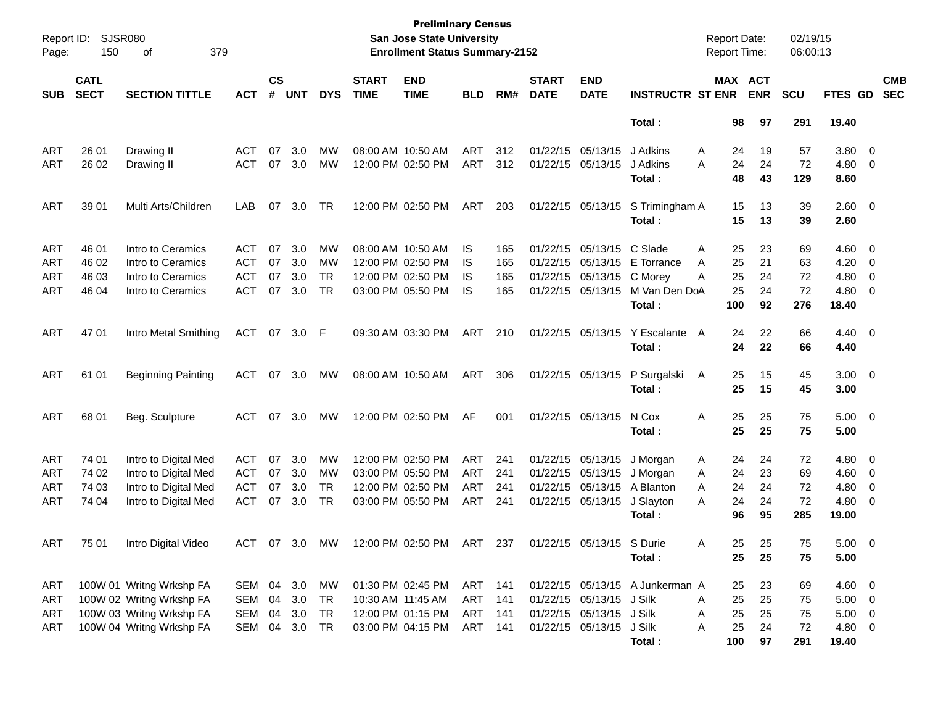| Report ID:<br>Page: | 150                                                 | <b>SJSR080</b><br>379<br>οf |            |               |            |            |              | <b>Preliminary Census</b><br>San Jose State University<br><b>Enrollment Status Summary-2152</b> |            |     |              |                           |                                 | <b>Report Date:</b><br><b>Report Time:</b> |            | 02/19/15<br>06:00:13 |                |                         |
|---------------------|-----------------------------------------------------|-----------------------------|------------|---------------|------------|------------|--------------|-------------------------------------------------------------------------------------------------|------------|-----|--------------|---------------------------|---------------------------------|--------------------------------------------|------------|----------------------|----------------|-------------------------|
|                     | <b>CATL</b><br><b>SECT</b><br><b>SECTION TITTLE</b> |                             |            | $\mathsf{cs}$ |            |            | <b>START</b> | <b>END</b>                                                                                      |            |     | <b>START</b> | <b>END</b>                |                                 | MAX ACT                                    |            |                      |                | <b>CMB</b>              |
| <b>SUB</b>          |                                                     |                             | <b>ACT</b> | #             | <b>UNT</b> | <b>DYS</b> | <b>TIME</b>  | <b>TIME</b>                                                                                     | <b>BLD</b> | RM# | <b>DATE</b>  | <b>DATE</b>               | <b>INSTRUCTR ST ENR</b>         |                                            | <b>ENR</b> | <b>SCU</b>           | FTES GD        | <b>SEC</b>              |
|                     |                                                     |                             |            |               |            |            |              |                                                                                                 |            |     |              |                           | Total:                          | 98                                         | 97         | 291                  | 19.40          |                         |
| ART                 | 26 01                                               | Drawing II                  | <b>ACT</b> | 07            | 3.0        | MW         |              | 08:00 AM 10:50 AM                                                                               | ART        | 312 |              | 01/22/15 05/13/15         | J Adkins                        | 24<br>A                                    | 19         | 57                   | 3.80           | $\overline{\mathbf{0}}$ |
| ART                 | 26 02                                               | Drawing II                  | ACT        | 07            | 3.0        | MW         |              | 12:00 PM 02:50 PM                                                                               | ART        | 312 |              | 01/22/15 05/13/15         | J Adkins                        | 24<br>A                                    | 24         | 72                   | 4.80           | 0                       |
|                     |                                                     |                             |            |               |            |            |              |                                                                                                 |            |     |              |                           | Total:                          | 48                                         | 43         | 129                  | 8.60           |                         |
| ART                 | 39 01                                               | Multi Arts/Children         | LAB        | 07            | 3.0        | TR         |              | 12:00 PM 02:50 PM                                                                               | ART        | 203 |              | 01/22/15 05/13/15         | S Trimingham A                  | 15                                         | 13         | 39                   | 2.60 0         |                         |
|                     |                                                     |                             |            |               |            |            |              |                                                                                                 |            |     |              |                           | Total:                          | 15                                         | 13         | 39                   | 2.60           |                         |
| ART                 | 46 01                                               | Intro to Ceramics           | <b>ACT</b> | 07            | 3.0        | MW         |              | 08:00 AM 10:50 AM                                                                               | IS         | 165 | 01/22/15     | 05/13/15                  | C Slade                         | 25<br>A                                    | 23         | 69                   | 4.60           | $\overline{\mathbf{0}}$ |
| ART                 | 46 02                                               | Intro to Ceramics           | <b>ACT</b> | 07            | 3.0        | MW         |              | 12:00 PM 02:50 PM                                                                               | IS         | 165 |              | 01/22/15 05/13/15         | E Torrance                      | 25<br>A                                    | 21         | 63                   | 4.20           | 0                       |
| ART                 | 46 03                                               | Intro to Ceramics           | <b>ACT</b> | 07            | 3.0        | <b>TR</b>  |              | 12:00 PM 02:50 PM                                                                               | IS         | 165 |              | 01/22/15 05/13/15         | C Morey                         | 25<br>A                                    | 24         | 72                   | 4.80           | 0                       |
| ART                 | 46 04                                               | Intro to Ceramics           | ACT        | 07            | 3.0        | <b>TR</b>  |              | 03:00 PM 05:50 PM                                                                               | IS         | 165 |              | 01/22/15 05/13/15         | M Van Den DoA                   | 25                                         | 24         | 72                   | 4.80           | 0                       |
|                     |                                                     |                             |            |               |            |            |              |                                                                                                 |            |     |              |                           | Total:                          | 100                                        | 92         | 276                  | 18.40          |                         |
| ART                 | 47 01                                               | Intro Metal Smithing        | <b>ACT</b> | 07            | 3.0        | - F        |              | 09:30 AM 03:30 PM                                                                               | ART        | 210 |              | 01/22/15 05/13/15         | Y Escalante                     | 24<br>A                                    | 22         | 66                   | 4.40 0         |                         |
|                     |                                                     |                             |            |               |            |            |              |                                                                                                 |            |     |              |                           | Total:                          | 24                                         | 22         | 66                   | 4.40           |                         |
| ART                 | 61 01                                               | <b>Beginning Painting</b>   | ACT        | 07            | 3.0        | МW         |              | 08:00 AM 10:50 AM                                                                               | ART        | 306 |              | 01/22/15 05/13/15         | P Surgalski                     | 25<br>A                                    | 15         | 45                   | $3.00 \ 0$     |                         |
|                     |                                                     |                             |            |               |            |            |              |                                                                                                 |            |     |              |                           | Total:                          | 25                                         | 15         | 45                   | 3.00           |                         |
| ART                 | 68 01                                               | Beg. Sculpture              | <b>ACT</b> | 07            | 3.0        | МW         |              | 12:00 PM 02:50 PM                                                                               | AF         | 001 |              | 01/22/15 05/13/15         | N Cox                           | 25<br>Α                                    | 25         | 75                   | $5.00 \t 0$    |                         |
|                     |                                                     |                             |            |               |            |            |              |                                                                                                 |            |     |              |                           | Total:                          | 25                                         | 25         | 75                   | 5.00           |                         |
| ART                 | 74 01                                               | Intro to Digital Med        | <b>ACT</b> | 07            | 3.0        | MW         |              | 12:00 PM 02:50 PM                                                                               | ART        | 241 |              | 01/22/15 05/13/15         | J Morgan                        | 24<br>A                                    | 24         | 72                   | 4.80           | $\overline{\mathbf{0}}$ |
| ART                 | 74 02                                               | Intro to Digital Med        | <b>ACT</b> | 07            | 3.0        | MW         |              | 03:00 PM 05:50 PM                                                                               | ART        | 241 |              | 01/22/15 05/13/15         | J Morgan                        | 24<br>A                                    | 23         | 69                   | 4.60           | 0                       |
| ART                 | 74 03                                               | Intro to Digital Med        | <b>ACT</b> | 07            | 3.0        | <b>TR</b>  |              | 12:00 PM 02:50 PM                                                                               | ART        | 241 |              | 01/22/15 05/13/15         | A Blanton                       | 24<br>A                                    | 24         | 72                   | 4.80           | 0                       |
| ART                 | 74 04                                               | Intro to Digital Med        | <b>ACT</b> | 07            | 3.0        | <b>TR</b>  |              | 03:00 PM 05:50 PM                                                                               | ART        | 241 |              | 01/22/15 05/13/15         | J Slayton                       | 24<br>A                                    | 24         | 72                   | 4.80           | 0                       |
|                     |                                                     |                             |            |               |            |            |              |                                                                                                 |            |     |              |                           | Total:                          | 96                                         | 95         | 285                  | 19.00          |                         |
| <b>ART</b>          | 75 01                                               | Intro Digital Video         | ACT 07 3.0 |               |            | <b>MW</b>  |              | 12:00 PM 02:50 PM                                                                               | ART        | 237 |              | 01/22/15 05/13/15 S Durie |                                 | 25<br>A                                    | 25         | 75                   | $5.00 \t 0$    |                         |
|                     |                                                     |                             |            |               |            |            |              |                                                                                                 |            |     |              |                           | Total:                          | 25                                         | 25         | 75                   | 5.00           |                         |
| ART                 |                                                     | 100W 01 Writng Wrkshp FA    | SEM        |               | 04 3.0     | МW         |              | 01:30 PM 02:45 PM                                                                               | ART        | 141 |              |                           | 01/22/15 05/13/15 A Junkerman A | 25                                         | 23         | 69                   | $4.60 \quad 0$ |                         |
| ART                 |                                                     | 100W 02 Writng Wrkshp FA    | <b>SEM</b> | 04            | 3.0        | TR         |              | 10:30 AM 11:45 AM                                                                               | <b>ART</b> | 141 |              | 01/22/15 05/13/15         | J Silk                          | 25<br>Α                                    | 25         | 75                   | $5.00 \t 0$    |                         |
| ART                 |                                                     | 100W 03 Writng Wrkshp FA    | SEM        | 04            | 3.0        | TR         |              | 12:00 PM 01:15 PM                                                                               | ART        | 141 |              | 01/22/15 05/13/15         | J Silk                          | 25<br>Α                                    | 25         | 75                   | $5.00 \t 0$    |                         |
| ART                 |                                                     | 100W 04 Writng Wrkshp FA    | SEM        | 04            | 3.0        | TR         |              | 03:00 PM 04:15 PM                                                                               | ART        | 141 |              | 01/22/15 05/13/15         | J Silk                          | 25<br>Α                                    | 24         | 72                   | 4.80 0         |                         |
|                     |                                                     |                             |            |               |            |            |              |                                                                                                 |            |     |              |                           | Total:                          | 100                                        | 97         | 291                  | 19.40          |                         |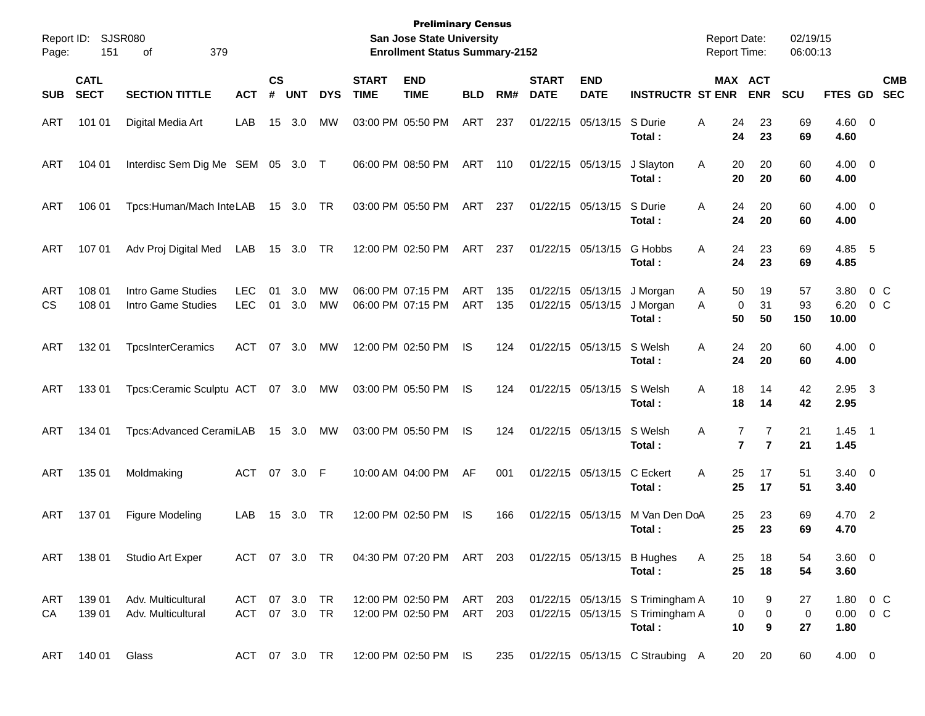| Report ID:<br>Page: | 151                        | SJSR080<br>379<br>οf                     |                                |                |            |                 |                             | <b>Preliminary Census</b><br><b>San Jose State University</b><br><b>Enrollment Status Summary-2152</b> |                          |            |                             |                                        |                                                                                | <b>Report Date:</b><br><b>Report Time:</b> |                              | 02/19/15<br>06:00:13    |                                   |                       |                          |
|---------------------|----------------------------|------------------------------------------|--------------------------------|----------------|------------|-----------------|-----------------------------|--------------------------------------------------------------------------------------------------------|--------------------------|------------|-----------------------------|----------------------------------------|--------------------------------------------------------------------------------|--------------------------------------------|------------------------------|-------------------------|-----------------------------------|-----------------------|--------------------------|
| <b>SUB</b>          | <b>CATL</b><br><b>SECT</b> | <b>SECTION TITTLE</b>                    | <b>ACT</b>                     | <b>CS</b><br># | <b>UNT</b> | <b>DYS</b>      | <b>START</b><br><b>TIME</b> | <b>END</b><br><b>TIME</b>                                                                              | <b>BLD</b>               | RM#        | <b>START</b><br><b>DATE</b> | <b>END</b><br><b>DATE</b>              | <b>INSTRUCTR ST ENR</b>                                                        |                                            | <b>MAX ACT</b><br><b>ENR</b> | <b>SCU</b>              | FTES GD                           |                       | <b>CMB</b><br><b>SEC</b> |
| ART                 | 101 01                     | Digital Media Art                        | LAB                            | 15             | 3.0        | MW              |                             | 03:00 PM 05:50 PM                                                                                      | ART                      | 237        |                             | 01/22/15 05/13/15                      | S Durie<br>Total :                                                             | Α<br>24<br>24                              | 23<br>23                     | 69<br>69                | $4.60 \ 0$<br>4.60                |                       |                          |
| ART                 | 104 01                     | Interdisc Sem Dig Me SEM 05 3.0 T        |                                |                |            |                 |                             | 06:00 PM 08:50 PM                                                                                      | ART                      | 110        |                             | 01/22/15 05/13/15                      | J Slayton<br>Total:                                                            | 20<br>A<br>20                              | 20<br>20                     | 60<br>60                | $4.00 \ 0$<br>4.00                |                       |                          |
| <b>ART</b>          | 106 01                     | Tpcs:Human/Mach InteLAB                  |                                |                | 15 3.0 TR  |                 |                             | 03:00 PM 05:50 PM                                                                                      | ART                      | 237        |                             | 01/22/15 05/13/15                      | S Durie<br>Total :                                                             | 24<br>A<br>24                              | 20<br>20                     | 60<br>60                | $4.00 \ 0$<br>4.00                |                       |                          |
| ART                 | 107 01                     | Adv Proj Digital Med                     | LAB                            |                | 15 3.0     | TR              |                             | 12:00 PM 02:50 PM                                                                                      | ART                      | 237        |                             | 01/22/15 05/13/15                      | G Hobbs<br>Total:                                                              | 24<br>Α<br>24                              | 23<br>23                     | 69<br>69                | 4.85 5<br>4.85                    |                       |                          |
| ART<br><b>CS</b>    | 108 01<br>108 01           | Intro Game Studies<br>Intro Game Studies | <b>LEC</b><br><b>LEC</b>       | 01<br>01       | 3.0<br>3.0 | MW<br><b>MW</b> |                             | 06:00 PM 07:15 PM<br>06:00 PM 07:15 PM                                                                 | <b>ART</b><br><b>ART</b> | 135<br>135 |                             | 01/22/15 05/13/15<br>01/22/15 05/13/15 | J Morgan<br>J Morgan<br>Total:                                                 | 50<br>A<br>0<br>A<br>50                    | 19<br>31<br>50               | 57<br>93<br>150         | 3.80<br>6.20<br>10.00             | 0 <sup>o</sup><br>0 C |                          |
| <b>ART</b>          | 132 01                     | <b>TpcsInterCeramics</b>                 | <b>ACT</b>                     |                | 07 3.0     | <b>MW</b>       |                             | 12:00 PM 02:50 PM                                                                                      | IS                       | 124        |                             | 01/22/15 05/13/15                      | S Welsh<br>Total :                                                             | 24<br>A<br>24                              | 20<br>20                     | 60<br>60                | $4.00 \ 0$<br>4.00                |                       |                          |
| <b>ART</b>          | 133 01                     | Tpcs:Ceramic Sculptu ACT 07 3.0          |                                |                |            | MW              |                             | 03:00 PM 05:50 PM                                                                                      | IS                       | 124        |                             | 01/22/15 05/13/15                      | S Welsh<br>Total :                                                             | 18<br>A<br>18                              | 14<br>14                     | 42<br>42                | $2.95$ 3<br>2.95                  |                       |                          |
| ART                 | 134 01                     | Tpcs: Advanced CeramiLAB                 |                                |                | 15 3.0     | MW              |                             | 03:00 PM 05:50 PM                                                                                      | IS                       | 124        |                             | 01/22/15 05/13/15                      | S Welsh<br>Total:                                                              | Α<br>7<br>$\overline{7}$                   | 7<br>$\overline{7}$          | 21<br>21                | $1.45$ 1<br>1.45                  |                       |                          |
| ART                 | 135 01                     | Moldmaking                               | ACT                            |                | 07 3.0     | -F              |                             | 10:00 AM 04:00 PM                                                                                      | AF                       | 001        |                             | 01/22/15 05/13/15                      | C Eckert<br>Total:                                                             | 25<br>Α<br>25                              | 17<br>17                     | 51<br>51                | $3.40 \ 0$<br>3.40                |                       |                          |
| ART                 | 13701                      | Figure Modeling                          | LAB                            | 15             | 3.0        | TR              |                             | 12:00 PM 02:50 PM                                                                                      | IS                       | 166        |                             | 01/22/15 05/13/15                      | M Van Den DoA<br>Total :                                                       | 25<br>25                                   | 23<br>23                     | 69<br>69                | 4.70 2<br>4.70                    |                       |                          |
| ART                 | 138 01                     | <b>Studio Art Exper</b>                  | ACT 07 3.0 TR                  |                |            |                 |                             | 04:30 PM 07:20 PM ART 203                                                                              |                          |            |                             |                                        | 01/22/15 05/13/15 B Hughes<br>Total:                                           | A<br>25<br>25                              | 18<br>18                     | 54<br>54                | 3.60 0<br>3.60                    |                       |                          |
| ART<br>CA           | 139 01<br>139 01           | Adv. Multicultural<br>Adv. Multicultural | ACT 07 3.0 TR<br>ACT 07 3.0 TR |                |            |                 |                             | 12:00 PM 02:50 PM<br>12:00 PM 02:50 PM                                                                 | ART 203<br>ART           | 203        |                             |                                        | 01/22/15 05/13/15 S Trimingham A<br>01/22/15 05/13/15 S Trimingham A<br>Total: | 10<br>0<br>10                              | 9<br>$\pmb{0}$<br>9          | 27<br>$\mathbf 0$<br>27 | 1.80 0 C<br>$0.00 \t 0 C$<br>1.80 |                       |                          |
| ART                 | 140 01 Glass               |                                          | ACT 07 3.0 TR                  |                |            |                 |                             | 12:00 PM 02:50 PM IS                                                                                   |                          | 235        |                             |                                        | 01/22/15 05/13/15 C Straubing A                                                | 20                                         | 20                           | 60                      | $4.00 \t 0$                       |                       |                          |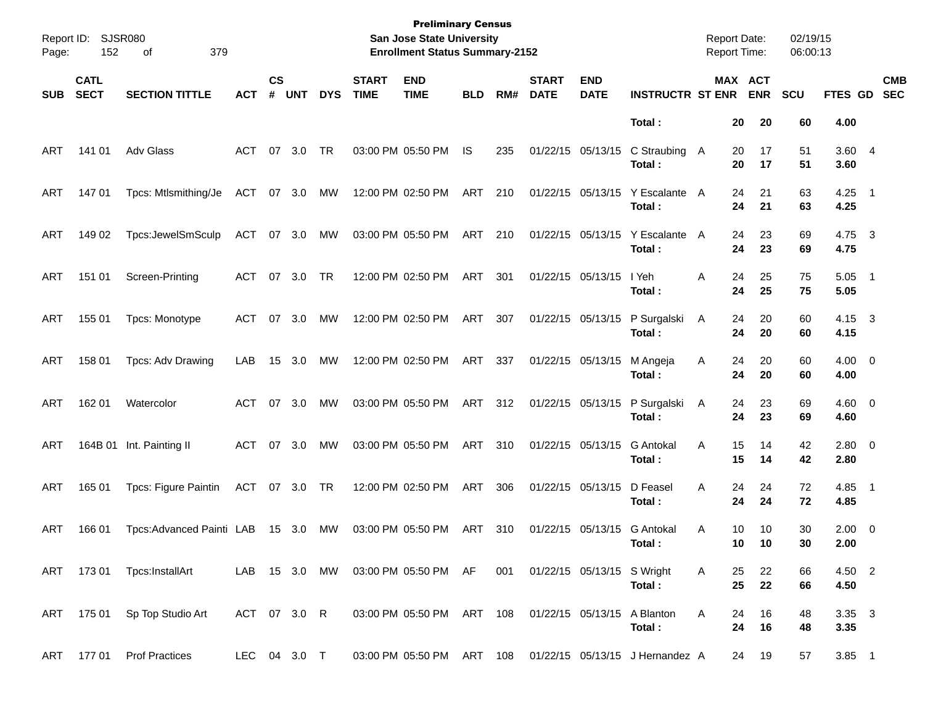| Page: | Report ID: SJSR080<br>152  | 379<br>οf                    |               |                    |            |            |                             | <b>Preliminary Census</b><br>San Jose State University<br><b>Enrollment Status Summary-2152</b> |            |     |                             |                            |                                                           | <b>Report Date:</b> | <b>Report Time:</b>   | 02/19/15<br>06:00:13 |                        |                          |
|-------|----------------------------|------------------------------|---------------|--------------------|------------|------------|-----------------------------|-------------------------------------------------------------------------------------------------|------------|-----|-----------------------------|----------------------------|-----------------------------------------------------------|---------------------|-----------------------|----------------------|------------------------|--------------------------|
| SUB   | <b>CATL</b><br><b>SECT</b> | <b>SECTION TITTLE</b>        | <b>ACT</b>    | $\mathsf{cs}$<br># | <b>UNT</b> | <b>DYS</b> | <b>START</b><br><b>TIME</b> | <b>END</b><br><b>TIME</b>                                                                       | <b>BLD</b> | RM# | <b>START</b><br><b>DATE</b> | <b>END</b><br><b>DATE</b>  | <b>INSTRUCTR ST ENR</b>                                   |                     | MAX ACT<br><b>ENR</b> | <b>SCU</b>           | <b>FTES GD</b>         | <b>CMB</b><br><b>SEC</b> |
|       |                            |                              |               |                    |            |            |                             |                                                                                                 |            |     |                             |                            | Total:                                                    |                     | 20<br>20              | 60                   | 4.00                   |                          |
| ART   | 141 01                     | Adv Glass                    | ACT           |                    | 07 3.0     | TR         |                             | 03:00 PM 05:50 PM                                                                               | IS         | 235 |                             | 01/22/15 05/13/15          | C Straubing<br>Total:                                     | A                   | 20<br>17<br>20<br>17  | 51<br>51             | 3.60 4<br>3.60         |                          |
| ART   | 147 01                     | Tpcs: Mtlsmithing/Je         | ACT 07 3.0    |                    |            | МW         |                             | 12:00 PM 02:50 PM                                                                               | ART        | 210 |                             | 01/22/15 05/13/15          | Y Escalante A<br>Total:                                   |                     | 24<br>21<br>24<br>21  | 63<br>63             | $4.25$ 1<br>4.25       |                          |
| ART   | 149 02                     | Tpcs:JewelSmSculp            | ACT 07 3.0    |                    |            | МW         |                             | 03:00 PM 05:50 PM                                                                               | ART        | 210 |                             | 01/22/15 05/13/15          | Y Escalante A<br>Total:                                   |                     | 24<br>23<br>24<br>23  | 69<br>69             | 4.75 3<br>4.75         |                          |
| ART   | 151 01                     | Screen-Printing              | ACT           |                    | 07 3.0     | TR         |                             | 12:00 PM 02:50 PM                                                                               | ART        | 301 |                             | 01/22/15 05/13/15          | I Yeh<br>Total:                                           | Α                   | 24<br>25<br>24<br>25  | 75<br>75             | $5.05$ 1<br>5.05       |                          |
| ART   | 155 01                     | Tpcs: Monotype               | ACT           |                    | 07 3.0     | MW         |                             | 12:00 PM 02:50 PM                                                                               | ART        | 307 |                             | 01/22/15 05/13/15          | P Surgalski<br>Total:                                     | A                   | 24<br>20<br>24<br>20  | 60<br>60             | $4.15 \quad 3$<br>4.15 |                          |
| ART   | 158 01                     | Tpcs: Adv Drawing            | LAB           |                    | 15 3.0     | MW         |                             | 12:00 PM 02:50 PM                                                                               | ART        | 337 |                             | 01/22/15 05/13/15          | M Angeja<br>Total:                                        | A                   | 24<br>20<br>24<br>20  | 60<br>60             | $4.00 \ 0$<br>4.00     |                          |
| ART   | 162 01                     | Watercolor                   | ACT           |                    | 07 3.0     | MW         |                             | 03:00 PM 05:50 PM                                                                               | ART 312    |     |                             | 01/22/15 05/13/15          | P Surgalski<br>Total:                                     | A                   | 24<br>23<br>24<br>23  | 69<br>69             | $4.60$ 0<br>4.60       |                          |
| ART   |                            | 164B 01 Int. Painting II     | ACT           |                    | 07 3.0     | MW         |                             | 03:00 PM 05:50 PM                                                                               | ART        | 310 |                             | 01/22/15 05/13/15          | G Antokal<br>Total:                                       | A                   | 15<br>14<br>15<br>14  | 42<br>42             | 2.80 0<br>2.80         |                          |
| ART   | 165 01                     | <b>Tpcs: Figure Paintin</b>  | ACT 07 3.0 TR |                    |            |            |                             | 12:00 PM 02:50 PM                                                                               | ART        | 306 |                             | 01/22/15 05/13/15          | D Feasel<br>Total:                                        | A                   | 24<br>24<br>24<br>24  | 72<br>72             | 4.85 1<br>4.85         |                          |
| ART   | 166 01                     | Tpcs: Advanced Painti LAB    |               |                    | 15 3.0     | MW         |                             | 03:00 PM 05:50 PM                                                                               | ART        | 310 |                             | 01/22/15 05/13/15          | G Antokal<br>Total:                                       | Α                   | 10<br>10<br>10<br>10  | 30<br>30             | $2.00 \t 0$<br>2.00    |                          |
|       |                            | ART 173 01 Tpcs:InstallArt   |               |                    |            |            |                             | LAB 15 3.0 MW 03:00 PM 05:50 PM AF 001                                                          |            |     |                             | 01/22/15 05/13/15 S Wright | Total:                                                    | A                   | 25<br>22<br>25<br>22  | 66<br>66             | 4.50 2<br>4.50         |                          |
|       |                            | ART 175 01 Sp Top Studio Art | ACT 07 3.0 R  |                    |            |            |                             | 03:00 PM 05:50 PM ART 108 01/22/15 05/13/15 A Blanton                                           |            |     |                             |                            | Total:                                                    | A                   | 16<br>24<br>24<br>16  | 48<br>48             | 3.35 3<br>3.35         |                          |
|       |                            | ART 177 01 Prof Practices    | LEC 04 3.0 T  |                    |            |            |                             |                                                                                                 |            |     |                             |                            | 03:00 PM 05:50 PM ART 108 01/22/15 05/13/15 J Hernandez A |                     | 24 19                 | 57                   | $3.85$ 1               |                          |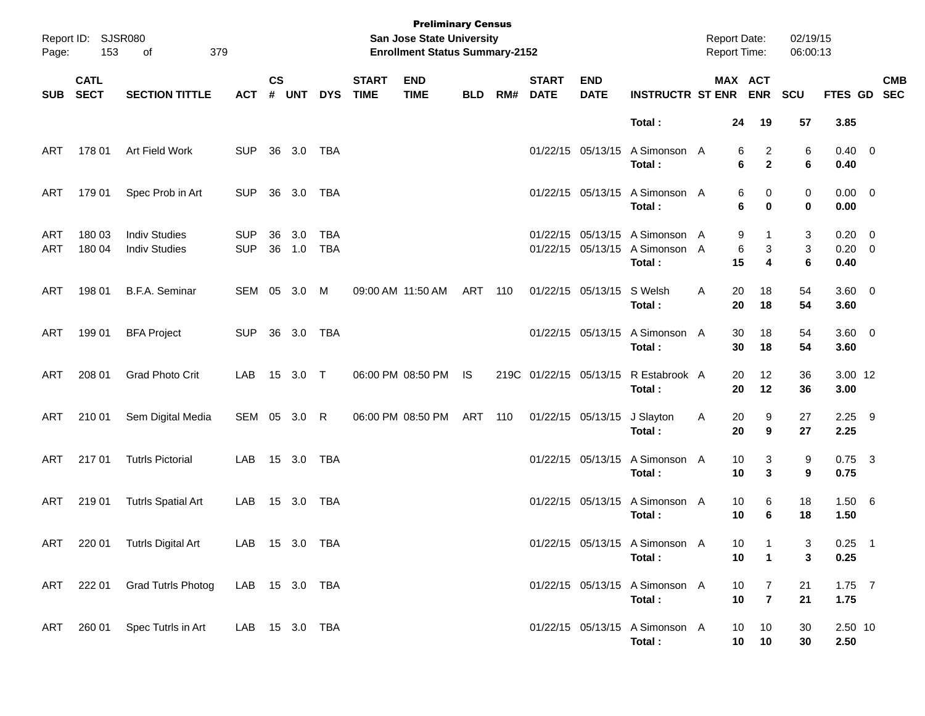| Page:      | Report ID: SJSR080<br>153  | 379<br>of                                    |                          |                    |            |                          |                             | <b>Preliminary Census</b><br><b>San Jose State University</b><br><b>Enrollment Status Summary-2152</b> |            |     |                             |                           |                                                                            | <b>Report Date:</b><br><b>Report Time:</b> |                       |                                  | 02/19/15<br>06:00:13 |                                  |            |
|------------|----------------------------|----------------------------------------------|--------------------------|--------------------|------------|--------------------------|-----------------------------|--------------------------------------------------------------------------------------------------------|------------|-----|-----------------------------|---------------------------|----------------------------------------------------------------------------|--------------------------------------------|-----------------------|----------------------------------|----------------------|----------------------------------|------------|
| <b>SUB</b> | <b>CATL</b><br><b>SECT</b> | <b>SECTION TITTLE</b>                        | <b>ACT</b>               | $\mathsf{cs}$<br># | <b>UNT</b> | <b>DYS</b>               | <b>START</b><br><b>TIME</b> | <b>END</b><br><b>TIME</b>                                                                              | <b>BLD</b> | RM# | <b>START</b><br><b>DATE</b> | <b>END</b><br><b>DATE</b> | <b>INSTRUCTR ST ENR</b>                                                    |                                            | MAX ACT               | <b>ENR</b>                       | SCU                  | FTES GD SEC                      | <b>CMB</b> |
|            |                            |                                              |                          |                    |            |                          |                             |                                                                                                        |            |     |                             |                           | Total:                                                                     |                                            | 24                    | 19                               | 57                   | 3.85                             |            |
| ART        | 178 01                     | Art Field Work                               | <b>SUP</b>               |                    | 36 3.0     | TBA                      |                             |                                                                                                        |            |     |                             | 01/22/15 05/13/15         | A Simonson A<br>Total:                                                     |                                            | 6<br>6                | $\overline{c}$<br>$\overline{2}$ | 6<br>6               | $0.40 \quad 0$<br>0.40           |            |
| ART        | 179 01                     | Spec Prob in Art                             | <b>SUP</b>               |                    | 36 3.0     | TBA                      |                             |                                                                                                        |            |     |                             |                           | 01/22/15 05/13/15 A Simonson A<br>Total:                                   |                                            | 6<br>6                | 0<br>$\bf{0}$                    | 0<br>$\mathbf 0$     | $0.00 \t 0$<br>0.00              |            |
| ART<br>ART | 180 03<br>180 04           | <b>Indiv Studies</b><br><b>Indiv Studies</b> | <b>SUP</b><br><b>SUP</b> | 36<br>36           | 3.0<br>1.0 | <b>TBA</b><br><b>TBA</b> |                             |                                                                                                        |            |     |                             |                           | 01/22/15 05/13/15 A Simonson A<br>01/22/15 05/13/15 A Simonson A<br>Total: |                                            | 9<br>6<br>15          | 1<br>3<br>4                      | 3<br>3<br>6          | $0.20 \ 0$<br>$0.20 \ 0$<br>0.40 |            |
| ART        | 198 01                     | B.F.A. Seminar                               | SEM 05 3.0               |                    |            | M                        |                             | 09:00 AM 11:50 AM                                                                                      | ART 110    |     |                             | 01/22/15 05/13/15 S Welsh | Total:                                                                     | A                                          | 20<br>20              | 18<br>18                         | 54<br>54             | $3.60 \ 0$<br>3.60               |            |
| ART        | 199 01                     | <b>BFA Project</b>                           | <b>SUP</b>               |                    | 36 3.0 TBA |                          |                             |                                                                                                        |            |     |                             | 01/22/15 05/13/15         | A Simonson A<br>Total:                                                     |                                            | 30<br>30              | 18<br>18                         | 54<br>54             | $3.60 \ 0$<br>3.60               |            |
| ART        | 208 01                     | <b>Grad Photo Crit</b>                       | LAB                      |                    | 15 3.0 T   |                          |                             | 06:00 PM 08:50 PM                                                                                      | <b>IS</b>  |     | 219C 01/22/15 05/13/15      |                           | R Estabrook A<br>Total:                                                    |                                            | 20<br>20              | 12<br>12                         | 36<br>36             | 3.00 12<br>3.00                  |            |
| ART        | 210 01                     | Sem Digital Media                            | SEM 05 3.0 R             |                    |            |                          |                             | 06:00 PM 08:50 PM                                                                                      | ART 110    |     |                             | 01/22/15 05/13/15         | J Slayton<br>Total:                                                        | Α                                          | 20<br>20              | 9<br>9                           | 27<br>27             | $2.25$ 9<br>2.25                 |            |
| ART        | 21701                      | <b>Tutrls Pictorial</b>                      | LAB                      |                    | 15 3.0     | TBA                      |                             |                                                                                                        |            |     |                             | 01/22/15 05/13/15         | A Simonson A<br>Total:                                                     |                                            | 10<br>10              | 3<br>3                           | 9<br>9               | $0.75$ 3<br>0.75                 |            |
| <b>ART</b> | 21901                      | <b>Tutrls Spatial Art</b>                    | LAB                      |                    | 15 3.0     | TBA                      |                             |                                                                                                        |            |     |                             | 01/22/15 05/13/15         | A Simonson A<br>Total:                                                     |                                            | 10<br>10              | 6<br>6                           | 18<br>18             | 1.50 6<br>1.50                   |            |
|            |                            | ART 220 01 Tutrls Digital Art                | LAB 15 3.0 TBA           |                    |            |                          |                             |                                                                                                        |            |     |                             |                           | 01/22/15 05/13/15 A Simonson A<br>Total:                                   |                                            | 10<br>10              | $\mathbf 1$                      | 3<br>3               | $0.25$ 1<br>0.25                 |            |
| ART        | 222 01                     | <b>Grad Tutrls Photog</b>                    | LAB 15 3.0 TBA           |                    |            |                          |                             |                                                                                                        |            |     |                             |                           | 01/22/15 05/13/15 A Simonson A<br>Total:                                   |                                            | 10 <sub>1</sub><br>10 | 7<br>$\overline{7}$              | 21<br>21             | $1.75$ 7<br>1.75                 |            |
| ART        |                            | 260 01 Spec Tutrls in Art                    | LAB 15 3.0 TBA           |                    |            |                          |                             |                                                                                                        |            |     |                             |                           | 01/22/15 05/13/15 A Simonson A<br>Total:                                   |                                            | 10<br>$10 10$         | 10                               | 30<br>30             | 2.50 10<br>2.50                  |            |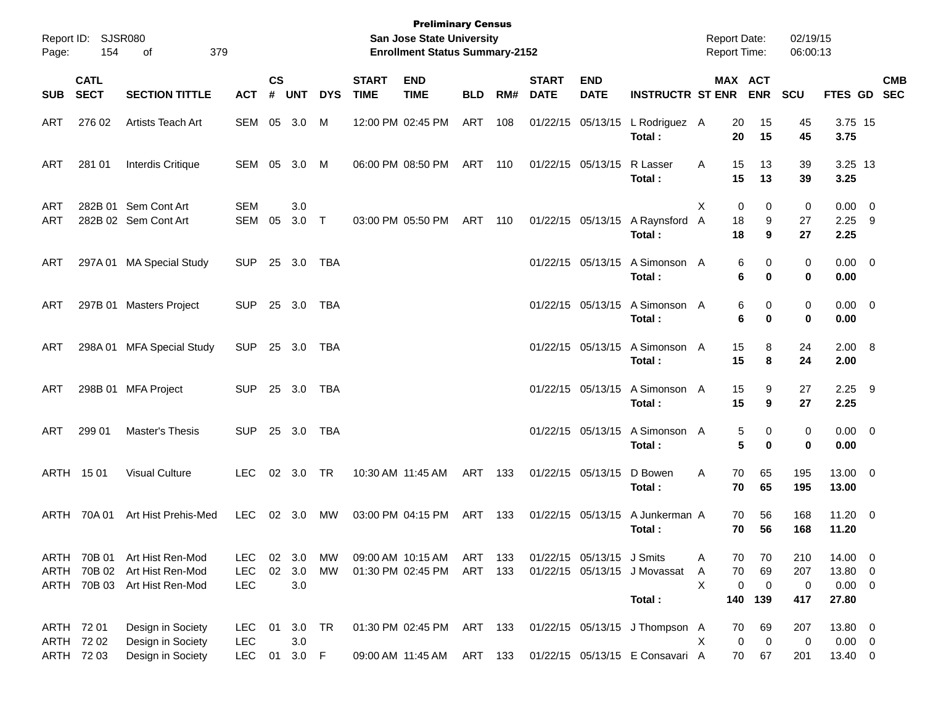| Page:        | Report ID: SJSR080<br>154         | 379<br>οf                                                                   |                                  |                             |                            |            |                             | <b>Preliminary Census</b><br><b>San Jose State University</b><br><b>Enrollment Status Summary-2152</b> |            |            |                             |                           |                                                                   | <b>Report Date:</b><br><b>Report Time:</b> |                                                     | 02/19/15<br>06:00:13   |                                            |            |
|--------------|-----------------------------------|-----------------------------------------------------------------------------|----------------------------------|-----------------------------|----------------------------|------------|-----------------------------|--------------------------------------------------------------------------------------------------------|------------|------------|-----------------------------|---------------------------|-------------------------------------------------------------------|--------------------------------------------|-----------------------------------------------------|------------------------|--------------------------------------------|------------|
| SUB          | <b>CATL</b><br><b>SECT</b>        | <b>SECTION TITTLE</b>                                                       | <b>ACT</b>                       | $\mathsf{cs}$<br>$\pmb{\#}$ | <b>UNT</b>                 | <b>DYS</b> | <b>START</b><br><b>TIME</b> | <b>END</b><br><b>TIME</b>                                                                              | <b>BLD</b> | RM#        | <b>START</b><br><b>DATE</b> | <b>END</b><br><b>DATE</b> | <b>INSTRUCTR ST ENR</b>                                           |                                            | MAX ACT<br><b>ENR</b>                               | <b>SCU</b>             | FTES GD SEC                                | <b>CMB</b> |
| ART          | 276 02                            | Artists Teach Art                                                           | SEM                              | 05                          | 3.0                        | M          |                             | 12:00 PM 02:45 PM                                                                                      | ART        | 108        |                             | 01/22/15 05/13/15         | L Rodriguez A<br>Total:                                           | 20<br>20                                   | 15<br>15                                            | 45<br>45               | 3.75 15<br>3.75                            |            |
| ART          | 281 01                            | <b>Interdis Critique</b>                                                    | SEM 05                           |                             | 3.0                        | M          |                             | 06:00 PM 08:50 PM                                                                                      | ART        | 110        | 01/22/15 05/13/15           |                           | R Lasser<br>Total:                                                | 15<br>A<br>15                              | 13<br>13                                            | 39<br>39               | 3.25 13<br>3.25                            |            |
| ART<br>ART   |                                   | 282B 01 Sem Cont Art<br>282B 02 Sem Cont Art                                | <b>SEM</b><br><b>SEM</b>         | 05                          | 3.0<br>3.0                 | $\top$     |                             | 03:00 PM 05:50 PM                                                                                      | ART        | 110        |                             | 01/22/15 05/13/15         | A Raynsford A<br>Total:                                           | X<br>18<br>18                              | 0<br>0<br>9<br>9                                    | 0<br>27<br>27          | $0.00 \t 0$<br>$2.25$ 9<br>2.25            |            |
| ART          |                                   | 297A 01 MA Special Study                                                    | <b>SUP</b>                       |                             | 25 3.0                     | TBA        |                             |                                                                                                        |            |            |                             | 01/22/15 05/13/15         | A Simonson A<br>Total:                                            |                                            | 0<br>6<br>6<br>0                                    | 0<br>0                 | $0.00 \t 0$<br>0.00                        |            |
| ART          |                                   | 297B 01 Masters Project                                                     | <b>SUP</b>                       |                             | 25 3.0                     | TBA        |                             |                                                                                                        |            |            |                             | 01/22/15 05/13/15         | A Simonson A<br>Total:                                            |                                            | 0<br>6<br>6<br>0                                    | 0<br>0                 | $0.00 \t 0$<br>0.00                        |            |
| ART          | 298A01                            | <b>MFA Special Study</b>                                                    | <b>SUP</b>                       |                             | 25 3.0                     | TBA        |                             |                                                                                                        |            |            |                             | 01/22/15 05/13/15         | A Simonson A<br>Total:                                            | 15<br>15                                   | 8<br>8                                              | 24<br>24               | 2.00 8<br>2.00                             |            |
| ART          |                                   | 298B 01 MFA Project                                                         | <b>SUP</b>                       |                             | 25 3.0                     | TBA        |                             |                                                                                                        |            |            |                             | 01/22/15 05/13/15         | A Simonson A<br>Total :                                           | 15<br>15                                   | 9<br>9                                              | 27<br>27               | $2.25$ 9<br>2.25                           |            |
| ART          | 299 01                            | Master's Thesis                                                             | <b>SUP</b>                       |                             | 25 3.0                     | TBA        |                             |                                                                                                        |            |            |                             | 01/22/15 05/13/15         | A Simonson A<br>Total :                                           |                                            | 0<br>5<br>5<br>0                                    | 0<br>0                 | $0.00 \t 0$<br>0.00                        |            |
|              | ARTH 1501                         | <b>Visual Culture</b>                                                       | LEC.                             |                             | 02 3.0                     | TR         |                             | 10:30 AM 11:45 AM                                                                                      | ART        | 133        |                             | 01/22/15 05/13/15         | D Bowen<br>Total :                                                | 70<br>Α<br>70                              | 65<br>65                                            | 195<br>195             | 13.00 0<br>13.00                           |            |
| ARTH         | 70A 01                            | Art Hist Prehis-Med                                                         | <b>LEC</b>                       |                             | 02 3.0                     | MW         |                             | 03:00 PM 04:15 PM                                                                                      | ART        | 133        |                             | 01/22/15 05/13/15         | A Junkerman A<br>Total :                                          | 70<br>70                                   | 56<br>56                                            | 168<br>168             | $11.20 \t 0$<br>11.20                      |            |
| ARTH<br>ARTH | 70B 01                            | Art Hist Ren-Mod<br>70B 02 Art Hist Ren-Mod<br>ARTH 70B 03 Art Hist Ren-Mod | LEC.<br><b>LEC</b><br><b>LEC</b> | 02<br>02                    | 3.0<br>3.0<br>$3.0\,$      | МW<br>MW   |                             | 09:00 AM 10:15 AM<br>01:30 PM 02:45 PM                                                                 | ART<br>ART | 133<br>133 |                             | 01/22/15 05/13/15 J Smits | 01/22/15 05/13/15 J Movassat<br>Total:                            | Α<br>70<br>A<br>X<br>140                   | 70<br>70<br>69<br>$\mathbf 0$<br>$\mathbf 0$<br>139 | 210<br>207<br>0<br>417 | 14.00 0<br>13.80 0<br>$0.00 \t 0$<br>27.80 |            |
| ARTH         | ARTH 72 01<br>72 02<br>ARTH 72 03 | Design in Society<br>Design in Society<br>Design in Society                 | LEC.<br><b>LEC</b><br><b>LEC</b> | 01<br>01                    | 3.0 TR<br>$3.0\,$<br>3.0 F |            |                             | 01:30 PM 02:45 PM ART 133<br>09:00 AM 11:45 AM                                                         | ART 133    |            |                             |                           | 01/22/15 05/13/15 J Thompson A<br>01/22/15 05/13/15 E Consavari A | 70<br>X                                    | 69<br>0<br>$\overline{0}$<br>67<br>70               | 207<br>0<br>201        | 13.80 0<br>$0.00 \t 0$<br>13.40 0          |            |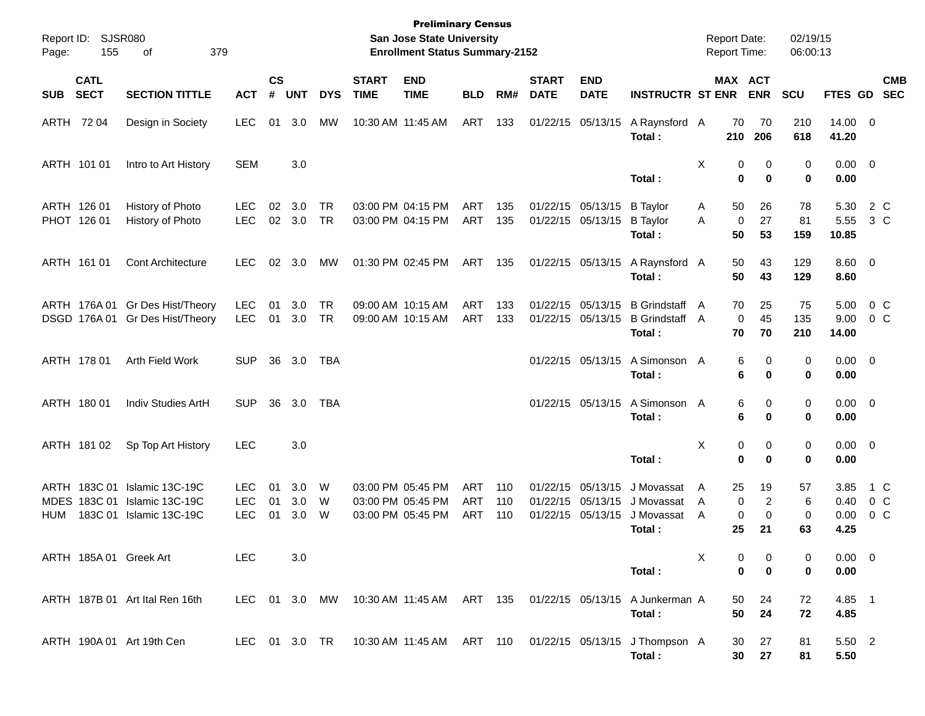| Page:       | Report ID: SJSR080<br>155  | 379<br>οf                                                                          |                                  |                             |                   |                        |                             | <b>Preliminary Census</b><br>San Jose State University<br><b>Enrollment Status Summary-2152</b> |                          |                   |                             |                                                             |                                                                    | <b>Report Date:</b><br><b>Report Time:</b> |                              |                       | 02/19/15<br>06:00:13 |                              |                                         |            |
|-------------|----------------------------|------------------------------------------------------------------------------------|----------------------------------|-----------------------------|-------------------|------------------------|-----------------------------|-------------------------------------------------------------------------------------------------|--------------------------|-------------------|-----------------------------|-------------------------------------------------------------|--------------------------------------------------------------------|--------------------------------------------|------------------------------|-----------------------|----------------------|------------------------------|-----------------------------------------|------------|
| <b>SUB</b>  | <b>CATL</b><br><b>SECT</b> | <b>SECTION TITTLE</b>                                                              | <b>ACT</b>                       | $\mathsf{cs}$<br>$\pmb{\#}$ | <b>UNT</b>        | <b>DYS</b>             | <b>START</b><br><b>TIME</b> | <b>END</b><br><b>TIME</b>                                                                       | <b>BLD</b>               | RM#               | <b>START</b><br><b>DATE</b> | <b>END</b><br><b>DATE</b>                                   | <b>INSTRUCTR ST ENR</b>                                            |                                            |                              | MAX ACT<br><b>ENR</b> | <b>SCU</b>           | FTES GD SEC                  |                                         | <b>CMB</b> |
|             | ARTH 72 04                 | Design in Society                                                                  | <b>LEC</b>                       | 01                          | 3.0               | MW                     |                             | 10:30 AM 11:45 AM                                                                               | ART                      | 133               |                             | 01/22/15 05/13/15                                           | A Raynsford A<br>Total:                                            |                                            | 70<br>210                    | 70<br>206             | 210<br>618           | $14.00 \t 0$<br>41.20        |                                         |            |
|             | ARTH 101 01                | Intro to Art History                                                               | <b>SEM</b>                       |                             | 3.0               |                        |                             |                                                                                                 |                          |                   |                             |                                                             | Total:                                                             | X                                          | 0<br>$\bf{0}$                | 0<br>$\bf{0}$         | 0<br>0               | $0.00 \t 0$<br>0.00          |                                         |            |
|             | ARTH 126 01<br>PHOT 126 01 | History of Photo<br>History of Photo                                               | LEC.<br><b>LEC</b>               | 02<br>02                    | 3.0<br>3.0        | <b>TR</b><br><b>TR</b> |                             | 03:00 PM 04:15 PM<br>03:00 PM 04:15 PM                                                          | ART<br>ART               | 135<br>135        |                             | 01/22/15 05/13/15<br>01/22/15 05/13/15                      | <b>B</b> Taylor<br><b>B</b> Taylor<br>Total:                       | A<br>A                                     | 50<br>0<br>50                | 26<br>27<br>53        | 78<br>81<br>159      | 5.30<br>5.55<br>10.85        | 2 C<br>3 C                              |            |
|             | ARTH 161 01                | <b>Cont Architecture</b>                                                           | LEC.                             | 02                          | 3.0               | МW                     |                             | 01:30 PM 02:45 PM                                                                               | ART 135                  |                   |                             | 01/22/15 05/13/15                                           | A Raynsford A<br>Total:                                            |                                            | 50<br>50                     | 43<br>43              | 129<br>129           | $8.60 \quad 0$<br>8.60       |                                         |            |
|             |                            | ARTH 176A 01 Gr Des Hist/Theory<br>DSGD 176A 01 Gr Des Hist/Theory                 | <b>LEC</b><br><b>LEC</b>         | 01<br>01                    | 3.0<br>3.0        | <b>TR</b><br>TR        | 09:00 AM 10:15 AM           | 09:00 AM 10:15 AM                                                                               | ART<br>ART               | 133<br>133        |                             | 01/22/15 05/13/15<br>01/22/15 05/13/15                      | <b>B</b> Grindstaff<br><b>B</b> Grindstaff<br>Total:               | A<br>A                                     | 70<br>$\mathbf 0$<br>70      | 25<br>45<br>70        | 75<br>135<br>210     | 5.00<br>9.00<br>14.00        | $0\,$ C<br>0 <sup>o</sup>               |            |
|             | ARTH 178 01                | Arth Field Work                                                                    | <b>SUP</b>                       | 36                          | 3.0               | TBA                    |                             |                                                                                                 |                          |                   |                             | 01/22/15 05/13/15                                           | A Simonson A<br>Total:                                             |                                            | 6<br>6                       | 0<br>$\bf{0}$         | 0<br>0               | $0.00 \t 0$<br>0.00          |                                         |            |
|             | ARTH 180 01                | Indiv Studies ArtH                                                                 | <b>SUP</b>                       | 36                          | 3.0               | TBA                    |                             |                                                                                                 |                          |                   |                             | 01/22/15 05/13/15                                           | A Simonson A<br>Total:                                             |                                            | 6<br>6                       | 0<br>$\bf{0}$         | 0<br>0               | $0.00 \t 0$<br>0.00          |                                         |            |
|             | ARTH 181 02                | Sp Top Art History                                                                 | <b>LEC</b>                       |                             | 3.0               |                        |                             |                                                                                                 |                          |                   |                             |                                                             | Total:                                                             | X                                          | 0<br>$\mathbf 0$             | 0<br>$\bf{0}$         | 0<br>0               | $0.00 \t 0$<br>0.00          |                                         |            |
| MDES<br>HUM |                            | ARTH 183C 01 Islamic 13C-19C<br>183C 01 Islamic 13C-19C<br>183C 01 Islamic 13C-19C | LEC.<br><b>LEC</b><br><b>LEC</b> | 01<br>01<br>01              | 3.0<br>3.0<br>3.0 | W<br>W<br>W            |                             | 03:00 PM 05:45 PM<br>03:00 PM 05:45 PM<br>03:00 PM 05:45 PM                                     | ART<br><b>ART</b><br>ART | 110<br>110<br>110 |                             | 01/22/15 05/13/15<br>01/22/15 05/13/15<br>01/22/15 05/13/15 | J Movassat<br>J Movassat<br>J Movassat<br>Total:                   | A<br>A<br>A                                | 25<br>$\mathbf 0$<br>0<br>25 | 19<br>2<br>0<br>21    | 57<br>6<br>0<br>63   | 3.85<br>0.40<br>0.00<br>4.25 | 1 C<br>0 <sup>o</sup><br>0 <sup>o</sup> |            |
|             |                            | ARTH 185A 01 Greek Art                                                             | <b>LEC</b>                       |                             | 3.0               |                        |                             |                                                                                                 |                          |                   |                             |                                                             | Total:                                                             | Χ                                          | 0<br>$\mathbf 0$             | 0<br>$\mathbf 0$      | 0<br>0               | $0.00 \t 0$<br>0.00          |                                         |            |
|             |                            | ARTH 187B 01 Art Ital Ren 16th                                                     | LEC 01 3.0 MW                    |                             |                   |                        |                             | 10:30 AM 11:45 AM ART 135                                                                       |                          |                   | 01/22/15 05/13/15           |                                                             | A Junkerman A<br>Total:                                            |                                            | 50<br>50                     | 24<br>24              | 72<br>72             | 4.85 1<br>4.85               |                                         |            |
|             |                            | ARTH 190A 01 Art 19th Cen                                                          | LEC 01 3.0 TR                    |                             |                   |                        |                             |                                                                                                 |                          |                   |                             |                                                             | 10:30 AM 11:45 AM ART 110 01/22/15 05/13/15 J Thompson A<br>Total: |                                            | 30<br>30                     | 27<br>27              | 81<br>81             | 5.50 2<br>5.50               |                                         |            |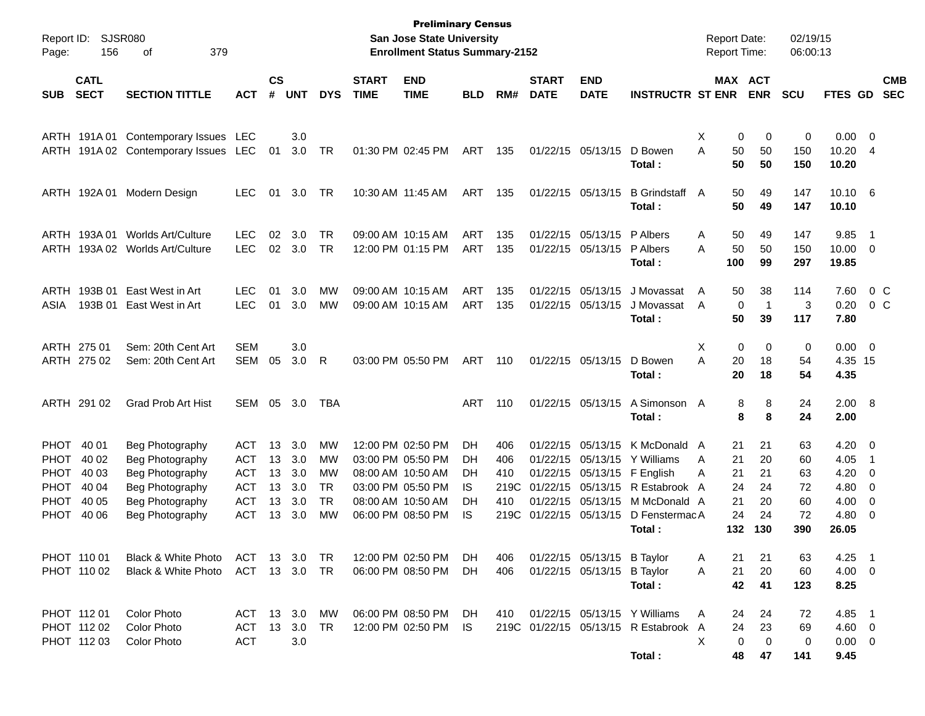| Report ID:<br>Page:        | 156                        | SJSR080<br>379<br>οf                                       |            |                    |            |                        |                             | <b>Preliminary Census</b><br><b>San Jose State University</b><br><b>Enrollment Status Summary-2152</b> |            |             |                             |                                        |                                      |        | <b>Report Date:</b><br>Report Time: |                    | 02/19/15<br>06:00:13 |                 |                                            |                          |
|----------------------------|----------------------------|------------------------------------------------------------|------------|--------------------|------------|------------------------|-----------------------------|--------------------------------------------------------------------------------------------------------|------------|-------------|-----------------------------|----------------------------------------|--------------------------------------|--------|-------------------------------------|--------------------|----------------------|-----------------|--------------------------------------------|--------------------------|
| <b>SUB</b>                 | <b>CATL</b><br><b>SECT</b> | <b>SECTION TITTLE</b>                                      | <b>ACT</b> | $\mathsf{cs}$<br># | <b>UNT</b> | <b>DYS</b>             | <b>START</b><br><b>TIME</b> | <b>END</b><br><b>TIME</b>                                                                              | <b>BLD</b> | RM#         | <b>START</b><br><b>DATE</b> | <b>END</b><br><b>DATE</b>              | <b>INSTRUCTR ST ENR</b>              |        | <b>MAX ACT</b>                      | <b>ENR</b>         | <b>SCU</b>           | FTES GD         |                                            | <b>CMB</b><br><b>SEC</b> |
|                            |                            |                                                            |            |                    |            |                        |                             |                                                                                                        |            |             |                             |                                        |                                      |        |                                     |                    |                      |                 |                                            |                          |
|                            | ARTH 191A01                | Contemporary Issues<br>ARTH 191A02 Contemporary Issues LEC | <b>LEC</b> | 01                 | 3.0<br>3.0 | <b>TR</b>              |                             | 01:30 PM 02:45 PM                                                                                      | <b>ART</b> | 135         |                             | 01/22/15 05/13/15                      | D Bowen                              | X<br>A | 0<br>50                             | 0<br>50            | 0<br>150             | 0.00<br>10.20   | $\overline{\phantom{0}}$<br>$\overline{4}$ |                          |
|                            |                            |                                                            |            |                    |            |                        |                             |                                                                                                        |            |             |                             |                                        | Total:                               |        | 50                                  | 50                 | 150                  | 10.20           |                                            |                          |
|                            | ARTH 192A 01               | Modern Design                                              | <b>LEC</b> | 01                 | 3.0        | TR                     |                             | 10:30 AM 11:45 AM                                                                                      | <b>ART</b> | 135         |                             | 01/22/15 05/13/15                      | <b>B</b> Grindstaff                  | A      | 50                                  | 49                 | 147                  | $10.10 \quad 6$ |                                            |                          |
|                            |                            |                                                            |            |                    |            |                        |                             |                                                                                                        |            |             |                             |                                        | Total:                               |        | 50                                  | 49                 | 147                  | 10.10           |                                            |                          |
| ARTH                       | 193A01                     | <b>Worlds Art/Culture</b>                                  | <b>LEC</b> | 02                 | 3.0        | <b>TR</b>              |                             | 09:00 AM 10:15 AM                                                                                      | <b>ART</b> | 135         |                             | 01/22/15 05/13/15                      | P Albers                             | Α      | 50                                  | 49                 | 147                  | 9.85            | $\overline{1}$                             |                          |
| ARTH                       | 193A 02                    | Worlds Art/Culture                                         | <b>LEC</b> | 02                 | 3.0        | <b>TR</b>              |                             | 12:00 PM 01:15 PM                                                                                      | <b>ART</b> | 135         |                             | 01/22/15 05/13/15                      | P Albers                             | Α      | 50                                  | 50<br>99           | 150                  | 10.00           | 0                                          |                          |
|                            |                            |                                                            |            |                    |            |                        |                             |                                                                                                        |            |             |                             |                                        | Total:                               |        | 100                                 |                    | 297                  | 19.85           |                                            |                          |
| ARTH                       | 193B 01                    | East West in Art                                           | <b>LEC</b> | 01                 | 3.0        | MW                     |                             | 09:00 AM 10:15 AM                                                                                      | <b>ART</b> | 135         |                             | 01/22/15 05/13/15                      | J Movassat                           | A      | 50                                  | 38                 | 114                  | 7.60            |                                            | $0\,C$                   |
| ASIA                       | 193B 01                    | East West in Art                                           | <b>LEC</b> | 01                 | 3.0        | MW                     |                             | 09:00 AM 10:15 AM                                                                                      | <b>ART</b> | 135         |                             | 01/22/15 05/13/15                      | J Movassat<br>Total:                 | A      | 0<br>50                             | $\mathbf{1}$<br>39 | 3<br>117             | 0.20<br>7.80    |                                            | 0 <sup>o</sup>           |
|                            |                            |                                                            |            |                    |            |                        |                             |                                                                                                        |            |             |                             |                                        |                                      |        |                                     |                    |                      |                 |                                            |                          |
|                            | ARTH 275 01                | Sem: 20th Cent Art                                         | <b>SEM</b> |                    | 3.0        |                        |                             |                                                                                                        |            |             |                             |                                        |                                      | X      | 0                                   | 0                  | 0                    | 0.00            | $\overline{\phantom{0}}$                   |                          |
|                            | ARTH 275 02                | Sem: 20th Cent Art                                         | <b>SEM</b> | 05                 | 3.0        | R                      |                             | 03:00 PM 05:50 PM                                                                                      | <b>ART</b> | 110         |                             | 01/22/15 05/13/15                      | D Bowen                              | A      | 20                                  | 18                 | 54                   | 4.35 15         |                                            |                          |
|                            |                            |                                                            |            |                    |            |                        |                             |                                                                                                        |            |             |                             |                                        | Total:                               |        | 20                                  | 18                 | 54                   | 4.35            |                                            |                          |
|                            | ARTH 291 02                | <b>Grad Prob Art Hist</b>                                  | <b>SEM</b> | 05                 | 3.0        | <b>TBA</b>             |                             |                                                                                                        | <b>ART</b> | 110         |                             | 01/22/15 05/13/15                      | A Simonson A                         |        | 8                                   | 8                  | 24                   | 2.00 8          |                                            |                          |
|                            |                            |                                                            |            |                    |            |                        |                             |                                                                                                        |            |             |                             |                                        | Total:                               |        | 8                                   | 8                  | 24                   | 2.00            |                                            |                          |
| <b>PHOT</b>                | 40 01                      | Beg Photography                                            | ACT        | 13                 | 3.0        | MW                     |                             | 12:00 PM 02:50 PM                                                                                      | DH         | 406         |                             | 01/22/15 05/13/15                      | K McDonald                           | A      | 21                                  | 21                 | 63                   | 4.20            | $\overline{\phantom{0}}$                   |                          |
| <b>PHOT</b>                | 40 02                      | Beg Photography                                            | ACT        | 13                 | 3.0        | MW                     |                             | 03:00 PM 05:50 PM                                                                                      | DH         | 406         |                             | 01/22/15 05/13/15                      | Y Williams                           | A      | 21                                  | 20                 | 60                   | 4.05            | -1                                         |                          |
| <b>PHOT</b>                | 40 03                      | Beg Photography                                            | <b>ACT</b> | 13                 | 3.0        | MW                     |                             | 08:00 AM 10:50 AM                                                                                      | DН         | 410         |                             | 01/22/15 05/13/15                      | F English                            | Α      | 21                                  | 21                 | 63                   | 4.20            | 0                                          |                          |
| <b>PHOT</b><br><b>PHOT</b> | 40 04<br>40 05             | Beg Photography                                            | ACT<br>ACT | 13<br>13           | 3.0<br>3.0 | <b>TR</b><br><b>TR</b> |                             | 03:00 PM 05:50 PM<br>08:00 AM 10:50 AM                                                                 | IS         | 219C<br>410 |                             | 01/22/15 05/13/15<br>01/22/15 05/13/15 | R Estabrook A<br>M McDonald A        |        | 24<br>21                            | 24<br>20           | 72<br>60             | 4.80<br>4.00    | 0                                          |                          |
| <b>PHOT</b>                | 40 06                      | Beg Photography<br>Beg Photography                         | ACT        | 13                 | 3.0        | МW                     |                             | 06:00 PM 08:50 PM                                                                                      | DН<br>IS   | 219C        |                             | 01/22/15 05/13/15                      | D FenstermacA                        |        | 24                                  | 24                 | 72                   | 4.80            | 0<br>0                                     |                          |
|                            |                            |                                                            |            |                    |            |                        |                             |                                                                                                        |            |             |                             |                                        | Total:                               |        | 132                                 | 130                | 390                  | 26.05           |                                            |                          |
|                            |                            |                                                            |            |                    |            |                        |                             |                                                                                                        |            |             |                             |                                        |                                      |        |                                     |                    |                      |                 |                                            |                          |
|                            | PHOT 110 01                | Black & White Photo                                        | ACT        |                    | 13 3.0     | TR                     |                             | 12:00 PM 02:50 PM                                                                                      | DH.        | 406         |                             | 01/22/15 05/13/15 B Taylor             |                                      | Α      | 21                                  | 21                 | 63                   | $4.25$ 1        |                                            |                          |
|                            | PHOT 110 02                | Black & White Photo                                        | ACT        |                    | 13 3.0     | TR                     |                             | 06:00 PM 08:50 PM                                                                                      | DH         | 406         |                             | 01/22/15 05/13/15 B Taylor             |                                      | Α      | 21                                  | 20                 | 60                   | $4.00 \ 0$      |                                            |                          |
|                            |                            |                                                            |            |                    |            |                        |                             |                                                                                                        |            |             |                             |                                        | Total:                               |        | 42                                  | 41                 | 123                  | 8.25            |                                            |                          |
|                            | PHOT 112 01                | Color Photo                                                | ACT        |                    | 13 3.0     | МW                     |                             | 06:00 PM 08:50 PM                                                                                      | DH.        | 410         |                             |                                        | 01/22/15 05/13/15 Y Williams         | A      | 24                                  | 24                 | 72                   | 4.85 1          |                                            |                          |
|                            | PHOT 112 02                | Color Photo                                                | <b>ACT</b> | 13                 | 3.0        | TR                     |                             | 12:00 PM 02:50 PM                                                                                      | IS.        |             |                             |                                        | 219C 01/22/15 05/13/15 R Estabrook A |        | 24                                  | 23                 | 69                   | $4.60$ 0        |                                            |                          |
|                            | PHOT 112 03                | <b>Color Photo</b>                                         | <b>ACT</b> |                    | $3.0\,$    |                        |                             |                                                                                                        |            |             |                             |                                        |                                      | X      | $\mathbf 0$                         | 0                  | 0                    | $0.00 \t 0$     |                                            |                          |
|                            |                            |                                                            |            |                    |            |                        |                             |                                                                                                        |            |             |                             |                                        | Total:                               |        | 48                                  | 47                 | 141                  | 9.45            |                                            |                          |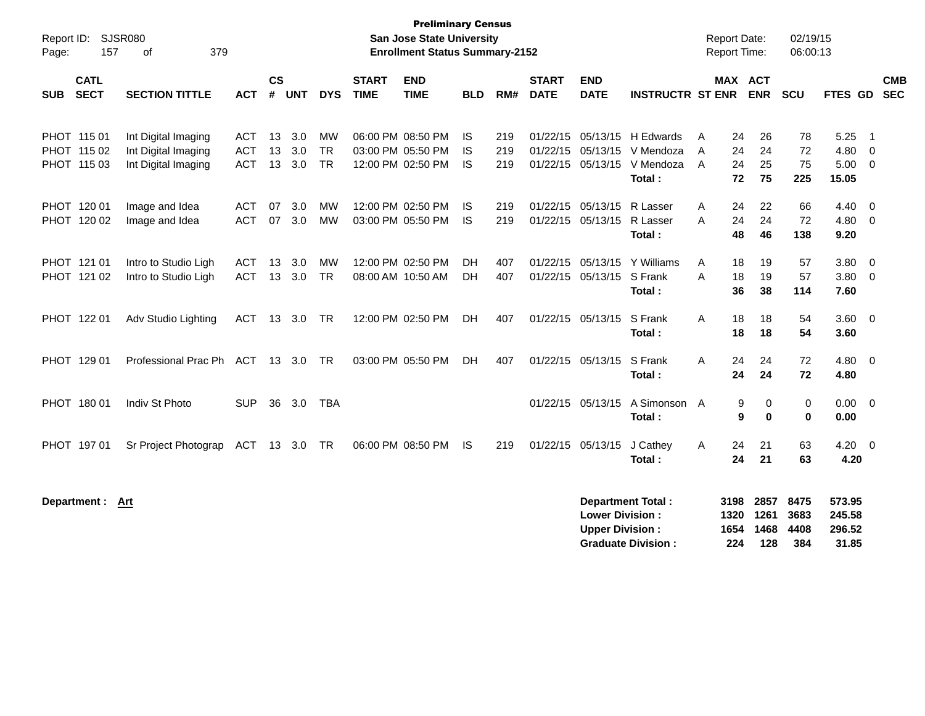| Report ID:<br>Page:                       | <b>Preliminary Census</b><br><b>SJSR080</b><br><b>San Jose State University</b><br><b>Enrollment Status Summary-2152</b><br>157<br>379<br>οf<br>$\mathsf{cs}$<br><b>END</b><br><b>END</b><br><b>START</b><br><b>START</b> |                                 |                |                   |                              |             |                                                             |                        |                   |             |                                                  |                                                                                   |             |                           | <b>Report Date:</b><br><b>Report Time:</b> | 02/19/15<br>06:00:13  |                               |                                                   |                          |
|-------------------------------------------|---------------------------------------------------------------------------------------------------------------------------------------------------------------------------------------------------------------------------|---------------------------------|----------------|-------------------|------------------------------|-------------|-------------------------------------------------------------|------------------------|-------------------|-------------|--------------------------------------------------|-----------------------------------------------------------------------------------|-------------|---------------------------|--------------------------------------------|-----------------------|-------------------------------|---------------------------------------------------|--------------------------|
| <b>CATL</b><br><b>SECT</b><br><b>SUB</b>  | <b>SECTION TITTLE</b>                                                                                                                                                                                                     | <b>ACT</b>                      | #              | <b>UNT</b>        | <b>DYS</b>                   | <b>TIME</b> | <b>TIME</b>                                                 | <b>BLD</b>             | RM#               | <b>DATE</b> | <b>DATE</b>                                      | <b>INSTRUCTR ST ENR</b>                                                           |             | <b>MAX ACT</b>            | <b>ENR</b>                                 | <b>SCU</b>            | <b>FTES GD</b>                |                                                   | <b>CMB</b><br><b>SEC</b> |
| PHOT 115 01<br>PHOT 115 02<br>PHOT 115 03 | Int Digital Imaging<br>Int Digital Imaging<br>Int Digital Imaging                                                                                                                                                         | ACT<br><b>ACT</b><br><b>ACT</b> | 13<br>13<br>13 | 3.0<br>3.0<br>3.0 | MW<br><b>TR</b><br><b>TR</b> |             | 06:00 PM 08:50 PM<br>03:00 PM 05:50 PM<br>12:00 PM 02:50 PM | IS.<br>IS<br><b>IS</b> | 219<br>219<br>219 |             | 01/22/15 05/13/15                                | 01/22/15 05/13/15 H Edwards<br>V Mendoza<br>01/22/15 05/13/15 V Mendoza<br>Total: | A<br>A<br>A | 24<br>24<br>24<br>72      | 26<br>24<br>25<br>75                       | 78<br>72<br>75<br>225 | 5.25<br>4.80<br>5.00<br>15.05 | - 1<br>$\overline{0}$<br>$\overline{\phantom{0}}$ |                          |
| PHOT 120 01<br>PHOT 120 02                | Image and Idea<br>Image and Idea                                                                                                                                                                                          | ACT<br><b>ACT</b>               | 07<br>07       | 3.0<br>3.0        | <b>MW</b><br><b>MW</b>       |             | 12:00 PM 02:50 PM<br>03:00 PM 05:50 PM                      | IS.<br>IS              | 219<br>219        |             | 01/22/15 05/13/15<br>01/22/15 05/13/15           | R Lasser<br>R Lasser<br>Total:                                                    | A<br>A      | 24<br>24<br>48            | 22<br>24<br>46                             | 66<br>72<br>138       | 4.40<br>4.80<br>9.20          | - 0<br>$\overline{0}$                             |                          |
| PHOT 121 01<br>PHOT 121 02                | Intro to Studio Ligh<br>Intro to Studio Ligh                                                                                                                                                                              | ACT<br><b>ACT</b>               | 13<br>13       | 3.0<br>3.0        | MW<br><b>TR</b>              |             | 12:00 PM 02:50 PM<br>08:00 AM 10:50 AM                      | DH<br><b>DH</b>        | 407<br>407        | 01/22/15    | 01/22/15 05/13/15<br>05/13/15                    | Y Williams<br>S Frank<br>Total:                                                   | A<br>A      | 18<br>18<br>36            | 19<br>19<br>38                             | 57<br>57<br>114       | 3.80<br>3.80<br>7.60          | - 0<br>- 0                                        |                          |
| PHOT 122 01                               | Adv Studio Lighting                                                                                                                                                                                                       | ACT                             |                | 13 3.0            | <b>TR</b>                    |             | 12:00 PM 02:50 PM                                           | DH                     | 407               |             | 01/22/15 05/13/15                                | S Frank<br>Total:                                                                 | A           | 18<br>18                  | 18<br>18                                   | 54<br>54              | $3.60 \quad 0$<br>3.60        |                                                   |                          |
| PHOT 129 01                               | Professional Prac Ph ACT 13 3.0                                                                                                                                                                                           |                                 |                |                   | TR.                          |             | 03:00 PM 05:50 PM                                           | DH.                    | 407               |             | 01/22/15 05/13/15                                | S Frank<br>Total:                                                                 | A           | 24<br>24                  | 24<br>24                                   | 72<br>72              | 4.80<br>4.80                  | - 0                                               |                          |
| PHOT 180 01                               | Indiv St Photo                                                                                                                                                                                                            | <b>SUP</b>                      | 36             | 3.0               | TBA                          |             |                                                             |                        |                   |             | 01/22/15 05/13/15                                | A Simonson A<br>Total:                                                            |             | 9<br>9                    | 0<br>$\mathbf{0}$                          | 0<br>$\bf{0}$         | 0.00<br>0.00                  | $\overline{\phantom{0}}$                          |                          |
| PHOT 197 01                               | Sr Project Photograp                                                                                                                                                                                                      | ACT 13 3.0 TR                   |                |                   |                              |             | 06:00 PM 08:50 PM                                           | IS.                    | 219               |             | 01/22/15 05/13/15                                | J Cathey<br>Total:                                                                | A           | 24<br>24                  | 21<br>21                                   | 63<br>63              | 4.20<br>4.20                  | $\overline{\phantom{0}}$                          |                          |
| Department :                              | Art                                                                                                                                                                                                                       |                                 |                |                   |                              |             |                                                             |                        |                   |             | <b>Lower Division:</b><br><b>Upper Division:</b> | <b>Department Total:</b>                                                          |             | 3198<br>1320<br>1654 1468 | 2857<br>1261                               | 8475<br>3683<br>4408  | 573.95<br>245.58<br>296.52    |                                                   |                          |

**Graduate Division : 224 128 384 31.85**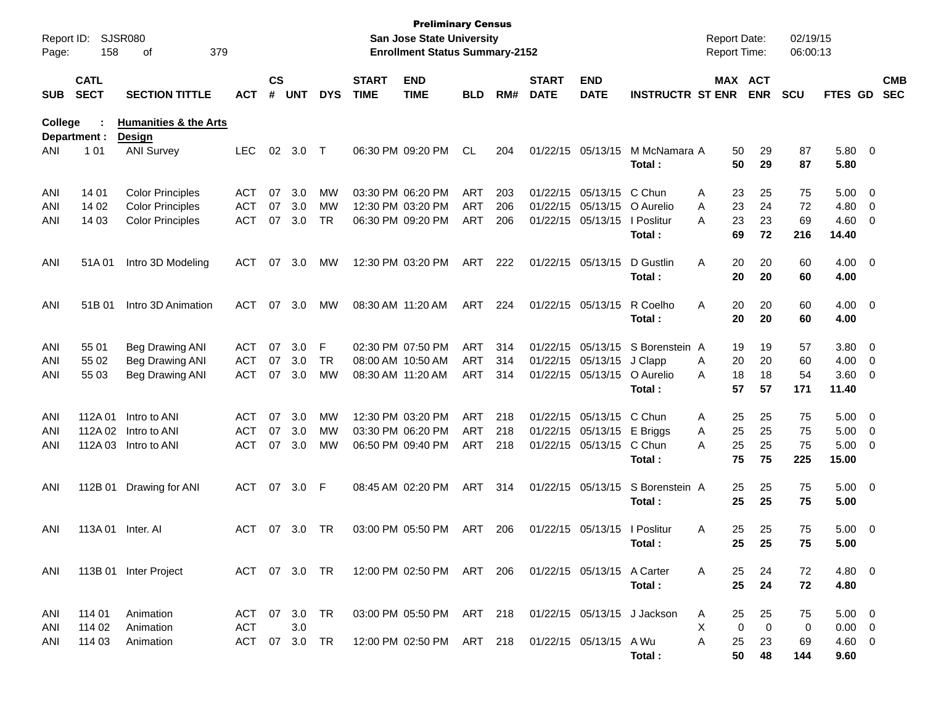| Report ID:<br>Page: | 158                        | SJSR080<br>379<br>of                              |            |                    |            |            |                             | <b>Preliminary Census</b><br><b>San Jose State University</b><br><b>Enrollment Status Summary-2152</b> |            |     |                             |                           |                             | <b>Report Date:</b><br>Report Time: |                       | 02/19/15<br>06:00:13 |                   |                          |                          |
|---------------------|----------------------------|---------------------------------------------------|------------|--------------------|------------|------------|-----------------------------|--------------------------------------------------------------------------------------------------------|------------|-----|-----------------------------|---------------------------|-----------------------------|-------------------------------------|-----------------------|----------------------|-------------------|--------------------------|--------------------------|
| <b>SUB</b>          | <b>CATL</b><br><b>SECT</b> | <b>SECTION TITTLE</b>                             | ACT        | $\mathsf{cs}$<br># | <b>UNT</b> | <b>DYS</b> | <b>START</b><br><b>TIME</b> | <b>END</b><br><b>TIME</b>                                                                              | <b>BLD</b> | RM# | <b>START</b><br><b>DATE</b> | <b>END</b><br><b>DATE</b> | <b>INSTRUCTR ST ENR</b>     |                                     | MAX ACT<br><b>ENR</b> | <b>SCU</b>           | FTES GD           |                          | <b>CMB</b><br><b>SEC</b> |
| <b>College</b>      | Department :               | <b>Humanities &amp; the Arts</b><br><b>Design</b> |            |                    |            |            |                             |                                                                                                        |            |     |                             |                           |                             |                                     |                       |                      |                   |                          |                          |
| ANI                 | 1 0 1                      | <b>ANI Survey</b>                                 | <b>LEC</b> | 02                 | 3.0        | Т          |                             | 06:30 PM 09:20 PM                                                                                      | CL         | 204 |                             | 01/22/15 05/13/15         | M McNamara A<br>Total:      | 50<br>50                            | 29<br>29              | 87<br>87             | $5.80\ 0$<br>5.80 |                          |                          |
| ANI                 | 14 01                      | <b>Color Principles</b>                           | <b>ACT</b> | 07                 | 3.0        | МW         |                             | 03:30 PM 06:20 PM                                                                                      | <b>ART</b> | 203 |                             | 01/22/15 05/13/15         | C Chun                      | 23<br>Α                             | 25                    | 75                   | 5.00              | $\overline{\mathbf{0}}$  |                          |
| ANI                 | 14 02                      | <b>Color Principles</b>                           | <b>ACT</b> | 07                 | 3.0        | MW         |                             | 12:30 PM 03:20 PM                                                                                      | <b>ART</b> | 206 |                             | 01/22/15 05/13/15         | O Aurelio                   | 23<br>A                             | 24                    | 72                   | 4.80              | 0                        |                          |
| ANI                 | 14 03                      | <b>Color Principles</b>                           | <b>ACT</b> | 07                 | 3.0        | <b>TR</b>  |                             | 06:30 PM 09:20 PM                                                                                      | ART        | 206 |                             | 01/22/15 05/13/15         | I Poslitur                  | A<br>23                             | 23                    | 69                   | 4.60              | 0                        |                          |
|                     |                            |                                                   |            |                    |            |            |                             |                                                                                                        |            |     |                             |                           | Total:                      | 69                                  | 72                    | 216                  | 14.40             |                          |                          |
| ANI                 | 51A01                      | Intro 3D Modeling                                 | ACT        | 07                 | 3.0        | MW         |                             | 12:30 PM 03:20 PM                                                                                      | ART        | 222 |                             | 01/22/15 05/13/15         | D Gustlin                   | Α<br>20                             | 20                    | 60                   | $4.00 \t 0$       |                          |                          |
|                     |                            |                                                   |            |                    |            |            |                             |                                                                                                        |            |     |                             |                           | Total:                      | 20                                  | 20                    | 60                   | 4.00              |                          |                          |
| ANI                 | 51B 01                     | Intro 3D Animation                                | ACT        | 07                 | 3.0        | MW         | 08:30 AM 11:20 AM           |                                                                                                        | ART        | 224 |                             | 01/22/15 05/13/15         | R Coelho                    | Α<br>20                             | 20                    | 60                   | $4.00 \t 0$       |                          |                          |
|                     |                            |                                                   |            |                    |            |            |                             |                                                                                                        |            |     |                             |                           | Total:                      | 20                                  | 20                    | 60                   | 4.00              |                          |                          |
| ANI                 | 55 01                      | <b>Beg Drawing ANI</b>                            | ACT        | 07                 | 3.0        | F          |                             | 02:30 PM 07:50 PM                                                                                      | <b>ART</b> | 314 |                             | 01/22/15 05/13/15         | S Borenstein A              | 19                                  | 19                    | 57                   | 3.80              | $\overline{\phantom{0}}$ |                          |
| ANI                 | 55 02                      | Beg Drawing ANI                                   | <b>ACT</b> | 07                 | 3.0        | TR         |                             | 08:00 AM 10:50 AM                                                                                      | <b>ART</b> | 314 |                             | 01/22/15 05/13/15         | J Clapp                     | 20<br>Α                             | 20                    | 60                   | 4.00              | $\overline{\mathbf{0}}$  |                          |
| ANI                 | 55 03                      | Beg Drawing ANI                                   | <b>ACT</b> | 07                 | 3.0        | МW         | 08:30 AM 11:20 AM           |                                                                                                        | <b>ART</b> | 314 |                             | 01/22/15 05/13/15         | O Aurelio                   | 18<br>A                             | 18                    | 54                   | 3.60              | $\overline{\mathbf{0}}$  |                          |
|                     |                            |                                                   |            |                    |            |            |                             |                                                                                                        |            |     |                             |                           | Total:                      | 57                                  | 57                    | 171                  | 11.40             |                          |                          |
| ANI                 | 112A 01                    | Intro to ANI                                      | ACT        | 07                 | 3.0        | MW         |                             | 12:30 PM 03:20 PM                                                                                      | <b>ART</b> | 218 |                             | 01/22/15 05/13/15         | C Chun                      | Α<br>25                             | 25                    | 75                   | 5.00              | $\overline{\phantom{0}}$ |                          |
| ANI                 | 112A 02                    | Intro to ANI                                      | <b>ACT</b> | 07                 | 3.0        | MW         |                             | 03:30 PM 06:20 PM                                                                                      | <b>ART</b> | 218 |                             | 01/22/15 05/13/15         | E Briggs                    | 25<br>Α                             | 25                    | 75                   | 5.00              | $\overline{\mathbf{0}}$  |                          |
| ANI                 | 112A 03                    | Intro to ANI                                      | <b>ACT</b> | 07                 | 3.0        | МW         |                             | 06:50 PM 09:40 PM                                                                                      | <b>ART</b> | 218 |                             | 01/22/15 05/13/15         | C Chun                      | 25<br>A                             | 25                    | 75                   | 5.00              | $\overline{\mathbf{0}}$  |                          |
|                     |                            |                                                   |            |                    |            |            |                             |                                                                                                        |            |     |                             |                           | Total:                      | 75                                  | 75                    | 225                  | 15.00             |                          |                          |
| ANI                 | 112B 01                    | Drawing for ANI                                   | <b>ACT</b> | 07                 | 3.0        | F          |                             | 08:45 AM 02:20 PM                                                                                      | <b>ART</b> | 314 |                             | 01/22/15 05/13/15         | S Borenstein A              | 25                                  | 25                    | 75                   | $5.00 \t 0$       |                          |                          |
|                     |                            |                                                   |            |                    |            |            |                             |                                                                                                        |            |     |                             |                           | Total:                      | 25                                  | 25                    | 75                   | 5.00              |                          |                          |
| ANI                 | 113A 01                    | Inter. Al                                         | ACT        | 07                 | 3.0        | TR         |                             | 03:00 PM 05:50 PM                                                                                      | ART        | 206 |                             | 01/22/15 05/13/15         | I Poslitur                  | Α<br>25                             | 25                    | 75                   | 5.00              | $\overline{\phantom{0}}$ |                          |
|                     |                            |                                                   |            |                    |            |            |                             |                                                                                                        |            |     |                             |                           | Total :                     | 25                                  | 25                    | 75                   | 5.00              |                          |                          |
| ANI                 |                            | 113B 01 Inter Project                             |            |                    |            |            |                             | ACT 07 3.0 TR 12:00 PM 02:50 PM ART 206 01/22/15 05/13/15 A Carter                                     |            |     |                             |                           |                             | 25<br>A                             | 24                    | 72                   | $4.80\ 0$         |                          |                          |
|                     |                            |                                                   |            |                    |            |            |                             |                                                                                                        |            |     |                             |                           | Total:                      | 25                                  | 24                    | 72                   | 4.80              |                          |                          |
| ANI                 | 114 01                     | Animation                                         | ACT        |                    | 07 3.0 TR  |            |                             | 03:00 PM 05:50 PM ART 218                                                                              |            |     |                             |                           | 01/22/15 05/13/15 J Jackson | A<br>25                             | 25                    | 75                   | $5.00 \t 0$       |                          |                          |
| ANI                 | 114 02                     | Animation                                         | <b>ACT</b> |                    | 3.0        |            |                             |                                                                                                        |            |     |                             |                           |                             | Χ                                   | 0<br>$\mathbf 0$      | 0                    | $0.00 \quad 0$    |                          |                          |
| ANI                 | 114 03                     | Animation                                         | ACT        |                    | 07 3.0 TR  |            |                             | 12:00 PM 02:50 PM ART 218                                                                              |            |     |                             | 01/22/15 05/13/15 A Wu    |                             | A<br>25                             | 23                    | 69                   | 4.60 0            |                          |                          |
|                     |                            |                                                   |            |                    |            |            |                             |                                                                                                        |            |     |                             |                           | Total:                      | 50                                  | 48                    | 144                  | 9.60              |                          |                          |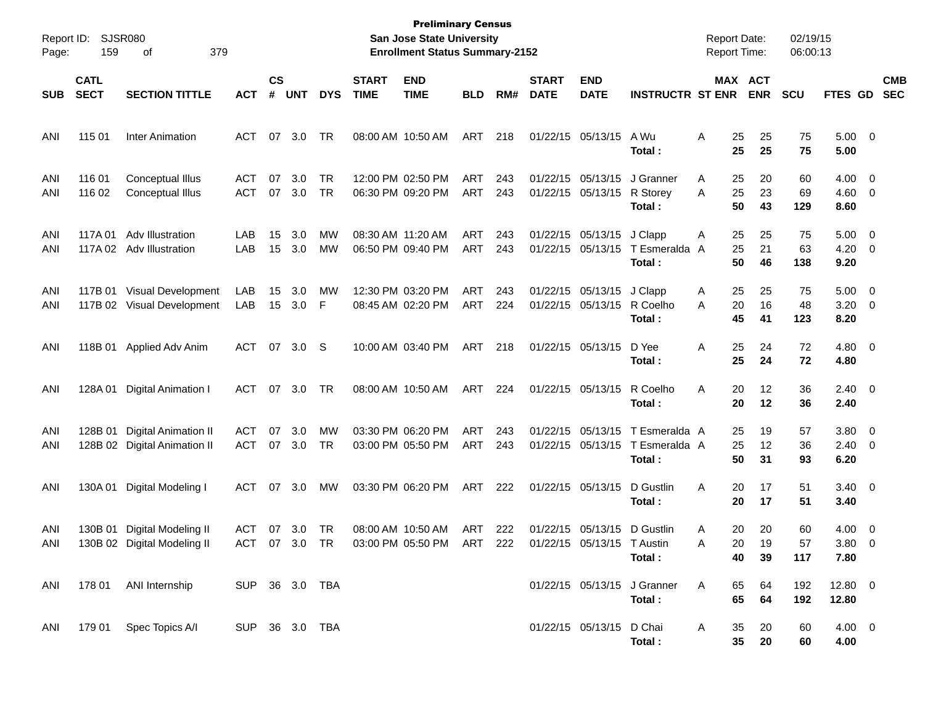| Report ID:<br>Page: | 159                        | <b>SJSR080</b><br>379<br>οf                                 |                             |                    |               |                 |                             | <b>Preliminary Census</b><br><b>San Jose State University</b><br><b>Enrollment Status Summary-2152</b> |            |            |                             |                                                 |                                          | <b>Report Date:</b><br><b>Report Time:</b> |                             | 02/19/15<br>06:00:13 |                            |                                                     |                          |
|---------------------|----------------------------|-------------------------------------------------------------|-----------------------------|--------------------|---------------|-----------------|-----------------------------|--------------------------------------------------------------------------------------------------------|------------|------------|-----------------------------|-------------------------------------------------|------------------------------------------|--------------------------------------------|-----------------------------|----------------------|----------------------------|-----------------------------------------------------|--------------------------|
| <b>SUB</b>          | <b>CATL</b><br><b>SECT</b> | <b>SECTION TITTLE</b>                                       | <b>ACT</b>                  | $\mathsf{cs}$<br># | <b>UNT</b>    | <b>DYS</b>      | <b>START</b><br><b>TIME</b> | <b>END</b><br><b>TIME</b>                                                                              | <b>BLD</b> | RM#        | <b>START</b><br><b>DATE</b> | <b>END</b><br><b>DATE</b>                       | <b>INSTRUCTR ST ENR</b>                  |                                            | MAX ACT<br><b>ENR</b>       | <b>SCU</b>           | <b>FTES GD</b>             |                                                     | <b>CMB</b><br><b>SEC</b> |
| ANI                 | 115 01                     | <b>Inter Animation</b>                                      | ACT                         | 07                 | 3.0           | TR              |                             | 08:00 AM 10:50 AM                                                                                      | ART        | 218        |                             | 01/22/15 05/13/15                               | A Wu<br>Total:                           | Α<br>25<br>25                              | 25<br>25                    | 75<br>75             | $5.00 \t 0$<br>5.00        |                                                     |                          |
| ANI<br>ANI          | 116 01<br>116 02           | Conceptual Illus<br>Conceptual Illus                        | <b>ACT</b><br><b>ACT</b>    | 07<br>07           | 3.0<br>3.0    | <b>TR</b><br>TR |                             | 12:00 PM 02:50 PM<br>06:30 PM 09:20 PM                                                                 | ART<br>ART | 243<br>243 |                             | 01/22/15 05/13/15<br>01/22/15 05/13/15          | J Granner<br>R Storey<br>Total:          | A<br>25<br>A<br>25<br>50                   | 20<br>23<br>43              | 60<br>69<br>129      | 4.00<br>4.60<br>8.60       | $\overline{\phantom{0}}$<br>$\overline{\mathbf{0}}$ |                          |
| ANI<br>ANI          | 117A 01<br>117A 02         | Adv Illustration<br>Adv Illustration                        | LAB<br>LAB                  | 15<br>15           | 3.0<br>3.0    | МW<br>МW        |                             | 08:30 AM 11:20 AM<br>06:50 PM 09:40 PM                                                                 | ART<br>ART | 243<br>243 |                             | 01/22/15 05/13/15<br>01/22/15 05/13/15          | J Clapp<br>T Esmeralda<br>Total:         | A<br>25<br>25<br>A<br>50                   | 25<br>21<br>46              | 75<br>63<br>138      | 5.00<br>4.20<br>9.20       | $\overline{\mathbf{0}}$<br>$\overline{\phantom{0}}$ |                          |
| ANI<br>ANI          | 117B 01                    | Visual Development<br>117B 02 Visual Development            | LAB<br>LAB                  | 15<br>15           | 3.0<br>3.0    | MW<br>F         |                             | 12:30 PM 03:20 PM<br>08:45 AM 02:20 PM                                                                 | ART<br>ART | 243<br>224 |                             | 01/22/15 05/13/15<br>01/22/15 05/13/15          | J Clapp<br>R Coelho<br>Total:            | A<br>25<br>20<br>A<br>45                   | 25<br>16<br>41              | 75<br>48<br>123      | 5.00<br>3.20<br>8.20       | $\overline{\mathbf{0}}$<br>$\overline{\phantom{0}}$ |                          |
| ANI                 |                            | 118B 01 Applied Adv Anim                                    | ACT                         |                    | 07 3.0        | -S              |                             | 10:00 AM 03:40 PM                                                                                      | ART        | 218        |                             | 01/22/15 05/13/15                               | D Yee<br>Total:                          | Α<br>25<br>25                              | 24<br>24                    | 72<br>72             | $4.80\ 0$<br>4.80          |                                                     |                          |
| ANI                 |                            | 128A 01 Digital Animation I                                 | ACT                         | 07                 | 3.0           | TR              |                             | 08:00 AM 10:50 AM                                                                                      | ART        | 224        |                             | 01/22/15 05/13/15                               | R Coelho<br>Total:                       | Α<br>20<br>20                              | 12<br>12                    | 36<br>36             | $2.40 \quad 0$<br>2.40     |                                                     |                          |
| ANI<br>ANI          | 128B 01                    | <b>Digital Animation II</b><br>128B 02 Digital Animation II | <b>ACT</b><br><b>ACT</b>    | 07                 | 3.0<br>07 3.0 | MW<br>TR        |                             | 03:30 PM 06:20 PM<br>03:00 PM 05:50 PM                                                                 | ART<br>ART | 243<br>243 |                             | 01/22/15 05/13/15<br>01/22/15 05/13/15          | T Esmeralda A<br>T Esmeralda A<br>Total: | 25<br>25<br>50                             | 19<br>12<br>31              | 57<br>36<br>93       | 3.80<br>$2.40 \ 0$<br>6.20 | $\overline{\phantom{0}}$                            |                          |
| ANI                 |                            | 130A 01 Digital Modeling I                                  | ACT                         | 07                 | 3.0           | МW              |                             | 03:30 PM 06:20 PM                                                                                      | ART        | 222        |                             | 01/22/15 05/13/15                               | D Gustlin<br>Total:                      | Α<br>20<br>20                              | 17<br>17                    | 51<br>51             | $3.40 \ 0$<br>3.40         |                                                     |                          |
| ANI<br>ANI          |                            | 130B 01 Digital Modeling II<br>130B 02 Digital Modeling II  | <b>ACT</b><br>ACT 07 3.0 TR | 07                 | 3.0           | TR              |                             | 08:00 AM 10:50 AM<br>03:00 PM 05:50 PM ART                                                             | ART        | 222<br>222 |                             | 01/22/15 05/13/15<br>01/22/15 05/13/15 T Austin | D Gustlin<br>Total:                      | 20<br>Α<br>Α<br>40                         | 20<br>20.<br>19<br>39       | 60<br>57<br>117      | 4.00<br>$3.80\ 0$<br>7.80  | $\overline{\mathbf{0}}$                             |                          |
| ANI                 |                            | 178 01 ANI Internship                                       | SUP 36 3.0 TBA              |                    |               |                 |                             |                                                                                                        |            |            |                             |                                                 | 01/22/15 05/13/15 J Granner<br>Total:    | A<br>65<br>65                              | 64<br>64                    | 192<br>192           | $12.80 \t 0$<br>12.80      |                                                     |                          |
| ANI                 |                            | 179 01 Spec Topics A/I                                      | SUP 36 3.0 TBA              |                    |               |                 |                             |                                                                                                        |            |            |                             | 01/22/15 05/13/15 D Chai                        | Total:                                   | A<br>35                                    | 20<br>35 <sub>o</sub><br>20 | 60<br>60             | 4.00 0<br>4.00             |                                                     |                          |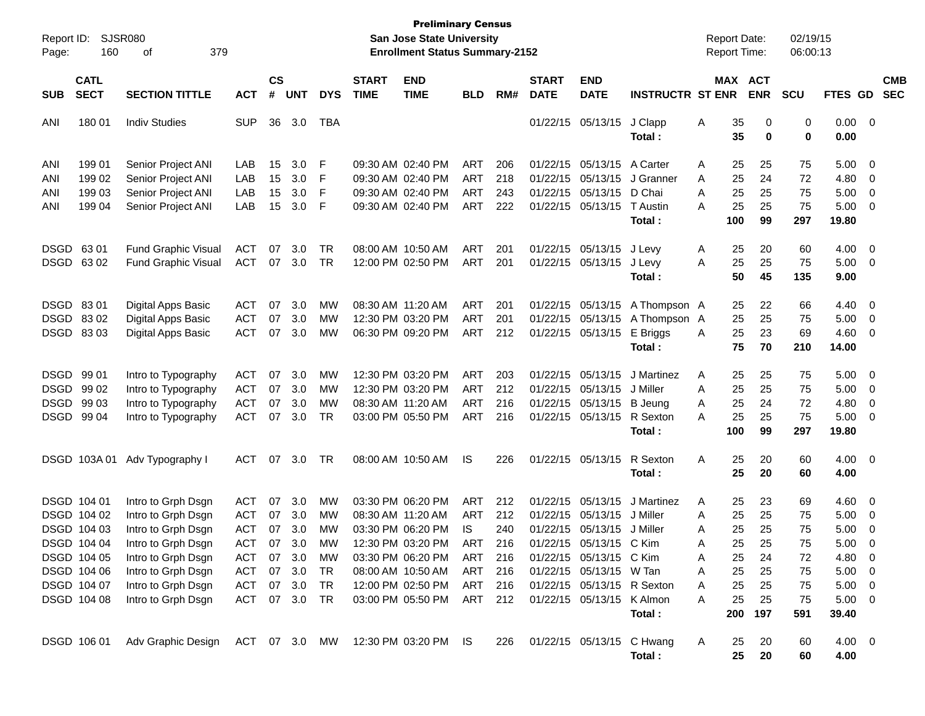| Report ID:<br>Page:                            | 160                                                                     | SJSR080<br>379<br>οf                                                                                       |                                                             |                      |                                       |                                   |                             | <b>Preliminary Census</b><br>San Jose State University<br><b>Enrollment Status Summary-2152</b>       |                                                      |                                 |                                                             |                                                                            |                                                                | <b>Report Date:</b>     | <b>Report Time:</b>                                       | 02/19/15<br>06:00:13        |                                                    |                                                                 |                          |
|------------------------------------------------|-------------------------------------------------------------------------|------------------------------------------------------------------------------------------------------------|-------------------------------------------------------------|----------------------|---------------------------------------|-----------------------------------|-----------------------------|-------------------------------------------------------------------------------------------------------|------------------------------------------------------|---------------------------------|-------------------------------------------------------------|----------------------------------------------------------------------------|----------------------------------------------------------------|-------------------------|-----------------------------------------------------------|-----------------------------|----------------------------------------------------|-----------------------------------------------------------------|--------------------------|
| <b>SUB</b>                                     | <b>CATL</b><br><b>SECT</b><br><b>SECTION TITTLE</b><br><b>ACT</b>       |                                                                                                            |                                                             |                      |                                       | <b>DYS</b>                        | <b>START</b><br><b>TIME</b> | <b>END</b><br><b>TIME</b>                                                                             | <b>BLD</b>                                           | RM#                             | <b>START</b><br><b>DATE</b>                                 | <b>END</b><br><b>DATE</b>                                                  | <b>INSTRUCTR ST ENR</b>                                        |                         | MAX ACT<br><b>ENR</b>                                     | <b>SCU</b>                  | FTES GD                                            |                                                                 | <b>CMB</b><br><b>SEC</b> |
| ANI                                            | 180 01                                                                  | <b>Indiv Studies</b>                                                                                       | <b>SUP</b>                                                  | 36                   | 3.0                                   | TBA                               |                             |                                                                                                       |                                                      |                                 |                                                             | 01/22/15 05/13/15                                                          | J Clapp<br>Total:                                              | Α                       | 35<br>0<br>35<br>0                                        | 0<br>0                      | $0.00 \t 0$<br>0.00                                |                                                                 |                          |
| ANI<br>ANI<br>ANI                              | 199 01<br>199 02<br>199 03                                              | Senior Project ANI<br>Senior Project ANI<br>Senior Project ANI                                             | LAB<br>LAB<br>LAB                                           | 15<br>15<br>15       | 3.0<br>3.0<br>3.0                     | F<br>F<br>F                       |                             | 09:30 AM 02:40 PM<br>09:30 AM 02:40 PM<br>09:30 AM 02:40 PM                                           | ART<br><b>ART</b><br><b>ART</b>                      | 206<br>218<br>243               | 01/22/15 05/13/15                                           | 01/22/15 05/13/15<br>01/22/15 05/13/15                                     | A Carter<br>J Granner<br>D Chai                                | Α<br>A<br>Α             | 25<br>25<br>25<br>24<br>25<br>25                          | 75<br>72<br>75              | 5.00<br>4.80<br>5.00                               | $\overline{\mathbf{0}}$<br>- 0<br>0                             |                          |
| ANI                                            | 199 04                                                                  | Senior Project ANI                                                                                         | LAB                                                         | 15                   | 3.0                                   | F                                 |                             | 09:30 AM 02:40 PM                                                                                     | <b>ART</b>                                           | 222                             |                                                             | 01/22/15 05/13/15                                                          | T Austin<br>Total:                                             | А<br>100                | 25<br>25<br>99                                            | 75<br>297                   | 5.00<br>19.80                                      | $\overline{\mathbf{0}}$                                         |                          |
| DSGD 63 01<br>DSGD 6302                        |                                                                         | <b>Fund Graphic Visual</b><br><b>Fund Graphic Visual</b>                                                   | ACT<br>ACT                                                  | 07<br>07             | 3.0<br>3.0                            | TR<br>TR                          |                             | 08:00 AM 10:50 AM<br>12:00 PM 02:50 PM                                                                | <b>ART</b><br><b>ART</b>                             | 201<br>201                      | 01/22/15 05/13/15                                           | 01/22/15 05/13/15                                                          | J Levy<br>J Levy<br>Total:                                     | A<br>A                  | 20<br>25<br>25<br>25<br>50<br>45                          | 60<br>75<br>135             | 4.00<br>5.00<br>9.00                               | $\overline{\phantom{0}}$<br>$\overline{\mathbf{0}}$             |                          |
| DSGD 8301<br>DSGD 8302<br>DSGD 8303            |                                                                         | Digital Apps Basic<br>Digital Apps Basic<br>Digital Apps Basic                                             | <b>ACT</b><br><b>ACT</b><br><b>ACT</b>                      | 07<br>07<br>07       | 3.0<br>3.0<br>3.0                     | MW<br>MW<br>MW                    |                             | 08:30 AM 11:20 AM<br>12:30 PM 03:20 PM<br>06:30 PM 09:20 PM                                           | <b>ART</b><br><b>ART</b><br>ART                      | 201<br>201<br>212               | 01/22/15 05/13/15                                           | 01/22/15 05/13/15<br>01/22/15 05/13/15                                     | A Thompson A<br>A Thompson A<br>E Briggs<br>Total:             | A                       | 22<br>25<br>25<br>25<br>25<br>23<br>75<br>70              | 66<br>75<br>69<br>210       | 4.40<br>5.00<br>4.60<br>14.00                      | $\overline{\phantom{0}}$<br>$\overline{\mathbf{0}}$<br>0        |                          |
| DSGD 99 01<br>DSGD 99 02<br>DSGD<br>DSGD 99 04 | 99 03                                                                   | Intro to Typography<br>Intro to Typography<br>Intro to Typography<br>Intro to Typography                   | <b>ACT</b><br><b>ACT</b><br><b>ACT</b><br><b>ACT</b>        | 07<br>07<br>07<br>07 | 3.0<br>3.0<br>3.0<br>3.0              | MW<br>MW<br>MW<br>TR              |                             | 12:30 PM 03:20 PM<br>12:30 PM 03:20 PM<br>08:30 AM 11:20 AM<br>03:00 PM 05:50 PM                      | <b>ART</b><br><b>ART</b><br><b>ART</b><br><b>ART</b> | 203<br>212<br>216<br>216        | 01/22/15 05/13/15<br>01/22/15 05/13/15<br>01/22/15 05/13/15 | 01/22/15 05/13/15                                                          | J Martinez<br>J Miller<br><b>B</b> Jeung<br>R Sexton<br>Total: | A<br>A<br>A<br>А<br>100 | 25<br>25<br>25<br>25<br>25<br>24<br>25<br>25<br>99        | 75<br>75<br>72<br>75<br>297 | 5.00<br>5.00<br>4.80<br>5.00<br>19.80              | $\overline{\phantom{0}}$<br>- 0<br>0<br>$\overline{\mathbf{0}}$ |                          |
|                                                | DSGD 103A01                                                             | Adv Typography I                                                                                           | <b>ACT</b>                                                  | 07                   | 3.0                                   | TR                                |                             | 08:00 AM 10:50 AM                                                                                     | IS                                                   | 226                             | 01/22/15 05/13/15                                           |                                                                            | R Sexton<br>Total:                                             | Α                       | 25<br>20<br>25<br>20                                      | 60<br>60                    | $4.00 \ 0$<br>4.00                                 |                                                                 |                          |
|                                                | DSGD 104 01<br>DSGD 104 02<br>DSGD 104 03<br>DSGD 104 04<br>DSGD 104 05 | Intro to Grph Dsgn<br>Intro to Grph Dsgn<br>Intro to Grph Dsgn<br>Intro to Grph Dsgn<br>Intro to Grph Dsgn | <b>ACT</b><br><b>ACT</b><br><b>ACT</b><br><b>ACT</b><br>ACT | 07<br>07<br>07       | 3.0<br>3.0<br>3.0<br>07 3.0<br>07 3.0 | MW<br><b>MW</b><br>MW<br>MW<br>МW |                             | 03:30 PM 06:20 PM<br>08:30 AM 11:20 AM<br>03:30 PM 06:20 PM<br>12:30 PM 03:20 PM<br>03:30 PM 06:20 PM | <b>ART</b><br>ART<br>IS<br>ART<br>ART                | 212<br>212<br>240<br>216<br>216 | 01/22/15 05/13/15<br>01/22/15 05/13/15                      | 01/22/15 05/13/15<br>01/22/15 05/13/15 C Kim<br>01/22/15 05/13/15 C Kim    | J Martinez<br>J Miller<br>J Miller                             | A<br>A<br>Α<br>А<br>Α   | 23<br>25<br>25<br>25<br>25<br>25<br>25.<br>25<br>25<br>24 | 69<br>75<br>75<br>75<br>72  | 4.60<br>5.00<br>5.00<br>5.00<br>$4.80\ 0$          | $\overline{\mathbf{0}}$<br>0<br>- 0<br>- 0                      |                          |
|                                                | DSGD 104 06<br>DSGD 104 07<br>DSGD 104 08                               | Intro to Grph Dsgn<br>Intro to Grph Dsgn<br>Intro to Grph Dsgn                                             | <b>ACT</b><br>ACT<br>ACT 07 3.0                             |                      | 07 3.0<br>07 3.0                      | TR<br>TR<br>TR                    |                             | 08:00 AM 10:50 AM<br>12:00 PM 02:50 PM<br>03:00 PM 05:50 PM                                           | ART<br>ART<br>ART 212                                | 216<br>216                      |                                                             | 01/22/15 05/13/15 W Tan<br>01/22/15 05/13/15 R Sexton<br>01/22/15 05/13/15 | K Almon<br>Total:                                              | A<br>A<br>A<br>200      | 25<br>25<br>25<br>25<br>25<br>25<br>197                   | 75<br>75<br>75<br>591       | $5.00 \t 0$<br>$5.00 \t 0$<br>$5.00 \t 0$<br>39.40 |                                                                 |                          |
|                                                | DSGD 106 01                                                             | Adv Graphic Design                                                                                         | ACT 07 3.0 MW                                               |                      |                                       |                                   |                             | 12:30 PM 03:20 PM IS                                                                                  |                                                      | 226                             |                                                             | 01/22/15 05/13/15 C Hwang                                                  | Total:                                                         | A                       | 25<br>20<br>25<br>20                                      | 60<br>60                    | $4.00 \ 0$<br>4.00                                 |                                                                 |                          |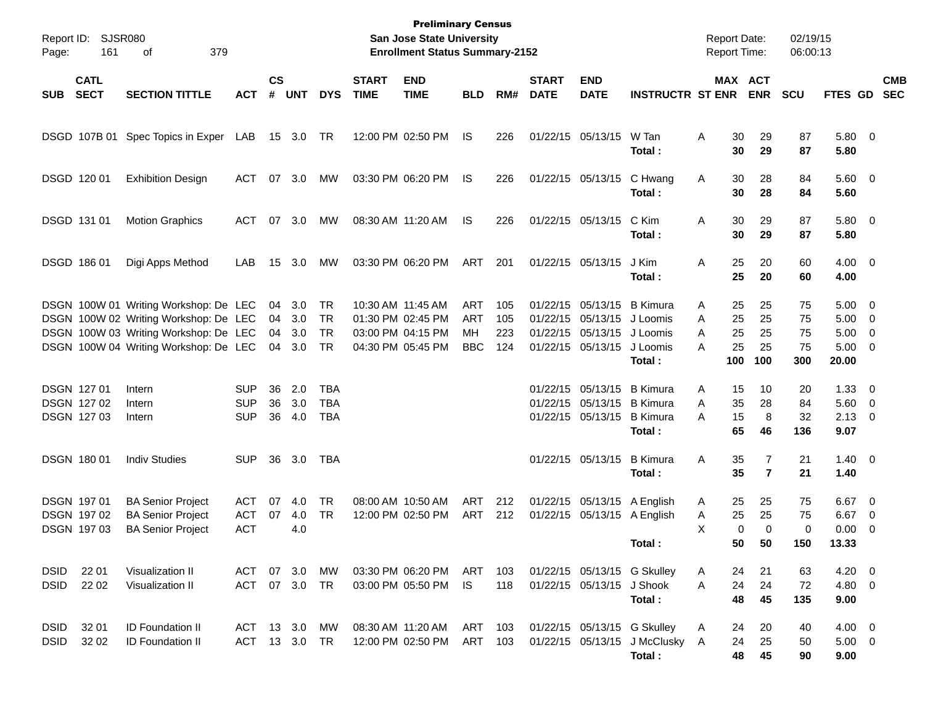| Page:       | Report ID: SJSR080<br>161  |                                       |            |                    |            |            | <b>Preliminary Census</b><br><b>San Jose State University</b><br><b>Enrollment Status Summary-2152</b> |                           |            |     |                             |                             |                              | <b>Report Date:</b><br><b>Report Time:</b> |             | 02/19/15<br>06:00:13  |            |                    |                          |            |
|-------------|----------------------------|---------------------------------------|------------|--------------------|------------|------------|--------------------------------------------------------------------------------------------------------|---------------------------|------------|-----|-----------------------------|-----------------------------|------------------------------|--------------------------------------------|-------------|-----------------------|------------|--------------------|--------------------------|------------|
| <b>SUB</b>  | <b>CATL</b><br><b>SECT</b> | <b>SECTION TITTLE</b>                 | <b>ACT</b> | $\mathsf{cs}$<br># | <b>UNT</b> | <b>DYS</b> | <b>START</b><br><b>TIME</b>                                                                            | <b>END</b><br><b>TIME</b> | <b>BLD</b> | RM# | <b>START</b><br><b>DATE</b> | <b>END</b><br><b>DATE</b>   | <b>INSTRUCTR ST ENR</b>      |                                            |             | MAX ACT<br><b>ENR</b> | <b>SCU</b> | FTES GD SEC        |                          | <b>CMB</b> |
|             | DSGD 107B 01               | Spec Topics in Exper LAB              |            |                    | 15 3.0 TR  |            |                                                                                                        | 12:00 PM 02:50 PM         | IS         | 226 |                             | 01/22/15 05/13/15           | W Tan<br>Total:              | Α                                          | 30<br>30    | 29<br>29              | 87<br>87   | 5.80 0<br>5.80     |                          |            |
|             | DSGD 120 01                | <b>Exhibition Design</b>              | <b>ACT</b> | 07                 | 3.0        | МW         |                                                                                                        | 03:30 PM 06:20 PM         | IS         | 226 |                             | 01/22/15 05/13/15           | C Hwang<br>Total:            | Α                                          | 30<br>30    | 28<br>28              | 84<br>84   | 5.60 0<br>5.60     |                          |            |
|             | DSGD 131 01                | <b>Motion Graphics</b>                | <b>ACT</b> | 07                 | 3.0        | МW         | 08:30 AM 11:20 AM                                                                                      |                           | IS         | 226 |                             | 01/22/15 05/13/15           | C Kim<br>Total :             | Α                                          | 30<br>30    | 29<br>29              | 87<br>87   | 5.80 0<br>5.80     |                          |            |
|             | DSGD 186 01                | Digi Apps Method                      | LAB        | 15                 | 3.0        | МW         | 03:30 PM 06:20 PM                                                                                      |                           | ART        | 201 |                             | 01/22/15 05/13/15           | J Kim<br>Total:              | Α                                          | 25<br>25    | 20<br>20              | 60<br>60   | $4.00 \ 0$<br>4.00 |                          |            |
|             |                            | DSGN 100W 01 Writing Workshop: De LEC |            | 04                 | 3.0        | TR         | 10:30 AM 11:45 AM                                                                                      |                           | ART        | 105 |                             | 01/22/15 05/13/15 B Kimura  |                              | Α                                          | 25          | 25                    | 75         | $5.00 \t 0$        |                          |            |
|             |                            | DSGN 100W 02 Writing Workshop: De LEC |            | 04                 | 3.0        | <b>TR</b>  | 01:30 PM 02:45 PM                                                                                      |                           | <b>ART</b> | 105 |                             | 01/22/15 05/13/15 J Loomis  |                              | A                                          | 25          | 25                    | 75         | $5.00 \t 0$        |                          |            |
|             |                            | DSGN 100W 03 Writing Workshop: De LEC |            | 04                 | 3.0        | <b>TR</b>  |                                                                                                        | 03:00 PM 04:15 PM         | MН         | 223 |                             | 01/22/15 05/13/15 J Loomis  |                              | A                                          | 25          | 25                    | 75         | $5.00 \t 0$        |                          |            |
|             |                            | DSGN 100W 04 Writing Workshop: De LEC |            | 04                 | 3.0        | TR         | 04:30 PM 05:45 PM                                                                                      |                           | <b>BBC</b> | 124 |                             | 01/22/15 05/13/15 J Loomis  |                              | A                                          | 25          | 25                    | 75         | $5.00 \t 0$        |                          |            |
|             |                            |                                       |            |                    |            |            |                                                                                                        |                           |            |     |                             |                             | Total:                       |                                            | 100         | 100                   | 300        | 20.00              |                          |            |
|             | DSGN 127 01                | Intern                                | <b>SUP</b> | 36                 | 2.0        | <b>TBA</b> |                                                                                                        |                           |            |     |                             | 01/22/15 05/13/15 B Kimura  |                              | Α                                          | 15          | 10                    | 20         | $1.33 \ 0$         |                          |            |
|             | DSGN 127 02                | Intern                                | <b>SUP</b> | 36                 | 3.0        | <b>TBA</b> |                                                                                                        |                           |            |     |                             | 01/22/15 05/13/15 B Kimura  |                              | A                                          | 35          | 28                    | 84         | $5.60$ 0           |                          |            |
|             | DSGN 127 03                | Intern                                | <b>SUP</b> | 36                 | 4.0        | <b>TBA</b> |                                                                                                        |                           |            |     |                             | 01/22/15 05/13/15 B Kimura  |                              | A                                          | 15          | 8                     | 32         | $2.13 \t 0$        |                          |            |
|             |                            |                                       |            |                    |            |            |                                                                                                        |                           |            |     |                             |                             | Total :                      |                                            | 65          | 46                    | 136        | 9.07               |                          |            |
|             | DSGN 180 01                | <b>Indiv Studies</b>                  | <b>SUP</b> | 36                 | 3.0        | TBA        |                                                                                                        |                           |            |     |                             | 01/22/15 05/13/15           | <b>B</b> Kimura              | Α                                          | 35          | 7                     | 21         | $1.40 \ 0$         |                          |            |
|             |                            |                                       |            |                    |            |            |                                                                                                        |                           |            |     |                             |                             | Total :                      |                                            | 35          | $\overline{7}$        | 21         | 1.40               |                          |            |
|             | DSGN 197 01                | <b>BA Senior Project</b>              | <b>ACT</b> | 07                 | 4.0        | TR         | 08:00 AM 10:50 AM                                                                                      |                           | ART        | 212 |                             | 01/22/15 05/13/15 A English |                              | A                                          | 25          | 25                    | 75         | $6.67$ 0           |                          |            |
|             | DSGN 197 02                | <b>BA Senior Project</b>              | <b>ACT</b> | 07                 | 4.0        | TR         |                                                                                                        | 12:00 PM 02:50 PM         | ART        | 212 |                             | 01/22/15 05/13/15 A English |                              | A                                          | 25          | 25                    | 75         | 6.67               | $\overline{\phantom{0}}$ |            |
|             | <b>DSGN 19703</b>          | <b>BA Senior Project</b>              | <b>ACT</b> |                    | 4.0        |            |                                                                                                        |                           |            |     |                             |                             |                              | X                                          | $\mathbf 0$ | $\mathbf 0$           | 0          | 0.00               | $\overline{\phantom{0}}$ |            |
|             |                            |                                       |            |                    |            |            |                                                                                                        |                           |            |     |                             |                             | Total:                       |                                            | 50          | 50                    | 150        | 13.33              |                          |            |
| <b>DSID</b> | 22 01                      | Visualization II                      | ACT        |                    | 07 3.0     | MW.        |                                                                                                        | 03:30 PM 06:20 PM         | ART        | 103 |                             | 01/22/15 05/13/15 G Skulley |                              | A                                          | 24          | 21                    | 63         | $4.20 \ 0$         |                          |            |
| <b>DSID</b> | 22 02                      | Visualization II                      | <b>ACT</b> |                    | 07 3.0     | <b>TR</b>  |                                                                                                        | 03:00 PM 05:50 PM         | IS.        | 118 |                             | 01/22/15 05/13/15 J Shook   |                              | A                                          | 24          | 24                    | 72         | 4.80 0             |                          |            |
|             |                            |                                       |            |                    |            |            |                                                                                                        |                           |            |     |                             |                             | Total:                       |                                            | 48          | 45                    | 135        | 9.00               |                          |            |
| <b>DSID</b> | 32 01                      | <b>ID Foundation II</b>               | ACT 13 3.0 |                    |            | MW         | 08:30 AM 11:20 AM                                                                                      |                           | ART 103    |     |                             | 01/22/15 05/13/15 G Skulley |                              | A                                          | 24          | 20                    | 40         | $4.00 \t 0$        |                          |            |
| <b>DSID</b> | 32 02                      | <b>ID Foundation II</b>               | <b>ACT</b> |                    | 13 3.0     | TR         | 12:00 PM 02:50 PM                                                                                      |                           | ART        | 103 |                             |                             | 01/22/15 05/13/15 J McClusky | A                                          | 24          | 25                    | 50         | $5.00 \t 0$        |                          |            |
|             |                            |                                       |            |                    |            |            |                                                                                                        |                           |            |     |                             |                             | Total:                       |                                            | 48          | 45                    | 90         | 9.00               |                          |            |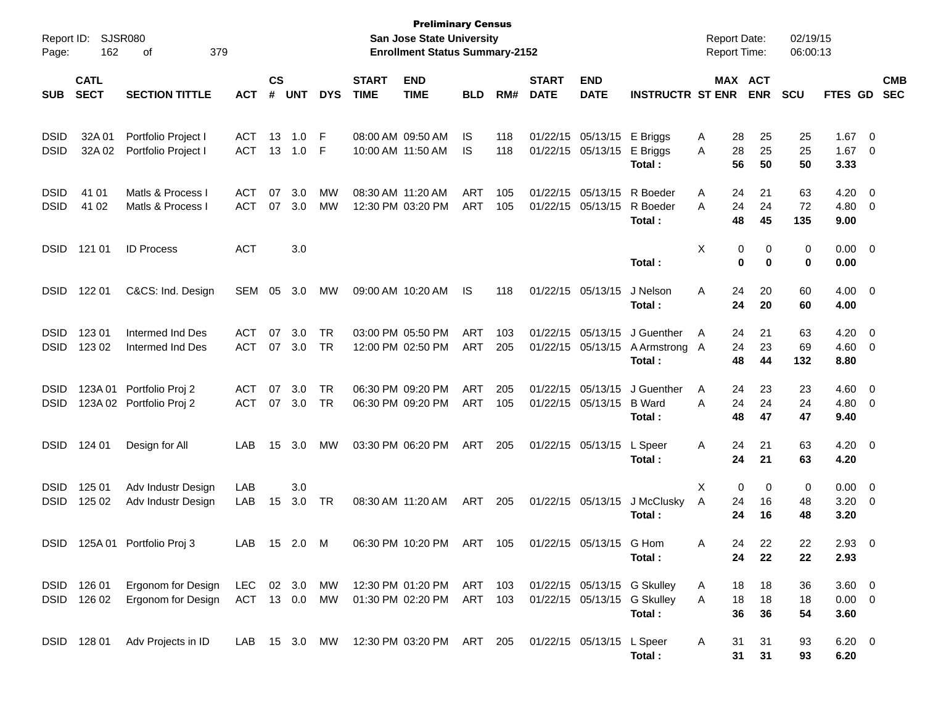| Report ID:<br>Page:        | 162                        | SJSR080<br>379<br>οf                         |                          |                    |               |                        |                             | <b>Preliminary Census</b><br><b>San Jose State University</b><br><b>Enrollment Status Summary-2152</b> |                          |            |                             |                               |                                                                      | <b>Report Date:</b><br><b>Report Time:</b> |                                  | 02/19/15<br>06:00:13 |                                   |                                  |                          |
|----------------------------|----------------------------|----------------------------------------------|--------------------------|--------------------|---------------|------------------------|-----------------------------|--------------------------------------------------------------------------------------------------------|--------------------------|------------|-----------------------------|-------------------------------|----------------------------------------------------------------------|--------------------------------------------|----------------------------------|----------------------|-----------------------------------|----------------------------------|--------------------------|
| <b>SUB</b>                 | <b>CATL</b><br><b>SECT</b> | <b>SECTION TITTLE</b>                        | <b>ACT</b>               | $\mathsf{cs}$<br># | <b>UNT</b>    | <b>DYS</b>             | <b>START</b><br><b>TIME</b> | <b>END</b><br><b>TIME</b>                                                                              | <b>BLD</b>               | RM#        | <b>START</b><br><b>DATE</b> | <b>END</b><br><b>DATE</b>     | <b>INSTRUCTR ST ENR</b>                                              |                                            | <b>MAX ACT</b><br><b>ENR</b>     | <b>SCU</b>           | FTES GD                           |                                  | <b>CMB</b><br><b>SEC</b> |
| <b>DSID</b><br><b>DSID</b> | 32A 01<br>32A 02           | Portfolio Project I<br>Portfolio Project I   | <b>ACT</b><br><b>ACT</b> | 13<br>13           | 1.0<br>1.0    | F<br>F                 |                             | 08:00 AM 09:50 AM<br>10:00 AM 11:50 AM                                                                 | IS<br>IS                 | 118<br>118 | 01/22/15                    | 05/13/15<br>01/22/15 05/13/15 | E Briggs<br>E Briggs<br>Total:                                       | A<br>A                                     | 28<br>25<br>28<br>25<br>56<br>50 | 25<br>25<br>50       | 1.67<br>1.67<br>3.33              | $\overline{0}$<br>$\overline{0}$ |                          |
| <b>DSID</b><br><b>DSID</b> | 41 01<br>41 02             | Matls & Process I<br>Matls & Process I       | <b>ACT</b><br><b>ACT</b> | 07<br>07           | 3.0<br>3.0    | МW<br>МW               |                             | 08:30 AM 11:20 AM<br>12:30 PM 03:20 PM                                                                 | <b>ART</b><br><b>ART</b> | 105<br>105 | 01/22/15<br>01/22/15        | 05/13/15<br>05/13/15          | R Boeder<br>R Boeder<br>Total:                                       | Α<br>A                                     | 21<br>24<br>24<br>24<br>48<br>45 | 63<br>72<br>135      | 4.20<br>4.80<br>9.00              | 0<br>0                           |                          |
| <b>DSID</b>                | 121 01                     | <b>ID Process</b>                            | <b>ACT</b>               |                    | 3.0           |                        |                             |                                                                                                        |                          |            |                             |                               | Total:                                                               | Χ                                          | 0<br>0<br>0<br>0                 | 0<br>0               | 0.00<br>0.00                      | $\overline{\mathbf{0}}$          |                          |
| <b>DSID</b>                | 122 01                     | C&CS: Ind. Design                            | SEM                      | 05                 | 3.0           | MW                     |                             | 09:00 AM 10:20 AM                                                                                      | IS                       | 118        |                             | 01/22/15 05/13/15             | J Nelson<br>Total:                                                   | A                                          | 24<br>20<br>24<br>20             | 60<br>60             | 4.00<br>4.00                      | $\overline{\mathbf{0}}$          |                          |
| <b>DSID</b><br><b>DSID</b> | 123 01<br>123 02           | Intermed Ind Des<br>Intermed Ind Des         | <b>ACT</b><br><b>ACT</b> | 07                 | 3.0<br>07 3.0 | TR<br><b>TR</b>        |                             | 03:00 PM 05:50 PM<br>12:00 PM 02:50 PM                                                                 | <b>ART</b><br><b>ART</b> | 103<br>205 | 01/22/15                    | 05/13/15<br>01/22/15 05/13/15 | J Guenther<br>A Armstrong A<br>Total:                                | A                                          | 24<br>21<br>24<br>23<br>48<br>44 | 63<br>69<br>132      | 4.20<br>4.60<br>8.80              | 0<br>$\overline{0}$              |                          |
| <b>DSID</b><br><b>DSID</b> | 123A 01                    | Portfolio Proj 2<br>123A 02 Portfolio Proj 2 | <b>ACT</b><br><b>ACT</b> | 07                 | 3.0<br>07 3.0 | TR<br><b>TR</b>        |                             | 06:30 PM 09:20 PM<br>06:30 PM 09:20 PM                                                                 | ART<br>ART               | 205<br>105 | 01/22/15                    | 05/13/15<br>01/22/15 05/13/15 | J Guenther<br><b>B</b> Ward<br>Total:                                | A<br>A                                     | 24<br>23<br>24<br>24<br>48<br>47 | 23<br>24<br>47       | 4.60<br>4.80<br>9.40              | $\overline{0}$<br>$\overline{0}$ |                          |
| <b>DSID</b>                | 124 01                     | Design for All                               | LAB.                     | 15                 | 3.0           | МW                     |                             | 03:30 PM 06:20 PM                                                                                      | ART                      | 205        |                             | 01/22/15 05/13/15             | L Speer<br>Total:                                                    | A                                          | 21<br>24<br>24<br>21             | 63<br>63             | 4.20<br>4.20                      | $\overline{\mathbf{0}}$          |                          |
| <b>DSID</b><br><b>DSID</b> | 125 01<br>125 02           | Adv Industr Design<br>Adv Industr Design     | LAB<br>LAB               | 15                 | 3.0<br>3.0    | TR                     |                             | 08:30 AM 11:20 AM                                                                                      | ART                      | 205        |                             | 01/22/15 05/13/15             | J McClusky<br>Total :                                                | Χ<br>A                                     | 0<br>0<br>24<br>16<br>24<br>16   | 0<br>48<br>48        | 0.00<br>3.20<br>3.20              | $\overline{0}$<br>0              |                          |
|                            |                            | DSID 125A 01 Portfolio Proj 3                | LAB 15 2.0 M             |                    |               |                        |                             | 06:30 PM 10:20 PM ART 105                                                                              |                          |            |                             | 01/22/15 05/13/15 G Hom       | Total:                                                               | A                                          | 22<br>24<br>24<br>22             | 22<br>22             | $2.93$ 0<br>2.93                  |                                  |                          |
|                            | DSID 126 01<br>DSID 126 02 | Ergonom for Design<br>Ergonom for Design     | LEC 02 3.0<br>ACT 13 0.0 |                    |               | <b>MW</b><br><b>MW</b> |                             | 12:30 PM 01:20 PM ART 103<br>01:30 PM 02:20 PM ART 103                                                 |                          |            |                             |                               | 01/22/15 05/13/15 G Skulley<br>01/22/15 05/13/15 G Skulley<br>Total: | A<br>A                                     | 18<br>18<br>18<br>18<br>36<br>36 | 36<br>18<br>54       | $3.60 \ 0$<br>$0.00 \t 0$<br>3.60 |                                  |                          |
|                            | DSID 128 01                | Adv Projects in ID                           | LAB.                     |                    |               |                        |                             | 15 3.0 MW 12:30 PM 03:20 PM ART 205                                                                    |                          |            | 01/22/15 05/13/15 L Speer   |                               | Total:                                                               | A                                          | 31<br>31<br>31<br>31             | 93<br>93             | $6.20\ 0$<br>6.20                 |                                  |                          |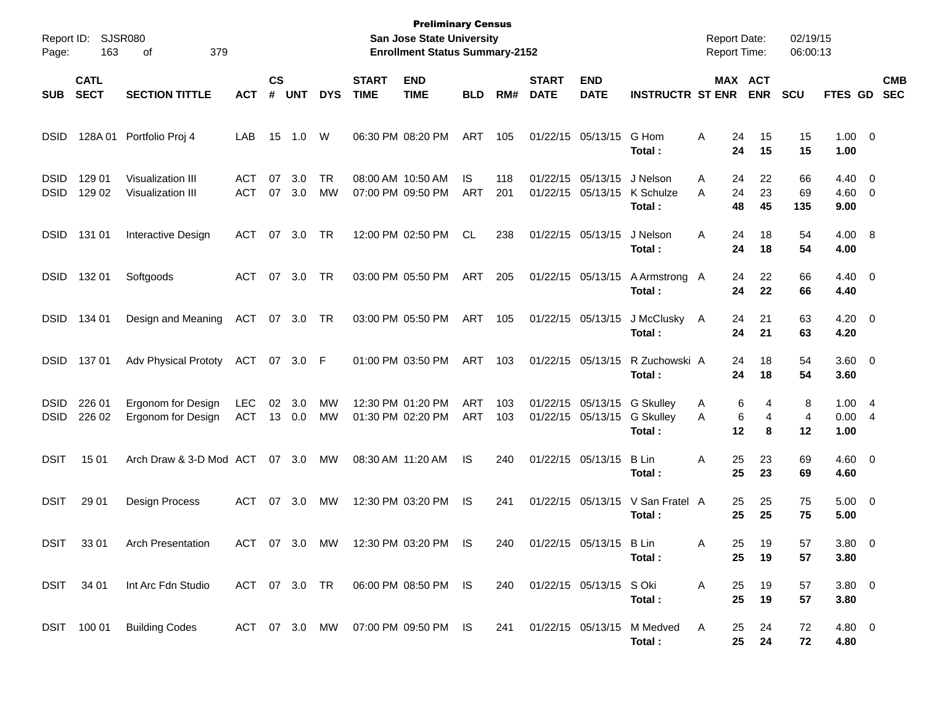| Report ID:<br>Page:        | 163                        | <b>SJSR080</b><br>379<br>οf              |                          |                             |               |                 |                             | <b>Preliminary Census</b><br><b>San Jose State University</b><br><b>Enrollment Status Summary-2152</b> |                   |            |                             |                                        |                                          | <b>Report Date:</b><br><b>Report Time:</b> |                       | 02/19/15<br>06:00:13 |                        |                                                    |                          |
|----------------------------|----------------------------|------------------------------------------|--------------------------|-----------------------------|---------------|-----------------|-----------------------------|--------------------------------------------------------------------------------------------------------|-------------------|------------|-----------------------------|----------------------------------------|------------------------------------------|--------------------------------------------|-----------------------|----------------------|------------------------|----------------------------------------------------|--------------------------|
| <b>SUB</b>                 | <b>CATL</b><br><b>SECT</b> | <b>SECTION TITTLE</b>                    | <b>ACT</b>               | $\mathbf{c}\mathbf{s}$<br># | <b>UNT</b>    | <b>DYS</b>      | <b>START</b><br><b>TIME</b> | <b>END</b><br><b>TIME</b>                                                                              | <b>BLD</b>        | RM#        | <b>START</b><br><b>DATE</b> | <b>END</b><br><b>DATE</b>              | <b>INSTRUCTR ST ENR</b>                  |                                            | MAX ACT<br><b>ENR</b> | <b>SCU</b>           | FTES GD                |                                                    | <b>CMB</b><br><b>SEC</b> |
| <b>DSID</b>                | 128A01                     | Portfolio Proj 4                         | LAB                      | 15                          | 1.0           | W               |                             | 06:30 PM 08:20 PM                                                                                      | ART               | 105        |                             | 01/22/15 05/13/15                      | G Hom<br>Total:                          | Α<br>24<br>24                              | 15<br>15              | 15<br>15             | $1.00 \t 0$<br>1.00    |                                                    |                          |
| <b>DSID</b><br><b>DSID</b> | 129 01<br>129 02           | Visualization III<br>Visualization III   | <b>ACT</b><br><b>ACT</b> | 07<br>07                    | 3.0<br>3.0    | <b>TR</b><br>МW | 08:00 AM 10:50 AM           | 07:00 PM 09:50 PM                                                                                      | IS.<br><b>ART</b> | 118<br>201 |                             | 01/22/15 05/13/15<br>01/22/15 05/13/15 | J Nelson<br>K Schulze<br>Total:          | Α<br>24<br>24<br>A<br>48                   | 22<br>23<br>45        | 66<br>69<br>135      | 4.40<br>4.60<br>9.00   | $\overline{\mathbf{0}}$<br>$\overline{\mathbf{0}}$ |                          |
| <b>DSID</b>                | 131 01                     | Interactive Design                       | <b>ACT</b>               | 07                          | 3.0           | TR              |                             | 12:00 PM 02:50 PM                                                                                      | CL                | 238        |                             | 01/22/15 05/13/15                      | J Nelson<br>Total:                       | Α<br>24<br>24                              | 18<br>18              | 54<br>54             | 4.00 8<br>4.00         |                                                    |                          |
| <b>DSID</b>                | 132 01                     | Softgoods                                | <b>ACT</b>               | 07                          | 3.0           | TR              |                             | 03:00 PM 05:50 PM                                                                                      | ART               | 205        |                             | 01/22/15 05/13/15                      | A Armstrong A<br>Total:                  | 24<br>24                                   | 22<br>22              | 66<br>66             | $4.40 \quad 0$<br>4.40 |                                                    |                          |
| <b>DSID</b>                | 134 01                     | Design and Meaning                       | ACT                      | 07                          | 3.0           | TR              |                             | 03:00 PM 05:50 PM                                                                                      | ART               | 105        |                             | 01/22/15 05/13/15                      | J McClusky<br>Total:                     | 24<br>A<br>24                              | 21<br>21              | 63<br>63             | $4.20 \ 0$<br>4.20     |                                                    |                          |
| <b>DSID</b>                | 137 01                     | <b>Adv Physical Prototy</b>              | ACT                      |                             | 07 3.0        | - F             |                             | 01:00 PM 03:50 PM                                                                                      | ART               | 103        |                             | 01/22/15 05/13/15                      | R Zuchowski A<br>Total:                  | 24<br>24                                   | 18<br>18              | 54<br>54             | $3.60 \ 0$<br>3.60     |                                                    |                          |
| <b>DSID</b><br><b>DSID</b> | 226 01<br>226 02           | Ergonom for Design<br>Ergonom for Design | <b>LEC</b><br><b>ACT</b> | 02                          | 3.0<br>13 0.0 | МW<br>МW        |                             | 12:30 PM 01:20 PM<br>01:30 PM 02:20 PM                                                                 | ART<br>ART        | 103<br>103 |                             | 01/22/15 05/13/15<br>01/22/15 05/13/15 | <b>G Skulley</b><br>G Skulley<br>Total:  | A<br>A<br>12                               | 6<br>4<br>6<br>4<br>8 | 8<br>4<br>12         | 1.004<br>0.004<br>1.00 |                                                    |                          |
| <b>DSIT</b>                | 15 01                      | Arch Draw & 3-D Mod ACT                  |                          | 07                          | 3.0           | MW              | 08:30 AM 11:20 AM           |                                                                                                        | IS                | 240        |                             | 01/22/15 05/13/15                      | <b>B</b> Lin<br>Total:                   | Α<br>25<br>25                              | 23<br>23              | 69<br>69             | $4.60 \quad 0$<br>4.60 |                                                    |                          |
| <b>DSIT</b>                | 29 01                      | Design Process                           | ACT                      | 07                          | 3.0           | МW              |                             | 12:30 PM 03:20 PM                                                                                      | IS                | 241        |                             | 01/22/15 05/13/15                      | V San Fratel A<br>Total:                 | 25<br>25                                   | 25<br>25              | 75<br>75             | $5.00 \t 0$<br>5.00    |                                                    |                          |
| <b>DSIT</b>                | 33 01                      | <b>Arch Presentation</b>                 | ACT 07 3.0               |                             |               | MW              |                             | 12:30 PM 03:20 PM                                                                                      | <b>IS</b>         | 240        |                             | 01/22/15 05/13/15 B Lin                | Total:                                   | 25.<br>A<br>25                             | 19<br>19              | 57<br>57             | $3.80\ 0$<br>3.80      |                                                    |                          |
|                            | DSIT 34 01                 | Int Arc Fdn Studio                       |                          |                             |               |                 |                             | ACT 07 3.0 TR 06:00 PM 08:50 PM IS                                                                     |                   |            | 240 01/22/15 05/13/15 SOki  |                                        | Total:                                   | A<br>25<br>25                              | 19<br>19              | 57<br>57             | $3.80\ 0$<br>3.80      |                                                    |                          |
|                            |                            | DSIT 100 01 Building Codes               |                          |                             |               |                 |                             | ACT 07 3.0 MW 07:00 PM 09:50 PM IS                                                                     |                   |            |                             |                                        | 241 01/22/15 05/13/15 M Medved<br>Total: | A<br>25<br>$25\,$                          | 24<br>24              | 72<br>72             | 4.80 0<br>4.80         |                                                    |                          |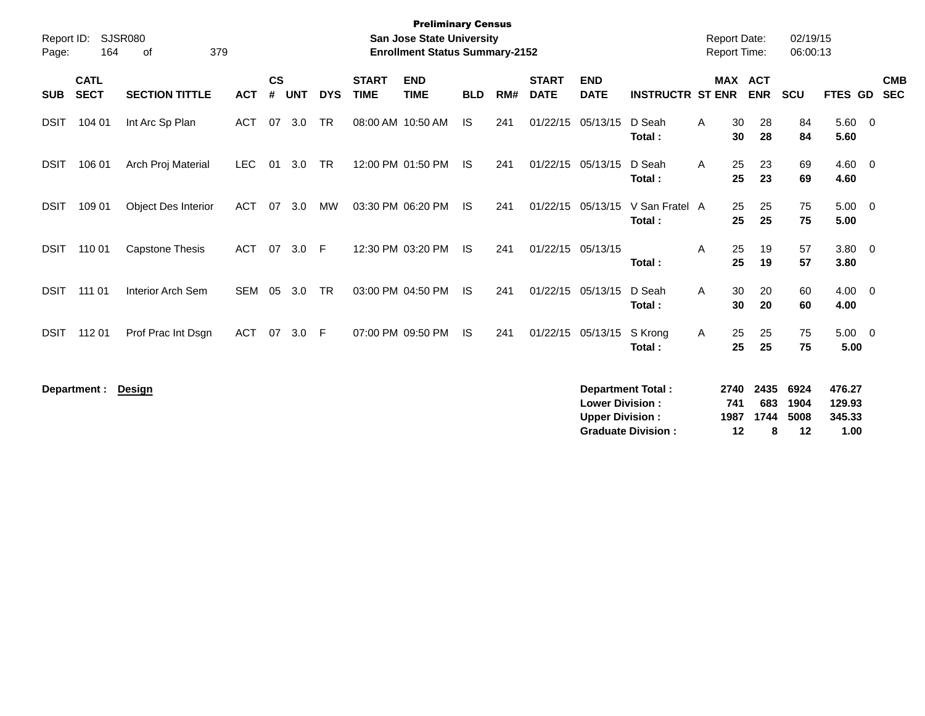| Report ID:<br>Page: | 164                        | SJSR080<br>379<br>οf       |            |                    |            |            |                             | <b>Preliminary Census</b><br><b>San Jose State University</b><br><b>Enrollment Status Summary-2152</b> |            |     |                             |                                                                              |                          |   | <b>Report Date:</b><br><b>Report Time:</b> |                          | 02/19/15<br>06:00:13 |                            |                          |
|---------------------|----------------------------|----------------------------|------------|--------------------|------------|------------|-----------------------------|--------------------------------------------------------------------------------------------------------|------------|-----|-----------------------------|------------------------------------------------------------------------------|--------------------------|---|--------------------------------------------|--------------------------|----------------------|----------------------------|--------------------------|
| <b>SUB</b>          | <b>CATL</b><br><b>SECT</b> | <b>SECTION TITTLE</b>      | <b>ACT</b> | $\mathsf{cs}$<br># | <b>UNT</b> | <b>DYS</b> | <b>START</b><br><b>TIME</b> | <b>END</b><br><b>TIME</b>                                                                              | <b>BLD</b> | RM# | <b>START</b><br><b>DATE</b> | <b>END</b><br><b>DATE</b>                                                    | <b>INSTRUCTR ST ENR</b>  |   | <b>MAX</b>                                 | <b>ACT</b><br><b>ENR</b> | <b>SCU</b>           | <b>FTES GD</b>             | <b>CMB</b><br><b>SEC</b> |
| <b>DSIT</b>         | 104 01                     | Int Arc Sp Plan            | ACT        | 07                 | 3.0        | <b>TR</b>  |                             | 08:00 AM 10:50 AM                                                                                      | <b>IS</b>  | 241 | 01/22/15                    | 05/13/15                                                                     | D Seah<br>Total:         | A | 30<br>30                                   | 28<br>28                 | 84<br>84             | $5.60 \quad 0$<br>5.60     |                          |
| <b>DSIT</b>         | 106 01                     | Arch Proj Material         | <b>LEC</b> | 01                 | 3.0        | <b>TR</b>  |                             | 12:00 PM 01:50 PM                                                                                      | <b>IS</b>  | 241 | 01/22/15 05/13/15           |                                                                              | D Seah<br>Total:         | Α | 25<br>25                                   | 23<br>23                 | 69<br>69             | $4.60 \ 0$<br>4.60         |                          |
| <b>DSIT</b>         | 109 01                     | <b>Object Des Interior</b> | ACT        | 07                 | 3.0        | MW         |                             | 03:30 PM 06:20 PM                                                                                      | - IS       | 241 | 01/22/15                    | 05/13/15                                                                     | V San Fratel A<br>Total: |   | 25<br>25                                   | 25<br>25                 | 75<br>75             | $5.00 \t 0$<br>5.00        |                          |
| <b>DSIT</b>         | 110 01                     | <b>Capstone Thesis</b>     | <b>ACT</b> | 07                 | 3.0        | -F         |                             | 12:30 PM 03:20 PM                                                                                      | <b>IS</b>  | 241 | 01/22/15 05/13/15           |                                                                              | Total:                   | A | 25<br>25                                   | 19<br>19                 | 57<br>57             | $3.80\ 0$<br>3.80          |                          |
| <b>DSIT</b>         | 111 01                     | Interior Arch Sem          | <b>SEM</b> | 05                 | 3.0        | <b>TR</b>  |                             | 03:00 PM 04:50 PM                                                                                      | - IS       | 241 | 01/22/15 05/13/15           |                                                                              | D Seah<br>Total:         | A | 30<br>30                                   | 20<br>20                 | 60<br>60             | $4.00 \ 0$<br>4.00         |                          |
| <b>DSIT</b>         | 112 01                     | Prof Prac Int Dsgn         | <b>ACT</b> | 07                 | 3.0        | E          |                             | 07:00 PM 09:50 PM                                                                                      | IS.        | 241 | 01/22/15                    | 05/13/15                                                                     | S Krong<br>Total:        | A | 25<br>25                                   | 25<br>25                 | 75<br>75             | $5.00 \t 0$<br>5.00        |                          |
|                     | Department :               | <b>Design</b>              |            |                    |            |            |                             |                                                                                                        |            |     |                             | <b>Department Total:</b><br><b>Lower Division:</b><br><b>Upper Division:</b> |                          |   | 2740<br>741<br>1987                        | 2435<br>683<br>1744      | 6924<br>1904<br>5008 | 476.27<br>129.93<br>345.33 |                          |

**Graduate Division : 12 8 12 1.00**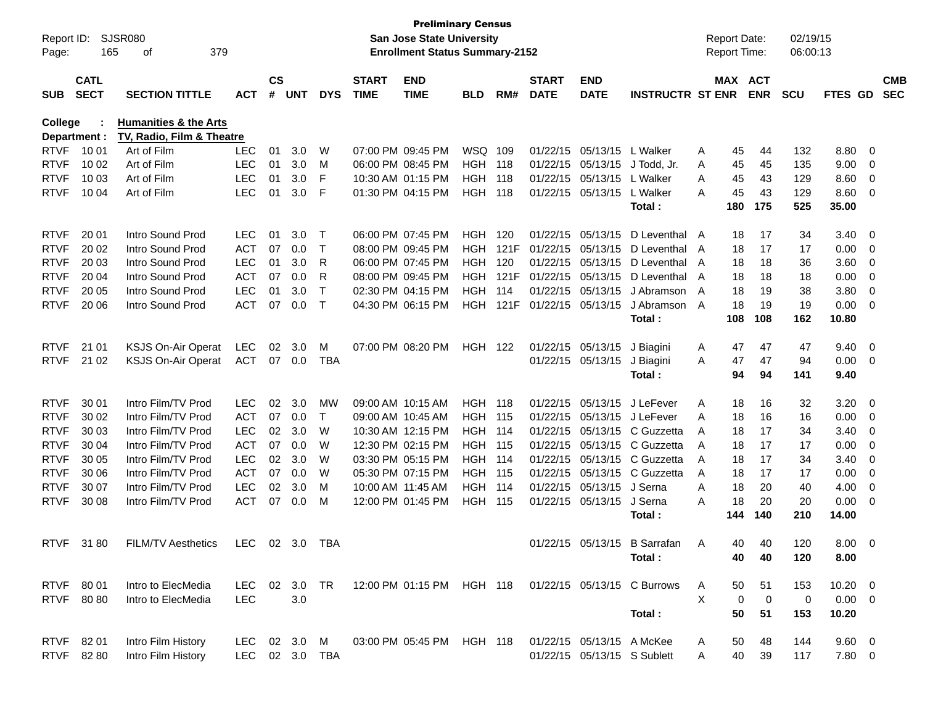| Report ID:<br>Page: | 165          | SJSR080<br>379<br>оf             |            |           |            |            |              | <b>Preliminary Census</b><br>San Jose State University<br><b>Enrollment Status Summary-2152</b> |                |      |              |                             |                                                       |    | <b>Report Date:</b><br>Report Time: |             | 02/19/15<br>06:00:13 |                |                         |            |
|---------------------|--------------|----------------------------------|------------|-----------|------------|------------|--------------|-------------------------------------------------------------------------------------------------|----------------|------|--------------|-----------------------------|-------------------------------------------------------|----|-------------------------------------|-------------|----------------------|----------------|-------------------------|------------|
|                     | <b>CATL</b>  |                                  |            | <b>CS</b> |            |            | <b>START</b> | <b>END</b>                                                                                      |                |      | <b>START</b> | <b>END</b>                  |                                                       |    | MAX ACT                             |             |                      |                |                         | <b>CMB</b> |
| <b>SUB</b>          | <b>SECT</b>  | <b>SECTION TITTLE</b>            | <b>ACT</b> | #         | <b>UNT</b> | <b>DYS</b> | <b>TIME</b>  | <b>TIME</b>                                                                                     | <b>BLD</b>     | RM#  | <b>DATE</b>  | <b>DATE</b>                 | <b>INSTRUCTR ST ENR</b>                               |    |                                     | <b>ENR</b>  | <b>SCU</b>           | <b>FTES GD</b> |                         | <b>SEC</b> |
| <b>College</b>      |              | <b>Humanities &amp; the Arts</b> |            |           |            |            |              |                                                                                                 |                |      |              |                             |                                                       |    |                                     |             |                      |                |                         |            |
|                     | Department : | TV, Radio, Film & Theatre        |            |           |            |            |              |                                                                                                 |                |      |              |                             |                                                       |    |                                     |             |                      |                |                         |            |
| <b>RTVF</b>         | 10 01        | Art of Film                      | <b>LEC</b> | 01        | 3.0        | W          |              | 07:00 PM 09:45 PM                                                                               | WSQ 109        |      |              | 01/22/15 05/13/15           | L Walker                                              | A  | 45                                  | 44          | 132                  | 8.80           | $\overline{0}$          |            |
| <b>RTVF</b>         | 10 02        | Art of Film                      | <b>LEC</b> | 01        | 3.0        | м          |              | 06:00 PM 08:45 PM                                                                               | <b>HGH 118</b> |      |              | 01/22/15 05/13/15           | J Todd, Jr.                                           | A  | 45                                  | 45          | 135                  | 9.00           | 0                       |            |
| <b>RTVF</b>         | 10 03        | Art of Film                      | <b>LEC</b> | 01        | 3.0        | F          |              | 10:30 AM 01:15 PM                                                                               | HGH            | 118  |              | 01/22/15 05/13/15           | L Walker                                              | A  | 45                                  | 43          | 129                  | 8.60           | $\mathbf 0$             |            |
| <b>RTVF</b>         | 10 04        | Art of Film                      | <b>LEC</b> | 01        | 3.0        | F          |              | 01:30 PM 04:15 PM                                                                               | HGH            | 118  |              | 01/22/15 05/13/15           | L Walker                                              | А  | 45                                  | 43          | 129                  | 8.60           | $\overline{0}$          |            |
|                     |              |                                  |            |           |            |            |              |                                                                                                 |                |      |              |                             | Total:                                                |    | 180                                 | 175         | 525                  | 35.00          |                         |            |
| <b>RTVF</b>         | 20 01        | Intro Sound Prod                 | <b>LEC</b> | 01        | 3.0        | Т          |              | 06:00 PM 07:45 PM                                                                               | HGH.           | 120  |              | 01/22/15 05/13/15           | D Leventhal A                                         |    | 18                                  | 17          | 34                   | 3.40           | - 0                     |            |
| <b>RTVF</b>         | 20 02        | Intro Sound Prod                 | ACT        | 07        | 0.0        | Т          |              | 08:00 PM 09:45 PM                                                                               | HGH.           | 121F |              | 01/22/15 05/13/15           | D Leventhal A                                         |    | 18                                  | 17          | 17                   | 0.00           | $\overline{0}$          |            |
| <b>RTVF</b>         | 20 03        | Intro Sound Prod                 | <b>LEC</b> | 01        | 3.0        | R          |              | 06:00 PM 07:45 PM                                                                               | HGH            | 120  |              | 01/22/15 05/13/15           | D Leventhal A                                         |    | 18                                  | 18          | 36                   | 3.60           | 0                       |            |
| <b>RTVF</b>         | 20 04        | Intro Sound Prod                 | <b>ACT</b> | 07        | 0.0        | R          |              | 08:00 PM 09:45 PM                                                                               | HGH.           | 121F |              | 01/22/15 05/13/15           | D Leventhal A                                         |    | 18                                  | 18          | 18                   | 0.00           | 0                       |            |
| <b>RTVF</b>         | 20 05        | Intro Sound Prod                 | <b>LEC</b> | 01        | 3.0        | Т          |              | 02:30 PM 04:15 PM                                                                               | HGH            | 114  |              | 01/22/15 05/13/15           | J Abramson                                            | A  | 18                                  | 19          | 38                   | 3.80           | 0                       |            |
| <b>RTVF</b>         | 20 06        | Intro Sound Prod                 | <b>ACT</b> | 07        | 0.0        | Т          |              | 04:30 PM 06:15 PM                                                                               | HGH            | 121F |              | 01/22/15 05/13/15           | J Abramson                                            | A  | 18                                  | 19          | 19                   | 0.00           | 0                       |            |
|                     |              |                                  |            |           |            |            |              |                                                                                                 |                |      |              |                             | Total:                                                |    | 108                                 | 108         | 162                  | 10.80          |                         |            |
| <b>RTVF</b>         | 21 01        | <b>KSJS On-Air Operat</b>        | <b>LEC</b> | 02        | 3.0        | M          |              | 07:00 PM 08:20 PM                                                                               | <b>HGH 122</b> |      |              | 01/22/15 05/13/15           | J Biagini                                             | A  | 47                                  | 47          | 47                   | 9.40           | $\overline{\mathbf{0}}$ |            |
| <b>RTVF</b>         | 21 02        | <b>KSJS On-Air Operat</b>        | <b>ACT</b> | 07        | 0.0        | TBA        |              |                                                                                                 |                |      |              | 01/22/15 05/13/15           | J Biagini                                             | A  | 47                                  | 47          | 94                   | 0.00           | $\overline{\mathbf{0}}$ |            |
|                     |              |                                  |            |           |            |            |              |                                                                                                 |                |      |              |                             | Total:                                                |    | 94                                  | 94          | 141                  | 9.40           |                         |            |
| <b>RTVF</b>         | 30 01        | Intro Film/TV Prod               | <b>LEC</b> | 02        | 3.0        | MW         |              | 09:00 AM 10:15 AM                                                                               | <b>HGH 118</b> |      |              | 01/22/15 05/13/15           | J LeFever                                             | A  | 18                                  | 16          | 32                   | 3.20           | $\overline{\mathbf{0}}$ |            |
| <b>RTVF</b>         | 30 02        | Intro Film/TV Prod               | <b>ACT</b> | 07        | 0.0        | Т          |              | 09:00 AM 10:45 AM                                                                               | <b>HGH 115</b> |      |              | 01/22/15 05/13/15           | J LeFever                                             | A  | 18                                  | 16          | 16                   | 0.00           | $\overline{0}$          |            |
| <b>RTVF</b>         | 30 03        | Intro Film/TV Prod               | <b>LEC</b> | 02        | 3.0        | W          |              | 10:30 AM 12:15 PM                                                                               | <b>HGH 114</b> |      |              | 01/22/15 05/13/15           | C Guzzetta                                            | A  | 18                                  | 17          | 34                   | 3.40           | 0                       |            |
| <b>RTVF</b>         | 30 04        | Intro Film/TV Prod               | <b>ACT</b> | 07        | 0.0        | W          |              | 12:30 PM 02:15 PM                                                                               | <b>HGH 115</b> |      |              |                             | 01/22/15 05/13/15 C Guzzetta                          | A  | 18                                  | 17          | 17                   | 0.00           | 0                       |            |
| <b>RTVF</b>         | 30 05        | Intro Film/TV Prod               | <b>LEC</b> | 02        | 3.0        | W          |              | 03:30 PM 05:15 PM                                                                               | <b>HGH 114</b> |      |              |                             | 01/22/15 05/13/15 C Guzzetta                          | A  | 18                                  | 17          | 34                   | 3.40           | 0                       |            |
| <b>RTVF</b>         | 30 06        | Intro Film/TV Prod               | <b>ACT</b> | 07        | 0.0        | W          |              | 05:30 PM 07:15 PM                                                                               | <b>HGH 115</b> |      |              | 01/22/15 05/13/15           | C Guzzetta                                            | A  | 18                                  | 17          | 17                   | 0.00           | 0                       |            |
| <b>RTVF</b>         | 30 07        | Intro Film/TV Prod               | <b>LEC</b> | 02        | 3.0        | M          |              | 10:00 AM 11:45 AM                                                                               | HGH            | 114  |              | 01/22/15 05/13/15           | J Serna                                               | A  | 18                                  | 20          | 40                   | 4.00           | 0                       |            |
| <b>RTVF</b>         | 30 08        | Intro Film/TV Prod               | <b>ACT</b> | 07        | 0.0        | M          |              | 12:00 PM 01:45 PM                                                                               | HGH            | 115  |              | 01/22/15 05/13/15           | J Serna                                               | Α  | 18                                  | 20          | 20                   | 0.00           | $\overline{0}$          |            |
|                     |              |                                  |            |           |            |            |              |                                                                                                 |                |      |              |                             | Total:                                                |    | 144                                 | 140         | 210                  | 14.00          |                         |            |
| <b>RTVF</b>         | 3180         | <b>FILM/TV Aesthetics</b>        | LEC 02 3.0 |           |            | <b>TBA</b> |              |                                                                                                 |                |      |              |                             | 01/22/15 05/13/15 B Sarrafan                          | A. | 40.                                 | 40.         | 120                  | 8.00 0         |                         |            |
|                     |              |                                  |            |           |            |            |              |                                                                                                 |                |      |              |                             | Total:                                                |    | 40                                  | 40          | 120                  | 8.00           |                         |            |
|                     |              |                                  |            |           |            |            |              |                                                                                                 |                |      |              |                             |                                                       |    |                                     |             |                      |                |                         |            |
|                     | RTVF 80 01   | Intro to ElecMedia               | LEC.       |           | 02 3.0 TR  |            |              |                                                                                                 |                |      |              |                             | 12:00 PM 01:15 PM HGH 118 01/22/15 05/13/15 C Burrows | A  | 50                                  | 51          | 153                  | $10.20 \t 0$   |                         |            |
|                     | RTVF 80 80   | Intro to ElecMedia               | <b>LEC</b> |           | 3.0        |            |              |                                                                                                 |                |      |              |                             |                                                       | X  | 0                                   | $\mathbf 0$ | 0                    | $0.00 \t 0$    |                         |            |
|                     |              |                                  |            |           |            |            |              |                                                                                                 |                |      |              |                             | Total:                                                |    | 50                                  | 51          | 153                  | 10.20          |                         |            |
|                     | RTVF 8201    | Intro Film History               | LEC        |           | 02 3.0 M   |            |              | 03:00 PM 05:45 PM                                                                               | HGH 118        |      |              | 01/22/15 05/13/15 A McKee   |                                                       | A  | 50                                  | 48          | 144                  | $9.60 \quad 0$ |                         |            |
|                     | RTVF 82 80   | Intro Film History               | <b>LEC</b> |           |            | 02 3.0 TBA |              |                                                                                                 |                |      |              | 01/22/15 05/13/15 S Sublett |                                                       | Α  | 40                                  | 39          | 117                  | $7.80\quad 0$  |                         |            |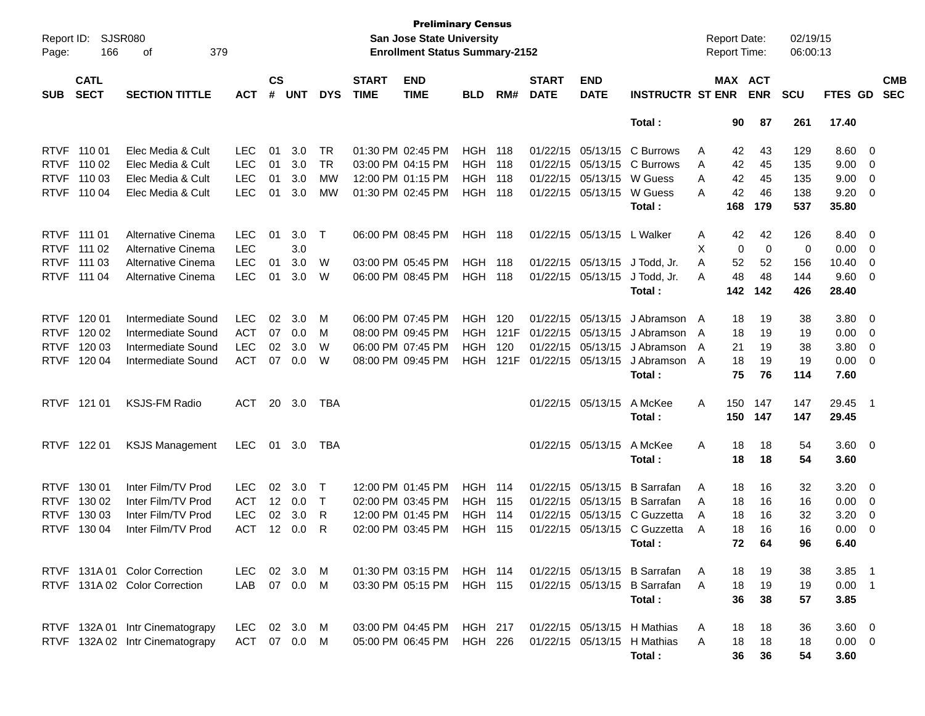| Page:       | <b>SJSR080</b><br>Report ID:<br>166<br>379<br>οf<br><b>CATL</b> |                                 |            |               |            |            |              | <b>Preliminary Census</b><br>San Jose State University<br><b>Enrollment Status Summary-2152</b> |                |      |                   |                   |                              |   | <b>Report Date:</b><br><b>Report Time:</b> |             | 02/19/15<br>06:00:13 |             |                          |            |
|-------------|-----------------------------------------------------------------|---------------------------------|------------|---------------|------------|------------|--------------|-------------------------------------------------------------------------------------------------|----------------|------|-------------------|-------------------|------------------------------|---|--------------------------------------------|-------------|----------------------|-------------|--------------------------|------------|
|             | <b>SECT</b><br><b>SECTION TITTLE</b>                            |                                 |            | $\mathsf{cs}$ |            |            | <b>START</b> | <b>END</b>                                                                                      |                |      | <b>START</b>      | <b>END</b>        |                              |   | MAX ACT                                    |             |                      |             |                          | <b>CMB</b> |
| <b>SUB</b>  |                                                                 |                                 | <b>ACT</b> | #             | <b>UNT</b> | <b>DYS</b> | <b>TIME</b>  | <b>TIME</b>                                                                                     | <b>BLD</b>     | RM#  | <b>DATE</b>       | <b>DATE</b>       | <b>INSTRUCTR ST ENR</b>      |   |                                            | <b>ENR</b>  | <b>SCU</b>           | FTES GD     |                          | <b>SEC</b> |
|             |                                                                 |                                 |            |               |            |            |              |                                                                                                 |                |      |                   |                   | Total:                       |   | 90                                         | 87          | 261                  | 17.40       |                          |            |
| <b>RTVF</b> | 110 01                                                          | Elec Media & Cult               | <b>LEC</b> | 01            | 3.0        | TR         |              | 01:30 PM 02:45 PM                                                                               | HGH            | 118  |                   | 01/22/15 05/13/15 | C Burrows                    | A | 42                                         | 43          | 129                  | 8.60        | $\overline{\phantom{0}}$ |            |
| <b>RTVF</b> | 110 02                                                          | Elec Media & Cult               | <b>LEC</b> | 01            | 3.0        | <b>TR</b>  |              | 03:00 PM 04:15 PM                                                                               | HGH            | 118  |                   | 01/22/15 05/13/15 | C Burrows                    | Α | 42                                         | 45          | 135                  | 9.00        | 0                        |            |
| <b>RTVF</b> | 110 03                                                          | Elec Media & Cult               | <b>LEC</b> | 01            | 3.0        | MW         |              | 12:00 PM 01:15 PM                                                                               | HGH            | 118  |                   | 01/22/15 05/13/15 | W Guess                      | A | 42                                         | 45          | 135                  | 9.00        | 0                        |            |
| <b>RTVF</b> | 110 04                                                          | Elec Media & Cult               | <b>LEC</b> | 01            | 3.0        | MW         |              | 01:30 PM 02:45 PM                                                                               | HGH            | 118  |                   | 01/22/15 05/13/15 | W Guess                      | A | 42                                         | 46          | 138                  | 9.20        | 0                        |            |
|             |                                                                 |                                 |            |               |            |            |              |                                                                                                 |                |      |                   |                   | Total:                       |   | 168                                        | 179         | 537                  | 35.80       |                          |            |
| <b>RTVF</b> | 111 01                                                          | Alternative Cinema              | <b>LEC</b> | 01            | 3.0        | Τ          |              | 06:00 PM 08:45 PM                                                                               | <b>HGH</b>     | 118  |                   | 01/22/15 05/13/15 | L Walker                     | A | 42                                         | 42          | 126                  | 8.40        | $\overline{\phantom{0}}$ |            |
| <b>RTVF</b> | 111 02                                                          | Alternative Cinema              | <b>LEC</b> |               | 3.0        |            |              |                                                                                                 |                |      |                   |                   |                              | х | 0                                          | $\mathbf 0$ | 0                    | 0.00        | $\overline{\mathbf{0}}$  |            |
| <b>RTVF</b> | 111 03                                                          | Alternative Cinema              | <b>LEC</b> | 01            | 3.0        | W          |              | 03:00 PM 05:45 PM                                                                               | HGH            | 118  |                   | 01/22/15 05/13/15 | J Todd, Jr.                  | A | 52                                         | 52          | 156                  | 10.40       | 0                        |            |
| <b>RTVF</b> | 111 04                                                          | Alternative Cinema              | <b>LEC</b> | 01            | 3.0        | W          |              | 06:00 PM 08:45 PM                                                                               | HGH            | 118  |                   | 01/22/15 05/13/15 | J Todd, Jr.                  | A | 48                                         | 48          | 144                  | 9.60        | 0                        |            |
|             |                                                                 |                                 |            |               |            |            |              |                                                                                                 |                |      |                   |                   | Total:                       |   | 142                                        | 142         | 426                  | 28.40       |                          |            |
| <b>RTVF</b> | 120 01                                                          | Intermediate Sound              | <b>LEC</b> | 02            | 3.0        | M          |              | 06:00 PM 07:45 PM                                                                               | HGH            | 120  | 01/22/15          | 05/13/15          | J Abramson A                 |   | 18                                         | 19          | 38                   | 3.80        | $\overline{\mathbf{0}}$  |            |
| <b>RTVF</b> | 120 02                                                          | Intermediate Sound              | <b>ACT</b> | 07            | 0.0        | M          |              | 08:00 PM 09:45 PM                                                                               | HGH            | 121F | 01/22/15          | 05/13/15          | J Abramson                   | A | 18                                         | 19          | 19                   | 0.00        | $\overline{\mathbf{0}}$  |            |
| <b>RTVF</b> | 120 03                                                          | Intermediate Sound              | <b>LEC</b> | 02            | 3.0        | W          |              | 06:00 PM 07:45 PM                                                                               | HGH            | 120  |                   | 01/22/15 05/13/15 | J Abramson                   | A | 21                                         | 19          | 38                   | 3.80        | 0                        |            |
| <b>RTVF</b> | 120 04                                                          | Intermediate Sound              | <b>ACT</b> | 07            | 0.0        | W          |              | 08:00 PM 09:45 PM                                                                               | HGH            | 121F | 01/22/15 05/13/15 |                   | J Abramson                   | A | 18                                         | 19          | 19                   | 0.00        | $\overline{\mathbf{0}}$  |            |
|             |                                                                 |                                 |            |               |            |            |              |                                                                                                 |                |      |                   |                   | Total:                       |   | 75                                         | 76          | 114                  | 7.60        |                          |            |
|             |                                                                 |                                 |            |               |            |            |              |                                                                                                 |                |      |                   |                   |                              |   |                                            |             |                      |             |                          |            |
|             | RTVF 121 01                                                     | <b>KSJS-FM Radio</b>            | ACT        | 20            | 3.0        | TBA        |              |                                                                                                 |                |      |                   | 01/22/15 05/13/15 | A McKee                      | Α | 150                                        | 147         | 147                  | 29.45       | - 1                      |            |
|             |                                                                 |                                 |            |               |            |            |              |                                                                                                 |                |      |                   |                   | Total:                       |   | 150                                        | 147         | 147                  | 29.45       |                          |            |
| <b>RTVF</b> | 122 01                                                          | <b>KSJS Management</b>          | <b>LEC</b> | 01            | 3.0        | TBA        |              |                                                                                                 |                |      |                   | 01/22/15 05/13/15 | A McKee                      | Α | 18                                         | 18          | 54                   | $3.60 \ 0$  |                          |            |
|             |                                                                 |                                 |            |               |            |            |              |                                                                                                 |                |      |                   |                   | Total:                       |   | 18                                         | 18          | 54                   | 3.60        |                          |            |
| <b>RTVF</b> | 130 01                                                          | Inter Film/TV Prod              | <b>LEC</b> | 02            | 3.0        | Т          |              | 12:00 PM 01:45 PM                                                                               | <b>HGH</b>     | 114  |                   | 01/22/15 05/13/15 | <b>B</b> Sarrafan            | A | 18                                         | 16          | 32                   | 3.20        | $\overline{\phantom{0}}$ |            |
| <b>RTVF</b> | 130 02                                                          | Inter Film/TV Prod              | <b>ACT</b> | 12            | 0.0        | Τ          |              | 02:00 PM 03:45 PM                                                                               | HGH            | 115  | 01/22/15          | 05/13/15          | <b>B</b> Sarrafan            | A | 18                                         | 16          | 16                   | 0.00        | 0                        |            |
| <b>RTVF</b> | 130 03                                                          | Inter Film/TV Prod              | <b>LEC</b> | 02            | 3.0        | R          |              | 12:00 PM 01:45 PM                                                                               | HGH            | 114  | 01/22/15          | 05/13/15          | C Guzzetta                   | A | 18                                         | 16          | 32                   | 3.20        | $\mathbf 0$              |            |
| <b>RTVF</b> | 130 04                                                          | Inter Film/TV Prod              | ACT        | $12 \,$       | 0.0        | R          |              | 02:00 PM 03:45 PM                                                                               | HGH            | 115  |                   | 01/22/15 05/13/15 | C Guzzetta                   | A | 18                                         | 16          | 16                   | 0.00        | 0                        |            |
|             |                                                                 |                                 |            |               |            |            |              |                                                                                                 |                |      |                   |                   | Total:                       |   | 72                                         | 64          | 96                   | 6.40        |                          |            |
|             |                                                                 | RTVF 131A 01 Color Correction   | LEC.       |               | 02 3.0     | M          |              | 01:30 PM 03:15 PM                                                                               | <b>HGH 114</b> |      |                   |                   | 01/22/15 05/13/15 B Sarrafan | A | 18                                         | 19          | 38                   | $3.85$ 1    |                          |            |
|             |                                                                 | RTVF 131A 02 Color Correction   | LAB        |               | 07  0.0    | M          |              | 03:30 PM 05:15 PM                                                                               | <b>HGH 115</b> |      |                   | 01/22/15 05/13/15 | <b>B</b> Sarrafan            | A | 18                                         | 19          | 19                   | $0.00$ 1    |                          |            |
|             |                                                                 |                                 |            |               |            |            |              |                                                                                                 |                |      |                   |                   | Total:                       |   | 36                                         | 38          | 57                   | 3.85        |                          |            |
|             |                                                                 |                                 |            |               |            |            |              |                                                                                                 |                |      |                   |                   |                              |   |                                            |             |                      |             |                          |            |
|             |                                                                 | RTVF 132A 01 Intr Cinematograpy | <b>LEC</b> |               | 02 3.0     | M          |              | 03:00 PM 04:45 PM                                                                               | HGH 217        |      |                   | 01/22/15 05/13/15 | H Mathias                    | A | 18                                         | 18          | 36                   | $3.60 \ 0$  |                          |            |
|             |                                                                 | RTVF 132A 02 Intr Cinematograpy | ACT 07 0.0 |               |            | M          |              | 05:00 PM 06:45 PM                                                                               | HGH 226        |      |                   | 01/22/15 05/13/15 | H Mathias                    | A | 18                                         | 18          | 18                   | $0.00 \t 0$ |                          |            |
|             |                                                                 |                                 |            |               |            |            |              |                                                                                                 |                |      |                   |                   | Total:                       |   | 36                                         | 36          | 54                   | 3.60        |                          |            |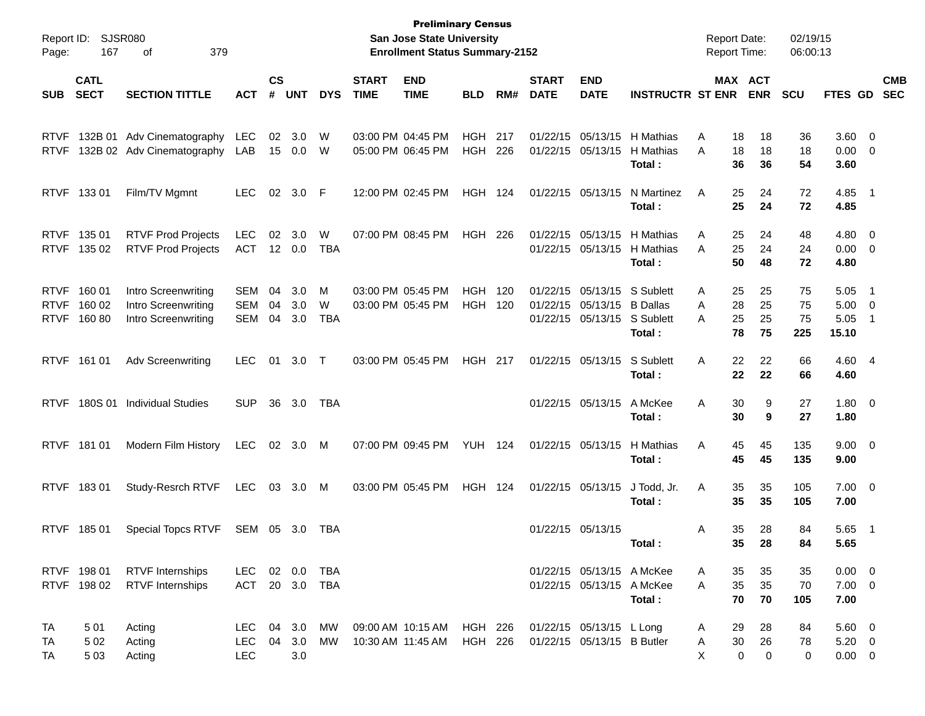| Report ID:<br>Page:                       | 167                        | <b>SJSR080</b><br>379<br>οf                                       |                                        |                    |                   |                   |                             | <b>Preliminary Census</b><br>San Jose State University<br><b>Enrollment Status Summary-2152</b> |                           |            |                             |                                                                       |                                        | <b>Report Date:</b><br><b>Report Time:</b> |                                              | 02/19/15<br>06:00:13  |                                           |                                                    |                          |
|-------------------------------------------|----------------------------|-------------------------------------------------------------------|----------------------------------------|--------------------|-------------------|-------------------|-----------------------------|-------------------------------------------------------------------------------------------------|---------------------------|------------|-----------------------------|-----------------------------------------------------------------------|----------------------------------------|--------------------------------------------|----------------------------------------------|-----------------------|-------------------------------------------|----------------------------------------------------|--------------------------|
| <b>SUB</b>                                | <b>CATL</b><br><b>SECT</b> | <b>SECTION TITTLE</b>                                             | <b>ACT</b>                             | $\mathsf{cs}$<br># | <b>UNT</b>        | <b>DYS</b>        | <b>START</b><br><b>TIME</b> | <b>END</b><br><b>TIME</b>                                                                       | <b>BLD</b>                | RM#        | <b>START</b><br><b>DATE</b> | <b>END</b><br><b>DATE</b>                                             | <b>INSTRUCTR ST ENR</b>                |                                            | MAX ACT<br><b>ENR</b>                        | <b>SCU</b>            | <b>FTES GD</b>                            |                                                    | <b>CMB</b><br><b>SEC</b> |
|                                           |                            |                                                                   |                                        |                    |                   |                   |                             | 03:00 PM 04:45 PM                                                                               |                           |            |                             | 01/22/15 05/13/15                                                     |                                        |                                            |                                              |                       |                                           |                                                    |                          |
| <b>RTVF</b><br><b>RTVF</b>                |                            | 132B 01 Adv Cinematography<br>132B 02 Adv Cinematography          | LEC<br>LAB                             | 02<br>15           | 3.0<br>0.0        | W<br>W            |                             | 05:00 PM 06:45 PM                                                                               | <b>HGH</b><br><b>HGH</b>  | 217<br>226 |                             | 01/22/15 05/13/15                                                     | H Mathias<br>H Mathias<br>Total:       | Α<br>Α                                     | 18<br>18<br>18<br>18<br>36<br>36             | 36<br>18<br>54        | 3.60<br>0.00<br>3.60                      | $\overline{\mathbf{0}}$<br>$\overline{\mathbf{0}}$ |                          |
| <b>RTVF</b>                               | 13301                      | Film/TV Mgmnt                                                     | <b>LEC</b>                             | $02\,$             | 3.0               | -F                |                             | 12:00 PM 02:45 PM                                                                               | HGH                       | - 124      |                             | 01/22/15 05/13/15                                                     | N Martinez                             | Α                                          | 25<br>24                                     | 72                    | 4.85                                      | - 1                                                |                          |
|                                           |                            |                                                                   |                                        |                    |                   |                   |                             |                                                                                                 |                           |            |                             |                                                                       | Total:                                 |                                            | 25<br>24                                     | 72                    | 4.85                                      |                                                    |                          |
| <b>RTVF</b><br><b>RTVF</b>                | 135 01<br>135 02           | <b>RTVF Prod Projects</b><br><b>RTVF Prod Projects</b>            | <b>LEC</b><br><b>ACT</b>               | 02                 | 3.0<br>12 0.0     | W<br>TBA          |                             | 07:00 PM 08:45 PM                                                                               | HGH                       | 226        |                             | 01/22/15 05/13/15<br>01/22/15 05/13/15                                | H Mathias<br>H Mathias<br>Total:       | Α<br>A                                     | 24<br>25<br>25<br>24<br>50<br>48             | 48<br>24<br>72        | 4.80<br>0.00<br>4.80                      | $\overline{0}$<br>$\overline{\mathbf{0}}$          |                          |
| <b>RTVF</b><br><b>RTVF</b><br><b>RTVF</b> | 160 01<br>160 02<br>16080  | Intro Screenwriting<br>Intro Screenwriting<br>Intro Screenwriting | <b>SEM</b><br>SEM<br>SEM               | 04<br>04<br>04     | 3.0<br>3.0<br>3.0 | M<br>W<br>TBA     |                             | 03:00 PM 05:45 PM<br>03:00 PM 05:45 PM                                                          | <b>HGH</b><br><b>HGH</b>  | 120<br>120 |                             | 01/22/15 05/13/15<br>01/22/15 05/13/15<br>01/22/15 05/13/15 S Sublett | S Sublett<br><b>B</b> Dallas<br>Total: | Α<br>Α<br>Α                                | 25<br>25<br>28<br>25<br>25<br>25<br>78<br>75 | 75<br>75<br>75<br>225 | 5.05<br>5.00<br>5.05<br>15.10             | -1<br>$\overline{0}$<br>-1                         |                          |
| <b>RTVF</b>                               | 161 01                     | <b>Adv Screenwriting</b>                                          | <b>LEC</b>                             | 01                 | 3.0               | $\top$            |                             | 03:00 PM 05:45 PM                                                                               | <b>HGH 217</b>            |            |                             | 01/22/15 05/13/15                                                     | S Sublett<br>Total:                    | Α                                          | 22<br>22<br>22<br>22                         | 66<br>66              | 4.60 4<br>4.60                            |                                                    |                          |
| <b>RTVF</b>                               | 180S 01                    | <b>Individual Studies</b>                                         | <b>SUP</b>                             | 36                 | 3.0               | TBA               |                             |                                                                                                 |                           |            |                             | 01/22/15 05/13/15                                                     | A McKee<br>Total:                      | Α                                          | 30<br>9<br>30<br>9                           | 27<br>27              | 1.80<br>1.80                              | $\overline{\mathbf{0}}$                            |                          |
| <b>RTVF</b>                               | 18101                      | Modern Film History                                               | <b>LEC</b>                             | 02 <sub>o</sub>    | 3.0               | M                 |                             | 07:00 PM 09:45 PM                                                                               | <b>YUH 124</b>            |            |                             | 01/22/15 05/13/15                                                     | H Mathias<br>Total:                    | Α                                          | 45<br>45<br>45<br>45                         | 135<br>135            | 9.00<br>9.00                              | $\overline{\mathbf{0}}$                            |                          |
| <b>RTVF</b>                               | 18301                      | Study-Resrch RTVF                                                 | <b>LEC</b>                             | 03                 | 3.0               | M                 |                             | 03:00 PM 05:45 PM                                                                               | <b>HGH 124</b>            |            |                             | 01/22/15 05/13/15                                                     | J Todd, Jr.<br>Total:                  | A                                          | 35<br>35<br>35<br>35                         | 105<br>105            | 7.00<br>7.00                              | $\overline{\phantom{0}}$                           |                          |
| <b>RTVF</b>                               | 18501                      | <b>Special Topcs RTVF</b>                                         | SEM 05                                 |                    | 3.0               | TBA               |                             |                                                                                                 |                           |            |                             | 01/22/15 05/13/15                                                     | Total:                                 | Α                                          | 35<br>28<br>35<br>28                         | 84<br>84              | 5.65<br>5.65                              | - 1                                                |                          |
|                                           | RTVF 198 01<br>RTVF 198 02 | <b>RTVF</b> Internships<br><b>RTVF</b> Internships                | LEC.<br><b>ACT</b>                     | 20                 | 02 0.0<br>3.0     | TBA<br><b>TBA</b> |                             |                                                                                                 |                           |            |                             | 01/22/15 05/13/15 A McKee<br>01/22/15 05/13/15 A McKee                | Total:                                 | A<br>A                                     | 35<br>35<br>35<br>35<br>70<br>70             | 35<br>70<br>105       | $0.00 \t 0$<br>$7.00 \t 0$<br>7.00        |                                                    |                          |
| TA<br>ТA<br>TA                            | 501<br>5 0 2<br>503        | Acting<br>Acting<br>Acting                                        | <b>LEC</b><br><b>LEC</b><br><b>LEC</b> | 04<br>04           | 3.0<br>3.0<br>3.0 | MW<br>MW          |                             | 09:00 AM 10:15 AM<br>10:30 AM 11:45 AM                                                          | HGH 226<br><b>HGH 226</b> |            |                             | 01/22/15 05/13/15 L Long<br>01/22/15 05/13/15 B Butler                |                                        | A<br>A<br>X                                | 29<br>28<br>30<br>26<br>0<br>0               | 84<br>78<br>0         | $5.60 \t 0$<br>$5.20 \t 0$<br>$0.00 \t 0$ |                                                    |                          |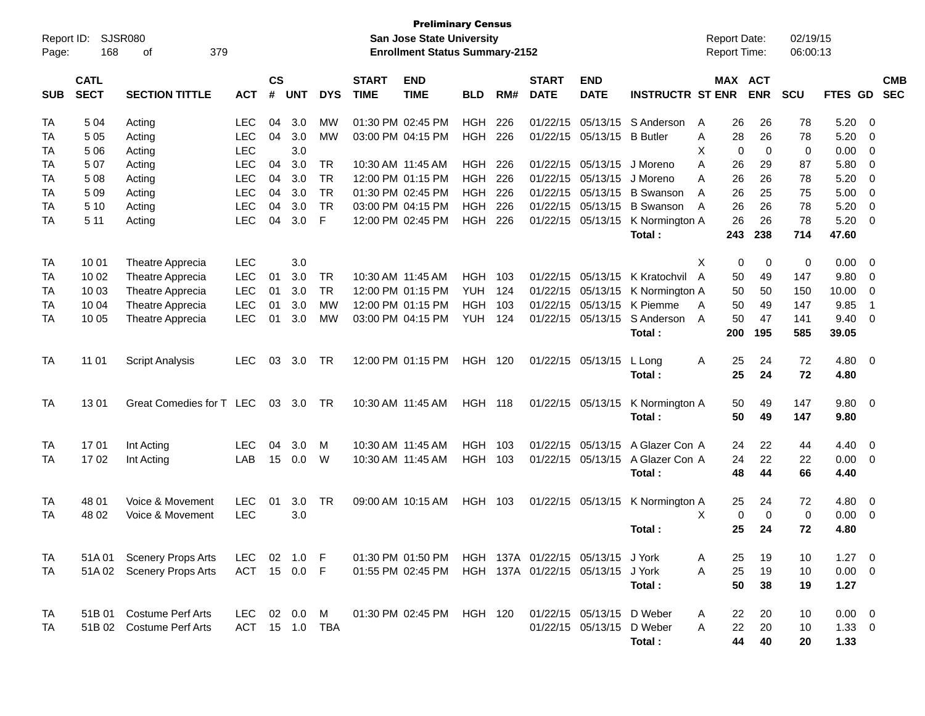| Report ID: |                            | <b>SJSR080</b>            |              |                |            |                |                             | <b>Preliminary Census</b><br><b>San Jose State University</b> |                |     |                             |                                   |                         | <b>Report Date:</b>  |                       | 02/19/15 |              |                          |
|------------|----------------------------|---------------------------|--------------|----------------|------------|----------------|-----------------------------|---------------------------------------------------------------|----------------|-----|-----------------------------|-----------------------------------|-------------------------|----------------------|-----------------------|----------|--------------|--------------------------|
| Page:      | 168                        | 379<br>0f                 |              |                |            |                |                             | <b>Enrollment Status Summary-2152</b>                         |                |     |                             |                                   |                         | Report Time:         |                       | 06:00:13 |              |                          |
| <b>SUB</b> | <b>CATL</b><br><b>SECT</b> | <b>SECTION TITTLE</b>     | <b>ACT</b>   | <b>CS</b><br># | <b>UNT</b> | <b>DYS</b>     | <b>START</b><br><b>TIME</b> | <b>END</b><br><b>TIME</b>                                     | <b>BLD</b>     | RM# | <b>START</b><br><b>DATE</b> | <b>END</b><br><b>DATE</b>         | <b>INSTRUCTR ST ENR</b> |                      | MAX ACT<br><b>ENR</b> | SCU      | FTES GD      | <b>CMB</b><br><b>SEC</b> |
| TA         | 5 0 4                      | Acting                    | <b>LEC</b>   | 04             | 3.0        | МW             |                             | 01:30 PM 02:45 PM                                             | <b>HGH</b>     | 226 | 01/22/15                    | 05/13/15                          | S Anderson              | 26<br>A              | 26                    | 78       | 5.20         | 0                        |
| TA         | 5 0 5                      | Acting                    | <b>LEC</b>   | 04             | 3.0        | МW             |                             | 03:00 PM 04:15 PM                                             | <b>HGH</b>     | 226 |                             | 01/22/15 05/13/15                 | <b>B</b> Butler         | 28<br>Α              | 26                    | 78       | 5.20         | 0                        |
| TA         | 5 0 6                      | Acting                    | <b>LEC</b>   |                | 3.0        |                |                             |                                                               |                |     |                             |                                   |                         | Χ                    | $\mathbf 0$<br>0      | 0        | 0.00         | 0                        |
| TA         | 507                        | Acting                    | <b>LEC</b>   | 04             | 3.0        | <b>TR</b>      |                             | 10:30 AM 11:45 AM                                             | <b>HGH</b>     | 226 | 01/22/15                    | 05/13/15                          | J Moreno                | A<br>26              | 29                    | 87       | 5.80         | 0                        |
| TA         | 508                        | Acting                    | <b>LEC</b>   | 04             | 3.0        | <b>TR</b>      |                             | 12:00 PM 01:15 PM                                             | <b>HGH</b>     | 226 |                             | 01/22/15 05/13/15                 | J Moreno                | A<br>26              | 26                    | 78       | 5.20         | 0                        |
| TA         | 5 0 9                      | Acting                    | <b>LEC</b>   | 04             | 3.0        | <b>TR</b>      |                             | 01:30 PM 02:45 PM                                             | <b>HGH</b>     | 226 | 01/22/15                    | 05/13/15                          | <b>B</b> Swanson        | 26<br>A              | 25                    | 75       | 5.00         | $\mathbf 0$              |
| TA         | 5 10                       | Acting                    | <b>LEC</b>   | 04             | 3.0        | <b>TR</b>      |                             | 03:00 PM 04:15 PM                                             | <b>HGH</b>     | 226 |                             | 01/22/15 05/13/15                 | <b>B</b> Swanson        | 26<br>A              | 26                    | 78       | 5.20         | $\mathbf 0$              |
| TA         | 5 1 1                      | Acting                    | <b>LEC</b>   | 04             | 3.0        | F              |                             | 12:00 PM 02:45 PM                                             | <b>HGH</b>     | 226 |                             | 01/22/15 05/13/15                 | K Normington A          | 26                   | 26                    | 78       | 5.20         | 0                        |
|            |                            |                           |              |                |            |                |                             |                                                               |                |     |                             |                                   | Total:                  | 243                  | 238                   | 714      | 47.60        |                          |
| TA         | 10 01                      | Theatre Apprecia          | <b>LEC</b>   |                | 3.0        |                |                             |                                                               |                |     |                             |                                   |                         | Χ                    | 0<br>0                | 0        | 0.00         | 0                        |
| TA         | 10 02                      | Theatre Apprecia          | LEC          | 01             | 3.0        | <b>TR</b>      |                             | 10:30 AM 11:45 AM                                             | <b>HGH</b>     | 103 |                             | 01/22/15 05/13/15                 | K Kratochvil            | $\overline{A}$<br>50 | 49                    | 147      | 9.80         | 0                        |
| TA         | 10 03                      | Theatre Apprecia          | LEC          | 01             | 3.0        | <b>TR</b>      |                             | 12:00 PM 01:15 PM                                             | YUH            | 124 |                             | 01/22/15 05/13/15                 | K Normington A          | 50                   | 50                    | 150      | 10.00        | 0                        |
| TA         | 10 04                      | Theatre Apprecia          | LEC          | 01             | 3.0        | МW             |                             | 12:00 PM 01:15 PM                                             | <b>HGH</b>     | 103 |                             | 01/22/15 05/13/15                 | K Piemme                | A<br>50              | 49                    | 147      | 9.85         | $\overline{1}$           |
| TA         | 10 05                      | Theatre Apprecia          | <b>LEC</b>   | 01             | 3.0        | MW             |                             | 03:00 PM 04:15 PM                                             | <b>YUH</b>     | 124 |                             | 01/22/15 05/13/15                 | S Anderson              | 50<br>A              | 47                    | 141      | 9.40         | 0                        |
|            |                            |                           |              |                |            |                |                             |                                                               |                |     |                             |                                   | Total:                  | 200                  | 195                   | 585      | 39.05        |                          |
|            |                            |                           |              |                |            |                |                             |                                                               |                |     |                             |                                   |                         |                      |                       |          |              |                          |
| TA         | 11 01                      | <b>Script Analysis</b>    | <b>LEC</b>   | 03             | 3.0        | TR             |                             | 12:00 PM 01:15 PM                                             | <b>HGH 120</b> |     |                             | 01/22/15 05/13/15                 | L Long<br>Total:        | 25<br>A<br>25        | 24<br>24              | 72<br>72 | 4.80<br>4.80 | $\overline{\mathbf{0}}$  |
|            |                            |                           |              |                |            |                |                             |                                                               |                |     |                             |                                   |                         |                      |                       |          |              |                          |
| TA         | 1301                       | Great Comedies for T LEC  |              | 03             | 3.0        | TR             |                             | 10:30 AM 11:45 AM                                             | <b>HGH 118</b> |     |                             | 01/22/15 05/13/15                 | K Normington A          | 50                   | 49                    | 147      | 9.80         | $\overline{\mathbf{0}}$  |
|            |                            |                           |              |                |            |                |                             |                                                               |                |     |                             |                                   | Total:                  | 50                   | 49                    | 147      | 9.80         |                          |
| TA         | 1701                       | Int Acting                | <b>LEC</b>   | 04             | 3.0        | м              |                             | 10:30 AM 11:45 AM                                             | <b>HGH</b>     | 103 |                             | 01/22/15 05/13/15                 | A Glazer Con A          | 24                   | 22                    | 44       | 4.40         | $\overline{\mathbf{0}}$  |
| TA         | 1702                       | Int Acting                | LAB          | 15             | 0.0        | W              |                             | 10:30 AM 11:45 AM                                             | <b>HGH</b>     | 103 |                             | 01/22/15 05/13/15                 | A Glazer Con A          | 24                   | 22                    | 22       | 0.00         | $\overline{\mathbf{0}}$  |
|            |                            |                           |              |                |            |                |                             |                                                               |                |     |                             |                                   | Total:                  | 48                   | 44                    | 66       | 4.40         |                          |
|            |                            |                           |              |                |            |                |                             |                                                               |                |     |                             |                                   |                         |                      |                       |          |              |                          |
| TA         | 48 01                      | Voice & Movement          | <b>LEC</b>   | 01             | 3.0        | TR             |                             | 09:00 AM 10:15 AM                                             | <b>HGH</b>     | 103 |                             | 01/22/15 05/13/15                 | K Normington A          | 25                   | 24                    | 72       | 4.80         | $\overline{\mathbf{0}}$  |
| TA         | 48 02                      | Voice & Movement          | <b>LEC</b>   |                | 3.0        |                |                             |                                                               |                |     |                             |                                   |                         | X                    | 0<br>$\mathbf 0$      | 0        | 0.00         | 0                        |
|            |                            |                           |              |                |            |                |                             |                                                               |                |     |                             |                                   | Total:                  | 25                   | 24                    | 72       | 4.80         |                          |
| TA         |                            | 51A 01 Scenery Props Arts | LEC          |                | 02 1.0 F   |                |                             | 01:30 PM 01:50 PM                                             |                |     |                             | HGH 137A 01/22/15 05/13/15 J York |                         | 25<br>A              | 19                    | 10       | $1.27 \t 0$  |                          |
| TA         |                            | 51A 02 Scenery Props Arts | ACT 15 0.0 F |                |            |                |                             | 01:55 PM 02:45 PM                                             |                |     |                             | HGH 137A 01/22/15 05/13/15 J York |                         | A<br>25              | 19                    | 10       | $0.00 \t 0$  |                          |
|            |                            |                           |              |                |            |                |                             |                                                               |                |     |                             |                                   | Total:                  | 50                   | 38                    | 19       | 1.27         |                          |
|            |                            |                           |              |                |            |                |                             |                                                               |                |     |                             |                                   |                         |                      |                       |          |              |                          |
| TA         |                            | 51B 01 Costume Perf Arts  | LEC          |                | 02 0.0     | M              |                             | 01:30 PM 02:45 PM                                             | HGH 120        |     |                             | 01/22/15 05/13/15                 | D Weber                 | 22<br>A              | 20                    | 10       | $0.00 \t 0$  |                          |
| TA         |                            | 51B 02 Costume Perf Arts  |              |                |            | ACT 15 1.0 TBA |                             |                                                               |                |     |                             | 01/22/15 05/13/15 D Weber         |                         | 22<br>A              | 20                    | 10       | $1.33 \ 0$   |                          |
|            |                            |                           |              |                |            |                |                             |                                                               |                |     |                             |                                   | Total:                  | 44                   | 40                    | 20       | 1.33         |                          |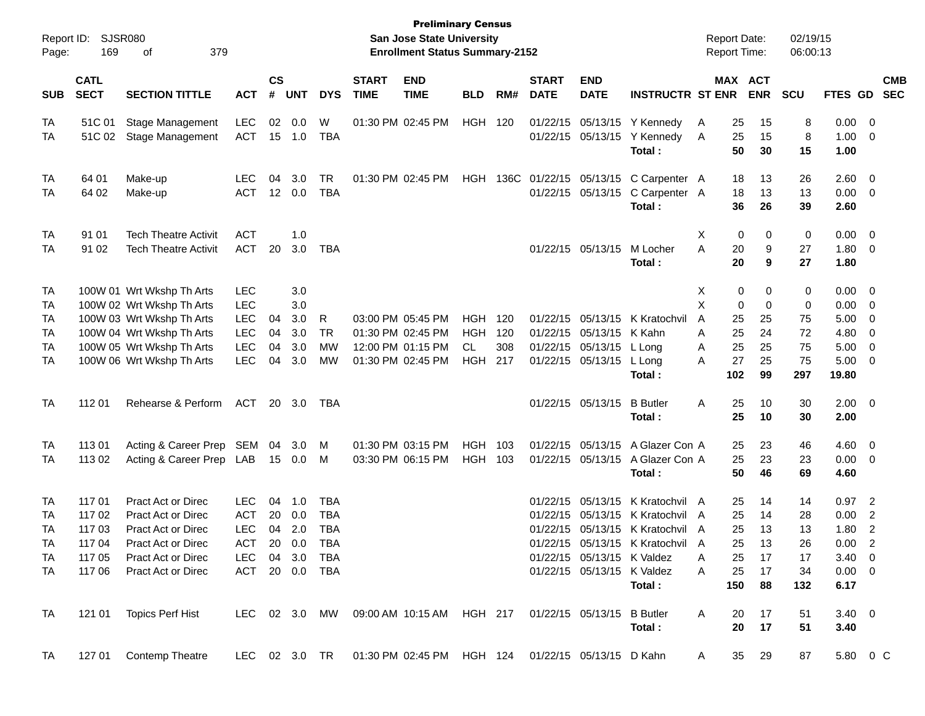| Page:      | Report ID: SJSR080<br>169  | 379<br>оf                                                                                  |                |                |            |            |                             | <b>Preliminary Census</b><br>San Jose State University<br><b>Enrollment Status Summary-2152</b> |                |     |                             |                            |                                            |   |           | <b>Report Date:</b><br><b>Report Time:</b> | 02/19/15<br>06:00:13 |                        |                          |                          |
|------------|----------------------------|--------------------------------------------------------------------------------------------|----------------|----------------|------------|------------|-----------------------------|-------------------------------------------------------------------------------------------------|----------------|-----|-----------------------------|----------------------------|--------------------------------------------|---|-----------|--------------------------------------------|----------------------|------------------------|--------------------------|--------------------------|
| <b>SUB</b> | <b>CATL</b><br><b>SECT</b> | <b>SECTION TITTLE</b>                                                                      | <b>ACT</b>     | <b>CS</b><br># | <b>UNT</b> | <b>DYS</b> | <b>START</b><br><b>TIME</b> | <b>END</b><br><b>TIME</b>                                                                       | <b>BLD</b>     | RM# | <b>START</b><br><b>DATE</b> | <b>END</b><br><b>DATE</b>  | <b>INSTRUCTR ST ENR</b>                    |   |           | MAX ACT<br><b>ENR</b>                      | <b>SCU</b>           | <b>FTES GD</b>         |                          | <b>CMB</b><br><b>SEC</b> |
| TA         | 51C 01                     | <b>Stage Management</b>                                                                    | <b>LEC</b>     | 02             | 0.0        | W          |                             | 01:30 PM 02:45 PM                                                                               | <b>HGH 120</b> |     |                             |                            | 01/22/15 05/13/15 Y Kennedy                | A | 25        | 15                                         | 8                    | $0.00 \t 0$            |                          |                          |
| TA         | 51C 02                     | Stage Management                                                                           | ACT            |                | 15 1.0     | TBA        |                             |                                                                                                 |                |     |                             |                            | 01/22/15 05/13/15 Y Kennedy<br>Total:      | A | 25<br>50  | 15<br>30                                   | 8<br>15              | 1.00<br>1.00           | $\overline{\mathbf{0}}$  |                          |
| TA         | 64 01                      | Make-up                                                                                    | LEC.           | 04             | 3.0        | TR         |                             | 01:30 PM 02:45 PM                                                                               |                |     |                             |                            | HGH 136C 01/22/15 05/13/15 C Carpenter A   |   | 18        | 13                                         | 26                   | 2.60                   | $\overline{\mathbf{0}}$  |                          |
| TA         | 64 02                      | Make-up                                                                                    | <b>ACT</b>     |                | 12 0.0     | <b>TBA</b> |                             |                                                                                                 |                |     |                             |                            | 01/22/15 05/13/15 C Carpenter A<br>Total:  |   | 18<br>36  | 13<br>26                                   | 13<br>39             | 0.00<br>2.60           | $\overline{\mathbf{0}}$  |                          |
| TA         | 91 01                      | <b>Tech Theatre Activit</b>                                                                | <b>ACT</b>     |                | 1.0        |            |                             |                                                                                                 |                |     |                             |                            |                                            | Х | 0         | 0                                          | 0                    | $0.00 \t 0$            |                          |                          |
| TA         | 91 02                      | <b>Tech Theatre Activit</b>                                                                | <b>ACT</b>     | 20             | 3.0        | TBA        |                             |                                                                                                 |                |     |                             | 01/22/15 05/13/15          | M Locher<br>Total :                        | A | 20<br>20  | 9<br>9                                     | 27<br>27             | 1.80<br>1.80           | $\overline{\mathbf{0}}$  |                          |
| TA         |                            | 100W 01 Wrt Wkshp Th Arts                                                                  | <b>LEC</b>     |                | 3.0        |            |                             |                                                                                                 |                |     |                             |                            |                                            | X | 0         | 0                                          | 0                    | $0.00 \t 0$            |                          |                          |
| TA         |                            | 100W 02 Wrt Wkshp Th Arts                                                                  | <b>LEC</b>     |                | 3.0        |            |                             |                                                                                                 |                |     |                             |                            |                                            | X | 0         | 0                                          | 0                    | 0.00                   | $\overline{\phantom{0}}$ |                          |
| TA         |                            | 100W 03 Wrt Wkshp Th Arts                                                                  | <b>LEC</b>     | 04             | 3.0        | R          |                             | 03:00 PM 05:45 PM                                                                               | <b>HGH</b>     | 120 |                             |                            | 01/22/15 05/13/15 K Kratochvil             | A | 25        | 25                                         | 75                   | 5.00                   | 0                        |                          |
| TA         |                            | 100W 04 Wrt Wkshp Th Arts                                                                  | <b>LEC</b>     | 04             | 3.0        | TR         |                             | 01:30 PM 02:45 PM                                                                               | <b>HGH</b>     | 120 |                             | 01/22/15 05/13/15 K Kahn   |                                            | A | 25        | 24                                         | 72                   | 4.80                   | 0                        |                          |
| TA         |                            | 100W 05 Wrt Wkshp Th Arts                                                                  | <b>LEC</b>     | 04             | 3.0        | MW         |                             | 12:00 PM 01:15 PM                                                                               | <b>CL</b>      | 308 |                             | 01/22/15 05/13/15 L Long   |                                            | A | 25        | 25                                         | 75                   | 5.00                   | $\overline{\mathbf{0}}$  |                          |
| TA         |                            | 100W 06 Wrt Wkshp Th Arts                                                                  | <b>LEC</b>     | 04             | 3.0        | МW         |                             | 01:30 PM 02:45 PM                                                                               | <b>HGH 217</b> |     |                             | 01/22/15 05/13/15 L Long   | Total:                                     | A | 27<br>102 | 25<br>99                                   | 75<br>297            | 5.00<br>19.80          | $\overline{\mathbf{0}}$  |                          |
| <b>TA</b>  | 112 01                     | Rehearse & Perform                                                                         | ACT            |                | 20 3.0     | TBA        |                             |                                                                                                 |                |     |                             | 01/22/15 05/13/15          | <b>B</b> Butler                            | Α | 25        | 10                                         | 30                   | $2.00 \t 0$            |                          |                          |
|            |                            |                                                                                            |                |                |            |            |                             |                                                                                                 |                |     |                             |                            | Total :                                    |   | 25        | 10                                         | 30                   | 2.00                   |                          |                          |
| TA         | 11301                      | Acting & Career Prep SEM                                                                   |                | 04             | 3.0        | M          |                             | 01:30 PM 03:15 PM                                                                               | HGH 103        |     |                             |                            | 01/22/15 05/13/15 A Glazer Con A           |   | 25        | 23                                         | 46                   | 4.60                   | $\overline{\phantom{0}}$ |                          |
| TA         | 113 02                     | Acting & Career Prep LAB                                                                   |                |                | 15  0.0    | M          |                             | 03:30 PM 06:15 PM                                                                               | HGH 103        |     |                             |                            | 01/22/15 05/13/15 A Glazer Con A<br>Total: |   | 25<br>50  | 23<br>46                                   | 23<br>69             | 0.00<br>4.60           | $\overline{\phantom{0}}$ |                          |
| TA         | 117 01                     | Pract Act or Direc                                                                         | <b>LEC</b>     |                | 04 1.0     | TBA        |                             |                                                                                                 |                |     |                             |                            | 01/22/15 05/13/15 K Kratochvil A           |   | 25        | 14                                         | 14                   | $0.97$ 2               |                          |                          |
| TA         | 117 02                     | <b>Pract Act or Direc</b>                                                                  | <b>ACT</b>     | 20             | 0.0        | TBA        |                             |                                                                                                 |                |     |                             |                            | 01/22/15 05/13/15 K Kratochvil A           |   | 25        | 14                                         | 28                   | 0.00                   | $\overline{c}$           |                          |
| TA         | 117 03                     | Pract Act or Direc                                                                         | <b>LEC</b>     |                | 04 2.0     | <b>TBA</b> |                             |                                                                                                 |                |     |                             |                            | 01/22/15 05/13/15 K Kratochvil A           |   | 25        | 13                                         | 13                   | 1.80                   | $\overline{2}$           |                          |
| <b>TA</b>  | 117 04                     | Pract Act or Direc                                                                         | ACT            |                | 20 0.0 TBA |            |                             |                                                                                                 |                |     |                             |                            | 01/22/15 05/13/15 K Kratochvil A           |   | 25        | 13                                         | 26                   | 0.00                   | $\overline{2}$           |                          |
| TA         |                            | 117 05 Pract Act or Direc                                                                  | LEC 04 3.0 TBA |                |            |            |                             |                                                                                                 |                |     |                             | 01/22/15 05/13/15 K Valdez |                                            | A | 25        | 17                                         | 17                   | $3.40 \quad 0$         |                          |                          |
| TA         |                            | 117 06 Pract Act or Direc                                                                  | ACT 20 0.0 TBA |                |            |            |                             |                                                                                                 |                |     |                             | 01/22/15 05/13/15 K Valdez | Total :                                    | A | 25        | 17<br>150 88                               | 34<br>132            | $0.00 \t 0$<br>6.17    |                          |                          |
| TA         |                            | 121 01 Topics Perf Hist LEC 02 3.0 MW 09:00 AM 10:15 AM HGH 217 01/22/15 05/13/15 B Butler |                |                |            |            |                             |                                                                                                 |                |     |                             |                            | Total:                                     | A |           | 20 17<br>20 17                             | 51<br>51             | $3.40 \quad 0$<br>3.40 |                          |                          |
| TA         |                            | 127 01 Contemp Theatre LEC 02 3.0 TR 01:30 PM 02:45 PM HGH 124 01/22/15 05/13/15 D Kahn A  |                |                |            |            |                             |                                                                                                 |                |     |                             |                            |                                            |   |           | 35 29                                      | 87                   | 5.80 0 C               |                          |                          |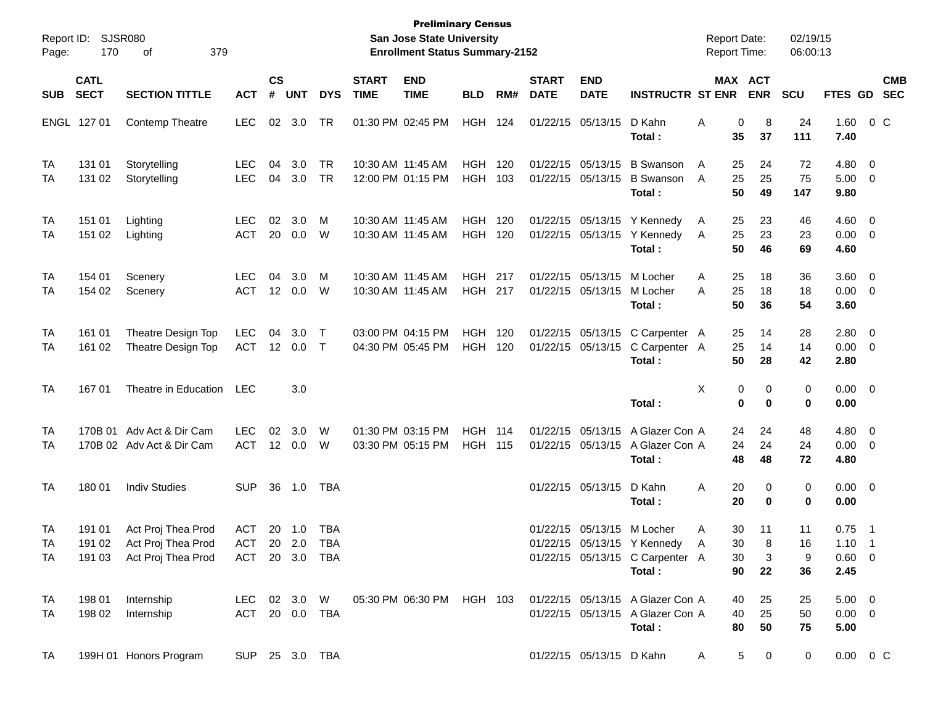| Report ID:<br>Page: | 170                        | <b>SJSR080</b><br>379<br>οf                                                          |                              |                    |                |                        |                             | <b>Preliminary Census</b><br>San Jose State University<br><b>Enrollment Status Summary-2152</b> |                                  |            |                             |                                        |                                                                                                                       | <b>Report Date:</b><br><b>Report Time:</b> |                       | 02/19/15<br>06:00:13 |                                                  |                                                     |                          |
|---------------------|----------------------------|--------------------------------------------------------------------------------------|------------------------------|--------------------|----------------|------------------------|-----------------------------|-------------------------------------------------------------------------------------------------|----------------------------------|------------|-----------------------------|----------------------------------------|-----------------------------------------------------------------------------------------------------------------------|--------------------------------------------|-----------------------|----------------------|--------------------------------------------------|-----------------------------------------------------|--------------------------|
| <b>SUB</b>          | <b>CATL</b><br><b>SECT</b> | <b>SECTION TITTLE</b>                                                                | <b>ACT</b>                   | $\mathsf{cs}$<br># | <b>UNT</b>     | <b>DYS</b>             | <b>START</b><br><b>TIME</b> | <b>END</b><br><b>TIME</b>                                                                       | <b>BLD</b>                       | RM#        | <b>START</b><br><b>DATE</b> | <b>END</b><br><b>DATE</b>              | <b>INSTRUCTR ST ENR</b>                                                                                               |                                            | MAX ACT<br><b>ENR</b> | <b>SCU</b>           | FTES GD                                          |                                                     | <b>CMB</b><br><b>SEC</b> |
|                     | ENGL 127 01                | <b>Contemp Theatre</b>                                                               | <b>LEC</b>                   | 02                 | 3.0            | <b>TR</b>              |                             | 01:30 PM 02:45 PM                                                                               | HGH                              | 124        |                             | 01/22/15 05/13/15                      | D Kahn<br>Total:                                                                                                      | Α<br>0<br>35                               | 8<br>37               | 24<br>111            | 1.60<br>7.40                                     | $0\,$ C                                             |                          |
| TA<br>TA            | 131 01<br>131 02           | Storytelling<br>Storytelling                                                         | <b>LEC</b><br><b>LEC</b>     | 04<br>04           | 3.0<br>3.0     | <b>TR</b><br><b>TR</b> |                             | 10:30 AM 11:45 AM<br>12:00 PM 01:15 PM                                                          | HGH<br><b>HGH</b>                | 120<br>103 |                             | 01/22/15 05/13/15<br>01/22/15 05/13/15 | <b>B</b> Swanson<br><b>B</b> Swanson<br>Total:                                                                        | A<br>25<br>25<br>A<br>50                   | 24<br>25<br>49        | 72<br>75<br>147      | 4.80<br>5.00<br>9.80                             | $\overline{\mathbf{0}}$<br>$\overline{\phantom{0}}$ |                          |
| TA<br>TA            | 151 01<br>151 02           | Lighting<br>Lighting                                                                 | <b>LEC</b><br><b>ACT</b>     | 02<br>20           | 3.0<br>0.0     | M<br>W                 |                             | 10:30 AM 11:45 AM<br>10:30 AM 11:45 AM                                                          | HGH<br><b>HGH</b>                | 120<br>120 |                             | 01/22/15 05/13/15                      | 01/22/15 05/13/15 Y Kennedy<br>Y Kennedy<br>Total:                                                                    | A<br>25<br>25<br>A<br>50                   | 23<br>23<br>46        | 46<br>23<br>69       | $4.60$ 0<br>$0.00 \t 0$<br>4.60                  |                                                     |                          |
| TA<br>TA            | 154 01<br>154 02           | Scenery<br>Scenery                                                                   | <b>LEC</b><br><b>ACT</b>     | 04<br>12           | 3.0<br>0.0     | M<br>W                 |                             | 10:30 AM 11:45 AM<br>10:30 AM 11:45 AM                                                          | <b>HGH 217</b><br><b>HGH 217</b> |            |                             | 01/22/15 05/13/15<br>01/22/15 05/13/15 | M Locher<br>M Locher<br>Total:                                                                                        | A<br>25<br>25<br>A<br>50                   | 18<br>18<br>36        | 36<br>18<br>54       | 3.60 0<br>$0.00 \t 0$<br>3.60                    |                                                     |                          |
| TA<br>TA            | 161 01<br>161 02           | Theatre Design Top<br>Theatre Design Top                                             | <b>LEC</b><br><b>ACT</b>     | 04<br>12           | 3.0<br>$0.0\,$ | $\top$<br>$\top$       |                             | 03:00 PM 04:15 PM<br>04:30 PM 05:45 PM                                                          | HGH<br><b>HGH</b>                | 120<br>120 |                             | 01/22/15 05/13/15<br>01/22/15 05/13/15 | C Carpenter A<br>C Carpenter A<br>Total:                                                                              | 25<br>25<br>50                             | 14<br>14<br>28        | 28<br>14<br>42       | 2.80 0<br>$0.00 \t 0$<br>2.80                    |                                                     |                          |
| TA                  | 16701                      | Theatre in Education                                                                 | <b>LEC</b>                   |                    | 3.0            |                        |                             |                                                                                                 |                                  |            |                             |                                        | Total:                                                                                                                | X                                          | 0<br>0<br>0<br>0      | 0<br>0               | $0.00 \t 0$<br>0.00                              |                                                     |                          |
| TA<br>TA            |                            | 170B 01 Adv Act & Dir Cam<br>170B 02 Adv Act & Dir Cam                               | <b>LEC</b><br><b>ACT</b>     | 02                 | 3.0<br>12 0.0  | W<br>W                 |                             | 01:30 PM 03:15 PM<br>03:30 PM 05:15 PM                                                          | <b>HGH 114</b><br><b>HGH 115</b> |            |                             | 01/22/15 05/13/15<br>01/22/15 05/13/15 | A Glazer Con A<br>A Glazer Con A<br>Total:                                                                            | 24<br>24<br>48                             | 24<br>24<br>48        | 48<br>24<br>72       | $4.80\ 0$<br>0.00<br>4.80                        | $\overline{\phantom{0}}$                            |                          |
| TA                  | 180 01                     | <b>Indiv Studies</b>                                                                 | <b>SUP</b>                   | 36                 | 1.0            | TBA                    |                             |                                                                                                 |                                  |            |                             | 01/22/15 05/13/15                      | D Kahn<br>Total:                                                                                                      | Α<br>20<br>20                              | 0<br>0                | 0<br>0               | $0.00 \t 0$<br>0.00                              |                                                     |                          |
| TA<br>TA<br>TA.     | 191 01<br>191 02           | Act Proj Thea Prod<br>Act Proj Thea Prod<br>191 03 Act Proj Thea Prod ACT 20 3.0 TBA | <b>ACT</b><br>ACT 20 2.0 TBA | 20                 | 1.0            | TBA                    |                             |                                                                                                 |                                  |            |                             |                                        | 01/22/15 05/13/15 M Locher<br>01/22/15 05/13/15 Y Kennedy<br>01/22/15 05/13/15 C Carpenter A<br>Total:                | 30<br>Α<br>30<br>A<br>30<br>90             | 11<br>8<br>3<br>22    | 11<br>16<br>9<br>36  | 0.75<br>$1.10 \quad 1$<br>$0.60 \quad 0$<br>2.45 | $\overline{\phantom{0}}$                            |                          |
| TA<br>TA            | 198 01<br>198 02           | Internship<br>Internship                                                             | ACT 20 0.0 TBA               |                    |                |                        |                             |                                                                                                 |                                  |            |                             |                                        | LEC 02 3.0 W 05:30 PM 06:30 PM HGH 103 01/22/15 05/13/15 A Glazer Con A<br>01/22/15 05/13/15 A Glazer Con A<br>Total: | 40<br>40<br>80                             | 25<br>25<br>50        | 25<br>50<br>75       | $5.00 \t 0$<br>$0.00 \t 0$<br>5.00               |                                                     |                          |
| TA                  |                            | 199H 01 Honors Program                                                               | SUP 25 3.0 TBA               |                    |                |                        |                             |                                                                                                 |                                  |            |                             | 01/22/15 05/13/15 D Kahn               |                                                                                                                       | A                                          | 5<br>$\mathbf 0$      | $\mathbf 0$          | $0.00 \t 0 C$                                    |                                                     |                          |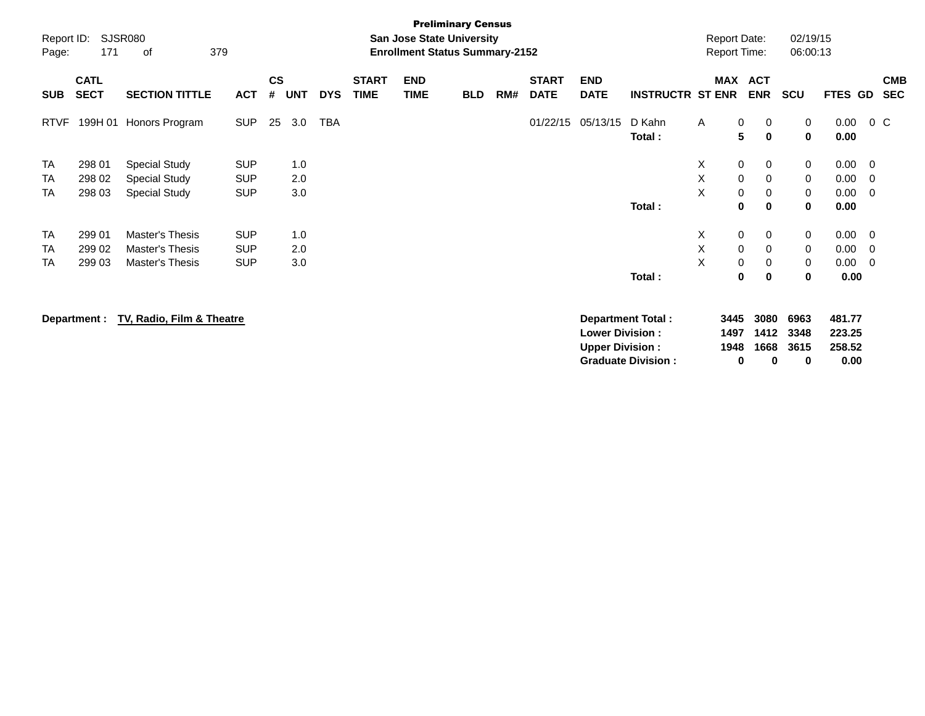| Report ID:<br>Page: | 171                        | <b>SJSR080</b><br>379<br>of |            |                    |            |            |                             | <b>Preliminary Census</b><br>San Jose State University<br><b>Enrollment Status Summary-2152</b> |            |     |                             |                           |                           |   |           | <b>Report Date:</b><br><b>Report Time:</b> | 02/19/15<br>06:00:13 |              |                         |                          |
|---------------------|----------------------------|-----------------------------|------------|--------------------|------------|------------|-----------------------------|-------------------------------------------------------------------------------------------------|------------|-----|-----------------------------|---------------------------|---------------------------|---|-----------|--------------------------------------------|----------------------|--------------|-------------------------|--------------------------|
| <b>SUB</b>          | <b>CATL</b><br><b>SECT</b> | <b>SECTION TITTLE</b>       | <b>ACT</b> | $\mathsf{cs}$<br># | <b>UNT</b> | <b>DYS</b> | <b>START</b><br><b>TIME</b> | <b>END</b><br><b>TIME</b>                                                                       | <b>BLD</b> | RM# | <b>START</b><br><b>DATE</b> | <b>END</b><br><b>DATE</b> | <b>INSTRUCTR ST ENR</b>   |   |           | MAX ACT<br><b>ENR</b>                      | SCU                  | FTES GD      |                         | <b>CMB</b><br><b>SEC</b> |
| <b>RTVF</b>         | 199H 01                    | Honors Program              | <b>SUP</b> | 25                 | 3.0        | <b>TBA</b> |                             |                                                                                                 |            |     | 01/22/15                    | 05/13/15                  | D Kahn<br>Total:          | A | 0<br>5    | 0<br>$\mathbf 0$                           | 0<br>0               | 0.00<br>0.00 | $0\,C$                  |                          |
| <b>TA</b>           | 298 01                     | <b>Special Study</b>        | <b>SUP</b> |                    | 1.0        |            |                             |                                                                                                 |            |     |                             |                           |                           | X | 0         | 0                                          | 0                    | 0.00         | $\overline{\mathbf{0}}$ |                          |
| <b>TA</b>           | 298 02                     | <b>Special Study</b>        | <b>SUP</b> |                    | 2.0        |            |                             |                                                                                                 |            |     |                             |                           |                           | X | 0         | 0                                          | 0                    | 0.00         | $\overline{0}$          |                          |
| <b>TA</b>           | 298 03                     | <b>Special Study</b>        | <b>SUP</b> |                    | 3.0        |            |                             |                                                                                                 |            |     |                             |                           |                           | X | 0         | 0                                          | 0                    | 0.00         | $\overline{\mathbf{0}}$ |                          |
|                     |                            |                             |            |                    |            |            |                             |                                                                                                 |            |     |                             |                           | Total:                    |   | $\bf{0}$  | $\mathbf 0$                                | $\mathbf 0$          | 0.00         |                         |                          |
| <b>TA</b>           | 299 01                     | Master's Thesis             | <b>SUP</b> |                    | 1.0        |            |                             |                                                                                                 |            |     |                             |                           |                           | X | 0         | 0                                          | 0                    | 0.00         | $\overline{\mathbf{0}}$ |                          |
| <b>TA</b>           | 299 02                     | Master's Thesis             | <b>SUP</b> |                    | 2.0        |            |                             |                                                                                                 |            |     |                             |                           |                           | X | $\pmb{0}$ | 0                                          | 0                    | 0.00         | - 0                     |                          |
| <b>TA</b>           | 299 03                     | Master's Thesis             | <b>SUP</b> |                    | 3.0        |            |                             |                                                                                                 |            |     |                             |                           |                           | X | 0         | 0                                          | 0                    | 0.00         | $\overline{0}$          |                          |
|                     |                            |                             |            |                    |            |            |                             |                                                                                                 |            |     |                             |                           | Total:                    |   | 0         | $\mathbf 0$                                | 0                    | 0.00         |                         |                          |
|                     | Department :               | TV, Radio, Film & Theatre   |            |                    |            |            |                             |                                                                                                 |            |     |                             |                           | <b>Department Total:</b>  |   | 3445      | 3080                                       | 6963                 | 481.77       |                         |                          |
|                     |                            |                             |            |                    |            |            |                             |                                                                                                 |            |     |                             | <b>Lower Division:</b>    |                           |   | 1497      | 1412                                       | 3348                 | 223.25       |                         |                          |
|                     |                            |                             |            |                    |            |            |                             |                                                                                                 |            |     |                             | <b>Upper Division:</b>    |                           |   | 1948      | 1668                                       | 3615                 | 258.52       |                         |                          |
|                     |                            |                             |            |                    |            |            |                             |                                                                                                 |            |     |                             |                           | <b>Graduate Division:</b> |   | 0         | 0                                          | 0                    | 0.00         |                         |                          |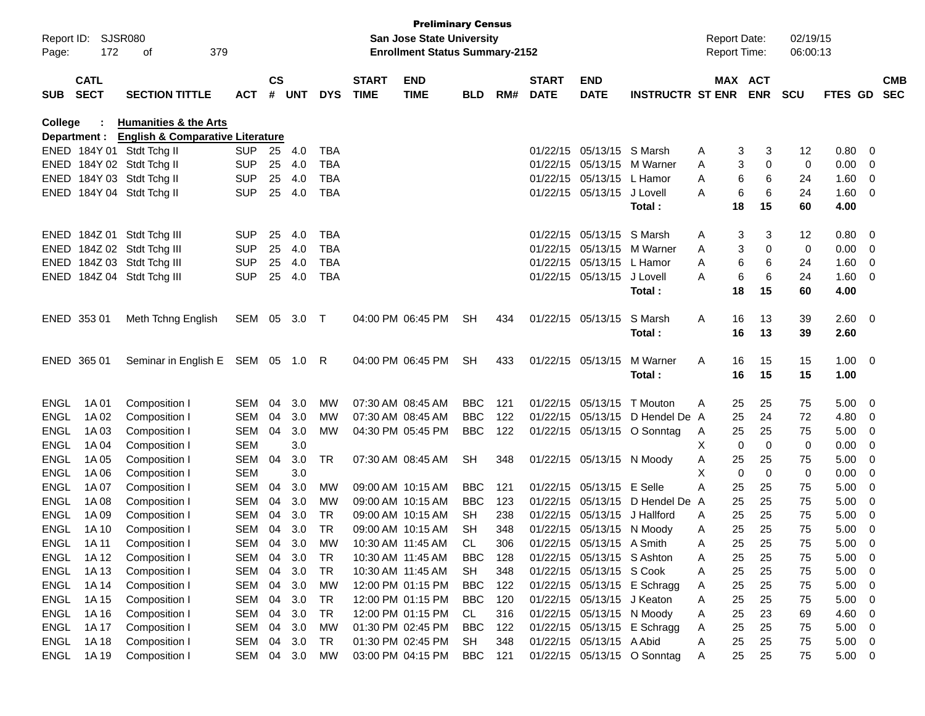| Report ID:<br>Page: | 172                        | <b>SJSR080</b><br>379<br>οf                 |            |           |            |            |                             | <b>Preliminary Census</b><br><b>San Jose State University</b><br><b>Enrollment Status Summary-2152</b> |                        |            |                             |                                                        |                             | <b>Report Date:</b><br><b>Report Time:</b> |             |             | 02/19/15<br>06:00:13 |              |                         |                          |
|---------------------|----------------------------|---------------------------------------------|------------|-----------|------------|------------|-----------------------------|--------------------------------------------------------------------------------------------------------|------------------------|------------|-----------------------------|--------------------------------------------------------|-----------------------------|--------------------------------------------|-------------|-------------|----------------------|--------------|-------------------------|--------------------------|
| <b>SUB</b>          | <b>CATL</b><br><b>SECT</b> | <b>SECTION TITTLE</b>                       | <b>ACT</b> | <b>CS</b> | # UNT      | <b>DYS</b> | <b>START</b><br><b>TIME</b> | <b>END</b><br><b>TIME</b>                                                                              | <b>BLD</b>             | RM#        | <b>START</b><br><b>DATE</b> | END<br><b>DATE</b>                                     | <b>INSTRUCTR ST ENR</b>     | MAX ACT                                    |             | <b>ENR</b>  | <b>SCU</b>           | FTES GD      |                         | <b>CMB</b><br><b>SEC</b> |
| College             |                            | <b>Humanities &amp; the Arts</b>            |            |           |            |            |                             |                                                                                                        |                        |            |                             |                                                        |                             |                                            |             |             |                      |              |                         |                          |
|                     | Department :               | <b>English &amp; Comparative Literature</b> |            |           |            |            |                             |                                                                                                        |                        |            |                             |                                                        |                             |                                            |             |             |                      |              |                         |                          |
|                     |                            | ENED 184Y 01 Stdt Tchg II                   | <b>SUP</b> | 25        | 4.0        | <b>TBA</b> |                             |                                                                                                        |                        |            | 01/22/15                    | 05/13/15 S Marsh                                       |                             | Α                                          | 3           | 3           | 12                   | 0.80         | 0                       |                          |
|                     |                            | ENED 184Y 02 Stdt Tchg II                   | <b>SUP</b> | 25        | 4.0        | <b>TBA</b> |                             |                                                                                                        |                        |            | 01/22/15                    | 05/13/15                                               | M Warner                    | Α                                          | 3           | 0           | 0                    | 0.00         | 0                       |                          |
|                     |                            | ENED 184Y 03 Stdt Tchg II                   | <b>SUP</b> | 25        | 4.0        | <b>TBA</b> |                             |                                                                                                        |                        |            | 01/22/15                    | 05/13/15                                               | L Hamor                     | Α                                          | 6           | 6           | 24                   | 1.60         | 0                       |                          |
|                     |                            | ENED 184Y 04 Stdt Tchg II                   | <b>SUP</b> | 25        | 4.0        | <b>TBA</b> |                             |                                                                                                        |                        |            |                             | 01/22/15 05/13/15                                      | J Lovell<br><b>Total :</b>  | A                                          | 6<br>18     | 6<br>15     | 24<br>60             | 1.60<br>4.00 | 0                       |                          |
|                     |                            | ENED 184Z 01 Stdt Tchg III                  | <b>SUP</b> | 25        | 4.0        | <b>TBA</b> |                             |                                                                                                        |                        |            | 01/22/15                    | 05/13/15                                               | S Marsh                     | Α                                          | 3           | 3           | 12                   | 0.80         | - 0                     |                          |
|                     |                            | ENED 184Z 02 Stdt Tchg III                  | <b>SUP</b> | 25        | 4.0        | TBA        |                             |                                                                                                        |                        |            | 01/22/15                    | 05/13/15                                               | M Warner                    | A                                          | 3           | 0           | 0                    | 0.00         | 0                       |                          |
|                     |                            | ENED 184Z 03 Stdt Tchg III                  | <b>SUP</b> | 25        | 4.0        | <b>TBA</b> |                             |                                                                                                        |                        |            | 01/22/15                    | 05/13/15                                               | L Hamor                     | Α                                          | 6           | 6           | 24                   | 1.60         | 0                       |                          |
|                     |                            | ENED 184Z 04 Stdt Tchg III                  | <b>SUP</b> | 25        | 4.0        | <b>TBA</b> |                             |                                                                                                        |                        |            |                             | 01/22/15 05/13/15                                      | J Lovell                    | A                                          | 6           | 6           | 24                   | 1.60         | 0                       |                          |
|                     |                            |                                             |            |           |            |            |                             |                                                                                                        |                        |            |                             |                                                        | Total:                      |                                            | 18          | 15          | 60                   | 4.00         |                         |                          |
|                     | ENED 353 01                | Meth Tchng English                          | SEM 05     |           | 3.0        | $\top$     |                             | 04:00 PM 06:45 PM                                                                                      | <b>SH</b>              | 434        | 01/22/15 05/13/15           |                                                        | S Marsh                     | Α                                          | 16          | 13          | 39                   | 2.60         | - 0                     |                          |
|                     |                            |                                             |            |           |            |            |                             |                                                                                                        |                        |            |                             |                                                        | Total:                      |                                            | 16          | 13          | 39                   | 2.60         |                         |                          |
|                     | ENED 365 01                | Seminar in English E SEM 05 1.0 R           |            |           |            |            |                             | 04:00 PM 06:45 PM                                                                                      | <b>SH</b>              | 433        | 01/22/15 05/13/15           |                                                        | M Warner                    | Α                                          | 16          | 15          | 15                   | 1.00         | - 0                     |                          |
|                     |                            |                                             |            |           |            |            |                             |                                                                                                        |                        |            |                             |                                                        | Total:                      |                                            | 16          | 15          | 15                   | 1.00         |                         |                          |
| <b>ENGL</b>         | 1A 01                      | Composition I                               | SEM        | 04        | 3.0        | MW         |                             | 07:30 AM 08:45 AM                                                                                      | BBC.                   | 121        | 01/22/15                    | 05/13/15                                               | T Mouton                    | A                                          | 25          | 25          | 75                   | 5.00         | 0                       |                          |
| <b>ENGL</b>         | 1A 02                      | Composition I                               | SEM        | 04        | 3.0        | МW         |                             | 07:30 AM 08:45 AM                                                                                      | <b>BBC</b>             | 122        | 01/22/15                    | 05/13/15                                               | D Hendel De A               |                                            | 25          | 24          | 72                   | 4.80         | 0                       |                          |
| <b>ENGL</b>         | 1A 03                      | Composition I                               | SEM        | 04        | 3.0        | МW         |                             | 04:30 PM 05:45 PM                                                                                      | <b>BBC</b>             | 122        |                             |                                                        | 01/22/15 05/13/15 O Sonntag | A                                          | 25          | 25          | 75                   | 5.00         | 0                       |                          |
| <b>ENGL</b>         | 1A 04                      | Composition I                               | SEM        |           | 3.0        |            |                             |                                                                                                        |                        |            |                             |                                                        |                             | X                                          | $\mathbf 0$ | $\mathbf 0$ | 0                    | 0.00         | 0                       |                          |
| <b>ENGL</b>         | 1A 05                      | Composition I                               | <b>SEM</b> | 04        | 3.0        | TR         |                             | 07:30 AM 08:45 AM                                                                                      | <b>SH</b>              | 348        |                             | 01/22/15 05/13/15 N Moody                              |                             | Α                                          | 25          | 25          | 75                   | 5.00         | 0                       |                          |
| <b>ENGL</b>         | 1A 06                      | Composition I                               | <b>SEM</b> |           | 3.0        |            |                             |                                                                                                        |                        |            |                             |                                                        |                             | X                                          | $\mathbf 0$ | $\mathbf 0$ | 0                    | 0.00         | 0                       |                          |
| <b>ENGL</b>         | 1A 07                      | Composition I                               | SEM        | 04        | 3.0        | МW         |                             | 09:00 AM 10:15 AM                                                                                      | <b>BBC</b>             | 121        | 01/22/15                    | 05/13/15                                               | E Selle                     | Α                                          | 25          | 25          | 75                   | 5.00         | 0                       |                          |
| <b>ENGL</b>         | 1A 08                      | Composition I                               | <b>SEM</b> | 04        | 3.0        | МW         |                             | 09:00 AM 10:15 AM                                                                                      | <b>BBC</b>             | 123        | 01/22/15                    | 05/13/15                                               | D Hendel De                 | A                                          | 25          | 25<br>25    | 75                   | 5.00         | 0                       |                          |
| <b>ENGL</b>         | 1A 09                      | Composition I<br>Composition I              | SEM<br>SEM | 04<br>04  | 3.0<br>3.0 | TR<br>TR   |                             | 09:00 AM 10:15 AM<br>09:00 AM 10:15 AM                                                                 | <b>SH</b><br><b>SH</b> | 238<br>348 | 01/22/15                    | 05/13/15                                               | J Hallford                  | A                                          | 25<br>25    | 25          | 75<br>75             | 5.00<br>5.00 | 0<br>0                  |                          |
| <b>ENGL</b><br>ENGL | 1A 10<br>1A 11             | Composition I                               | SEM        | 04        | 3.0        | <b>MW</b>  |                             | 10:30 AM 11:45 AM                                                                                      | CL                     | 306        |                             | 01/22/15 05/13/15 N Moody<br>01/22/15 05/13/15 A Smith |                             | Α<br>Α                                     | 25          | 25          | 75                   | 5.00         | 0                       |                          |
| ENGL                | 1A 12                      | Composition I                               | SEM        | 04        | 3.0        | <b>TR</b>  |                             | 10:30 AM 11:45 AM                                                                                      | <b>BBC</b>             | 128        |                             | 01/22/15 05/13/15 S Ashton                             |                             | Α                                          | 25          | 25          | 75                   | 5.00         | 0                       |                          |
| <b>ENGL</b>         | 1A 13                      | Composition I                               | SEM        | 04        | 3.0        | <b>TR</b>  |                             | 10:30 AM 11:45 AM                                                                                      | SH                     | 348        |                             | 01/22/15 05/13/15 S Cook                               |                             | Α                                          | 25          | 25          | 75                   | 5.00         | 0                       |                          |
| ENGL                | 1A 14                      | Composition I                               | SEM        | 04        | 3.0        | MW         |                             | 12:00 PM 01:15 PM                                                                                      | <b>BBC</b>             | 122        |                             |                                                        | 01/22/15 05/13/15 E Schragg | Α                                          | 25          | 25          | 75                   | 5.00         | 0                       |                          |
| <b>ENGL</b>         | 1A 15                      | Composition I                               | SEM        | 04        | 3.0        | <b>TR</b>  |                             | 12:00 PM 01:15 PM                                                                                      | <b>BBC</b>             | 120        |                             | 01/22/15 05/13/15                                      | J Keaton                    | Α                                          | 25          | 25          | 75                   | 5.00         | 0                       |                          |
| <b>ENGL</b>         | 1A 16                      | Composition I                               | SEM        | 04        | 3.0        | <b>TR</b>  |                             | 12:00 PM 01:15 PM                                                                                      | CL                     | 316        |                             | 01/22/15 05/13/15                                      | N Moody                     | Α                                          | 25          | 23          | 69                   | 4.60         | 0                       |                          |
| <b>ENGL</b>         | 1A 17                      | Composition I                               | SEM        | 04        | 3.0        | MW         |                             | 01:30 PM 02:45 PM                                                                                      | <b>BBC</b>             | 122        |                             |                                                        | 01/22/15 05/13/15 E Schragg | Α                                          | 25          | 25          | 75                   | 5.00         | 0                       |                          |
| <b>ENGL</b>         | 1A 18                      | Composition I                               | SEM        |           | 04 3.0     | <b>TR</b>  |                             | 01:30 PM 02:45 PM                                                                                      | SH                     | 348        |                             | 01/22/15 05/13/15 A Abid                               |                             | Α                                          | 25          | 25          | 75                   | 5.00         | - 0                     |                          |
| ENGL                | 1A 19                      | Composition I                               | SEM        | 04        | 3.0        | МW         |                             | 03:00 PM 04:15 PM                                                                                      | <b>BBC</b>             | 121        |                             |                                                        | 01/22/15 05/13/15 O Sonntag | A                                          | 25          | 25          | 75                   | 5.00         | $\overline{\mathbf{0}}$ |                          |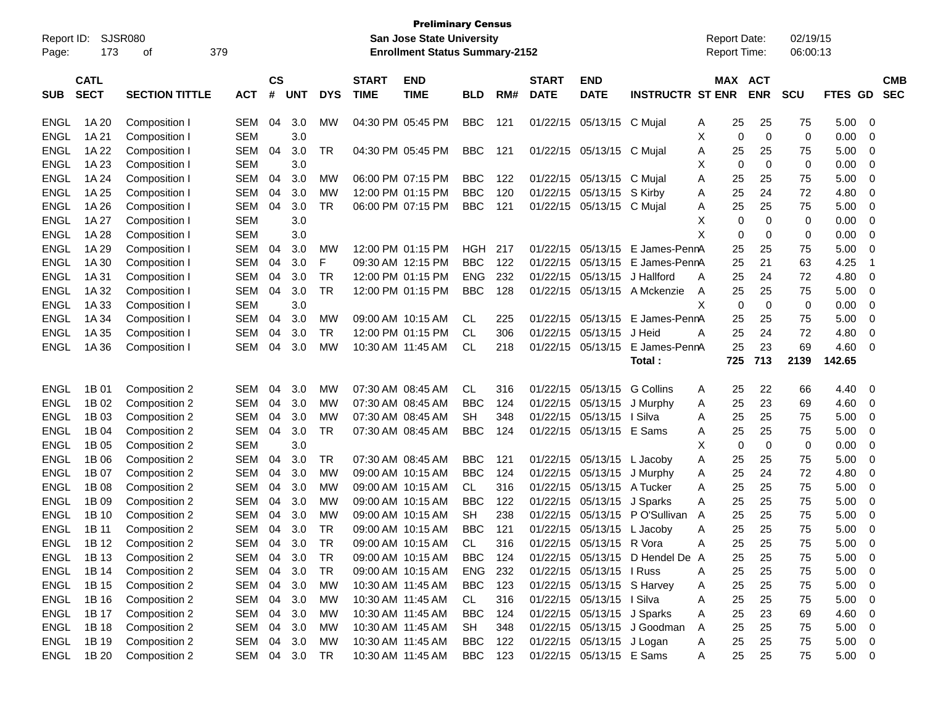| Report ID:<br>Page: | 173                        | SJSR080<br>379<br>οf  |            |                    |            |            |                             | <b>Preliminary Census</b><br><b>San Jose State University</b><br><b>Enrollment Status Summary-2152</b> |            |     |                             |                            |                             |   |     | <b>Report Date:</b><br>Report Time: | 02/19/15<br>06:00:13 |                          |    |                          |
|---------------------|----------------------------|-----------------------|------------|--------------------|------------|------------|-----------------------------|--------------------------------------------------------------------------------------------------------|------------|-----|-----------------------------|----------------------------|-----------------------------|---|-----|-------------------------------------|----------------------|--------------------------|----|--------------------------|
| <b>SUB</b>          | <b>CATL</b><br><b>SECT</b> | <b>SECTION TITTLE</b> | <b>ACT</b> | $\mathsf{cs}$<br># | <b>UNT</b> | <b>DYS</b> | <b>START</b><br><b>TIME</b> | <b>END</b><br><b>TIME</b>                                                                              | <b>BLD</b> | RM# | <b>START</b><br><b>DATE</b> | <b>END</b><br><b>DATE</b>  | <b>INSTRUCTR ST ENR</b>     |   |     | <b>MAX ACT</b><br><b>ENR</b>        | <b>SCU</b>           | <b>FTES</b><br><b>GD</b> |    | <b>CMB</b><br><b>SEC</b> |
| <b>ENGL</b>         | 1A 20                      | Composition I         | <b>SEM</b> | 04                 | 3.0        | МW         |                             | 04:30 PM 05:45 PM                                                                                      | <b>BBC</b> | 121 | 01/22/15                    | 05/13/15                   | C Mujal                     | A | 25  | 25                                  | 75                   | 5.00                     | 0  |                          |
| ENGL                | 1A 21                      | Composition I         | <b>SEM</b> |                    | 3.0        |            |                             |                                                                                                        |            |     |                             |                            |                             | х | 0   | $\mathbf 0$                         | 0                    | 0.00                     | 0  |                          |
| ENGL                | 1A 22                      | Composition I         | SEM        | 04                 | 3.0        | TR         |                             | 04:30 PM 05:45 PM                                                                                      | <b>BBC</b> | 121 | 01/22/15                    | 05/13/15                   | C Mujal                     | Α | 25  | 25                                  | 75                   | 5.00                     | 0  |                          |
| ENGL                | 1A 23                      | Composition I         | <b>SEM</b> |                    | 3.0        |            |                             |                                                                                                        |            |     |                             |                            |                             | х | 0   | 0                                   | 0                    | 0.00                     | 0  |                          |
| ENGL                | 1A 24                      | Composition I         | <b>SEM</b> | 04                 | 3.0        | МW         |                             | 06:00 PM 07:15 PM                                                                                      | <b>BBC</b> | 122 | 01/22/15                    | 05/13/15                   | C Mujal                     | Α | 25  | 25                                  | 75                   | 5.00                     | 0  |                          |
| ENGL                | 1A 25                      | Composition I         | <b>SEM</b> | 04                 | 3.0        | МW         |                             | 12:00 PM 01:15 PM                                                                                      | <b>BBC</b> | 120 | 01/22/15                    | 05/13/15                   | S Kirby                     | Α | 25  | 24                                  | 72                   | 4.80                     | 0  |                          |
| ENGL                | 1A 26                      | Composition I         | SEM        | 04                 | 3.0        | <b>TR</b>  |                             | 06:00 PM 07:15 PM                                                                                      | <b>BBC</b> | 121 | 01/22/15                    | 05/13/15                   | C Mujal                     | Α | 25  | 25                                  | 75                   | 5.00                     | 0  |                          |
| ENGL                | 1A 27                      | Composition I         | <b>SEM</b> |                    | 3.0        |            |                             |                                                                                                        |            |     |                             |                            |                             | х | 0   | 0                                   | 0                    | 0.00                     | 0  |                          |
| ENGL                | 1A 28                      | Composition I         | <b>SEM</b> |                    | 3.0        |            |                             |                                                                                                        |            |     |                             |                            |                             | X | 0   | 0                                   | 0                    | 0.00                     | 0  |                          |
| ENGL                | 1A 29                      | Composition I         | <b>SEM</b> | 04                 | 3.0        | МW         |                             | 12:00 PM 01:15 PM                                                                                      | HGH        | 217 | 01/22/15                    | 05/13/15                   | E James-PennA               |   | 25  | 25                                  | 75                   | 5.00                     | 0  |                          |
| ENGL                | 1A 30                      | Composition I         | <b>SEM</b> | 04                 | 3.0        | F          |                             | 09:30 AM 12:15 PM                                                                                      | <b>BBC</b> | 122 | 01/22/15                    | 05/13/15                   | E James-PennA               |   | 25  | 21                                  | 63                   | 4.25                     | -1 |                          |
| ENGL                | 1A 31                      | Composition I         | <b>SEM</b> | 04                 | 3.0        | TR         |                             | 12:00 PM 01:15 PM                                                                                      | <b>ENG</b> | 232 | 01/22/15                    | 05/13/15                   | J Hallford                  | A | 25  | 24                                  | 72                   | 4.80                     | 0  |                          |
| ENGL                | 1A 32                      | Composition I         | <b>SEM</b> | 04                 | 3.0        | <b>TR</b>  |                             | 12:00 PM 01:15 PM                                                                                      | <b>BBC</b> | 128 | 01/22/15                    | 05/13/15                   | A Mckenzie                  | A | 25  | 25                                  | 75                   | 5.00                     | 0  |                          |
| ENGL                | 1A 33                      | Composition I         | <b>SEM</b> |                    | 3.0        |            |                             |                                                                                                        |            |     |                             |                            |                             | X | 0   | 0                                   | 0                    | 0.00                     | 0  |                          |
| ENGL                | 1A 34                      | Composition I         | <b>SEM</b> | 04                 | 3.0        | МW         |                             | 09:00 AM 10:15 AM                                                                                      | CL.        | 225 | 01/22/15                    | 05/13/15                   | E James-PennA               |   | 25  | 25                                  | 75                   | 5.00                     | 0  |                          |
| ENGL                | 1A 35                      | Composition I         | <b>SEM</b> | 04                 | 3.0        | TR         |                             | 12:00 PM 01:15 PM                                                                                      | <b>CL</b>  | 306 | 01/22/15                    | 05/13/15                   | J Heid                      | Α | 25  | 24                                  | 72                   | 4.80                     | 0  |                          |
| <b>ENGL</b>         | 1A 36                      | Composition           | <b>SEM</b> | 04                 | 3.0        | <b>MW</b>  |                             | 10:30 AM 11:45 AM                                                                                      | <b>CL</b>  | 218 | 01/22/15                    | 05/13/15                   | E James-PennA               |   | 25  | 23                                  | 69                   | 4.60                     | 0  |                          |
|                     |                            |                       |            |                    |            |            |                             |                                                                                                        |            |     |                             |                            | Total:                      |   | 725 | 713                                 | 2139                 | 142.65                   |    |                          |
| <b>ENGL</b>         | 1B 01                      | Composition 2         | <b>SEM</b> | 04                 | 3.0        | МW         |                             | 07:30 AM 08:45 AM                                                                                      | CL         | 316 | 01/22/15                    | 05/13/15                   | <b>G</b> Collins            | A | 25  | 22                                  | 66                   | 4.40                     | 0  |                          |
| ENGL                | 1B 02                      | Composition 2         | <b>SEM</b> | 04                 | 3.0        | МW         |                             | 07:30 AM 08:45 AM                                                                                      | <b>BBC</b> | 124 | 01/22/15                    | 05/13/15                   | J Murphy                    | A | 25  | 23                                  | 69                   | 4.60                     | 0  |                          |
| ENGL                | 1B 03                      | Composition 2         | SEM        | 04                 | 3.0        | МW         |                             | 07:30 AM 08:45 AM                                                                                      | SН         | 348 | 01/22/15                    | 05/13/15                   | I Silva                     | A | 25  | 25                                  | 75                   | 5.00                     | 0  |                          |
| ENGL                | 1B 04                      | Composition 2         | SEM        | 04                 | 3.0        | TR         |                             | 07:30 AM 08:45 AM                                                                                      | <b>BBC</b> | 124 | 01/22/15                    | 05/13/15                   | E Sams                      | Α | 25  | 25                                  | 75                   | 5.00                     | 0  |                          |
| ENGL                | 1B 05                      | Composition 2         | SEM        |                    | 3.0        |            |                             |                                                                                                        |            |     |                             |                            |                             | х | 0   | 0                                   | 0                    | 0.00                     | 0  |                          |
| ENGL                | 1B 06                      | Composition 2         | SEM        | 04                 | 3.0        | TR         |                             | 07:30 AM 08:45 AM                                                                                      | <b>BBC</b> | 121 | 01/22/15                    | 05/13/15                   | L Jacoby                    | Α | 25  | 25                                  | 75                   | 5.00                     | 0  |                          |
| ENGL                | 1B 07                      | Composition 2         | <b>SEM</b> | 04                 | 3.0        | МW         |                             | 09:00 AM 10:15 AM                                                                                      | <b>BBC</b> | 124 | 01/22/15                    | 05/13/15                   | J Murphy                    | Α | 25  | 24                                  | 72                   | 4.80                     | 0  |                          |
| ENGL                | 1B 08                      | Composition 2         | <b>SEM</b> | 04                 | 3.0        | МW         |                             | 09:00 AM 10:15 AM                                                                                      | CL.        | 316 | 01/22/15                    | 05/13/15                   | A Tucker                    | A | 25  | 25                                  | 75                   | 5.00                     | 0  |                          |
| ENGL                | 1B 09                      | Composition 2         | <b>SEM</b> | 04                 | 3.0        | МW         |                             | 09:00 AM 10:15 AM                                                                                      | <b>BBC</b> | 122 | 01/22/15                    | 05/13/15                   | J Sparks                    | A | 25  | 25                                  | 75                   | 5.00                     | 0  |                          |
| ENGL                | 1B 10                      | Composition 2         | SEM        | 04                 | 3.0        | МW         |                             | 09:00 AM 10:15 AM                                                                                      | SН         | 238 | 01/22/15                    | 05/13/15                   | P O'Sullivan                | A | 25  | 25                                  | 75                   | 5.00                     | 0  |                          |
| <b>ENGL</b>         | 1B 11                      | Composition 2         | SEM        | 04                 | 3.0        | TR         |                             | 09:00 AM 10:15 AM                                                                                      | <b>BBC</b> | 121 | 01/22/15                    | 05/13/15                   | L Jacoby                    | A | 25  | 25                                  | 75                   | 5.00                     | 0  |                          |
| <b>ENGL</b>         | 1B 12                      | Composition 2         | SEM        | 04                 | 3.0        | TR         |                             | 09:00 AM 10:15 AM                                                                                      | CL         | 316 |                             | 01/22/15 05/13/15 R Vora   |                             | A | 25  | 25                                  | 75                   | 5.00                     | 0  |                          |
| <b>ENGL</b>         | 1B 13                      | Composition 2         | SEM        | 04                 | 3.0        | TR         |                             | 09:00 AM 10:15 AM                                                                                      | <b>BBC</b> | 124 |                             | 01/22/15 05/13/15          | D Hendel De A               |   | 25  | 25                                  | 75                   | 5.00                     | 0  |                          |
| <b>ENGL</b>         | 1B 14                      | Composition 2         | SEM        | 04                 | 3.0        | <b>TR</b>  |                             | 09:00 AM 10:15 AM                                                                                      | <b>ENG</b> | 232 |                             | 01/22/15 05/13/15   Russ   |                             | A | 25  | 25                                  | 75                   | 5.00                     | 0  |                          |
| <b>ENGL</b>         | 1B 15                      | Composition 2         | SEM        | 04                 | 3.0        | <b>MW</b>  |                             | 10:30 AM 11:45 AM                                                                                      | <b>BBC</b> | 123 |                             | 01/22/15 05/13/15 S Harvey |                             | A | 25  | 25                                  | 75                   | 5.00                     | 0  |                          |
| <b>ENGL</b>         | 1B 16                      | Composition 2         | SEM        | 04                 | 3.0        | <b>MW</b>  |                             | 10:30 AM 11:45 AM                                                                                      | CL         | 316 |                             | 01/22/15 05/13/15 I Silva  |                             | A | 25  | 25                                  | 75                   | 5.00                     | 0  |                          |
| <b>ENGL</b>         | 1B 17                      | Composition 2         | SEM        | 04                 | 3.0        | MW         |                             | 10:30 AM 11:45 AM                                                                                      | <b>BBC</b> | 124 |                             | 01/22/15 05/13/15 J Sparks |                             | A | 25  | 23                                  | 69                   | 4.60                     | 0  |                          |
| <b>ENGL</b>         | 1B 18                      | Composition 2         | SEM        | 04                 | 3.0        | <b>MW</b>  |                             | 10:30 AM 11:45 AM                                                                                      | SH         | 348 |                             |                            | 01/22/15 05/13/15 J Goodman | A | 25  | 25                                  | 75                   | 5.00                     | 0  |                          |
| <b>ENGL</b>         | 1B 19                      | Composition 2         | SEM        | 04                 | 3.0        | MW         |                             | 10:30 AM 11:45 AM                                                                                      | <b>BBC</b> | 122 |                             | 01/22/15 05/13/15 J Logan  |                             | A | 25  | 25                                  | 75                   | 5.00                     | 0  |                          |
| ENGL                | 1B 20                      | Composition 2         | SEM 04 3.0 |                    |            | TR         |                             | 10:30 AM 11:45 AM                                                                                      | <b>BBC</b> | 123 |                             | 01/22/15 05/13/15 E Sams   |                             | A | 25  | 25                                  | 75                   | $5.00 \t 0$              |    |                          |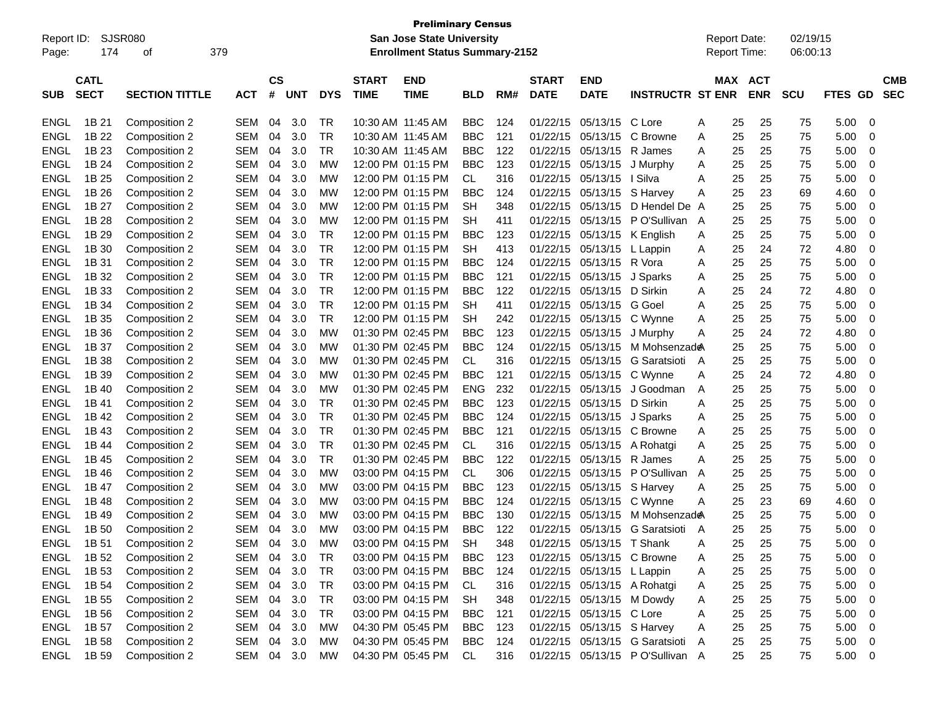| Report ID:<br>Page: | 174                        | <b>SJSR080</b><br>οf  | 379        |                |            |            |                             | <b>Preliminary Census</b><br><b>San Jose State University</b><br><b>Enrollment Status Summary-2152</b> |            |     |                             |                             |                                  | <b>Report Date:</b><br><b>Report Time:</b> |                       | 02/19/15<br>06:00:13 |                     |                          |
|---------------------|----------------------------|-----------------------|------------|----------------|------------|------------|-----------------------------|--------------------------------------------------------------------------------------------------------|------------|-----|-----------------------------|-----------------------------|----------------------------------|--------------------------------------------|-----------------------|----------------------|---------------------|--------------------------|
| <b>SUB</b>          | <b>CATL</b><br><b>SECT</b> | <b>SECTION TITTLE</b> | <b>ACT</b> | <b>CS</b><br># | <b>UNT</b> | <b>DYS</b> | <b>START</b><br><b>TIME</b> | <b>END</b><br><b>TIME</b>                                                                              | <b>BLD</b> | RM# | <b>START</b><br><b>DATE</b> | <b>END</b><br><b>DATE</b>   | <b>INSTRUCTR ST ENR</b>          |                                            | MAX ACT<br><b>ENR</b> | <b>SCU</b>           | FTES GD             | <b>CMB</b><br><b>SEC</b> |
|                     |                            |                       |            |                |            |            |                             |                                                                                                        |            |     |                             |                             |                                  |                                            |                       |                      |                     |                          |
| ENGL                | 1B 21                      | Composition 2         | SEM        | 04             | 3.0        | TR         |                             | 10:30 AM 11:45 AM                                                                                      | <b>BBC</b> | 124 | 01/22/15                    | 05/13/15                    | C Lore                           | 25<br>A                                    | 25                    | 75                   | 5.00                | 0                        |
| ENGL                | 1B 22                      | Composition 2         | SEM        | 04             | 3.0        | TR         |                             | 10:30 AM 11:45 AM                                                                                      | <b>BBC</b> | 121 | 01/22/15                    | 05/13/15                    | C Browne                         | A                                          | 25<br>25              | 75                   | 5.00                | 0                        |
| ENGL                | 1B 23                      | Composition 2         | SEM        | 04             | 3.0        | TR         |                             | 10:30 AM 11:45 AM                                                                                      | <b>BBC</b> | 122 | 01/22/15                    | 05/13/15                    | R James                          | A                                          | 25<br>25              | 75                   | 5.00                | 0                        |
| ENGL                | 1B 24                      | Composition 2         | SEM        | 04             | 3.0        | МW         |                             | 12:00 PM 01:15 PM                                                                                      | BBC        | 123 | 01/22/15                    | 05/13/15                    | J Murphy                         | Α                                          | 25<br>25              | 75                   | 5.00                | 0                        |
| <b>ENGL</b>         | 1B 25                      | Composition 2         | SEM        | 04             | 3.0        | МW         |                             | 12:00 PM 01:15 PM                                                                                      | CL.        | 316 | 01/22/15                    | 05/13/15                    | l Silva                          | A                                          | 25<br>25              | 75                   | 5.00                | 0                        |
| ENGL                | 1B 26                      | Composition 2         | SEM        | 04             | 3.0        | МW         |                             | 12:00 PM 01:15 PM                                                                                      | BBC        | 124 | 01/22/15                    | 05/13/15                    | S Harvey                         | Α                                          | 25<br>23              | 69                   | 4.60                | 0                        |
| ENGL                | 1B 27                      | Composition 2         | SEM        | 04             | 3.0        | МW         |                             | 12:00 PM 01:15 PM                                                                                      | SН         | 348 | 01/22/15                    | 05/13/15                    | D Hendel De A                    |                                            | 25<br>25              | 75                   | 5.00                | 0                        |
| <b>ENGL</b>         | 1B 28                      | Composition 2         | SEM        | 04             | 3.0        | МW         |                             | 12:00 PM 01:15 PM                                                                                      | SН         | 411 | 01/22/15                    | 05/13/15                    | P O'Sullivan                     | A                                          | 25<br>25              | 75                   | 5.00                | 0                        |
| <b>ENGL</b>         | 1B 29                      | Composition 2         | SEM        | 04             | 3.0        | TR         |                             | 12:00 PM 01:15 PM                                                                                      | BBC        | 123 | 01/22/15                    | 05/13/15                    | K English                        | Α                                          | 25<br>25              | 75                   | 5.00                | 0                        |
| ENGL                | 1B 30                      | Composition 2         | SEM        | 04             | 3.0        | <b>TR</b>  |                             | 12:00 PM 01:15 PM                                                                                      | <b>SH</b>  | 413 | 01/22/15                    | 05/13/15                    | L Lappin                         | Α                                          | 25<br>24              | 72                   | 4.80                | 0                        |
| <b>ENGL</b>         | 1B 31                      | Composition 2         | SEM        | 04             | 3.0        | TR         |                             | 12:00 PM 01:15 PM                                                                                      | BBC        | 124 | 01/22/15                    | 05/13/15                    | R Vora                           | A                                          | 25<br>25              | 75                   | 5.00                | 0                        |
| <b>ENGL</b>         | 1B 32                      | Composition 2         | SEM        | 04             | 3.0        | TR         |                             | 12:00 PM 01:15 PM                                                                                      | <b>BBC</b> | 121 | 01/22/15                    | 05/13/15                    | J Sparks                         | Α                                          | 25<br>25              | 75                   | 5.00                | 0                        |
| <b>ENGL</b>         | 1B 33                      | Composition 2         | SEM        | 04             | 3.0        | <b>TR</b>  |                             | 12:00 PM 01:15 PM                                                                                      | <b>BBC</b> | 122 | 01/22/15                    | 05/13/15                    | D Sirkin                         | A                                          | 25<br>24              | 72                   | 4.80                | 0                        |
| <b>ENGL</b>         | 1B 34                      | Composition 2         | SEM        | 04             | 3.0        | <b>TR</b>  |                             | 12:00 PM 01:15 PM                                                                                      | SН         | 411 | 01/22/15                    | 05/13/15                    | G Goel                           | A                                          | 25<br>25              | 75                   | 5.00                | 0                        |
| <b>ENGL</b>         | 1B 35                      | Composition 2         | SEM        | 04             | 3.0        | TR         |                             | 12:00 PM 01:15 PM                                                                                      | <b>SH</b>  | 242 | 01/22/15                    | 05/13/15                    | C Wynne                          | A                                          | 25<br>25              | 75                   | 5.00                | 0                        |
| <b>ENGL</b>         | 1B 36                      | Composition 2         | SEM        | 04             | 3.0        | МW         |                             | 01:30 PM 02:45 PM                                                                                      | BBC        | 123 | 01/22/15                    | 05/13/15                    | J Murphy                         | Α                                          | 25<br>24              | 72                   | 4.80                | 0                        |
| ENGL                | 1B 37                      | Composition 2         | SEM        | 04             | 3.0        | МW         |                             | 01:30 PM 02:45 PM                                                                                      | <b>BBC</b> | 124 | 01/22/15                    | 05/13/15                    | M Mohsenzade                     |                                            | 25<br>25              | 75                   | 5.00                | 0                        |
| <b>ENGL</b>         | 1B 38                      | Composition 2         | SEM        | 04             | 3.0        | МW         |                             | 01:30 PM 02:45 PM                                                                                      | CL         | 316 | 01/22/15                    | 05/13/15                    | G Saratsioti                     | A                                          | 25<br>25              | 75                   | 5.00                | 0                        |
| <b>ENGL</b>         | 1B 39                      | Composition 2         | SEM        | 04             | 3.0        | МW         |                             | 01:30 PM 02:45 PM                                                                                      | <b>BBC</b> | 121 | 01/22/15                    | 05/13/15                    | C Wynne                          | Α                                          | 25<br>24              | 72                   | 4.80                | 0                        |
| <b>ENGL</b>         | 1B 40                      | Composition 2         | SEM        | 04             | 3.0        | МW         |                             | 01:30 PM 02:45 PM                                                                                      | <b>ENG</b> | 232 | 01/22/15                    | 05/13/15                    | J Goodman                        | A                                          | 25<br>25              | 75                   | 5.00                | 0                        |
| ENGL                | 1B 41                      | Composition 2         | SEM        | 04             | 3.0        | TR         |                             | 01:30 PM 02:45 PM                                                                                      | <b>BBC</b> | 123 | 01/22/15                    | 05/13/15                    | D Sirkin                         | A                                          | 25<br>25              | 75                   | 5.00                | 0                        |
| <b>ENGL</b>         | 1B 42                      | Composition 2         | SEM        | 04             | 3.0        | ТR         |                             | 01:30 PM 02:45 PM                                                                                      | <b>BBC</b> | 124 | 01/22/15                    | 05/13/15                    | J Sparks                         | Α                                          | 25<br>25              | 75                   | 5.00                | 0                        |
| <b>ENGL</b>         | 1B 43                      | Composition 2         | SEM        | 04             | 3.0        | TR         |                             | 01:30 PM 02:45 PM                                                                                      | <b>BBC</b> | 121 | 01/22/15                    | 05/13/15                    | C Browne                         | A                                          | 25<br>25              | 75                   | 5.00                | 0                        |
| ENGL                | 1B 44                      | Composition 2         | SEM        | 04             | 3.0        | <b>TR</b>  |                             | 01:30 PM 02:45 PM                                                                                      | CL         | 316 | 01/22/15                    | 05/13/15                    | A Rohatgi                        | A                                          | 25<br>25              | 75                   | 5.00                | 0                        |
| ENGL                | 1B 45                      | Composition 2         | SEM        | 04             | 3.0        | TR         |                             | 01:30 PM 02:45 PM                                                                                      | BBC        | 122 | 01/22/15                    | 05/13/15                    | R James                          | Α                                          | 25<br>25              | 75                   | 5.00                | 0                        |
| <b>ENGL</b>         | 1B 46                      | Composition 2         | SEM        | 04             | 3.0        | МW         |                             | 03:00 PM 04:15 PM                                                                                      | СL         | 306 | 01/22/15                    | 05/13/15                    | P O'Sullivan                     | A                                          | 25<br>25              | 75                   | 5.00                | 0                        |
| <b>ENGL</b>         | 1B 47                      | Composition 2         | SEM        | 04             | 3.0        | МW         |                             | 03:00 PM 04:15 PM                                                                                      | BBC        | 123 | 01/22/15                    | 05/13/15                    | S Harvey                         | A                                          | 25<br>25              | 75                   | 5.00                | 0                        |
| <b>ENGL</b>         | 1B 48                      | Composition 2         | SEM        | 04             | 3.0        | МW         |                             | 03:00 PM 04:15 PM                                                                                      | BBC        | 124 | 01/22/15                    | 05/13/15                    | C Wynne                          | Α                                          | 25<br>23              | 69                   | 4.60                | 0                        |
| <b>ENGL</b>         | 1B 49                      | Composition 2         | SEM        | 04             | 3.0        | МW         |                             | 03:00 PM 04:15 PM                                                                                      | BBC        | 130 | 01/22/15                    | 05/13/15                    | M Mohsenzade                     |                                            | 25<br>25              | 75                   | 5.00                | 0                        |
| <b>ENGL</b>         | 1B 50                      | Composition 2         | SEM        | 04             | 3.0        | МW         |                             | 03:00 PM 04:15 PM                                                                                      | <b>BBC</b> | 122 | 01/22/15                    | 05/13/15                    | G Saratsioti                     | A                                          | 25<br>25              | 75                   | 5.00                | 0                        |
| ENGL                | 1B 51                      | Composition 2         | SEM        | 04             | $3.0\,$    | МW         |                             | 03:00 PM 04:15 PM                                                                                      | <b>SH</b>  | 348 |                             | 01/22/15 05/13/15 T Shank   |                                  | 25<br>A                                    | 25                    | 75                   | 5.00                | $\mathbf 0$              |
| <b>ENGL</b>         | 1B 52                      | Composition 2         | SEM        | 04             | 3.0        | <b>TR</b>  |                             | 03:00 PM 04:15 PM                                                                                      | <b>BBC</b> | 123 |                             |                             | 01/22/15 05/13/15 C Browne       | 25<br>A                                    | 25                    | 75                   | 5.00<br>$\mathbf 0$ |                          |
| <b>ENGL</b>         | 1B 53                      | Composition 2         | SEM 04 3.0 |                |            | <b>TR</b>  |                             | 03:00 PM 04:15 PM                                                                                      | <b>BBC</b> | 124 |                             | 01/22/15 05/13/15 L Lappin  |                                  | 25<br>A                                    | 25                    | 75                   | 5.00<br>0           |                          |
| <b>ENGL</b>         | 1B 54                      | Composition 2         | SEM        |                | 04 3.0     | <b>TR</b>  |                             | 03:00 PM 04:15 PM                                                                                      | CL         | 316 |                             | 01/22/15 05/13/15 A Rohatgi |                                  | 25<br>A                                    | 25                    | 75                   | 5.00<br>$\mathbf 0$ |                          |
| <b>ENGL</b>         | 1B 55                      | Composition 2         | SEM        |                | 04 3.0     | <b>TR</b>  |                             | 03:00 PM 04:15 PM                                                                                      | <b>SH</b>  | 348 |                             | 01/22/15 05/13/15 M Dowdy   |                                  | 25<br>A                                    | 25                    | 75                   | 5.00<br>$\mathbf 0$ |                          |
| <b>ENGL</b>         | 1B 56                      | Composition 2         | SEM        |                | 04 3.0     | <b>TR</b>  |                             | 03:00 PM 04:15 PM                                                                                      | <b>BBC</b> | 121 |                             | 01/22/15 05/13/15 C Lore    |                                  | 25<br>Α                                    | 25                    | 75                   | 5.00<br>$\mathbf 0$ |                          |
| <b>ENGL</b>         | 1B 57                      | Composition 2         | SEM        |                | 04 3.0     | MW         |                             | 04:30 PM 05:45 PM                                                                                      | <b>BBC</b> | 123 |                             | 01/22/15 05/13/15 S Harvey  |                                  | 25<br>Α                                    | 25                    | 75                   | 5.00<br>$\mathbf 0$ |                          |
| <b>ENGL</b>         | 1B 58                      | Composition 2         | SEM 04 3.0 |                |            | MW         |                             | 04:30 PM 05:45 PM                                                                                      | <b>BBC</b> | 124 |                             |                             | 01/22/15 05/13/15 G Saratsioti A | 25                                         | 25                    | 75                   | 5.00<br>0           |                          |
| ENGL                | 1B 59                      | Composition 2         | SEM 04 3.0 |                |            | MW         |                             | 04:30 PM 05:45 PM                                                                                      | CL         | 316 |                             |                             | 01/22/15 05/13/15 PO'Sullivan A  |                                            | 25<br>25              | 75                   | 5.00<br>0           |                          |
|                     |                            |                       |            |                |            |            |                             |                                                                                                        |            |     |                             |                             |                                  |                                            |                       |                      |                     |                          |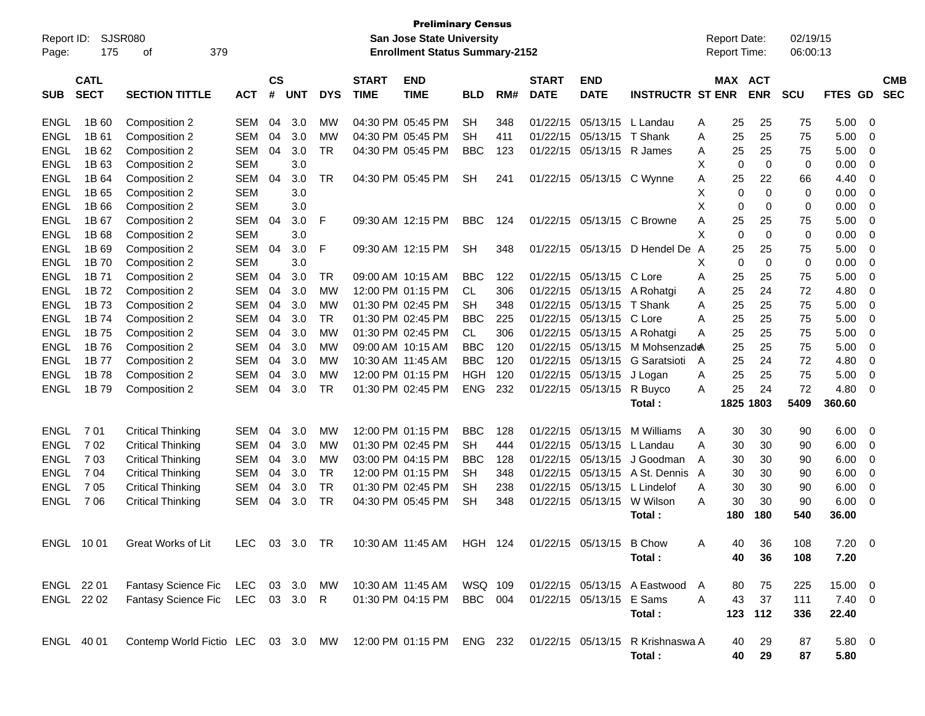| Report ID:<br>Page: | 175                        | <b>SJSR080</b><br>379<br>οf                                                                   |              |                             |            |            |                             | <b>Preliminary Census</b><br>San Jose State University<br><b>Enrollment Status Summary-2152</b> |                |     |                             |                           |                              |   | <b>Report Date:</b><br>Report Time: |             | 02/19/15<br>06:00:13 |                          |          |                          |
|---------------------|----------------------------|-----------------------------------------------------------------------------------------------|--------------|-----------------------------|------------|------------|-----------------------------|-------------------------------------------------------------------------------------------------|----------------|-----|-----------------------------|---------------------------|------------------------------|---|-------------------------------------|-------------|----------------------|--------------------------|----------|--------------------------|
| <b>SUB</b>          | <b>CATL</b><br><b>SECT</b> | <b>SECTION TITTLE</b>                                                                         | <b>ACT</b>   | $\mathsf{cs}$<br>$\pmb{\#}$ | <b>UNT</b> | <b>DYS</b> | <b>START</b><br><b>TIME</b> | <b>END</b><br><b>TIME</b>                                                                       | <b>BLD</b>     | RM# | <b>START</b><br><b>DATE</b> | <b>END</b><br><b>DATE</b> | <b>INSTRUCTR ST ENR</b>      |   | <b>MAX ACT</b>                      | <b>ENR</b>  | <b>SCU</b>           | <b>FTES</b><br><b>GD</b> |          | <b>CMB</b><br><b>SEC</b> |
| <b>ENGL</b>         | 1B 60                      | Composition 2                                                                                 | <b>SEM</b>   | 04                          | 3.0        | МW         |                             | 04:30 PM 05:45 PM                                                                               | <b>SH</b>      | 348 | 01/22/15                    | 05/13/15                  | L Landau                     | A | 25                                  | 25          | 75                   | 5.00                     | $\Omega$ |                          |
| <b>ENGL</b>         | 1B 61                      | Composition 2                                                                                 | <b>SEM</b>   | 04                          | 3.0        | МW         |                             | 04:30 PM 05:45 PM                                                                               | <b>SH</b>      | 411 | 01/22/15                    | 05/13/15 T Shank          |                              | A | 25                                  | 25          | 75                   | 5.00                     | 0        |                          |
| <b>ENGL</b>         | 1B 62                      | Composition 2                                                                                 | <b>SEM</b>   | 04                          | 3.0        | <b>TR</b>  |                             | 04:30 PM 05:45 PM                                                                               | <b>BBC</b>     | 123 | 01/22/15                    | 05/13/15 R James          |                              | A | 25                                  | 25          | 75                   | 5.00                     | 0        |                          |
| <b>ENGL</b>         | 1B 63                      | Composition 2                                                                                 | SEM          |                             | 3.0        |            |                             |                                                                                                 |                |     |                             |                           |                              | X | 0                                   | $\mathbf 0$ | 0                    | 0.00                     | 0        |                          |
| <b>ENGL</b>         | 1B 64                      | Composition 2                                                                                 | <b>SEM</b>   | 04                          | 3.0        | <b>TR</b>  |                             | 04:30 PM 05:45 PM                                                                               | <b>SH</b>      | 241 |                             | 01/22/15 05/13/15 C Wynne |                              | A | 25                                  | 22          | 66                   | 4.40                     | 0        |                          |
| <b>ENGL</b>         | 1B 65                      | Composition 2                                                                                 | <b>SEM</b>   |                             | 3.0        |            |                             |                                                                                                 |                |     |                             |                           |                              | X | $\mathbf 0$                         | $\Omega$    | 0                    | 0.00                     | 0        |                          |
| <b>ENGL</b>         | 1B 66                      | Composition 2                                                                                 | <b>SEM</b>   |                             | 3.0        |            |                             |                                                                                                 |                |     |                             |                           |                              | X | 0                                   | $\Omega$    | 0                    | 0.00                     | 0        |                          |
| <b>ENGL</b>         | 1B 67                      | Composition 2                                                                                 | <b>SEM</b>   | 04                          | 3.0        | F          |                             | 09:30 AM 12:15 PM                                                                               | <b>BBC</b>     | 124 |                             |                           | 01/22/15 05/13/15 C Browne   | Α | 25                                  | 25          | 75                   | 5.00                     | 0        |                          |
| <b>ENGL</b>         | 1B 68                      | Composition 2                                                                                 | <b>SEM</b>   |                             | 3.0        |            |                             |                                                                                                 |                |     |                             |                           |                              | X | $\Omega$                            | $\Omega$    | 0                    | 0.00                     | 0        |                          |
| <b>ENGL</b>         | 1B <sub>69</sub>           | Composition 2                                                                                 | <b>SEM</b>   | 04                          | 3.0        | F          |                             | 09:30 AM 12:15 PM                                                                               | <b>SH</b>      | 348 | 01/22/15                    |                           | 05/13/15 D Hendel De A       |   | 25                                  | 25          | 75                   | 5.00                     | 0        |                          |
| <b>ENGL</b>         | 1B 70                      | Composition 2                                                                                 | <b>SEM</b>   |                             | 3.0        |            |                             |                                                                                                 |                |     |                             |                           |                              | X | $\mathbf 0$                         | $\Omega$    | 0                    | 0.00                     | 0        |                          |
| <b>ENGL</b>         | 1B 71                      | Composition 2                                                                                 | <b>SEM</b>   | 04                          | 3.0        | <b>TR</b>  |                             | 09:00 AM 10:15 AM                                                                               | <b>BBC</b>     | 122 | 01/22/15                    | 05/13/15 C Lore           |                              | A | 25                                  | 25          | 75                   | 5.00                     | 0        |                          |
| <b>ENGL</b>         | 1B 72                      | Composition 2                                                                                 | <b>SEM</b>   | 04                          | 3.0        | <b>MW</b>  |                             | 12:00 PM 01:15 PM                                                                               | <b>CL</b>      | 306 | 01/22/15                    | 05/13/15                  | A Rohatgi                    | A | 25                                  | 24          | 72                   | 4.80                     | 0        |                          |
| <b>ENGL</b>         | 1B 73                      | Composition 2                                                                                 | SEM          | 04                          | 3.0        | МW         |                             | 01:30 PM 02:45 PM                                                                               | <b>SH</b>      | 348 | 01/22/15                    | 05/13/15                  | T Shank                      | A | 25                                  | 25          | 75                   | 5.00                     | 0        |                          |
| <b>ENGL</b>         | 1B 74                      | Composition 2                                                                                 | SEM          | 04                          | 3.0        | <b>TR</b>  |                             | 01:30 PM 02:45 PM                                                                               | <b>BBC</b>     | 225 | 01/22/15                    | 05/13/15                  | C Lore                       | A | 25                                  | 25          | 75                   | 5.00                     | 0        |                          |
| <b>ENGL</b>         | 1B 75                      | Composition 2                                                                                 | <b>SEM</b>   | 04                          | 3.0        | <b>MW</b>  |                             | 01:30 PM 02:45 PM                                                                               | CL.            | 306 | 01/22/15                    | 05/13/15                  | A Rohatgi                    | A | 25                                  | 25          | 75                   | 5.00                     | 0        |                          |
| <b>ENGL</b>         | 1B 76                      | Composition 2                                                                                 | <b>SEM</b>   | 04                          | 3.0        | МW         |                             | 09:00 AM 10:15 AM                                                                               | <b>BBC</b>     | 120 | 01/22/15                    | 05/13/15                  | M Mohsenzad <b>e</b> A       |   | 25                                  | 25          | 75                   | 5.00                     | 0        |                          |
| <b>ENGL</b>         | 1B 77                      | Composition 2                                                                                 | SEM          | 04                          | 3.0        | МW         |                             | 10:30 AM 11:45 AM                                                                               | <b>BBC</b>     | 120 | 01/22/15                    | 05/13/15                  | G Saratsioti                 | A | 25                                  | 24          | 72                   | 4.80                     | 0        |                          |
| <b>ENGL</b>         | 1B 78                      | Composition 2                                                                                 | SEM          | 04                          | 3.0        | МW         |                             | 12:00 PM 01:15 PM                                                                               | <b>HGH</b>     | 120 | 01/22/15                    | 05/13/15                  | J Logan                      | A | 25                                  | 25          | 75                   | 5.00                     | 0        |                          |
| <b>ENGL</b>         | 1B 79                      | Composition 2                                                                                 | <b>SEM</b>   | 04                          | 3.0        | <b>TR</b>  |                             | 01:30 PM 02:45 PM                                                                               | <b>ENG</b>     | 232 | 01/22/15                    | 05/13/15                  | R Buyco                      | A | 25                                  | 24          | 72                   | 4.80                     | $\Omega$ |                          |
|                     |                            |                                                                                               |              |                             |            |            |                             |                                                                                                 |                |     |                             |                           | Total:                       |   |                                     | 1825 1803   | 5409                 | 360.60                   |          |                          |
| <b>ENGL</b>         | 701                        | <b>Critical Thinking</b>                                                                      | <b>SEM</b>   | 04                          | 3.0        | MW         |                             | 12:00 PM 01:15 PM                                                                               | <b>BBC</b>     | 128 | 01/22/15                    | 05/13/15                  | M Williams                   | A | 30                                  | 30          | 90                   | 6.00                     | - 0      |                          |
| <b>ENGL</b>         | 702                        | <b>Critical Thinking</b>                                                                      | <b>SEM</b>   | 04                          | 3.0        | МW         |                             | 01:30 PM 02:45 PM                                                                               | <b>SH</b>      | 444 | 01/22/15                    | 05/13/15                  | L Landau                     | Α | 30                                  | 30          | 90                   | 6.00                     | 0        |                          |
| ENGL                | 703                        | <b>Critical Thinking</b>                                                                      | <b>SEM</b>   | 04                          | 3.0        | МW         |                             | 03:00 PM 04:15 PM                                                                               | BBC            | 128 | 01/22/15                    | 05/13/15                  | J Goodman                    | A | 30                                  | 30          | 90                   | 6.00                     | 0        |                          |
| ENGL                | 704                        | <b>Critical Thinking</b>                                                                      | <b>SEM</b>   | 04                          | 3.0        | <b>TR</b>  |                             | 12:00 PM 01:15 PM                                                                               | SH             | 348 | 01/22/15                    | 05/13/15                  | A St. Dennis A               |   | 30                                  | 30          | 90                   | 6.00                     | 0        |                          |
| ENGL                | 705                        | <b>Critical Thinking</b>                                                                      | <b>SEM</b>   | 04                          | 3.0        | <b>TR</b>  |                             | 01:30 PM 02:45 PM                                                                               | <b>SH</b>      | 238 | 01/22/15                    | 05/13/15                  | L Lindelof                   | A | 30                                  | 30          | 90                   | 6.00                     | 0        |                          |
| <b>ENGL</b>         | 7 0 6                      | <b>Critical Thinking</b>                                                                      | <b>SEM</b>   | 04                          | 3.0        | <b>TR</b>  |                             | 04:30 PM 05:45 PM                                                                               | <b>SH</b>      | 348 | 01/22/15                    | 05/13/15                  | W Wilson                     | A | 30                                  | 30          | 90                   | 6.00                     | 0        |                          |
|                     |                            |                                                                                               |              |                             |            |            |                             |                                                                                                 |                |     |                             |                           | Total:                       |   | 180                                 | 180         | 540                  | 36.00                    |          |                          |
| <b>ENGL 1001</b>    |                            | Great Works of Lit                                                                            |              |                             |            |            |                             | LEC 03 3.0 TR 10:30 AM 11:45 AM HGH 124 01/22/15 05/13/15 B Chow                                |                |     |                             |                           |                              | Α | 40                                  | 36          | 108                  | $7.20 \ 0$               |          |                          |
|                     |                            |                                                                                               |              |                             |            |            |                             |                                                                                                 |                |     |                             |                           | Total:                       |   | 40                                  | 36          | 108                  | 7.20                     |          |                          |
|                     |                            |                                                                                               |              |                             |            |            |                             |                                                                                                 |                |     |                             |                           |                              |   |                                     |             |                      |                          |          |                          |
| ENGL 22 01          |                            | Fantasy Science Fic LEC 03 3.0 MW                                                             |              |                             |            |            |                             | 10:30 AM 11:45 AM                                                                               | WSQ 109        |     |                             |                           | 01/22/15 05/13/15 A Eastwood | A | 80                                  | 75          | 225                  | 15.00 0                  |          |                          |
| ENGL 22 02          |                            | Fantasy Science Fic                                                                           | LEC 03 3.0 R |                             |            |            |                             | 01:30 PM 04:15 PM                                                                               | <b>BBC</b> 004 |     |                             | 01/22/15 05/13/15 E Sams  |                              | A | 43                                  | 37          | 111                  | $7.40 \ 0$               |          |                          |
|                     |                            |                                                                                               |              |                             |            |            |                             |                                                                                                 |                |     |                             |                           | Total:                       |   |                                     | 123 112     | 336                  | 22.40                    |          |                          |
| ENGL 40 01          |                            | Contemp World Fictio LEC 03 3.0 MW 12:00 PM 01:15 PM ENG 232 01/22/15 05/13/15 R Krishnaswa A |              |                             |            |            |                             |                                                                                                 |                |     |                             |                           |                              |   | 40                                  | 29          | 87                   | $5.80\ 0$                |          |                          |
|                     |                            |                                                                                               |              |                             |            |            |                             |                                                                                                 |                |     |                             |                           | Total:                       |   | 40                                  | 29          | 87                   | 5.80                     |          |                          |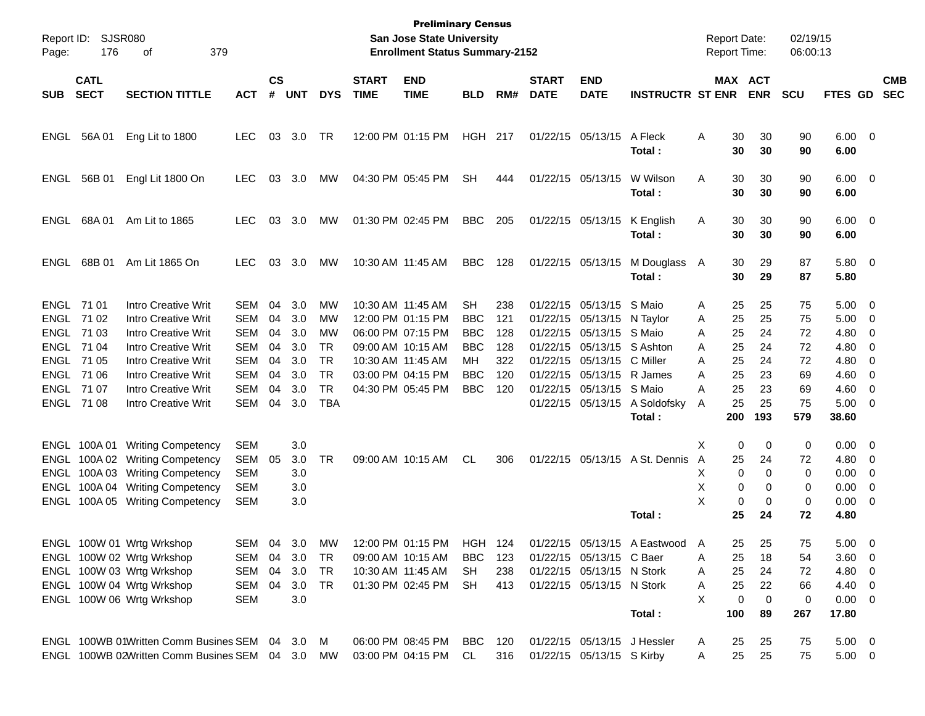| Page:       | Report ID: SJSR080<br>176  | 379<br>οf                                              |            |                    |            |            |                             | <b>Preliminary Census</b><br>San Jose State University<br><b>Enrollment Status Summary-2152</b> |            |            |                             |                                                        |                                |        | Report Date:<br>Report Time: |            | 02/19/15<br>06:00:13 |                        |                         |                          |
|-------------|----------------------------|--------------------------------------------------------|------------|--------------------|------------|------------|-----------------------------|-------------------------------------------------------------------------------------------------|------------|------------|-----------------------------|--------------------------------------------------------|--------------------------------|--------|------------------------------|------------|----------------------|------------------------|-------------------------|--------------------------|
| <b>SUB</b>  | <b>CATL</b><br><b>SECT</b> | <b>SECTION TITTLE</b>                                  | <b>ACT</b> | $\mathsf{cs}$<br># | <b>UNT</b> | <b>DYS</b> | <b>START</b><br><b>TIME</b> | <b>END</b><br><b>TIME</b>                                                                       | <b>BLD</b> | RM#        | <b>START</b><br><b>DATE</b> | <b>END</b><br><b>DATE</b>                              | <b>INSTRUCTR ST ENR</b>        |        | MAX ACT                      | <b>ENR</b> | <b>SCU</b>           | <b>FTES GD</b>         |                         | <b>CMB</b><br><b>SEC</b> |
| ENGL        | 56A 01                     | Eng Lit to 1800                                        | <b>LEC</b> | 03                 | 3.0        | TR         |                             | 12:00 PM 01:15 PM                                                                               | HGH        | 217        |                             | 01/22/15 05/13/15                                      | A Fleck<br>Total :             | Α      | 30<br>30                     | 30<br>30   | 90<br>90             | $6.00 \quad 0$<br>6.00 |                         |                          |
| ENGL        | 56B 01                     | Engl Lit 1800 On                                       | <b>LEC</b> | 03                 | 3.0        | МW         |                             | 04:30 PM 05:45 PM                                                                               | <b>SH</b>  | 444        |                             | 01/22/15 05/13/15                                      | W Wilson<br>Total :            | Α      | 30<br>30                     | 30<br>30   | 90<br>90             | $6.00 \quad 0$<br>6.00 |                         |                          |
| ENGL        | 68A01                      | Am Lit to 1865                                         | <b>LEC</b> | 03                 | 3.0        | МW         |                             | 01:30 PM 02:45 PM                                                                               | <b>BBC</b> | 205        |                             | 01/22/15 05/13/15                                      | K English<br>Total :           | A      | 30<br>30                     | 30<br>30   | 90<br>90             | $6.00 \quad 0$<br>6.00 |                         |                          |
| ENGL        | 68B 01                     | Am Lit 1865 On                                         | <b>LEC</b> | 03                 | 3.0        | МW         | 10:30 AM 11:45 AM           |                                                                                                 | <b>BBC</b> | 128        |                             | 01/22/15 05/13/15                                      | M Douglass A<br>Total:         |        | 30<br>30                     | 29<br>29   | 87<br>87             | 5.80 0<br>5.80         |                         |                          |
| ENGL 71 01  |                            | Intro Creative Writ                                    | <b>SEM</b> | 04                 | 3.0        | MW         | 10:30 AM 11:45 AM           |                                                                                                 | <b>SH</b>  | 238        |                             | 01/22/15 05/13/15 S Maio                               |                                | Α      | 25                           | 25         | 75                   | 5.00                   | $\overline{\mathbf{0}}$ |                          |
| ENGL 71 02  |                            | Intro Creative Writ                                    | <b>SEM</b> | 04                 | 3.0        | MW         |                             | 12:00 PM 01:15 PM                                                                               | <b>BBC</b> | 121        |                             | 01/22/15 05/13/15 N Taylor                             |                                | Α      | 25                           | 25         | 75                   | 5.00                   | $\overline{0}$          |                          |
| ENGL 71 03  |                            | Intro Creative Writ                                    | <b>SEM</b> | 04                 | 3.0        | MW         |                             | 06:00 PM 07:15 PM                                                                               | <b>BBC</b> | 128        |                             | 01/22/15 05/13/15 S Maio                               |                                | A      | 25                           | 24         | 72                   | 4.80                   | 0                       |                          |
| ENGL 71 04  |                            | Intro Creative Writ                                    | <b>SEM</b> | 04                 | 3.0        | <b>TR</b>  |                             | 09:00 AM 10:15 AM                                                                               | <b>BBC</b> | 128        |                             | 01/22/15 05/13/15 S Ashton                             |                                | A      | 25                           | 24         | 72                   | 4.80                   | 0                       |                          |
| ENGL 71 05  |                            | Intro Creative Writ                                    | <b>SEM</b> | 04                 | 3.0        | <b>TR</b>  | 10:30 AM 11:45 AM           |                                                                                                 | MН         | 322        |                             | 01/22/15 05/13/15                                      | C Miller                       | A      | 25                           | 24         | 72                   | 4.80                   | 0                       |                          |
| ENGL 71 06  |                            | Intro Creative Writ                                    | <b>SEM</b> | 04                 | 3.0        | <b>TR</b>  |                             | 03:00 PM 04:15 PM                                                                               | <b>BBC</b> | 120        |                             | 01/22/15 05/13/15 R James                              |                                | A      | 25                           | 23         | 69                   | 4.60                   | 0                       |                          |
| ENGL 71 07  |                            | Intro Creative Writ                                    | <b>SEM</b> | 04                 | 3.0        | <b>TR</b>  |                             | 04:30 PM 05:45 PM                                                                               | <b>BBC</b> | 120        |                             | 01/22/15 05/13/15 S Maio                               |                                | A      | 25                           | 23         | 69                   | 4.60                   | 0                       |                          |
| ENGL 71 08  |                            | Intro Creative Writ                                    | <b>SEM</b> | 04                 | 3.0        | <b>TBA</b> |                             |                                                                                                 |            |            |                             | 01/22/15 05/13/15                                      | A Soldofsky                    | A      | 25                           | 25         | 75                   | 5.00                   | $\overline{0}$          |                          |
|             |                            |                                                        |            |                    |            |            |                             |                                                                                                 |            |            |                             |                                                        | Total :                        |        | 200                          | 193        | 579                  | 38.60                  |                         |                          |
|             | ENGL 100A 01               | <b>Writing Competency</b>                              | <b>SEM</b> |                    | 3.0        |            |                             |                                                                                                 |            |            |                             |                                                        |                                | х      | 0                            | 0          | 0                    | 0.00                   | $\overline{\mathbf{0}}$ |                          |
|             | ENGL 100A02                | <b>Writing Competency</b>                              | <b>SEM</b> | 05                 | 3.0        | TR         |                             | 09:00 AM 10:15 AM                                                                               | CL         | 306        |                             |                                                        | 01/22/15 05/13/15 A St. Dennis | A      | 25                           | 24         | 72                   | 4.80                   | $\overline{0}$          |                          |
|             | ENGL 100A03                | <b>Writing Competency</b>                              | <b>SEM</b> |                    | 3.0        |            |                             |                                                                                                 |            |            |                             |                                                        |                                | X      | 0                            | 0          | 0                    | 0.00                   | 0                       |                          |
|             | ENGL 100A04                | <b>Writing Competency</b>                              | <b>SEM</b> |                    | 3.0        |            |                             |                                                                                                 |            |            |                             |                                                        |                                | X      | 0                            | 0          | 0                    | 0.00                   | 0                       |                          |
|             |                            | ENGL 100A 05 Writing Competency                        | SEM        |                    | 3.0        |            |                             |                                                                                                 |            |            |                             |                                                        |                                | X      | 0                            | 0          | 0                    | 0.00                   | 0                       |                          |
|             |                            |                                                        |            |                    |            |            |                             |                                                                                                 |            |            |                             |                                                        | Total:                         |        | 25                           | 24         | 72                   | 4.80                   |                         |                          |
|             |                            |                                                        |            |                    |            |            |                             |                                                                                                 |            |            |                             |                                                        |                                |        |                              |            |                      |                        |                         |                          |
| <b>ENGL</b> |                            | 100W 01 Wrtg Wrkshop                                   | SEM        |                    | 04 3.0     | MW         |                             | 12:00 PM 01:15 PM                                                                               | HGH 124    |            |                             |                                                        | 01/22/15 05/13/15 A Eastwood A |        | 25.                          | 25         | 75                   | $5.00 \t 0$            |                         |                          |
|             |                            | ENGL 100W 02 Wrtg Wrkshop<br>ENGL 100W 03 Wrtg Wrkshop | SEM 04 3.0 |                    |            | TR         |                             | 09:00 AM 10:15 AM                                                                               | BBC        | 123        |                             | 01/22/15 05/13/15 C Baer                               |                                | Α      | 25                           | 18         | 54                   | $3.60 \ 0$             |                         |                          |
|             |                            | ENGL 100W 04 Wrtg Wrkshop                              | SEM<br>SEM | 04<br>04           | 3.0<br>3.0 | TR<br>TR   |                             | 10:30 AM 11:45 AM<br>01:30 PM 02:45 PM                                                          | SH.<br>SH  | 238<br>413 |                             | 01/22/15 05/13/15 N Stork<br>01/22/15 05/13/15 N Stork |                                | Α<br>Α | 25<br>25                     | 24<br>22   | 72<br>66             | 4.80 0<br>4.40 0       |                         |                          |
|             |                            | ENGL 100W 06 Wrtg Wrkshop                              | <b>SEM</b> |                    | 3.0        |            |                             |                                                                                                 |            |            |                             |                                                        |                                | X      | 0                            | 0          | 0                    | $0.00 \t 0$            |                         |                          |
|             |                            |                                                        |            |                    |            |            |                             |                                                                                                 |            |            |                             |                                                        | Total:                         |        | 100                          | 89         | 267                  | 17.80                  |                         |                          |
|             |                            |                                                        |            |                    |            |            |                             |                                                                                                 |            |            |                             |                                                        |                                |        |                              |            |                      |                        |                         |                          |
|             |                            | ENGL 100WB 01Written Comm Busines SEM 04 3.0 M         |            |                    |            |            |                             | 06:00 PM 08:45 PM                                                                               | BBC        | 120        |                             | 01/22/15 05/13/15 J Hessler                            |                                | A      | 25                           | 25         | 75                   | $5.00 \t 0$            |                         |                          |
|             |                            | ENGL 100WB 02Written Comm Busines SEM 04 3.0 MW        |            |                    |            |            |                             | 03:00 PM 04:15 PM                                                                               | CL         | 316        |                             | 01/22/15 05/13/15 S Kirby                              |                                | A      | 25                           | 25         | 75                   | $5.00 \t 0$            |                         |                          |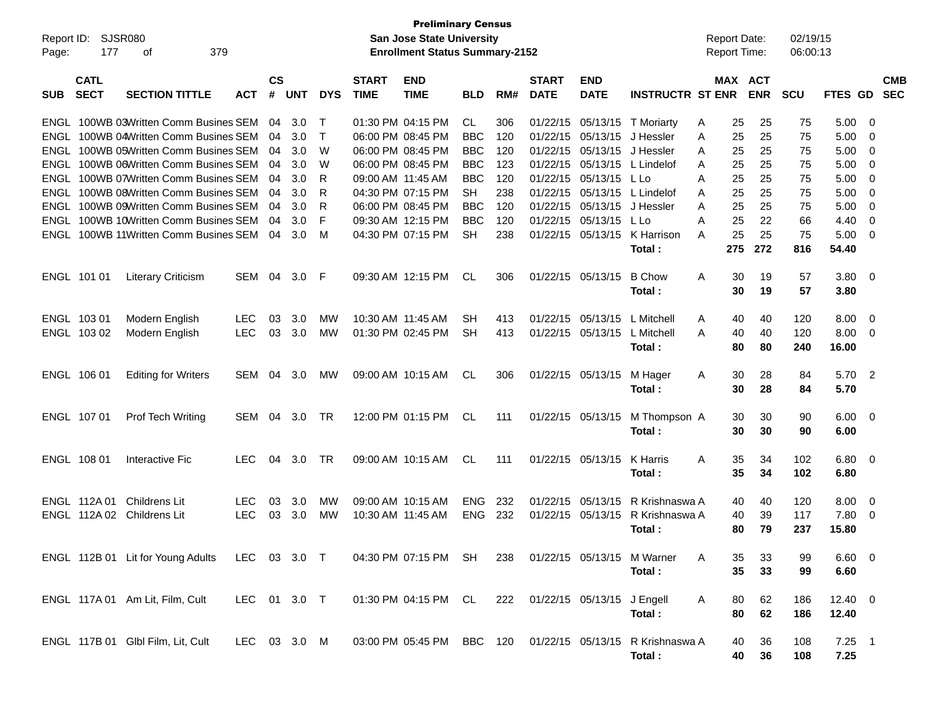| Report ID:<br>Page: | 177                          | <b>SJSR080</b><br>379<br>οf                                               |                          |                |            |            |                             | <b>Preliminary Census</b><br>San Jose State University<br><b>Enrollment Status Summary-2152</b> |                          |            |                             |                                |                                            | <b>Report Date:</b><br>Report Time: |                |                       | 02/19/15<br>06:00:13 |                        |                          |                          |
|---------------------|------------------------------|---------------------------------------------------------------------------|--------------------------|----------------|------------|------------|-----------------------------|-------------------------------------------------------------------------------------------------|--------------------------|------------|-----------------------------|--------------------------------|--------------------------------------------|-------------------------------------|----------------|-----------------------|----------------------|------------------------|--------------------------|--------------------------|
| SUB                 | <b>CATL</b><br><b>SECT</b>   | <b>SECTION TITTLE</b>                                                     | <b>ACT</b>               | <b>CS</b><br># | <b>UNT</b> | <b>DYS</b> | <b>START</b><br><b>TIME</b> | <b>END</b><br><b>TIME</b>                                                                       | <b>BLD</b>               | RM#        | <b>START</b><br><b>DATE</b> | <b>END</b><br><b>DATE</b>      | <b>INSTRUCTR ST ENR</b>                    |                                     |                | MAX ACT<br><b>ENR</b> | <b>SCU</b>           | <b>FTES GD</b>         |                          | <b>CMB</b><br><b>SEC</b> |
| ENGL                |                              | ENGL 100WB 03Written Comm Busines SEM<br>100WB 04Written Comm Busines SEM |                          | 04<br>04       | 3.0<br>3.0 | т<br>т     |                             | 01:30 PM 04:15 PM<br>06:00 PM 08:45 PM                                                          | CL.<br><b>BBC</b>        | 306<br>120 | 01/22/15<br>01/22/15        | 05/13/15<br>05/13/15           | T Moriarty<br>J Hessler                    | Α<br>A                              | 25<br>25       | 25<br>25              | 75<br>75             | 5.00<br>5.00           | - 0<br>0                 |                          |
| ENGL                |                              | 100WB 05Written Comm Busines SEM                                          |                          | 04             | 3.0        | W          |                             | 06:00 PM 08:45 PM                                                                               | <b>BBC</b>               | 120        | 01/22/15                    | 05/13/15                       | J Hessler                                  | A                                   | 25             | 25                    | 75                   | 5.00                   | 0                        |                          |
| ENGL                |                              | 100WB 06Written Comm Busines SEM                                          |                          | 04             | 3.0        | W          |                             | 06:00 PM 08:45 PM                                                                               | <b>BBC</b>               | 123        | 01/22/15                    | 05/13/15                       | L Lindelof                                 | A                                   | 25             | 25                    | 75                   | 5.00                   | 0                        |                          |
| ENGL                |                              | 100WB 07Written Comm Busines SEM                                          |                          | 04             | 3.0        | R          | 09:00 AM 11:45 AM           |                                                                                                 | <b>BBC</b>               | 120        | 01/22/15                    | 05/13/15                       | L Lo                                       | A                                   | 25             | 25                    | 75                   | 5.00                   | 0                        |                          |
| ENGL                |                              | 100WB 08Written Comm Busines SEM                                          |                          | 04             | 3.0        | R          |                             | 04:30 PM 07:15 PM                                                                               | <b>SH</b>                | 238        | 01/22/15                    | 05/13/15                       | L Lindelof                                 | A                                   | 25             | 25                    | 75                   | 5.00                   | 0                        |                          |
| ENGL                |                              | 100WB 09Written Comm Busines SEM                                          |                          | 04             | 3.0        | R          |                             | 06:00 PM 08:45 PM                                                                               | <b>BBC</b>               | 120        | 01/22/15                    | 05/13/15                       | J Hessler                                  | A                                   | 25             | 25                    | 75                   | 5.00                   | 0                        |                          |
| ENGL                |                              | 100WB 10Written Comm Busines SEM                                          |                          | 04             | 3.0        | F          |                             | 09:30 AM 12:15 PM                                                                               | <b>BBC</b>               | 120        | 01/22/15                    | 05/13/15                       | L Lo                                       | Α                                   | 25             | 22                    | 66                   | 4.40                   | 0                        |                          |
|                     |                              | ENGL 100WB 11Written Comm Busines SEM                                     |                          | 04             | 3.0        | M          |                             | 04:30 PM 07:15 PM                                                                               | <b>SH</b>                | 238        | 01/22/15                    | 05/13/15                       | K Harrison                                 | A                                   | 25             | 25                    | 75                   | 5.00                   | - 0                      |                          |
|                     |                              |                                                                           |                          |                |            |            |                             |                                                                                                 |                          |            |                             |                                | Total:                                     |                                     | 275            | 272                   | 816                  | 54.40                  |                          |                          |
|                     | ENGL 101 01                  | <b>Literary Criticism</b>                                                 | SEM                      | 04             | 3.0        | F          |                             | 09:30 AM 12:15 PM                                                                               | CL                       | 306        | 01/22/15                    | 05/13/15                       | <b>B</b> Chow<br>Total:                    | A                                   | 30<br>30       | 19<br>19              | 57<br>57             | 3.80<br>3.80           | - 0                      |                          |
|                     | ENGL 103 01                  | Modern English                                                            | <b>LEC</b>               | 03             | 3.0        | MW         | 10:30 AM 11:45 AM           |                                                                                                 | <b>SH</b>                | 413        | 01/22/15                    | 05/13/15                       | L Mitchell                                 | A                                   | 40             | 40                    | 120                  | 8.00                   | - 0                      |                          |
|                     | ENGL 103 02                  | Modern English                                                            | <b>LEC</b>               | 03             | 3.0        | <b>MW</b>  |                             | 01:30 PM 02:45 PM                                                                               | <b>SH</b>                | 413        |                             | 01/22/15 05/13/15              | L Mitchell                                 | A                                   | 40             | 40                    | 120                  | 8.00                   | - 0                      |                          |
|                     |                              |                                                                           |                          |                |            |            |                             |                                                                                                 |                          |            |                             |                                | Total:                                     |                                     | 80             | 80                    | 240                  | 16.00                  |                          |                          |
|                     | ENGL 106 01                  | <b>Editing for Writers</b>                                                | SEM                      | 04             | 3.0        | <b>MW</b>  |                             | 09:00 AM 10:15 AM                                                                               | CL                       | 306        |                             | 01/22/15 05/13/15              | M Hager<br>Total:                          | A                                   | 30<br>30       | 28<br>28              | 84<br>84             | 5.70<br>5.70           | $\overline{\phantom{a}}$ |                          |
|                     | ENGL 107 01                  | <b>Prof Tech Writing</b>                                                  | SEM                      | 04             | 3.0        | TR         |                             | 12:00 PM 01:15 PM                                                                               | CL                       | 111        |                             | 01/22/15 05/13/15              | M Thompson A<br>Total:                     |                                     | 30<br>30       | 30<br>30              | 90<br>90             | $6.00 \quad 0$<br>6.00 |                          |                          |
|                     | ENGL 108 01                  | Interactive Fic                                                           | <b>LEC</b>               | 04             | 3.0        | TR         |                             | 09:00 AM 10:15 AM                                                                               | CL                       | 111        |                             | 01/22/15 05/13/15              | K Harris<br>Total:                         | A                                   | 35<br>35       | 34<br>34              | 102<br>102           | $6.80\quad 0$<br>6.80  |                          |                          |
|                     | ENGL 112A 01<br>ENGL 112A 02 | Childrens Lit<br><b>Childrens Lit</b>                                     | <b>LEC</b><br><b>LEC</b> | 03<br>03       | 3.0<br>3.0 | МW<br>MW   | 10:30 AM 11:45 AM           | 09:00 AM 10:15 AM                                                                               | <b>ENG</b><br><b>ENG</b> | 232<br>232 | 01/22/15<br>01/22/15        | 05/13/15<br>05/13/15           | R Krishnaswa A<br>R Krishnaswa A<br>Total: |                                     | 40<br>40<br>80 | 40<br>39<br>79        | 120<br>117<br>237    | 8.00<br>7.80<br>15.80  | - 0<br>- 0               |                          |
|                     |                              | ENGL 112B 01 Lit for Young Adults                                         | LEC 03 3.0 T             |                |            |            |                             | 04:30 PM 07:15 PM SH                                                                            |                          | 238        |                             |                                | 01/22/15 05/13/15 M Warner<br>Total:       | A                                   | 35<br>35       | 33<br>33              | 99<br>99             | $6.60$ 0<br>6.60       |                          |                          |
|                     |                              | ENGL 117A 01 Am Lit, Film, Cult                                           | LEC 01 3.0 T             |                |            |            |                             | 01:30 PM 04:15 PM CL                                                                            |                          |            |                             | 222 01/22/15 05/13/15 J Engell | Total:                                     | A                                   | 80<br>80       | 62<br>62              | 186<br>186           | 12.40 0<br>12.40       |                          |                          |
|                     |                              | ENGL 117B 01 Glbl Film, Lit, Cult                                         | LEC 03 3.0 M             |                |            |            |                             | 03:00 PM 05:45 PM                                                                               | BBC 120                  |            | 01/22/15 05/13/15           |                                | R Krishnaswa A<br>Total:                   |                                     | 40<br>40       | 36<br>36              | 108<br>108           | $7.25$ 1<br>7.25       |                          |                          |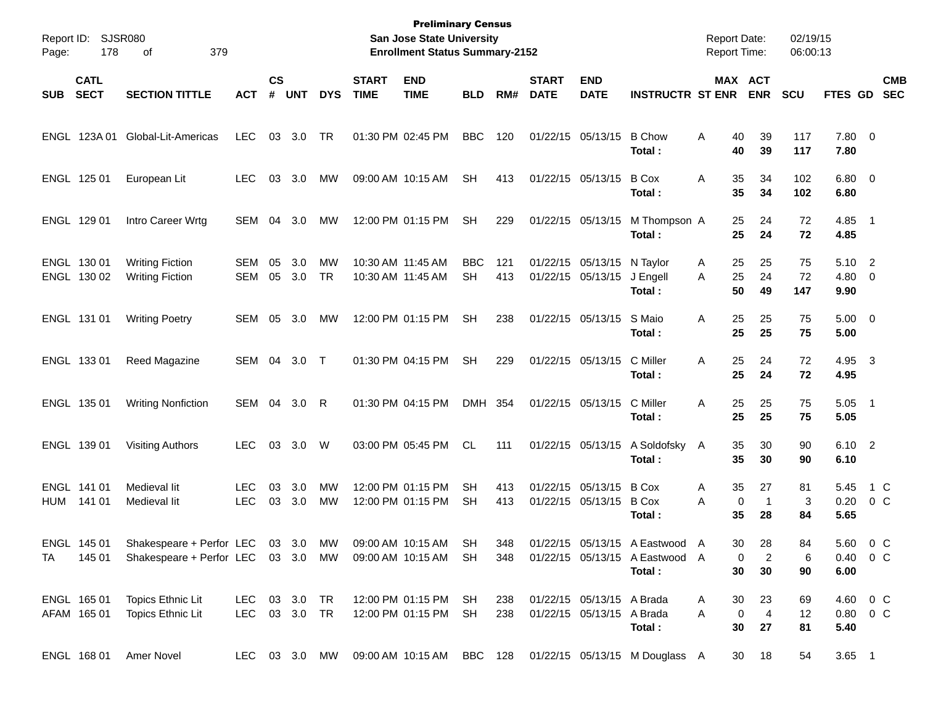| Report ID:<br>Page:        | 178                        | <b>SJSR080</b><br>379<br>оf                                                                   |                                |                    |            |                        |                             | <b>Preliminary Census</b><br>San Jose State University<br><b>Enrollment Status Summary-2152</b> |                         |            |                             |                                                        |                                                                            | <b>Report Date:</b><br><b>Report Time:</b> |                                 | 02/19/15<br>06:00:13 |                        |                                    |                          |
|----------------------------|----------------------------|-----------------------------------------------------------------------------------------------|--------------------------------|--------------------|------------|------------------------|-----------------------------|-------------------------------------------------------------------------------------------------|-------------------------|------------|-----------------------------|--------------------------------------------------------|----------------------------------------------------------------------------|--------------------------------------------|---------------------------------|----------------------|------------------------|------------------------------------|--------------------------|
| <b>SUB</b>                 | <b>CATL</b><br><b>SECT</b> | <b>SECTION TITTLE</b>                                                                         | <b>ACT</b>                     | $\mathsf{cs}$<br># | <b>UNT</b> | <b>DYS</b>             | <b>START</b><br><b>TIME</b> | <b>END</b><br><b>TIME</b>                                                                       | <b>BLD</b>              | RM#        | <b>START</b><br><b>DATE</b> | <b>END</b><br><b>DATE</b>                              | <b>INSTRUCTR ST ENR</b>                                                    |                                            | MAX ACT<br><b>ENR</b>           | <b>SCU</b>           | FTES GD                |                                    | <b>CMB</b><br><b>SEC</b> |
| ENGL 123A 01               |                            | Global-Lit-Americas                                                                           | <b>LEC</b>                     | 03                 | 3.0        | TR                     | 01:30 PM 02:45 PM           |                                                                                                 | <b>BBC</b>              | 120        |                             | 01/22/15 05/13/15                                      | <b>B</b> Chow<br>Total:                                                    | Α<br>40<br>40                              | 39<br>39                        | 117<br>117           | 7.80 0<br>7.80         |                                    |                          |
| ENGL 125 01                |                            | European Lit                                                                                  | <b>LEC</b>                     | 03                 | 3.0        | МW                     |                             | 09:00 AM 10:15 AM                                                                               | SН                      | 413        | 01/22/15 05/13/15           |                                                        | <b>B</b> Cox<br>Total:                                                     | Α<br>35<br>35                              | 34<br>34                        | 102<br>102           | $6.80$ 0<br>6.80       |                                    |                          |
| ENGL 129 01                |                            | Intro Career Wrtg                                                                             | SEM                            | 04                 | 3.0        | МW                     |                             | 12:00 PM 01:15 PM                                                                               | <b>SH</b>               | 229        |                             | 01/22/15 05/13/15                                      | M Thompson A<br>Total:                                                     | 25<br>25                                   | 24<br>24                        | 72<br>72             | 4.85<br>4.85           | $\overline{\phantom{1}}$           |                          |
| ENGL 130 01<br>ENGL 130 02 |                            | <b>Writing Fiction</b><br><b>Writing Fiction</b>                                              | <b>SEM</b><br><b>SEM</b>       | 05<br>05           | 3.0<br>3.0 | MW<br><b>TR</b>        | 10:30 AM 11:45 AM           | 10:30 AM 11:45 AM                                                                               | <b>BBC</b><br><b>SH</b> | 121<br>413 | 01/22/15 05/13/15           | 01/22/15 05/13/15                                      | N Taylor<br>J Engell<br>Total:                                             | A<br>25<br>25<br>A<br>50                   | 25<br>24<br>49                  | 75<br>72<br>147      | 5.10 2<br>4.80<br>9.90 | $\overline{\phantom{0}}$           |                          |
| ENGL 131 01                |                            | <b>Writing Poetry</b>                                                                         | <b>SEM</b>                     | 05                 | 3.0        | MW                     |                             | 12:00 PM 01:15 PM                                                                               | <b>SH</b>               | 238        |                             | 01/22/15 05/13/15                                      | S Maio<br>Total:                                                           | Α<br>25<br>25                              | 25<br>25                        | 75<br>75             | $5.00 \t 0$<br>5.00    |                                    |                          |
| ENGL 133 01                |                            | Reed Magazine                                                                                 | SEM                            | 04                 | 3.0        | $\top$                 |                             | 01:30 PM 04:15 PM                                                                               | <b>SH</b>               | 229        |                             | 01/22/15 05/13/15                                      | C Miller<br>Total:                                                         | Α<br>25<br>25                              | 24<br>24                        | 72<br>72             | 4.95 3<br>4.95         |                                    |                          |
| ENGL 135 01                |                            | <b>Writing Nonfiction</b>                                                                     | SEM                            | 04                 | 3.0        | R                      |                             | 01:30 PM 04:15 PM                                                                               | DMH 354                 |            |                             | 01/22/15 05/13/15                                      | C Miller<br>Total:                                                         | Α<br>25<br>25                              | 25<br>25                        | 75<br>75             | 5.05<br>5.05           | $\overline{\phantom{0}}$           |                          |
| ENGL 139 01                |                            | <b>Visiting Authors</b>                                                                       | LEC.                           | 03                 | 3.0        | W                      |                             | 03:00 PM 05:45 PM                                                                               | CL.                     | 111        |                             | 01/22/15 05/13/15                                      | A Soldofsky<br>Total:                                                      | 35<br>A<br>35                              | 30<br>30                        | 90<br>90             | 6.10 2<br>6.10         |                                    |                          |
| ENGL 141 01<br><b>HUM</b>  | 141 01                     | Medieval lit<br>Medieval lit                                                                  | <b>LEC</b><br><b>LEC</b>       | 03<br>03           | 3.0<br>3.0 | <b>MW</b><br><b>MW</b> |                             | 12:00 PM 01:15 PM<br>12:00 PM 01:15 PM                                                          | <b>SH</b><br><b>SH</b>  | 413<br>413 |                             | 01/22/15 05/13/15<br>01/22/15 05/13/15                 | <b>B</b> Cox<br><b>B</b> Cox<br>Total:                                     | Α<br>35<br>A<br>35                         | 27<br>0<br>$\mathbf{1}$<br>28   | 81<br>3<br>84        | 5.45<br>0.20<br>5.65   | 1 C<br>0 C                         |                          |
| ENGL<br>TA                 | 145 01<br>145 01           | Shakespeare + Perfor LEC 03 3.0 MW<br>Shakespeare + Perfor LEC 03 3.0 MW 09:00 AM 10:15 AM SH |                                |                    |            |                        |                             | 09:00 AM 10:15 AM                                                                               | <b>SH</b>               | 348<br>348 |                             |                                                        | 01/22/15 05/13/15 A Fastwood A<br>01/22/15 05/13/15 A Eastwood A<br>Total: | 30<br>30                                   | 28<br>$\overline{c}$<br>0<br>30 | 84<br>6<br>90        | 6.00                   | 5.60 0 C<br>$0.40 \quad 0 \quad C$ |                          |
| ENGL 165 01<br>AFAM 165 01 |                            | Topics Ethnic Lit<br>Topics Ethnic Lit                                                        | LEC 03 3.0 TR<br>LEC 03 3.0 TR |                    |            |                        |                             | 12:00 PM 01:15 PM<br>12:00 PM 01:15 PM                                                          | SH<br>SH                | 238<br>238 |                             | 01/22/15 05/13/15 A Brada<br>01/22/15 05/13/15 A Brada | Total:                                                                     | 30<br>A<br>$\mathbf 0$<br>Α<br>30          | 23<br>$\overline{4}$<br>27      | 69<br>12<br>81       | 5.40                   | 4.60 0 C<br>$0.80 \t 0 \t C$       |                          |
| ENGL 168 01                |                            | Amer Novel                                                                                    |                                |                    |            | LEC 03 3.0 MW          |                             | 09:00 AM 10:15 AM BBC 128                                                                       |                         |            |                             |                                                        | 01/22/15 05/13/15 M Douglass A                                             |                                            | 30<br>18                        | 54                   | $3.65$ 1               |                                    |                          |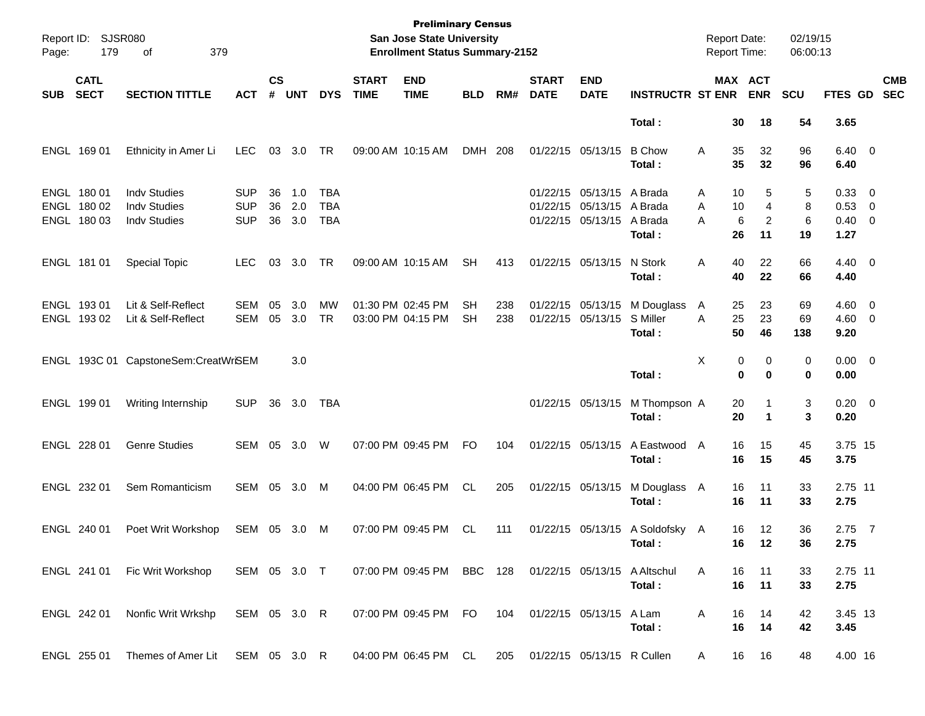| Page:      | Report ID: SJSR080<br>179                 | 379<br>οf                                                         |                                        |                    |                   |                                 |                             | <b>Preliminary Census</b><br>San Jose State University<br><b>Enrollment Status Summary-2152</b> |                 |            |                             |                                                                     |                                           | <b>Report Date:</b><br>Report Time: |                     |                                | 02/19/15<br>06:00:13 |                                        |                          |
|------------|-------------------------------------------|-------------------------------------------------------------------|----------------------------------------|--------------------|-------------------|---------------------------------|-----------------------------|-------------------------------------------------------------------------------------------------|-----------------|------------|-----------------------------|---------------------------------------------------------------------|-------------------------------------------|-------------------------------------|---------------------|--------------------------------|----------------------|----------------------------------------|--------------------------|
| <b>SUB</b> | <b>CATL</b><br><b>SECT</b>                | <b>SECTION TITTLE</b>                                             | <b>ACT</b>                             | $\mathsf{cs}$<br># | <b>UNT</b>        | <b>DYS</b>                      | <b>START</b><br><b>TIME</b> | <b>END</b><br><b>TIME</b>                                                                       | <b>BLD</b>      | RM#        | <b>START</b><br><b>DATE</b> | <b>END</b><br><b>DATE</b>                                           | <b>INSTRUCTR ST ENR</b>                   |                                     |                     | MAX ACT<br><b>ENR</b>          | <b>SCU</b>           | FTES GD                                | <b>CMB</b><br><b>SEC</b> |
|            |                                           |                                                                   |                                        |                    |                   |                                 |                             |                                                                                                 |                 |            |                             |                                                                     | Total:                                    |                                     | 30                  | 18                             | 54                   | 3.65                                   |                          |
|            | ENGL 169 01                               | Ethnicity in Amer Li                                              | <b>LEC</b>                             | 03                 | 3.0               | TR                              | 09:00 AM 10:15 AM           |                                                                                                 | DMH 208         |            |                             | 01/22/15 05/13/15                                                   | <b>B</b> Chow<br>Total :                  | Α                                   | 35<br>35            | 32<br>32                       | 96<br>96             | $6.40 \quad 0$<br>6.40                 |                          |
|            | ENGL 180 01<br>ENGL 180 02<br>ENGL 180 03 | <b>Indv Studies</b><br><b>Indv Studies</b><br><b>Indv Studies</b> | <b>SUP</b><br><b>SUP</b><br><b>SUP</b> | 36<br>36<br>36     | 1.0<br>2.0<br>3.0 | TBA<br><b>TBA</b><br><b>TBA</b> |                             |                                                                                                 |                 |            |                             | 01/22/15 05/13/15<br>01/22/15 05/13/15 A Brada<br>01/22/15 05/13/15 | A Brada<br>A Brada<br>Total:              | Α<br>A<br>A                         | 10<br>10<br>6<br>26 | 5<br>$\overline{4}$<br>2<br>11 | 5<br>8<br>6<br>19    | 0.33 0<br>0.53 0<br>$0.40 \ 0$<br>1.27 |                          |
|            | ENGL 181 01                               | <b>Special Topic</b>                                              | <b>LEC</b>                             | 03                 | 3.0               | TR                              | 09:00 AM 10:15 AM           |                                                                                                 | <b>SH</b>       | 413        |                             | 01/22/15 05/13/15                                                   | N Stork<br>Total:                         | Α                                   | 40<br>40            | 22<br>22                       | 66<br>66             | $4.40 \quad 0$<br>4.40                 |                          |
|            | ENGL 193 01<br>ENGL 193 02                | Lit & Self-Reflect<br>Lit & Self-Reflect                          | <b>SEM</b><br><b>SEM</b>               | 05<br>05           | 3.0<br>3.0        | <b>MW</b><br><b>TR</b>          |                             | 01:30 PM 02:45 PM<br>03:00 PM 04:15 PM                                                          | SH<br><b>SH</b> | 238<br>238 |                             | 01/22/15 05/13/15<br>01/22/15 05/13/15                              | M Douglass<br>S Miller<br>Total :         | A<br>A                              | 25<br>25<br>50      | 23<br>23<br>46                 | 69<br>69<br>138      | $4.60$ 0<br>$4.60$ 0<br>9.20           |                          |
|            |                                           | ENGL 193C 01 CapstoneSem:CreatWrSEM                               |                                        |                    | 3.0               |                                 |                             |                                                                                                 |                 |            |                             |                                                                     | Total:                                    | Χ                                   | 0<br>$\bf{0}$       | 0<br>$\bf{0}$                  | 0<br>0               | $0.00 \t 0$<br>0.00                    |                          |
|            | ENGL 199 01                               | Writing Internship                                                | <b>SUP</b>                             | 36                 | 3.0               | TBA                             |                             |                                                                                                 |                 |            |                             | 01/22/15 05/13/15                                                   | M Thompson A<br>Total:                    |                                     | 20<br>20            | 1<br>$\mathbf 1$               | 3<br>3               | $0.20 \ 0$<br>0.20                     |                          |
|            | ENGL 228 01                               | <b>Genre Studies</b>                                              | SEM                                    |                    | 05 3.0            | W                               |                             | 07:00 PM 09:45 PM                                                                               | <b>FO</b>       | 104        |                             | 01/22/15 05/13/15                                                   | A Eastwood A<br>Total:                    |                                     | 16<br>16            | 15<br>15                       | 45<br>45             | 3.75 15<br>3.75                        |                          |
|            | ENGL 232 01                               | Sem Romanticism                                                   | SEM                                    |                    | 05 3.0            | M                               |                             | 04:00 PM 06:45 PM                                                                               | CL              | 205        |                             | 01/22/15 05/13/15                                                   | M Douglass A<br>Total:                    |                                     | 16<br>16            | 11<br>11                       | 33<br>33             | 2.75 11<br>2.75                        |                          |
|            | ENGL 240 01                               | Poet Writ Workshop                                                | SEM 05 3.0                             |                    |                   | M                               |                             | 07:00 PM 09:45 PM                                                                               | CL              | 111        |                             |                                                                     | 01/22/15 05/13/15 A Soldofsky A<br>Total: |                                     | 16<br>16.           | 12<br>12                       | 36<br>36             | $2.75$ 7<br>2.75                       |                          |
|            |                                           | ENGL 241 01 Fic Writ Workshop                                     | SEM 05 3.0 T                           |                    |                   |                                 |                             | 07:00 PM 09:45 PM BBC 128 01/22/15 05/13/15 A Altschul                                          |                 |            |                             |                                                                     | Total:                                    | A                                   | 16<br>16            | 11<br>11                       | 33<br>33             | 2.75 11<br>2.75                        |                          |
|            | ENGL 242 01                               | Nonfic Writ Wrkshp                                                | SEM 05 3.0 R                           |                    |                   |                                 |                             | 07:00 PM 09:45 PM FO                                                                            |                 | 104        |                             | 01/22/15 05/13/15 A Lam                                             | Total:                                    | A                                   | 16<br>16            | 14<br>14                       | 42<br>42             | 3.45 13<br>3.45                        |                          |
|            | ENGL 255 01                               | Themes of Amer Lit SEM 05 3.0 R                                   |                                        |                    |                   |                                 |                             | 04:00 PM 06:45 PM CL                                                                            |                 |            |                             | 205 01/22/15 05/13/15 R Cullen                                      |                                           | A                                   | 16                  | 16                             | 48                   | 4.00 16                                |                          |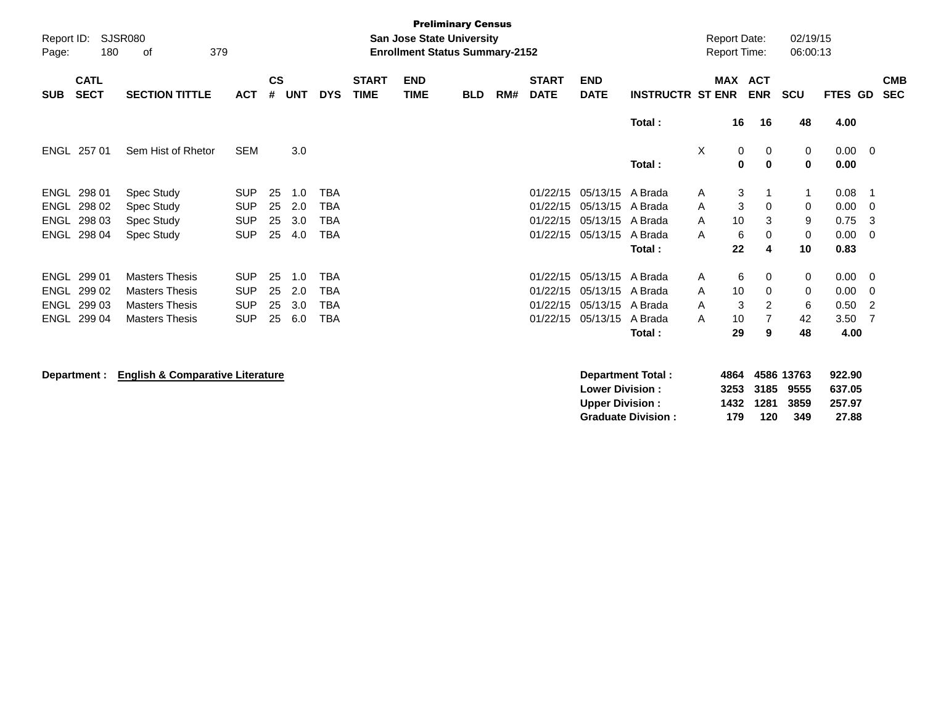| Report ID:<br>Page: | <b>Preliminary Census</b><br>SJSR080<br><b>San Jose State University</b><br>379<br><b>Enrollment Status Summary-2152</b><br>180<br>οf |                       |            |           |       |            |                             |                           |            |     |                             |                           |                         |          | <b>Report Date:</b><br><b>Report Time:</b> |                          | 02/19/15<br>06:00:13 |         |                         |                          |
|---------------------|---------------------------------------------------------------------------------------------------------------------------------------|-----------------------|------------|-----------|-------|------------|-----------------------------|---------------------------|------------|-----|-----------------------------|---------------------------|-------------------------|----------|--------------------------------------------|--------------------------|----------------------|---------|-------------------------|--------------------------|
| <b>SUB</b>          | <b>CATL</b><br><b>SECT</b>                                                                                                            | <b>SECTION TITTLE</b> | <b>ACT</b> | <b>CS</b> | # UNT | <b>DYS</b> | <b>START</b><br><b>TIME</b> | <b>END</b><br><b>TIME</b> | <b>BLD</b> | RM# | <b>START</b><br><b>DATE</b> | <b>END</b><br><b>DATE</b> | <b>INSTRUCTR ST ENR</b> |          | <b>MAX</b>                                 | <b>ACT</b><br><b>ENR</b> | <b>SCU</b>           | FTES GD |                         | <b>CMB</b><br><b>SEC</b> |
|                     |                                                                                                                                       |                       |            |           |       |            |                             |                           |            |     |                             |                           | Total:                  |          | 16                                         | 16                       | 48                   | 4.00    |                         |                          |
|                     | ENGL 257 01                                                                                                                           | Sem Hist of Rhetor    | <b>SEM</b> |           | 3.0   |            |                             |                           |            |     |                             |                           |                         | $\times$ | 0                                          | 0                        | $\mathbf 0$          | 0.00    | $\overline{\mathbf{0}}$ |                          |
|                     |                                                                                                                                       |                       |            |           |       |            |                             |                           |            |     |                             |                           | Total:                  |          | $\mathbf 0$                                | $\mathbf 0$              | 0                    | 0.00    |                         |                          |
| ENGL                | 298 01                                                                                                                                | Spec Study            | <b>SUP</b> | 25        | 1.0   | TBA        |                             |                           |            |     | 01/22/15                    | 05/13/15 A Brada          |                         | A        | 3                                          |                          |                      | 0.08    | -1                      |                          |
| ENGL                | 298 02                                                                                                                                | Spec Study            | <b>SUP</b> | 25        | 2.0   | TBA        |                             |                           |            |     | 01/22/15                    | 05/13/15                  | A Brada                 | A        | $\mathbf{3}$                               | $\mathbf 0$              | 0                    | 0.00    | $\mathbf 0$             |                          |
| <b>ENGL</b>         | 298 03                                                                                                                                | Spec Study            | <b>SUP</b> | 25        | 3.0   | TBA        |                             |                           |            |     | 01/22/15                    | 05/13/15 A Brada          |                         | A        | 10                                         | 3                        | 9                    | 0.75    | 3                       |                          |
|                     | ENGL 298 04                                                                                                                           | Spec Study            | <b>SUP</b> | 25        | 4.0   | TBA        |                             |                           |            |     | 01/22/15                    | 05/13/15                  | A Brada                 | A        | 6                                          | 0                        | 0                    | 0.00    | - 0                     |                          |
|                     |                                                                                                                                       |                       |            |           |       |            |                             |                           |            |     |                             |                           | Total:                  |          | 22                                         | 4                        | 10                   | 0.83    |                         |                          |
| ENGL                | 299 01                                                                                                                                | <b>Masters Thesis</b> | <b>SUP</b> | 25        | 1.0   | TBA        |                             |                           |            |     | 01/22/15                    | 05/13/15 A Brada          |                         | A        | 6                                          | 0                        | 0                    | 0.00    | $\overline{\mathbf{0}}$ |                          |
| ENGL                | 299 02                                                                                                                                | <b>Masters Thesis</b> | <b>SUP</b> | 25        | 2.0   | TBA        |                             |                           |            |     | 01/22/15                    | 05/13/15 A Brada          |                         | A        | 10                                         | $\Omega$                 | 0                    | 0.00    | $\Omega$                |                          |
| ENGL                | 299 03                                                                                                                                | <b>Masters Thesis</b> | <b>SUP</b> | 25        | 3.0   | TBA        |                             |                           |            |     | 01/22/15                    | 05/13/15                  | A Brada                 | A        | 3                                          | 2                        | 6                    | 0.50    | 2                       |                          |
|                     | ENGL 299 04                                                                                                                           | <b>Masters Thesis</b> | <b>SUP</b> | 25        | 6.0   | TBA        |                             |                           |            |     | 01/22/15                    | 05/13/15                  | A Brada                 | A        | 10                                         | 7                        | 42                   | 3.50    | - 7                     |                          |
|                     |                                                                                                                                       |                       |            |           |       |            |                             |                           |            |     |                             |                           | Total:                  |          | 29                                         | 9                        | 48                   | 4.00    |                         |                          |
|                     |                                                                                                                                       |                       |            |           |       |            |                             |                           |            |     |                             |                           |                         |          |                                            |                          |                      |         |                         |                          |

**Department : English & Comparative Literature Department Total : 4864 4586 13763 922.90 Lower Division : 3253 3185 9555 637.05 Upper Division : 1432 1281 3859 257.97 Graduate Division : 179 120 349 27.88**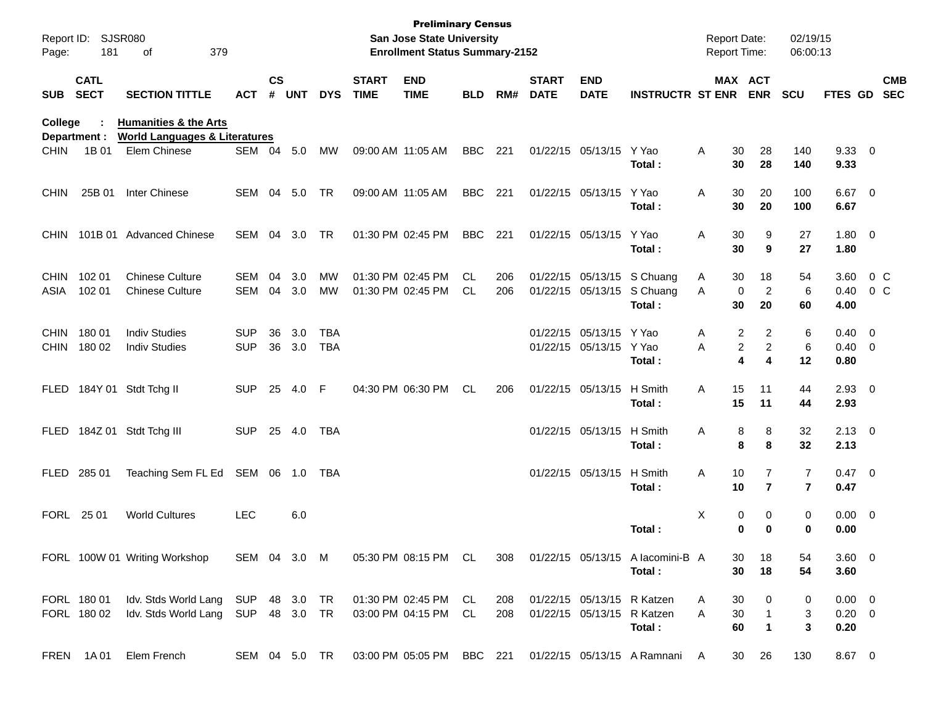| Report ID:<br>Page:        | 181                        | <b>SJSR080</b><br>379<br>оf                                                  |                          |                    |            |                          |                             | <b>Preliminary Census</b><br><b>San Jose State University</b><br><b>Enrollment Status Summary-2152</b> |            |            |                             |                                                          |                                                                    | <b>Report Date:</b><br><b>Report Time:</b> |                                         | 02/19/15<br>06:00:13             |                                    |                          |                          |
|----------------------------|----------------------------|------------------------------------------------------------------------------|--------------------------|--------------------|------------|--------------------------|-----------------------------|--------------------------------------------------------------------------------------------------------|------------|------------|-----------------------------|----------------------------------------------------------|--------------------------------------------------------------------|--------------------------------------------|-----------------------------------------|----------------------------------|------------------------------------|--------------------------|--------------------------|
| <b>SUB</b>                 | <b>CATL</b><br><b>SECT</b> | <b>SECTION TITTLE</b>                                                        | <b>ACT</b>               | $\mathsf{cs}$<br># | <b>UNT</b> | <b>DYS</b>               | <b>START</b><br><b>TIME</b> | <b>END</b><br><b>TIME</b>                                                                              | <b>BLD</b> | RM#        | <b>START</b><br><b>DATE</b> | <b>END</b><br><b>DATE</b>                                | <b>INSTRUCTR ST ENR</b>                                            |                                            | <b>MAX ACT</b><br><b>ENR</b>            | <b>SCU</b>                       | FTES GD                            |                          | <b>CMB</b><br><b>SEC</b> |
| College                    | Department :               | <b>Humanities &amp; the Arts</b><br><b>World Languages &amp; Literatures</b> |                          |                    |            |                          |                             |                                                                                                        |            |            |                             |                                                          |                                                                    |                                            |                                         |                                  |                                    |                          |                          |
| <b>CHIN</b>                | 1B 01                      | Elem Chinese                                                                 | SEM 04                   |                    | 5.0        | MW                       | 09:00 AM 11:05 AM           |                                                                                                        | <b>BBC</b> | 221        |                             | 01/22/15 05/13/15                                        | Y Yao<br>Total:                                                    | Α<br>30<br>30                              | 28<br>28                                | 140<br>140                       | 9.3300<br>9.33                     |                          |                          |
| <b>CHIN</b>                | 25B 01                     | Inter Chinese                                                                | <b>SEM</b>               | 04                 | 5.0        | <b>TR</b>                | 09:00 AM 11:05 AM           |                                                                                                        | <b>BBC</b> | 221        |                             | 01/22/15 05/13/15                                        | Y Yao<br>Total:                                                    | Α<br>30<br>30                              | 20<br>20                                | 100<br>100                       | 6.67<br>6.67                       | $\overline{\phantom{0}}$ |                          |
| <b>CHIN</b>                | 101B 01                    | <b>Advanced Chinese</b>                                                      | <b>SEM</b>               | 04                 | 3.0        | <b>TR</b>                |                             | 01:30 PM 02:45 PM                                                                                      | <b>BBC</b> | 221        |                             | 01/22/15 05/13/15                                        | Y Yao<br>Total:                                                    | Α<br>30<br>30                              | 9<br>9                                  | 27<br>27                         | 1.80 0<br>1.80                     |                          |                          |
| <b>CHIN</b><br>ASIA        | 102 01<br>102 01           | <b>Chinese Culture</b><br><b>Chinese Culture</b>                             | <b>SEM</b><br><b>SEM</b> | 04<br>04           | 3.0<br>3.0 | <b>MW</b><br><b>MW</b>   |                             | 01:30 PM 02:45 PM<br>01:30 PM 02:45 PM                                                                 | CL<br>CL   | 206<br>206 |                             |                                                          | 01/22/15 05/13/15 S Chuang<br>01/22/15 05/13/15 S Chuang<br>Total: | 30<br>Α<br>A<br>30                         | 18<br>$\overline{2}$<br>0<br>20         | 54<br>6<br>60                    | 3.60<br>0.40<br>4.00               | $0\,C$<br>$0\,$ C        |                          |
| <b>CHIN</b><br><b>CHIN</b> | 18001<br>180 02            | <b>Indiv Studies</b><br><b>Indiv Studies</b>                                 | <b>SUP</b><br><b>SUP</b> | 36<br>36           | 3.0<br>3.0 | <b>TBA</b><br><b>TBA</b> |                             |                                                                                                        |            |            |                             | 01/22/15 05/13/15<br>01/22/15 05/13/15                   | Y Yao<br>Y Yao<br>Total:                                           | Α<br>A                                     | 2<br>2<br>2<br>$\overline{c}$<br>4<br>4 | 6<br>6<br>12                     | 0.40<br>$0.40 \ 0$<br>0.80         | $\overline{\phantom{0}}$ |                          |
| <b>FLED</b>                |                            | 184Y 01 Stdt Tchg II                                                         | <b>SUP</b>               | 25                 | 4.0        | F                        |                             | 04:30 PM 06:30 PM                                                                                      | <b>CL</b>  | 206        |                             | 01/22/15 05/13/15                                        | H Smith<br>Total:                                                  | 15<br>Α<br>15                              | 11<br>11                                | 44<br>44                         | $2.93$ 0<br>2.93                   |                          |                          |
| <b>FLED</b>                |                            | 184Z 01 Stdt Tchg III                                                        | <b>SUP</b>               | 25                 | 4.0        | <b>TBA</b>               |                             |                                                                                                        |            |            |                             | 01/22/15 05/13/15                                        | H Smith<br>Total:                                                  | Α                                          | 8<br>8<br>8<br>8                        | 32<br>32                         | $2.13 \ 0$<br>2.13                 |                          |                          |
| <b>FLED</b>                | 285 01                     | Teaching Sem FL Ed                                                           | SEM 06                   |                    | 1.0        | TBA                      |                             |                                                                                                        |            |            |                             | 01/22/15 05/13/15                                        | H Smith<br>Total:                                                  | Α<br>10<br>10                              | $\overline{7}$<br>$\overline{7}$        | $\overline{7}$<br>$\overline{7}$ | $0.47 \ 0$<br>0.47                 |                          |                          |
| <b>FORL</b>                | 25 01                      | <b>World Cultures</b>                                                        | <b>LEC</b>               |                    | 6.0        |                          |                             |                                                                                                        |            |            |                             |                                                          | Total:                                                             | Χ                                          | 0<br>0<br>0<br>0                        | 0<br>0                           | $0.00 \t 0$<br>0.00                |                          |                          |
|                            |                            | FORL 100W 01 Writing Workshop                                                | SEM 04 3.0 M             |                    |            |                          |                             | 05:30 PM 08:15 PM CL                                                                                   |            | 308        |                             |                                                          | 01/22/15 05/13/15 A lacomini-B A<br>Total:                         | 30<br>30                                   | 18<br>18                                | 54<br>54                         | 3.60 0<br>3.60                     |                          |                          |
|                            | FORL 180 01<br>FORL 180 02 | Idv. Stds World Lang SUP 48 3.0<br>Idv. Stds World Lang                      | SUP 48 3.0               |                    |            | TR<br>TR                 |                             | 01:30 PM 02:45 PM CL<br>03:00 PM 04:15 PM                                                              | CL         | 208<br>208 |                             | 01/22/15 05/13/15 R Katzen<br>01/22/15 05/13/15 R Katzen | Total:                                                             | A<br>30<br>30<br>Α<br>60                   | 0<br>$\mathbf{1}$<br>$\mathbf{1}$       | 0<br>3<br>3                      | $0.00 \t 0$<br>$0.20 \t 0$<br>0.20 |                          |                          |
|                            | FREN 1A01                  | Elem French                                                                  | SEM 04 5.0 TR            |                    |            |                          |                             | 03:00 PM 05:05 PM BBC 221                                                                              |            |            |                             |                                                          | 01/22/15 05/13/15 A Ramnani A                                      | 30                                         | 26                                      | 130                              | 8.67 0                             |                          |                          |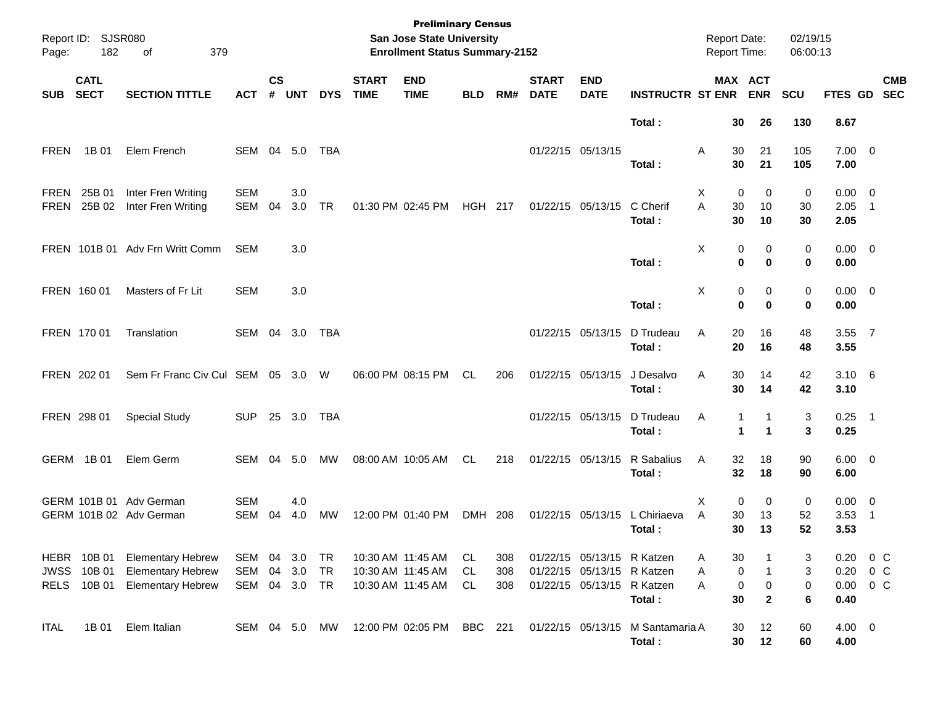| Page:        | Report ID: SJSR080<br>182                       | 379<br>of                                                                        |                          |                    |               |                       |                             | <b>Preliminary Census</b><br>San Jose State University<br><b>Enrollment Status Summary-2152</b> |                |                   |                             |                                                                                        |                                            | <b>Report Date:</b><br>Report Time: |                                | 02/19/15<br>06:00:13 |                                                |                          |
|--------------|-------------------------------------------------|----------------------------------------------------------------------------------|--------------------------|--------------------|---------------|-----------------------|-----------------------------|-------------------------------------------------------------------------------------------------|----------------|-------------------|-----------------------------|----------------------------------------------------------------------------------------|--------------------------------------------|-------------------------------------|--------------------------------|----------------------|------------------------------------------------|--------------------------|
| <b>SUB</b>   | <b>CATL</b><br><b>SECT</b>                      | <b>SECTION TITTLE</b>                                                            | <b>ACT</b>               | $\mathsf{cs}$<br># | UNT           | <b>DYS</b>            | <b>START</b><br><b>TIME</b> | <b>END</b><br><b>TIME</b>                                                                       | <b>BLD</b>     | RM#               | <b>START</b><br><b>DATE</b> | <b>END</b><br><b>DATE</b>                                                              | <b>INSTRUCTR ST ENR</b>                    |                                     | MAX ACT<br><b>ENR</b>          | <b>SCU</b>           | FTES GD SEC                                    | <b>CMB</b>               |
|              |                                                 |                                                                                  |                          |                    |               |                       |                             |                                                                                                 |                |                   |                             |                                                                                        | Total:                                     | 30                                  | 26                             | 130                  | 8.67                                           |                          |
| <b>FREN</b>  | 1B 01                                           | Elem French                                                                      | SEM                      |                    | 04 5.0        | TBA                   |                             |                                                                                                 |                |                   |                             | 01/22/15 05/13/15                                                                      | Total:                                     | Α<br>30<br>30                       | 21<br>21                       | 105<br>105           | $7.00 \t 0$<br>7.00                            |                          |
| FREN<br>FREN | 25B 01<br>25B 02                                | Inter Fren Writing<br>Inter Fren Writing                                         | <b>SEM</b><br>SEM        | 04                 | 3.0<br>3.0    | <b>TR</b>             |                             | 01:30 PM 02:45 PM                                                                               | <b>HGH 217</b> |                   |                             | 01/22/15 05/13/15                                                                      | C Cherif<br>Total:                         | $\mathbf 0$<br>X<br>A<br>30<br>30   | 0<br>10<br>10                  | 0<br>30<br>30        | $0.00 \t 0$<br>2.05<br>2.05                    | $\overline{\phantom{1}}$ |
|              |                                                 | FREN 101B 01 Adv Frn Writt Comm                                                  | SEM                      |                    | 3.0           |                       |                             |                                                                                                 |                |                   |                             |                                                                                        | Total:                                     | Χ<br>0                              | 0<br>0<br>$\mathbf 0$          | 0<br>0               | $0.00 \t 0$<br>0.00                            |                          |
|              | FREN 160 01                                     | Masters of Fr Lit                                                                | <b>SEM</b>               |                    | 3.0           |                       |                             |                                                                                                 |                |                   |                             |                                                                                        | Total:                                     | Χ<br>0<br>$\bf{0}$                  | 0<br>$\bf{0}$                  | 0<br>0               | $0.00 \t 0$<br>0.00                            |                          |
|              | FREN 170 01                                     | Translation                                                                      | SEM 04 3.0               |                    |               | TBA                   |                             |                                                                                                 |                |                   |                             | 01/22/15 05/13/15                                                                      | D Trudeau<br>Total:                        | Α<br>20<br>20                       | 16<br>16                       | 48<br>48             | 3.55 7<br>3.55                                 |                          |
|              | FREN 202 01                                     | Sem Fr Franc Civ Cul SEM 05 3.0                                                  |                          |                    |               | W                     |                             | 06:00 PM 08:15 PM                                                                               | CL             | 206               |                             | 01/22/15 05/13/15                                                                      | J Desalvo<br>Total:                        | 30<br>Α<br>30                       | 14<br>14                       | 42<br>42             | $3.10\ 6$<br>3.10                              |                          |
|              | FREN 298 01                                     | <b>Special Study</b>                                                             | <b>SUP</b>               |                    | 25 3.0        | TBA                   |                             |                                                                                                 |                |                   |                             | 01/22/15 05/13/15                                                                      | D Trudeau<br>Total:                        | Α<br>1<br>1                         | 1                              | 3<br>3               | $0.25$ 1<br>0.25                               |                          |
|              | GERM 1B01                                       | Elem Germ                                                                        | SEM                      | 04                 | 5.0           | MW                    |                             | 08:00 AM 10:05 AM                                                                               | CL             | 218               |                             | 01/22/15 05/13/15                                                                      | R Sabalius<br>Total:                       | Α<br>32<br>32                       | 18<br>18                       | 90<br>90             | $6.00 \quad 0$<br>6.00                         |                          |
|              |                                                 | GERM 101B 01 Adv German<br>GERM 101B 02 Adv German                               | <b>SEM</b><br><b>SEM</b> | 04                 | 4.0<br>4.0    | MW                    |                             | 12:00 PM 01:40 PM                                                                               | DMH 208        |                   |                             | 01/22/15 05/13/15                                                                      | L Chiriaeva<br>Total:                      | $\mathbf 0$<br>х<br>A<br>30<br>30   | 0<br>13<br>13                  | 0<br>52<br>52        | $0.00 \t 0$<br>3.53<br>3.53                    | - 1                      |
|              | <b>HEBR 10B01</b><br>JWSS 10B 01<br>RELS 10B 01 | <b>Elementary Hebrew</b><br><b>Elementary Hebrew</b><br><b>Elementary Hebrew</b> | SEM<br>SEM<br>SEM 04 3.0 | 04                 | 04 3.0<br>3.0 | TR<br><b>TR</b><br>TR |                             | 10:30 AM 11:45 AM<br>10:30 AM 11:45 AM<br>10:30 AM 11:45 AM                                     | CL<br>CL<br>CL | 308<br>308<br>308 |                             | 01/22/15 05/13/15 R Katzen<br>01/22/15 05/13/15 R Katzen<br>01/22/15 05/13/15 R Katzen | Total:                                     | 30<br>A<br>0<br>Α<br>0<br>A<br>30   | 1<br>$\pmb{0}$<br>$\mathbf{2}$ | 3<br>3<br>0<br>6     | 0.20<br>$0.20 \t 0 C$<br>$0.00 \t 0 C$<br>0.40 | 0 <sup>o</sup>           |
| <b>ITAL</b>  | 1B 01                                           | Elem Italian                                                                     | SEM 04 5.0 MW            |                    |               |                       |                             | 12:00 PM 02:05 PM                                                                               | <b>BBC</b> 221 |                   |                             |                                                                                        | 01/22/15 05/13/15 M Santamaria A<br>Total: | 30<br>30                            | 12<br>12                       | 60<br>60             | $4.00 \ 0$<br>4.00                             |                          |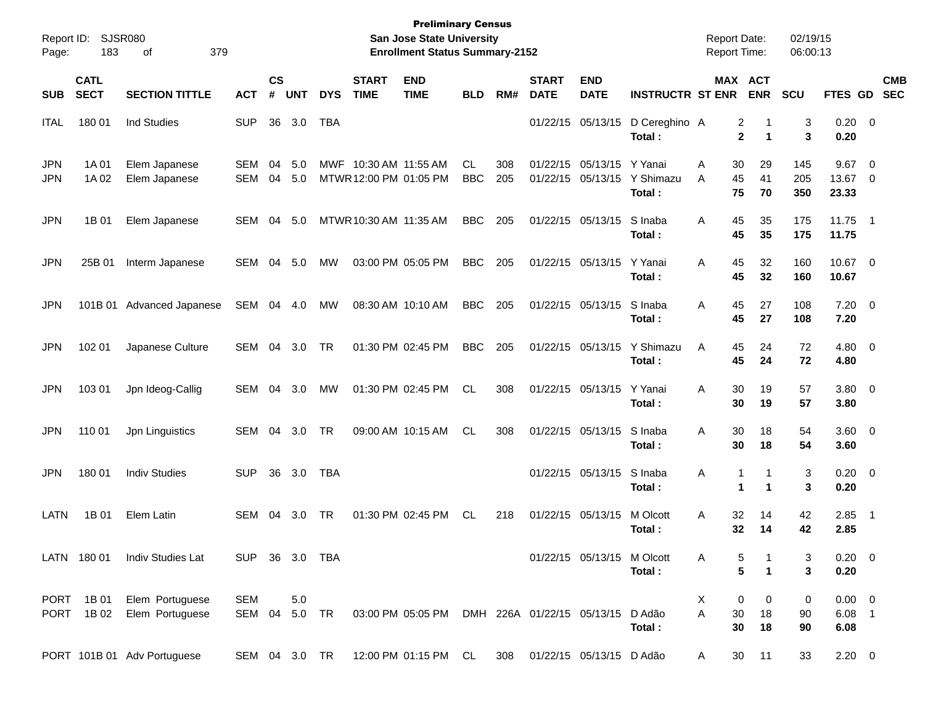| <b>SJSR080</b><br>Report ID:<br>183<br>379<br>οf<br>Page: |                            |                                    |                      | <b>Preliminary Census</b><br><b>San Jose State University</b><br><b>Enrollment Status Summary-2152</b> |               |            |                                             |                                                     |                   |            |                             |                            |                                | <b>Report Date:</b><br><b>Report Time:</b> |                                          |                   | 02/19/15<br>06:00:13            |                                                    |                          |  |
|-----------------------------------------------------------|----------------------------|------------------------------------|----------------------|--------------------------------------------------------------------------------------------------------|---------------|------------|---------------------------------------------|-----------------------------------------------------|-------------------|------------|-----------------------------|----------------------------|--------------------------------|--------------------------------------------|------------------------------------------|-------------------|---------------------------------|----------------------------------------------------|--------------------------|--|
| <b>SUB</b>                                                | <b>CATL</b><br><b>SECT</b> | <b>SECTION TITTLE</b>              | <b>ACT</b>           | <b>CS</b><br>#                                                                                         | <b>UNT</b>    | <b>DYS</b> | <b>START</b><br><b>TIME</b>                 | <b>END</b><br><b>TIME</b>                           | <b>BLD</b>        | RM#        | <b>START</b><br><b>DATE</b> | <b>END</b><br><b>DATE</b>  | <b>INSTRUCTR ST ENR</b>        |                                            | MAX ACT<br><b>ENR</b>                    | <b>SCU</b>        | FTES GD                         |                                                    | <b>CMB</b><br><b>SEC</b> |  |
| <b>ITAL</b>                                               | 180 01                     | <b>Ind Studies</b>                 | <b>SUP</b>           | 36                                                                                                     | 3.0           | <b>TBA</b> |                                             |                                                     |                   |            | 01/22/15                    | 05/13/15                   | D Cereghino A<br>Total:        |                                            | 2<br>-1<br>$\overline{2}$<br>$\mathbf 1$ | 3<br>3            | $0.20 \ 0$<br>0.20              |                                                    |                          |  |
| <b>JPN</b><br><b>JPN</b>                                  | 1A 01<br>1A 02             | Elem Japanese<br>Elem Japanese     | SEM<br><b>SEM</b>    | 04<br>04                                                                                               | 5.0<br>5.0    | MWF        | 10:30 AM 11:55 AM<br>MTWR 12:00 PM 01:05 PM |                                                     | CL.<br><b>BBC</b> | 308<br>205 | 01/22/15<br>01/22/15        | 05/13/15<br>05/13/15       | Y Yanai<br>Y Shimazu<br>Total: | Α<br>30<br>A<br>45<br>75                   | 29<br>41<br>70                           | 145<br>205<br>350 | 9.67<br>13.67<br>23.33          | $\overline{\mathbf{0}}$<br>$\overline{\mathbf{0}}$ |                          |  |
| <b>JPN</b>                                                | 1B 01                      | Elem Japanese                      | SEM                  | 04                                                                                                     | 5.0           |            | MTWR 10:30 AM 11:35 AM                      |                                                     | <b>BBC</b>        | 205        |                             | 01/22/15 05/13/15          | S Inaba<br>Total:              | 45<br>Α<br>45                              | 35<br>35                                 | 175<br>175        | 11.75<br>11.75                  | $\overline{\phantom{0}}$                           |                          |  |
| <b>JPN</b>                                                | 25B 01                     | Interm Japanese                    | SEM                  | 04                                                                                                     | 5.0           | МW         |                                             | 03:00 PM 05:05 PM                                   | <b>BBC</b>        | 205        |                             | 01/22/15 05/13/15          | Y Yanai<br>Total:              | 45<br>A<br>45                              | 32<br>32                                 | 160<br>160        | 10.67 0<br>10.67                |                                                    |                          |  |
| <b>JPN</b>                                                | 101B 01                    | Advanced Japanese                  | SEM                  | 04                                                                                                     | 4.0           | МW         |                                             | 08:30 AM 10:10 AM                                   | <b>BBC</b>        | 205        |                             | 01/22/15 05/13/15          | S Inaba<br>Total:              | 45<br>A<br>45                              | 27<br>27                                 | 108<br>108        | 7.20<br>7.20                    | $\overline{\phantom{0}}$                           |                          |  |
| <b>JPN</b>                                                | 102 01                     | Japanese Culture                   | <b>SEM</b>           | 04                                                                                                     | 3.0           | <b>TR</b>  |                                             | 01:30 PM 02:45 PM                                   | <b>BBC</b>        | 205        |                             | 01/22/15 05/13/15          | Y Shimazu<br>Total:            | 45<br>A<br>45                              | 24<br>24                                 | 72<br>72          | 4.80<br>4.80                    | $\overline{\phantom{0}}$                           |                          |  |
| <b>JPN</b>                                                | 103 01                     | Jpn Ideog-Callig                   | SEM                  | 04                                                                                                     | 3.0           | МW         |                                             | 01:30 PM 02:45 PM                                   | <b>CL</b>         | 308        |                             | 01/22/15 05/13/15          | Y Yanai<br>Total:              | 30<br>A<br>30                              | 19<br>19                                 | 57<br>57          | 3.80 0<br>3.80                  |                                                    |                          |  |
| <b>JPN</b>                                                | 110 01                     | Jpn Linguistics                    | SEM                  | 04                                                                                                     | 3.0           | TR         |                                             | 09:00 AM 10:15 AM                                   | <b>CL</b>         | 308        |                             | 01/22/15 05/13/15          | S Inaba<br>Total:              | 30<br>A<br>30                              | 18<br>18                                 | 54<br>54          | 3.60 0<br>3.60                  |                                                    |                          |  |
| <b>JPN</b>                                                | 180 01                     | <b>Indiv Studies</b>               | <b>SUP</b>           | 36                                                                                                     | 3.0           | <b>TBA</b> |                                             |                                                     |                   |            |                             | 01/22/15 05/13/15          | S Inaba<br>Total:              | Α                                          | $\mathbf{1}$<br>-1<br>1<br>$\mathbf 1$   | 3<br>3            | $0.20 \ 0$<br>0.20              |                                                    |                          |  |
| LATN                                                      | 1B 01                      | Elem Latin                         | <b>SEM</b>           | 04                                                                                                     | 3.0           | TR         |                                             | 01:30 PM 02:45 PM                                   | <b>CL</b>         | 218        |                             | 01/22/15 05/13/15          | M Olcott<br>Total:             | 32<br>Α<br>32                              | 14<br>14                                 | 42<br>42          | 2.85<br>2.85                    | - 1                                                |                          |  |
|                                                           | LATN 180 01                | Indiv Studies Lat                  | <b>SUP</b>           |                                                                                                        |               | 36 3.0 TBA |                                             |                                                     |                   |            |                             | 01/22/15 05/13/15 M Olcott | Total:                         | A                                          | 5<br>5<br>$\blacktriangleleft$           | 3<br>3            | $0.20 \ 0$<br>0.20              |                                                    |                          |  |
| PORT<br><b>PORT</b>                                       | 1B 01<br>1B 02             | Elem Portuguese<br>Elem Portuguese | <b>SEM</b><br>SEM 04 |                                                                                                        | 5.0<br>5.0 TR |            |                                             | 03:00 PM 05:05 PM DMH 226A 01/22/15 05/13/15 D Adão |                   |            |                             |                            | Total:                         | X<br>A<br>30<br>30                         | 0<br>0<br>18<br>18                       | 0<br>90<br>90     | $0.00 \t 0$<br>$6.08$ 1<br>6.08 |                                                    |                          |  |
|                                                           |                            | PORT 101B 01 Adv Portuguese        | SEM 04 3.0 TR        |                                                                                                        |               |            |                                             | 12:00 PM 01:15 PM CL                                |                   | 308        |                             | 01/22/15 05/13/15 D Adão   |                                | 30<br>A                                    | 11                                       | 33                | $2.20 \t 0$                     |                                                    |                          |  |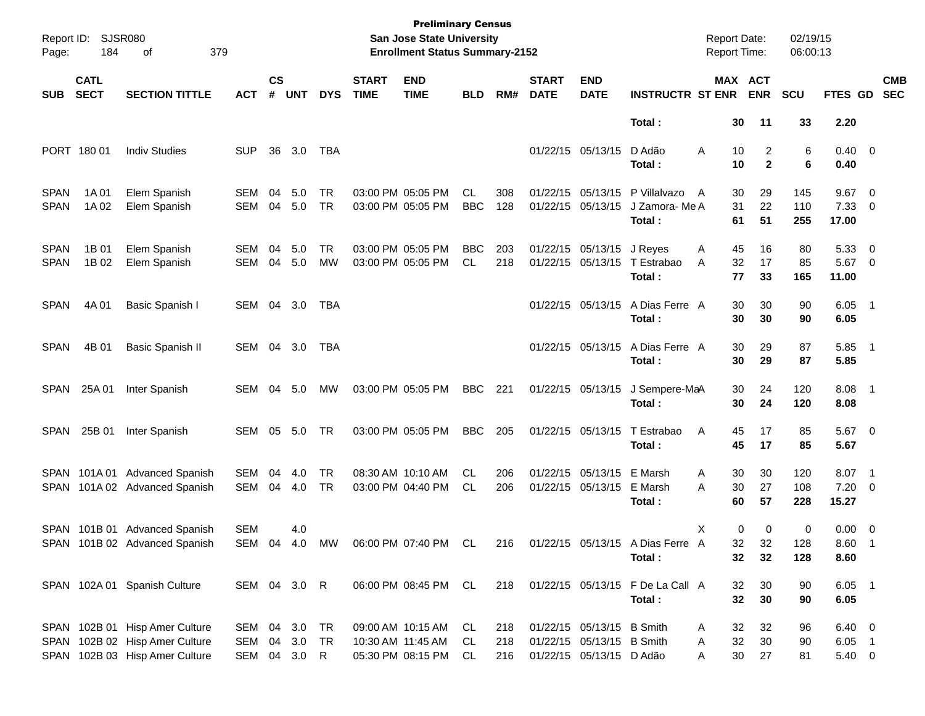| Page:                      | Report ID: SJSR080<br>184  | 379<br>of                                                                                          |                            |                    |                        |                        |                             | <b>Preliminary Census</b><br>San Jose State University<br><b>Enrollment Status Summary-2152</b> |                         |                   |                             |                                                                                    |                                            | <b>Report Date:</b><br><b>Report Time:</b> |                                  | 02/19/15<br>06:00:13 |                                 |                          |
|----------------------------|----------------------------|----------------------------------------------------------------------------------------------------|----------------------------|--------------------|------------------------|------------------------|-----------------------------|-------------------------------------------------------------------------------------------------|-------------------------|-------------------|-----------------------------|------------------------------------------------------------------------------------|--------------------------------------------|--------------------------------------------|----------------------------------|----------------------|---------------------------------|--------------------------|
| <b>SUB</b>                 | <b>CATL</b><br><b>SECT</b> | <b>SECTION TITTLE</b>                                                                              | ACT                        | $\mathsf{cs}$<br># | <b>UNT</b>             | <b>DYS</b>             | <b>START</b><br><b>TIME</b> | <b>END</b><br><b>TIME</b>                                                                       | <b>BLD</b>              | RM#               | <b>START</b><br><b>DATE</b> | <b>END</b><br><b>DATE</b>                                                          | <b>INSTRUCTR ST ENR</b>                    |                                            | <b>MAX ACT</b><br><b>ENR</b>     | <b>SCU</b>           | FTES GD                         | <b>CMB</b><br><b>SEC</b> |
|                            |                            |                                                                                                    |                            |                    |                        |                        |                             |                                                                                                 |                         |                   |                             |                                                                                    | Total:                                     | 30                                         | 11                               | 33                   | 2.20                            |                          |
|                            | PORT 180 01                | <b>Indiv Studies</b>                                                                               | <b>SUP</b>                 | 36                 | 3.0                    | TBA                    |                             |                                                                                                 |                         |                   |                             | 01/22/15 05/13/15                                                                  | D Adão<br>Total:                           | A<br>10<br>10                              | $\overline{2}$<br>$\overline{2}$ | 6<br>6               | $0.40 \quad 0$<br>0.40          |                          |
| <b>SPAN</b><br><b>SPAN</b> | 1A 01<br>1A 02             | Elem Spanish<br>Elem Spanish                                                                       | SEM<br><b>SEM</b>          | 04<br>04           | 5.0<br>5.0             | TR.<br><b>TR</b>       |                             | 03:00 PM 05:05 PM<br>03:00 PM 05:05 PM                                                          | CL.<br><b>BBC</b>       | 308<br>128        |                             | 01/22/15 05/13/15<br>01/22/15 05/13/15                                             | P Villalvazo<br>J Zamora- Me A<br>Total:   | 30<br>A<br>31<br>61                        | 29<br>22<br>51                   | 145<br>110<br>255    | 9.67<br>$7.33 \t 0$<br>17.00    | $\overline{\phantom{0}}$ |
| <b>SPAN</b><br><b>SPAN</b> | 1B 01<br>1B 02             | Elem Spanish<br>Elem Spanish                                                                       | SEM<br><b>SEM</b>          | 04<br>04           | 5.0<br>5.0             | TR.<br><b>MW</b>       |                             | 03:00 PM 05:05 PM<br>03:00 PM 05:05 PM                                                          | <b>BBC</b><br><b>CL</b> | 203<br>218        |                             | 01/22/15 05/13/15 J Reyes                                                          | 01/22/15 05/13/15 T Estrabao<br>Total:     | 45<br>Α<br>A<br>32<br>77                   | 16<br>17<br>33                   | 80<br>85<br>165      | 5.33<br>$5.67$ 0<br>11.00       | $\overline{\phantom{0}}$ |
| <b>SPAN</b>                | 4A 01                      | Basic Spanish I                                                                                    | SEM 04 3.0                 |                    |                        | TBA                    |                             |                                                                                                 |                         |                   |                             | 01/22/15 05/13/15                                                                  | A Dias Ferre A<br>Total:                   | 30<br>30                                   | 30<br>30                         | 90<br>90             | $6.05$ 1<br>6.05                |                          |
| <b>SPAN</b>                | 4B 01                      | Basic Spanish II                                                                                   | SEM                        |                    | 04 3.0                 | TBA                    |                             |                                                                                                 |                         |                   |                             | 01/22/15 05/13/15                                                                  | A Dias Ferre A<br>Total:                   | 30<br>30                                   | 29<br>29                         | 87<br>87             | $5.85$ 1<br>5.85                |                          |
| SPAN                       | 25A 01                     | Inter Spanish                                                                                      | SEM                        |                    | 04 5.0                 | MW                     |                             | 03:00 PM 05:05 PM                                                                               | BBC                     | 221               |                             | 01/22/15 05/13/15                                                                  | J Sempere-MaA<br>Total:                    | 30<br>30                                   | 24<br>24                         | 120<br>120           | $8.08$ 1<br>8.08                |                          |
| SPAN                       | 25B 01                     | Inter Spanish                                                                                      | SEM                        |                    | 05 5.0                 | <b>TR</b>              |                             | 03:00 PM 05:05 PM                                                                               | <b>BBC</b>              | 205               |                             | 01/22/15 05/13/15                                                                  | T Estrabao<br>Total:                       | A<br>45<br>45                              | 17<br>17                         | 85<br>85             | $5.67$ 0<br>5.67                |                          |
| SPAN                       |                            | SPAN 101A 01 Advanced Spanish<br>101A 02 Advanced Spanish                                          | SEM<br><b>SEM</b>          | 04<br>04           | 4.0<br>4.0             | <b>TR</b><br><b>TR</b> |                             | 08:30 AM 10:10 AM<br>03:00 PM 04:40 PM                                                          | CL<br><b>CL</b>         | 206<br>206        |                             | 01/22/15 05/13/15 E Marsh<br>01/22/15 05/13/15                                     | E Marsh<br>Total:                          | 30<br>A<br>30<br>A<br>60                   | 30<br>27<br>57                   | 120<br>108<br>228    | 8.07<br>$7.20 \t 0$<br>15.27    | $\overline{\phantom{1}}$ |
|                            |                            | SPAN 101B 01 Advanced Spanish<br>SPAN 101B 02 Advanced Spanish                                     | <b>SEM</b>                 |                    | 4.0                    |                        |                             | SEM 04 4.0 MW 06:00 PM 07:40 PM CL                                                              |                         | 216               |                             |                                                                                    | 01/22/15 05/13/15 A Dias Ferre A<br>Total: | X<br>32<br>32                              | 0<br>0<br>32<br>32               | 0<br>128<br>128      | $0.00 \t 0$<br>8.60 1<br>8.60   |                          |
|                            |                            | SPAN 102A 01 Spanish Culture                                                                       | SEM 04 3.0 R               |                    |                        |                        |                             | 06:00 PM 08:45 PM CL                                                                            |                         | 218               |                             |                                                                                    | 01/22/15 05/13/15 F De La Call A<br>Total: | 32<br>32                                   | 30<br>30                         | 90<br>90             | $6.05$ 1<br>6.05                |                          |
|                            |                            | SPAN 102B 01 Hisp Amer Culture<br>SPAN 102B 02 Hisp Amer Culture<br>SPAN 102B 03 Hisp Amer Culture | SEM<br>SEM<br>SEM 04 3.0 R |                    | 04 3.0 TR<br>04 3.0 TR |                        |                             | 09:00 AM 10:15 AM<br>10:30 AM 11:45 AM<br>05:30 PM 08:15 PM                                     | CL<br>CL<br>CL          | 218<br>218<br>216 |                             | 01/22/15 05/13/15 B Smith<br>01/22/15 05/13/15 B Smith<br>01/22/15 05/13/15 D Adão |                                            | 32<br>Α<br>32<br>Α<br>30<br>Α              | 32<br>30<br>27                   | 96<br>90<br>81       | $6.40\ 0$<br>$6.05$ 1<br>5.40 0 |                          |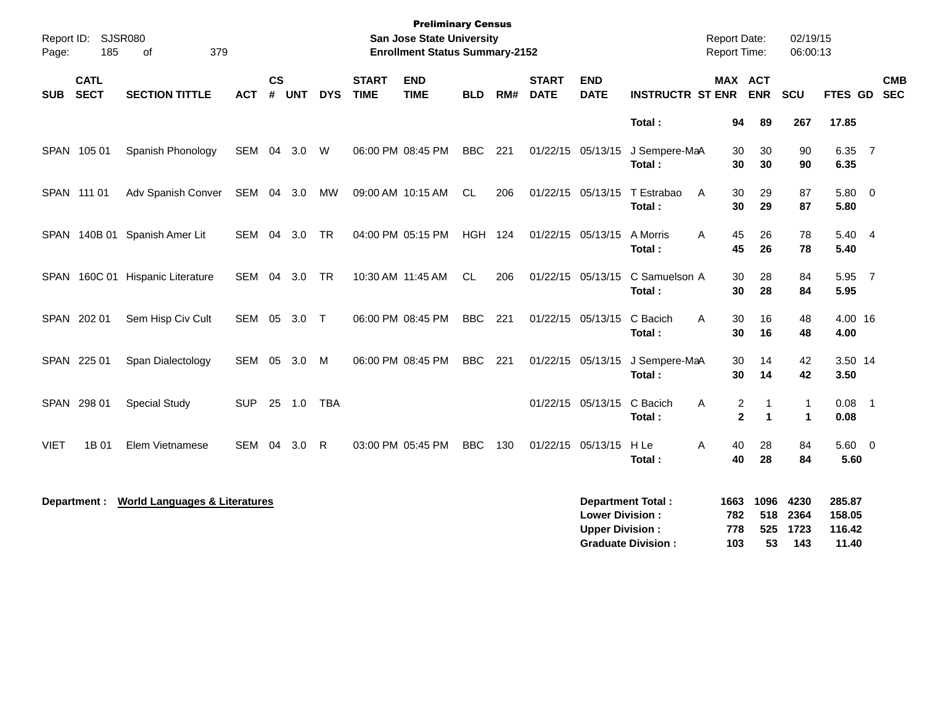| Report ID:<br>Page: | 185                        | SJSR080<br>379<br>0f                     |            |                    |            |              |                             | <b>Preliminary Census</b><br><b>San Jose State University</b><br><b>Enrollment Status Summary-2152</b> |                |     |                             |                                                  |                                                       | <b>Report Date:</b><br>Report Time: |                          | 02/19/15<br>06:00:13                 |                                     |                          |
|---------------------|----------------------------|------------------------------------------|------------|--------------------|------------|--------------|-----------------------------|--------------------------------------------------------------------------------------------------------|----------------|-----|-----------------------------|--------------------------------------------------|-------------------------------------------------------|-------------------------------------|--------------------------|--------------------------------------|-------------------------------------|--------------------------|
| <b>SUB</b>          | <b>CATL</b><br><b>SECT</b> | <b>SECTION TITTLE</b>                    | <b>ACT</b> | $\mathsf{cs}$<br># | <b>UNT</b> | <b>DYS</b>   | <b>START</b><br><b>TIME</b> | <b>END</b><br><b>TIME</b>                                                                              | <b>BLD</b>     | RM# | <b>START</b><br><b>DATE</b> | <b>END</b><br><b>DATE</b>                        | <b>INSTRUCTR ST ENR</b>                               | <b>MAX ACT</b>                      | <b>ENR</b>               | SCU                                  | FTES GD                             | <b>CMB</b><br><b>SEC</b> |
|                     |                            |                                          |            |                    |            |              |                             |                                                                                                        |                |     |                             |                                                  | Total:                                                | 94                                  | 89                       | 267                                  | 17.85                               |                          |
|                     | SPAN 105 01                | Spanish Phonology                        | SEM        | 04                 | 3.0        | W            |                             | 06:00 PM 08:45 PM                                                                                      | <b>BBC</b>     | 221 |                             | 01/22/15 05/13/15                                | J Sempere-MaA<br>Total:                               | 30<br>30                            | 30<br>30                 | 90<br>90                             | 6.35 7<br>6.35                      |                          |
|                     | SPAN 111 01                | Adv Spanish Conver                       | SEM 04 3.0 |                    |            | MW           |                             | 09:00 AM 10:15 AM                                                                                      | <b>CL</b>      | 206 |                             | 01/22/15 05/13/15                                | T Estrabao<br>A<br>Total:                             | 30<br>30                            | 29<br>29                 | 87<br>87                             | 5.80<br>5.80                        | $\overline{\mathbf{0}}$  |
|                     |                            | SPAN 140B 01 Spanish Amer Lit            | SEM 04     |                    | 3.0        | <b>TR</b>    |                             | 04:00 PM 05:15 PM                                                                                      | <b>HGH 124</b> |     |                             | 01/22/15 05/13/15                                | A Morris<br>Total:                                    | 45<br>A<br>45                       | 26<br>26                 | 78<br>78                             | 5.40 4<br>5.40                      |                          |
|                     |                            | SPAN 160C 01 Hispanic Literature         | SEM 04     |                    | 3.0        | <b>TR</b>    |                             | 10:30 AM 11:45 AM                                                                                      | <b>CL</b>      | 206 |                             | 01/22/15 05/13/15                                | C Samuelson A<br>Total:                               | 30<br>30                            | 28<br>28                 | 84<br>84                             | 5.95 7<br>5.95                      |                          |
|                     | SPAN 202 01                | Sem Hisp Civ Cult                        | SEM 05     |                    | 3.0        | $\top$       |                             | 06:00 PM 08:45 PM                                                                                      | <b>BBC</b>     | 221 |                             | 01/22/15 05/13/15                                | C Bacich<br>Total:                                    | 30<br>A<br>30                       | 16<br>16                 | 48<br>48                             | 4.00 16<br>4.00                     |                          |
|                     | SPAN 225 01                | Span Dialectology                        | <b>SEM</b> | 05                 | 3.0        | M            |                             | 06:00 PM 08:45 PM                                                                                      | <b>BBC</b>     | 221 |                             | 01/22/15 05/13/15                                | J Sempere-MaA<br>Total:                               | 30<br>30                            | 14<br>14                 | 42<br>42                             | 3.50 14<br>3.50                     |                          |
|                     | SPAN 298 01                | <b>Special Study</b>                     | <b>SUP</b> |                    | 25 1.0     | <b>TBA</b>   |                             |                                                                                                        |                |     |                             | 01/22/15 05/13/15                                | C Bacich<br>Total:                                    | Α<br>2<br>$\mathbf{2}$              | $\mathbf 1$<br>1         | $\mathbf{1}$<br>$\blacktriangleleft$ | $0.08$ 1<br>0.08                    |                          |
| <b>VIET</b>         | 1B 01                      | Elem Vietnamese                          | <b>SEM</b> | 04                 | 3.0        | $\mathsf{R}$ |                             | 03:00 PM 05:45 PM                                                                                      | <b>BBC</b>     | 130 |                             | 01/22/15 05/13/15                                | H <sub>Le</sub><br>Total:                             | А<br>40<br>40                       | 28<br>28                 | 84<br>84                             | 5.60 0<br>5.60                      |                          |
|                     | Department :               | <b>World Languages &amp; Literatures</b> |            |                    |            |              |                             |                                                                                                        |                |     |                             | <b>Lower Division:</b><br><b>Upper Division:</b> | <b>Department Total:</b><br><b>Graduate Division:</b> | 1663<br>782<br>778<br>103           | 1096<br>518<br>525<br>53 | 4230<br>2364<br>1723<br>143          | 285.87<br>158.05<br>116.42<br>11.40 |                          |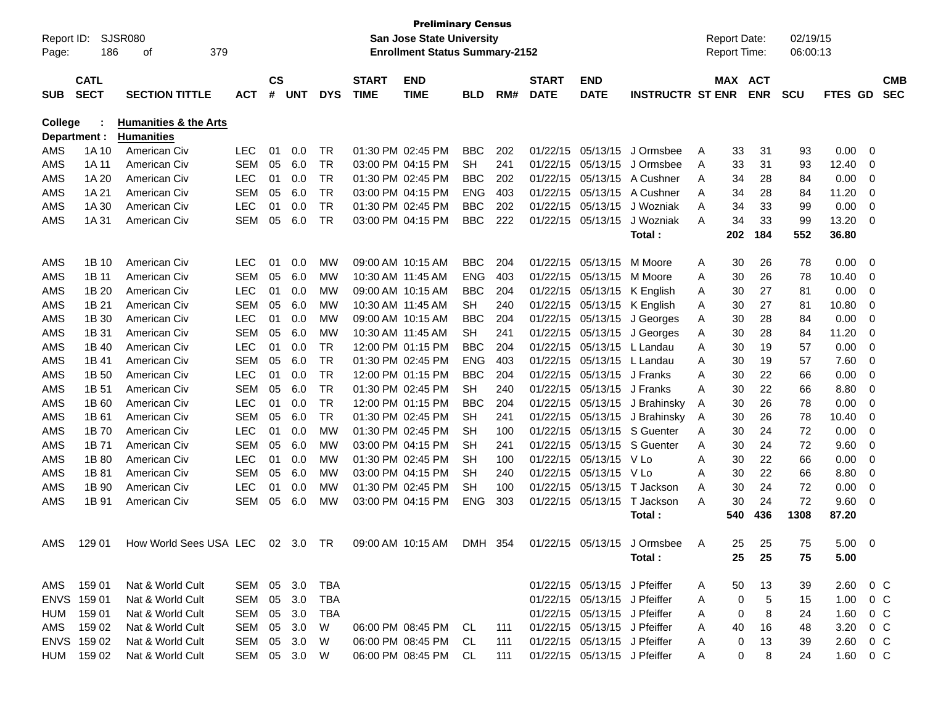| Report ID:     |              | SJSR080                          |              |               |            |            |              | <b>Preliminary Census</b><br><b>San Jose State University</b> |            |     |              |                              |                         |   | <b>Report Date:</b> |            | 02/19/15   |                  |                |            |
|----------------|--------------|----------------------------------|--------------|---------------|------------|------------|--------------|---------------------------------------------------------------|------------|-----|--------------|------------------------------|-------------------------|---|---------------------|------------|------------|------------------|----------------|------------|
| Page:          | 186          | 379<br>οf                        |              |               |            |            |              | <b>Enrollment Status Summary-2152</b>                         |            |     |              |                              |                         |   | <b>Report Time:</b> |            | 06:00:13   |                  |                |            |
|                |              |                                  |              |               |            |            |              |                                                               |            |     |              |                              |                         |   |                     |            |            |                  |                |            |
|                | <b>CATL</b>  |                                  |              | $\mathsf{cs}$ |            |            | <b>START</b> | <b>END</b>                                                    |            |     | <b>START</b> | <b>END</b>                   |                         |   | MAX ACT             |            |            |                  |                | <b>CMB</b> |
| <b>SUB</b>     | <b>SECT</b>  | <b>SECTION TITTLE</b>            | <b>ACT</b>   | #             | <b>UNT</b> | <b>DYS</b> | <b>TIME</b>  | <b>TIME</b>                                                   | BLD        | RM# | <b>DATE</b>  | <b>DATE</b>                  | <b>INSTRUCTR ST ENR</b> |   |                     | <b>ENR</b> | <b>SCU</b> | FTES GD          |                | <b>SEC</b> |
| <b>College</b> |              | <b>Humanities &amp; the Arts</b> |              |               |            |            |              |                                                               |            |     |              |                              |                         |   |                     |            |            |                  |                |            |
|                | Department : | <b>Humanities</b>                |              |               |            |            |              |                                                               |            |     |              |                              |                         |   |                     |            |            |                  |                |            |
| AMS            | 1A 10        | American Civ                     | <b>LEC</b>   | 01            | 0.0        | TR         |              | 01:30 PM 02:45 PM                                             | <b>BBC</b> | 202 | 01/22/15     | 05/13/15                     | J Ormsbee               | Α | 33                  | 31         | 93         | 0.00             | 0              |            |
| AMS            | 1A 11        | American Civ                     | <b>SEM</b>   | 05            | 6.0        | TR         |              | 03:00 PM 04:15 PM                                             | SН         | 241 | 01/22/15     | 05/13/15                     | J Ormsbee               | Α | 33                  | 31         | 93         | 12.40            | 0              |            |
| AMS            | 1A 20        | American Civ                     | <b>LEC</b>   | 01            | 0.0        | <b>TR</b>  |              | 01:30 PM 02:45 PM                                             | BBC        | 202 | 01/22/15     | 05/13/15                     | A Cushner               | Α | 34                  | 28         | 84         | 0.00             | 0              |            |
| AMS            | 1A 21        | American Civ                     | <b>SEM</b>   | 05            | 6.0        | <b>TR</b>  |              | 03:00 PM 04:15 PM                                             | <b>ENG</b> | 403 | 01/22/15     | 05/13/15                     | A Cushner               | A | 34                  | 28         | 84         | 11.20            | 0              |            |
| AMS            | 1A 30        | American Civ                     | LEC          | 01            | 0.0        | <b>TR</b>  |              | 01:30 PM 02:45 PM                                             | <b>BBC</b> | 202 | 01/22/15     | 05/13/15                     | J Wozniak               | Α | 34                  | 33         | 99         | 0.00             | 0              |            |
| AMS            | 1A 31        | American Civ                     | <b>SEM</b>   | 05            | 6.0        | <b>TR</b>  |              | 03:00 PM 04:15 PM                                             | <b>BBC</b> | 222 | 01/22/15     | 05/13/15                     | J Wozniak               | A | 34                  | 33         | 99         | 13.20            | 0              |            |
|                |              |                                  |              |               |            |            |              |                                                               |            |     |              |                              | Total:                  |   | 202                 | 184        | 552        | 36.80            |                |            |
| AMS            | 1B 10        | American Civ                     | <b>LEC</b>   | 01            | 0.0        | МW         |              | 09:00 AM 10:15 AM                                             | <b>BBC</b> | 204 | 01/22/15     | 05/13/15                     | M Moore                 | A | 30                  | 26         | 78         | 0.00             | 0              |            |
| AMS            | 1B 11        | American Civ                     | <b>SEM</b>   | 05            | 6.0        | МW         |              | 10:30 AM 11:45 AM                                             | <b>ENG</b> | 403 | 01/22/15     | 05/13/15                     | M Moore                 | A | 30                  | 26         | 78         | 10.40            | 0              |            |
| AMS            | 1B 20        | American Civ                     | <b>LEC</b>   | 01            | 0.0        | МW         |              | 09:00 AM 10:15 AM                                             | <b>BBC</b> | 204 | 01/22/15     | 05/13/15                     | K English               | Α | 30                  | 27         | 81         | 0.00             | 0              |            |
| AMS            | 1B 21        | American Civ                     | <b>SEM</b>   | 05            | 6.0        | МW         |              | 10:30 AM 11:45 AM                                             | <b>SH</b>  | 240 | 01/22/15     | 05/13/15                     | K English               | Α | 30                  | 27         | 81         | 10.80            | 0              |            |
| AMS            | 1B 30        | American Civ                     | <b>LEC</b>   | 01            | 0.0        | МW         |              | 09:00 AM 10:15 AM                                             | <b>BBC</b> | 204 | 01/22/15     | 05/13/15                     | J Georges               | Α | 30                  | 28         | 84         | 0.00             | 0              |            |
| AMS            | 1B 31        | American Civ                     | <b>SEM</b>   | 05            | 6.0        | МW         |              | 10:30 AM 11:45 AM                                             | <b>SH</b>  | 241 | 01/22/15     | 05/13/15                     | J Georges               | A | 30                  | 28         | 84         | 11.20            | 0              |            |
| AMS            | 1B 40        | American Civ                     | LEC          | 01            | 0.0        | TR         |              | 12:00 PM 01:15 PM                                             | <b>BBC</b> | 204 | 01/22/15     | 05/13/15                     | L Landau                | Α | 30                  | 19         | 57         | 0.00             | 0              |            |
| AMS            | 1B 41        | American Civ                     | <b>SEM</b>   | 05            | 6.0        | <b>TR</b>  |              | 01:30 PM 02:45 PM                                             | <b>ENG</b> | 403 | 01/22/15     | 05/13/15                     | L Landau                | A | 30                  | 19         | 57         | 7.60             | 0              |            |
| AMS            | 1B 50        | American Civ                     | <b>LEC</b>   | 01            | 0.0        | <b>TR</b>  |              | 12:00 PM 01:15 PM                                             | <b>BBC</b> | 204 | 01/22/15     | 05/13/15                     | J Franks                | A | 30                  | 22         | 66         | 0.00             | 0              |            |
| AMS            | 1B 51        | American Civ                     | <b>SEM</b>   | 05            | 6.0        | <b>TR</b>  |              | 01:30 PM 02:45 PM                                             | SН         | 240 | 01/22/15     | 05/13/15                     | J Franks                | A | 30                  | 22         | 66         | 8.80             | 0              |            |
| AMS            | 1B 60        | American Civ                     | <b>LEC</b>   | 01            | 0.0        | <b>TR</b>  |              | 12:00 PM 01:15 PM                                             | <b>BBC</b> | 204 | 01/22/15     | 05/13/15                     | J Brahinsky             | A | 30                  | 26         | 78         | 0.00             | 0              |            |
| AMS            | 1B 61        | American Civ                     | <b>SEM</b>   | 05            | 6.0        | <b>TR</b>  |              | 01:30 PM 02:45 PM                                             | <b>SH</b>  | 241 | 01/22/15     | 05/13/15                     | J Brahinsky             | A | 30                  | 26         | 78         | 10.40            | 0              |            |
| AMS            | 1B 70        | American Civ                     | LEC          | 01            | 0.0        | МW         |              | 01:30 PM 02:45 PM                                             | SH         | 100 | 01/22/15     | 05/13/15                     | S Guenter               | Α | 30                  | 24         | 72         | 0.00             | 0              |            |
| AMS            | 1B 71        | American Civ                     | <b>SEM</b>   | 05            | 6.0        | МW         |              | 03:00 PM 04:15 PM                                             | SH         | 241 | 01/22/15     | 05/13/15                     | S Guenter               | Α | 30                  | 24         | 72         | 9.60             | 0              |            |
| AMS            | 1B 80        | American Civ                     | <b>LEC</b>   | 01            | 0.0        | МW         |              | 01:30 PM 02:45 PM                                             | SH         | 100 | 01/22/15     | 05/13/15                     | V Lo                    | A | 30                  | 22         | 66         | 0.00             | 0              |            |
| AMS            | 1B 81        | American Civ                     | <b>SEM</b>   | 05            | 6.0        | МW         |              | 03:00 PM 04:15 PM                                             | SH         | 240 | 01/22/15     | 05/13/15                     | V Lo                    | A | 30                  | 22         | 66         | 8.80             | 0              |            |
| AMS            | 1B 90        | American Civ                     | <b>LEC</b>   | 01            | 0.0        | МW         |              | 01:30 PM 02:45 PM                                             | SН         | 100 | 01/22/15     | 05/13/15                     | T Jackson               | A | 30                  | 24         | 72         | 0.00             | 0              |            |
| AMS            | 1B 91        | American Civ                     | <b>SEM</b>   | 05            | 6.0        | МW         |              | 03:00 PM 04:15 PM                                             | <b>ENG</b> | 303 | 01/22/15     | 05/13/15                     | T Jackson               | A | 30                  | 24         | 72         | 9.60             | 0              |            |
|                |              |                                  |              |               |            |            |              |                                                               |            |     |              |                              | Total:                  |   | 540                 | 436        | 1308       | 87.20            |                |            |
| AMS            | 129 01       | How World Sees USA LEC           |              | 02            | 3.0        | <b>TR</b>  |              | 09:00 AM 10:15 AM                                             | <b>DMH</b> | 354 | 01/22/15     | 05/13/15                     | J Ormsbee               | A | 25.                 | 25         | 75         | 5.00             | $\Omega$       |            |
|                |              |                                  |              |               |            |            |              |                                                               |            |     |              |                              | Total:                  |   | 25                  | 25         | 75         | 5.00             |                |            |
|                |              |                                  |              |               |            |            |              |                                                               |            |     |              |                              |                         |   |                     |            |            |                  |                |            |
|                | AMS 159 01   | Nat & World Cult                 | SEM 05 3.0   |               |            | TBA        |              |                                                               |            |     |              | 01/22/15 05/13/15 J Pfeiffer |                         | A | 50                  | 13         | 39         | $2.60 \t 0 \t C$ |                |            |
|                | ENVS 159 01  | Nat & World Cult                 | SEM          |               | 05 3.0     | TBA        |              |                                                               |            |     |              | 01/22/15 05/13/15 J Pfeiffer |                         | A | 0                   | 5          | 15         | 1.00             | 0 <sup>C</sup> |            |
| HUM            | 159 01       | Nat & World Cult                 | SEM 05 3.0   |               |            | TBA        |              |                                                               |            |     |              | 01/22/15 05/13/15 J Pfeiffer |                         | A | 0                   | 8          | 24         | 1.60             | 0 C            |            |
| AMS            | 159 02       | Nat & World Cult                 | SEM 05 3.0   |               |            | W          |              | 06:00 PM 08:45 PM CL                                          |            | 111 |              | 01/22/15 05/13/15 J Pfeiffer |                         | A | 40                  | 16         | 48         | 3.20             | 0 C            |            |
|                | ENVS 159 02  | Nat & World Cult                 | SEM 05 3.0   |               |            | W          |              | 06:00 PM 08:45 PM                                             | CL         | 111 |              | 01/22/15 05/13/15 J Pfeiffer |                         | A | 0                   | 13         | 39         | 2.60             | $0\,$ C        |            |
|                | HUM 159 02   | Nat & World Cult                 | SEM 05 3.0 W |               |            |            |              | 06:00 PM 08:45 PM CL                                          |            | 111 |              | 01/22/15 05/13/15 J Pfeiffer |                         | A | 0                   | 8          | 24         | 1.60 0 C         |                |            |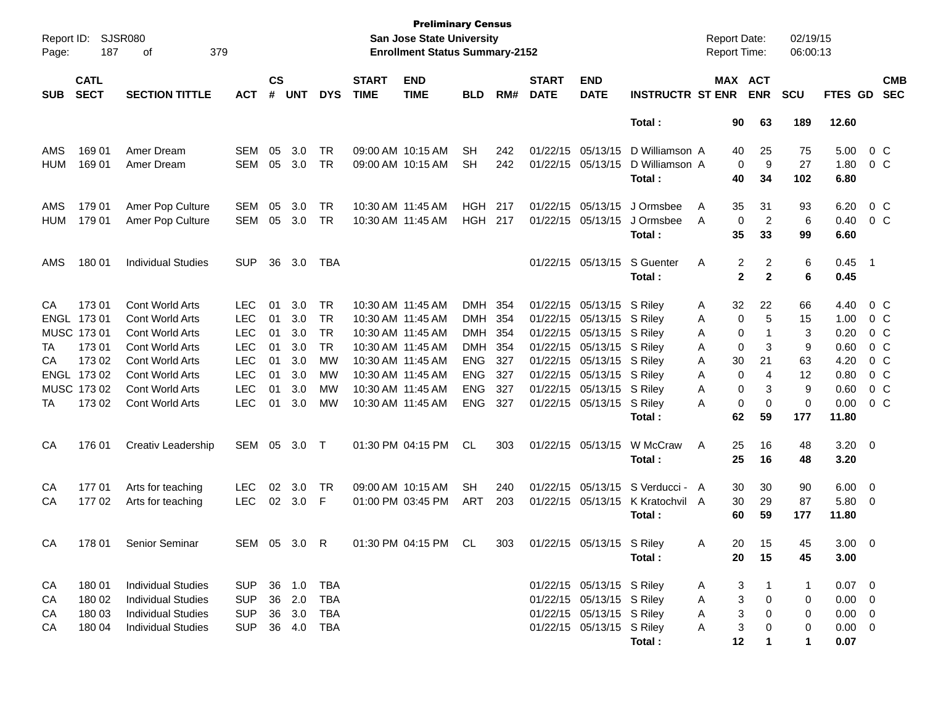| Report ID:<br>Page: | 187                                           | <b>SJSR080</b><br>379<br>оf                                                                   |                                                      |                      |                          |                                     |                                                             | <b>Preliminary Census</b><br><b>San Jose State University</b><br><b>Enrollment Status Summary-2152</b> |                                                      |                          |                                              |                                                              |                                            | <b>Report Date:</b><br>Report Time:   |                                | 02/19/15<br>06:00:13   |                                    |                                                                      |                          |
|---------------------|-----------------------------------------------|-----------------------------------------------------------------------------------------------|------------------------------------------------------|----------------------|--------------------------|-------------------------------------|-------------------------------------------------------------|--------------------------------------------------------------------------------------------------------|------------------------------------------------------|--------------------------|----------------------------------------------|--------------------------------------------------------------|--------------------------------------------|---------------------------------------|--------------------------------|------------------------|------------------------------------|----------------------------------------------------------------------|--------------------------|
| <b>SUB</b>          | <b>CATL</b><br><b>SECT</b>                    | <b>SECTION TITTLE</b>                                                                         | ACT                                                  | $\mathsf{cs}$<br>#   | <b>UNT</b>               | <b>DYS</b>                          | <b>START</b><br><b>TIME</b>                                 | <b>END</b><br><b>TIME</b>                                                                              | <b>BLD</b>                                           | RM#                      | <b>START</b><br><b>DATE</b>                  | <b>END</b><br><b>DATE</b>                                    | <b>INSTRUCTR ST ENR</b>                    | MAX ACT                               | <b>ENR</b>                     | <b>SCU</b>             | <b>FTES GD</b>                     |                                                                      | <b>CMB</b><br><b>SEC</b> |
|                     |                                               |                                                                                               |                                                      |                      |                          |                                     |                                                             |                                                                                                        |                                                      |                          |                                              |                                                              | Total:                                     | 90                                    | 63                             | 189                    | 12.60                              |                                                                      |                          |
| AMS<br><b>HUM</b>   | 169 01<br>169 01                              | Amer Dream<br>Amer Dream                                                                      | <b>SEM</b><br>SEM                                    | 05<br>05             | 3.0<br>3.0               | <b>TR</b><br><b>TR</b>              |                                                             | 09:00 AM 10:15 AM<br>09:00 AM 10:15 AM                                                                 | <b>SH</b><br><b>SH</b>                               | 242<br>242               | 01/22/15                                     | 05/13/15<br>01/22/15 05/13/15                                | D Williamson A<br>D Williamson A<br>Total: | 40<br>$\mathbf 0$<br>40               | 25<br>9<br>34                  | 75<br>27<br>102        | 5.00<br>1.80<br>6.80               | 0 <sup>o</sup><br>0 <sup>o</sup>                                     |                          |
| AMS<br><b>HUM</b>   | 179 01<br>179 01                              | Amer Pop Culture<br>Amer Pop Culture                                                          | <b>SEM</b><br>SEM                                    | 05<br>05             | 3.0<br>3.0               | <b>TR</b><br><b>TR</b>              | 10:30 AM 11:45 AM                                           | 10:30 AM 11:45 AM                                                                                      | <b>HGH</b><br>HGH                                    | 217<br>217               | 01/22/15<br>01/22/15                         | 05/13/15<br>05/13/15                                         | J Ormsbee<br>J Ormsbee<br>Total:           | 35<br>A<br>0<br>A<br>35               | 31<br>$\overline{c}$<br>33     | 93<br>6<br>99          | 6.20<br>0.40<br>6.60               | $0\,$ C<br>0 <sup>o</sup>                                            |                          |
| AMS                 | 180 01                                        | <b>Individual Studies</b>                                                                     | <b>SUP</b>                                           | 36                   | 3.0                      | TBA                                 |                                                             |                                                                                                        |                                                      |                          |                                              | 01/22/15 05/13/15                                            | S Guenter<br>Total:                        | Α<br>2<br>$\mathbf{2}$                | $\overline{c}$<br>$\mathbf{2}$ | 6<br>6                 | 0.45<br>0.45                       | - 1                                                                  |                          |
| CA<br>ENGL          | 17301<br>173 01<br>MUSC 173 01                | Cont World Arts<br>Cont World Arts<br>Cont World Arts                                         | <b>LEC</b><br><b>LEC</b><br><b>LEC</b>               | 01<br>01<br>01       | 3.0<br>3.0<br>3.0        | <b>TR</b><br><b>TR</b><br><b>TR</b> | 10:30 AM 11:45 AM<br>10:30 AM 11:45 AM<br>10:30 AM 11:45 AM |                                                                                                        | <b>DMH</b><br><b>DMH</b><br><b>DMH</b>               | 354<br>354<br>-354       | 01/22/15<br>01/22/15                         | 01/22/15 05/13/15 S Riley<br>05/13/15 S Riley<br>05/13/15    | S Riley                                    | 32<br>A<br>0<br>Α<br>0<br>A           | 22<br>5<br>$\mathbf{1}$        | 66<br>15<br>3          | 4.40<br>1.00<br>0.20               | $0\,$ C<br>$0\,$ C<br>0 <sup>o</sup>                                 |                          |
| TA<br>СA            | 173 01<br>17302<br>ENGL 173 02<br>MUSC 173 02 | Cont World Arts<br><b>Cont World Arts</b><br><b>Cont World Arts</b><br><b>Cont World Arts</b> | <b>LEC</b><br><b>LEC</b><br><b>LEC</b><br><b>LEC</b> | 01<br>01<br>01<br>01 | 3.0<br>3.0<br>3.0<br>3.0 | <b>TR</b><br><b>MW</b><br>MW<br>MW  | 10:30 AM 11:45 AM<br>10:30 AM 11:45 AM                      | 10:30 AM 11:45 AM<br>10:30 AM 11:45 AM                                                                 | <b>DMH</b><br><b>ENG</b><br><b>ENG</b><br><b>ENG</b> | 354<br>327<br>327<br>327 | 01/22/15<br>01/22/15<br>01/22/15<br>01/22/15 | 05/13/15<br>05/13/15<br>05/13/15 S Riley<br>05/13/15 S Riley | S Riley<br>S Riley                         | 0<br>A<br>30<br>Α<br>0<br>A<br>0<br>A | 3<br>21<br>4<br>3              | 9<br>63<br>12<br>9     | 0.60<br>4.20<br>0.80<br>0.60       | 0 <sup>o</sup><br>0 <sup>o</sup><br>0 <sup>o</sup><br>0 <sup>o</sup> |                          |
| TA                  | 17302                                         | Cont World Arts                                                                               | <b>LEC</b>                                           | 01                   | 3.0                      | MW                                  | 10:30 AM 11:45 AM                                           |                                                                                                        | <b>ENG</b>                                           | 327                      |                                              | 01/22/15 05/13/15 S Riley                                    | Total:                                     | 0<br>A<br>62                          | $\mathbf 0$<br>59              | $\mathbf 0$<br>177     | 0.00<br>11.80                      | $0\,C$                                                               |                          |
| CA                  | 176 01                                        | Creativ Leadership                                                                            | SEM                                                  | 05                   | 3.0                      | $\top$                              |                                                             | 01:30 PM 04:15 PM                                                                                      | <b>CL</b>                                            | 303                      |                                              | 01/22/15 05/13/15                                            | W McCraw<br>Total:                         | 25<br>A<br>25                         | 16<br>16                       | 48<br>48               | $3.20 \ 0$<br>3.20                 |                                                                      |                          |
| CA<br>CA            | 17701<br>17702                                | Arts for teaching<br>Arts for teaching                                                        | <b>LEC</b><br><b>LEC</b>                             | 02<br>02             | 3.0<br>3.0               | TR<br>F.                            |                                                             | 09:00 AM 10:15 AM<br>01:00 PM 03:45 PM                                                                 | <b>SH</b><br>ART                                     | 240<br>203               | 01/22/15                                     | 05/13/15<br>01/22/15 05/13/15                                | S Verducci - A<br>K Kratochvil A<br>Total: | 30<br>30<br>60                        | 30<br>29<br>59                 | 90<br>87<br>177        | 6.00<br>5.80<br>11.80              | $\overline{\mathbf{0}}$<br>$\overline{\phantom{0}}$                  |                          |
| CA                  | 178 01                                        | Senior Seminar                                                                                | SEM 05 3.0 R                                         |                      |                          |                                     |                                                             | 01:30 PM 04:15 PM CL                                                                                   |                                                      | 303                      |                                              | 01/22/15 05/13/15 S Riley                                    | Total:                                     | 20<br>A<br>20                         | 15<br>15                       | 45<br>45               | $3.00 \t 0$<br>3.00                |                                                                      |                          |
| CA<br>CA            | 180 01<br>180 02                              | <b>Individual Studies</b><br><b>Individual Studies</b>                                        | <b>SUP</b><br><b>SUP</b>                             |                      | 36 1.0<br>36 2.0         | <b>TBA</b><br><b>TBA</b>            |                                                             |                                                                                                        |                                                      |                          |                                              | 01/22/15 05/13/15 S Riley<br>01/22/15 05/13/15 S Riley       |                                            | A<br>3<br>3<br>A                      | 0                              | 1<br>0                 | $0.07$ 0<br>$0.00 \t 0$            |                                                                      |                          |
| CA<br>CA            | 180 03<br>180 04                              | <b>Individual Studies</b><br><b>Individual Studies</b>                                        | <b>SUP</b><br><b>SUP</b>                             |                      | 36 3.0<br>36 4.0         | <b>TBA</b><br>TBA                   |                                                             |                                                                                                        |                                                      |                          |                                              | 01/22/15 05/13/15 S Riley<br>01/22/15 05/13/15 S Riley       | Total:                                     | 3<br>A<br>3<br>A<br>12                | 0<br>0<br>1                    | 0<br>0<br>$\mathbf{1}$ | $0.00 \t 0$<br>$0.00 \t 0$<br>0.07 |                                                                      |                          |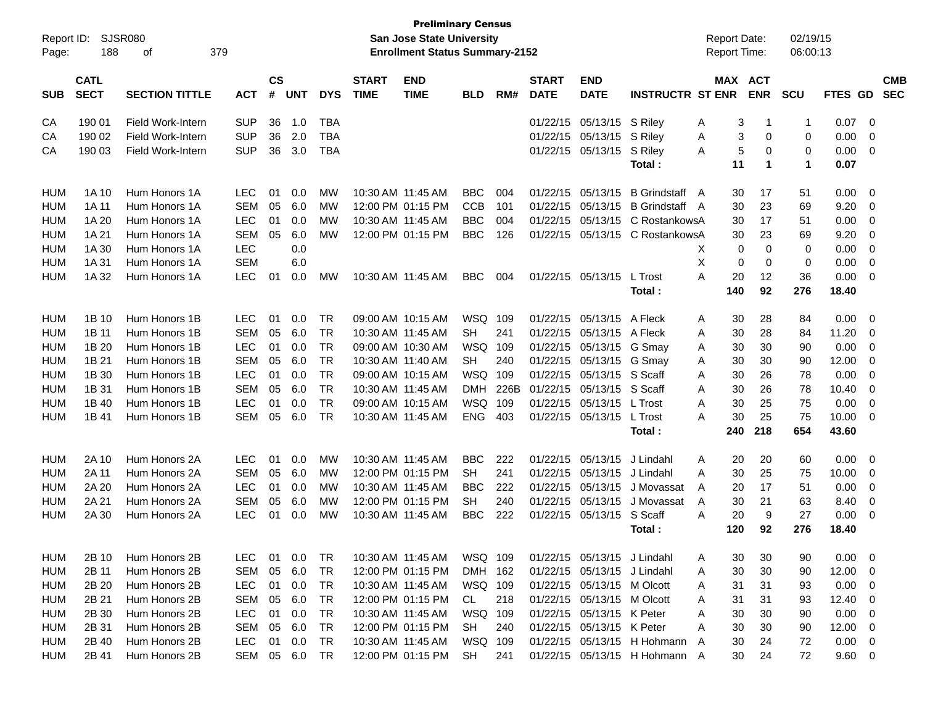| Report ID: |                            | <b>SJSR080</b>           |            |                    |            |            |                             | <b>Preliminary Census</b><br><b>San Jose State University</b> |            |      |                             |                             |                               |   | <b>Report Date:</b> |            | 02/19/15    |                |                          |                          |
|------------|----------------------------|--------------------------|------------|--------------------|------------|------------|-----------------------------|---------------------------------------------------------------|------------|------|-----------------------------|-----------------------------|-------------------------------|---|---------------------|------------|-------------|----------------|--------------------------|--------------------------|
| Page:      | 188                        | 379<br>of                |            |                    |            |            |                             | <b>Enrollment Status Summary-2152</b>                         |            |      |                             |                             |                               |   | Report Time:        |            | 06:00:13    |                |                          |                          |
| <b>SUB</b> | <b>CATL</b><br><b>SECT</b> | <b>SECTION TITTLE</b>    | <b>ACT</b> | $\mathsf{cs}$<br># | <b>UNT</b> | <b>DYS</b> | <b>START</b><br><b>TIME</b> | <b>END</b><br><b>TIME</b>                                     | <b>BLD</b> | RM#  | <b>START</b><br><b>DATE</b> | <b>END</b><br><b>DATE</b>   | <b>INSTRUCTR ST ENR</b>       |   | <b>MAX ACT</b>      | <b>ENR</b> | <b>SCU</b>  | <b>FTES GD</b> |                          | <b>CMB</b><br><b>SEC</b> |
| CA         | 190 01                     | <b>Field Work-Intern</b> | <b>SUP</b> | 36                 | 1.0        | <b>TBA</b> |                             |                                                               |            |      | 01/22/15                    | 05/13/15                    | S Riley                       | Α | 3                   | -1         | $\mathbf 1$ | 0.07           | - 0                      |                          |
| CA         | 190 02                     | <b>Field Work-Intern</b> | <b>SUP</b> | 36                 | 2.0        | <b>TBA</b> |                             |                                                               |            |      | 01/22/15                    | 05/13/15                    | S Riley                       | A | 3                   | 0          | 0           | 0.00           | $\overline{0}$           |                          |
| CA         | 190 03                     | Field Work-Intern        | <b>SUP</b> | 36                 | 3.0        | <b>TBA</b> |                             |                                                               |            |      | 01/22/15                    | 05/13/15                    | S Riley                       | A | 5                   | 0          | 0           | 0.00           | 0                        |                          |
|            |                            |                          |            |                    |            |            |                             |                                                               |            |      |                             |                             | Total:                        |   | 11                  | 1          | 1           | 0.07           |                          |                          |
| HUM        | 1A 10                      | Hum Honors 1A            | <b>LEC</b> | 01                 | 0.0        | <b>MW</b>  |                             | 10:30 AM 11:45 AM                                             | <b>BBC</b> | 004  | 01/22/15                    | 05/13/15                    | B Grindstaff A                |   | 30                  | 17         | 51          | 0.00           | - 0                      |                          |
| <b>HUM</b> | 1A 11                      | Hum Honors 1A            | <b>SEM</b> | 05                 | 6.0        | МW         |                             | 12:00 PM 01:15 PM                                             | <b>CCB</b> | 101  | 01/22/15                    | 05/13/15                    | <b>B</b> Grindstaff A         |   | 30                  | 23         | 69          | 9.20           | 0                        |                          |
| <b>HUM</b> | 1A 20                      | Hum Honors 1A            | <b>LEC</b> | 01                 | 0.0        | МW         |                             | 10:30 AM 11:45 AM                                             | <b>BBC</b> | 004  | 01/22/15                    | 05/13/15                    | C RostankowsA                 |   | 30                  | 17         | 51          | 0.00           | $\overline{0}$           |                          |
| <b>HUM</b> | 1A 21                      | Hum Honors 1A            | <b>SEM</b> | 05                 | 6.0        | MW         |                             | 12:00 PM 01:15 PM                                             | <b>BBC</b> | 126  | 01/22/15                    | 05/13/15                    | C RostankowsA                 |   | 30                  | 23         | 69          | 9.20           | $\overline{0}$           |                          |
| <b>HUM</b> | 1A 30                      | Hum Honors 1A            | <b>LEC</b> |                    | 0.0        |            |                             |                                                               |            |      |                             |                             |                               | X | 0                   | 0          | 0           | 0.00           | $\overline{0}$           |                          |
| <b>HUM</b> | 1A 31                      | Hum Honors 1A            | <b>SEM</b> |                    | 6.0        |            |                             |                                                               |            |      |                             |                             |                               | X | 0                   | 0          | 0           | 0.00           | 0                        |                          |
| <b>HUM</b> | 1A 32                      | Hum Honors 1A            | <b>LEC</b> | 01                 | 0.0        | MW         |                             | 10:30 AM 11:45 AM                                             | <b>BBC</b> | 004  | 01/22/15 05/13/15           |                             | L Trost                       | А | 20                  | 12         | 36          | 0.00           | 0                        |                          |
|            |                            |                          |            |                    |            |            |                             |                                                               |            |      |                             |                             | Total:                        |   | 140                 | 92         | 276         | 18.40          |                          |                          |
| HUM        | 1B 10                      | Hum Honors 1B            | <b>LEC</b> | 01                 | 0.0        | <b>TR</b>  |                             | 09:00 AM 10:15 AM                                             | WSQ 109    |      | 01/22/15                    | 05/13/15                    | A Fleck                       | Α | 30                  | 28         | 84          | 0.00           | - 0                      |                          |
| <b>HUM</b> | 1B 11                      | Hum Honors 1B            | <b>SEM</b> | 05                 | 6.0        | <b>TR</b>  |                             | 10:30 AM 11:45 AM                                             | <b>SH</b>  | 241  | 01/22/15                    | 05/13/15                    | A Fleck                       | A | 30                  | 28         | 84          | 11.20          | 0                        |                          |
| <b>HUM</b> | 1B 20                      | Hum Honors 1B            | <b>LEC</b> | 01                 | 0.0        | <b>TR</b>  |                             | 09:00 AM 10:30 AM                                             | WSQ        | 109  | 01/22/15                    | 05/13/15                    | G Smay                        | Α | 30                  | 30         | 90          | 0.00           | 0                        |                          |
| <b>HUM</b> | 1B 21                      | Hum Honors 1B            | <b>SEM</b> | 05                 | 6.0        | <b>TR</b>  |                             | 10:30 AM 11:40 AM                                             | <b>SH</b>  | 240  | 01/22/15                    | 05/13/15                    | G Smay                        | A | 30                  | 30         | 90          | 12.00          | $\overline{0}$           |                          |
| <b>HUM</b> | 1B 30                      | Hum Honors 1B            | <b>LEC</b> | 01                 | 0.0        | <b>TR</b>  |                             | 09:00 AM 10:15 AM                                             | WSQ        | 109  | 01/22/15                    | 05/13/15                    | S Scaff                       | Α | 30                  | 26         | 78          | 0.00           | $\overline{0}$           |                          |
| <b>HUM</b> | 1B 31                      | Hum Honors 1B            | <b>SEM</b> | 05                 | 6.0        | <b>TR</b>  |                             | 10:30 AM 11:45 AM                                             | <b>DMH</b> | 226B | 01/22/15                    | 05/13/15                    | S Scaff                       | Α | 30                  | 26         | 78          | 10.40          | $\overline{0}$           |                          |
| <b>HUM</b> | 1B 40                      | Hum Honors 1B            | <b>LEC</b> | 01                 | 0.0        | <b>TR</b>  |                             | 09:00 AM 10:15 AM                                             | WSQ        | 109  | 01/22/15                    | 05/13/15                    | L Trost                       | A | 30                  | 25         | 75          | 0.00           | 0                        |                          |
| <b>HUM</b> | 1B 41                      | Hum Honors 1B            | <b>SEM</b> | 05                 | 6.0        | <b>TR</b>  |                             | 10:30 AM 11:45 AM                                             | <b>ENG</b> | 403  | 01/22/15                    | 05/13/15                    | L Trost                       | А | 30                  | 25         | 75          | 10.00          | 0                        |                          |
|            |                            |                          |            |                    |            |            |                             |                                                               |            |      |                             |                             | Total:                        |   | 240                 | 218        | 654         | 43.60          |                          |                          |
| HUM        | 2A 10                      | Hum Honors 2A            | <b>LEC</b> | 01                 | 0.0        | MW         |                             | 10:30 AM 11:45 AM                                             | <b>BBC</b> | 222  | 01/22/15                    | 05/13/15                    | J Lindahl                     | A | 20                  | 20         | 60          | 0.00           | - 0                      |                          |
| <b>HUM</b> | 2A 11                      | Hum Honors 2A            | <b>SEM</b> | 05                 | 6.0        | МW         |                             | 12:00 PM 01:15 PM                                             | <b>SH</b>  | 241  | 01/22/15                    | 05/13/15                    | J Lindahl                     | A | 30                  | 25         | 75          | 10.00          | 0                        |                          |
| <b>HUM</b> | 2A 20                      | Hum Honors 2A            | <b>LEC</b> | 01                 | 0.0        | МW         |                             | 10:30 AM 11:45 AM                                             | <b>BBC</b> | 222  | 01/22/15                    | 05/13/15                    | J Movassat                    | A | 20                  | 17         | 51          | 0.00           | $\overline{0}$           |                          |
| <b>HUM</b> | 2A 21                      | Hum Honors 2A            | <b>SEM</b> | 05                 | 6.0        | МW         |                             | 12:00 PM 01:15 PM                                             | <b>SH</b>  | 240  | 01/22/15                    | 05/13/15                    | J Movassat                    | A | 30                  | 21         | 63          | 8.40           | $\mathbf 0$              |                          |
| <b>HUM</b> | 2A 30                      | Hum Honors 2A            | <b>LEC</b> | 01                 | 0.0        | МW         |                             | 10:30 AM 11:45 AM                                             | <b>BBC</b> | 222  | 01/22/15                    | 05/13/15                    | S Scaff                       | А | 20                  | 9          | 27          | 0.00           | 0                        |                          |
|            |                            |                          |            |                    |            |            |                             |                                                               |            |      |                             |                             | Total:                        |   | 120                 | 92         | 276         | 18.40          |                          |                          |
| HUM        | 2B 10                      | Hum Honors 2B            | <b>LEC</b> | 01                 | 0.0        | <b>TR</b>  |                             | 10:30 AM 11:45 AM                                             | WSQ 109    |      |                             | 01/22/15 05/13/15 J Lindahl |                               | A | 30                  | 30         | 90          | 0.00           | $\overline{\phantom{0}}$ |                          |
| HUM        | 2B 11                      | Hum Honors 2B            | <b>SEM</b> | 05                 | 6.0        | TR         |                             | 12:00 PM 01:15 PM                                             | DMH 162    |      |                             | 01/22/15 05/13/15 J Lindahl |                               | A | 30                  | 30         | 90          | 12.00          | $\overline{\mathbf{0}}$  |                          |
| HUM        | 2B 20                      | Hum Honors 2B            | <b>LEC</b> | 01                 | 0.0        | TR         |                             | 10:30 AM 11:45 AM                                             | WSQ 109    |      |                             | 01/22/15 05/13/15 M Olcott  |                               | A | 31                  | 31         | 93          | 0.00           | $\overline{\mathbf{0}}$  |                          |
| HUM        | 2B 21                      | Hum Honors 2B            | <b>SEM</b> | 05                 | 6.0        | <b>TR</b>  |                             | 12:00 PM 01:15 PM                                             | CL         | 218  |                             | 01/22/15 05/13/15 M Olcott  |                               | A | 31                  | 31         | 93          | 12.40          | $\overline{\phantom{0}}$ |                          |
| HUM        | 2B 30                      | Hum Honors 2B            | <b>LEC</b> | 01                 | 0.0        | TR         |                             | 10:30 AM 11:45 AM                                             | WSQ 109    |      |                             | 01/22/15 05/13/15 K Peter   |                               | Α | 30                  | 30         | 90          | 0.00           | $\overline{\mathbf{0}}$  |                          |
| <b>HUM</b> | 2B 31                      | Hum Honors 2B            | <b>SEM</b> | 05                 | 6.0        | <b>TR</b>  |                             | 12:00 PM 01:15 PM                                             | <b>SH</b>  | 240  |                             | 01/22/15 05/13/15 K Peter   |                               | Α | 30                  | 30         | 90          | 12.00 0        |                          |                          |
| <b>HUM</b> | 2B 40                      | Hum Honors 2B            | <b>LEC</b> | 01                 | 0.0        | <b>TR</b>  |                             | 10:30 AM 11:45 AM                                             | WSQ 109    |      |                             |                             | 01/22/15 05/13/15 H Hohmann   | A | 30                  | 24         | 72          | $0.00 \t 0$    |                          |                          |
| <b>HUM</b> | 2B 41                      | Hum Honors 2B            | SEM 05 6.0 |                    |            | <b>TR</b>  |                             | 12:00 PM 01:15 PM                                             | <b>SH</b>  | 241  |                             |                             | 01/22/15 05/13/15 H Hohmann A |   | 30                  | 24         | 72          | 9.60 0         |                          |                          |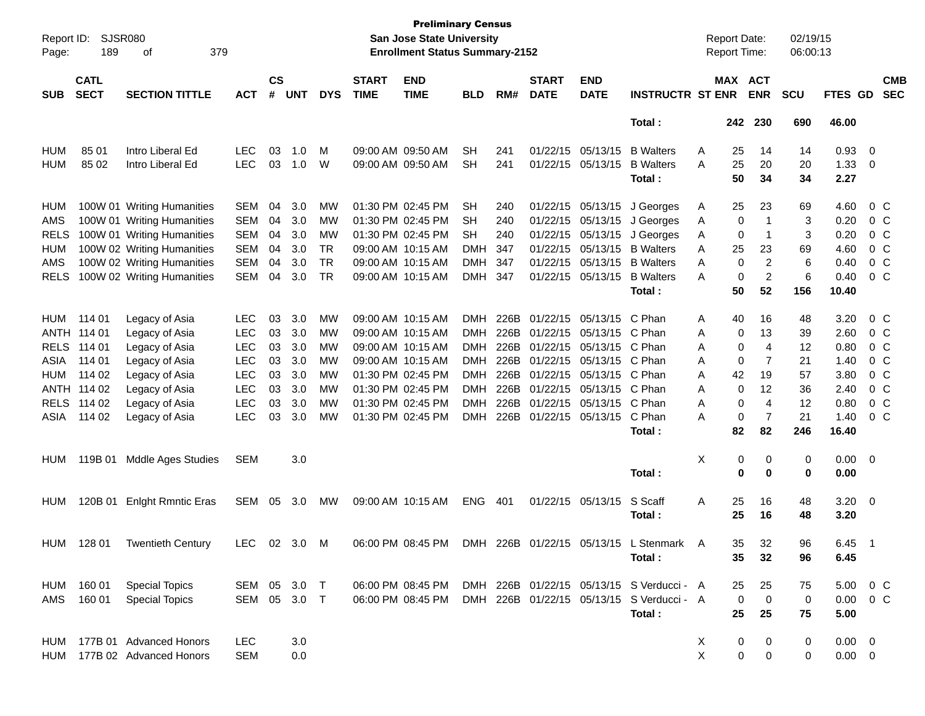| Report ID:<br>Page: | 189                        | <b>SJSR080</b><br>379<br>οf |              |                    |            |            |                             | <b>Preliminary Census</b><br>San Jose State University<br><b>Enrollment Status Summary-2152</b> |            |      |                             |                           |                                           |   | <b>Report Date:</b><br>Report Time: |                | 02/19/15<br>06:00:13 |                  |                          |                          |
|---------------------|----------------------------|-----------------------------|--------------|--------------------|------------|------------|-----------------------------|-------------------------------------------------------------------------------------------------|------------|------|-----------------------------|---------------------------|-------------------------------------------|---|-------------------------------------|----------------|----------------------|------------------|--------------------------|--------------------------|
| <b>SUB</b>          | <b>CATL</b><br><b>SECT</b> | <b>SECTION TITTLE</b>       | <b>ACT</b>   | $\mathsf{cs}$<br># | <b>UNT</b> | <b>DYS</b> | <b>START</b><br><b>TIME</b> | <b>END</b><br><b>TIME</b>                                                                       | <b>BLD</b> | RM#  | <b>START</b><br><b>DATE</b> | <b>END</b><br><b>DATE</b> | <b>INSTRUCTR ST ENR</b>                   |   | MAX ACT                             | <b>ENR</b>     | <b>SCU</b>           | FTES GD          |                          | <b>CMB</b><br><b>SEC</b> |
|                     |                            |                             |              |                    |            |            |                             |                                                                                                 |            |      |                             |                           | Total:                                    |   | 242                                 | 230            | 690                  | 46.00            |                          |                          |
| <b>HUM</b>          | 85 01                      | Intro Liberal Ed            | <b>LEC</b>   | 03                 | 1.0        | М          |                             | 09:00 AM 09:50 AM                                                                               | <b>SH</b>  | 241  |                             | 01/22/15 05/13/15         | <b>B</b> Walters                          | A | 25                                  | 14             | 14                   | 0.93             | 0                        |                          |
| <b>HUM</b>          | 85 02                      | Intro Liberal Ed            | <b>LEC</b>   | 03                 | 1.0        | W          |                             | 09:00 AM 09:50 AM                                                                               | <b>SH</b>  | 241  |                             | 01/22/15 05/13/15         | <b>B</b> Walters                          | Α | 25                                  | 20             | 20                   | 1.33             | 0                        |                          |
|                     |                            |                             |              |                    |            |            |                             |                                                                                                 |            |      |                             |                           | Total:                                    |   | 50                                  | 34             | 34                   | 2.27             |                          |                          |
| HUM                 |                            | 100W 01 Writing Humanities  | <b>SEM</b>   | 04                 | 3.0        | MW         |                             | 01:30 PM 02:45 PM                                                                               | <b>SH</b>  | 240  |                             | 01/22/15 05/13/15         | J Georges                                 | A | 25                                  | 23             | 69                   | 4.60             | $0\,$ C                  |                          |
| AMS                 |                            | 100W 01 Writing Humanities  | <b>SEM</b>   | 04                 | 3.0        | МW         |                             | 01:30 PM 02:45 PM                                                                               | SН         | 240  |                             | 01/22/15 05/13/15         | J Georges                                 | A | 0                                   | -1             | 3                    | 0.20             | $0\,$ C                  |                          |
| <b>RELS</b>         |                            | 100W 01 Writing Humanities  | <b>SEM</b>   | 04                 | 3.0        | MW         |                             | 01:30 PM 02:45 PM                                                                               | <b>SH</b>  | 240  |                             | 01/22/15 05/13/15         | J Georges                                 | A | 0                                   | -1             | 3                    | 0.20             | $0\,$ C                  |                          |
| <b>HUM</b>          |                            | 100W 02 Writing Humanities  | <b>SEM</b>   | 04                 | 3.0        | TR         |                             | 09:00 AM 10:15 AM                                                                               | DMH.       | 347  |                             | 01/22/15 05/13/15         | <b>B</b> Walters                          | Α | 25                                  | 23             | 69                   | 4.60             | $0\,$ C                  |                          |
| AMS                 |                            | 100W 02 Writing Humanities  | <b>SEM</b>   | 04                 | 3.0        | TR         |                             | 09:00 AM 10:15 AM                                                                               | DMH        | 347  |                             | 01/22/15 05/13/15         | <b>B</b> Walters                          | A | 0                                   | 2              | 6                    | 0.40             | $0\,$ C                  |                          |
| <b>RELS</b>         |                            | 100W 02 Writing Humanities  | <b>SEM</b>   | 04                 | 3.0        | TR         |                             | 09:00 AM 10:15 AM                                                                               | DMH        | 347  |                             | 01/22/15 05/13/15         | <b>B</b> Walters                          | A | 0                                   | $\overline{2}$ | 6                    | 0.40             | $0\,$ C                  |                          |
|                     |                            |                             |              |                    |            |            |                             |                                                                                                 |            |      |                             |                           | Total:                                    |   | 50                                  | 52             | 156                  | 10.40            |                          |                          |
| <b>HUM</b>          | 114 01                     | Legacy of Asia              | LEC          | 03                 | 3.0        | MW         |                             | 09:00 AM 10:15 AM                                                                               | DMH        | 226B |                             | 01/22/15 05/13/15         | C Phan                                    | Α | 40                                  | 16             | 48                   | 3.20             | $0\,$ C                  |                          |
|                     | ANTH 114 01                | Legacy of Asia              | <b>LEC</b>   | 03                 | 3.0        | MW         |                             | 09:00 AM 10:15 AM                                                                               | DMH        | 226B |                             | 01/22/15 05/13/15         | C Phan                                    | Α | 0                                   | 13             | 39                   | 2.60             | $0\,$ C                  |                          |
| <b>RELS</b>         | 114 01                     | Legacy of Asia              | <b>LEC</b>   | 03                 | 3.0        | <b>MW</b>  |                             | 09:00 AM 10:15 AM                                                                               | DMH        | 226B |                             | 01/22/15 05/13/15         | C Phan                                    | Α | 0                                   | 4              | 12                   | 0.80             | $0\,$ C                  |                          |
| ASIA                | 114 01                     | Legacy of Asia              | <b>LEC</b>   | 03                 | 3.0        | <b>MW</b>  |                             | 09:00 AM 10:15 AM                                                                               | DMH        | 226B |                             | 01/22/15 05/13/15         | C Phan                                    | Α | 0                                   | 7              | 21                   | 1.40             | $0\,$ C                  |                          |
| <b>HUM</b>          | 114 02                     | Legacy of Asia              | <b>LEC</b>   | 03                 | 3.0        | <b>MW</b>  |                             | 01:30 PM 02:45 PM                                                                               | DMH        | 226B |                             | 01/22/15 05/13/15         | C Phan                                    | Α | 42                                  | 19             | 57                   | 3.80             | $0\,$ C                  |                          |
|                     | ANTH 114 02                | Legacy of Asia              | <b>LEC</b>   | 03                 | 3.0        | <b>MW</b>  |                             | 01:30 PM 02:45 PM                                                                               | DMH        | 226B |                             | 01/22/15 05/13/15         | C Phan                                    | Α | 0                                   | 12             | 36                   | 2.40             | $0\,$ C                  |                          |
| <b>RELS</b>         | 114 02                     | Legacy of Asia              | <b>LEC</b>   | 03                 | 3.0        | MW         |                             | 01:30 PM 02:45 PM                                                                               | DMH        | 226B |                             | 01/22/15 05/13/15         | C Phan                                    | A | 0                                   | 4              | 12                   | 0.80             | $0\,$ C                  |                          |
| ASIA                | 114 02                     | Legacy of Asia              | <b>LEC</b>   | 03                 | 3.0        | MW         |                             | 01:30 PM 02:45 PM                                                                               | DMH        | 226B |                             | 01/22/15 05/13/15         | C Phan                                    | A | 0                                   | 7              | 21                   | 1.40             | $0\,$ C                  |                          |
|                     |                            |                             |              |                    |            |            |                             |                                                                                                 |            |      |                             |                           | Total:                                    |   | 82                                  | 82             | 246                  | 16.40            |                          |                          |
| HUM                 | 119B 01                    | <b>Mddle Ages Studies</b>   | <b>SEM</b>   |                    | 3.0        |            |                             |                                                                                                 |            |      |                             |                           |                                           | х | 0                                   | 0              | 0                    | 0.00             | $\overline{\mathbf{0}}$  |                          |
|                     |                            |                             |              |                    |            |            |                             |                                                                                                 |            |      |                             |                           | Total:                                    |   | 0                                   | 0              | 0                    | 0.00             |                          |                          |
| HUM                 |                            | 120B 01 Enlght Rmntic Eras  | SEM          | 05                 | 3.0        | МW         |                             | 09:00 AM 10:15 AM                                                                               | <b>ENG</b> | 401  |                             | 01/22/15 05/13/15         | S Scaff                                   | Α | 25                                  | 16             | 48                   | 3.20             | $\overline{\phantom{0}}$ |                          |
|                     |                            |                             |              |                    |            |            |                             |                                                                                                 |            |      |                             |                           | Total:                                    |   | 25                                  | 16             | 48                   | 3.20             |                          |                          |
|                     |                            |                             |              |                    |            |            |                             |                                                                                                 |            |      |                             |                           |                                           |   |                                     |                |                      |                  |                          |                          |
|                     | HUM 128 01                 | <b>Twentieth Century</b>    | LEC          |                    | 02 3.0     | M          |                             | 06:00 PM 08:45 PM                                                                               | <b>DMH</b> | 226B | 01/22/15 05/13/15           |                           | Stenmark A                                |   | 35.                                 | 32             | 96                   | $6.45$ 1         |                          |                          |
|                     |                            |                             |              |                    |            |            |                             |                                                                                                 |            |      |                             |                           | Total:                                    |   | 35                                  | 32             | 96                   | 6.45             |                          |                          |
| HUM                 | 160 01                     | <b>Special Topics</b>       | SEM 05 3.0 T |                    |            |            |                             | 06:00 PM 08:45 PM                                                                               |            |      |                             |                           | DMH 226B 01/22/15 05/13/15 S Verducci - A |   | 25                                  | 25             | 75                   | $5.00 \t 0 \t C$ |                          |                          |
| AMS                 | 160 01                     | <b>Special Topics</b>       | SEM 05 3.0 T |                    |            |            |                             | 06:00 PM 08:45 PM                                                                               |            |      |                             |                           | DMH 226B 01/22/15 05/13/15 S Verducci - A |   | $\mathbf 0$                         | $\mathbf 0$    | 0                    | $0.00 \t 0 C$    |                          |                          |
|                     |                            |                             |              |                    |            |            |                             |                                                                                                 |            |      |                             |                           | Total:                                    |   | 25                                  | 25             | 75                   | 5.00             |                          |                          |
|                     |                            |                             |              |                    |            |            |                             |                                                                                                 |            |      |                             |                           |                                           |   |                                     |                |                      |                  |                          |                          |
| HUM                 |                            | 177B 01 Advanced Honors     | LEC          |                    | 3.0        |            |                             |                                                                                                 |            |      |                             |                           |                                           | X | 0                                   | 0              | 0                    | $0.00 \quad 0$   |                          |                          |
| HUM                 |                            | 177B 02 Advanced Honors     | <b>SEM</b>   |                    | 0.0        |            |                             |                                                                                                 |            |      |                             |                           |                                           | X | 0                                   | 0              | 0                    | $0.00 \t 0$      |                          |                          |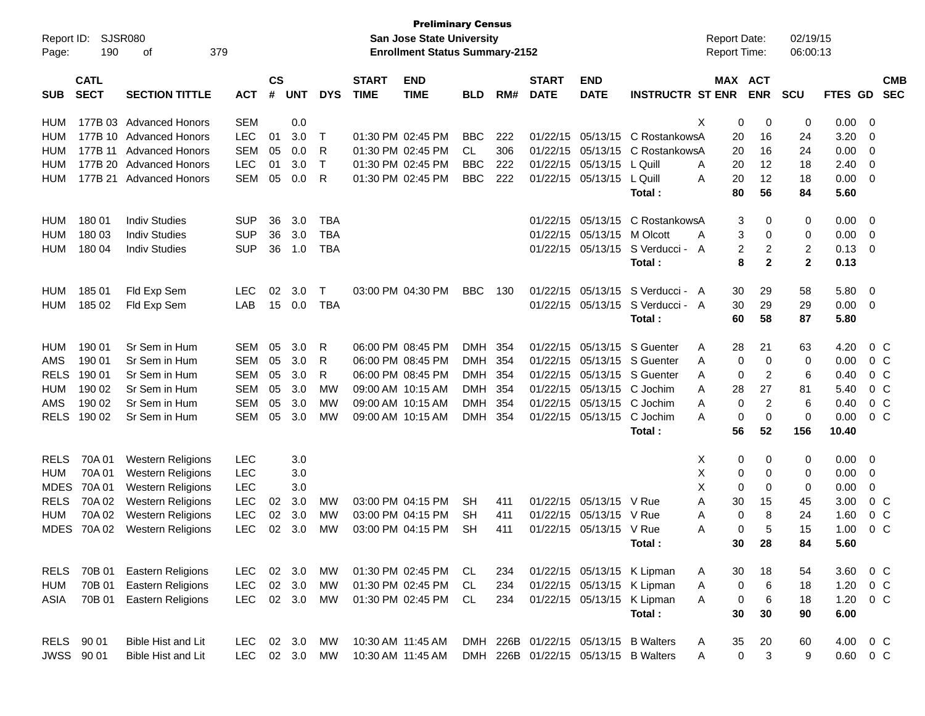| Report ID:<br>Page: | 190                        | <b>SJSR080</b><br>379<br>οf |            |                    |            |            |                             | <b>Preliminary Census</b><br><b>San Jose State University</b><br><b>Enrollment Status Summary-2152</b> |            |      |                             |                           |                                      | <b>Report Date:</b><br><b>Report Time:</b> |             |                           | 02/19/15<br>06:00:13 |               |                |                          |
|---------------------|----------------------------|-----------------------------|------------|--------------------|------------|------------|-----------------------------|--------------------------------------------------------------------------------------------------------|------------|------|-----------------------------|---------------------------|--------------------------------------|--------------------------------------------|-------------|---------------------------|----------------------|---------------|----------------|--------------------------|
| <b>SUB</b>          | <b>CATL</b><br><b>SECT</b> | <b>SECTION TITTLE</b>       | <b>ACT</b> | $\mathsf{cs}$<br># | <b>UNT</b> | <b>DYS</b> | <b>START</b><br><b>TIME</b> | <b>END</b><br><b>TIME</b>                                                                              | <b>BLD</b> | RM#  | <b>START</b><br><b>DATE</b> | <b>END</b><br><b>DATE</b> | <b>INSTRUCTR ST ENR</b>              |                                            |             | MAX ACT<br><b>ENR</b>     | <b>SCU</b>           | FTES GD       |                | <b>CMB</b><br><b>SEC</b> |
| HUM                 |                            | 177B 03 Advanced Honors     | <b>SEM</b> |                    | 0.0        |            |                             |                                                                                                        |            |      |                             |                           |                                      | Χ                                          | 0           | 0                         | 0                    | 0.00          | - 0            |                          |
| HUM                 |                            | 177B 10 Advanced Honors     | <b>LEC</b> | 01                 | 3.0        | Т          |                             | 01:30 PM 02:45 PM                                                                                      | <b>BBC</b> | 222  | 01/22/15                    | 05/13/15                  | C RostankowsA                        |                                            | 20          | 16                        | 24                   | 3.20          | 0              |                          |
| HUM                 |                            | 177B 11 Advanced Honors     | <b>SEM</b> | 05                 | 0.0        | R          |                             | 01:30 PM 02:45 PM                                                                                      | <b>CL</b>  | 306  | 01/22/15                    | 05/13/15                  | C RostankowsA                        |                                            | 20          | 16                        | 24                   | 0.00          | $\overline{0}$ |                          |
| HUM                 |                            | 177B 20 Advanced Honors     | <b>LEC</b> | 01                 | 3.0        | T          |                             | 01:30 PM 02:45 PM                                                                                      | <b>BBC</b> | 222  | 01/22/15                    | 05/13/15                  | L Quill                              | A                                          | 20          | 12                        | 18                   | 2.40          | $\overline{0}$ |                          |
| HUM                 |                            | 177B 21 Advanced Honors     | <b>SEM</b> | 05                 | 0.0        | R          |                             | 01:30 PM 02:45 PM                                                                                      | <b>BBC</b> | 222  | 01/22/15                    | 05/13/15                  | L Quill                              | A                                          | 20          | 12                        | 18                   | 0.00          | 0              |                          |
|                     |                            |                             |            |                    |            |            |                             |                                                                                                        |            |      |                             |                           | Total:                               |                                            | 80          | 56                        | 84                   | 5.60          |                |                          |
| <b>HUM</b>          | 180 01                     | <b>Indiv Studies</b>        | <b>SUP</b> | 36                 | 3.0        | <b>TBA</b> |                             |                                                                                                        |            |      | 01/22/15                    | 05/13/15                  | C RostankowsA                        |                                            | 3           | 0                         | 0                    | 0.00          | 0              |                          |
| HUM                 | 180 03                     | <b>Indiv Studies</b>        | <b>SUP</b> | 36                 | 3.0        | <b>TBA</b> |                             |                                                                                                        |            |      | 01/22/15                    | 05/13/15                  | M Olcott                             | A                                          | 3           | 0                         | 0                    | 0.00          | $\overline{0}$ |                          |
| <b>HUM</b>          | 180 04                     | <b>Indiv Studies</b>        | <b>SUP</b> | 36                 | 1.0        | <b>TBA</b> |                             |                                                                                                        |            |      | 01/22/15                    | 05/13/15                  | S Verducci -                         | A                                          | 2           | 2                         | $\overline{c}$       | 0.13          | $\overline{0}$ |                          |
|                     |                            |                             |            |                    |            |            |                             |                                                                                                        |            |      |                             |                           | Total:                               |                                            | 8           | $\mathbf{2}$              | $\mathbf{2}$         | 0.13          |                |                          |
| HUM                 | 185 01                     | Fld Exp Sem                 | <b>LEC</b> | 02                 | 3.0        | Т          |                             | 03:00 PM 04:30 PM                                                                                      | <b>BBC</b> | 130  | 01/22/15                    | 05/13/15                  | S Verducci - A                       |                                            | 30          | 29                        | 58                   | 5.80          | 0              |                          |
| HUM                 | 185 02                     | Fld Exp Sem                 | LAB        | 15                 | 0.0        | <b>TBA</b> |                             |                                                                                                        |            |      | 01/22/15                    | 05/13/15                  | S Verducci - A                       |                                            | 30          | 29                        | 29                   | 0.00          | 0              |                          |
|                     |                            |                             |            |                    |            |            |                             |                                                                                                        |            |      |                             |                           | Total:                               |                                            | 60          | 58                        | 87                   | 5.80          |                |                          |
| HUM                 | 190 01                     | Sr Sem in Hum               | <b>SEM</b> | 05                 | 3.0        | R          |                             | 06:00 PM 08:45 PM                                                                                      | <b>DMH</b> | -354 | 01/22/15                    | 05/13/15                  | S Guenter                            | Α                                          | 28          | 21                        | 63                   | 4.20          |                | $0\,C$                   |
| <b>AMS</b>          | 190 01                     | Sr Sem in Hum               | <b>SEM</b> | 05                 | 3.0        | R          |                             | 06:00 PM 08:45 PM                                                                                      | DMH        | -354 | 01/22/15                    | 05/13/15                  | S Guenter                            | A                                          | 0           | 0                         | 0                    | 0.00          |                | $0\,C$                   |
| <b>RELS</b>         | 190 01                     | Sr Sem in Hum               | <b>SEM</b> | 05                 | 3.0        | R          |                             | 06:00 PM 08:45 PM                                                                                      | <b>DMH</b> | 354  | 01/22/15                    | 05/13/15                  | S Guenter                            | A                                          | 0           | $\overline{2}$            | 6                    | 0.40          |                | 0 <sup>o</sup>           |
| HUM                 | 190 02                     | Sr Sem in Hum               | <b>SEM</b> | 05                 | 3.0        | МW         |                             | 09:00 AM 10:15 AM                                                                                      | <b>DMH</b> | 354  | 01/22/15                    | 05/13/15                  | C Jochim                             | A                                          | 28          | 27                        | 81                   | 5.40          |                | $0\,C$                   |
| <b>AMS</b>          | 190 02                     | Sr Sem in Hum               | <b>SEM</b> | 05                 | 3.0        | МW         |                             | 09:00 AM 10:15 AM                                                                                      | DMH        | 354  | 01/22/15                    | 05/13/15                  | C Jochim                             | A                                          | $\mathbf 0$ | $\overline{2}$            | 6                    | 0.40          |                | 0 <sup>o</sup>           |
| <b>RELS</b>         | 190 02                     | Sr Sem in Hum               | <b>SEM</b> | 05                 | 3.0        | МW         |                             | 09:00 AM 10:15 AM                                                                                      | DMH 354    |      | 01/22/15                    | 05/13/15                  | C Jochim                             | A                                          | 0           | $\mathbf 0$               | $\mathbf 0$          | 0.00          |                | $0\,C$                   |
|                     |                            |                             |            |                    |            |            |                             |                                                                                                        |            |      |                             |                           | Total:                               |                                            | 56          | 52                        | 156                  | 10.40         |                |                          |
| <b>RELS</b>         | 70A 01                     | <b>Western Religions</b>    | <b>LEC</b> |                    | 3.0        |            |                             |                                                                                                        |            |      |                             |                           |                                      | X                                          | 0           | 0                         | 0                    | 0.00          | 0              |                          |
| HUM                 | 70A 01                     | <b>Western Religions</b>    | <b>LEC</b> |                    | 3.0        |            |                             |                                                                                                        |            |      |                             |                           |                                      | х                                          | 0           | 0                         | 0                    | 0.00          | 0              |                          |
| <b>MDES</b>         | 70A 01                     | <b>Western Religions</b>    | <b>LEC</b> |                    | 3.0        |            |                             |                                                                                                        |            |      |                             |                           |                                      | X                                          | 0           | 0                         | $\mathbf 0$          | 0.00          | 0              |                          |
| <b>RELS</b>         | 70A 02                     | Western Religions           | LEC        | 02                 | 3.0        | МW         |                             | 03:00 PM 04:15 PM                                                                                      | <b>SH</b>  | 411  | 01/22/15                    | 05/13/15                  | V Rue                                | A                                          | 30          | 15                        | 45                   | 3.00          |                | 0 <sup>o</sup>           |
| <b>HUM</b>          | 70A 02                     | <b>Western Religions</b>    | <b>LEC</b> | 02                 | 3.0        | МW         |                             | 03:00 PM 04:15 PM                                                                                      | SН         | 411  | 01/22/15                    | 05/13/15                  | V Rue                                | A                                          | 0           | 8                         | 24                   | 1.60          |                | 0 <sup>o</sup>           |
| <b>MDES</b>         | 70A 02                     | <b>Western Religions</b>    | <b>LEC</b> | 02                 | 3.0        | МW         |                             | 03:00 PM 04:15 PM                                                                                      | <b>SH</b>  | 411  | 01/22/15                    | 05/13/15                  | V Rue                                | A                                          | 0           | 5                         | 15                   | 1.00          |                | 0 <sup>o</sup>           |
|                     |                            |                             |            |                    |            |            |                             |                                                                                                        |            |      |                             |                           | Total:                               |                                            | 30          | 28                        | 84                   | 5.60          |                |                          |
| RELS                | 70B 01                     | <b>Eastern Religions</b>    | <b>LEC</b> |                    | 02 3.0     | MW         |                             | 01:30 PM 02:45 PM CL                                                                                   |            | 234  |                             |                           | 01/22/15 05/13/15 K Lipman           | A                                          | 30          | 18                        | 54                   | 3.60          | $0\,$ C        |                          |
| HUM                 | 70B 01                     | <b>Eastern Religions</b>    | <b>LEC</b> | $02\,$             | 3.0        | MW         |                             | 01:30 PM 02:45 PM                                                                                      | CL         | 234  |                             |                           | 01/22/15 05/13/15 K Lipman           | Α                                          | 0           | $\,6\,$                   | 18                   | 1.20          |                | 0 C                      |
| ASIA                | 70B 01                     | <b>Eastern Religions</b>    | <b>LEC</b> |                    | 02 3.0     | MW         |                             | 01:30 PM 02:45 PM                                                                                      | CL         | 234  |                             |                           | 01/22/15 05/13/15 K Lipman           | A                                          | 0           | $\,6\,$                   | 18                   | 1.20          | 0 C            |                          |
|                     |                            |                             |            |                    |            |            |                             |                                                                                                        |            |      |                             |                           | Total:                               |                                            | 30          | 30                        | 90                   | 6.00          |                |                          |
|                     | RELS 90 01                 | Bible Hist and Lit          | LEC.       |                    | 02 3.0     | МW         | 10:30 AM 11:45 AM           |                                                                                                        |            |      |                             |                           | DMH 226B 01/22/15 05/13/15 B Walters | A                                          | 35          | 20                        | 60                   | 4.00          | $0\,$ C        |                          |
|                     | JWSS 90 01                 | <b>Bible Hist and Lit</b>   | <b>LEC</b> |                    | 02 3.0     | MW         | 10:30 AM 11:45 AM           |                                                                                                        |            |      |                             |                           | DMH 226B 01/22/15 05/13/15 B Walters | Α                                          | $\mathbf 0$ | $\ensuremath{\mathsf{3}}$ | 9                    | $0.60 \t 0 C$ |                |                          |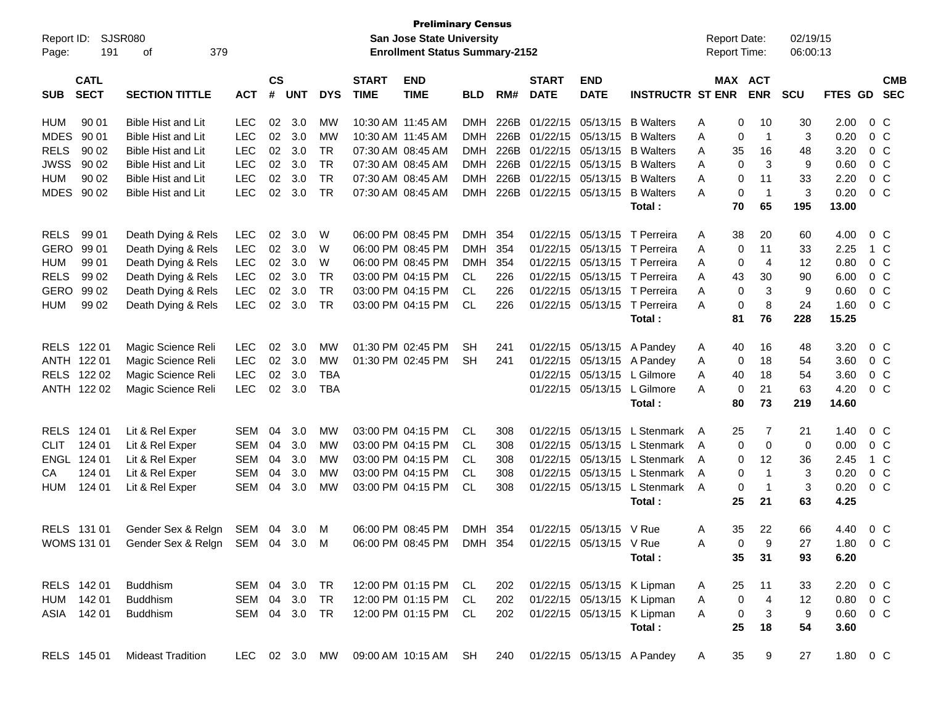| Report ID:                               | <b>SJSR080</b>                              |               |                    |            |            |                             | <b>Preliminary Census</b><br>San Jose State University |            |          |                             |                           |                              | <b>Report Date:</b> |                       | 02/19/15    |               |                |            |
|------------------------------------------|---------------------------------------------|---------------|--------------------|------------|------------|-----------------------------|--------------------------------------------------------|------------|----------|-----------------------------|---------------------------|------------------------------|---------------------|-----------------------|-------------|---------------|----------------|------------|
| 191<br>Page:                             | 379<br>οf                                   |               |                    |            |            |                             | <b>Enrollment Status Summary-2152</b>                  |            |          |                             |                           |                              | Report Time:        |                       | 06:00:13    |               |                |            |
| <b>CATL</b><br><b>SECT</b><br><b>SUB</b> | <b>SECTION TITTLE</b>                       | <b>ACT</b>    | $\mathsf{cs}$<br># | <b>UNT</b> | <b>DYS</b> | <b>START</b><br><b>TIME</b> | <b>END</b><br><b>TIME</b>                              | <b>BLD</b> | RM#      | <b>START</b><br><b>DATE</b> | <b>END</b><br><b>DATE</b> | <b>INSTRUCTR ST ENR</b>      |                     | MAX ACT<br><b>ENR</b> | <b>SCU</b>  | FTES GD SEC   |                | <b>CMB</b> |
| 90 01<br><b>HUM</b>                      | <b>Bible Hist and Lit</b>                   | <b>LEC</b>    | 02                 | 3.0        | МW         |                             | 10:30 AM 11:45 AM                                      |            | DMH 226B |                             | 01/22/15 05/13/15         | <b>B</b> Walters             | 0<br>Α              | 10                    | 30          | 2.00          | $0\,$ C        |            |
| <b>MDES</b><br>90 01                     | Bible Hist and Lit                          | <b>LEC</b>    | 02                 | 3.0        | MW         |                             | 10:30 AM 11:45 AM                                      | DMH        | 226B     |                             | 01/22/15 05/13/15         | <b>B</b> Walters             | Α<br>0              | $\overline{1}$        | 3           | 0.20          | 0 <sup>o</sup> |            |
| <b>RELS</b><br>90 02                     | Bible Hist and Lit                          | <b>LEC</b>    | 02                 | 3.0        | <b>TR</b>  |                             | 07:30 AM 08:45 AM                                      | <b>DMH</b> | 226B     |                             | 01/22/15 05/13/15         | <b>B</b> Walters             | Α<br>35             | 16                    | 48          | 3.20          | 0 <sup>o</sup> |            |
| <b>JWSS</b><br>90 02                     | <b>Bible Hist and Lit</b>                   | LEC           | 02                 | 3.0        | TR         |                             | 07:30 AM 08:45 AM                                      | DMH        | 226B     |                             | 01/22/15 05/13/15         | <b>B</b> Walters             | A<br>0              | 3                     | 9           | 0.60          | 0 <sup>o</sup> |            |
| 90 02<br>HUM                             | <b>Bible Hist and Lit</b>                   | <b>LEC</b>    | 02                 | 3.0        | TR         |                             | 07:30 AM 08:45 AM                                      | <b>DMH</b> | 226B     |                             | 01/22/15 05/13/15         | <b>B</b> Walters             | Α<br>0              | 11                    | 33          | 2.20          | 0 <sup>o</sup> |            |
| <b>MDES</b><br>90 02                     | <b>Bible Hist and Lit</b>                   | <b>LEC</b>    | 02                 | 3.0        | <b>TR</b>  |                             | 07:30 AM 08:45 AM                                      | <b>DMH</b> |          |                             | 226B 01/22/15 05/13/15    | <b>B</b> Walters             | 0<br>Α              | $\overline{1}$        | 3           | 0.20          | 0 <sup>o</sup> |            |
|                                          |                                             |               |                    |            |            |                             |                                                        |            |          |                             |                           | Total:                       | 70                  | 65                    | 195         | 13.00         |                |            |
| 99 01<br><b>RELS</b>                     | Death Dying & Rels                          | <b>LEC</b>    | 02                 | 3.0        | W          |                             | 06:00 PM 08:45 PM                                      | DMH 354    |          |                             |                           | 01/22/15 05/13/15 T Perreira | 38<br>A             | 20                    | 60          | 4.00          | $0\,$ C        |            |
| GERO<br>99 01                            | Death Dying & Rels                          | <b>LEC</b>    | 02                 | 3.0        | W          |                             | 06:00 PM 08:45 PM                                      | <b>DMH</b> | 354      |                             |                           | 01/22/15 05/13/15 T Perreira | Α<br>0              | 11                    | 33          | 2.25          | 1 C            |            |
| 99 01<br>HUM                             | Death Dying & Rels                          | <b>LEC</b>    | 02                 | 3.0        | W          |                             | 06:00 PM 08:45 PM                                      | <b>DMH</b> | 354      |                             |                           | 01/22/15 05/13/15 T Perreira | A<br>0              | $\overline{4}$        | 12          | 0.80          | 0 <sup>o</sup> |            |
| <b>RELS</b><br>99 02                     | Death Dying & Rels                          | LEC           | 02                 | 3.0        | TR         |                             | 03:00 PM 04:15 PM                                      | CL.        | 226      |                             |                           | 01/22/15 05/13/15 T Perreira | 43<br>Α             | 30                    | 90          | 6.00          | 0 <sup>o</sup> |            |
| GERO<br>99 02                            | Death Dying & Rels                          | LEC           | 02                 | 3.0        | <b>TR</b>  |                             | 03:00 PM 04:15 PM                                      | CL.        | 226      |                             |                           | 01/22/15 05/13/15 T Perreira | 0<br>A              | 3                     | 9           | 0.60          | 0 <sup>o</sup> |            |
| <b>HUM</b><br>99 02                      | Death Dying & Rels                          | <b>LEC</b>    | 02                 | 3.0        | <b>TR</b>  |                             | 03:00 PM 04:15 PM                                      | CL         | 226      |                             |                           | 01/22/15 05/13/15 T Perreira | 0<br>Α              | 8                     | 24          | 1.60          | 0 <sup>o</sup> |            |
|                                          |                                             |               |                    |            |            |                             |                                                        |            |          |                             |                           | Total:                       | 81                  | 76                    | 228         | 15.25         |                |            |
| RELS 122 01                              | Magic Science Reli                          | <b>LEC</b>    | 02                 | 3.0        | MW         |                             | 01:30 PM 02:45 PM                                      | <b>SH</b>  | 241      |                             |                           | 01/22/15 05/13/15 A Pandey   | A<br>40             | 16                    | 48          | 3.20          | 0 <sup>o</sup> |            |
| ANTH 122 01                              | Magic Science Reli                          | <b>LEC</b>    | 02                 | 3.0        | <b>MW</b>  |                             | 01:30 PM 02:45 PM                                      | <b>SH</b>  | 241      |                             | 01/22/15 05/13/15         | A Pandey                     | Α<br>0              | 18                    | 54          | 3.60          | 0 <sup>o</sup> |            |
| RELS 122 02                              | Magic Science Reli                          | LEC           | 02                 | 3.0        | <b>TBA</b> |                             |                                                        |            |          |                             | 01/22/15 05/13/15         | L Gilmore                    | A<br>40             | 18                    | 54          | 3.60          | 0 C            |            |
| ANTH 122 02                              | Magic Science Reli                          | <b>LEC</b>    | 02                 | 3.0        | <b>TBA</b> |                             |                                                        |            |          |                             | 01/22/15 05/13/15         | L Gilmore                    | Α<br>0              | 21                    | 63          | 4.20          | 0 <sup>o</sup> |            |
|                                          |                                             |               |                    |            |            |                             |                                                        |            |          |                             |                           | Total:                       | 80                  | 73                    | 219         | 14.60         |                |            |
| RELS 124 01                              | Lit & Rel Exper                             | SEM           | 04                 | 3.0        | МW         |                             | 03:00 PM 04:15 PM                                      | CL         | 308      |                             | 01/22/15 05/13/15         | L Stenmark A                 | 25                  | 7                     | 21          | 1.40          | $0\,$ C        |            |
| <b>CLIT</b><br>124 01                    | Lit & Rel Exper                             | <b>SEM</b>    | 04                 | 3.0        | MW         |                             | 03:00 PM 04:15 PM                                      | CL.        | 308      |                             | 01/22/15 05/13/15         | L Stenmark                   | 0<br>A              | $\mathbf 0$           | $\mathbf 0$ | 0.00          | 0 <sup>o</sup> |            |
| ENGL 124 01                              | Lit & Rel Exper                             | <b>SEM</b>    | 04                 | 3.0        | MW         |                             | 03:00 PM 04:15 PM                                      | CL.        | 308      |                             | 01/22/15 05/13/15         | L Stenmark                   | 0<br>A              | 12                    | 36          | 2.45          | 1 C            |            |
| 124 01<br>CА                             | Lit & Rel Exper                             | <b>SEM</b>    | 04                 | 3.0        | МW         |                             | 03:00 PM 04:15 PM                                      | CL.        | 308      |                             | 01/22/15 05/13/15         | L Stenmark                   | $\overline{A}$<br>0 | $\mathbf{1}$          | 3           | 0.20          | 0 <sup>o</sup> |            |
| HUM<br>124 01                            | Lit & Rel Exper                             | SEM           | 04                 | 3.0        | <b>MW</b>  |                             | 03:00 PM 04:15 PM                                      | CL         | 308      |                             |                           | 01/22/15 05/13/15 L Stenmark | A<br>0              | $\overline{1}$        | 3           | 0.20          | $0\,C$         |            |
|                                          |                                             |               |                    |            |            |                             |                                                        |            |          |                             |                           | Total:                       | 25                  | 21                    | 63          | 4.25          |                |            |
| RELS 131 01                              | Gender Sex & Relgn                          | SEM 04 3.0    |                    |            | M          |                             | 06:00 PM 08:45 PM                                      | DMH 354    |          |                             | 01/22/15 05/13/15 V Rue   |                              | 35<br>A             | 22                    | 66          | 4.40          | $0\,C$         |            |
|                                          | WOMS 131 01 Gender Sex & Relgn SEM 04 3.0 M |               |                    |            |            |                             | 06:00 PM 08:45 PM DMH 354 01/22/15 05/13/15 V Rue      |            |          |                             |                           |                              | Α                   | $\overline{0}$<br>9   | 27          | 1.80 0 C      |                |            |
|                                          |                                             |               |                    |            |            |                             |                                                        |            |          |                             |                           | Total:                       | 35                  | 31                    | 93          | 6.20          |                |            |
| RELS 142 01                              | <b>Buddhism</b>                             | SEM 04 3.0 TR |                    |            |            |                             | 12:00 PM 01:15 PM CL                                   |            | 202      |                             |                           | 01/22/15 05/13/15 K Lipman   | 25<br>A             | 11                    | 33          | 2.20 0 C      |                |            |
| HUM 142 01                               | <b>Buddhism</b>                             | SEM 04 3.0    |                    |            | <b>TR</b>  |                             | 12:00 PM 01:15 PM CL                                   |            | 202      |                             |                           | 01/22/15 05/13/15 K Lipman   | Α<br>$\mathbf 0$    | $\overline{4}$        | 12          | $0.80 \t 0 C$ |                |            |
| ASIA 142 01                              | <b>Buddhism</b>                             | SEM 04 3.0 TR |                    |            |            |                             | 12:00 PM 01:15 PM CL                                   |            | 202      |                             |                           | 01/22/15 05/13/15 K Lipman   | Α<br>$\mathbf 0$    | $\mathbf{3}$          | 9           | $0.60 \t 0 C$ |                |            |
|                                          |                                             |               |                    |            |            |                             |                                                        |            |          |                             |                           | Total:                       | 25                  | 18                    | 54          | 3.60          |                |            |
| RELS 145 01                              | <b>Mideast Tradition</b>                    | LEC 02 3.0 MW |                    |            |            |                             | 09:00 AM 10:15 AM SH                                   |            | 240      |                             |                           | 01/22/15 05/13/15 A Pandey   | 35<br>A             | 9                     | 27          | 1.80 0 C      |                |            |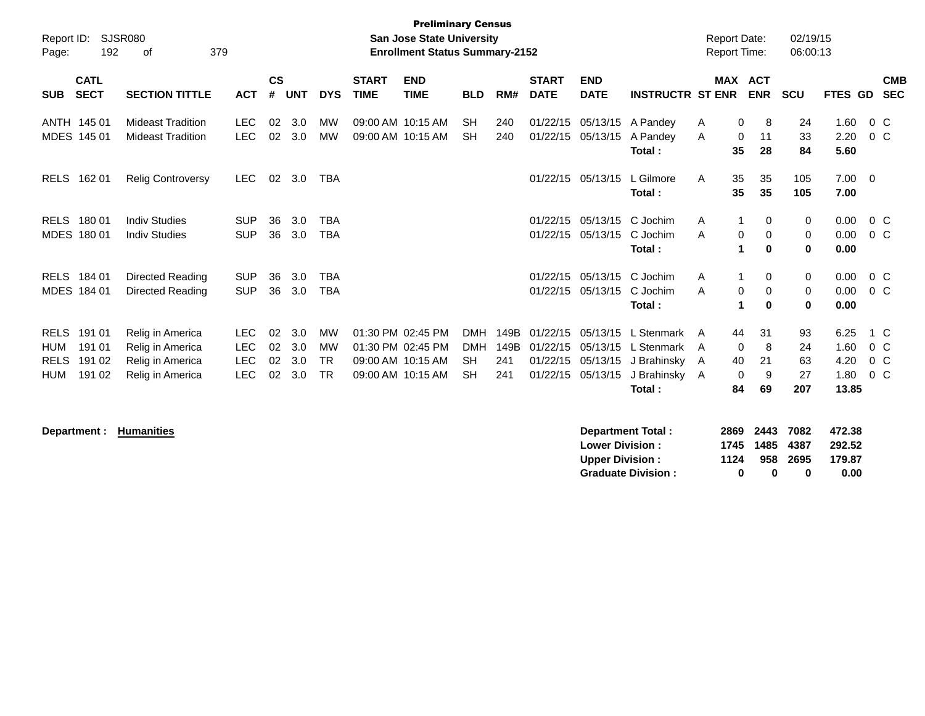| Report ID:<br>Page:                                    | 192                                  | <b>SJSR080</b><br>379<br>οf                                                  |                                                      |                      |                          |                                                  |                             | <b>Preliminary Census</b><br><b>San Jose State University</b><br><b>Enrollment Status Summary-2152</b> |                                              |                            |                                              |                                              |                                                                  | <b>Report Date:</b><br><b>Report Time:</b> |                                              | 02/19/15<br>06:00:13        |                                       |                                   |
|--------------------------------------------------------|--------------------------------------|------------------------------------------------------------------------------|------------------------------------------------------|----------------------|--------------------------|--------------------------------------------------|-----------------------------|--------------------------------------------------------------------------------------------------------|----------------------------------------------|----------------------------|----------------------------------------------|----------------------------------------------|------------------------------------------------------------------|--------------------------------------------|----------------------------------------------|-----------------------------|---------------------------------------|-----------------------------------|
| <b>SUB</b>                                             | <b>CATL</b><br><b>SECT</b>           | <b>SECTION TITTLE</b>                                                        | <b>ACT</b>                                           | <b>CS</b><br>#       | <b>UNT</b>               | <b>DYS</b>                                       | <b>START</b><br><b>TIME</b> | <b>END</b><br><b>TIME</b>                                                                              | <b>BLD</b>                                   | RM#                        | <b>START</b><br><b>DATE</b>                  | <b>END</b><br><b>DATE</b>                    | <b>INSTRUCTR ST ENR</b>                                          |                                            | <b>MAX ACT</b><br><b>ENR</b>                 | <b>SCU</b>                  | <b>FTES GD</b>                        | <b>CMB</b><br><b>SEC</b>          |
|                                                        | ANTH 145 01<br>MDES 145 01           | <b>Mideast Tradition</b><br><b>Mideast Tradition</b>                         | <b>LEC</b><br><b>LEC</b>                             | 02<br>02             | 3.0<br>3.0               | МW<br><b>MW</b>                                  |                             | 09:00 AM 10:15 AM<br>09:00 AM 10:15 AM                                                                 | <b>SH</b><br><b>SH</b>                       | 240<br>240                 | 01/22/15<br>01/22/15                         | 05/13/15<br>05/13/15                         | A Pandey<br>A Pandey<br>Total:                                   | A<br>0<br>A<br>35                          | 0<br>8<br>11<br>28                           | 24<br>33<br>84              | 1.60<br>2.20<br>5.60                  | 0 <sup>o</sup><br>$0\,C$          |
| <b>RELS</b>                                            | 162 01                               | <b>Relig Controversy</b>                                                     | LEC.                                                 | 02                   | 3.0                      | <b>TBA</b>                                       |                             |                                                                                                        |                                              |                            |                                              | 01/22/15 05/13/15                            | L Gilmore<br>Total:                                              | 35<br>A<br>35                              | 35<br>35                                     | 105<br>105                  | $7.00 \quad 0$<br>7.00                |                                   |
| <b>RELS</b>                                            | 180 01<br>MDES 180 01                | <b>Indiv Studies</b><br><b>Indiv Studies</b>                                 | <b>SUP</b><br><b>SUP</b>                             | 36<br>36             | 3.0<br>3.0               | <b>TBA</b><br><b>TBA</b>                         |                             |                                                                                                        |                                              |                            | 01/22/15<br>01/22/15                         | 05/13/15<br>05/13/15                         | C Jochim<br>C Jochim<br>Total:                                   | A<br>A                                     | $\Omega$<br>0<br>0<br>$\bf{0}$               | 0<br>0<br>$\bf{0}$          | 0.00<br>0.00<br>0.00                  | 0 <sup>o</sup><br>$0\,C$          |
| <b>RELS</b>                                            | 184 01<br>MDES 184 01                | Directed Reading<br>Directed Reading                                         | <b>SUP</b><br><b>SUP</b>                             | 36<br>36             | 3.0<br>3.0               | <b>TBA</b><br><b>TBA</b>                         |                             |                                                                                                        |                                              |                            | 01/22/15<br>01/22/15                         | 05/13/15<br>05/13/15                         | C Jochim<br>C Jochim<br>Total:                                   | A<br>A<br>1                                | 0<br>0<br>$\mathbf 0$<br>$\bf{0}$            | 0<br>0<br>$\bf{0}$          | 0.00<br>0.00<br>0.00                  | 0 C<br>0 <sup>o</sup>             |
| <b>RELS</b><br><b>HUM</b><br><b>RELS</b><br><b>HUM</b> | 191 01<br>191 01<br>191 02<br>191 02 | Relig in America<br>Relig in America<br>Relig in America<br>Relig in America | <b>LEC</b><br><b>LEC</b><br><b>LEC</b><br><b>LEC</b> | 02<br>02<br>02<br>02 | 3.0<br>3.0<br>3.0<br>3.0 | <b>MW</b><br><b>MW</b><br><b>TR</b><br><b>TR</b> |                             | 01:30 PM 02:45 PM<br>01:30 PM 02:45 PM<br>09:00 AM 10:15 AM<br>09:00 AM 10:15 AM                       | <b>DMH</b><br><b>DMH</b><br>SH.<br><b>SH</b> | 149B<br>149B<br>241<br>241 | 01/22/15<br>01/22/15<br>01/22/15<br>01/22/15 | 05/13/15<br>05/13/15<br>05/13/15<br>05/13/15 | L Stenmark<br>L Stenmark<br>J Brahinsky<br>J Brahinsky<br>Total: | 44<br>A<br>A<br>40<br>A<br>A<br>84         | 31<br>$\mathbf 0$<br>8<br>21<br>0<br>9<br>69 | 93<br>24<br>63<br>27<br>207 | 6.25<br>1.60<br>4.20<br>1.80<br>13.85 | 1 C<br>$0\,C$<br>$0\,C$<br>$0\,C$ |

**Department : Humanities** 

| Department Total:         |      | 2869 2443 7082 |          | 472.38 |
|---------------------------|------|----------------|----------|--------|
| <b>Lower Division:</b>    |      | 1745 1485 4387 |          | 292.52 |
| <b>Upper Division:</b>    | 1124 |                | 958 2695 | 179.87 |
| <b>Graduate Division:</b> | o    | n              | o        | 0.00   |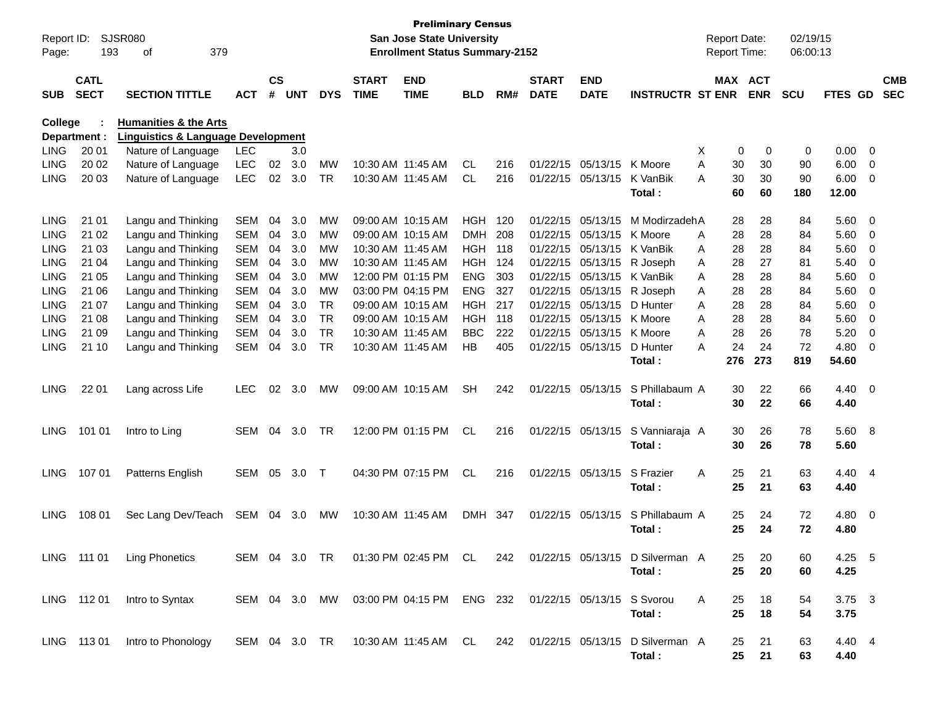| Report ID:<br>Page: | 193                        | SJSR080<br>379<br>οf                          |               |                    |            |               |                             | <b>Preliminary Census</b><br><b>San Jose State University</b><br><b>Enrollment Status Summary-2152</b> |            |       |                             |                            |                                 |   | <b>Report Date:</b><br>Report Time: |            | 02/19/15<br>06:00:13 |                |                          |                          |
|---------------------|----------------------------|-----------------------------------------------|---------------|--------------------|------------|---------------|-----------------------------|--------------------------------------------------------------------------------------------------------|------------|-------|-----------------------------|----------------------------|---------------------------------|---|-------------------------------------|------------|----------------------|----------------|--------------------------|--------------------------|
| <b>SUB</b>          | <b>CATL</b><br><b>SECT</b> | <b>SECTION TITTLE</b>                         | <b>ACT</b>    | $\mathsf{cs}$<br># | <b>UNT</b> | <b>DYS</b>    | <b>START</b><br><b>TIME</b> | <b>END</b><br><b>TIME</b>                                                                              | <b>BLD</b> | RM#   | <b>START</b><br><b>DATE</b> | <b>END</b><br><b>DATE</b>  | <b>INSTRUCTR ST ENR</b>         |   | MAX ACT                             | <b>ENR</b> | <b>SCU</b>           | FTES GD        |                          | <b>CMB</b><br><b>SEC</b> |
| College             |                            | <b>Humanities &amp; the Arts</b>              |               |                    |            |               |                             |                                                                                                        |            |       |                             |                            |                                 |   |                                     |            |                      |                |                          |                          |
|                     | Department :               | <b>Linguistics &amp; Language Development</b> |               |                    |            |               |                             |                                                                                                        |            |       |                             |                            |                                 |   |                                     |            |                      |                |                          |                          |
| <b>LING</b>         | 20 01                      | Nature of Language                            | <b>LEC</b>    |                    | 3.0        |               |                             |                                                                                                        |            |       |                             |                            |                                 | Х | 0                                   | 0          | 0                    | 0.00           | $\overline{\mathbf{0}}$  |                          |
| <b>LING</b>         | 20 02                      | Nature of Language                            | <b>LEC</b>    | 02                 | 3.0        | MW            |                             | 10:30 AM 11:45 AM                                                                                      | <b>CL</b>  | 216   |                             | 01/22/15 05/13/15          | K Moore                         | A | 30                                  | 30         | 90                   | 6.00           | 0                        |                          |
| LING                | 20 03                      | Nature of Language                            | <b>LEC</b>    | 02                 | 3.0        | <b>TR</b>     |                             | 10:30 AM 11:45 AM                                                                                      | <b>CL</b>  | 216   |                             | 01/22/15 05/13/15          | K VanBik<br>Total:              | А | 30<br>60                            | 30<br>60   | 90<br>180            | 6.00<br>12.00  | 0                        |                          |
|                     |                            |                                               |               |                    |            |               |                             |                                                                                                        |            |       |                             |                            |                                 |   |                                     |            |                      |                |                          |                          |
| <b>LING</b>         | 21 01                      | Langu and Thinking                            | <b>SEM</b>    | 04                 | 3.0        | МW            |                             | 09:00 AM 10:15 AM                                                                                      | HGH        | 120   | 01/22/15                    | 05/13/15                   | M ModirzadehA                   |   | 28                                  | 28         | 84                   | 5.60           | $\overline{\mathbf{0}}$  |                          |
| <b>LING</b>         | 21 02                      | Langu and Thinking                            | <b>SEM</b>    | 04                 | 3.0        | МW            |                             | 09:00 AM 10:15 AM                                                                                      | <b>DMH</b> | 208   | 01/22/15                    | 05/13/15                   | K Moore                         | A | 28                                  | 28         | 84                   | 5.60           | $\overline{0}$           |                          |
| <b>LING</b>         | 21 03                      | Langu and Thinking                            | <b>SEM</b>    | 04                 | 3.0        | МW            |                             | 10:30 AM 11:45 AM                                                                                      | HGH        | - 118 | 01/22/15                    | 05/13/15                   | K VanBik                        | A | 28                                  | 28         | 84                   | 5.60           | 0                        |                          |
| LING                | 21 04                      | Langu and Thinking                            | <b>SEM</b>    | 04                 | 3.0        | МW            |                             | 10:30 AM 11:45 AM                                                                                      | <b>HGH</b> | 124   | 01/22/15                    | 05/13/15                   | R Joseph                        | A | 28                                  | 27         | 81                   | 5.40           | 0                        |                          |
| <b>LING</b>         | 21 05                      | Langu and Thinking                            | <b>SEM</b>    | 04                 | 3.0        | МW            |                             | 12:00 PM 01:15 PM                                                                                      | <b>ENG</b> | 303   | 01/22/15                    |                            | 05/13/15 K VanBik               | A | 28                                  | 28         | 84                   | 5.60           | 0                        |                          |
| <b>LING</b>         | 21 06                      | Langu and Thinking                            | <b>SEM</b>    | 04                 | 3.0        | МW            |                             | 03:00 PM 04:15 PM                                                                                      | <b>ENG</b> | 327   | 01/22/15                    | 05/13/15                   | R Joseph                        | A | 28                                  | 28         | 84                   | 5.60           | 0                        |                          |
| LING                | 21 07                      | Langu and Thinking                            | <b>SEM</b>    | 04                 | 3.0        | <b>TR</b>     |                             | 09:00 AM 10:15 AM                                                                                      | <b>HGH</b> | 217   | 01/22/15                    | 05/13/15                   | D Hunter                        | A | 28                                  | 28         | 84                   | 5.60           | 0                        |                          |
| <b>LING</b>         | 21 08                      | Langu and Thinking                            | <b>SEM</b>    | 04                 | 3.0        | <b>TR</b>     |                             | 09:00 AM 10:15 AM                                                                                      | <b>HGH</b> | 118   | 01/22/15                    | 05/13/15 K Moore           |                                 | A | 28                                  | 28         | 84                   | 5.60           | 0                        |                          |
| LING                | 21 09                      | Langu and Thinking                            | <b>SEM</b>    | 04                 | 3.0        | <b>TR</b>     |                             | 10:30 AM 11:45 AM                                                                                      | <b>BBC</b> | 222   | 01/22/15                    | 05/13/15 K Moore           |                                 | A | 28                                  | 26         | 78                   | 5.20           | 0                        |                          |
| <b>LING</b>         | 21 10                      | Langu and Thinking                            | SEM           | 04                 | 3.0        | TR            |                             | 10:30 AM 11:45 AM                                                                                      | HB         | 405   |                             | 01/22/15 05/13/15          | D Hunter                        | А | 24                                  | 24         | 72                   | 4.80           | 0                        |                          |
|                     |                            |                                               |               |                    |            |               |                             |                                                                                                        |            |       |                             |                            | Total:                          |   | 276                                 | 273        | 819                  | 54.60          |                          |                          |
| <b>LING</b>         | 22 01                      | Lang across Life                              | <b>LEC</b>    | 02                 | 3.0        | MW            |                             | 09:00 AM 10:15 AM                                                                                      | <b>SH</b>  | 242   |                             | 01/22/15 05/13/15          | S Phillabaum A                  |   | 30                                  | 22         | 66                   | $4.40 \quad 0$ |                          |                          |
|                     |                            |                                               |               |                    |            |               |                             |                                                                                                        |            |       |                             |                            | Total:                          |   | 30                                  | 22         | 66                   | 4.40           |                          |                          |
|                     |                            |                                               |               |                    |            |               |                             |                                                                                                        |            |       |                             |                            |                                 |   |                                     |            |                      |                |                          |                          |
| <b>LING</b>         | 101 01                     | Intro to Ling                                 | SEM           | 04                 | 3.0        | TR            |                             | 12:00 PM 01:15 PM                                                                                      | CL         | 216   |                             | 01/22/15 05/13/15          | S Vanniaraja A                  |   | 30                                  | 26         | 78                   | 5.60 8         |                          |                          |
|                     |                            |                                               |               |                    |            |               |                             |                                                                                                        |            |       |                             |                            | Total:                          |   | 30                                  | 26         | 78                   | 5.60           |                          |                          |
|                     |                            |                                               |               |                    |            |               |                             |                                                                                                        |            |       |                             |                            |                                 |   |                                     |            |                      |                |                          |                          |
| <b>LING</b>         | 107 01                     | Patterns English                              | SEM           | 05                 | 3.0        | $\top$        |                             | 04:30 PM 07:15 PM                                                                                      | <b>CL</b>  | 216   |                             | 01/22/15 05/13/15          | S Frazier                       | A | 25                                  | 21         | 63                   | 4.40 4         |                          |                          |
|                     |                            |                                               |               |                    |            |               |                             |                                                                                                        |            |       |                             |                            | Total:                          |   | 25                                  | 21         | 63                   | 4.40           |                          |                          |
|                     |                            |                                               |               |                    |            |               |                             |                                                                                                        |            |       |                             |                            |                                 |   |                                     |            |                      |                |                          |                          |
| <b>LING</b>         | 108 01                     | Sec Lang Dev/Teach                            | SEM           | 04                 | 3.0        | <b>MW</b>     | 10:30 AM 11:45 AM           |                                                                                                        | <b>DMH</b> | - 347 |                             | 01/22/15 05/13/15          | S Phillabaum A                  |   | 25<br>25                            | 24<br>24   | 72<br>72             | 4.80<br>4.80   | $\overline{\phantom{0}}$ |                          |
|                     |                            |                                               |               |                    |            |               |                             |                                                                                                        |            |       |                             |                            | Total:                          |   |                                     |            |                      |                |                          |                          |
|                     | LING 111 01                | <b>Ling Phonetics</b>                         | SEM 04 3.0 TR |                    |            |               |                             | 01:30 PM 02:45 PM CL                                                                                   |            | 242   |                             |                            | 01/22/15 05/13/15 D Silverman A |   | 25                                  | 20         | 60                   | 4.25 5         |                          |                          |
|                     |                            |                                               |               |                    |            |               |                             |                                                                                                        |            |       |                             |                            | Total:                          |   | 25                                  | 20         | 60                   | 4.25           |                          |                          |
|                     |                            |                                               |               |                    |            |               |                             |                                                                                                        |            |       |                             |                            |                                 |   |                                     |            |                      |                |                          |                          |
|                     | LING 11201                 | Intro to Syntax                               |               |                    |            | SEM 04 3.0 MW |                             | 03:00 PM 04:15 PM ENG 232                                                                              |            |       |                             | 01/22/15 05/13/15 S Svorou |                                 | A | 25                                  | 18         | 54                   | $3.75$ 3       |                          |                          |
|                     |                            |                                               |               |                    |            |               |                             |                                                                                                        |            |       |                             |                            | Total:                          |   | 25                                  | 18         | 54                   | 3.75           |                          |                          |
|                     |                            |                                               |               |                    |            |               |                             |                                                                                                        |            |       |                             |                            |                                 |   |                                     |            |                      |                |                          |                          |
|                     | LING 11301                 | Intro to Phonology                            |               |                    |            |               |                             | SEM 04 3.0 TR  10:30 AM 11:45 AM  CL  242  01/22/15  05/13/15                                          |            |       |                             |                            | D Silverman A                   |   | 25                                  | 21         | 63                   | 4.40 4         |                          |                          |
|                     |                            |                                               |               |                    |            |               |                             |                                                                                                        |            |       |                             |                            | Total:                          |   | 25                                  | 21         | 63                   | 4.40           |                          |                          |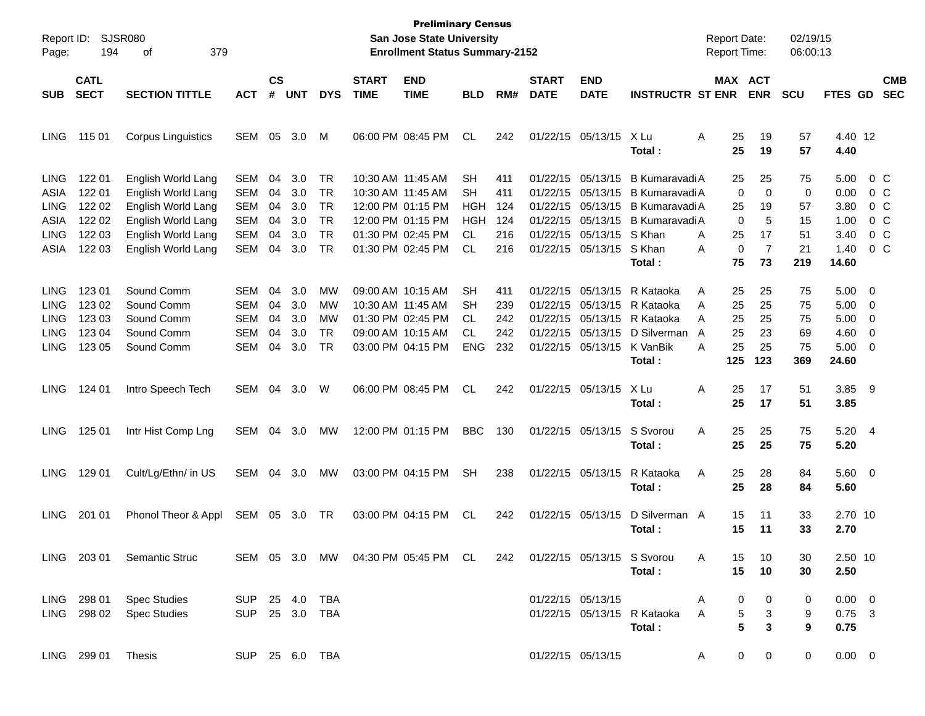| Report ID:  |                            | SJSR080                    |                |                |            |            |                             | <b>Preliminary Census</b><br><b>San Jose State University</b> |            |     |                                |                           |                             | <b>Report Date:</b> |                | 02/19/15   |             |                |                          |
|-------------|----------------------------|----------------------------|----------------|----------------|------------|------------|-----------------------------|---------------------------------------------------------------|------------|-----|--------------------------------|---------------------------|-----------------------------|---------------------|----------------|------------|-------------|----------------|--------------------------|
| Page:       | 194                        | 379<br>οf                  |                |                |            |            |                             | <b>Enrollment Status Summary-2152</b>                         |            |     |                                |                           |                             | Report Time:        |                | 06:00:13   |             |                |                          |
| <b>SUB</b>  | <b>CATL</b><br><b>SECT</b> | <b>SECTION TITTLE</b>      | <b>ACT</b>     | <b>CS</b><br># | <b>UNT</b> | <b>DYS</b> | <b>START</b><br><b>TIME</b> | <b>END</b><br><b>TIME</b>                                     | <b>BLD</b> | RM# | <b>START</b><br><b>DATE</b>    | <b>END</b><br><b>DATE</b> | <b>INSTRUCTR ST ENR</b>     | MAX ACT             | <b>ENR</b>     | <b>SCU</b> | FTES GD     |                | <b>CMB</b><br><b>SEC</b> |
|             |                            |                            |                |                |            |            |                             |                                                               |            |     |                                |                           |                             |                     |                |            |             |                |                          |
| <b>LING</b> | 115 01                     | <b>Corpus Linguistics</b>  | SEM            | 05             | 3.0        | м          |                             | 06:00 PM 08:45 PM                                             | <b>CL</b>  | 242 |                                | 01/22/15 05/13/15         | X Lu                        | 25<br>A             | 19             | 57         | 4.40 12     |                |                          |
|             |                            |                            |                |                |            |            |                             |                                                               |            |     |                                |                           | Total:                      | 25                  | 19             | 57         | 4.40        |                |                          |
| <b>LING</b> | 122 01                     | English World Lang         | <b>SEM</b>     | 04             | 3.0        | TR         |                             | 10:30 AM 11:45 AM                                             | <b>SH</b>  | 411 | 01/22/15                       | 05/13/15                  | <b>B Kumaravadi A</b>       | 25                  | 25             | 75         | 5.00        | $0\,$ C        |                          |
| ASIA        | 122 01                     | English World Lang         | <b>SEM</b>     | 04             | 3.0        | <b>TR</b>  |                             | 10:30 AM 11:45 AM                                             | <b>SH</b>  | 411 | 01/22/15                       | 05/13/15                  | <b>B Kumaravadi A</b>       | 0                   | $\mathbf 0$    | 0          | 0.00        | $0\,C$         |                          |
| <b>LING</b> | 122 02                     | English World Lang         | <b>SEM</b>     | 04             | 3.0        | <b>TR</b>  |                             | 12:00 PM 01:15 PM                                             | <b>HGH</b> | 124 | 01/22/15                       | 05/13/15                  | <b>B Kumaravadi A</b>       | 25                  | 19             | 57         | 3.80        | $0\,C$         |                          |
| ASIA        | 122 02                     | English World Lang         | <b>SEM</b>     | 04             | 3.0        | <b>TR</b>  |                             | 12:00 PM 01:15 PM                                             | <b>HGH</b> | 124 | 01/22/15                       | 05/13/15                  | <b>B Kumaravadi A</b>       | 0                   | 5              | 15         | 1.00        | 0 <sup>o</sup> |                          |
| <b>LING</b> | 122 03                     | English World Lang         | <b>SEM</b>     | 04             | 3.0        | <b>TR</b>  |                             | 01:30 PM 02:45 PM                                             | <b>CL</b>  | 216 | 01/22/15                       | 05/13/15                  | S Khan                      | 25<br>A             | 17             | 51         | 3.40        | 0 <sup>o</sup> |                          |
| ASIA        | 122 03                     | English World Lang         | <b>SEM</b>     | 04             | 3.0        | <b>TR</b>  |                             | 01:30 PM 02:45 PM                                             | <b>CL</b>  | 216 |                                | 01/22/15 05/13/15         | S Khan                      | 0<br>Α              | $\overline{7}$ | 21         | 1.40        | $0\,C$         |                          |
|             |                            |                            |                |                |            |            |                             |                                                               |            |     |                                |                           | Total:                      | 75                  | 73             | 219        | 14.60       |                |                          |
| <b>LING</b> | 123 01                     | Sound Comm                 | SEM            | 04             | 3.0        | MW         |                             | 09:00 AM 10:15 AM                                             | <b>SH</b>  | 411 | 01/22/15                       | 05/13/15                  | R Kataoka                   | Α<br>25             | 25             | 75         | 5.00        | - 0            |                          |
| <b>LING</b> | 123 02                     | Sound Comm                 | <b>SEM</b>     | 04             | 3.0        | MW         |                             | 10:30 AM 11:45 AM                                             | <b>SH</b>  | 239 | 01/22/15                       | 05/13/15                  | R Kataoka                   | 25<br>A             | 25             | 75         | 5.00        | 0              |                          |
| <b>LING</b> | 123 03                     | Sound Comm                 | SEM            | 04             | 3.0        | МW         |                             | 01:30 PM 02:45 PM                                             | <b>CL</b>  | 242 | 01/22/15                       | 05/13/15                  | R Kataoka                   | 25<br>A             | 25             | 75         | 5.00        | 0              |                          |
| <b>LING</b> | 123 04                     | Sound Comm                 | <b>SEM</b>     | 04             | 3.0        | <b>TR</b>  |                             | 09:00 AM 10:15 AM                                             | <b>CL</b>  | 242 | 01/22/15                       | 05/13/15                  | D Silverman                 | 25<br>A             | 23             | 69         | 4.60        | 0              |                          |
| <b>LING</b> | 123 05                     | Sound Comm                 | SEM            | 04             | 3.0        | <b>TR</b>  |                             | 03:00 PM 04:15 PM                                             | <b>ENG</b> | 232 |                                | 01/22/15 05/13/15         | K VanBik                    | 25<br>A             | 25             | 75         | 5.00        | - 0            |                          |
|             |                            |                            |                |                |            |            |                             |                                                               |            |     |                                |                           | Total:                      | 125                 | 123            | 369        | 24.60       |                |                          |
|             |                            |                            |                |                |            |            |                             |                                                               |            |     |                                |                           |                             |                     |                |            |             |                |                          |
| <b>LING</b> | 124 01                     | Intro Speech Tech          | SEM            | 04             | 3.0        | W          |                             | 06:00 PM 08:45 PM                                             | <b>CL</b>  | 242 |                                | 01/22/15 05/13/15         | X Lu                        | A<br>25             | 17             | 51         | 3.85        | - 9            |                          |
|             |                            |                            |                |                |            |            |                             |                                                               |            |     |                                |                           | Total:                      | 25                  | 17             | 51         | 3.85        |                |                          |
| <b>LING</b> | 125 01                     | Intr Hist Comp Lng         | SEM            | 04             | 3.0        | <b>MW</b>  |                             | 12:00 PM 01:15 PM                                             | <b>BBC</b> | 130 |                                | 01/22/15 05/13/15         | S Svorou                    | A<br>25             | 25             | 75         | 5.20 4      |                |                          |
|             |                            |                            |                |                |            |            |                             |                                                               |            |     |                                |                           | Total:                      | 25                  | 25             | 75         | 5.20        |                |                          |
| <b>LING</b> | 129 01                     | Cult/Lg/Ethn/ in US        | SEM            | 04             | 3.0        | <b>MW</b>  |                             | 03:00 PM 04:15 PM                                             | <b>SH</b>  | 238 |                                | 01/22/15 05/13/15         | R Kataoka                   | Α<br>25             | 28             | 84         | 5.60 0      |                |                          |
|             |                            |                            |                |                |            |            |                             |                                                               |            |     |                                |                           | Total:                      | 25                  | 28             | 84         | 5.60        |                |                          |
|             |                            |                            |                |                |            |            |                             |                                                               |            |     |                                |                           |                             |                     |                |            |             |                |                          |
| <b>LING</b> | 201 01                     | Phonol Theor & Appl        | SEM            | 05             | 3.0        | TR         |                             | 03:00 PM 04:15 PM                                             | CL.        | 242 |                                | 01/22/15 05/13/15         | D Silverman A               | 15                  | 11             | 33         | 2.70 10     |                |                          |
|             |                            |                            |                |                |            |            |                             |                                                               |            |     |                                |                           | Total:                      | 15                  | 11             | 33         | 2.70        |                |                          |
|             |                            | LING 203 01 Semantic Struc |                |                |            |            |                             | SEM 05 3.0 MW 04:30 PM 05:45 PM CL                            |            |     | 242 01/22/15 05/13/15 S Svorou |                           |                             | 15<br>A             | 10             | 30         | 2.50 10     |                |                          |
|             |                            |                            |                |                |            |            |                             |                                                               |            |     |                                |                           | Total:                      | 15                  | 10             | 30         | 2.50        |                |                          |
|             |                            |                            |                |                |            |            |                             |                                                               |            |     |                                |                           |                             |                     |                |            |             |                |                          |
|             | LING 298 01                | <b>Spec Studies</b>        | SUP 25 4.0 TBA |                |            |            |                             |                                                               |            |     |                                | 01/22/15 05/13/15         |                             | A<br>0              | 0              | 0          | $0.00 \t 0$ |                |                          |
|             | LING 298 02                | <b>Spec Studies</b>        | SUP 25 3.0 TBA |                |            |            |                             |                                                               |            |     |                                |                           | 01/22/15 05/13/15 R Kataoka | 5<br>A              | 3              | 9          | $0.75$ 3    |                |                          |
|             |                            |                            |                |                |            |            |                             |                                                               |            |     |                                |                           | Total:                      | 5                   | 3              | 9          | 0.75        |                |                          |
|             | LING 299 01 Thesis         |                            | SUP 25 6.0 TBA |                |            |            |                             |                                                               |            |     |                                | 01/22/15 05/13/15         |                             | 0<br>A              | 0              | 0          | $0.00 \t 0$ |                |                          |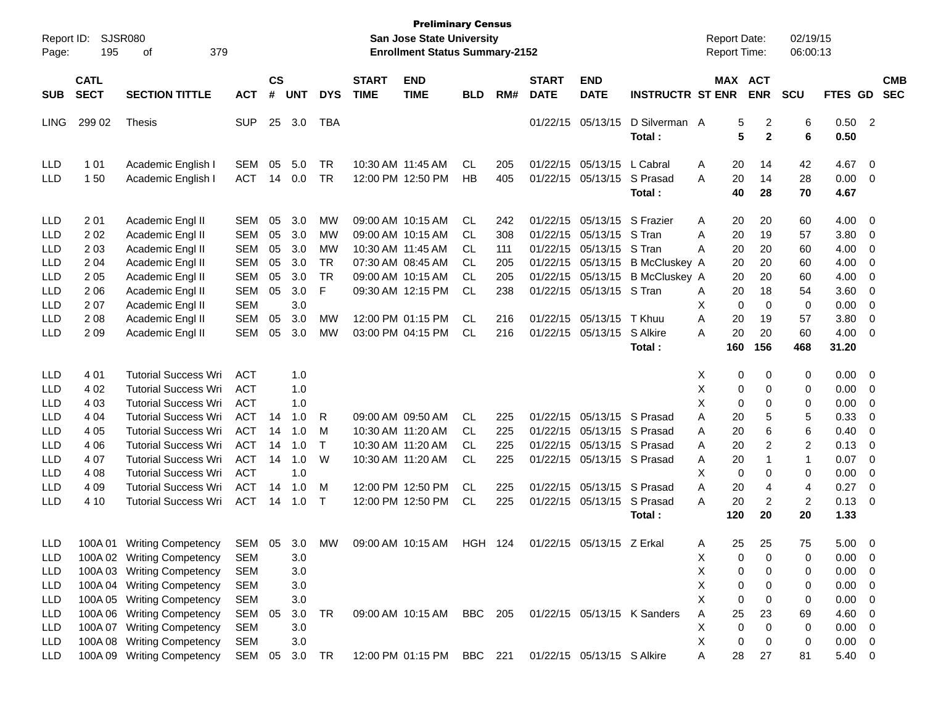| Report ID:<br>Page:                                  | SJSR080<br>195                   | 379                                                                                                                      |                                                      |                    |                          |                             | <b>Preliminary Census</b><br>San Jose State University<br><b>Enrollment Status Summary-2152</b> |                                                             |                 |                   |                             |                                                                                        | <b>Report Date:</b><br><b>Report Time:</b>              |                                    | 02/19/15<br>06:00:13                          |                                          |                                              |                                                                                      |
|------------------------------------------------------|----------------------------------|--------------------------------------------------------------------------------------------------------------------------|------------------------------------------------------|--------------------|--------------------------|-----------------------------|-------------------------------------------------------------------------------------------------|-------------------------------------------------------------|-----------------|-------------------|-----------------------------|----------------------------------------------------------------------------------------|---------------------------------------------------------|------------------------------------|-----------------------------------------------|------------------------------------------|----------------------------------------------|--------------------------------------------------------------------------------------|
| <b>SUB</b>                                           | <b>CATL</b><br><b>SECT</b>       | <b>SECTION TITTLE</b>                                                                                                    | <b>ACT</b>                                           | $\mathsf{cs}$<br># | <b>UNT</b>               | <b>DYS</b>                  | <b>START</b><br><b>TIME</b>                                                                     | <b>END</b><br><b>TIME</b>                                   | <b>BLD</b>      | RM#               | <b>START</b><br><b>DATE</b> | <b>END</b><br><b>DATE</b>                                                              | <b>INSTRUCTR ST ENR</b>                                 |                                    | MAX ACT<br><b>ENR</b>                         | <b>SCU</b>                               | FTES GD                                      | <b>CMB</b><br><b>SEC</b>                                                             |
| <b>LING</b>                                          | 299 02                           | Thesis                                                                                                                   | <b>SUP</b>                                           | 25                 | 3.0                      | TBA                         |                                                                                                 |                                                             |                 |                   |                             | 01/22/15 05/13/15                                                                      | D Silverman A<br>Total:                                 |                                    | $\overline{c}$<br>5<br>5<br>$\mathbf{2}$      | 6<br>6                                   | $0.50$ 2<br>0.50                             |                                                                                      |
| <b>LLD</b><br><b>LLD</b>                             | 1 0 1<br>150                     | Academic English I<br>Academic English I                                                                                 | <b>SEM</b><br><b>ACT</b>                             | 05<br>14           | 5.0<br>0.0               | TR<br><b>TR</b>             |                                                                                                 | 10:30 AM 11:45 AM<br>12:00 PM 12:50 PM                      | CL.<br>НB       | 205<br>405        |                             | 01/22/15 05/13/15 L Cabral<br>01/22/15 05/13/15 S Prasad                               | Total:                                                  | 20<br>A<br>20<br>A<br>40           | 14<br>14<br>28                                | 42<br>28<br>70                           | 4.67<br>0.00<br>4.67                         | $\overline{\mathbf{0}}$<br>- 0                                                       |
| LLD<br><b>LLD</b><br><b>LLD</b>                      | 2 0 1<br>202<br>203              | Academic Engl II<br>Academic Engl II<br>Academic Engl II                                                                 | <b>SEM</b><br><b>SEM</b><br><b>SEM</b>               | 05<br>05<br>05     | 3.0<br>3.0<br>3.0        | MW<br>MW<br>MW              |                                                                                                 | 09:00 AM 10:15 AM<br>09:00 AM 10:15 AM<br>10:30 AM 11:45 AM | CL<br>CL<br>CL  | 242<br>308<br>111 |                             | 01/22/15 05/13/15 S Frazier<br>01/22/15 05/13/15 S Tran<br>01/22/15 05/13/15           | S Tran                                                  | 20<br>A<br>A<br>20<br>20<br>A      | 20<br>19<br>20                                | 60<br>57<br>60                           | 4.00<br>3.80<br>4.00                         | $\overline{\mathbf{0}}$<br>$\overline{\mathbf{0}}$<br>0                              |
| <b>LLD</b><br><b>LLD</b><br><b>LLD</b>               | 2 0 4<br>205<br>206              | Academic Engl II<br>Academic Engl II<br>Academic Engl II                                                                 | <b>SEM</b><br><b>SEM</b><br><b>SEM</b>               | 05<br>05<br>05     | 3.0<br>3.0<br>3.0        | <b>TR</b><br><b>TR</b><br>F |                                                                                                 | 07:30 AM 08:45 AM<br>09:00 AM 10:15 AM<br>09:30 AM 12:15 PM | CL<br>CL.<br>CL | 205<br>205<br>238 |                             | 01/22/15 05/13/15<br>01/22/15 05/13/15 S Tran                                          | <b>B</b> McCluskey A<br>01/22/15 05/13/15 B McCluskey A | 20<br>20<br>20<br>A                | 20<br>20<br>18                                | 60<br>60<br>54                           | 4.00<br>4.00<br>3.60                         | 0<br>0<br>0                                                                          |
| LLD<br>LLD<br><b>LLD</b>                             | 207<br>2 0 8<br>209              | Academic Engl II<br>Academic Engl II<br>Academic Engl II                                                                 | <b>SEM</b><br><b>SEM</b><br><b>SEM</b>               | 05<br>05           | 3.0<br>3.0<br>3.0        | MW<br>MW                    |                                                                                                 | 12:00 PM 01:15 PM<br>03:00 PM 04:15 PM                      | CL<br>CL        | 216<br>216        |                             | 01/22/15 05/13/15<br>01/22/15 05/13/15                                                 | T Khuu<br>S Alkire<br>Total:                            | Х<br>20<br>Α<br>20<br>A<br>160     | $\mathbf 0$<br>$\mathbf 0$<br>19<br>20<br>156 | 0<br>57<br>60<br>468                     | 0.00<br>3.80<br>4.00<br>31.20                | 0<br>0<br>0                                                                          |
| LLD<br><b>LLD</b>                                    | 4 0 1<br>4 0 2                   | <b>Tutorial Success Wri</b><br><b>Tutorial Success Wri</b>                                                               | <b>ACT</b><br><b>ACT</b>                             |                    | 1.0<br>1.0               |                             |                                                                                                 |                                                             |                 |                   |                             |                                                                                        |                                                         | Х<br>X                             | 0<br>0<br>0<br>0                              | 0<br>0                                   | 0.00<br>0.00                                 | $\overline{\mathbf{0}}$<br>$\overline{\mathbf{0}}$                                   |
| <b>LLD</b><br><b>LLD</b><br><b>LLD</b>               | 4 0 3<br>4 0 4<br>4 0 5          | <b>Tutorial Success Wri</b><br><b>Tutorial Success Wri</b><br><b>Tutorial Success Wri</b>                                | <b>ACT</b><br><b>ACT</b><br><b>ACT</b>               | 14<br>14           | 1.0<br>1.0<br>1.0        | R<br>М                      |                                                                                                 | 09:00 AM 09:50 AM<br>10:30 AM 11:20 AM                      | CL<br>CL.       | 225<br>225        |                             | 01/22/15 05/13/15 S Prasad<br>01/22/15 05/13/15 S Prasad                               |                                                         | X<br>A<br>20<br>20<br>A            | 0<br>0<br>5<br>6                              | 0<br>5<br>6                              | 0.00<br>0.33<br>0.40                         | 0<br>0<br>0                                                                          |
| <b>LLD</b><br><b>LLD</b><br><b>LLD</b><br><b>LLD</b> | 4 0 6<br>4 0 7<br>4 0 8<br>4 0 9 | <b>Tutorial Success Wri</b><br><b>Tutorial Success Wri</b><br><b>Tutorial Success Wri</b><br><b>Tutorial Success Wri</b> | <b>ACT</b><br><b>ACT</b><br><b>ACT</b><br><b>ACT</b> | 14<br>14<br>14     | 1.0<br>1.0<br>1.0<br>1.0 | $\mathsf{T}$<br>W<br>M      |                                                                                                 | 10:30 AM 11:20 AM<br>10:30 AM 11:20 AM<br>12:00 PM 12:50 PM | CL.<br>CL<br>CL | 225<br>225<br>225 |                             | 01/22/15 05/13/15 S Prasad<br>01/22/15 05/13/15 S Prasad<br>01/22/15 05/13/15 S Prasad |                                                         | 20<br>A<br>20<br>A<br>X<br>A<br>20 | 2<br>1<br>0<br>0<br>4                         | $\overline{2}$<br>$\mathbf{1}$<br>0<br>4 | 0.13<br>0.07<br>0.00<br>0.27                 | 0<br>0<br>0<br>0                                                                     |
| <b>LLD</b>                                           | 4 10                             | <b>Tutorial Success Wri</b>                                                                                              | ACT                                                  | 14                 | 1.0                      | $\mathsf{T}$                |                                                                                                 | 12:00 PM 12:50 PM                                           | CL              | 225               |                             | 01/22/15 05/13/15                                                                      | S Prasad<br>Total:                                      | 20<br>A<br>120                     | $\overline{2}$<br>20                          | $\overline{2}$<br>20                     | 0.13<br>1.33                                 | 0                                                                                    |
| LLD.<br><b>LLD</b><br>LLD<br>LLD                     |                                  | 100A 01 Writing Competency<br>100A 02 Writing Competency<br>100A 03 Writing Competency<br>100A 04 Writing Competency     | SEM 05 3.0<br><b>SEM</b><br><b>SEM</b><br><b>SEM</b> |                    | 3.0<br>3.0<br>3.0        | MW                          |                                                                                                 | 09:00 AM 10:15 AM                                           | <b>HGH 124</b>  |                   |                             | 01/22/15 05/13/15 Z Frkal                                                              |                                                         | A<br>х<br>х<br>X                   | 25<br>25<br>0<br>0<br>0<br>0<br>0<br>0        | 75<br>0<br>0<br>0                        | 5.00<br>0.00<br>0.00<br>0.00                 | - 0<br>$\overline{\mathbf{0}}$<br>$\overline{\mathbf{0}}$<br>$\overline{\mathbf{0}}$ |
| LLD<br>LLD<br>LLD<br><b>LLD</b>                      |                                  | 100A 05 Writing Competency<br>100A 06 Writing Competency<br>100A 07 Writing Competency<br>100A 08 Writing Competency     | <b>SEM</b><br>SEM<br><b>SEM</b><br><b>SEM</b>        | 05                 | 3.0<br>3.0<br>3.0<br>3.0 | <b>TR</b>                   |                                                                                                 | 09:00 AM 10:15 AM                                           | <b>BBC</b> 205  |                   |                             |                                                                                        | 01/22/15 05/13/15 K Sanders                             | X<br>Α<br>25<br>X<br>X             | 0<br>0<br>23<br>$\mathbf 0$<br>0<br>0<br>0    | 0<br>69<br>0<br>0                        | 0.00<br>4.60 0<br>$0.00 \t 0$<br>$0.00 \t 0$ | $\overline{\mathbf{0}}$                                                              |
| <b>LLD</b>                                           |                                  | 100A 09 Writing Competency                                                                                               | SEM                                                  | 05                 | 3.0 TR                   |                             |                                                                                                 | 12:00 PM 01:15 PM                                           | <b>BBC</b> 221  |                   |                             | 01/22/15 05/13/15 S Alkire                                                             |                                                         | 28<br>A                            | 27                                            | 81                                       | 5.40 0                                       |                                                                                      |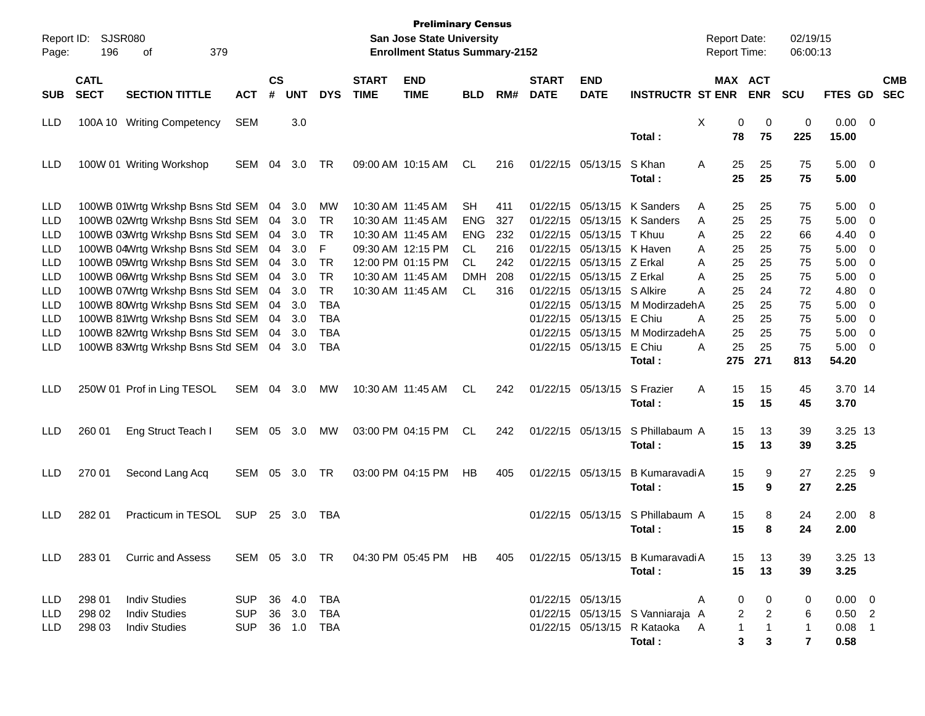| $\mathsf{cs}$<br><b>CATL</b><br><b>START</b><br><b>END</b><br><b>START</b><br><b>END</b><br>MAX ACT<br><b>CMB</b><br><b>SECT</b><br>#<br><b>UNT</b><br><b>DATE</b><br><b>INSTRUCTR ST ENR</b><br><b>ENR</b><br><b>SEC</b><br><b>SECTION TITTLE</b><br><b>DYS</b><br><b>TIME</b><br><b>TIME</b><br>RM#<br><b>DATE</b><br><b>SCU</b><br><b>FTES GD</b><br><b>SUB</b><br><b>ACT</b><br><b>BLD</b><br><b>SEM</b><br>3.0<br>X<br>0<br>0.00<br><b>LLD</b><br>100A 10 Writing Competency<br>0<br>0<br>$\overline{\mathbf{0}}$<br>78<br>75<br>225<br>15.00<br>Total :<br>01/22/15 05/13/15<br>S Khan<br>$5.00 \t 0$<br>100W 01 Writing Workshop<br>SEM<br>04<br>3.0<br>TR<br>09:00 AM 10:15 AM<br>CL<br>216<br>A<br>25<br>25<br>75<br>LLD<br>25<br>25<br>75<br>5.00<br>Total :<br>01/22/15 05/13/15 K Sanders<br>5.00<br>LLD<br>100WB 01Wrtg Wrkshp Bsns Std SEM<br>10:30 AM 11:45 AM<br>SН<br>411<br>25<br>75<br>$\overline{0}$<br>04<br>3.0<br>МW<br>A<br>25<br>01/22/15 05/13/15 K Sanders<br>25<br>5.00<br><b>LLD</b><br>100WB 02Wrtg Wrkshp Bsns Std SEM<br>TR<br>10:30 AM 11:45 AM<br><b>ENG</b><br>327<br>25<br>75<br>$\overline{0}$<br>04<br>3.0<br>A<br>100WB 03Wrtg Wrkshp Bsns Std SEM<br>10:30 AM 11:45 AM<br>232<br>01/22/15 05/13/15<br>25<br>22<br>4.40<br><b>LLD</b><br>3.0<br>TR<br><b>ENG</b><br>T Khuu<br>66<br>0<br>04<br>A<br>100WB 04Wrtg Wrkshp Bsns Std SEM<br>F<br>09:30 AM 12:15 PM<br><b>CL</b><br>5.00<br>LLD<br>04<br>3.0<br>216<br>01/22/15 05/13/15 K Haven<br>25<br>25<br>75<br>0<br>A<br>100WB 05Wrtg Wrkshp Bsns Std SEM<br><b>TR</b><br>12:00 PM 01:15 PM<br><b>CL</b><br>01/22/15 05/13/15 Z Erkal<br>5.00<br><b>LLD</b><br>04<br>3.0<br>242<br>25<br>25<br>75<br>0<br>A<br>100WB 06Wrtg Wrkshp Bsns Std SEM<br><b>TR</b><br>10:30 AM 11:45 AM<br>01/22/15 05/13/15 Z Erkal<br>25<br>5.00<br>LLD<br>3.0<br><b>DMH</b><br>208<br>25<br>75<br>0<br>04<br>A<br>100WB 07Wrtg Wrkshp Bsns Std SEM<br><b>TR</b><br><b>CL</b><br>01/22/15 05/13/15 S Alkire<br>25<br>72<br>4.80<br>LLD<br>04<br>3.0<br>10:30 AM 11:45 AM<br>316<br>24<br>0<br>A<br>100WB 80Wrtg Wrkshp Bsns Std SEM<br><b>TBA</b><br>01/22/15 05/13/15 M ModirzadehA<br>5.00<br><b>LLD</b><br>04<br>3.0<br>25<br>25<br>75<br>0<br>100WB 81Wrtg Wrkshp Bsns Std SEM<br>01/22/15 05/13/15 E Chiu<br>25<br>5.00<br><b>LLD</b><br>3.0<br>TBA<br>25<br>75<br>0<br>04<br>A<br>100WB 82Wrtg Wrkshp Bsns Std SEM<br>01/22/15 05/13/15 M ModirzadehA<br>25<br>25<br>5.00<br><b>LLD</b><br>3.0<br>TBA<br>75<br>0<br>04<br><b>TBA</b><br>E Chiu<br>25<br>25<br>75<br>5.00<br><b>LLD</b><br>100WB 83Wrtg Wrkshp Bsns Std SEM<br>3.0<br>01/22/15 05/13/15<br>A<br>$\overline{0}$<br>04<br>275<br>271<br>813<br>54.20<br>Total :<br>10:30 AM 11:45 AM<br>01/22/15 05/13/15<br>S Frazier<br>3.70 14<br>250W 01 Prof in Ling TESOL<br>SEM<br>04<br>3.0<br>МW<br>CL<br>242<br>A<br>15<br>15<br>45<br>LLD<br>15<br>15<br>45<br>3.70<br>Total :<br>260 01<br>03:00 PM 04:15 PM<br>01/22/15 05/13/15<br>S Phillabaum A<br>3.25 13<br>Eng Struct Teach I<br>SEM<br>05<br>3.0<br>МW<br>CL<br>242<br>15<br>13<br>39<br><b>LLD</b><br>15<br>3.25<br>Total :<br>13<br>39<br>270 01<br>03:00 PM 04:15 PM<br>405<br>01/22/15 05/13/15<br>B Kumaravadi A<br>$2.25$ 9<br><b>LLD</b><br>Second Lang Acq<br>SEM<br>05<br>3.0<br>TR<br>HB<br>15<br>9<br>27<br>15<br>27<br>2.25<br>Total :<br>9<br>282 01<br>Practicum in TESOL<br><b>SUP</b><br>01/22/15 05/13/15 S Phillabaum A<br>8<br>24<br>2.00 8<br>25 3.0<br>15<br><b>LLD</b><br>TBA<br>15<br>8<br>24<br>2.00<br>Total :<br>SEM 05 3.0 TR 04:30 PM 05:45 PM HB<br>01/22/15 05/13/15 B Kumaravadi A<br>3.25 13<br>LLD -<br>283 01 Curric and Assess<br>405<br>15<br>13<br>39<br>15<br>3.25<br>Total:<br>13<br>39<br>01/22/15 05/13/15<br>LLD<br>298 01<br><b>Indiv Studies</b><br>SUP 36 4.0 TBA<br>$0.00 \quad 0$<br>0<br>0<br>0<br>A<br>298 02<br><b>Indiv Studies</b><br>36 3.0<br>01/22/15 05/13/15 S Vanniaraja A<br>$0.50$ 2<br>LLD<br>SUP<br>TBA<br>2<br>$\overline{2}$<br>6<br>298 03<br><b>Indiv Studies</b><br>SUP 36 1.0 TBA<br>01/22/15 05/13/15 R Kataoka<br>$0.08$ 1<br>LLD<br>A<br>1<br>$\mathbf{1}$<br>$\overline{1}$<br>Total:<br>3<br>$\overline{7}$<br>0.58<br>3 | Page: | Report ID: SJSR080<br>196 | 379<br>οf |  |  | <b>Preliminary Census</b><br>San Jose State University<br><b>Enrollment Status Summary-2152</b> |  |  | <b>Report Date:</b><br>Report Time: | 02/19/15<br>06:00:13 |  |  |
|-----------------------------------------------------------------------------------------------------------------------------------------------------------------------------------------------------------------------------------------------------------------------------------------------------------------------------------------------------------------------------------------------------------------------------------------------------------------------------------------------------------------------------------------------------------------------------------------------------------------------------------------------------------------------------------------------------------------------------------------------------------------------------------------------------------------------------------------------------------------------------------------------------------------------------------------------------------------------------------------------------------------------------------------------------------------------------------------------------------------------------------------------------------------------------------------------------------------------------------------------------------------------------------------------------------------------------------------------------------------------------------------------------------------------------------------------------------------------------------------------------------------------------------------------------------------------------------------------------------------------------------------------------------------------------------------------------------------------------------------------------------------------------------------------------------------------------------------------------------------------------------------------------------------------------------------------------------------------------------------------------------------------------------------------------------------------------------------------------------------------------------------------------------------------------------------------------------------------------------------------------------------------------------------------------------------------------------------------------------------------------------------------------------------------------------------------------------------------------------------------------------------------------------------------------------------------------------------------------------------------------------------------------------------------------------------------------------------------------------------------------------------------------------------------------------------------------------------------------------------------------------------------------------------------------------------------------------------------------------------------------------------------------------------------------------------------------------------------------------------------------------------------------------------------------------------------------------------------------------------------------------------------------------------------------------------------------------------------------------------------------------------------------------------------------------------------------------------------------------------------------------------------------------------------------------------------------------------------------------------------------------------------------------------------------------------------------------------------------------------------------------------------------------------------------------------------------------------------------------------------------------------------------------------------------------------------------------------------------------------------------------------------------------------------------------------------------------------------------------------------------------------------------------------------------------------------|-------|---------------------------|-----------|--|--|-------------------------------------------------------------------------------------------------|--|--|-------------------------------------|----------------------|--|--|
|                                                                                                                                                                                                                                                                                                                                                                                                                                                                                                                                                                                                                                                                                                                                                                                                                                                                                                                                                                                                                                                                                                                                                                                                                                                                                                                                                                                                                                                                                                                                                                                                                                                                                                                                                                                                                                                                                                                                                                                                                                                                                                                                                                                                                                                                                                                                                                                                                                                                                                                                                                                                                                                                                                                                                                                                                                                                                                                                                                                                                                                                                                                                                                                                                                                                                                                                                                                                                                                                                                                                                                                                                                                                                                                                                                                                                                                                                                                                                                                                                                                                                                                                                                                               |       |                           |           |  |  |                                                                                                 |  |  |                                     |                      |  |  |
|                                                                                                                                                                                                                                                                                                                                                                                                                                                                                                                                                                                                                                                                                                                                                                                                                                                                                                                                                                                                                                                                                                                                                                                                                                                                                                                                                                                                                                                                                                                                                                                                                                                                                                                                                                                                                                                                                                                                                                                                                                                                                                                                                                                                                                                                                                                                                                                                                                                                                                                                                                                                                                                                                                                                                                                                                                                                                                                                                                                                                                                                                                                                                                                                                                                                                                                                                                                                                                                                                                                                                                                                                                                                                                                                                                                                                                                                                                                                                                                                                                                                                                                                                                                               |       |                           |           |  |  |                                                                                                 |  |  |                                     |                      |  |  |
|                                                                                                                                                                                                                                                                                                                                                                                                                                                                                                                                                                                                                                                                                                                                                                                                                                                                                                                                                                                                                                                                                                                                                                                                                                                                                                                                                                                                                                                                                                                                                                                                                                                                                                                                                                                                                                                                                                                                                                                                                                                                                                                                                                                                                                                                                                                                                                                                                                                                                                                                                                                                                                                                                                                                                                                                                                                                                                                                                                                                                                                                                                                                                                                                                                                                                                                                                                                                                                                                                                                                                                                                                                                                                                                                                                                                                                                                                                                                                                                                                                                                                                                                                                                               |       |                           |           |  |  |                                                                                                 |  |  |                                     |                      |  |  |
|                                                                                                                                                                                                                                                                                                                                                                                                                                                                                                                                                                                                                                                                                                                                                                                                                                                                                                                                                                                                                                                                                                                                                                                                                                                                                                                                                                                                                                                                                                                                                                                                                                                                                                                                                                                                                                                                                                                                                                                                                                                                                                                                                                                                                                                                                                                                                                                                                                                                                                                                                                                                                                                                                                                                                                                                                                                                                                                                                                                                                                                                                                                                                                                                                                                                                                                                                                                                                                                                                                                                                                                                                                                                                                                                                                                                                                                                                                                                                                                                                                                                                                                                                                                               |       |                           |           |  |  |                                                                                                 |  |  |                                     |                      |  |  |
|                                                                                                                                                                                                                                                                                                                                                                                                                                                                                                                                                                                                                                                                                                                                                                                                                                                                                                                                                                                                                                                                                                                                                                                                                                                                                                                                                                                                                                                                                                                                                                                                                                                                                                                                                                                                                                                                                                                                                                                                                                                                                                                                                                                                                                                                                                                                                                                                                                                                                                                                                                                                                                                                                                                                                                                                                                                                                                                                                                                                                                                                                                                                                                                                                                                                                                                                                                                                                                                                                                                                                                                                                                                                                                                                                                                                                                                                                                                                                                                                                                                                                                                                                                                               |       |                           |           |  |  |                                                                                                 |  |  |                                     |                      |  |  |
|                                                                                                                                                                                                                                                                                                                                                                                                                                                                                                                                                                                                                                                                                                                                                                                                                                                                                                                                                                                                                                                                                                                                                                                                                                                                                                                                                                                                                                                                                                                                                                                                                                                                                                                                                                                                                                                                                                                                                                                                                                                                                                                                                                                                                                                                                                                                                                                                                                                                                                                                                                                                                                                                                                                                                                                                                                                                                                                                                                                                                                                                                                                                                                                                                                                                                                                                                                                                                                                                                                                                                                                                                                                                                                                                                                                                                                                                                                                                                                                                                                                                                                                                                                                               |       |                           |           |  |  |                                                                                                 |  |  |                                     |                      |  |  |
|                                                                                                                                                                                                                                                                                                                                                                                                                                                                                                                                                                                                                                                                                                                                                                                                                                                                                                                                                                                                                                                                                                                                                                                                                                                                                                                                                                                                                                                                                                                                                                                                                                                                                                                                                                                                                                                                                                                                                                                                                                                                                                                                                                                                                                                                                                                                                                                                                                                                                                                                                                                                                                                                                                                                                                                                                                                                                                                                                                                                                                                                                                                                                                                                                                                                                                                                                                                                                                                                                                                                                                                                                                                                                                                                                                                                                                                                                                                                                                                                                                                                                                                                                                                               |       |                           |           |  |  |                                                                                                 |  |  |                                     |                      |  |  |
|                                                                                                                                                                                                                                                                                                                                                                                                                                                                                                                                                                                                                                                                                                                                                                                                                                                                                                                                                                                                                                                                                                                                                                                                                                                                                                                                                                                                                                                                                                                                                                                                                                                                                                                                                                                                                                                                                                                                                                                                                                                                                                                                                                                                                                                                                                                                                                                                                                                                                                                                                                                                                                                                                                                                                                                                                                                                                                                                                                                                                                                                                                                                                                                                                                                                                                                                                                                                                                                                                                                                                                                                                                                                                                                                                                                                                                                                                                                                                                                                                                                                                                                                                                                               |       |                           |           |  |  |                                                                                                 |  |  |                                     |                      |  |  |
|                                                                                                                                                                                                                                                                                                                                                                                                                                                                                                                                                                                                                                                                                                                                                                                                                                                                                                                                                                                                                                                                                                                                                                                                                                                                                                                                                                                                                                                                                                                                                                                                                                                                                                                                                                                                                                                                                                                                                                                                                                                                                                                                                                                                                                                                                                                                                                                                                                                                                                                                                                                                                                                                                                                                                                                                                                                                                                                                                                                                                                                                                                                                                                                                                                                                                                                                                                                                                                                                                                                                                                                                                                                                                                                                                                                                                                                                                                                                                                                                                                                                                                                                                                                               |       |                           |           |  |  |                                                                                                 |  |  |                                     |                      |  |  |
|                                                                                                                                                                                                                                                                                                                                                                                                                                                                                                                                                                                                                                                                                                                                                                                                                                                                                                                                                                                                                                                                                                                                                                                                                                                                                                                                                                                                                                                                                                                                                                                                                                                                                                                                                                                                                                                                                                                                                                                                                                                                                                                                                                                                                                                                                                                                                                                                                                                                                                                                                                                                                                                                                                                                                                                                                                                                                                                                                                                                                                                                                                                                                                                                                                                                                                                                                                                                                                                                                                                                                                                                                                                                                                                                                                                                                                                                                                                                                                                                                                                                                                                                                                                               |       |                           |           |  |  |                                                                                                 |  |  |                                     |                      |  |  |
|                                                                                                                                                                                                                                                                                                                                                                                                                                                                                                                                                                                                                                                                                                                                                                                                                                                                                                                                                                                                                                                                                                                                                                                                                                                                                                                                                                                                                                                                                                                                                                                                                                                                                                                                                                                                                                                                                                                                                                                                                                                                                                                                                                                                                                                                                                                                                                                                                                                                                                                                                                                                                                                                                                                                                                                                                                                                                                                                                                                                                                                                                                                                                                                                                                                                                                                                                                                                                                                                                                                                                                                                                                                                                                                                                                                                                                                                                                                                                                                                                                                                                                                                                                                               |       |                           |           |  |  |                                                                                                 |  |  |                                     |                      |  |  |
|                                                                                                                                                                                                                                                                                                                                                                                                                                                                                                                                                                                                                                                                                                                                                                                                                                                                                                                                                                                                                                                                                                                                                                                                                                                                                                                                                                                                                                                                                                                                                                                                                                                                                                                                                                                                                                                                                                                                                                                                                                                                                                                                                                                                                                                                                                                                                                                                                                                                                                                                                                                                                                                                                                                                                                                                                                                                                                                                                                                                                                                                                                                                                                                                                                                                                                                                                                                                                                                                                                                                                                                                                                                                                                                                                                                                                                                                                                                                                                                                                                                                                                                                                                                               |       |                           |           |  |  |                                                                                                 |  |  |                                     |                      |  |  |
|                                                                                                                                                                                                                                                                                                                                                                                                                                                                                                                                                                                                                                                                                                                                                                                                                                                                                                                                                                                                                                                                                                                                                                                                                                                                                                                                                                                                                                                                                                                                                                                                                                                                                                                                                                                                                                                                                                                                                                                                                                                                                                                                                                                                                                                                                                                                                                                                                                                                                                                                                                                                                                                                                                                                                                                                                                                                                                                                                                                                                                                                                                                                                                                                                                                                                                                                                                                                                                                                                                                                                                                                                                                                                                                                                                                                                                                                                                                                                                                                                                                                                                                                                                                               |       |                           |           |  |  |                                                                                                 |  |  |                                     |                      |  |  |
|                                                                                                                                                                                                                                                                                                                                                                                                                                                                                                                                                                                                                                                                                                                                                                                                                                                                                                                                                                                                                                                                                                                                                                                                                                                                                                                                                                                                                                                                                                                                                                                                                                                                                                                                                                                                                                                                                                                                                                                                                                                                                                                                                                                                                                                                                                                                                                                                                                                                                                                                                                                                                                                                                                                                                                                                                                                                                                                                                                                                                                                                                                                                                                                                                                                                                                                                                                                                                                                                                                                                                                                                                                                                                                                                                                                                                                                                                                                                                                                                                                                                                                                                                                                               |       |                           |           |  |  |                                                                                                 |  |  |                                     |                      |  |  |
|                                                                                                                                                                                                                                                                                                                                                                                                                                                                                                                                                                                                                                                                                                                                                                                                                                                                                                                                                                                                                                                                                                                                                                                                                                                                                                                                                                                                                                                                                                                                                                                                                                                                                                                                                                                                                                                                                                                                                                                                                                                                                                                                                                                                                                                                                                                                                                                                                                                                                                                                                                                                                                                                                                                                                                                                                                                                                                                                                                                                                                                                                                                                                                                                                                                                                                                                                                                                                                                                                                                                                                                                                                                                                                                                                                                                                                                                                                                                                                                                                                                                                                                                                                                               |       |                           |           |  |  |                                                                                                 |  |  |                                     |                      |  |  |
|                                                                                                                                                                                                                                                                                                                                                                                                                                                                                                                                                                                                                                                                                                                                                                                                                                                                                                                                                                                                                                                                                                                                                                                                                                                                                                                                                                                                                                                                                                                                                                                                                                                                                                                                                                                                                                                                                                                                                                                                                                                                                                                                                                                                                                                                                                                                                                                                                                                                                                                                                                                                                                                                                                                                                                                                                                                                                                                                                                                                                                                                                                                                                                                                                                                                                                                                                                                                                                                                                                                                                                                                                                                                                                                                                                                                                                                                                                                                                                                                                                                                                                                                                                                               |       |                           |           |  |  |                                                                                                 |  |  |                                     |                      |  |  |
|                                                                                                                                                                                                                                                                                                                                                                                                                                                                                                                                                                                                                                                                                                                                                                                                                                                                                                                                                                                                                                                                                                                                                                                                                                                                                                                                                                                                                                                                                                                                                                                                                                                                                                                                                                                                                                                                                                                                                                                                                                                                                                                                                                                                                                                                                                                                                                                                                                                                                                                                                                                                                                                                                                                                                                                                                                                                                                                                                                                                                                                                                                                                                                                                                                                                                                                                                                                                                                                                                                                                                                                                                                                                                                                                                                                                                                                                                                                                                                                                                                                                                                                                                                                               |       |                           |           |  |  |                                                                                                 |  |  |                                     |                      |  |  |
|                                                                                                                                                                                                                                                                                                                                                                                                                                                                                                                                                                                                                                                                                                                                                                                                                                                                                                                                                                                                                                                                                                                                                                                                                                                                                                                                                                                                                                                                                                                                                                                                                                                                                                                                                                                                                                                                                                                                                                                                                                                                                                                                                                                                                                                                                                                                                                                                                                                                                                                                                                                                                                                                                                                                                                                                                                                                                                                                                                                                                                                                                                                                                                                                                                                                                                                                                                                                                                                                                                                                                                                                                                                                                                                                                                                                                                                                                                                                                                                                                                                                                                                                                                                               |       |                           |           |  |  |                                                                                                 |  |  |                                     |                      |  |  |
|                                                                                                                                                                                                                                                                                                                                                                                                                                                                                                                                                                                                                                                                                                                                                                                                                                                                                                                                                                                                                                                                                                                                                                                                                                                                                                                                                                                                                                                                                                                                                                                                                                                                                                                                                                                                                                                                                                                                                                                                                                                                                                                                                                                                                                                                                                                                                                                                                                                                                                                                                                                                                                                                                                                                                                                                                                                                                                                                                                                                                                                                                                                                                                                                                                                                                                                                                                                                                                                                                                                                                                                                                                                                                                                                                                                                                                                                                                                                                                                                                                                                                                                                                                                               |       |                           |           |  |  |                                                                                                 |  |  |                                     |                      |  |  |
|                                                                                                                                                                                                                                                                                                                                                                                                                                                                                                                                                                                                                                                                                                                                                                                                                                                                                                                                                                                                                                                                                                                                                                                                                                                                                                                                                                                                                                                                                                                                                                                                                                                                                                                                                                                                                                                                                                                                                                                                                                                                                                                                                                                                                                                                                                                                                                                                                                                                                                                                                                                                                                                                                                                                                                                                                                                                                                                                                                                                                                                                                                                                                                                                                                                                                                                                                                                                                                                                                                                                                                                                                                                                                                                                                                                                                                                                                                                                                                                                                                                                                                                                                                                               |       |                           |           |  |  |                                                                                                 |  |  |                                     |                      |  |  |
|                                                                                                                                                                                                                                                                                                                                                                                                                                                                                                                                                                                                                                                                                                                                                                                                                                                                                                                                                                                                                                                                                                                                                                                                                                                                                                                                                                                                                                                                                                                                                                                                                                                                                                                                                                                                                                                                                                                                                                                                                                                                                                                                                                                                                                                                                                                                                                                                                                                                                                                                                                                                                                                                                                                                                                                                                                                                                                                                                                                                                                                                                                                                                                                                                                                                                                                                                                                                                                                                                                                                                                                                                                                                                                                                                                                                                                                                                                                                                                                                                                                                                                                                                                                               |       |                           |           |  |  |                                                                                                 |  |  |                                     |                      |  |  |
|                                                                                                                                                                                                                                                                                                                                                                                                                                                                                                                                                                                                                                                                                                                                                                                                                                                                                                                                                                                                                                                                                                                                                                                                                                                                                                                                                                                                                                                                                                                                                                                                                                                                                                                                                                                                                                                                                                                                                                                                                                                                                                                                                                                                                                                                                                                                                                                                                                                                                                                                                                                                                                                                                                                                                                                                                                                                                                                                                                                                                                                                                                                                                                                                                                                                                                                                                                                                                                                                                                                                                                                                                                                                                                                                                                                                                                                                                                                                                                                                                                                                                                                                                                                               |       |                           |           |  |  |                                                                                                 |  |  |                                     |                      |  |  |
|                                                                                                                                                                                                                                                                                                                                                                                                                                                                                                                                                                                                                                                                                                                                                                                                                                                                                                                                                                                                                                                                                                                                                                                                                                                                                                                                                                                                                                                                                                                                                                                                                                                                                                                                                                                                                                                                                                                                                                                                                                                                                                                                                                                                                                                                                                                                                                                                                                                                                                                                                                                                                                                                                                                                                                                                                                                                                                                                                                                                                                                                                                                                                                                                                                                                                                                                                                                                                                                                                                                                                                                                                                                                                                                                                                                                                                                                                                                                                                                                                                                                                                                                                                                               |       |                           |           |  |  |                                                                                                 |  |  |                                     |                      |  |  |
|                                                                                                                                                                                                                                                                                                                                                                                                                                                                                                                                                                                                                                                                                                                                                                                                                                                                                                                                                                                                                                                                                                                                                                                                                                                                                                                                                                                                                                                                                                                                                                                                                                                                                                                                                                                                                                                                                                                                                                                                                                                                                                                                                                                                                                                                                                                                                                                                                                                                                                                                                                                                                                                                                                                                                                                                                                                                                                                                                                                                                                                                                                                                                                                                                                                                                                                                                                                                                                                                                                                                                                                                                                                                                                                                                                                                                                                                                                                                                                                                                                                                                                                                                                                               |       |                           |           |  |  |                                                                                                 |  |  |                                     |                      |  |  |
|                                                                                                                                                                                                                                                                                                                                                                                                                                                                                                                                                                                                                                                                                                                                                                                                                                                                                                                                                                                                                                                                                                                                                                                                                                                                                                                                                                                                                                                                                                                                                                                                                                                                                                                                                                                                                                                                                                                                                                                                                                                                                                                                                                                                                                                                                                                                                                                                                                                                                                                                                                                                                                                                                                                                                                                                                                                                                                                                                                                                                                                                                                                                                                                                                                                                                                                                                                                                                                                                                                                                                                                                                                                                                                                                                                                                                                                                                                                                                                                                                                                                                                                                                                                               |       |                           |           |  |  |                                                                                                 |  |  |                                     |                      |  |  |
|                                                                                                                                                                                                                                                                                                                                                                                                                                                                                                                                                                                                                                                                                                                                                                                                                                                                                                                                                                                                                                                                                                                                                                                                                                                                                                                                                                                                                                                                                                                                                                                                                                                                                                                                                                                                                                                                                                                                                                                                                                                                                                                                                                                                                                                                                                                                                                                                                                                                                                                                                                                                                                                                                                                                                                                                                                                                                                                                                                                                                                                                                                                                                                                                                                                                                                                                                                                                                                                                                                                                                                                                                                                                                                                                                                                                                                                                                                                                                                                                                                                                                                                                                                                               |       |                           |           |  |  |                                                                                                 |  |  |                                     |                      |  |  |
|                                                                                                                                                                                                                                                                                                                                                                                                                                                                                                                                                                                                                                                                                                                                                                                                                                                                                                                                                                                                                                                                                                                                                                                                                                                                                                                                                                                                                                                                                                                                                                                                                                                                                                                                                                                                                                                                                                                                                                                                                                                                                                                                                                                                                                                                                                                                                                                                                                                                                                                                                                                                                                                                                                                                                                                                                                                                                                                                                                                                                                                                                                                                                                                                                                                                                                                                                                                                                                                                                                                                                                                                                                                                                                                                                                                                                                                                                                                                                                                                                                                                                                                                                                                               |       |                           |           |  |  |                                                                                                 |  |  |                                     |                      |  |  |
|                                                                                                                                                                                                                                                                                                                                                                                                                                                                                                                                                                                                                                                                                                                                                                                                                                                                                                                                                                                                                                                                                                                                                                                                                                                                                                                                                                                                                                                                                                                                                                                                                                                                                                                                                                                                                                                                                                                                                                                                                                                                                                                                                                                                                                                                                                                                                                                                                                                                                                                                                                                                                                                                                                                                                                                                                                                                                                                                                                                                                                                                                                                                                                                                                                                                                                                                                                                                                                                                                                                                                                                                                                                                                                                                                                                                                                                                                                                                                                                                                                                                                                                                                                                               |       |                           |           |  |  |                                                                                                 |  |  |                                     |                      |  |  |
|                                                                                                                                                                                                                                                                                                                                                                                                                                                                                                                                                                                                                                                                                                                                                                                                                                                                                                                                                                                                                                                                                                                                                                                                                                                                                                                                                                                                                                                                                                                                                                                                                                                                                                                                                                                                                                                                                                                                                                                                                                                                                                                                                                                                                                                                                                                                                                                                                                                                                                                                                                                                                                                                                                                                                                                                                                                                                                                                                                                                                                                                                                                                                                                                                                                                                                                                                                                                                                                                                                                                                                                                                                                                                                                                                                                                                                                                                                                                                                                                                                                                                                                                                                                               |       |                           |           |  |  |                                                                                                 |  |  |                                     |                      |  |  |
|                                                                                                                                                                                                                                                                                                                                                                                                                                                                                                                                                                                                                                                                                                                                                                                                                                                                                                                                                                                                                                                                                                                                                                                                                                                                                                                                                                                                                                                                                                                                                                                                                                                                                                                                                                                                                                                                                                                                                                                                                                                                                                                                                                                                                                                                                                                                                                                                                                                                                                                                                                                                                                                                                                                                                                                                                                                                                                                                                                                                                                                                                                                                                                                                                                                                                                                                                                                                                                                                                                                                                                                                                                                                                                                                                                                                                                                                                                                                                                                                                                                                                                                                                                                               |       |                           |           |  |  |                                                                                                 |  |  |                                     |                      |  |  |
|                                                                                                                                                                                                                                                                                                                                                                                                                                                                                                                                                                                                                                                                                                                                                                                                                                                                                                                                                                                                                                                                                                                                                                                                                                                                                                                                                                                                                                                                                                                                                                                                                                                                                                                                                                                                                                                                                                                                                                                                                                                                                                                                                                                                                                                                                                                                                                                                                                                                                                                                                                                                                                                                                                                                                                                                                                                                                                                                                                                                                                                                                                                                                                                                                                                                                                                                                                                                                                                                                                                                                                                                                                                                                                                                                                                                                                                                                                                                                                                                                                                                                                                                                                                               |       |                           |           |  |  |                                                                                                 |  |  |                                     |                      |  |  |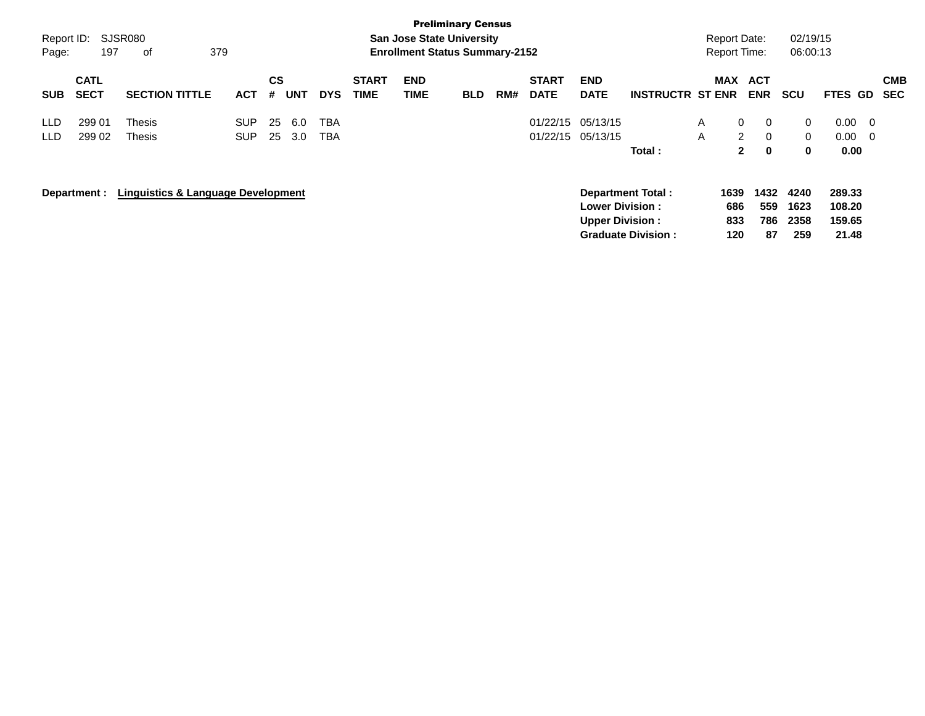|            |                            |                                               |            |                |            |            |                             |                                       | <b>Preliminary Census</b> |     |                             |                                                  |                           |              |                     |                          |                      |                            |                         |                          |
|------------|----------------------------|-----------------------------------------------|------------|----------------|------------|------------|-----------------------------|---------------------------------------|---------------------------|-----|-----------------------------|--------------------------------------------------|---------------------------|--------------|---------------------|--------------------------|----------------------|----------------------------|-------------------------|--------------------------|
| Report ID: |                            | SJSR080                                       |            |                |            |            |                             | <b>San Jose State University</b>      |                           |     |                             |                                                  |                           |              | <b>Report Date:</b> |                          | 02/19/15             |                            |                         |                          |
| Page:      | 197                        | 379<br>0f                                     |            |                |            |            |                             | <b>Enrollment Status Summary-2152</b> |                           |     |                             |                                                  |                           |              | <b>Report Time:</b> |                          | 06:00:13             |                            |                         |                          |
| <b>SUB</b> | <b>CATL</b><br><b>SECT</b> | <b>SECTION TITTLE</b>                         | <b>ACT</b> | <b>CS</b><br># | <b>UNT</b> | <b>DYS</b> | <b>START</b><br><b>TIME</b> | <b>END</b><br>TIME                    | <b>BLD</b>                | RM# | <b>START</b><br><b>DATE</b> | <b>END</b><br><b>DATE</b>                        | <b>INSTRUCTR ST ENR</b>   |              | <b>MAX</b>          | <b>ACT</b><br><b>ENR</b> | <b>SCU</b>           | <b>FTES GD</b>             |                         | <b>CMB</b><br><b>SEC</b> |
| LLD.       | 299 01                     | Thesis                                        | <b>SUP</b> | 25             | 6.0        | <b>TBA</b> |                             |                                       |                           |     |                             | 01/22/15 05/13/15                                |                           | $\mathsf{A}$ | $\mathbf{0}$        | $\Omega$                 | $\mathbf{0}$         | 0.00                       | $\overline{\mathbf{0}}$ |                          |
| LLD.       | 299 02                     | Thesis                                        | <b>SUP</b> | 25             | 3.0        | <b>TBA</b> |                             |                                       |                           |     |                             | 01/22/15 05/13/15                                |                           | A            | $\overline{2}$      | $\Omega$                 | $\overline{0}$       | 0.00                       | $\overline{0}$          |                          |
|            |                            |                                               |            |                |            |            |                             |                                       |                           |     |                             |                                                  | Total:                    |              | 2                   | 0                        | $\mathbf 0$          | 0.00                       |                         |                          |
|            | Department :               | <b>Linguistics &amp; Language Development</b> |            |                |            |            |                             |                                       |                           |     |                             | <b>Lower Division:</b><br><b>Upper Division:</b> | <b>Department Total:</b>  |              | 1639<br>686<br>833  | 1432<br>559<br>786       | 4240<br>1623<br>2358 | 289.33<br>108.20<br>159.65 |                         |                          |
|            |                            |                                               |            |                |            |            |                             |                                       |                           |     |                             |                                                  | <b>Graduate Division:</b> |              | 120                 | 87                       | 259                  | 21.48                      |                         |                          |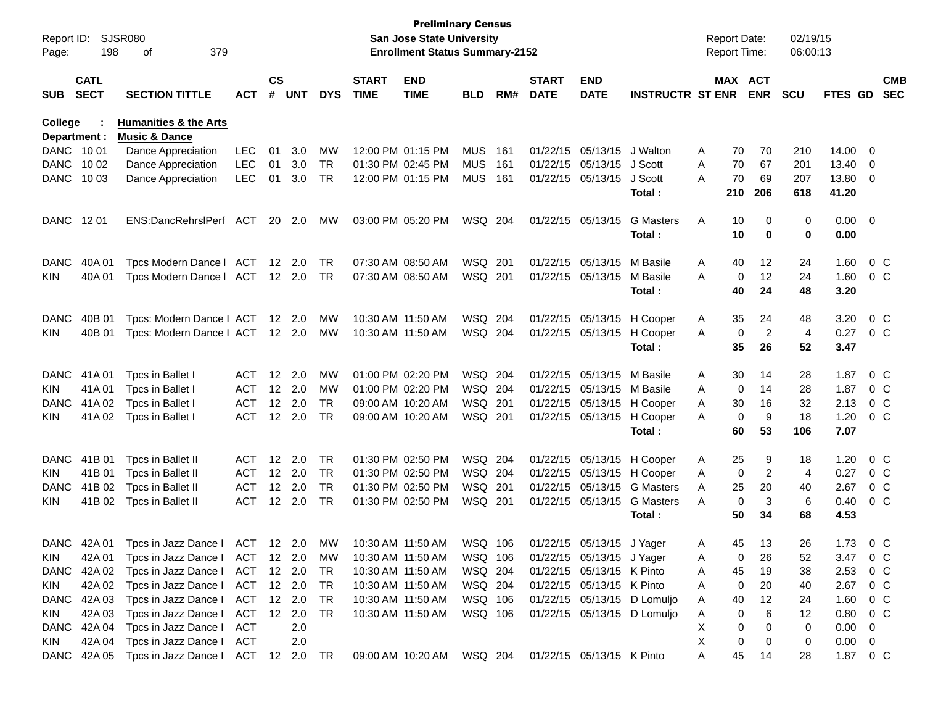|                |             |                                             |            |               |                |            |                   | <b>Preliminary Census</b>             |            |      |              |                           |                             |   |                     |                |            |          |                         |                |
|----------------|-------------|---------------------------------------------|------------|---------------|----------------|------------|-------------------|---------------------------------------|------------|------|--------------|---------------------------|-----------------------------|---|---------------------|----------------|------------|----------|-------------------------|----------------|
| Report ID:     |             | SJSR080                                     |            |               |                |            |                   | <b>San Jose State University</b>      |            |      |              |                           |                             |   | <b>Report Date:</b> |                | 02/19/15   |          |                         |                |
| Page:          | 198         | 379<br>οf                                   |            |               |                |            |                   | <b>Enrollment Status Summary-2152</b> |            |      |              |                           |                             |   | <b>Report Time:</b> |                | 06:00:13   |          |                         |                |
|                | <b>CATL</b> |                                             |            | $\mathsf{cs}$ |                |            | <b>START</b>      | <b>END</b>                            |            |      | <b>START</b> | <b>END</b>                |                             |   | MAX ACT             |                |            |          |                         | <b>CMB</b>     |
| <b>SUB</b>     | <b>SECT</b> | <b>SECTION TITTLE</b>                       | <b>ACT</b> | #             | <b>UNT</b>     | <b>DYS</b> | <b>TIME</b>       | <b>TIME</b>                           | <b>BLD</b> | RM#  | <b>DATE</b>  | <b>DATE</b>               | <b>INSTRUCTR ST ENR</b>     |   |                     | <b>ENR</b>     | <b>SCU</b> | FTES GD  |                         | <b>SEC</b>     |
| <b>College</b> |             | <b>Humanities &amp; the Arts</b>            |            |               |                |            |                   |                                       |            |      |              |                           |                             |   |                     |                |            |          |                         |                |
| Department :   |             | <b>Music &amp; Dance</b>                    |            |               |                |            |                   |                                       |            |      |              |                           |                             |   |                     |                |            |          |                         |                |
| DANC 1001      |             | Dance Appreciation                          | <b>LEC</b> | 01            | 3.0            | MW         |                   | 12:00 PM 01:15 PM                     | <b>MUS</b> | 161  | 01/22/15     | 05/13/15                  | J Walton                    | A | 70                  | 70             | 210        | 14.00    | - 0                     |                |
| <b>DANC</b>    | 10 02       | Dance Appreciation                          | <b>LEC</b> | 01            | 3.0            | <b>TR</b>  |                   | 01:30 PM 02:45 PM                     | <b>MUS</b> | 161  | 01/22/15     | 05/13/15                  | J Scott                     | A | 70                  | 67             | 201        | 13.40    | $\overline{0}$          |                |
| <b>DANC</b>    | 10 03       | Dance Appreciation                          | <b>LEC</b> | 01            | 3.0            | <b>TR</b>  |                   | 12:00 PM 01:15 PM                     | <b>MUS</b> | 161  | 01/22/15     | 05/13/15                  | J Scott                     | A | 70                  | 69             | 207        | 13.80    | $\overline{0}$          |                |
|                |             |                                             |            |               |                |            |                   |                                       |            |      |              |                           | Total:                      |   | 210                 | 206            | 618        | 41.20    |                         |                |
| <b>DANC</b>    | 12 01       | ENS:DancRehrslPerf                          | ACT        | 20            | 2.0            | МW         |                   | 03:00 PM 05:20 PM                     | WSQ 204    |      | 01/22/15     | 05/13/15                  | <b>G</b> Masters            | A | 10                  | 0              | 0          | 0.00     | $\overline{\mathbf{0}}$ |                |
|                |             |                                             |            |               |                |            |                   |                                       |            |      |              |                           | Total:                      |   | 10                  | 0              | 0          | 0.00     |                         |                |
| <b>DANC</b>    | 40A01       | Tpcs Modern Dance I                         | ACT        | 12            | 2.0            | TR         |                   | 07:30 AM 08:50 AM                     | WSQ        | -201 | 01/22/15     | 05/13/15                  | M Basile                    | A | 40                  | 12             | 24         | 1.60     |                         | 0 <sup>C</sup> |
| KIN            | 40A 01      | Tpcs Modern Dance   ACT                     |            |               | $12 \quad 2.0$ | <b>TR</b>  |                   | 07:30 AM 08:50 AM                     | WSQ 201    |      | 01/22/15     | 05/13/15                  | M Basile                    | A | 0                   | 12             | 24         | 1.60     |                         | $0\,C$         |
|                |             |                                             |            |               |                |            |                   |                                       |            |      |              |                           | Total:                      |   | 40                  | 24             | 48         | 3.20     |                         |                |
| <b>DANC</b>    | 40B 01      | Tpcs: Modern Dance I ACT                    |            | 12            | 2.0            | МW         |                   | 10:30 AM 11:50 AM                     | WSQ 204    |      | 01/22/15     | 05/13/15                  | H Cooper                    | A | 35                  | 24             | 48         | 3.20     |                         | 0 <sup>C</sup> |
| KIN            | 40B 01      | Tpcs: Modern Dance I ACT                    |            |               | $12 \quad 2.0$ | МW         |                   | 10:30 AM 11:50 AM                     | WSQ 204    |      | 01/22/15     | 05/13/15                  | H Cooper                    | A | 0                   | $\overline{2}$ | 4          | 0.27     |                         | $0\,$ C        |
|                |             |                                             |            |               |                |            |                   |                                       |            |      |              |                           | Total:                      |   | 35                  | 26             | 52         | 3.47     |                         |                |
| <b>DANC</b>    | 41A 01      | Tpcs in Ballet I                            | <b>ACT</b> | 12            | 2.0            | <b>MW</b>  |                   | 01:00 PM 02:20 PM                     | WSQ 204    |      | 01/22/15     | 05/13/15                  | M Basile                    | A | 30                  | 14             | 28         | 1.87     |                         | $0\,C$         |
| KIN            | 41A01       | Tpcs in Ballet I                            | <b>ACT</b> | 12            | 2.0            | <b>MW</b>  |                   | 01:00 PM 02:20 PM                     | WSQ 204    |      | 01/22/15     | 05/13/15                  | M Basile                    | A | 0                   | 14             | 28         | 1.87     |                         | $0\,C$         |
| <b>DANC</b>    | 41A 02      | Tpcs in Ballet I                            | <b>ACT</b> | 12            | 2.0            | <b>TR</b>  |                   | 09:00 AM 10:20 AM                     | WSQ 201    |      | 01/22/15     | 05/13/15                  | H Cooper                    | A | 30                  | 16             | 32         | 2.13     |                         | 0 <sup>C</sup> |
| KIN            | 41A 02      | Tpcs in Ballet I                            | <b>ACT</b> | 12            | 2.0            | <b>TR</b>  |                   | 09:00 AM 10:20 AM                     | WSQ 201    |      | 01/22/15     | 05/13/15                  | H Cooper                    | A | 0                   | 9              | 18         | 1.20     |                         | $0\,$ C        |
|                |             |                                             |            |               |                |            |                   |                                       |            |      |              |                           | Total:                      |   | 60                  | 53             | 106        | 7.07     |                         |                |
| <b>DANC</b>    | 41B 01      | Tpcs in Ballet II                           | <b>ACT</b> | 12            | 2.0            | <b>TR</b>  |                   | 01:30 PM 02:50 PM                     | WSQ 204    |      | 01/22/15     | 05/13/15                  | H Cooper                    | A | 25                  | 9              | 18         | 1.20     |                         | $0\,C$         |
| KIN            | 41B 01      | Tpcs in Ballet II                           | <b>ACT</b> | 12            | 2.0            | <b>TR</b>  |                   | 01:30 PM 02:50 PM                     | WSQ 204    |      | 01/22/15     | 05/13/15                  | H Cooper                    | A | 0                   | 2              | 4          | 0.27     |                         | $0\,C$         |
| <b>DANC</b>    | 41B 02      | Tpcs in Ballet II                           | <b>ACT</b> | 12            | 2.0            | <b>TR</b>  |                   | 01:30 PM 02:50 PM                     | WSQ 201    |      | 01/22/15     | 05/13/15                  | <b>G</b> Masters            | A | 25                  | 20             | 40         | 2.67     |                         | 0 <sup>C</sup> |
| KIN            | 41B 02      | Tpcs in Ballet II                           | <b>ACT</b> | 12            | 2.0            | <b>TR</b>  |                   | 01:30 PM 02:50 PM                     | WSQ 201    |      | 01/22/15     | 05/13/15                  | <b>G</b> Masters            | A | 0                   | 3              | 6          | 0.40     |                         | $0\,C$         |
|                |             |                                             |            |               |                |            |                   |                                       |            |      |              |                           | Total :                     |   | 50                  | 34             | 68         | 4.53     |                         |                |
|                |             | DANC 42A 01 Tpcs in Jazz Dance I ACT 12 2.0 |            |               |                | MW         |                   | 10:30 AM 11:50 AM                     | WSQ 106    |      |              | 01/22/15 05/13/15 J Yager |                             | A | 45                  | 13             | 26         | 1.73     | $0\,$ C                 |                |
| <b>KIN</b>     | 42A 01      | Tpcs in Jazz Dance   ACT 12 2.0             |            |               |                | MW         |                   | 10:30 AM 11:50 AM                     | WSQ 106    |      |              | 01/22/15 05/13/15 J Yager |                             | A | 0                   | 26             | 52         | 3.47     |                         | $0\,C$         |
|                | DANC 42A 02 | Tpcs in Jazz Dance I ACT                    |            |               | 12 2.0         | TR         |                   | 10:30 AM 11:50 AM                     | WSQ 204    |      |              | 01/22/15 05/13/15 K Pinto |                             | A | 45                  | 19             | 38         | 2.53     |                         | $0\,C$         |
| KIN            | 42A 02      | Tpcs in Jazz Dance I ACT                    |            |               | 12 2.0         | TR         |                   | 10:30 AM 11:50 AM                     | WSQ 204    |      |              | 01/22/15 05/13/15 K Pinto |                             | Α | 0                   | 20             | 40         | 2.67     |                         | $0\,$ C        |
|                | DANC 42A 03 | Tpcs in Jazz Dance I ACT                    |            |               | 12 2.0         | TR         | 10:30 AM 11:50 AM |                                       | WSQ 106    |      |              |                           | 01/22/15 05/13/15 D Lomuljo | A | 40                  | 12             | 24         | 1.60     |                         | $0\,$ C        |
| KIN            | 42A 03      | Tpcs in Jazz Dance I                        | ACT        |               | 12 2.0         | TR         |                   | 10:30 AM 11:50 AM                     | WSQ 106    |      |              |                           | 01/22/15 05/13/15 D Lomuljo | A | 0                   | 6              | 12         | 0.80     |                         | 0 C            |
|                | DANC 42A 04 | Tpcs in Jazz Dance I ACT                    |            |               | 2.0            |            |                   |                                       |            |      |              |                           |                             | Х | 0                   | 0              | 0          | 0.00     | $\overline{0}$          |                |
| <b>KIN</b>     |             | 42A 04 Tpcs in Jazz Dance I ACT             |            |               | 2.0            |            |                   |                                       |            |      |              |                           |                             | Х | 0                   | 0              | 0          | 0.00     | $\overline{0}$          |                |
|                |             | DANC 42A 05 Tpcs in Jazz Dance I ACT        |            |               | 12  2.0  TR    |            |                   |                                       |            |      |              |                           |                             | A | 45                  | 14             | 28         | 1.87 0 C |                         |                |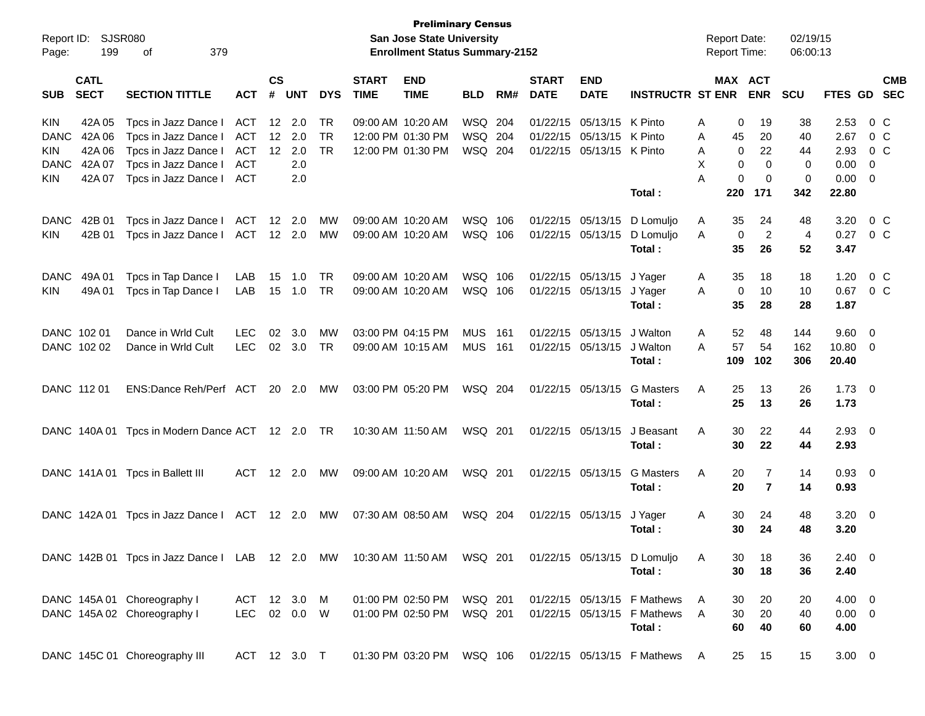| Report ID:<br>Page: | 199                        | SJSR080<br>379<br>оf                                                      |              |                    |            |            |                             | <b>Preliminary Census</b><br><b>San Jose State University</b><br><b>Enrollment Status Summary-2152</b> |            |       |                             |                           |                               |   |             | <b>Report Date:</b><br>Report Time: | 02/19/15<br>06:00:13 |             |                          |                |
|---------------------|----------------------------|---------------------------------------------------------------------------|--------------|--------------------|------------|------------|-----------------------------|--------------------------------------------------------------------------------------------------------|------------|-------|-----------------------------|---------------------------|-------------------------------|---|-------------|-------------------------------------|----------------------|-------------|--------------------------|----------------|
| <b>SUB</b>          | <b>CATL</b><br><b>SECT</b> | <b>SECTION TITTLE</b>                                                     | ACT          | $\mathsf{cs}$<br># | <b>UNT</b> | <b>DYS</b> | <b>START</b><br><b>TIME</b> | <b>END</b><br><b>TIME</b>                                                                              | <b>BLD</b> | RM#   | <b>START</b><br><b>DATE</b> | <b>END</b><br><b>DATE</b> | <b>INSTRUCTR ST ENR</b>       |   |             | MAX ACT<br><b>ENR</b>               | SCU                  | FTES GD SEC |                          | <b>CMB</b>     |
| <b>KIN</b>          | 42A 05                     | Tpcs in Jazz Dance I                                                      | <b>ACT</b>   | 12                 | 2.0        | TR         |                             | 09:00 AM 10:20 AM                                                                                      | WSQ        | 204   | 01/22/15                    | 05/13/15                  | K Pinto                       | Α | 0           | 19                                  | 38                   | 2.53        |                          | 0 C            |
| <b>DANC</b>         | 42A 06                     | Tpcs in Jazz Dance I                                                      | <b>ACT</b>   | 12                 | 2.0        | <b>TR</b>  |                             | 12:00 PM 01:30 PM                                                                                      | WSQ        | 204   |                             | 01/22/15 05/13/15         | K Pinto                       | Α | 45          | 20                                  | 40                   | 2.67        |                          | $0\,C$         |
| KIN                 | 42A 06                     | Tpcs in Jazz Dance I                                                      | ACT          | 12                 | 2.0        | <b>TR</b>  |                             | 12:00 PM 01:30 PM                                                                                      | WSQ 204    |       |                             | 01/22/15 05/13/15         | K Pinto                       | A | 0           | 22                                  | 44                   | 2.93        |                          | $0\,C$         |
| <b>DANC</b>         | 42A 07                     | Tpcs in Jazz Dance I                                                      | <b>ACT</b>   |                    | 2.0        |            |                             |                                                                                                        |            |       |                             |                           |                               | X | 0           | $\mathbf 0$                         | 0                    | 0.00        | $\overline{0}$           |                |
| KIN.                | 42A 07                     | Tpcs in Jazz Dance I                                                      | <b>ACT</b>   |                    | 2.0        |            |                             |                                                                                                        |            |       |                             |                           |                               | А | 0           | 0                                   | 0                    | 0.00        | $\overline{\phantom{0}}$ |                |
|                     |                            |                                                                           |              |                    |            |            |                             |                                                                                                        |            |       |                             |                           | Total:                        |   | 220         | 171                                 | 342                  | 22.80       |                          |                |
| <b>DANC</b>         | 42B 01                     | Tpcs in Jazz Dance I                                                      | <b>ACT</b>   | 12                 | 2.0        | MW         |                             | 09:00 AM 10:20 AM                                                                                      | WSQ        | 106   |                             | 01/22/15 05/13/15         | D Lomuljo                     | Α | 35          | 24                                  | 48                   | 3.20        |                          | 0 <sup>o</sup> |
| KIN.                | 42B 01                     | Tpcs in Jazz Dance I                                                      | ACT          |                    | 12 2.0     | MW         |                             | 09:00 AM 10:20 AM                                                                                      | WSQ 106    |       |                             | 01/22/15 05/13/15         | D Lomuljo                     | A | $\mathbf 0$ | $\overline{c}$                      | 4                    | 0.27        |                          | 0 C            |
|                     |                            |                                                                           |              |                    |            |            |                             |                                                                                                        |            |       |                             |                           | Total:                        |   | 35          | 26                                  | 52                   | 3.47        |                          |                |
| <b>DANC</b>         | 49A 01                     | Tpcs in Tap Dance I                                                       | LAB          | 15                 | 1.0        | <b>TR</b>  |                             | 09:00 AM 10:20 AM                                                                                      | WSQ 106    |       |                             | 01/22/15 05/13/15         | J Yager                       | Α | 35          | 18                                  | 18                   | 1.20        |                          | 0 <sup>o</sup> |
| KIN.                | 49A 01                     | Tpcs in Tap Dance I                                                       | LAB          | 15                 | 1.0        | <b>TR</b>  |                             | 09:00 AM 10:20 AM                                                                                      | WSQ 106    |       |                             | 01/22/15 05/13/15         | J Yager                       | A | $\mathbf 0$ | 10                                  | 10                   | 0.67        |                          | $0\,$ C        |
|                     |                            |                                                                           |              |                    |            |            |                             |                                                                                                        |            |       |                             |                           | Total:                        |   | 35          | 28                                  | 28                   | 1.87        |                          |                |
|                     | DANC 102 01                | Dance in Wrld Cult                                                        | <b>LEC</b>   | 02                 | 3.0        | <b>MW</b>  |                             | 03:00 PM 04:15 PM                                                                                      | <b>MUS</b> | 161   |                             | 01/22/15 05/13/15         | J Walton                      | A | 52          | 48                                  | 144                  | 9.60 0      |                          |                |
|                     | DANC 102 02                | Dance in Wrld Cult                                                        | <b>LEC</b>   | 02                 | 3.0        | <b>TR</b>  |                             | 09:00 AM 10:15 AM                                                                                      | <b>MUS</b> | - 161 |                             | 01/22/15 05/13/15         | J Walton                      | Α | 57          | 54                                  | 162                  | 10.80 0     |                          |                |
|                     |                            |                                                                           |              |                    |            |            |                             |                                                                                                        |            |       |                             |                           | Total :                       |   | 109         | 102                                 | 306                  | 20.40       |                          |                |
|                     | DANC 112 01                | ENS:Dance Reh/Perf ACT                                                    |              |                    | 20 2.0     | МW         |                             | 03:00 PM 05:20 PM                                                                                      | WSQ 204    |       |                             | 01/22/15 05/13/15         | <b>G</b> Masters              | A | 25          | 13                                  | 26                   | $1.73 \ 0$  |                          |                |
|                     |                            |                                                                           |              |                    |            |            |                             |                                                                                                        |            |       |                             |                           | Total :                       |   | 25          | 13                                  | 26                   | 1.73        |                          |                |
|                     | DANC 140A 01               | Tpcs in Modern Dance ACT 12 2.0                                           |              |                    |            | TR         |                             | 10:30 AM 11:50 AM                                                                                      | WSQ 201    |       |                             | 01/22/15 05/13/15         | J Beasant                     | Α | 30          | 22                                  | 44                   | $2.93$ 0    |                          |                |
|                     |                            |                                                                           |              |                    |            |            |                             |                                                                                                        |            |       |                             |                           | Total :                       |   | 30          | 22                                  | 44                   | 2.93        |                          |                |
|                     |                            | DANC 141A 01 Tpcs in Ballett III                                          | <b>ACT</b>   |                    | 12 2.0     | MW         |                             | 09:00 AM 10:20 AM                                                                                      | WSQ 201    |       |                             | 01/22/15 05/13/15         | <b>G</b> Masters              | A | 20          | 7                                   | 14                   | 0.93 0      |                          |                |
|                     |                            |                                                                           |              |                    |            |            |                             |                                                                                                        |            |       |                             |                           | Total :                       |   | 20          | $\overline{7}$                      | 14                   | 0.93        |                          |                |
|                     | DANC 142A 01               | Tpcs in Jazz Dance I ACT                                                  |              |                    | 12 2.0     | МW         |                             | 07:30 AM 08:50 AM                                                                                      | WSQ 204    |       |                             | 01/22/15 05/13/15         | J Yager                       | Α | 30          | 24                                  | 48                   | $3.20 \ 0$  |                          |                |
|                     |                            |                                                                           |              |                    |            |            |                             |                                                                                                        |            |       |                             |                           | Total:                        |   | 30          | 24                                  | 48                   | 3.20        |                          |                |
|                     |                            |                                                                           |              |                    |            |            |                             |                                                                                                        |            |       |                             |                           |                               |   |             |                                     |                      |             |                          |                |
|                     |                            | DANC 142B 01 Tpcs in Jazz Dance I LAB 12 2.0 MW 10:30 AM 11:50 AM WSQ 201 |              |                    |            |            |                             |                                                                                                        |            |       |                             |                           | 01/22/15 05/13/15 D Lomuljo   | A | 30          | 18                                  | 36                   | $2.40 \ 0$  |                          |                |
|                     |                            |                                                                           |              |                    |            |            |                             |                                                                                                        |            |       |                             |                           | Total:                        |   | 30          | 18                                  | 36                   | 2.40        |                          |                |
|                     |                            | DANC 145A 01 Choreography I                                               | ACT 12 3.0 M |                    |            |            |                             | 01:00 PM 02:50 PM                                                                                      | WSQ 201    |       |                             |                           | 01/22/15 05/13/15 F Mathews   | A | 30          | 20                                  | 20                   | $4.00 \ 0$  |                          |                |
|                     |                            | DANC 145A 02 Choreography I                                               | <b>LEC</b>   |                    | 02  0.0  W |            |                             | 01:00 PM 02:50 PM                                                                                      | WSQ 201    |       |                             |                           | 01/22/15 05/13/15 F Mathews   | A | 30          | 20                                  | 40                   | $0.00 \t 0$ |                          |                |
|                     |                            |                                                                           |              |                    |            |            |                             |                                                                                                        |            |       |                             |                           | Total:                        |   | 60          | 40                                  | 60                   | 4.00        |                          |                |
|                     |                            | DANC 145C 01 Choreography III                                             | ACT 12 3.0 T |                    |            |            |                             | 01:30 PM 03:20 PM WSQ 106                                                                              |            |       |                             |                           | 01/22/15 05/13/15 F Mathews A |   | 25          | 15                                  | 15                   | $3.00 \ 0$  |                          |                |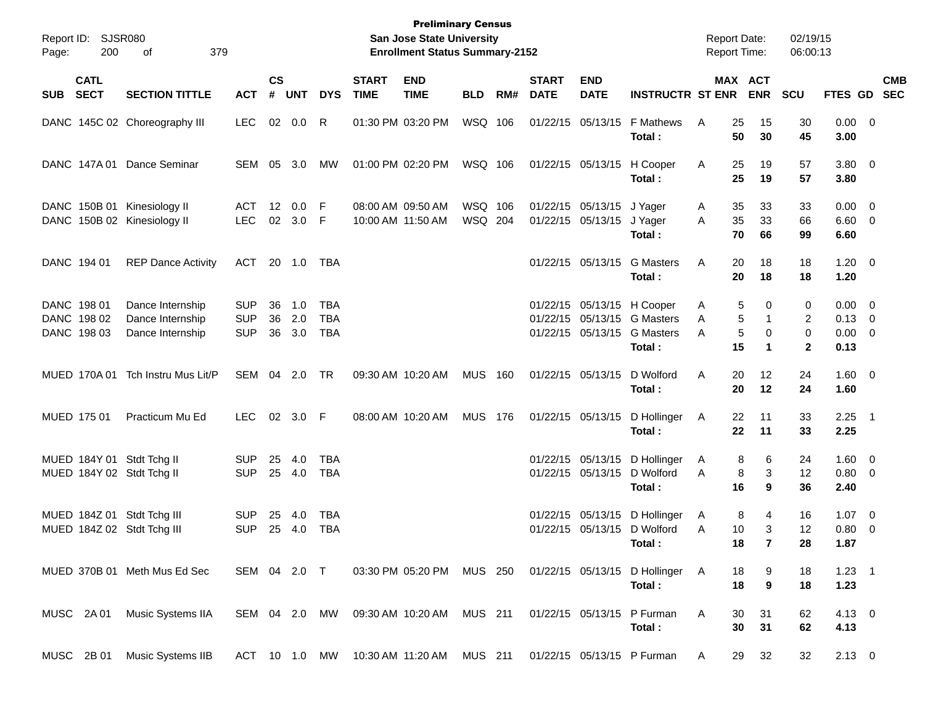| Page: | Report ID: SJSR080<br>200                 | 379<br>оf                                                  |                                        |                    |                   |                   |                             | <b>Preliminary Census</b><br>San Jose State University<br><b>Enrollment Status Summary-2152</b> |                    |     |                             |                                                        |                                                                                         | <b>Report Date:</b><br><b>Report Time:</b> |                                  |                            | 02/19/15<br>06:00:13        |                                                  |                           |
|-------|-------------------------------------------|------------------------------------------------------------|----------------------------------------|--------------------|-------------------|-------------------|-----------------------------|-------------------------------------------------------------------------------------------------|--------------------|-----|-----------------------------|--------------------------------------------------------|-----------------------------------------------------------------------------------------|--------------------------------------------|----------------------------------|----------------------------|-----------------------------|--------------------------------------------------|---------------------------|
| SUB   | <b>CATL</b><br><b>SECT</b>                | <b>SECTION TITTLE</b>                                      | <b>ACT</b>                             | $\mathsf{cs}$<br># | <b>UNT</b>        | <b>DYS</b>        | <b>START</b><br><b>TIME</b> | <b>END</b><br><b>TIME</b>                                                                       | <b>BLD</b>         | RM# | <b>START</b><br><b>DATE</b> | <b>END</b><br><b>DATE</b>                              | <b>INSTRUCTR ST ENR</b>                                                                 |                                            | MAX ACT<br><b>ENR</b>            | <b>SCU</b>                 |                             |                                                  | <b>CMB</b><br>FTES GD SEC |
|       |                                           | DANC 145C 02 Choreography III                              | <b>LEC</b>                             |                    | 02 0.0            | R                 |                             | 01:30 PM 03:20 PM                                                                               | WSQ 106            |     |                             | 01/22/15 05/13/15                                      | <b>F Mathews</b><br>Total:                                                              | A                                          | 25<br>15<br>50<br>30             |                            | 30<br>45                    | $0.00 \t 0$<br>3.00                              |                           |
|       |                                           | DANC 147A 01 Dance Seminar                                 | SEM                                    | 05                 | 3.0               | МW                |                             | 01:00 PM 02:20 PM                                                                               | WSQ 106            |     |                             | 01/22/15 05/13/15                                      | H Cooper<br>Total:                                                                      | A                                          | 25<br>19<br>25<br>19             |                            | 57<br>57                    | $3.80\ 0$<br>3.80                                |                           |
|       |                                           | DANC 150B 01 Kinesiology II<br>DANC 150B 02 Kinesiology II | ACT<br><b>LEC</b>                      |                    | 12 0.0<br>02 3.0  | - F<br>-F         |                             | 08:00 AM 09:50 AM<br>10:00 AM 11:50 AM                                                          | WSQ 106<br>WSQ 204 |     |                             | 01/22/15 05/13/15 J Yager<br>01/22/15 05/13/15 J Yager | Total :                                                                                 | A<br>A                                     | 35<br>33<br>35<br>33<br>70<br>66 |                            | 33<br>66<br>99              | $0.00 \t 0$<br>$6.60$ 0<br>6.60                  |                           |
|       | DANC 194 01                               | <b>REP Dance Activity</b>                                  | ACT                                    |                    | 20 1.0            | TBA               |                             |                                                                                                 |                    |     |                             | 01/22/15 05/13/15                                      | <b>G</b> Masters<br>Total:                                                              | Α                                          | 20<br>18<br>20<br>18             |                            | 18<br>18                    | $1.20 \t 0$<br>1.20                              |                           |
|       | DANC 198 01<br>DANC 198 02<br>DANC 198 03 | Dance Internship<br>Dance Internship<br>Dance Internship   | <b>SUP</b><br><b>SUP</b><br><b>SUP</b> | 36<br>36<br>36     | 1.0<br>2.0<br>3.0 | TBA<br>TBA<br>TBA |                             |                                                                                                 |                    |     |                             | 01/22/15 05/13/15                                      | 01/22/15 05/13/15 H Cooper<br>01/22/15 05/13/15 G Masters<br><b>G</b> Masters<br>Total: | A<br>A<br>A                                | 5<br>5<br>5<br>15                | 0<br>1<br>0<br>$\mathbf 1$ | 0<br>2<br>0<br>$\mathbf{2}$ | $0.00 \t 0$<br>$0.13 \ 0$<br>$0.00 \t 0$<br>0.13 |                           |
|       |                                           | MUED 170A 01 Tch Instru Mus Lit/P                          | SEM 04 2.0                             |                    |                   | TR                |                             | 09:30 AM 10:20 AM                                                                               | MUS                | 160 |                             | 01/22/15 05/13/15                                      | D Wolford<br>Total:                                                                     | A                                          | 20<br>12<br>20<br>12             |                            | 24<br>24                    | $1.60 \t 0$<br>1.60                              |                           |
|       | MUED 175 01                               | Practicum Mu Ed                                            | <b>LEC</b>                             |                    | 02 3.0 F          |                   |                             | 08:00 AM 10:20 AM                                                                               | <b>MUS 176</b>     |     |                             | 01/22/15 05/13/15                                      | D Hollinger<br>Total:                                                                   | A                                          | 22<br>11<br>22<br>11             |                            | 33<br>33                    | $2.25$ 1<br>2.25                                 |                           |
|       |                                           | MUED 184Y 01 Stdt Tchg II<br>MUED 184Y 02 Stdt Tchg II     | <b>SUP</b><br><b>SUP</b>               |                    | 25 4.0<br>25 4.0  | TBA<br>TBA        |                             |                                                                                                 |                    |     |                             | 01/22/15 05/13/15                                      | 01/22/15 05/13/15 D Hollinger<br>D Wolford<br>Total:                                    | A<br>A                                     | 8<br>8<br>16                     | 6<br>3<br>9                | 24<br>12<br>36              | $1.60 \t 0$<br>0.80 0<br>2.40                    |                           |
|       |                                           | MUED 184Z 01 Stdt Tchg III<br>MUED 184Z 02 Stdt Tchg III   | <b>SUP</b><br><b>SUP</b>               | 25                 | -4.0<br>25 4.0    | TBA<br><b>TBA</b> |                             |                                                                                                 |                    |     |                             | 01/22/15 05/13/15                                      | 01/22/15 05/13/15 D Hollinger<br>D Wolford<br>Total :                                   | A<br>A                                     | 8<br>10<br>18                    | 4<br>3                     | 16<br>12<br>28              | $1.07 \t 0$<br>$0.80 \ 0$<br>1.87                |                           |
|       |                                           | MUED 370B 01 Meth Mus Ed Sec                               | SEM 04 2.0 T                           |                    |                   |                   |                             | 03:30 PM 05:20 PM MUS 250                                                                       |                    |     |                             |                                                        | 01/22/15 05/13/15 D Hollinger A<br>Total:                                               |                                            | 18<br>18                         | 9<br>9                     | 18<br>18                    | $1.23 \quad 1$<br>1.23                           |                           |
|       | MUSC 2A01                                 | Music Systems IIA                                          |                                        |                    |                   |                   |                             | SEM 04 2.0 MW 09:30 AM 10:20 AM MUS 211                                                         |                    |     |                             |                                                        | 01/22/15 05/13/15 P Furman<br>Total:                                                    | Α                                          | 30<br>31<br>30<br>31             |                            | 62<br>62                    | $4.13 \quad 0$<br>4.13                           |                           |
|       | MUSC 2B 01                                | Music Systems IIB                                          |                                        |                    |                   |                   |                             | ACT 10 1.0 MW 10:30 AM 11:20 AM MUS 211                                                         |                    |     |                             |                                                        | 01/22/15 05/13/15 P Furman                                                              | A                                          | 29<br>32                         |                            | 32                          | $2.13 \t 0$                                      |                           |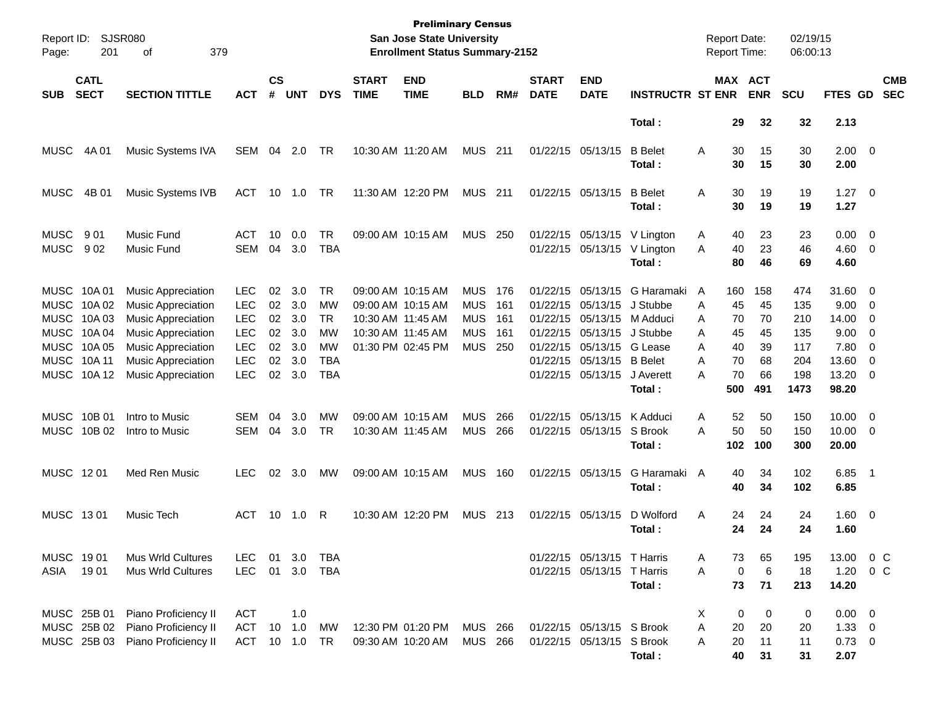| Page:                      | Report ID: SJSR080<br>379<br>201<br>оf<br><b>CATL</b>               |                                                                                                                                                                                                         |                                                                                                |                                        |                                               |                                                                              |                                                                                                       | <b>Preliminary Census</b><br><b>San Jose State University</b><br><b>Enrollment Status Summary-2152</b> |                                                                    |                                     |                             |                                                                                                                                                 |                                                                                                    |                                 | <b>Report Date:</b><br>Report Time:            |                                                | 02/19/15<br>06:00:13                                  |                                                                   |                                                                        |                          |
|----------------------------|---------------------------------------------------------------------|---------------------------------------------------------------------------------------------------------------------------------------------------------------------------------------------------------|------------------------------------------------------------------------------------------------|----------------------------------------|-----------------------------------------------|------------------------------------------------------------------------------|-------------------------------------------------------------------------------------------------------|--------------------------------------------------------------------------------------------------------|--------------------------------------------------------------------|-------------------------------------|-----------------------------|-------------------------------------------------------------------------------------------------------------------------------------------------|----------------------------------------------------------------------------------------------------|---------------------------------|------------------------------------------------|------------------------------------------------|-------------------------------------------------------|-------------------------------------------------------------------|------------------------------------------------------------------------|--------------------------|
| <b>SUB</b>                 | <b>SECT</b>                                                         | <b>SECTION TITTLE</b>                                                                                                                                                                                   | <b>ACT</b>                                                                                     | $\mathsf{cs}$<br>#                     | <b>UNT</b>                                    | <b>DYS</b>                                                                   | <b>START</b><br><b>TIME</b>                                                                           | <b>END</b><br><b>TIME</b>                                                                              | <b>BLD</b>                                                         | RM#                                 | <b>START</b><br><b>DATE</b> | <b>END</b><br><b>DATE</b>                                                                                                                       | <b>INSTRUCTR ST ENR</b>                                                                            |                                 |                                                | <b>MAX ACT</b><br><b>ENR</b>                   | <b>SCU</b>                                            | <b>FTES GD</b>                                                    |                                                                        | <b>CMB</b><br><b>SEC</b> |
|                            |                                                                     |                                                                                                                                                                                                         |                                                                                                |                                        |                                               |                                                                              |                                                                                                       |                                                                                                        |                                                                    |                                     |                             |                                                                                                                                                 | Total:                                                                                             |                                 | 29                                             | 32                                             | 32                                                    | 2.13                                                              |                                                                        |                          |
| <b>MUSC</b>                | 4A 01                                                               | Music Systems IVA                                                                                                                                                                                       | <b>SEM</b>                                                                                     | 04                                     | 2.0                                           | TR                                                                           | 10:30 AM 11:20 AM                                                                                     |                                                                                                        | <b>MUS</b>                                                         | 211                                 |                             | 01/22/15 05/13/15                                                                                                                               | <b>B</b> Belet<br>Total:                                                                           | A                               | 30<br>30                                       | 15<br>15                                       | 30<br>30                                              | $2.00 \t 0$<br>2.00                                               |                                                                        |                          |
| <b>MUSC</b>                | 4B 01                                                               | Music Systems IVB                                                                                                                                                                                       | ACT                                                                                            | 10                                     | 1.0                                           | TR                                                                           |                                                                                                       | 11:30 AM 12:20 PM                                                                                      | <b>MUS</b>                                                         | 211                                 |                             | 01/22/15 05/13/15                                                                                                                               | <b>B</b> Belet<br>Total:                                                                           | A                               | 30<br>30                                       | 19<br>19                                       | 19<br>19                                              | $1.27 \t 0$<br>1.27                                               |                                                                        |                          |
| <b>MUSC</b><br><b>MUSC</b> | 901<br>902                                                          | Music Fund<br>Music Fund                                                                                                                                                                                | ACT<br><b>SEM</b>                                                                              | 10<br>04                               | 0.0<br>3.0                                    | TR<br><b>TBA</b>                                                             |                                                                                                       | 09:00 AM 10:15 AM                                                                                      | <b>MUS</b>                                                         | 250                                 |                             | 01/22/15 05/13/15<br>01/22/15 05/13/15                                                                                                          | V Lington<br>V Lington<br>Total:                                                                   | A<br>A                          | 40<br>40<br>80                                 | 23<br>23<br>46                                 | 23<br>46<br>69                                        | 0.00<br>4.60<br>4.60                                              | $\overline{0}$<br>$\overline{0}$                                       |                          |
| MUSC 10A 01<br>MUSC 10A 11 | MUSC 10A02<br>MUSC 10A03<br>MUSC 10A04<br>MUSC 10A 05<br>MUSC 10A12 | <b>Music Appreciation</b><br><b>Music Appreciation</b><br><b>Music Appreciation</b><br><b>Music Appreciation</b><br><b>Music Appreciation</b><br><b>Music Appreciation</b><br><b>Music Appreciation</b> | <b>LEC</b><br><b>LEC</b><br><b>LEC</b><br><b>LEC</b><br><b>LEC</b><br><b>LEC</b><br><b>LEC</b> | 02<br>02<br>02<br>02<br>02<br>02<br>02 | 3.0<br>3.0<br>3.0<br>3.0<br>3.0<br>3.0<br>3.0 | TR<br><b>MW</b><br>TR.<br><b>MW</b><br><b>MW</b><br><b>TBA</b><br><b>TBA</b> | 09:00 AM 10:15 AM<br>09:00 AM 10:15 AM<br>10:30 AM 11:45 AM<br>10:30 AM 11:45 AM<br>01:30 PM 02:45 PM |                                                                                                        | <b>MUS</b><br><b>MUS</b><br><b>MUS</b><br><b>MUS</b><br><b>MUS</b> | 176<br>161<br>- 161<br>161<br>- 250 |                             | 01/22/15 05/13/15<br>01/22/15 05/13/15<br>01/22/15 05/13/15<br>01/22/15 05/13/15<br>01/22/15 05/13/15<br>01/22/15 05/13/15<br>01/22/15 05/13/15 | G Haramaki<br>J Stubbe<br>M Adduci<br>J Stubbe<br>G Lease<br><b>B</b> Belet<br>J Averett<br>Total: | A<br>A<br>A<br>A<br>A<br>A<br>A | 160<br>45<br>70<br>45<br>40<br>70<br>70<br>500 | 158<br>45<br>70<br>45<br>39<br>68<br>66<br>491 | 474<br>135<br>210<br>135<br>117<br>204<br>198<br>1473 | 31.60<br>9.00<br>14.00<br>9.00<br>7.80<br>13.60<br>13.20<br>98.20 | $\overline{0}$<br>$\overline{0}$<br>0<br>0<br>0<br>0<br>$\overline{0}$ |                          |
| MUSC 10B 01                | MUSC 10B 02                                                         | Intro to Music<br>Intro to Music                                                                                                                                                                        | SEM<br><b>SEM</b>                                                                              | 04<br>04                               | 3.0<br>3.0                                    | <b>MW</b><br>TR                                                              | 09:00 AM 10:15 AM<br>10:30 AM 11:45 AM                                                                |                                                                                                        | <b>MUS</b><br><b>MUS</b>                                           | 266<br>266                          |                             | 01/22/15 05/13/15<br>01/22/15 05/13/15                                                                                                          | K Adduci<br>S Brook<br>Total:                                                                      | Α<br>A                          | 52<br>50<br>102                                | 50<br>50<br>100                                | 150<br>150<br>300                                     | 10.00<br>10.00<br>20.00                                           | $\overline{0}$<br>$\overline{0}$                                       |                          |
| MUSC 1201                  |                                                                     | Med Ren Music                                                                                                                                                                                           | <b>LEC</b>                                                                                     | 02                                     | 3.0                                           | MW                                                                           | 09:00 AM 10:15 AM                                                                                     |                                                                                                        | <b>MUS</b>                                                         | 160                                 |                             | 01/22/15 05/13/15                                                                                                                               | G Haramaki<br>Total:                                                                               | A                               | 40<br>40                                       | 34<br>34                                       | 102<br>102                                            | 6.85<br>6.85                                                      | - 1                                                                    |                          |
| MUSC 1301                  |                                                                     | Music Tech                                                                                                                                                                                              | ACT                                                                                            | 10                                     | 1.0                                           | R                                                                            | 10:30 AM 12:20 PM                                                                                     |                                                                                                        | <b>MUS</b>                                                         | 213                                 |                             | 01/22/15 05/13/15                                                                                                                               | D Wolford<br>Total :                                                                               | A                               | 24<br>24                                       | 24<br>24                                       | 24<br>24                                              | $1.60 \t 0$<br>1.60                                               |                                                                        |                          |
| MUSC 1901<br>ASIA          | 1901                                                                | Mus Wrld Cultures<br>Mus Wrld Cultures                                                                                                                                                                  | <b>LEC</b><br><b>LEC</b>                                                                       | 01<br>01                               | 3.0                                           | TBA<br>3.0 TBA                                                               |                                                                                                       |                                                                                                        |                                                                    |                                     |                             | 01/22/15 05/13/15 T Harris<br>01/22/15 05/13/15 T Harris                                                                                        | Total:                                                                                             | Α<br>Α                          | 73<br>0<br>73                                  | 65<br>6<br>71                                  | 195<br>18<br>213                                      | 13.00<br>1.20<br>14.20                                            | $0\,$ C<br>$0\,$ C                                                     |                          |
|                            | MUSC 25B 01<br>MUSC 25B 02<br>MUSC 25B 03                           | Piano Proficiency II<br>Piano Proficiency II<br>Piano Proficiency II                                                                                                                                    | <b>ACT</b><br><b>ACT</b><br>ACT 10 1.0                                                         |                                        | 1.0<br>10 1.0                                 | MW<br>TR                                                                     | 12:30 PM 01:20 PM                                                                                     | 09:30 AM 10:20 AM                                                                                      | <b>MUS 266</b><br>MUS 266                                          |                                     |                             | 01/22/15 05/13/15 S Brook<br>01/22/15 05/13/15 S Brook                                                                                          | Total:                                                                                             | X<br>A<br>Α                     | 0<br>20<br>20<br>40                            | 0<br>20<br>11<br>31                            | 0<br>20<br>11<br>31                                   | $0.00 \quad 0$<br>$1.33 \ 0$<br>$0.73 \ 0$<br>2.07                |                                                                        |                          |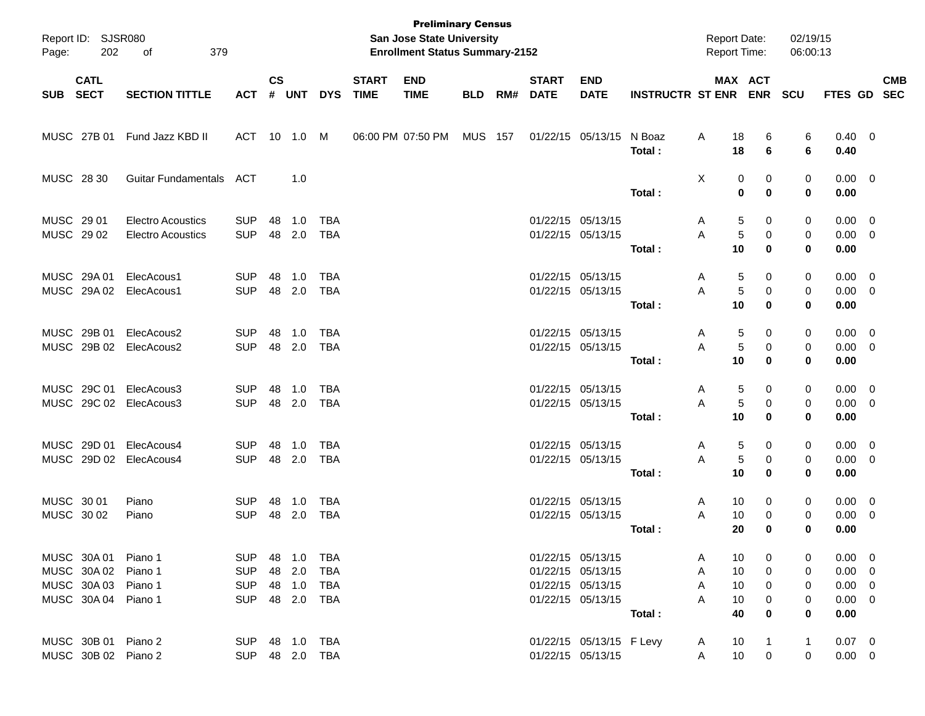| Page:                    | Report ID: SJSR080<br>202<br>379<br>οf<br><b>CATL</b>                            |                                                      |                                                      |                    |                                            |                          |                             | <b>Preliminary Census</b><br>San Jose State University<br><b>Enrollment Status Summary-2152</b> |            |     |                             |                                                                                  |                         | <b>Report Date:</b><br>Report Time: |                                          | 02/19/15<br>06:00:13 |                                                          |                          |            |
|--------------------------|----------------------------------------------------------------------------------|------------------------------------------------------|------------------------------------------------------|--------------------|--------------------------------------------|--------------------------|-----------------------------|-------------------------------------------------------------------------------------------------|------------|-----|-----------------------------|----------------------------------------------------------------------------------|-------------------------|-------------------------------------|------------------------------------------|----------------------|----------------------------------------------------------|--------------------------|------------|
| <b>SUB</b>               | <b>SECT</b>                                                                      | <b>SECTION TITTLE</b>                                | <b>ACT</b>                                           | $\mathsf{cs}$<br># | <b>UNT</b>                                 | <b>DYS</b>               | <b>START</b><br><b>TIME</b> | <b>END</b><br><b>TIME</b>                                                                       | <b>BLD</b> | RM# | <b>START</b><br><b>DATE</b> | <b>END</b><br><b>DATE</b>                                                        | <b>INSTRUCTR ST ENR</b> |                                     | MAX ACT<br><b>ENR</b>                    | <b>SCU</b>           | FTES GD SEC                                              |                          | <b>CMB</b> |
|                          | MUSC 27B 01                                                                      | Fund Jazz KBD II                                     | <b>ACT</b>                                           |                    | 10 1.0                                     | M                        |                             | 06:00 PM 07:50 PM                                                                               | MUS        | 157 |                             | 01/22/15 05/13/15                                                                | N Boaz<br>Total:        | Α                                   | 18<br>6<br>18<br>6                       | 6<br>6               | $0.40 \quad 0$<br>0.40                                   |                          |            |
| MUSC 28 30               |                                                                                  | Guitar Fundamentals                                  | ACT                                                  |                    | 1.0                                        |                          |                             |                                                                                                 |            |     |                             |                                                                                  | Total:                  | X                                   | 0<br>0<br>$\bf{0}$<br>$\mathbf 0$        | 0<br>0               | $0.00 \t 0$<br>0.00                                      |                          |            |
| MUSC 29 01<br>MUSC 29 02 |                                                                                  | <b>Electro Acoustics</b><br><b>Electro Acoustics</b> | <b>SUP</b><br><b>SUP</b>                             | 48<br>48           | 1.0<br>2.0                                 | TBA<br><b>TBA</b>        |                             |                                                                                                 |            |     |                             | 01/22/15 05/13/15<br>01/22/15 05/13/15                                           | Total:                  | A<br>A                              | 5<br>0<br>5<br>0<br>10<br>0              | 0<br>0<br>0          | $0.00 \t 0$<br>$0.00 \t 0$<br>0.00                       |                          |            |
|                          | MUSC 29A 01<br>MUSC 29A 02                                                       | ElecAcous1<br>ElecAcous1                             | <b>SUP</b><br><b>SUP</b>                             | 48<br>48           | 1.0<br>2.0                                 | TBA<br>TBA               |                             |                                                                                                 |            |     |                             | 01/22/15 05/13/15<br>01/22/15 05/13/15                                           | Total:                  | A<br>A                              | 5<br>0<br>5<br>0<br>10<br>0              | 0<br>0<br>0          | $0.00 \t 0$<br>$0.00 \t 0$<br>0.00                       |                          |            |
|                          | MUSC 29B 01<br>MUSC 29B 02                                                       | ElecAcous2<br>ElecAcous2                             | <b>SUP</b><br><b>SUP</b>                             | 48<br>48           | 1.0<br>2.0                                 | TBA<br>TBA               |                             |                                                                                                 |            |     |                             | 01/22/15 05/13/15<br>01/22/15 05/13/15                                           | Total:                  | A<br>A                              | 5<br>0<br>5<br>0<br>10<br>0              | 0<br>0<br>0          | $0.00 \t 0$<br>$0.00 \t 0$<br>0.00                       |                          |            |
|                          | MUSC 29C 01                                                                      | ElecAcous3<br>MUSC 29C 02 ElecAcous3                 | <b>SUP</b><br><b>SUP</b>                             | 48<br>48           | 1.0<br>2.0                                 | TBA<br>TBA               |                             |                                                                                                 |            |     |                             | 01/22/15 05/13/15<br>01/22/15 05/13/15                                           | Total:                  | A<br>A                              | 5<br>0<br>5<br>0<br>10<br>0              | 0<br>0<br>0          | $0.00 \t 0$<br>$0.00 \t 0$<br>0.00                       |                          |            |
|                          | MUSC 29D 01                                                                      | ElecAcous4<br>MUSC 29D 02 ElecAcous4                 | <b>SUP</b><br><b>SUP</b>                             | 48<br>48           | 1.0<br>2.0                                 | TBA<br>TBA               |                             |                                                                                                 |            |     |                             | 01/22/15 05/13/15<br>01/22/15 05/13/15                                           | Total:                  | A<br>A                              | 5<br>0<br>5<br>0<br>10<br>0              | 0<br>0<br>0          | $0.00 \t 0$<br>$0.00 \t 0$<br>0.00                       |                          |            |
| MUSC 30 01<br>MUSC 30 02 |                                                                                  | Piano<br>Piano                                       | <b>SUP</b><br><b>SUP</b>                             | 48<br>48           | 1.0<br>2.0                                 | TBA<br><b>TBA</b>        |                             |                                                                                                 |            |     |                             | 01/22/15 05/13/15<br>01/22/15 05/13/15                                           | Total:                  | A<br>A                              | 10<br>0<br>10<br>0<br>20<br>0            | 0<br>0<br>0          | $0.00 \quad 0$<br>0.00<br>0.00                           | $\overline{\phantom{0}}$ |            |
|                          | MUSC 30A 01 Piano 1<br>MUSC 30A 02<br>MUSC 30A 03 Piano 1<br>MUSC 30A 04 Piano 1 | Piano 1                                              | <b>SUP</b><br><b>SUP</b><br><b>SUP</b><br><b>SUP</b> |                    | 48 1.0<br>48 2.0<br>48 1.0<br>48  2.0  TBA | TBA<br><b>TBA</b><br>TBA |                             |                                                                                                 |            |     |                             | 01/22/15 05/13/15<br>01/22/15 05/13/15<br>01/22/15 05/13/15<br>01/22/15 05/13/15 |                         | Α<br>A<br>A<br>A                    | 10<br>0<br>10<br>0<br>10<br>0<br>10<br>0 | 0<br>0<br>0<br>0     | $0.00 \t 0$<br>$0.00 \t 0$<br>$0.00 \t 0$<br>$0.00 \t 0$ |                          |            |
|                          | MUSC 30B 01 Piano 2<br>MUSC 30B 02 Piano 2                                       |                                                      | <b>SUP</b><br>SUP 48 2.0 TBA                         |                    |                                            |                          |                             |                                                                                                 |            |     |                             | 01/22/15 05/13/15 F Levy<br>01/22/15 05/13/15                                    | Total:                  | A<br>A                              | 40<br>0<br>10<br>10<br>$\mathbf 0$       | 0<br>1<br>0          | 0.00<br>$0.07 \quad 0$<br>$0.00 \t 0$                    |                          |            |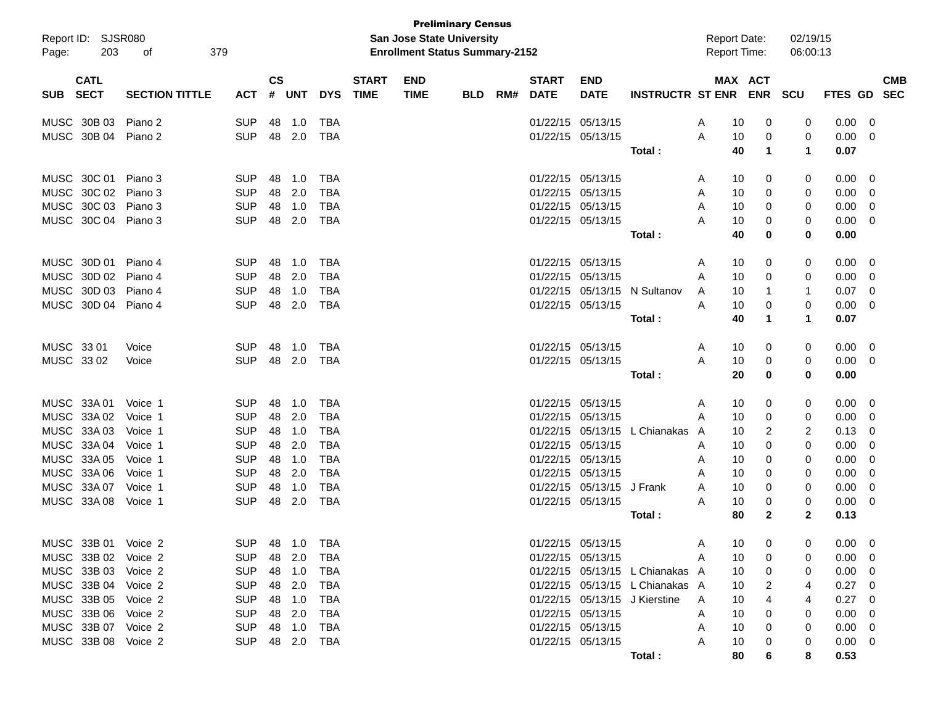| Report ID:<br>203<br>Page:               | SJSR080<br>379<br>οf  |                |                    |              |              |                             | San Jose State University<br><b>Enrollment Status Summary-2152</b> | <b>Preliminary Census</b> |     |                             |                           |                                 | <b>Report Date:</b><br><b>Report Time:</b> |                       | 02/19/15<br>06:00:13 |                |                          |
|------------------------------------------|-----------------------|----------------|--------------------|--------------|--------------|-----------------------------|--------------------------------------------------------------------|---------------------------|-----|-----------------------------|---------------------------|---------------------------------|--------------------------------------------|-----------------------|----------------------|----------------|--------------------------|
| <b>CATL</b><br><b>SECT</b><br><b>SUB</b> | <b>SECTION TITTLE</b> | <b>ACT</b>     | $\mathsf{cs}$<br># | <b>UNT</b>   | <b>DYS</b>   | <b>START</b><br><b>TIME</b> | <b>END</b><br><b>TIME</b>                                          | <b>BLD</b>                | RM# | <b>START</b><br><b>DATE</b> | <b>END</b><br><b>DATE</b> | <b>INSTRUCTR ST ENR</b>         |                                            | MAX ACT<br><b>ENR</b> | <b>SCU</b>           | <b>FTES GD</b> | <b>CMB</b><br><b>SEC</b> |
| MUSC 30B 03                              | Piano 2               | <b>SUP</b>     | 48                 | 1.0          | TBA          |                             |                                                                    |                           |     |                             | 01/22/15 05/13/15         |                                 | 10<br>A                                    | 0                     | 0                    | 0.00           | 0                        |
| MUSC 30B 04                              | Piano 2               | <b>SUP</b>     | 48                 | 2.0          | <b>TBA</b>   |                             |                                                                    |                           |     | 01/22/15 05/13/15           |                           |                                 | 10<br>A                                    | 0                     | 0                    | 0.00           | 0                        |
|                                          |                       |                |                    |              |              |                             |                                                                    |                           |     |                             |                           | Total :                         | 40                                         | 1                     | 1                    | 0.07           |                          |
| MUSC 30C 01                              | Piano 3               | <b>SUP</b>     | 48                 | 1.0          | <b>TBA</b>   |                             |                                                                    |                           |     | 01/22/15 05/13/15           |                           |                                 | 10<br>A                                    | 0                     | 0                    | 0.00           | 0                        |
| MUSC 30C 02                              | Piano 3               | <b>SUP</b>     | 48                 | 2.0          | <b>TBA</b>   |                             |                                                                    |                           |     | 01/22/15 05/13/15           |                           |                                 | 10<br>A                                    | 0                     | 0                    | 0.00           | 0                        |
| MUSC 30C 03                              | Piano 3               | <b>SUP</b>     | 48                 | 1.0          | <b>TBA</b>   |                             |                                                                    |                           |     |                             | 01/22/15 05/13/15         |                                 | A<br>10                                    | 0                     | 0                    | 0.00           | 0                        |
| MUSC 30C 04                              | Piano 3               | <b>SUP</b>     | 48                 | 2.0          | <b>TBA</b>   |                             |                                                                    |                           |     | 01/22/15 05/13/15           |                           |                                 | А<br>10                                    | 0                     | 0                    | 0.00           | 0                        |
|                                          |                       |                |                    |              |              |                             |                                                                    |                           |     |                             |                           | Total :                         | 40                                         | 0                     | 0                    | 0.00           |                          |
| MUSC 30D 01                              | Piano 4               | <b>SUP</b>     | 48                 | 1.0          | <b>TBA</b>   |                             |                                                                    |                           |     |                             | 01/22/15 05/13/15         |                                 | 10<br>A                                    | 0                     | 0                    | 0.00           | 0                        |
| MUSC 30D 02                              | Piano 4               | <b>SUP</b>     | 48                 | 2.0          | <b>TBA</b>   |                             |                                                                    |                           |     | 01/22/15 05/13/15           |                           |                                 | 10<br>A                                    | 0                     | 0                    | 0.00           | 0                        |
| MUSC 30D 03                              | Piano 4               | <b>SUP</b>     | 48                 | 1.0          | <b>TBA</b>   |                             |                                                                    |                           |     |                             | 01/22/15 05/13/15         | N Sultanov                      | 10<br>A                                    | 1                     | -1                   | 0.07           | 0                        |
| MUSC 30D 04                              | Piano 4               | <b>SUP</b>     | 48                 | 2.0          | <b>TBA</b>   |                             |                                                                    |                           |     |                             | 01/22/15 05/13/15         |                                 | A<br>10                                    | 0                     | 0                    | 0.00           | 0                        |
|                                          |                       |                |                    |              |              |                             |                                                                    |                           |     |                             |                           | Total :                         | 40                                         | 1                     | 1                    | 0.07           |                          |
| MUSC 33 01                               | Voice                 | <b>SUP</b>     | 48                 | 1.0          | TBA          |                             |                                                                    |                           |     |                             | 01/22/15 05/13/15         |                                 | 10<br>A                                    | 0                     | 0                    | 0.00           | 0                        |
| MUSC 33 02                               | Voice                 | <b>SUP</b>     | 48                 | 2.0          | <b>TBA</b>   |                             |                                                                    |                           |     | 01/22/15 05/13/15           |                           |                                 | A<br>10                                    | 0                     | 0                    | 0.00           | 0                        |
|                                          |                       |                |                    |              |              |                             |                                                                    |                           |     |                             |                           | Total:                          | 20                                         | 0                     | 0                    | 0.00           |                          |
| MUSC 33A 01                              | Voice 1               | <b>SUP</b>     | 48                 | 1.0          | <b>TBA</b>   |                             |                                                                    |                           |     |                             | 01/22/15 05/13/15         |                                 | 10<br>A                                    | 0                     | 0                    | 0.00           | 0                        |
| MUSC 33A 02                              | Voice 1               | <b>SUP</b>     | 48                 | 2.0          | <b>TBA</b>   |                             |                                                                    |                           |     | 01/22/15 05/13/15           |                           |                                 | 10<br>A                                    | 0                     | 0                    | 0.00           | 0                        |
| MUSC 33A 03                              | Voice 1               | <b>SUP</b>     | 48                 | 1.0          | <b>TBA</b>   |                             |                                                                    |                           |     |                             | 01/22/15 05/13/15         | L Chianakas A                   | 10                                         | 2                     | 2                    | 0.13           | 0                        |
| MUSC 33A 04                              | Voice 1               | <b>SUP</b>     | 48                 | 2.0          | <b>TBA</b>   |                             |                                                                    |                           |     | 01/22/15 05/13/15           |                           |                                 | 10<br>A                                    | 0                     | 0                    | 0.00           | 0                        |
| MUSC 33A 05                              | Voice 1               | <b>SUP</b>     | 48                 | 1.0          | <b>TBA</b>   |                             |                                                                    |                           |     |                             | 01/22/15 05/13/15         |                                 | 10<br>A                                    | 0                     | 0                    | 0.00           | 0                        |
| MUSC 33A 06                              | Voice 1               | <b>SUP</b>     | 48                 | 2.0          | <b>TBA</b>   |                             |                                                                    |                           |     | 01/22/15 05/13/15           |                           |                                 | 10<br>A                                    | 0                     | 0                    | 0.00           | 0                        |
| MUSC 33A 07                              | Voice 1               | <b>SUP</b>     | 48                 | 1.0          | <b>TBA</b>   |                             |                                                                    |                           |     |                             | 01/22/15 05/13/15         | J Frank                         | 10<br>A                                    | 0                     | 0                    | 0.00           | 0                        |
| MUSC 33A 08                              | Voice 1               | <b>SUP</b>     | 48                 | 2.0          | <b>TBA</b>   |                             |                                                                    |                           |     |                             | 01/22/15 05/13/15         |                                 | 10<br>Α                                    | 0                     | 0                    | 0.00           | 0                        |
|                                          |                       |                |                    |              |              |                             |                                                                    |                           |     |                             |                           | Total :                         | 80                                         | $\mathbf{2}$          | 2                    | 0.13           |                          |
| MUSC 33B 01 Voice 2                      |                       | <b>SUP</b>     |                    | 48  1.0  TBA |              |                             |                                                                    |                           |     |                             | 01/22/15 05/13/15         |                                 | 10<br>A                                    | 0                     | 0                    | $0.00 \quad 0$ |                          |
| MUSC 33B 02 Voice 2                      |                       | SUP 48 2.0 TBA |                    |              |              |                             |                                                                    |                           |     |                             | 01/22/15 05/13/15         | <b>A</b>                        | 10                                         | 0                     | Ω                    | $0.00 \quad 0$ |                          |
| MUSC 33B 03 Voice 2                      |                       | SUP            |                    |              | TBA          |                             |                                                                    |                           |     |                             |                           | 01/22/15 05/13/15 L Chianakas A | 10                                         | 0                     | 0                    | $0.00 \t 0$    |                          |
| MUSC 33B 04 Voice 2                      |                       | SUP            |                    |              | 48 2.0 TBA   |                             |                                                                    |                           |     |                             |                           | 01/22/15 05/13/15 L Chianakas A | 10                                         |                       |                      | $0.27 \quad 0$ |                          |
| MUSC 33B 05 Voice 2                      |                       | SUP            |                    |              | 48  1.0  TBA |                             |                                                                    |                           |     |                             |                           | 01/22/15 05/13/15 J Kierstine A | 10                                         |                       |                      | $0.27 \quad 0$ |                          |
| MUSC 33B 06 Voice 2                      |                       | <b>SUP</b>     |                    |              | 48  2.0  TBA |                             |                                                                    |                           |     |                             | 01/22/15 05/13/15         |                                 | 10<br>A                                    | 0                     | 0                    | $0.00 \quad 0$ |                          |
| MUSC 33B 07 Voice 2                      |                       | SUP            |                    |              |              |                             |                                                                    |                           |     |                             | 01/22/15 05/13/15         |                                 | 10<br>A                                    | 0                     | 0                    | $0.00 \quad 0$ |                          |
| MUSC 33B 08 Voice 2                      |                       | SUP 48 2.0 TBA |                    |              |              |                             |                                                                    |                           |     |                             | 01/22/15 05/13/15         |                                 | A<br>10                                    | 0                     | 0                    | $0.00 \quad 0$ |                          |
|                                          |                       |                |                    |              |              |                             |                                                                    |                           |     |                             |                           | Total :                         | 80                                         |                       | 8                    | 0.53           |                          |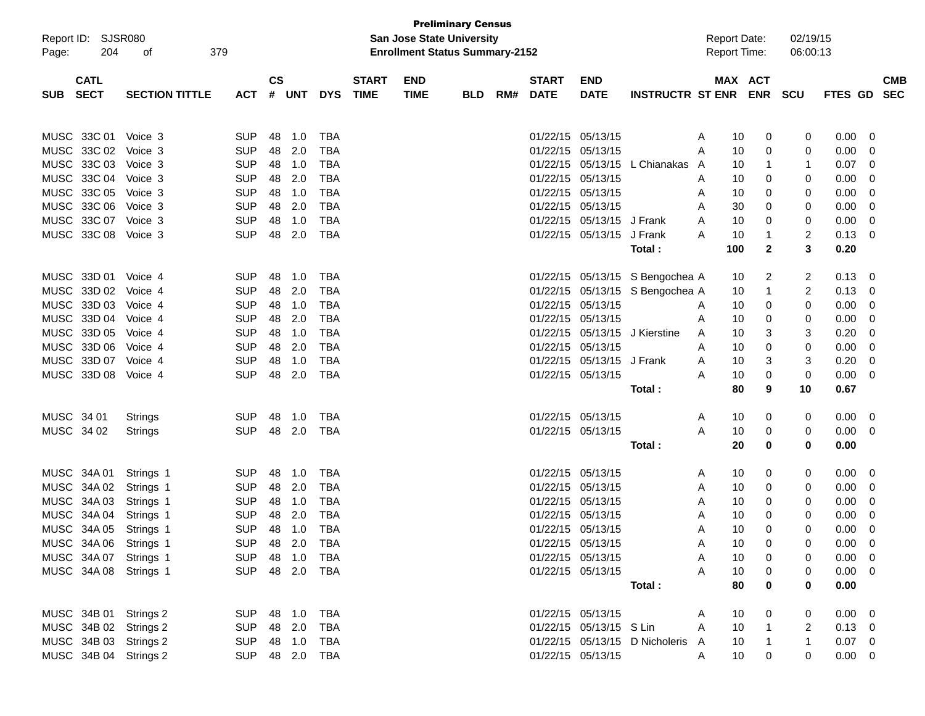| Report ID:<br>204<br>Page:                                                                       | SJSR080<br>379<br>оf                                          |                                                                    |                            |                                 |                                                                    |                             | <b>Preliminary Census</b><br>San Jose State University<br><b>Enrollment Status Summary-2152</b> |            |     |                             |                                                                                                       |                                                                                                     | <b>Report Date:</b><br><b>Report Time:</b> |                            |                             | 02/19/15<br>06:00:13   |                                                      |                         |                          |
|--------------------------------------------------------------------------------------------------|---------------------------------------------------------------|--------------------------------------------------------------------|----------------------------|---------------------------------|--------------------------------------------------------------------|-----------------------------|-------------------------------------------------------------------------------------------------|------------|-----|-----------------------------|-------------------------------------------------------------------------------------------------------|-----------------------------------------------------------------------------------------------------|--------------------------------------------|----------------------------|-----------------------------|------------------------|------------------------------------------------------|-------------------------|--------------------------|
| <b>CATL</b><br><b>SECT</b><br><b>SUB</b>                                                         | <b>SECTION TITTLE</b>                                         | <b>ACT</b>                                                         | <b>CS</b><br>#             | UNT                             | <b>DYS</b>                                                         | <b>START</b><br><b>TIME</b> | <b>END</b><br><b>TIME</b>                                                                       | <b>BLD</b> | RM# | <b>START</b><br><b>DATE</b> | <b>END</b><br><b>DATE</b>                                                                             | <b>INSTRUCTR ST ENR</b>                                                                             |                                            | MAX ACT                    | <b>ENR</b>                  | <b>SCU</b>             | <b>FTES GD</b>                                       |                         | <b>CMB</b><br><b>SEC</b> |
| MUSC 33C 01<br>MUSC 33C 02<br>MUSC 33C 03<br>MUSC 33C 04<br>MUSC 33C 05                          | Voice 3<br>Voice 3<br>Voice 3<br>Voice 3<br>Voice 3           | <b>SUP</b><br><b>SUP</b><br><b>SUP</b><br><b>SUP</b><br><b>SUP</b> | 48<br>48<br>48<br>48<br>48 | 1.0<br>2.0<br>1.0<br>2.0<br>1.0 | <b>TBA</b><br><b>TBA</b><br><b>TBA</b><br><b>TBA</b><br><b>TBA</b> |                             |                                                                                                 |            |     |                             | 01/22/15 05/13/15<br>01/22/15 05/13/15<br>01/22/15 05/13/15<br>01/22/15 05/13/15<br>01/22/15 05/13/15 | L Chianakas                                                                                         | A<br>A<br>A<br>A<br>A                      | 10<br>10<br>10<br>10<br>10 | 0<br>0<br>1<br>0<br>0       | 0<br>0<br>-1<br>0<br>0 | 0.00<br>0.00<br>0.07<br>0.00<br>0.00                 | - 0<br>0<br>0<br>0<br>0 |                          |
| MUSC 33C 06<br>MUSC 33C 07<br>MUSC 33C 08                                                        | Voice 3<br>Voice 3<br>Voice 3                                 | <b>SUP</b><br><b>SUP</b><br><b>SUP</b>                             | 48<br>48<br>48             | 2.0<br>1.0<br>2.0               | <b>TBA</b><br><b>TBA</b><br><b>TBA</b>                             |                             |                                                                                                 |            |     |                             | 01/22/15 05/13/15<br>01/22/15 05/13/15 J Frank<br>01/22/15 05/13/15 J Frank                           | Total:                                                                                              | A<br>A<br>А                                | 30<br>10<br>10<br>100      | 0<br>0<br>1<br>$\mathbf{2}$ | 0<br>0<br>2<br>3       | 0.00<br>0.00<br>0.13<br>0.20                         | 0<br>0<br>0             |                          |
| MUSC 33D 01<br>MUSC 33D 02<br>MUSC 33D 03<br>MUSC 33D 04<br>MUSC 33D 05                          | Voice 4<br>Voice 4<br>Voice 4<br>Voice 4<br>Voice 4           | <b>SUP</b><br><b>SUP</b><br><b>SUP</b><br><b>SUP</b><br><b>SUP</b> | 48<br>48<br>48<br>48<br>48 | 1.0<br>2.0<br>1.0<br>2.0<br>1.0 | <b>TBA</b><br><b>TBA</b><br><b>TBA</b><br><b>TBA</b><br><b>TBA</b> |                             |                                                                                                 |            |     |                             | 01/22/15 05/13/15<br>01/22/15 05/13/15                                                                | 01/22/15 05/13/15 S Bengochea A<br>01/22/15 05/13/15 S Bengochea A<br>01/22/15 05/13/15 J Kierstine | A<br>A<br>A                                | 10<br>10<br>10<br>10<br>10 | 2<br>1<br>0<br>0<br>3       | 2<br>2<br>0<br>0<br>3  | 0.13<br>0.13<br>0.00<br>0.00<br>0.20                 | 0<br>0<br>0<br>0<br>0   |                          |
| MUSC 33D 06<br>MUSC 33D 07<br>MUSC 33D 08                                                        | Voice 4<br>Voice 4<br>Voice 4                                 | <b>SUP</b><br><b>SUP</b><br><b>SUP</b>                             | 48<br>48<br>48             | 2.0<br>1.0<br>2.0               | <b>TBA</b><br><b>TBA</b><br><b>TBA</b>                             |                             |                                                                                                 |            |     | 01/22/15 05/13/15           | 01/22/15 05/13/15<br>01/22/15 05/13/15                                                                | J Frank<br>Total:                                                                                   | A<br>A<br>Α                                | 10<br>10<br>10<br>80       | 0<br>3<br>0<br>9            | 0<br>3<br>0<br>10      | 0.00<br>0.20<br>0.00<br>0.67                         | 0<br>0<br>0             |                          |
| MUSC 34 01<br>MUSC 34 02                                                                         | Strings<br><b>Strings</b>                                     | <b>SUP</b><br><b>SUP</b>                                           | 48<br>48                   | 1.0<br>2.0                      | TBA<br>TBA                                                         |                             |                                                                                                 |            |     |                             | 01/22/15 05/13/15<br>01/22/15 05/13/15                                                                | Total:                                                                                              | A<br>A                                     | 10<br>10<br>20             | 0<br>0<br>0                 | 0<br>0<br>0            | $0.00 \t 0$<br>0.00<br>0.00                          | - 0                     |                          |
| MUSC 34A 01<br>MUSC 34A 02<br>MUSC 34A 03<br>MUSC<br>34A 04<br>MUSC 34A 05                       | Strings 1<br>Strings 1<br>Strings 1<br>Strings 1<br>Strings 1 | <b>SUP</b><br><b>SUP</b><br><b>SUP</b><br><b>SUP</b><br><b>SUP</b> | 48<br>48<br>48<br>48<br>48 | 1.0<br>2.0<br>1.0<br>2.0<br>1.0 | <b>TBA</b><br><b>TBA</b><br><b>TBA</b><br><b>TBA</b><br><b>TBA</b> |                             |                                                                                                 |            |     |                             | 01/22/15 05/13/15<br>01/22/15 05/13/15<br>01/22/15 05/13/15<br>01/22/15 05/13/15<br>01/22/15 05/13/15 |                                                                                                     | A<br>A<br>A<br>A<br>A                      | 10<br>10<br>10<br>10<br>10 | 0<br>0<br>0<br>0<br>0       | 0<br>0<br>0<br>0<br>0  | $0.00 \t 0$<br>0.00<br>0.00<br>0.00<br>0.00          | 0<br>0<br>0<br>0        |                          |
| MUSC 34A 06 Strings 1<br>MUSC 34A 07 Strings 1<br>MUSC 34A 08 Strings 1                          |                                                               | SUP 48 2.0<br><b>SUP</b><br>SUP 48 2.0 TBA                         |                            | 48 1.0                          | TBA<br>TBA                                                         |                             |                                                                                                 |            |     |                             | 01/22/15 05/13/15<br>01/22/15 05/13/15<br>01/22/15 05/13/15                                           | Total:                                                                                              | A<br>A<br>A                                | 10<br>10<br>10<br>80       | 0<br>0<br>0<br>0            | 0<br>0<br>0<br>0       | $0.00 \t 0$<br>$0.00 \t 0$<br>$0.00 \t 0$<br>0.00    |                         |                          |
| MUSC 34B 01 Strings 2<br>MUSC 34B 02 Strings 2<br>MUSC 34B 03 Strings 2<br>MUSC 34B 04 Strings 2 |                                                               | SUP 48 1.0<br><b>SUP</b><br><b>SUP</b><br>SUP 48 2.0 TBA           |                            | 48 2.0<br>48 1.0                | TBA<br>TBA<br>TBA                                                  |                             |                                                                                                 |            |     |                             | 01/22/15 05/13/15<br>01/22/15 05/13/15 S Lin<br>01/22/15 05/13/15                                     | 01/22/15 05/13/15 D Nicholeris A                                                                    | A<br>A<br>A                                | 10<br>10<br>10<br>10       | 0<br>1<br>0                 | 0<br>2<br>1<br>0       | $0.00 \t 0$<br>$0.13 \ 0$<br>$0.07$ 0<br>$0.00 \t 0$ |                         |                          |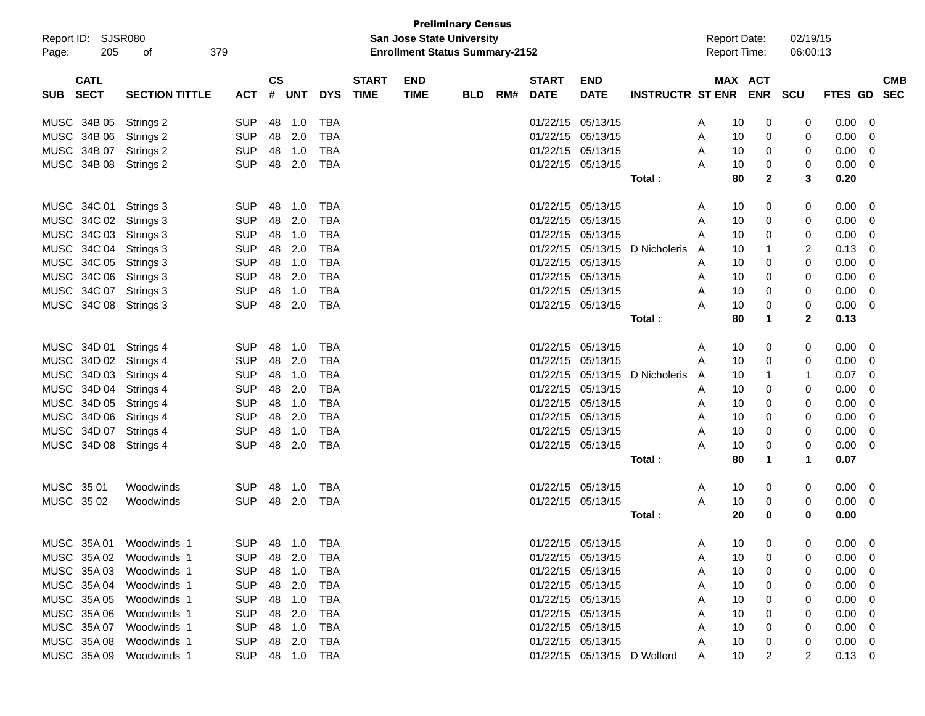| <b>Preliminary Census</b><br><b>San Jose State University</b> |                            |                          |               |                  |            |              |                                       |            |     |              |                                        |                             |        |                     |                |                |                |                |
|---------------------------------------------------------------|----------------------------|--------------------------|---------------|------------------|------------|--------------|---------------------------------------|------------|-----|--------------|----------------------------------------|-----------------------------|--------|---------------------|----------------|----------------|----------------|----------------|
| Report ID: SJSR080                                            |                            |                          |               |                  |            |              |                                       |            |     |              |                                        |                             |        | <b>Report Date:</b> |                | 02/19/15       |                |                |
| Page:                                                         | 205<br>379<br>οf           |                          |               |                  |            |              | <b>Enrollment Status Summary-2152</b> |            |     |              |                                        |                             |        | <b>Report Time:</b> |                | 06:00:13       |                |                |
|                                                               |                            |                          |               |                  |            |              |                                       |            |     |              |                                        |                             |        |                     |                |                |                |                |
| <b>CATL</b>                                                   |                            |                          | $\mathsf{cs}$ |                  |            | <b>START</b> | <b>END</b>                            |            |     | <b>START</b> | <b>END</b>                             |                             |        | <b>MAX ACT</b>      |                |                |                | <b>CMB</b>     |
| <b>SECT</b><br><b>SUB</b>                                     | <b>SECTION TITTLE</b>      | ACT                      | #             | <b>UNT</b>       | <b>DYS</b> | <b>TIME</b>  | <b>TIME</b>                           | <b>BLD</b> | RM# | <b>DATE</b>  | <b>DATE</b>                            | <b>INSTRUCTR ST ENR</b>     |        |                     | <b>ENR</b>     | <b>SCU</b>     | <b>FTES GD</b> | <b>SEC</b>     |
| MUSC 34B 05                                                   | Strings 2                  | <b>SUP</b>               | 48            | 1.0              | <b>TBA</b> |              |                                       |            |     |              | 01/22/15 05/13/15                      |                             | A      | 10                  | 0              | 0              | 0.00           | 0              |
| <b>MUSC</b><br>34B 06                                         | Strings 2                  | <b>SUP</b>               |               | 48 2.0           | <b>TBA</b> |              |                                       |            |     | 01/22/15     | 05/13/15                               |                             | Α      | 10                  | 0              | 0              | 0.00           | 0              |
| <b>MUSC</b><br>34B 07                                         | Strings 2                  | <b>SUP</b>               | 48            | 1.0              | <b>TBA</b> |              |                                       |            |     | 01/22/15     | 05/13/15                               |                             | Α      | 10                  | 0              | 0              | 0.00           | 0              |
|                                                               | MUSC 34B 08 Strings 2      | <b>SUP</b>               | 48            | 2.0              | <b>TBA</b> |              |                                       |            |     |              | 01/22/15 05/13/15                      |                             | A      | 10                  | 0              | 0              | 0.00           | 0              |
|                                                               |                            |                          |               |                  |            |              |                                       |            |     |              |                                        | Total:                      |        | 80                  | $\mathbf{2}$   | 3              | 0.20           |                |
|                                                               |                            |                          |               |                  |            |              |                                       |            |     |              |                                        |                             |        |                     |                |                |                |                |
| MUSC 34C 01                                                   | Strings 3                  | <b>SUP</b>               | 48            | 1.0              | <b>TBA</b> |              |                                       |            |     |              | 01/22/15 05/13/15                      |                             | A      | 10                  | 0              | 0              | 0.00           | 0              |
|                                                               | MUSC 34C 02 Strings 3      | <b>SUP</b>               | 48            | 2.0              | <b>TBA</b> |              |                                       |            |     | 01/22/15     | 05/13/15                               |                             | A      | 10                  | 0              | 0              | 0.00           | 0              |
|                                                               | MUSC 34C 03 Strings 3      | <b>SUP</b>               |               | 48 1.0           | <b>TBA</b> |              |                                       |            |     | 01/22/15     | 05/13/15                               |                             | A      | 10                  | 0              | 0              | 0.00           | 0              |
|                                                               | MUSC 34C 04 Strings 3      | <b>SUP</b>               | 48            | 2.0              | <b>TBA</b> |              |                                       |            |     |              | 01/22/15 05/13/15                      | D Nicholeris                | A      | 10                  | 1              | 2              | 0.13           | 0              |
| <b>MUSC</b>                                                   | 34C 05 Strings 3           | <b>SUP</b>               | 48            | 1.0              | <b>TBA</b> |              |                                       |            |     |              | 01/22/15 05/13/15                      |                             | A      | 10                  | 0              | 0              | 0.00           | 0              |
| <b>MUSC</b>                                                   | 34C 06 Strings 3           | <b>SUP</b>               | 48            | 2.0              | <b>TBA</b> |              |                                       |            |     |              | 01/22/15 05/13/15                      |                             | A      | 10                  | 0              | 0              | 0.00           | 0              |
| MUSC<br>34C 07                                                | Strings 3                  | <b>SUP</b>               | 48            | 1.0              | <b>TBA</b> |              |                                       |            |     |              | 01/22/15 05/13/15                      |                             | Α      | 10                  | $\Omega$       | 0              | 0.00           | 0              |
|                                                               | MUSC 34C 08 Strings 3      | <b>SUP</b>               | 48            | 2.0              | <b>TBA</b> |              |                                       |            |     |              | 01/22/15 05/13/15                      |                             | Α      | 10                  | 0              | 0              | 0.00           | 0              |
|                                                               |                            |                          |               |                  |            |              |                                       |            |     |              |                                        | Total:                      |        | 80                  | 1              | $\mathbf{2}$   | 0.13           |                |
|                                                               |                            |                          |               |                  |            |              |                                       |            |     |              |                                        |                             |        |                     |                |                |                |                |
| MUSC 34D 01                                                   | Strings 4                  | <b>SUP</b>               | 48            | 1.0              | <b>TBA</b> |              |                                       |            |     |              | 01/22/15 05/13/15                      |                             | A      | 10                  | 0              | 0              | 0.00           | 0              |
| MUSC                                                          | 34D 02 Strings 4           | <b>SUP</b>               | 48            | 2.0              | <b>TBA</b> |              |                                       |            |     | 01/22/15     | 05/13/15                               |                             | A      | 10                  | 0              | 0              | 0.00           | 0              |
|                                                               | MUSC 34D 03 Strings 4      | <b>SUP</b>               |               | 48 1.0           | <b>TBA</b> |              |                                       |            |     |              | 01/22/15 05/13/15                      | D Nicholeris                | A      | 10                  | 1              | -1             | 0.07           | 0              |
| MUSC                                                          | 34D 04 Strings 4           | <b>SUP</b>               | 48            | 2.0              | <b>TBA</b> |              |                                       |            |     |              | 01/22/15 05/13/15                      |                             | A      | 10                  | 0              | 0              | 0.00           | 0              |
| <b>MUSC</b>                                                   | 34D 05 Strings 4           | <b>SUP</b>               | 48            | 1.0              | <b>TBA</b> |              |                                       |            |     |              | 01/22/15 05/13/15                      |                             | A      | 10                  | 0              | 0              | 0.00           | 0              |
| <b>MUSC</b>                                                   | 34D 06 Strings 4           | <b>SUP</b>               | 48            | 2.0              | <b>TBA</b> |              |                                       |            |     |              | 01/22/15 05/13/15                      |                             | A      | 10                  | 0              | 0              | 0.00           | 0              |
| <b>MUSC</b>                                                   | 34D 07 Strings 4           | <b>SUP</b>               | 48            | 1.0              | <b>TBA</b> |              |                                       |            |     |              | 01/22/15 05/13/15                      |                             | Α      | 10                  | $\Omega$       | 0              | 0.00           | 0              |
|                                                               | MUSC 34D 08 Strings 4      | <b>SUP</b>               | 48            | 2.0              | <b>TBA</b> |              |                                       |            |     |              | 01/22/15 05/13/15                      |                             | Α      | 10                  | 0              | 0              | 0.00           | 0              |
|                                                               |                            |                          |               |                  |            |              |                                       |            |     |              |                                        | Total:                      |        | 80                  | 1              | 1              | 0.07           |                |
|                                                               |                            |                          |               |                  |            |              |                                       |            |     |              |                                        |                             |        |                     |                |                |                |                |
| MUSC 35 01                                                    | Woodwinds                  | <b>SUP</b>               | 48            | 1.0              | <b>TBA</b> |              |                                       |            |     |              | 01/22/15 05/13/15                      |                             | A      | 10                  | 0              | 0              | 0.00           | 0              |
| MUSC 3502                                                     | Woodwinds                  | <b>SUP</b>               | 48            | 2.0              | TBA        |              |                                       |            |     |              | 01/22/15 05/13/15                      |                             | A      | 10                  | 0              | 0              | 0.00           | 0              |
|                                                               |                            |                          |               |                  |            |              |                                       |            |     |              |                                        | Total:                      |        | 20                  | 0              | 0              | 0.00           |                |
|                                                               | MUSC 35A 01 Woodwinds 1    | SUP 48 1.0 TBA           |               |                  |            |              |                                       |            |     |              | 01/22/15 05/13/15                      |                             | A      | 10                  | $\overline{0}$ | $\overline{0}$ | $0.00 \t 0$    |                |
|                                                               | MUSC 35A 02 Woodwinds 1    | <b>SUP</b>               |               | 48 2.0           | TBA        |              |                                       |            |     |              | 01/22/15 05/13/15                      |                             |        | 10                  |                | 0              | 0.00           |                |
| MUSC 35A 03                                                   |                            |                          |               |                  |            |              |                                       |            |     |              |                                        |                             | Α      |                     | 0              |                |                | 0              |
| MUSC 35A 04                                                   | Woodwinds 1<br>Woodwinds 1 | <b>SUP</b><br><b>SUP</b> |               | 48 1.0<br>48 2.0 | TBA<br>TBA |              |                                       |            |     |              | 01/22/15 05/13/15<br>01/22/15 05/13/15 |                             | Α      | 10<br>10            | 0<br>0         | 0              | 0.00<br>0.00   | 0<br>0         |
| MUSC 35A 05                                                   |                            |                          |               |                  |            |              |                                       |            |     |              | 01/22/15 05/13/15                      |                             | Α      |                     |                |                |                |                |
| MUSC 35A 06                                                   | Woodwinds 1                | <b>SUP</b>               |               | 48 1.0           | TBA        |              |                                       |            |     |              | 01/22/15 05/13/15                      |                             | Α      | 10                  | 0              |                | 0.00           | 0              |
| MUSC 35A 07                                                   | Woodwinds 1<br>Woodwinds 1 | <b>SUP</b><br><b>SUP</b> |               | 48 2.0<br>48 1.0 | TBA<br>TBA |              |                                       |            |     |              | 01/22/15 05/13/15                      |                             | Α<br>Α | 10<br>10            | 0<br>0         | 0              | 0.00<br>0.00   | 0              |
| MUSC 35A 08                                                   | Woodwinds 1                | <b>SUP</b>               |               | 48 2.0           | TBA        |              |                                       |            |     |              | 01/22/15 05/13/15                      |                             | Α      | 10                  |                |                | 0.00           | 0<br>0         |
|                                                               | MUSC 35A 09 Woodwinds 1    | SUP 48 1.0               |               |                  | TBA        |              |                                       |            |     |              |                                        | 01/22/15 05/13/15 D Wolford |        | 10                  | 0<br>2         | 2              | 0.13           |                |
|                                                               |                            |                          |               |                  |            |              |                                       |            |     |              |                                        |                             | A      |                     |                |                |                | $\overline{0}$ |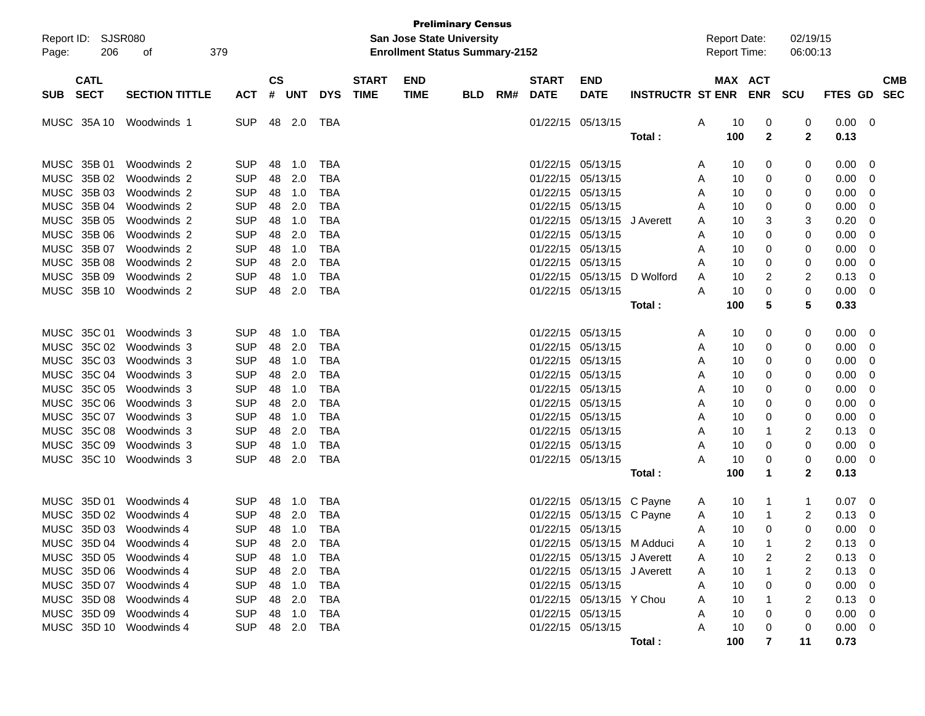| Report ID:                               | <b>SJSR080</b>        |            |                |            |            |                             | <b>San Jose State University</b>      | <b>Preliminary Census</b> |     |                             |                             |                            |   | <b>Report Date:</b> |              | 02/19/15     |                |                |                          |
|------------------------------------------|-----------------------|------------|----------------|------------|------------|-----------------------------|---------------------------------------|---------------------------|-----|-----------------------------|-----------------------------|----------------------------|---|---------------------|--------------|--------------|----------------|----------------|--------------------------|
| 206<br>Page:                             | 379<br>οf             |            |                |            |            |                             | <b>Enrollment Status Summary-2152</b> |                           |     |                             |                             |                            |   | Report Time:        |              | 06:00:13     |                |                |                          |
| <b>CATL</b><br><b>SECT</b><br><b>SUB</b> | <b>SECTION TITTLE</b> | <b>ACT</b> | <b>CS</b><br># | <b>UNT</b> | <b>DYS</b> | <b>START</b><br><b>TIME</b> | <b>END</b><br><b>TIME</b>             | <b>BLD</b>                | RM# | <b>START</b><br><b>DATE</b> | <b>END</b><br><b>DATE</b>   | <b>INSTRUCTR ST ENR</b>    |   | MAX ACT             | <b>ENR</b>   | <b>SCU</b>   | <b>FTES GD</b> |                | <b>CMB</b><br><b>SEC</b> |
| MUSC 35A 10                              | Woodwinds 1           | <b>SUP</b> | 48             | 2.0        | TBA        |                             |                                       |                           |     | 01/22/15                    | 05/13/15                    |                            | Α | 10                  | 0            | 0            | 0.00           | - 0            |                          |
|                                          |                       |            |                |            |            |                             |                                       |                           |     |                             |                             | Total:                     |   | 100                 | $\mathbf{2}$ | $\mathbf{2}$ | 0.13           |                |                          |
| MUSC 35B 01                              | Woodwinds 2           | <b>SUP</b> | 48             | 1.0        | <b>TBA</b> |                             |                                       |                           |     | 01/22/15                    | 05/13/15                    |                            | A | 10                  | 0            | 0            | 0.00           | 0              |                          |
| MUSC 35B 02                              | Woodwinds 2           | <b>SUP</b> | 48             | 2.0        | <b>TBA</b> |                             |                                       |                           |     | 01/22/15                    | 05/13/15                    |                            | A | 10                  | 0            | 0            | 0.00           | 0              |                          |
| MUSC 35B 03                              | Woodwinds 2           | <b>SUP</b> | 48             | 1.0        | <b>TBA</b> |                             |                                       |                           |     | 01/22/15                    | 05/13/15                    |                            | A | 10                  | 0            | 0            | 0.00           | 0              |                          |
| MUSC 35B 04                              | Woodwinds 2           | <b>SUP</b> | 48             | 2.0        | <b>TBA</b> |                             |                                       |                           |     | 01/22/15                    | 05/13/15                    |                            | A | 10                  | 0            | 0            | 0.00           | 0              |                          |
| MUSC 35B 05                              | Woodwinds 2           | <b>SUP</b> | 48             | 1.0        | <b>TBA</b> |                             |                                       |                           |     | 01/22/15                    | 05/13/15                    | J Averett                  | Α | 10                  | 3            | 3            | 0.20           | 0              |                          |
| MUSC 35B 06                              | Woodwinds 2           | <b>SUP</b> | 48             | 2.0        | <b>TBA</b> |                             |                                       |                           |     | 01/22/15                    | 05/13/15                    |                            | Α | 10                  | 0            | 0            | 0.00           | 0              |                          |
| MUSC 35B 07                              | Woodwinds 2           | <b>SUP</b> | 48             | 1.0        | <b>TBA</b> |                             |                                       |                           |     | 01/22/15                    | 05/13/15                    |                            | Α | 10                  | 0            | 0            | 0.00           | 0              |                          |
| MUSC 35B 08                              | Woodwinds 2           | <b>SUP</b> | 48             | 2.0        | <b>TBA</b> |                             |                                       |                           |     | 01/22/15                    | 05/13/15                    |                            | Α | 10                  | 0            | 0            | 0.00           | 0              |                          |
| MUSC 35B 09                              | Woodwinds 2           | <b>SUP</b> | 48             | 1.0        | <b>TBA</b> |                             |                                       |                           |     | 01/22/15                    | 05/13/15                    | D Wolford                  | A | 10                  | 2            | 2            | 0.13           | 0              |                          |
| MUSC 35B 10                              | Woodwinds 2           | <b>SUP</b> | 48             | 2.0        | <b>TBA</b> |                             |                                       |                           |     | 01/22/15                    | 05/13/15                    |                            | A | 10                  | 0            | 0            | 0.00           | 0              |                          |
|                                          |                       |            |                |            |            |                             |                                       |                           |     |                             |                             | Total:                     |   | 100                 | 5            | 5            | 0.33           |                |                          |
| MUSC 35C 01                              | Woodwinds 3           | <b>SUP</b> | 48             | 1.0        | TBA        |                             |                                       |                           |     | 01/22/15                    | 05/13/15                    |                            | A | 10                  | 0            | 0            | 0.00           | 0              |                          |
| MUSC 35C 02                              | Woodwinds 3           | <b>SUP</b> | 48             | 2.0        | <b>TBA</b> |                             |                                       |                           |     | 01/22/15                    | 05/13/15                    |                            | A | 10                  | 0            | 0            | 0.00           | 0              |                          |
| MUSC 35C 03                              | Woodwinds 3           | <b>SUP</b> | 48             | 1.0        | <b>TBA</b> |                             |                                       |                           |     | 01/22/15                    | 05/13/15                    |                            | A | 10                  | 0            | 0            | 0.00           | 0              |                          |
| MUSC 35C 04                              | Woodwinds 3           | <b>SUP</b> | 48             | 2.0        | <b>TBA</b> |                             |                                       |                           |     | 01/22/15                    | 05/13/15                    |                            | A | 10                  | 0            | 0            | 0.00           | 0              |                          |
| MUSC 35C 05                              | Woodwinds 3           | <b>SUP</b> | 48             | 1.0        | <b>TBA</b> |                             |                                       |                           |     | 01/22/15                    | 05/13/15                    |                            | A | 10                  | 0            | 0            | 0.00           | 0              |                          |
| MUSC 35C 06                              | Woodwinds 3           | <b>SUP</b> | 48             | 2.0        | <b>TBA</b> |                             |                                       |                           |     | 01/22/15                    | 05/13/15                    |                            | A | 10                  | 0            | 0            | 0.00           | 0              |                          |
| MUSC 35C 07                              | Woodwinds 3           | <b>SUP</b> | 48             | 1.0        | <b>TBA</b> |                             |                                       |                           |     | 01/22/15                    | 05/13/15                    |                            | A | 10                  | 0            | 0            | 0.00           | 0              |                          |
| MUSC 35C 08                              | Woodwinds 3           | <b>SUP</b> | 48             | 2.0        | <b>TBA</b> |                             |                                       |                           |     | 01/22/15                    | 05/13/15                    |                            | A | 10                  | 1            | 2            | 0.13           | 0              |                          |
| MUSC 35C 09                              | Woodwinds 3           | <b>SUP</b> | 48             | 1.0        | <b>TBA</b> |                             |                                       |                           |     | 01/22/15                    | 05/13/15                    |                            | A | 10                  | 0            | 0            | 0.00           | 0              |                          |
| MUSC 35C 10                              | Woodwinds 3           | <b>SUP</b> | 48             | 2.0        | <b>TBA</b> |                             |                                       |                           |     |                             | 01/22/15 05/13/15           |                            | А | 10                  | 0            | 0            | 0.00           | 0              |                          |
|                                          |                       |            |                |            |            |                             |                                       |                           |     |                             |                             | Total:                     |   | 100                 | $\mathbf 1$  | $\mathbf{2}$ | 0.13           |                |                          |
| MUSC 35D 01                              | Woodwinds 4           | <b>SUP</b> | 48             | 1.0        | TBA        |                             |                                       |                           |     | 01/22/15                    | 05/13/15 C Payne            |                            | A | 10                  | -1           | 1            | 0.07           | - 0            |                          |
| MUSC 35D 02                              | Woodwinds 4           | <b>SUP</b> | 48             | 2.0        | <b>TBA</b> |                             |                                       |                           |     | 01/22/15                    | 05/13/15 C Payne            |                            | A | 10                  | -1           | 2            | 0.13           | 0              |                          |
| MUSC 35D 03 Woodwinds 4                  |                       | <b>SUP</b> | 48             | 1.0        | <b>TBA</b> |                             |                                       |                           |     |                             | 01/22/15 05/13/15           |                            | A | 10                  | 0            | 0            | 0.00           | 0              |                          |
| MUSC 35D 04 Woodwinds 4                  |                       | <b>SUP</b> | 48             | 2.0        | <b>TBA</b> |                             |                                       |                           |     |                             |                             | 01/22/15 05/13/15 M Adduci |   | 10                  |              | 2            | 0.13           | $\overline{0}$ |                          |
| MUSC 35D 05 Woodwinds 4                  |                       | <b>SUP</b> | 48             | 1.0        | <b>TBA</b> |                             |                                       |                           |     |                             | 01/22/15 05/13/15 J Averett |                            | Α | 10                  | 2            | 2            | 0.13           | 0              |                          |
| MUSC 35D 06 Woodwinds 4                  |                       | <b>SUP</b> | 48             | 2.0        | <b>TBA</b> |                             |                                       |                           |     |                             | 01/22/15 05/13/15 J Averett |                            | A | 10                  |              | 2            | 0.13           | - 0            |                          |
| MUSC 35D 07 Woodwinds 4                  |                       | <b>SUP</b> | 48             | 1.0        | <b>TBA</b> |                             |                                       |                           |     | 01/22/15 05/13/15           |                             |                            | Α | 10                  | 0            | 0            | 0.00           | 0              |                          |
| MUSC 35D 08 Woodwinds 4                  |                       | <b>SUP</b> | 48             | 2.0        | <b>TBA</b> |                             |                                       |                           |     |                             | 01/22/15 05/13/15 Y Chou    |                            | Α | 10                  |              | 2            | 0.13           | - 0            |                          |
| MUSC 35D 09 Woodwinds 4                  |                       | <b>SUP</b> | 48             | 1.0        | TBA        |                             |                                       |                           |     | 01/22/15 05/13/15           |                             |                            | Α | 10                  |              | 0            | 0.00           | - 0            |                          |
| MUSC 35D 10 Woodwinds 4                  |                       | <b>SUP</b> | 48             | 2.0        | TBA        |                             |                                       |                           |     |                             | 01/22/15 05/13/15           |                            | A | 10                  |              | 0            | 0.00           | - 0            |                          |
|                                          |                       |            |                |            |            |                             |                                       |                           |     |                             |                             | Total:                     |   | 100                 | 7            | 11           | 0.73           |                |                          |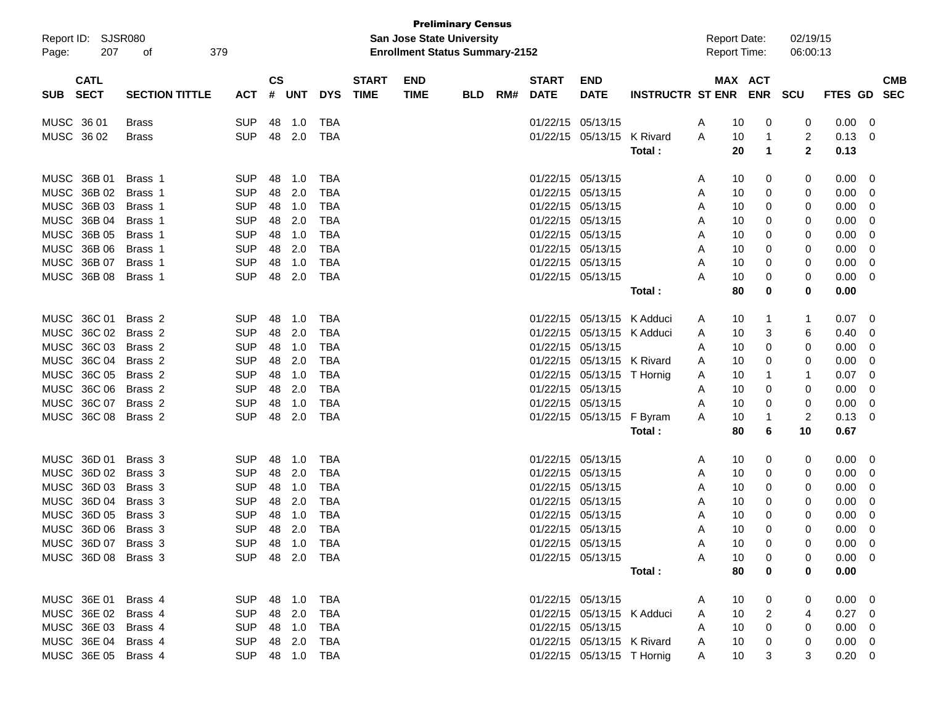| Report ID: SJSR080<br>207<br>Page:       | 379<br>οf             |                |                    |        |            |                             | <b>Preliminary Census</b><br>San Jose State University<br><b>Enrollment Status Summary-2152</b> |            |     |                             |                            |                      | <b>Report Date:</b><br>Report Time: |         |             | 02/19/15<br>06:00:13 |                |             |
|------------------------------------------|-----------------------|----------------|--------------------|--------|------------|-----------------------------|-------------------------------------------------------------------------------------------------|------------|-----|-----------------------------|----------------------------|----------------------|-------------------------------------|---------|-------------|----------------------|----------------|-------------|
| <b>CATL</b><br><b>SECT</b><br><b>SUB</b> | <b>SECTION TITTLE</b> | <b>ACT</b>     | $\mathsf{cs}$<br># | UNT    | <b>DYS</b> | <b>START</b><br><b>TIME</b> | <b>END</b><br><b>TIME</b>                                                                       | <b>BLD</b> | RM# | <b>START</b><br><b>DATE</b> | <b>END</b><br><b>DATE</b>  | INSTRUCTR ST ENR ENR |                                     | MAX ACT | SCU         |                      | FTES GD SEC    | <b>CMB</b>  |
| MUSC 36 01                               | <b>Brass</b>          | <b>SUP</b>     | 48                 | 1.0    | <b>TBA</b> |                             |                                                                                                 |            |     | 01/22/15 05/13/15           |                            |                      | A                                   | 10      | 0           | 0                    | 0.00           | 0           |
| MUSC 36 02                               | <b>Brass</b>          | <b>SUP</b>     | 48                 | 2.0    | <b>TBA</b> |                             |                                                                                                 |            |     |                             | 01/22/15 05/13/15          | K Rivard             | A                                   | 10      | 1           | 2                    | 0.13           | $\mathbf 0$ |
|                                          |                       |                |                    |        |            |                             |                                                                                                 |            |     |                             |                            | Total:               |                                     | 20      | $\mathbf 1$ | $\mathbf{2}$         | 0.13           |             |
| MUSC 36B 01                              | Brass 1               | <b>SUP</b>     | 48                 | 1.0    | <b>TBA</b> |                             |                                                                                                 |            |     | 01/22/15 05/13/15           |                            |                      | Α                                   | 10      | 0           | 0                    | 0.00           | 0           |
| MUSC 36B 02                              | Brass 1               | <b>SUP</b>     | 48                 | 2.0    | <b>TBA</b> |                             |                                                                                                 |            |     | 01/22/15 05/13/15           |                            |                      | Α                                   | 10      | 0           | 0                    | 0.00           | 0           |
| MUSC 36B 03                              | Brass 1               | <b>SUP</b>     | 48                 | 1.0    | <b>TBA</b> |                             |                                                                                                 |            |     | 01/22/15 05/13/15           |                            |                      | Α                                   | 10      | 0           | 0                    | 0.00           | 0           |
| MUSC 36B 04                              | Brass 1               | <b>SUP</b>     | 48                 | 2.0    | <b>TBA</b> |                             |                                                                                                 |            |     | 01/22/15 05/13/15           |                            |                      | Α                                   | 10      | 0           | 0                    | 0.00           | 0           |
| MUSC 36B 05                              | Brass 1               | <b>SUP</b>     | 48                 | 1.0    | <b>TBA</b> |                             |                                                                                                 |            |     | 01/22/15 05/13/15           |                            |                      | Α                                   | 10      | 0           | 0                    | 0.00           | 0           |
| MUSC 36B 06                              | Brass 1               | <b>SUP</b>     | 48                 | 2.0    | <b>TBA</b> |                             |                                                                                                 |            |     | 01/22/15 05/13/15           |                            |                      | Α                                   | 10      | 0           | 0                    | 0.00           | 0           |
| MUSC 36B 07                              | Brass 1               | <b>SUP</b>     | 48                 | 1.0    | <b>TBA</b> |                             |                                                                                                 |            |     | 01/22/15 05/13/15           |                            |                      | Α                                   | 10      | 0           | 0                    | 0.00           | 0           |
| MUSC 36B 08                              | Brass 1               | <b>SUP</b>     | 48                 | 2.0    | <b>TBA</b> |                             |                                                                                                 |            |     | 01/22/15 05/13/15           |                            |                      | Α                                   | 10      | 0           | 0                    | 0.00           | 0           |
|                                          |                       |                |                    |        |            |                             |                                                                                                 |            |     |                             |                            | Total:               |                                     | 80      | 0           | 0                    | 0.00           |             |
| MUSC 36C 01                              | Brass <sub>2</sub>    | <b>SUP</b>     | 48                 | 1.0    | <b>TBA</b> |                             |                                                                                                 |            |     |                             | 01/22/15 05/13/15          | K Adduci             | Α                                   | 10      | 1           | 1                    | 0.07           | 0           |
| MUSC 36C 02                              | Brass 2               | <b>SUP</b>     | 48                 | 2.0    | <b>TBA</b> |                             |                                                                                                 |            |     | 01/22/15                    | 05/13/15                   | K Adduci             | Α                                   | 10      | 3           | 6                    | 0.40           | 0           |
| MUSC 36C 03                              | Brass <sub>2</sub>    | <b>SUP</b>     | 48                 | 1.0    | <b>TBA</b> |                             |                                                                                                 |            |     | 01/22/15 05/13/15           |                            |                      | Α                                   | 10      | 0           | 0                    | 0.00           | 0           |
| MUSC 36C 04                              | Brass 2               | <b>SUP</b>     | 48                 | 2.0    | <b>TBA</b> |                             |                                                                                                 |            |     |                             | 01/22/15 05/13/15          | K Rivard             | A                                   | 10      | 0           | 0                    | 0.00           | 0           |
| MUSC 36C 05                              | Brass 2               | <b>SUP</b>     | 48                 | 1.0    | <b>TBA</b> |                             |                                                                                                 |            |     |                             | 01/22/15 05/13/15          | T Hornig             | Α                                   | 10      | 1           | 1                    | 0.07           | 0           |
| MUSC 36C 06                              | Brass 2               | <b>SUP</b>     | 48                 | 2.0    | <b>TBA</b> |                             |                                                                                                 |            |     | 01/22/15 05/13/15           |                            |                      | Α                                   | 10      | 0           | 0                    | 0.00           | 0           |
| MUSC 36C 07                              | Brass 2               | <b>SUP</b>     | 48                 | 1.0    | <b>TBA</b> |                             |                                                                                                 |            |     | 01/22/15 05/13/15           |                            |                      | A                                   | 10      | 0           | 0                    | 0.00           | 0           |
| MUSC 36C 08                              | Brass 2               | <b>SUP</b>     | 48                 | 2.0    | <b>TBA</b> |                             |                                                                                                 |            |     |                             | 01/22/15 05/13/15          | F Byram              | Α                                   | 10      | 1           | 2                    | 0.13           | 0           |
|                                          |                       |                |                    |        |            |                             |                                                                                                 |            |     |                             |                            | Total:               |                                     | 80      | 6           | 10                   | 0.67           |             |
| MUSC 36D 01                              | Brass 3               | <b>SUP</b>     | 48                 | 1.0    | <b>TBA</b> |                             |                                                                                                 |            |     | 01/22/15 05/13/15           |                            |                      | Α                                   | 10      | 0           | 0                    | 0.00           | 0           |
| MUSC 36D 02                              | Brass 3               | <b>SUP</b>     | 48                 | 2.0    | <b>TBA</b> |                             |                                                                                                 |            |     | 01/22/15 05/13/15           |                            |                      | Α                                   | 10      | 0           | 0                    | 0.00           | 0           |
| MUSC 36D 03                              | Brass 3               | <b>SUP</b>     | 48                 | 1.0    | <b>TBA</b> |                             |                                                                                                 |            |     | 01/22/15 05/13/15           |                            |                      | Α                                   | 10      | 0           | 0                    | 0.00           | 0           |
| MUSC 36D 04                              | Brass 3               | <b>SUP</b>     | 48                 | 2.0    | <b>TBA</b> |                             |                                                                                                 |            |     | 01/22/15 05/13/15           |                            |                      | Α                                   | 10      | 0           | 0                    | 0.00           | 0           |
| MUSC<br>36D 05                           | Brass 3               | <b>SUP</b>     | 48                 | 1.0    | <b>TBA</b> |                             |                                                                                                 |            |     | 01/22/15 05/13/15           |                            |                      | Α                                   | 10      | 0           | 0                    | 0.00           | 0           |
| MUSC 36D 06 Brass 3                      |                       | <b>SUP</b>     | 48                 | 2.0    | <b>TBA</b> |                             |                                                                                                 |            |     | 01/22/15 05/13/15           |                            |                      | A                                   | 10      | 0           | 0                    | 0.00           | 0           |
| MUSC 36D 07 Brass 3                      |                       | SUP 48 1.0 TBA |                    |        |            |                             |                                                                                                 |            |     |                             | 01/22/15 05/13/15          |                      | A                                   | 10      | 0           | 0                    | $0.00 \t 0$    |             |
| MUSC 36D 08 Brass 3                      |                       | SUP 48 2.0 TBA |                    |        |            |                             |                                                                                                 |            |     |                             | 01/22/15 05/13/15          |                      |                                     | 10      | 0           | 0                    | $0.00 \quad 0$ |             |
|                                          |                       |                |                    |        |            |                             |                                                                                                 |            |     |                             |                            | Total:               |                                     | 80      | 0           | 0                    | 0.00           |             |
| MUSC 36E 01 Brass 4                      |                       | SUP 48 1.0 TBA |                    |        |            |                             |                                                                                                 |            |     |                             | 01/22/15 05/13/15          |                      | A                                   | 10      | 0           | 0                    | $0.00 \t 0$    |             |
| MUSC 36E 02 Brass 4                      |                       | <b>SUP</b>     |                    | 48 2.0 | TBA        |                             |                                                                                                 |            |     |                             | 01/22/15 05/13/15 K Adduci |                      | A                                   | 10      | 2           | 4                    | $0.27$ 0       |             |
| MUSC 36E 03 Brass 4                      |                       | <b>SUP</b>     |                    | 48 1.0 | TBA        |                             |                                                                                                 |            |     |                             | 01/22/15 05/13/15          |                      | A                                   | 10      | 0           | 0                    | $0.00 \t 0$    |             |
| MUSC 36E 04 Brass 4                      |                       | <b>SUP</b>     |                    | 48 2.0 | TBA        |                             |                                                                                                 |            |     |                             | 01/22/15 05/13/15 K Rivard |                      | A                                   | 10      | 0           | 0                    | $0.00 \t 0$    |             |
| MUSC 36E 05 Brass 4                      |                       | SUP 48 1.0 TBA |                    |        |            |                             |                                                                                                 |            |     |                             | 01/22/15 05/13/15 T Hornig |                      | A                                   | 10      | 3           | 3                    | $0.20 \ 0$     |             |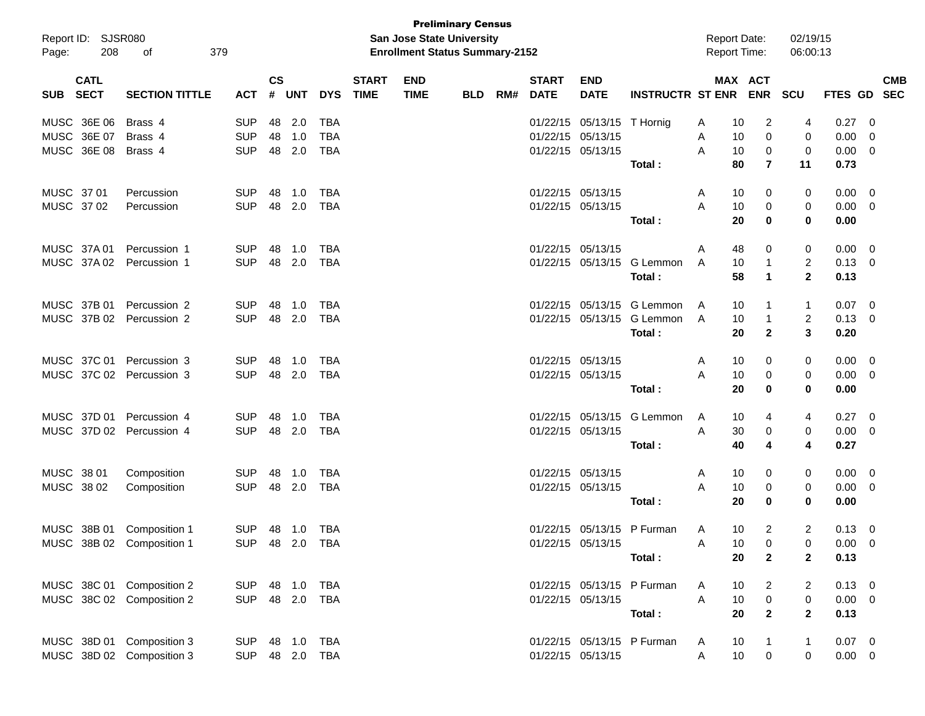| Page:      | Report ID: SJSR080<br>208  | 379<br>οf                 |                |                             |            |            |                             | <b>San Jose State University</b><br><b>Enrollment Status Summary-2152</b> | <b>Preliminary Census</b> |     |                             |                           |                            | <b>Report Date:</b><br><b>Report Time:</b> |                | 02/19/15<br>06:00:13 |                |                          |                          |
|------------|----------------------------|---------------------------|----------------|-----------------------------|------------|------------|-----------------------------|---------------------------------------------------------------------------|---------------------------|-----|-----------------------------|---------------------------|----------------------------|--------------------------------------------|----------------|----------------------|----------------|--------------------------|--------------------------|
| <b>SUB</b> | <b>CATL</b><br><b>SECT</b> | <b>SECTION TITTLE</b>     | <b>ACT</b>     | $\mathsf{cs}$<br>$\pmb{\#}$ | <b>UNT</b> | <b>DYS</b> | <b>START</b><br><b>TIME</b> | <b>END</b><br><b>TIME</b>                                                 | <b>BLD</b>                | RM# | <b>START</b><br><b>DATE</b> | <b>END</b><br><b>DATE</b> | <b>INSTRUCTR ST ENR</b>    | MAX ACT                                    | <b>ENR</b>     | <b>SCU</b>           | <b>FTES GD</b> |                          | <b>CMB</b><br><b>SEC</b> |
|            | MUSC 36E 06                | Brass 4                   | <b>SUP</b>     | 48                          | 2.0        | <b>TBA</b> |                             |                                                                           |                           |     |                             | 01/22/15 05/13/15         | T Hornig                   | A<br>10                                    | 2              | 4                    | 0.27           | - 0                      |                          |
|            | MUSC 36E 07                | Brass 4                   | <b>SUP</b>     | 48                          | 1.0        | <b>TBA</b> |                             |                                                                           |                           |     | 01/22/15                    | 05/13/15                  |                            | 10<br>A                                    | 0              | 0                    | 0.00           | - 0                      |                          |
|            | MUSC 36E 08                | Brass 4                   | <b>SUP</b>     | 48                          | 2.0        | <b>TBA</b> |                             |                                                                           |                           |     |                             | 01/22/15 05/13/15         |                            | A<br>10                                    | 0              | 0                    | 0.00           | $\overline{\mathbf{0}}$  |                          |
|            |                            |                           |                |                             |            |            |                             |                                                                           |                           |     |                             |                           | Total:                     | 80                                         | $\overline{7}$ | 11                   | 0.73           |                          |                          |
| MUSC 37 01 |                            | Percussion                | <b>SUP</b>     | 48                          | 1.0        | TBA        |                             |                                                                           |                           |     |                             | 01/22/15 05/13/15         |                            | A<br>10                                    | 0              | 0                    | 0.00           | $\overline{\mathbf{0}}$  |                          |
|            | MUSC 37 02                 | Percussion                | <b>SUP</b>     | 48                          | 2.0        | <b>TBA</b> |                             |                                                                           |                           |     |                             | 01/22/15 05/13/15         |                            | A<br>10                                    | 0              | 0                    | $0.00 \t 0$    |                          |                          |
|            |                            |                           |                |                             |            |            |                             |                                                                           |                           |     |                             |                           | Total:                     | 20                                         | 0              | 0                    | 0.00           |                          |                          |
|            | MUSC 37A 01                | Percussion 1              | <b>SUP</b>     | 48                          | 1.0        | TBA        |                             |                                                                           |                           |     |                             | 01/22/15 05/13/15         |                            | 48<br>A                                    | 0              | 0                    | 0.00           | $\overline{\mathbf{0}}$  |                          |
|            | MUSC 37A02                 | Percussion 1              | <b>SUP</b>     | 48                          | 2.0        | <b>TBA</b> |                             |                                                                           |                           |     | 01/22/15                    | 05/13/15                  | G Lemmon                   | A<br>10                                    | $\mathbf 1$    | $\overline{2}$       | $0.13 \ 0$     |                          |                          |
|            |                            |                           |                |                             |            |            |                             |                                                                           |                           |     |                             |                           | Total:                     | 58                                         | $\mathbf 1$    | $\mathbf{2}$         | 0.13           |                          |                          |
|            | MUSC 37B 01                | Percussion 2              | <b>SUP</b>     | 48                          | 1.0        | TBA        |                             |                                                                           |                           |     | 01/22/15                    |                           | 05/13/15 G Lemmon          | A<br>10                                    |                | 1                    | 0.07           | $\overline{\phantom{0}}$ |                          |
|            | MUSC 37B 02                | Percussion 2              | <b>SUP</b>     | 48                          | 2.0        | TBA        |                             |                                                                           |                           |     | 01/22/15                    | 05/13/15                  | G Lemmon                   | A<br>10                                    | $\mathbf 1$    | $\overline{c}$       | 0.13           | - 0                      |                          |
|            |                            |                           |                |                             |            |            |                             |                                                                           |                           |     |                             |                           | Total:                     | 20                                         | $\mathbf{2}$   | 3                    | 0.20           |                          |                          |
|            | MUSC 37C 01                | Percussion 3              | <b>SUP</b>     | 48                          | 1.0        | TBA        |                             |                                                                           |                           |     |                             | 01/22/15 05/13/15         |                            | A<br>10                                    | 0              | 0                    | 0.00           | $\overline{\mathbf{0}}$  |                          |
|            | MUSC 37C 02                | Percussion 3              | <b>SUP</b>     | 48                          | 2.0        | TBA        |                             |                                                                           |                           |     |                             | 01/22/15 05/13/15         |                            | A<br>10                                    | 0              | 0                    | $0.00 \t 0$    |                          |                          |
|            |                            |                           |                |                             |            |            |                             |                                                                           |                           |     |                             |                           | Total:                     | 20                                         | 0              | 0                    | 0.00           |                          |                          |
|            | MUSC 37D 01                | Percussion 4              | <b>SUP</b>     | 48                          | 1.0        | TBA        |                             |                                                                           |                           |     |                             | 01/22/15 05/13/15         | G Lemmon                   | A<br>10                                    | 4              | 4                    | 0.27           | $\overline{\phantom{0}}$ |                          |
|            | MUSC 37D 02                | Percussion 4              | <b>SUP</b>     | 48                          | 2.0        | TBA        |                             |                                                                           |                           |     |                             | 01/22/15 05/13/15         |                            | Α<br>30                                    | 0              | 0                    | 0.00           | - 0                      |                          |
|            |                            |                           |                |                             |            |            |                             |                                                                           |                           |     |                             |                           | Total:                     | 40                                         | 4              | 4                    | 0.27           |                          |                          |
| MUSC 38 01 |                            | Composition               | <b>SUP</b>     | 48                          | 1.0        | TBA        |                             |                                                                           |                           |     |                             | 01/22/15 05/13/15         |                            | A<br>10                                    | 0              | 0                    | 0.00           | $\overline{\mathbf{0}}$  |                          |
|            | MUSC 38 02                 | Composition               | <b>SUP</b>     | 48                          | 2.0        | TBA        |                             |                                                                           |                           |     |                             | 01/22/15 05/13/15         |                            | A<br>10                                    | 0              | 0                    | 0.00           | $\overline{\mathbf{0}}$  |                          |
|            |                            |                           |                |                             |            |            |                             |                                                                           |                           |     |                             |                           | Total:                     | 20                                         | 0              | 0                    | 0.00           |                          |                          |
|            | MUSC 38B 01                | Composition 1             | <b>SUP</b>     | 48                          | 1.0        | TBA        |                             |                                                                           |                           |     |                             |                           | 01/22/15 05/13/15 P Furman | 10<br>A                                    | $\overline{2}$ | 2                    | 0.13           | - 0                      |                          |
|            |                            | MUSC 38B 02 Composition 1 | SUP 48 2.0 TBA |                             |            |            |                             |                                                                           |                           |     |                             | 01/22/15 05/13/15         |                            | 10<br>A                                    | $\Omega$       | $\Omega$             | $0.00 \quad 0$ |                          |                          |
|            |                            |                           |                |                             |            |            |                             |                                                                           |                           |     |                             |                           | Total:                     | 20                                         | $\mathbf{2}$   | $\mathbf{2}$         | 0.13           |                          |                          |
|            |                            | MUSC 38C 01 Composition 2 | SUP            |                             | 48 1.0     | TBA        |                             |                                                                           |                           |     |                             |                           | 01/22/15 05/13/15 P Furman | 10<br>A                                    | 2              | 2                    | $0.13 \ 0$     |                          |                          |
|            |                            | MUSC 38C 02 Composition 2 | <b>SUP</b>     |                             | 48 2.0     | TBA        |                             |                                                                           |                           |     |                             | 01/22/15 05/13/15         |                            | A<br>10                                    | 0              | 0                    | $0.00 \t 0$    |                          |                          |
|            |                            |                           |                |                             |            |            |                             |                                                                           |                           |     |                             |                           | Total:                     | 20                                         | $\overline{2}$ | $\mathbf{2}$         | 0.13           |                          |                          |
|            |                            | MUSC 38D 01 Composition 3 | <b>SUP</b>     |                             | 48 1.0     | TBA        |                             |                                                                           |                           |     |                             |                           | 01/22/15 05/13/15 P Furman | 10<br>A                                    | $\mathbf 1$    | 1                    | $0.07 \quad 0$ |                          |                          |
|            |                            | MUSC 38D 02 Composition 3 | <b>SUP</b>     |                             | 48 2.0     | TBA        |                             |                                                                           |                           |     |                             | 01/22/15 05/13/15         |                            | 10<br>A                                    | $\overline{0}$ | 0                    | $0.00 \t 0$    |                          |                          |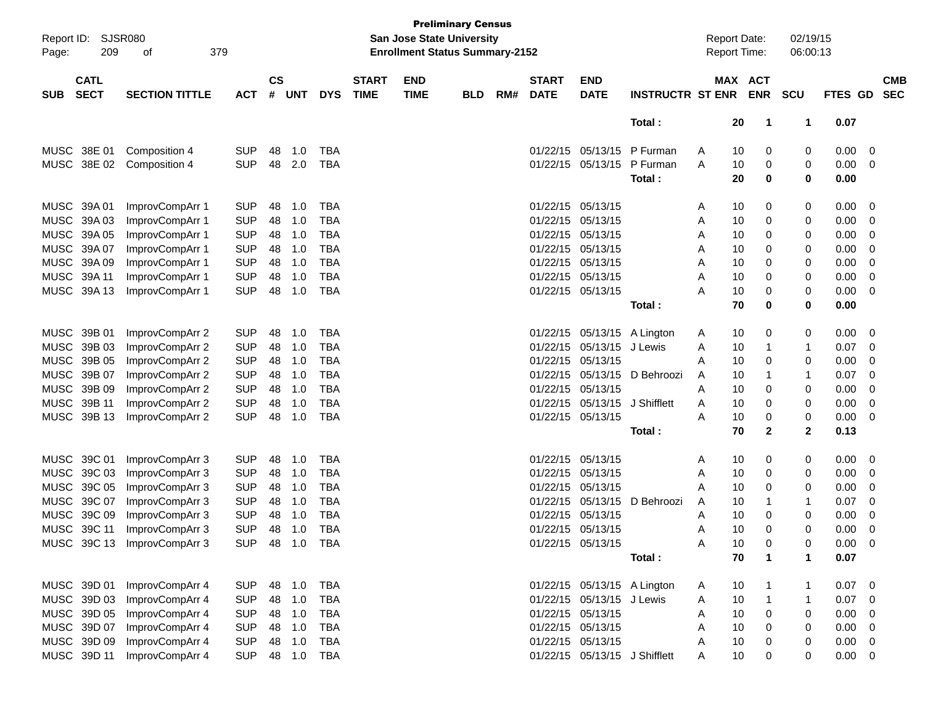| Page:       | Report ID: SJSR080<br>209  | 379<br>οf                   |            |                    |            |              |                             |                           | <b>Preliminary Census</b><br>San Jose State University<br><b>Enrollment Status Summary-2152</b> |     |                             |                               |                             |   | <b>Report Date:</b><br><b>Report Time:</b> |            | 02/19/15<br>06:00:13 |             |                         |                          |
|-------------|----------------------------|-----------------------------|------------|--------------------|------------|--------------|-----------------------------|---------------------------|-------------------------------------------------------------------------------------------------|-----|-----------------------------|-------------------------------|-----------------------------|---|--------------------------------------------|------------|----------------------|-------------|-------------------------|--------------------------|
| <b>SUB</b>  | <b>CATL</b><br><b>SECT</b> | <b>SECTION TITTLE</b>       | <b>ACT</b> | $\mathsf{cs}$<br># | <b>UNT</b> | <b>DYS</b>   | <b>START</b><br><b>TIME</b> | <b>END</b><br><b>TIME</b> | <b>BLD</b>                                                                                      | RM# | <b>START</b><br><b>DATE</b> | <b>END</b><br><b>DATE</b>     | <b>INSTRUCTR ST ENR</b>     |   | MAX ACT<br><b>ENR</b>                      | <b>SCU</b> |                      | FTES GD     |                         | <b>CMB</b><br><b>SEC</b> |
|             |                            |                             |            |                    |            |              |                             |                           |                                                                                                 |     |                             |                               | Total:                      |   | 20<br>1                                    |            | 1                    | 0.07        |                         |                          |
|             | MUSC 38E 01                | Composition 4               | <b>SUP</b> | 48                 | 1.0        | <b>TBA</b>   |                             |                           |                                                                                                 |     |                             | 01/22/15 05/13/15             | P Furman                    | A | 10<br>0                                    |            | 0                    | 0.00        | 0                       |                          |
| <b>MUSC</b> | 38E 02                     | Composition 4               | <b>SUP</b> | 48                 | 2.0        | <b>TBA</b>   |                             |                           |                                                                                                 |     |                             | 01/22/15 05/13/15             | P Furman                    | Α | 10<br>0                                    |            | 0                    | 0.00        | 0                       |                          |
|             |                            |                             |            |                    |            |              |                             |                           |                                                                                                 |     |                             |                               | Total :                     |   | 20<br>0                                    |            | 0                    | 0.00        |                         |                          |
|             | MUSC 39A 01                | ImprovCompArr 1             | <b>SUP</b> | 48                 | 1.0        | <b>TBA</b>   |                             |                           |                                                                                                 |     | 01/22/15                    | 05/13/15                      |                             | A | 0<br>10                                    |            | 0                    | 0.00        | 0                       |                          |
| <b>MUSC</b> | 39A03                      | ImprovCompArr 1             | <b>SUP</b> | 48                 | 1.0        | <b>TBA</b>   |                             |                           |                                                                                                 |     | 01/22/15                    | 05/13/15                      |                             | Α | 10<br>0                                    |            | 0                    | 0.00        | 0                       |                          |
|             | MUSC 39A 05                | ImprovCompArr 1             | <b>SUP</b> | 48                 | 1.0        | <b>TBA</b>   |                             |                           |                                                                                                 |     | 01/22/15                    | 05/13/15                      |                             | Α | 10<br>0                                    |            | 0                    | 0.00        | 0                       |                          |
|             | MUSC 39A 07                | ImprovCompArr 1             | <b>SUP</b> | 48                 | 1.0        | <b>TBA</b>   |                             |                           |                                                                                                 |     | 01/22/15                    | 05/13/15                      |                             | Α | 10<br>0                                    |            | 0                    | 0.00        | 0                       |                          |
|             | MUSC 39A 09                | ImprovCompArr 1             | <b>SUP</b> | 48                 | 1.0        | <b>TBA</b>   |                             |                           |                                                                                                 |     |                             | 01/22/15 05/13/15             |                             | A | 10<br>0                                    |            | 0                    | 0.00        | 0                       |                          |
|             | MUSC 39A 11                | ImprovCompArr 1             | <b>SUP</b> | 48                 | 1.0        | <b>TBA</b>   |                             |                           |                                                                                                 |     |                             | 01/22/15 05/13/15             |                             | A | 10<br>0                                    |            | 0                    | 0.00        | 0                       |                          |
|             | MUSC 39A 13                | ImprovCompArr 1             | <b>SUP</b> | 48                 | 1.0        | <b>TBA</b>   |                             |                           |                                                                                                 |     |                             | 01/22/15 05/13/15             |                             | Α | 10<br>0                                    |            | 0                    | 0.00        | 0                       |                          |
|             |                            |                             |            |                    |            |              |                             |                           |                                                                                                 |     |                             |                               | Total :                     |   | 70<br>0                                    |            | 0                    | 0.00        |                         |                          |
|             | MUSC 39B 01                | ImprovCompArr 2             | <b>SUP</b> | 48                 | 1.0        | <b>TBA</b>   |                             |                           |                                                                                                 |     | 01/22/15                    | 05/13/15                      | A Lington                   | A | 10<br>0                                    |            | 0                    | 0.00        | 0                       |                          |
| <b>MUSC</b> | 39B 03                     | ImprovCompArr 2             | <b>SUP</b> | 48                 | 1.0        | <b>TBA</b>   |                             |                           |                                                                                                 |     | 01/22/15                    | 05/13/15                      | J Lewis                     | A | 10<br>$\mathbf 1$                          |            | 1                    | 0.07        | 0                       |                          |
|             | MUSC 39B 05                | ImprovCompArr 2             | <b>SUP</b> | 48                 | 1.0        | <b>TBA</b>   |                             |                           |                                                                                                 |     | 01/22/15                    | 05/13/15                      |                             | A | 10<br>0                                    |            | 0                    | 0.00        | 0                       |                          |
|             | MUSC 39B 07                | ImprovCompArr 2             | <b>SUP</b> | 48                 | 1.0        | <b>TBA</b>   |                             |                           |                                                                                                 |     | 01/22/15                    | 05/13/15                      | D Behroozi                  | A | 10<br>-1                                   |            | 1                    | 0.07        | 0                       |                          |
|             | MUSC 39B 09                | ImprovCompArr 2             | <b>SUP</b> | 48                 | 1.0        | <b>TBA</b>   |                             |                           |                                                                                                 |     | 01/22/15                    | 05/13/15                      |                             | A | 10<br>0                                    |            | 0                    | 0.00        | 0                       |                          |
|             | MUSC 39B 11                | ImprovCompArr 2             | <b>SUP</b> | 48                 | 1.0        | <b>TBA</b>   |                             |                           |                                                                                                 |     | 01/22/15                    | 05/13/15                      | J Shifflett                 | A | 10<br>0                                    |            | 0                    | 0.00        | 0                       |                          |
|             | MUSC 39B 13                | ImprovCompArr 2             | <b>SUP</b> | 48                 | 1.0        | <b>TBA</b>   |                             |                           |                                                                                                 |     |                             | 01/22/15 05/13/15             |                             | A | 10<br>0                                    |            | 0                    | 0.00        | 0                       |                          |
|             |                            |                             |            |                    |            |              |                             |                           |                                                                                                 |     |                             |                               | Total :                     |   | 70<br>$\mathbf{2}$                         |            | 2                    | 0.13        |                         |                          |
|             | MUSC 39C 01                | ImprovCompArr 3             | <b>SUP</b> | 48                 | 1.0        | <b>TBA</b>   |                             |                           |                                                                                                 |     |                             | 01/22/15 05/13/15             |                             | A | 0<br>10                                    |            | 0                    | 0.00        | 0                       |                          |
| MUSC        | 39C 03                     | ImprovCompArr 3             | <b>SUP</b> | 48                 | 1.0        | <b>TBA</b>   |                             |                           |                                                                                                 |     | 01/22/15                    | 05/13/15                      |                             | A | 10<br>0                                    |            | 0                    | 0.00        | 0                       |                          |
|             | MUSC 39C 05                | ImprovCompArr 3             | <b>SUP</b> | 48                 | 1.0        | <b>TBA</b>   |                             |                           |                                                                                                 |     | 01/22/15                    | 05/13/15                      |                             | A | 10<br>0                                    |            | 0                    | 0.00        | 0                       |                          |
|             | MUSC 39C 07                | ImprovCompArr 3             | <b>SUP</b> | 48                 | 1.0        | <b>TBA</b>   |                             |                           |                                                                                                 |     | 01/22/15                    | 05/13/15                      | D Behroozi                  | A | 10<br>-1                                   |            | 1                    | 0.07        | 0                       |                          |
|             | MUSC 39C 09                | ImprovCompArr 3             | <b>SUP</b> | 48                 | 1.0        | <b>TBA</b>   |                             |                           |                                                                                                 |     | 01/22/15                    | 05/13/15                      |                             | A | 10<br>0                                    |            | 0                    | 0.00        | 0                       |                          |
|             | MUSC 39C 11                | ImprovCompArr 3             | <b>SUP</b> | 48                 | 1.0        | <b>TBA</b>   |                             |                           |                                                                                                 |     |                             | 01/22/15 05/13/15             |                             | Α | 10<br>0                                    |            | 0                    | 0.00        | 0                       |                          |
|             |                            | MUSC 39C 13 ImprovCompArr 3 | <b>SUP</b> | 48                 | 1.0        | <b>TBA</b>   |                             |                           |                                                                                                 |     |                             | 01/22/15 05/13/15             |                             | Α | 10<br>∩                                    |            | 0                    | 0.00        | $\Omega$                |                          |
|             |                            |                             |            |                    |            |              |                             |                           |                                                                                                 |     |                             |                               | Total:                      |   | 70<br>1                                    |            | 1                    | 0.07        |                         |                          |
|             | MUSC 39D 01                | ImprovCompArr 4             | <b>SUP</b> |                    | 48 1.0     | <b>TBA</b>   |                             |                           |                                                                                                 |     |                             |                               | 01/22/15 05/13/15 A Lington | A | 10                                         |            | 1                    | 0.07        | $\overline{\mathbf{0}}$ |                          |
|             | MUSC 39D 03                | ImprovCompArr 4             | <b>SUP</b> |                    | 48 1.0     | <b>TBA</b>   |                             |                           |                                                                                                 |     |                             | 01/22/15 05/13/15             | J Lewis                     | A | 10<br>$\mathbf 1$                          |            | 1                    | 0.07        | 0                       |                          |
|             | MUSC 39D 05                | ImprovCompArr 4             | <b>SUP</b> |                    | 48 1.0     | <b>TBA</b>   |                             |                           |                                                                                                 |     |                             | 01/22/15 05/13/15             |                             | A | 10<br>0                                    |            | 0                    | 0.00        | 0                       |                          |
|             | MUSC 39D 07                | ImprovCompArr 4             | <b>SUP</b> |                    | 48 1.0     | <b>TBA</b>   |                             |                           |                                                                                                 |     |                             | 01/22/15 05/13/15             |                             | A | 10<br>0                                    |            | 0                    | 0.00        | 0                       |                          |
|             | MUSC 39D 09                | ImprovCompArr 4             | <b>SUP</b> |                    | 48 1.0     | <b>TBA</b>   |                             |                           |                                                                                                 |     |                             | 01/22/15 05/13/15             |                             | A | 10<br>0                                    |            | 0                    | 0.00        | 0                       |                          |
|             | MUSC 39D 11                | ImprovCompArr 4             | <b>SUP</b> |                    |            | 48  1.0  TBA |                             |                           |                                                                                                 |     |                             | 01/22/15 05/13/15 J Shifflett |                             | A | 10<br>0                                    |            | 0                    | $0.00 \t 0$ |                         |                          |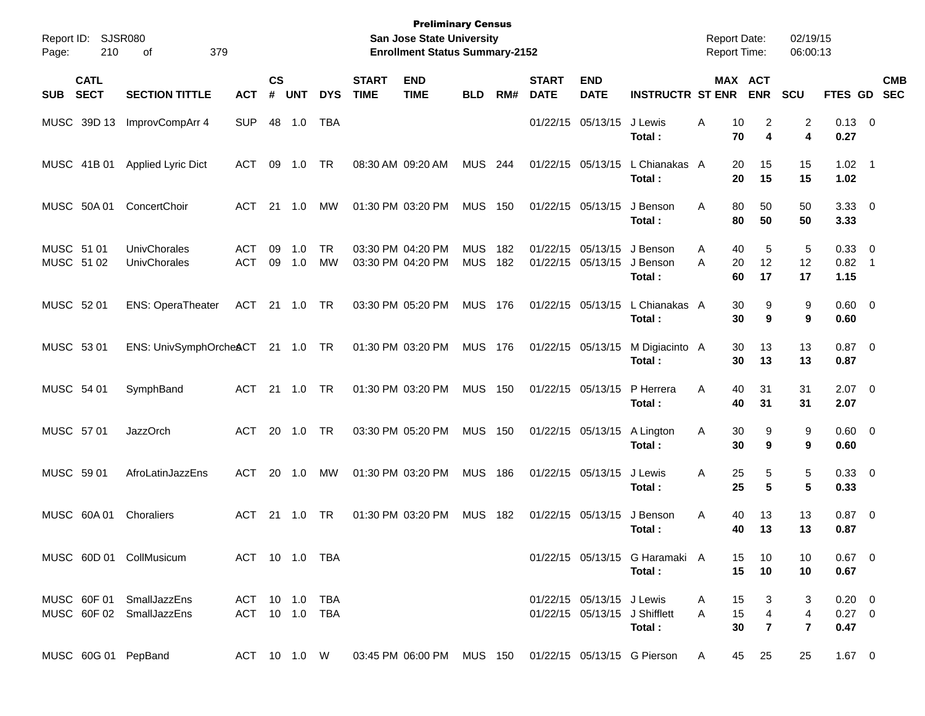| Report ID:<br>Page:      | 210                        | SJSR080<br>379<br>οf                                 |                                  |                |                |                 |                             | <b>Preliminary Census</b><br><b>San Jose State University</b><br><b>Enrollment Status Summary-2152</b> |                          |            |                             |                                        |                                          |        | <b>Report Date:</b><br>Report Time: |                                       | 02/19/15<br>06:00:13     |                                  |                          |
|--------------------------|----------------------------|------------------------------------------------------|----------------------------------|----------------|----------------|-----------------|-----------------------------|--------------------------------------------------------------------------------------------------------|--------------------------|------------|-----------------------------|----------------------------------------|------------------------------------------|--------|-------------------------------------|---------------------------------------|--------------------------|----------------------------------|--------------------------|
| <b>SUB</b>               | <b>CATL</b><br><b>SECT</b> | <b>SECTION TITTLE</b>                                | <b>ACT</b>                       | <b>CS</b><br># | <b>UNT</b>     | <b>DYS</b>      | <b>START</b><br><b>TIME</b> | <b>END</b><br><b>TIME</b>                                                                              | <b>BLD</b>               | RM#        | <b>START</b><br><b>DATE</b> | <b>END</b><br><b>DATE</b>              | <b>INSTRUCTR ST ENR</b>                  |        | MAX ACT<br><b>ENR</b>               |                                       | <b>SCU</b>               | FTES GD                          | <b>CMB</b><br><b>SEC</b> |
|                          | MUSC 39D 13                | ImprovCompArr 4                                      | <b>SUP</b>                       | 48             | 1.0            | <b>TBA</b>      |                             |                                                                                                        |                          |            |                             | 01/22/15 05/13/15                      | J Lewis<br>Total :                       | A      | 10<br>70                            | 2<br>4                                | 2<br>4                   | $0.13 \ 0$<br>0.27               |                          |
|                          | MUSC 41B 01                | Applied Lyric Dict                                   | ACT                              | 09             | 1.0            | TR              |                             | 08:30 AM 09:20 AM                                                                                      | <b>MUS 244</b>           |            |                             | 01/22/15 05/13/15                      | L Chianakas A<br>Total :                 |        | 20<br>20                            | 15<br>15                              | 15<br>15                 | $1.02 \quad 1$<br>1.02           |                          |
|                          | MUSC 50A 01                | ConcertChoir                                         | ACT                              |                | 21 1.0         | <b>MW</b>       |                             | 01:30 PM 03:20 PM                                                                                      | <b>MUS 150</b>           |            |                             | 01/22/15 05/13/15                      | J Benson<br>Total :                      | A      | 80<br>80                            | 50<br>50                              | 50<br>50                 | $3.33 \ 0$<br>3.33               |                          |
| MUSC 51 01<br>MUSC 51 02 |                            | UnivChorales<br>UnivChorales                         | <b>ACT</b><br><b>ACT</b>         | 09<br>09       | 1.0<br>1.0     | <b>TR</b><br>MW |                             | 03:30 PM 04:20 PM<br>03:30 PM 04:20 PM                                                                 | <b>MUS</b><br><b>MUS</b> | 182<br>182 |                             | 01/22/15 05/13/15<br>01/22/15 05/13/15 | J Benson<br>J Benson<br>Total:           | A<br>Α | 40<br>20<br>60                      | 5<br>12<br>17                         | 5<br>12<br>17            | 0.33 0<br>$0.82$ 1<br>1.15       |                          |
| MUSC 52 01               |                            | <b>ENS: OperaTheater</b>                             | ACT 21 1.0                       |                |                | TR              |                             | 03:30 PM 05:20 PM                                                                                      | <b>MUS 176</b>           |            |                             | 01/22/15 05/13/15                      | L Chianakas A<br>Total:                  |        | 30<br>30                            | 9<br>9                                | 9<br>9                   | $0.60 \quad 0$<br>0.60           |                          |
| MUSC 53 01               |                            | ENS: UnivSymphOrcheACT 21 1.0 TR                     |                                  |                |                |                 |                             | 01:30 PM 03:20 PM                                                                                      | MUS 176                  |            |                             | 01/22/15 05/13/15                      | M Digiacinto A<br>Total :                |        | 30<br>30                            | 13<br>13                              | 13<br>13                 | $0.87$ 0<br>0.87                 |                          |
| MUSC 54 01               |                            | SymphBand                                            | ACT                              |                | 21 1.0         | TR              |                             | 01:30 PM 03:20 PM                                                                                      | <b>MUS 150</b>           |            |                             | 01/22/15 05/13/15                      | P Herrera<br>Total :                     | A      | 40<br>40                            | 31<br>31                              | 31<br>31                 | $2.07$ 0<br>2.07                 |                          |
| MUSC 57 01               |                            | <b>JazzOrch</b>                                      | ACT                              |                | 20 1.0         | TR              |                             | 03:30 PM 05:20 PM                                                                                      | <b>MUS 150</b>           |            |                             | 01/22/15 05/13/15                      | A Lington<br>Total:                      | Α      | 30<br>30                            | 9<br>9                                | 9<br>9                   | $0.60 \quad 0$<br>0.60           |                          |
| MUSC 59 01               |                            | AfroLatinJazzEns                                     | ACT                              |                | 20 1.0         | MW              |                             | 01:30 PM 03:20 PM                                                                                      | <b>MUS 186</b>           |            |                             | 01/22/15 05/13/15                      | J Lewis<br>Total :                       | A      | 25<br>25                            | 5<br>5                                | 5<br>5                   | 0.33 0<br>0.33                   |                          |
|                          | MUSC 60A 01                | Choraliers                                           | ACT                              |                | $21 \quad 1.0$ | TR              |                             | 01:30 PM 03:20 PM                                                                                      | <b>MUS 182</b>           |            |                             | 01/22/15 05/13/15                      | J Benson<br>Total :                      | Α      | 40<br>40                            | 13<br>13                              | 13<br>13                 | $0.87$ 0<br>0.87                 |                          |
|                          |                            | MUSC 60D 01 CollMusicum                              | ACT 10 1.0 TBA                   |                |                |                 |                             |                                                                                                        |                          |            |                             |                                        | 01/22/15 05/13/15 G Haramaki A<br>Total: |        | 15<br>15                            | 10<br>10                              | 10<br>10                 | $0.67$ 0<br>0.67                 |                          |
|                          |                            | MUSC 60F 01 SmallJazzEns<br>MUSC 60F 02 SmallJazzEns | ACT 10 1.0 TBA<br>ACT 10 1.0 TBA |                |                |                 |                             |                                                                                                        |                          |            |                             | 01/22/15 05/13/15 J Lewis              | 01/22/15 05/13/15 J Shifflett<br>Total:  | A<br>A | 15<br>15<br>30                      | 3<br>$\overline{4}$<br>$\overline{7}$ | 3<br>4<br>$\overline{7}$ | $0.20 \ 0$<br>$0.27 \ 0$<br>0.47 |                          |
|                          |                            | MUSC 60G 01 PepBand                                  |                                  |                |                |                 |                             | ACT 10 1.0 W 03:45 PM 06:00 PM MUS 150 01/22/15 05/13/15 G Pierson                                     |                          |            |                             |                                        |                                          | A      | 45                                  | 25                                    | 25                       | $1.67 \t 0$                      |                          |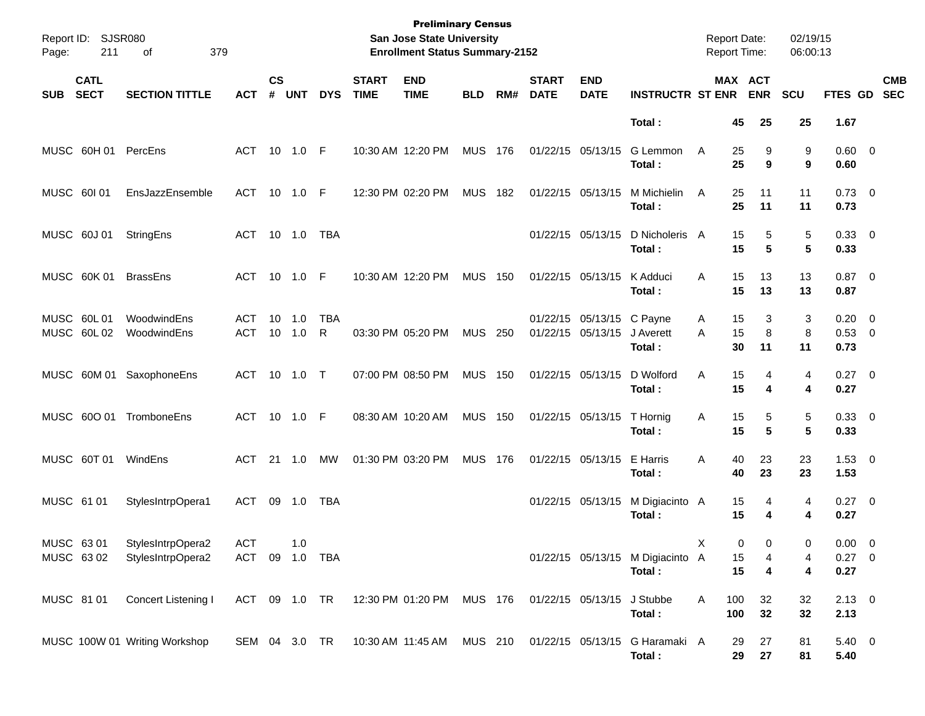| Page:      | Report ID: SJSR080<br>211  | 379<br>of                              |                              |                    |                  |                 |                             | <b>Preliminary Census</b><br>San Jose State University<br><b>Enrollment Status Summary-2152</b> |                |     |                             |                                                |                                            | <b>Report Date:</b><br><b>Report Time:</b> |                       | 02/19/15<br>06:00:13 |                                 |                          |
|------------|----------------------------|----------------------------------------|------------------------------|--------------------|------------------|-----------------|-----------------------------|-------------------------------------------------------------------------------------------------|----------------|-----|-----------------------------|------------------------------------------------|--------------------------------------------|--------------------------------------------|-----------------------|----------------------|---------------------------------|--------------------------|
| <b>SUB</b> | <b>CATL</b><br><b>SECT</b> | <b>SECTION TITTLE</b>                  | <b>ACT</b>                   | $\mathsf{cs}$<br># | <b>UNT</b>       | <b>DYS</b>      | <b>START</b><br><b>TIME</b> | <b>END</b><br><b>TIME</b>                                                                       | <b>BLD</b>     | RM# | <b>START</b><br><b>DATE</b> | <b>END</b><br><b>DATE</b>                      | <b>INSTRUCTR ST ENR</b>                    |                                            | MAX ACT<br><b>ENR</b> | <b>SCU</b>           | FTES GD                         | <b>CMB</b><br><b>SEC</b> |
|            |                            |                                        |                              |                    |                  |                 |                             |                                                                                                 |                |     |                             |                                                | Total:                                     | 45                                         | 25                    | 25                   | 1.67                            |                          |
|            | MUSC 60H 01                | PercEns                                | ACT 10 1.0 F                 |                    |                  |                 |                             | 10:30 AM 12:20 PM                                                                               | MUS 176        |     |                             | 01/22/15 05/13/15                              | G Lemmon<br>Total:                         | A<br>25<br>25                              | 9<br>9                | 9<br>9               | $0.60 \quad 0$<br>0.60          |                          |
|            | MUSC 60101                 | EnsJazzEnsemble                        | ACT 10 1.0 F                 |                    |                  |                 |                             | 12:30 PM 02:20 PM                                                                               | <b>MUS</b>     | 182 |                             | 01/22/15 05/13/15                              | M Michielin<br>Total:                      | 25<br>A<br>25                              | 11<br>11              | 11<br>11             | $0.73 \quad 0$<br>0.73          |                          |
|            | MUSC 60J 01                | StringEns                              | ACT 10 1.0                   |                    |                  | TBA             |                             |                                                                                                 |                |     |                             | 01/22/15 05/13/15                              | D Nicholeris A<br>Total:                   | 15<br>15                                   | 5<br>5                | 5<br>5               | 0.33 0<br>0.33                  |                          |
|            | MUSC 60K 01                | <b>BrassEns</b>                        | ACT 10 1.0 F                 |                    |                  |                 |                             | 10:30 AM 12:20 PM                                                                               | MUS            | 150 |                             | 01/22/15 05/13/15                              | K Adduci<br>Total:                         | 15<br>A<br>15                              | 13<br>13              | 13<br>13             | $0.87$ 0<br>0.87                |                          |
|            | MUSC 60L01<br>MUSC 60L02   | WoodwindEns<br>WoodwindEns             | ACT<br>ACT                   | 10                 | $-1.0$<br>10 1.0 | <b>TBA</b><br>R |                             | 03:30 PM 05:20 PM                                                                               | <b>MUS 250</b> |     |                             | 01/22/15 05/13/15 C Payne<br>01/22/15 05/13/15 | J Averett<br>Total:                        | 15<br>A<br>15<br>A<br>30                   | 3<br>8<br>11          | 3<br>8<br>11         | $0.20 \ 0$<br>0.53 0<br>0.73    |                          |
|            |                            | MUSC 60M 01 SaxophoneEns               | ACT 10 1.0 T                 |                    |                  |                 |                             | 07:00 PM 08:50 PM                                                                               | <b>MUS 150</b> |     |                             | 01/22/15 05/13/15                              | D Wolford<br>Total:                        | 15<br>Α<br>15                              | 4<br>4                | 4<br>4               | $0.27$ 0<br>0.27                |                          |
|            | MUSC 600 01                | TromboneEns                            | ACT 10 1.0 F                 |                    |                  |                 |                             | 08:30 AM 10:20 AM                                                                               | <b>MUS 150</b> |     |                             | 01/22/15 05/13/15                              | T Hornig<br>Total:                         | 15<br>Α<br>15                              | 5<br>$5\phantom{1}$   | 5<br>5               | 0.33 0<br>0.33                  |                          |
|            | MUSC 60T 01                | WindEns                                | ACT                          | 21                 | 1.0              | MW              | 01:30 PM 03:20 PM           |                                                                                                 | MUS            | 176 |                             | 01/22/15 05/13/15                              | E Harris<br>Total:                         | 40<br>A<br>40                              | 23<br>23              | 23<br>23             | $1.53 \t 0$<br>1.53             |                          |
| MUSC 61 01 |                            | StylesIntrpOpera1                      | ACT                          | 09                 | 1.0              | TBA             |                             |                                                                                                 |                |     |                             | 01/22/15 05/13/15                              | M Digiacinto A<br>Total:                   | 15<br>15                                   | 4<br>4                | 4<br>4               | $0.27$ 0<br>0.27                |                          |
| MUSC 63 01 | MUSC 6302                  | StylesIntrpOpera2<br>StylesIntrpOpera2 | <b>ACT</b><br>ACT 09 1.0 TBA |                    | 1.0              |                 |                             |                                                                                                 |                |     |                             |                                                | 01/22/15 05/13/15 M Digiacinto A<br>Total: | Χ<br>15<br>15                              | 0<br>0<br>4<br>4      | 0<br>4<br>4          | $0.00 \t 0$<br>$0.27$ 0<br>0.27 |                          |
| MUSC 81 01 |                            | Concert Listening I                    | ACT 09 1.0 TR                |                    |                  |                 |                             | 12:30 PM 01:20 PM MUS 176                                                                       |                |     |                             | 01/22/15 05/13/15 J Stubbe                     | Total:                                     | Α<br>100<br>100                            | 32<br>32              | 32<br>32             | $2.13 \t 0$<br>2.13             |                          |
|            |                            | MUSC 100W 01 Writing Workshop          | SEM 04 3.0 TR                |                    |                  |                 |                             | 10:30 AM 11:45 AM MUS 210                                                                       |                |     |                             |                                                | 01/22/15 05/13/15 G Haramaki A<br>Total:   | 29<br>29                                   | 27<br>27              | 81<br>81             | $5.40 \ 0$<br>5.40              |                          |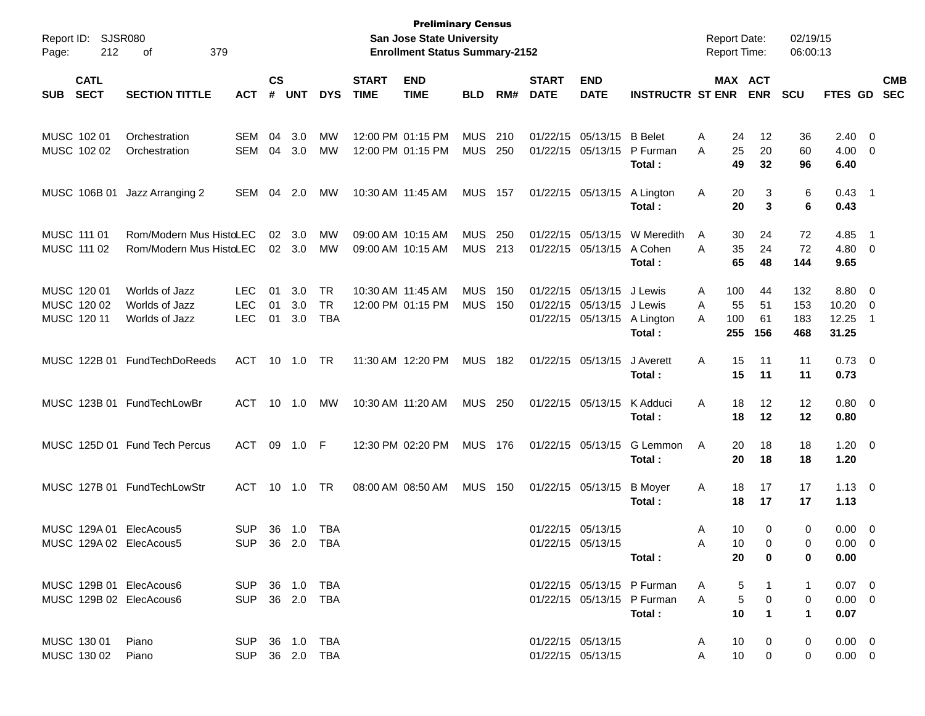| Report ID:<br>212<br>Page:                         | SJSR080<br>379<br>οf                               |                                        |                    |                   |                                      |                             | <b>Preliminary Census</b><br>San Jose State University<br><b>Enrollment Status Summary-2152</b> |                          |            |                             |                                                             |                                                                    | <b>Report Date:</b><br><b>Report Time:</b> |                         |                       | 02/19/15<br>06:00:13     |                                       |                                            |                          |
|----------------------------------------------------|----------------------------------------------------|----------------------------------------|--------------------|-------------------|--------------------------------------|-----------------------------|-------------------------------------------------------------------------------------------------|--------------------------|------------|-----------------------------|-------------------------------------------------------------|--------------------------------------------------------------------|--------------------------------------------|-------------------------|-----------------------|--------------------------|---------------------------------------|--------------------------------------------|--------------------------|
| <b>CATL</b><br><b>SECT</b><br><b>SUB</b>           | <b>SECTION TITTLE</b>                              | <b>ACT</b>                             | $\mathsf{cs}$<br># | <b>UNT</b>        | <b>DYS</b>                           | <b>START</b><br><b>TIME</b> | <b>END</b><br><b>TIME</b>                                                                       | <b>BLD</b>               | RM#        | <b>START</b><br><b>DATE</b> | <b>END</b><br><b>DATE</b>                                   | <b>INSTRUCTR ST ENR</b>                                            |                                            |                         | MAX ACT<br><b>ENR</b> | <b>SCU</b>               | FTES GD                               |                                            | <b>CMB</b><br><b>SEC</b> |
| MUSC 102 01<br>MUSC 102 02                         | Orchestration<br>Orchestration                     | SEM<br>SEM                             | 04<br>04           | 3.0<br>3.0        | МW<br>МW                             |                             | 12:00 PM 01:15 PM<br>12:00 PM 01:15 PM                                                          | <b>MUS</b><br><b>MUS</b> | 210<br>250 |                             | 01/22/15 05/13/15<br>01/22/15 05/13/15                      | <b>B</b> Belet<br>P Furman<br>Total:                               | A<br>A                                     | 24<br>25<br>49          | 12<br>20<br>32        | 36<br>60<br>96           | $2.40 \ 0$<br>$4.00 \ 0$<br>6.40      |                                            |                          |
| MUSC 106B 01                                       | Jazz Arranging 2                                   | SEM                                    | 04                 | 2.0               | МW                                   | 10:30 AM 11:45 AM           |                                                                                                 | <b>MUS 157</b>           |            |                             | 01/22/15 05/13/15                                           | A Lington<br>Total:                                                | A                                          | 20<br>20                | 3<br>3                | 6<br>6                   | $0.43$ 1<br>0.43                      |                                            |                          |
| MUSC 111 01<br>MUSC 111 02                         | Rom/Modern Mus HistoLEC<br>Rom/Modern Mus HistoLEC |                                        | 02                 | 3.0<br>02 3.0     | МW<br>МW                             | 09:00 AM 10:15 AM           | 09:00 AM 10:15 AM                                                                               | <b>MUS</b><br><b>MUS</b> | 250<br>213 |                             | 01/22/15 05/13/15<br>01/22/15 05/13/15                      | W Meredith<br>A Cohen<br>Total:                                    | A<br>A                                     | 30<br>35<br>65          | 24<br>24<br>48        | 72<br>72<br>144          | 4.85<br>4.80 0<br>9.65                | - 1                                        |                          |
| MUSC 120 01<br>MUSC 120 02<br>MUSC 120 11          | Worlds of Jazz<br>Worlds of Jazz<br>Worlds of Jazz | <b>LEC</b><br><b>LEC</b><br><b>LEC</b> | 01<br>01<br>01     | 3.0<br>3.0<br>3.0 | <b>TR</b><br><b>TR</b><br><b>TBA</b> | 10:30 AM 11:45 AM           | 12:00 PM 01:15 PM                                                                               | <b>MUS</b><br><b>MUS</b> | 150<br>150 |                             | 01/22/15 05/13/15<br>01/22/15 05/13/15<br>01/22/15 05/13/15 | J Lewis<br>J Lewis<br>A Lington<br>Total:                          | A<br>A<br>A                                | 100<br>55<br>100<br>255 | 44<br>51<br>61<br>156 | 132<br>153<br>183<br>468 | 8.80 0<br>10.20<br>12.25<br>31.25     | $\overline{\phantom{0}}$<br>$\overline{1}$ |                          |
|                                                    | MUSC 122B 01 FundTechDoReeds                       | ACT                                    | 10                 | 1.0               | TR                                   |                             | 11:30 AM 12:20 PM                                                                               | MUS 182                  |            |                             | 01/22/15 05/13/15                                           | J Averett<br>Total:                                                | A                                          | 15<br>15                | 11<br>11              | 11<br>11                 | $0.73 \quad 0$<br>0.73                |                                            |                          |
|                                                    | MUSC 123B 01 FundTechLowBr                         | ACT                                    |                    | 10 1.0            | МW                                   | 10:30 AM 11:20 AM           |                                                                                                 | <b>MUS 250</b>           |            |                             | 01/22/15 05/13/15                                           | K Adduci<br>Total:                                                 | A                                          | 18<br>18                | 12<br>12              | 12<br>12                 | $0.80 \ 0$<br>0.80                    |                                            |                          |
|                                                    | MUSC 125D 01 Fund Tech Percus                      | ACT                                    |                    | 09 1.0 F          |                                      |                             | 12:30 PM 02:20 PM                                                                               | MUS 176                  |            |                             | 01/22/15 05/13/15                                           | G Lemmon<br>Total:                                                 | A                                          | 20<br>20                | 18<br>18              | 18<br>18                 | $1.20 \t 0$<br>1.20                   |                                            |                          |
|                                                    | MUSC 127B 01 FundTechLowStr                        | ACT                                    |                    | 10 1.0            | TR                                   |                             | 08:00 AM 08:50 AM                                                                               | <b>MUS</b>               | 150        |                             | 01/22/15 05/13/15                                           | <b>B</b> Moyer<br>Total:                                           | Α                                          | 18<br>18                | 17<br>17              | 17<br>17                 | $1.13 \ 0$<br>1.13                    |                                            |                          |
| MUSC 129A 01<br>MUSC 129A 02 ElecAcous5            | ElecAcous5                                         | <b>SUP</b><br><b>SUP</b>               | 36                 | 1.0<br>36 2.0     | TBA<br>TBA                           |                             |                                                                                                 |                          |            |                             | 01/22/15 05/13/15<br>01/22/15 05/13/15                      | Total :                                                            | A<br>A                                     | 10<br>10<br>20          | 0<br>$\Omega$<br>0    | 0<br>$\Omega$<br>0       | $0.00 \t 0$<br>$0.00 \quad 0$<br>0.00 |                                            |                          |
| MUSC 129B 01 ElecAcous6<br>MUSC 129B 02 ElecAcous6 |                                                    | SUP 36 1.0 TBA<br>SUP 36 2.0 TBA       |                    |                   |                                      |                             |                                                                                                 |                          |            |                             |                                                             | 01/22/15 05/13/15 P Furman<br>01/22/15 05/13/15 P Furman<br>Total: | A<br>A                                     | 5<br>5<br>10            | 0<br>$\mathbf 1$      | 1<br>0<br>$\mathbf 1$    | $0.07 \quad 0$<br>$0.00 \t 0$<br>0.07 |                                            |                          |
| MUSC 130 01<br>MUSC 130 02                         | Piano<br>Piano                                     | SUP 36 1.0 TBA<br>SUP 36 2.0 TBA       |                    |                   |                                      |                             |                                                                                                 |                          |            |                             | 01/22/15 05/13/15<br>01/22/15 05/13/15                      |                                                                    | A<br>A                                     | 10<br>10 <sup>°</sup>   | 0<br>0                | 0<br>$\mathbf{0}$        | $0.00 \quad 0$<br>$0.00 \t 0$         |                                            |                          |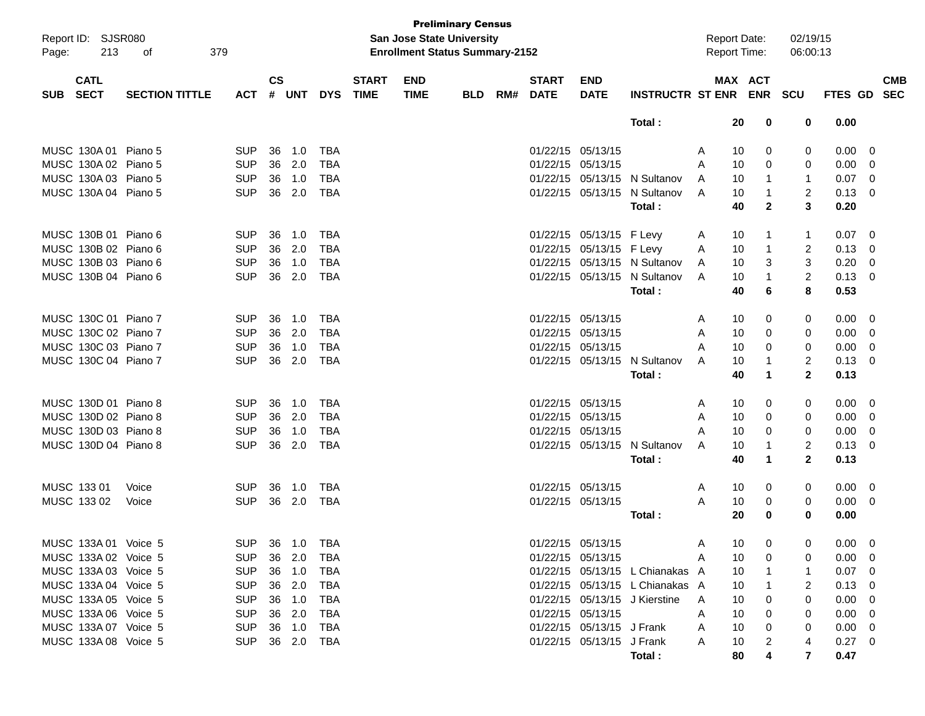| Page:      | Report ID: SJSR080<br>213  | 379<br>οf             |            |           |        |            |                             | <b>San Jose State University</b><br><b>Enrollment Status Summary-2152</b> | <b>Preliminary Census</b> |     |                             |                           |                                 |   | <b>Report Date:</b><br><b>Report Time:</b> | 02/19/15<br>06:00:13 |      |                           |
|------------|----------------------------|-----------------------|------------|-----------|--------|------------|-----------------------------|---------------------------------------------------------------------------|---------------------------|-----|-----------------------------|---------------------------|---------------------------------|---|--------------------------------------------|----------------------|------|---------------------------|
| <b>SUB</b> | <b>CATL</b><br><b>SECT</b> | <b>SECTION TITTLE</b> | <b>ACT</b> | <b>CS</b> | # UNT  | <b>DYS</b> | <b>START</b><br><b>TIME</b> | <b>END</b><br><b>TIME</b>                                                 | <b>BLD</b>                | RM# | <b>START</b><br><b>DATE</b> | <b>END</b><br><b>DATE</b> | <b>INSTRUCTR ST ENR</b>         |   | MAX ACT<br><b>ENR</b>                      | <b>SCU</b>           |      | <b>CMB</b><br>FTES GD SEC |
|            |                            |                       |            |           |        |            |                             |                                                                           |                           |     |                             |                           | Total:                          |   | 20<br>0                                    | 0                    | 0.00 |                           |
|            | MUSC 130A 01 Piano 5       |                       | <b>SUP</b> | 36        | 1.0    | TBA        |                             |                                                                           |                           |     | 01/22/15 05/13/15           |                           |                                 | A | 10<br>0                                    | 0                    | 0.00 | $\mathbf 0$               |
|            | MUSC 130A 02 Piano 5       |                       | <b>SUP</b> | 36        | 2.0    | <b>TBA</b> |                             |                                                                           |                           |     | 01/22/15 05/13/15           |                           |                                 | A | 10<br>0                                    | 0                    | 0.00 | $\mathbf 0$               |
|            | MUSC 130A 03 Piano 5       |                       | <b>SUP</b> | 36        | 1.0    | <b>TBA</b> |                             |                                                                           |                           |     |                             |                           | 01/22/15 05/13/15 N Sultanov    | A | 10<br>1                                    | $\mathbf{1}$         | 0.07 | $\mathbf 0$               |
|            | MUSC 130A 04 Piano 5       |                       | <b>SUP</b> | 36        | 2.0    | <b>TBA</b> |                             |                                                                           |                           |     |                             |                           | 01/22/15 05/13/15 N Sultanov    | A | 10<br>1                                    | 2                    | 0.13 | $\mathbf 0$               |
|            |                            |                       |            |           |        |            |                             |                                                                           |                           |     |                             |                           | Total:                          |   | 40<br>$\mathbf{2}$                         | 3                    | 0.20 |                           |
|            | MUSC 130B 01 Piano 6       |                       | <b>SUP</b> | 36        | 1.0    | TBA        |                             |                                                                           |                           |     |                             | 01/22/15 05/13/15 F Levy  |                                 | A | 10<br>1                                    | 1                    | 0.07 | $\mathbf 0$               |
|            | MUSC 130B 02 Piano 6       |                       | <b>SUP</b> | 36        | 2.0    | <b>TBA</b> |                             |                                                                           |                           |     |                             | 01/22/15 05/13/15 F Levy  |                                 | A | 10<br>$\mathbf{1}$                         | $\overline{c}$       | 0.13 | $\mathbf 0$               |
|            | MUSC 130B 03 Piano 6       |                       | <b>SUP</b> | 36        | 1.0    | <b>TBA</b> |                             |                                                                           |                           |     |                             |                           | 01/22/15 05/13/15 N Sultanov    | A | 10<br>3                                    | 3                    | 0.20 | $\mathbf 0$               |
|            | MUSC 130B 04 Piano 6       |                       | <b>SUP</b> | 36        | 2.0    | <b>TBA</b> |                             |                                                                           |                           |     |                             |                           | 01/22/15 05/13/15 N Sultanov    | A | 10<br>1                                    | $\overline{c}$       | 0.13 | $\mathbf{0}$              |
|            |                            |                       |            |           |        |            |                             |                                                                           |                           |     |                             |                           | Total:                          |   | 40<br>6                                    | 8                    | 0.53 |                           |
|            | MUSC 130C 01 Piano 7       |                       | <b>SUP</b> | 36        | 1.0    | TBA        |                             |                                                                           |                           |     | 01/22/15 05/13/15           |                           |                                 | A | 10<br>0                                    | 0                    | 0.00 | $\mathbf 0$               |
|            | MUSC 130C 02 Piano 7       |                       | <b>SUP</b> | 36        | 2.0    | <b>TBA</b> |                             |                                                                           |                           |     | 01/22/15 05/13/15           |                           |                                 | A | 10<br>0                                    | 0                    | 0.00 | $\mathbf 0$               |
|            | MUSC 130C 03 Piano 7       |                       | <b>SUP</b> | 36        | 1.0    | <b>TBA</b> |                             |                                                                           |                           |     | 01/22/15 05/13/15           |                           |                                 | A | 10<br>0                                    | 0                    | 0.00 | $\mathbf 0$               |
|            | MUSC 130C 04 Piano 7       |                       | <b>SUP</b> | 36        | 2.0    | <b>TBA</b> |                             |                                                                           |                           |     |                             |                           | 01/22/15 05/13/15 N Sultanov    | A | 10<br>1                                    | $\overline{c}$       | 0.13 | $\mathbf{0}$              |
|            |                            |                       |            |           |        |            |                             |                                                                           |                           |     |                             |                           | Total:                          |   | 40<br>$\mathbf 1$                          | $\mathbf{2}$         | 0.13 |                           |
|            | MUSC 130D 01 Piano 8       |                       | <b>SUP</b> | 36        | 1.0    | TBA        |                             |                                                                           |                           |     | 01/22/15 05/13/15           |                           |                                 | A | 10<br>0                                    | 0                    | 0.00 | $\mathbf 0$               |
|            | MUSC 130D 02 Piano 8       |                       | <b>SUP</b> | 36        | 2.0    | <b>TBA</b> |                             |                                                                           |                           |     | 01/22/15 05/13/15           |                           |                                 | A | 10<br>0                                    | 0                    | 0.00 | $\mathbf 0$               |
|            | MUSC 130D 03 Piano 8       |                       | <b>SUP</b> | 36        | 1.0    | <b>TBA</b> |                             |                                                                           |                           |     | 01/22/15 05/13/15           |                           |                                 | A | 10<br>0                                    | 0                    | 0.00 | $\mathbf 0$               |
|            | MUSC 130D 04 Piano 8       |                       | <b>SUP</b> | 36        | 2.0    | <b>TBA</b> |                             |                                                                           |                           |     |                             |                           | 01/22/15 05/13/15 N Sultanov    | A | 10<br>1                                    | 2                    | 0.13 | $\mathbf 0$               |
|            |                            |                       |            |           |        |            |                             |                                                                           |                           |     |                             |                           | Total:                          |   | 40<br>1                                    | $\mathbf{2}$         | 0.13 |                           |
|            | MUSC 133 01                | Voice                 | <b>SUP</b> | 36        | 1.0    | TBA        |                             |                                                                           |                           |     | 01/22/15 05/13/15           |                           |                                 | A | 10<br>0                                    | 0                    | 0.00 | - 0                       |
|            | MUSC 133 02                | Voice                 | <b>SUP</b> | 36        | 2.0    | <b>TBA</b> |                             |                                                                           |                           |     | 01/22/15 05/13/15           |                           |                                 | A | 10<br>0                                    | 0                    | 0.00 | - 0                       |
|            |                            |                       |            |           |        |            |                             |                                                                           |                           |     |                             |                           | Total :                         |   | 20<br>0                                    | 0                    | 0.00 |                           |
|            | MUSC 133A 01 Voice 5       |                       | <b>SUP</b> |           | 36 1.0 | <b>IBA</b> |                             |                                                                           |                           |     |                             | 01/22/15 05/13/15         |                                 | A | 10 <sub>1</sub><br>$\overline{0}$          | $\sim$<br>O          | 0.00 | $\overline{\phantom{0}}$  |
|            | MUSC 133A 02 Voice 5       |                       | <b>SUP</b> |           | 36 2.0 | TBA        |                             |                                                                           |                           |     |                             | 01/22/15 05/13/15         |                                 | A | 10<br>0                                    | 0                    | 0.00 | 0                         |
|            | MUSC 133A 03 Voice 5       |                       | <b>SUP</b> |           | 36 1.0 | TBA        |                             |                                                                           |                           |     |                             |                           | 01/22/15 05/13/15 L Chianakas A |   | 10                                         |                      | 0.07 | - 0                       |
|            | MUSC 133A 04 Voice 5       |                       | <b>SUP</b> |           | 36 2.0 | TBA        |                             |                                                                           |                           |     |                             |                           | 01/22/15 05/13/15 L Chianakas A |   | 10                                         | 2                    | 0.13 | $\mathbf 0$               |
|            | MUSC 133A 05 Voice 5       |                       | <b>SUP</b> |           | 36 1.0 | TBA        |                             |                                                                           |                           |     |                             |                           | 01/22/15 05/13/15 J Kierstine   | A | 10                                         | 0                    | 0.00 | 0                         |
|            | MUSC 133A 06 Voice 5       |                       | <b>SUP</b> |           | 36 2.0 | TBA        |                             |                                                                           |                           |     |                             | 01/22/15 05/13/15         |                                 | A | 10<br>0                                    | 0                    | 0.00 | $\mathbf 0$               |
|            | MUSC 133A 07 Voice 5       |                       | <b>SUP</b> |           | 36 1.0 | TBA        |                             |                                                                           |                           |     |                             | 01/22/15 05/13/15 J Frank |                                 | A | 10<br>0                                    | 0                    | 0.00 | $\mathbf 0$               |
|            | MUSC 133A 08 Voice 5       |                       | <b>SUP</b> |           | 36 2.0 | TBA        |                             |                                                                           |                           |     |                             | 01/22/15 05/13/15 J Frank |                                 | A | 10                                         | 4                    | 0.27 | $\overline{\phantom{0}}$  |
|            |                            |                       |            |           |        |            |                             |                                                                           |                           |     |                             |                           | Total :                         |   | 80                                         | $\overline{7}$       | 0.47 |                           |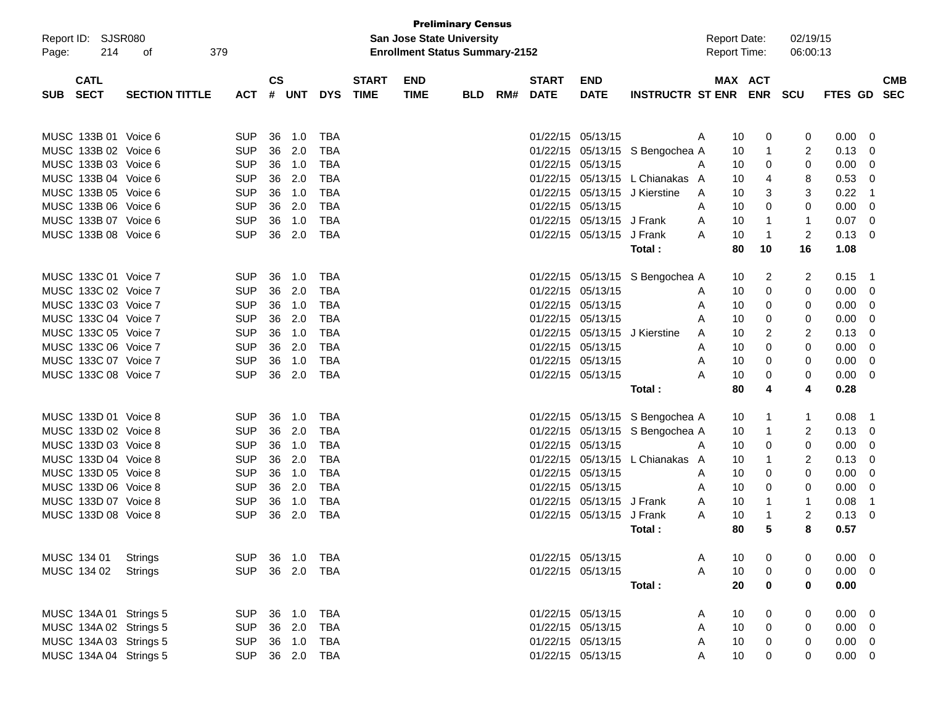| Report ID: SJSR080        |                       |                          |           |            |                |              |             | <b>Preliminary Census</b><br><b>San Jose State University</b> |     |              |                   |                                 | <b>Report Date:</b> |            | 02/19/15   |             |             |
|---------------------------|-----------------------|--------------------------|-----------|------------|----------------|--------------|-------------|---------------------------------------------------------------|-----|--------------|-------------------|---------------------------------|---------------------|------------|------------|-------------|-------------|
| Page:                     | 214<br>379<br>οf      |                          |           |            |                |              |             | <b>Enrollment Status Summary-2152</b>                         |     |              |                   |                                 | <b>Report Time:</b> |            | 06:00:13   |             |             |
| <b>CATL</b>               |                       |                          | <b>CS</b> |            |                | <b>START</b> | <b>END</b>  |                                                               |     | <b>START</b> | <b>END</b>        |                                 |                     | MAX ACT    |            |             | <b>CMB</b>  |
| <b>SECT</b><br><b>SUB</b> | <b>SECTION TITTLE</b> | АСТ                      | #         | <b>UNT</b> | <b>DYS</b>     | <b>TIME</b>  | <b>TIME</b> | BLD.                                                          | RM# | <b>DATE</b>  | <b>DATE</b>       | <b>INSTRUCTR ST ENR</b>         |                     | <b>ENR</b> | <b>SCU</b> | FTES GD     | <b>SEC</b>  |
|                           |                       |                          |           |            |                |              |             |                                                               |     |              |                   |                                 |                     |            |            |             |             |
| MUSC 133B 01 Voice 6      |                       | <b>SUP</b>               | 36        | 1.0        | TBA            |              |             |                                                               |     |              | 01/22/15 05/13/15 |                                 | 10<br>Α             | 0          | 0          | 0.00        | 0           |
| MUSC 133B 02 Voice 6      |                       | <b>SUP</b>               | 36        | 2.0        | <b>TBA</b>     |              |             |                                                               |     |              |                   | 01/22/15 05/13/15 S Bengochea A | 10                  | 1          | 2          | 0.13        | 0           |
| MUSC 133B 03 Voice 6      |                       | <b>SUP</b>               | 36        | 1.0        | TBA            |              |             |                                                               |     | 01/22/15     | 05/13/15          |                                 | 10<br>A             | 0          | 0          | 0.00        | 0           |
| MUSC 133B 04 Voice 6      |                       | <b>SUP</b>               | 36        | 2.0        | <b>TBA</b>     |              |             |                                                               |     | 01/22/15     |                   | 05/13/15 L Chianakas A          | 10                  | 4          | 8          | 0.53        | 0           |
| MUSC 133B 05 Voice 6      |                       | <b>SUP</b>               | 36        | 1.0        | <b>TBA</b>     |              |             |                                                               |     | 01/22/15     |                   | 05/13/15 J Kierstine            | 10<br>A             | 3          | 3          | 0.22        | -1          |
| MUSC 133B 06 Voice 6      |                       | <b>SUP</b>               | 36        | 2.0        | <b>TBA</b>     |              |             |                                                               |     | 01/22/15     | 05/13/15          |                                 | 10<br>Α             | 0          | 0          | 0.00        | 0           |
| MUSC 133B 07 Voice 6      |                       | <b>SUP</b>               | 36        | 1.0        | TBA            |              |             |                                                               |     | 01/22/15     | 05/13/15 J Frank  |                                 | 10<br>A             | 1          | -1         | 0.07        | 0           |
| MUSC 133B 08 Voice 6      |                       | <b>SUP</b>               | 36        | 2.0        | TBA            |              |             |                                                               |     | 01/22/15     | 05/13/15 J Frank  |                                 | 10<br>A             | -1         | 2          | 0.13        | 0           |
|                           |                       |                          |           |            |                |              |             |                                                               |     |              |                   | Total :                         | 80                  | 10         | 16         | 1.08        |             |
| MUSC 133C 01 Voice 7      |                       | <b>SUP</b>               | 36        | 1.0        | TBA            |              |             |                                                               |     |              |                   | 01/22/15 05/13/15 S Bengochea A | 10                  | 2          | 2          | 0.15        | -1          |
| MUSC 133C 02 Voice 7      |                       | <b>SUP</b>               | 36        | 2.0        | <b>TBA</b>     |              |             |                                                               |     | 01/22/15     | 05/13/15          |                                 | 10<br>Α             | 0          | 0          | 0.00        | 0           |
| MUSC 133C 03 Voice 7      |                       | <b>SUP</b>               | 36        | 1.0        | TBA            |              |             |                                                               |     | 01/22/15     | 05/13/15          |                                 | Α<br>10             | 0          | 0          | 0.00        | 0           |
| MUSC 133C 04 Voice 7      |                       | <b>SUP</b>               | 36        | 2.0        | <b>TBA</b>     |              |             |                                                               |     | 01/22/15     | 05/13/15          |                                 | 10<br>A             | 0          | 0          | 0.00        | 0           |
| MUSC 133C 05 Voice 7      |                       | <b>SUP</b>               | 36        | 1.0        | <b>TBA</b>     |              |             |                                                               |     |              | 01/22/15 05/13/15 | J Kierstine                     | 10<br>Α             | 2          | 2          | 0.13        | 0           |
| MUSC 133C 06 Voice 7      |                       | <b>SUP</b>               | 36        | 2.0        | <b>TBA</b>     |              |             |                                                               |     |              | 01/22/15 05/13/15 |                                 | 10<br>Α             | 0          | 0          | 0.00        | 0           |
| MUSC 133C 07 Voice 7      |                       | <b>SUP</b>               | 36        | 1.0        | TBA            |              |             |                                                               |     | 01/22/15     | 05/13/15          |                                 | 10<br>Α             | 0          | 0          | 0.00        | 0           |
| MUSC 133C 08 Voice 7      |                       | <b>SUP</b>               | 36        | 2.0        | TBA            |              |             |                                                               |     |              | 01/22/15 05/13/15 |                                 | Α<br>10             | 0          | 0          | 0.00        | 0           |
|                           |                       |                          |           |            |                |              |             |                                                               |     |              |                   | Total :                         | 80                  | 4          | 4          | 0.28        |             |
|                           |                       |                          |           |            |                |              |             |                                                               |     |              |                   |                                 |                     |            |            |             |             |
| MUSC 133D 01 Voice 8      |                       | <b>SUP</b><br><b>SUP</b> | 36<br>36  | 1.0        | TBA            |              |             |                                                               |     |              |                   | 01/22/15 05/13/15 S Bengochea A | 10                  | 1          | 1          | 0.08        | $\mathbf 1$ |
| MUSC 133D 02 Voice 8      |                       |                          |           | 2.0        | <b>TBA</b>     |              |             |                                                               |     | 01/22/15     |                   | 05/13/15 S Bengochea A          | 10                  | 1          | 2          | 0.13        | 0           |
| MUSC 133D 03 Voice 8      |                       | <b>SUP</b>               | 36        | 1.0        | TBA            |              |             |                                                               |     | 01/22/15     | 05/13/15          |                                 | 10<br>A             | 0          | 0          | 0.00        | 0           |
| MUSC 133D 04 Voice 8      |                       | <b>SUP</b>               | 36        | 2.0        | <b>TBA</b>     |              |             |                                                               |     | 01/22/15     | 05/13/15          | L Chianakas A                   | 10                  | 1          | 2          | 0.13        | 0           |
| MUSC 133D 05 Voice 8      |                       | <b>SUP</b>               | 36        | 1.0        | <b>TBA</b>     |              |             |                                                               |     | 01/22/15     | 05/13/15          |                                 | 10<br>Α             | 0          | 0          | 0.00        | 0           |
| MUSC 133D 06 Voice 8      |                       | <b>SUP</b>               | 36        | 2.0        | <b>TBA</b>     |              |             |                                                               |     | 01/22/15     | 05/13/15          |                                 | 10<br>Α             | 0          | 0          | 0.00        | 0           |
| MUSC 133D 07 Voice 8      |                       | <b>SUP</b>               | 36        | 1.0        | <b>TBA</b>     |              |             |                                                               |     | 01/22/15     | 05/13/15 J Frank  |                                 | 10<br>A             | 1          | 1          | 0.08        | -1          |
| MUSC 133D 08 Voice 8      |                       | <b>SUP</b>               | 36        | 2.0        | <b>TBA</b>     |              |             |                                                               |     | 01/22/15     | 05/13/15 J Frank  |                                 | 10<br>A             | 1          | 2          | 0.13        | 0           |
|                           |                       |                          |           |            |                |              |             |                                                               |     |              |                   | Total :                         | 80                  | 5          | 8          | 0.57        |             |
| MUSC 134 01               | <b>Strings</b>        | <b>SUP</b>               |           | 36 1.0     | TBA            |              |             |                                                               |     |              | 01/22/15 05/13/15 |                                 | Α<br>10             | 0          |            | $0.00 \t 0$ |             |
| MUSC 134 02               | Strings               | <b>SUP</b>               |           | 36 2.0     | <b>TBA</b>     |              |             |                                                               |     |              | 01/22/15 05/13/15 |                                 | 10<br>Α             | 0          | 0          | 0.00        | 0           |
|                           |                       |                          |           |            |                |              |             |                                                               |     |              |                   | Total:                          | 20                  | 0          | 0          | 0.00        |             |
| MUSC 134A 01 Strings 5    |                       | <b>SUP</b>               |           | 36 1.0     | <b>TBA</b>     |              |             |                                                               |     |              | 01/22/15 05/13/15 |                                 | A<br>10             | 0          | 0          | $0.00 \t 0$ |             |
| MUSC 134A 02 Strings 5    |                       | <b>SUP</b>               |           | 36 2.0     | <b>TBA</b>     |              |             |                                                               |     |              | 01/22/15 05/13/15 |                                 | 10<br>Α             | 0          | 0          | $0.00 \t 0$ |             |
| MUSC 134A 03 Strings 5    |                       | <b>SUP</b>               |           | 36 1.0     | <b>TBA</b>     |              |             |                                                               |     |              | 01/22/15 05/13/15 |                                 | 10<br>A             | 0          | 0          | $0.00 \t 0$ |             |
| MUSC 134A 04 Strings 5    |                       |                          |           |            | SUP 36 2.0 TBA |              |             |                                                               |     |              | 01/22/15 05/13/15 |                                 | 10<br>Α             | 0          | 0          | $0.00 \t 0$ |             |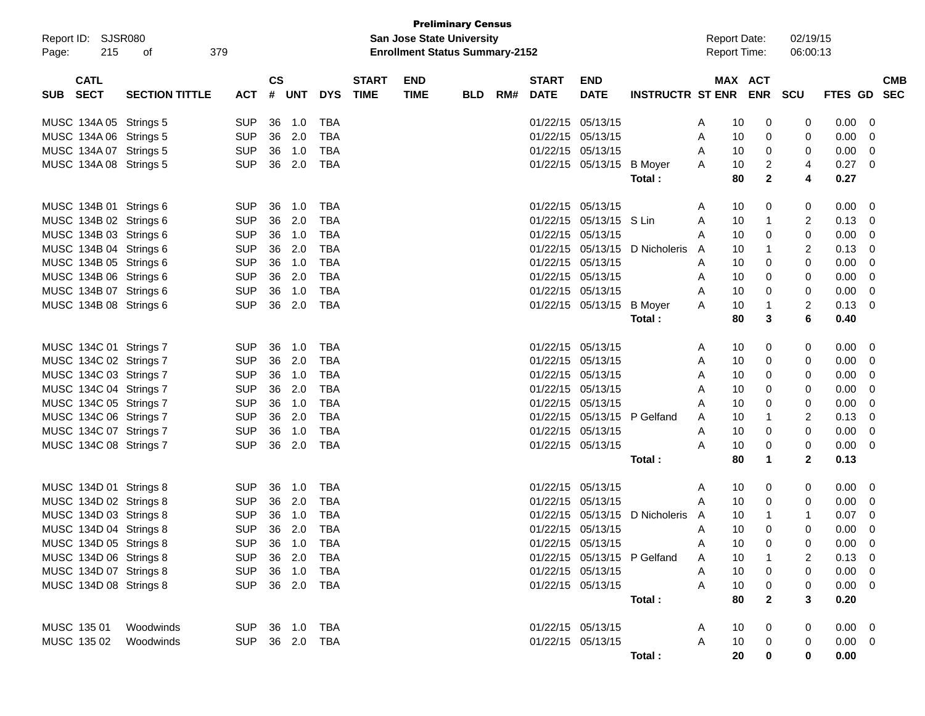| Report ID: SJSR080<br>215<br>Page: | 379<br>οf             |                |               |                |            |              | <b>Preliminary Census</b><br><b>San Jose State University</b><br><b>Enrollment Status Summary-2152</b> |            |     |                   |                             |                                |     | <b>Report Date:</b><br><b>Report Time:</b> |                      | 02/19/15<br>06:00:13 |                |                         |  |
|------------------------------------|-----------------------|----------------|---------------|----------------|------------|--------------|--------------------------------------------------------------------------------------------------------|------------|-----|-------------------|-----------------------------|--------------------------------|-----|--------------------------------------------|----------------------|----------------------|----------------|-------------------------|--|
| <b>CATL</b>                        |                       |                | $\mathsf{cs}$ |                |            | <b>START</b> | <b>END</b>                                                                                             |            |     | <b>START</b>      | <b>END</b>                  |                                |     | MAX ACT                                    |                      |                      |                | <b>CMB</b>              |  |
| SUB SECT                           | <b>SECTION TITTLE</b> | ACT            |               | # UNT          | <b>DYS</b> | <b>TIME</b>  | <b>TIME</b>                                                                                            | <b>BLD</b> | RM# | <b>DATE</b>       | <b>DATE</b>                 | INSTRUCTR ST ENR ENR SCU       |     |                                            |                      |                      | FTES GD SEC    |                         |  |
| MUSC 134A 05 Strings 5             |                       | <b>SUP</b>     | 36            | 1.0            | TBA        |              |                                                                                                        |            |     | 01/22/15 05/13/15 |                             |                                | A   | 10                                         | 0                    | 0                    | $0.00 \t 0$    |                         |  |
| MUSC 134A 06 Strings 5             |                       | <b>SUP</b>     |               | 36 2.0         | TBA        |              |                                                                                                        |            |     | 01/22/15 05/13/15 |                             |                                | A   | 10                                         | 0                    | 0                    | 0.00           | - 0                     |  |
| MUSC 134A 07 Strings 5             |                       | <b>SUP</b>     |               | 36 1.0         | TBA        |              |                                                                                                        |            |     | 01/22/15 05/13/15 |                             |                                | A   | 10                                         | 0                    | 0                    | 0.00           | $\overline{\mathbf{0}}$ |  |
| MUSC 134A 08 Strings 5             |                       | <b>SUP</b>     |               | 36 2.0         | TBA        |              |                                                                                                        |            |     |                   | 01/22/15 05/13/15 B Moyer   |                                | A   | 10                                         | $\overline{c}$       | 4                    | 0.27           | $\overline{\mathbf{0}}$ |  |
|                                    |                       |                |               |                |            |              |                                                                                                        |            |     |                   |                             | Total:                         |     | 80                                         | $\mathbf{2}$         | 4                    | 0.27           |                         |  |
| MUSC 134B 01 Strings 6             |                       | <b>SUP</b>     | 36            | 1.0            | TBA        |              |                                                                                                        |            |     | 01/22/15 05/13/15 |                             |                                | A   | 10                                         | 0                    | 0                    | $0.00 \t 0$    |                         |  |
| MUSC 134B 02 Strings 6             |                       | <b>SUP</b>     |               | 36 2.0         | TBA        |              |                                                                                                        |            |     |                   | 01/22/15 05/13/15 S Lin     |                                | A   | 10                                         | $\mathbf{1}$         | 2                    | 0.13           | - 0                     |  |
| MUSC 134B 03 Strings 6             |                       | <b>SUP</b>     |               | 36 1.0         | TBA        |              |                                                                                                        |            |     | 01/22/15 05/13/15 |                             |                                | A   | 10                                         | 0                    | 0                    | 0.00           | 0                       |  |
| MUSC 134B 04 Strings 6             |                       | <b>SUP</b>     | 36            | 2.0            | TBA        |              |                                                                                                        |            |     |                   |                             | 01/22/15 05/13/15 D Nicholeris | - A | 10                                         | $\mathbf{1}$         | 2                    | 0.13           | 0                       |  |
| MUSC 134B 05 Strings 6             |                       | <b>SUP</b>     |               | 36 1.0         | TBA        |              |                                                                                                        |            |     | 01/22/15 05/13/15 |                             |                                | A   | 10                                         | 0                    | 0                    | 0.00           | 0                       |  |
| MUSC 134B 06 Strings 6             |                       | <b>SUP</b>     |               | 36 2.0         | TBA        |              |                                                                                                        |            |     | 01/22/15 05/13/15 |                             |                                | A   | 10                                         | 0                    | 0                    | 0.00           | $\overline{\mathbf{0}}$ |  |
| MUSC 134B 07 Strings 6             |                       | <b>SUP</b>     |               | 36 1.0         | TBA        |              |                                                                                                        |            |     | 01/22/15 05/13/15 |                             |                                | Α   | 10                                         | 0                    | 0                    | 0.00           | 0                       |  |
| MUSC 134B 08 Strings 6             |                       | <b>SUP</b>     |               | 36 2.0         | <b>TBA</b> |              |                                                                                                        |            |     |                   | 01/22/15 05/13/15 B Moyer   |                                | A   | 10                                         | $\mathbf{1}$         | 2                    | 0.13           | $\overline{\mathbf{0}}$ |  |
|                                    |                       |                |               |                |            |              |                                                                                                        |            |     |                   |                             | Total:                         |     | 80                                         | 3                    | 6                    | 0.40           |                         |  |
| MUSC 134C 01 Strings 7             |                       | <b>SUP</b>     | 36            | 1.0            | TBA        |              |                                                                                                        |            |     | 01/22/15 05/13/15 |                             |                                | A   | 10                                         | 0                    | 0                    | $0.00 \t 0$    |                         |  |
| MUSC 134C 02 Strings 7             |                       | <b>SUP</b>     |               | 36 2.0         | TBA        |              |                                                                                                        |            |     | 01/22/15 05/13/15 |                             |                                | A   | 10                                         | 0                    | 0                    | $0.00 \t 0$    |                         |  |
| MUSC 134C 03 Strings 7             |                       | <b>SUP</b>     |               | 36 1.0         | TBA        |              |                                                                                                        |            |     | 01/22/15 05/13/15 |                             |                                | A   | 10                                         | 0                    | 0                    | 0.00           | 0                       |  |
| MUSC 134C 04 Strings 7             |                       | <b>SUP</b>     | 36            | 2.0            | TBA        |              |                                                                                                        |            |     | 01/22/15 05/13/15 |                             |                                | A   | 10                                         | 0                    | 0                    | 0.00           | 0                       |  |
| MUSC 134C 05 Strings 7             |                       | <b>SUP</b>     |               | 36 1.0         | TBA        |              |                                                                                                        |            |     | 01/22/15 05/13/15 |                             |                                | Α   | 10                                         | 0                    | 0                    | 0.00           | 0                       |  |
| MUSC 134C 06 Strings 7             |                       | <b>SUP</b>     |               | 36 2.0         | TBA        |              |                                                                                                        |            |     |                   | 01/22/15 05/13/15 P Gelfand |                                | A   | 10                                         | $\mathbf{1}$         | 2                    | 0.13           | $\overline{\mathbf{0}}$ |  |
| MUSC 134C 07 Strings 7             |                       | <b>SUP</b>     |               | 36 1.0         | TBA        |              |                                                                                                        |            |     | 01/22/15 05/13/15 |                             |                                | Α   | 10                                         | 0                    | 0                    | 0.00           | $\overline{\mathbf{0}}$ |  |
| MUSC 134C 08 Strings 7             |                       | <b>SUP</b>     |               | 36 2.0         | <b>TBA</b> |              |                                                                                                        |            |     | 01/22/15 05/13/15 |                             |                                | Α   | 10                                         | 0                    | 0                    | 0.00           | $\overline{\mathbf{0}}$ |  |
|                                    |                       |                |               |                |            |              |                                                                                                        |            |     |                   |                             | Total:                         |     | 80                                         | $\blacktriangleleft$ | $\mathbf{2}$         | 0.13           |                         |  |
| MUSC 134D 01 Strings 8             |                       | <b>SUP</b>     | 36            | 1.0            | TBA        |              |                                                                                                        |            |     | 01/22/15 05/13/15 |                             |                                |     | 10                                         |                      |                      | $0.00 \t 0$    |                         |  |
| MUSC 134D 02 Strings 8             |                       |                |               |                |            |              |                                                                                                        |            |     | 01/22/15 05/13/15 |                             |                                | A   |                                            | 0                    | 0                    |                |                         |  |
|                                    |                       | <b>SUP</b>     |               | 36 2.0         | TBA        |              |                                                                                                        |            |     |                   |                             |                                | Α   | 10                                         | 0                    | 0                    | 0.00           | $\overline{0}$          |  |
| MUSC 134D 03 Strings 8             |                       | <b>SUP</b>     |               | 36 1.0         | TBA        |              |                                                                                                        |            |     |                   |                             | 01/22/15 05/13/15 D Nicholeris | A   | 10                                         | $\mathbf{1}$         | $\mathbf{1}$         | 0.07           | $\overline{\mathbf{0}}$ |  |
| MUSC 134D 04 Strings 8             |                       | <b>SUP</b>     |               | 36 2.0         | TBA        |              |                                                                                                        |            |     | 01/22/15 05/13/15 |                             |                                | A   | 10                                         | 0                    | 0                    | 0.00           | - 0                     |  |
| MUSC 134D 05 Strings 8             |                       | SUP 36 1.0 TBA |               |                |            |              |                                                                                                        |            |     |                   | 01/22/15 05/13/15           |                                | A   | 10                                         | 0                    | 0                    | $0.00 \t 0$    |                         |  |
| MUSC 134D 06 Strings 8             |                       |                |               | SUP 36 2.0 TBA |            |              |                                                                                                        |            |     |                   |                             | 01/22/15 05/13/15 P Gelfand    | A   | 10                                         |                      | 2                    | $0.13 \quad 0$ |                         |  |
| MUSC 134D 07 Strings 8             |                       | SUP 36 1.0     |               |                | TBA        |              |                                                                                                        |            |     |                   | 01/22/15 05/13/15           |                                | A   | 10                                         | 0                    | 0                    | $0.00 \t 0$    |                         |  |
| MUSC 134D 08 Strings 8             |                       | <b>SUP</b>     |               | 36  2.0  TBA   |            |              |                                                                                                        |            |     |                   | 01/22/15 05/13/15           |                                | Α   | 10                                         | 0                    | 0                    | $0.00 \t 0$    |                         |  |
|                                    |                       |                |               |                |            |              |                                                                                                        |            |     |                   |                             | Total:                         |     | 80                                         | $\mathbf{2}$         | 3                    | 0.20           |                         |  |
| MUSC 135 01                        | Woodwinds             | SUP 36 1.0 TBA |               |                |            |              |                                                                                                        |            |     | 01/22/15 05/13/15 |                             |                                | A   | 10                                         | 0                    | 0                    | $0.00 \t 0$    |                         |  |
| MUSC 135 02                        | Woodwinds             |                |               | SUP 36 2.0 TBA |            |              |                                                                                                        |            |     |                   | 01/22/15 05/13/15           |                                | Α   | 10                                         | 0                    | 0                    | $0.00 \t 0$    |                         |  |
|                                    |                       |                |               |                |            |              |                                                                                                        |            |     |                   |                             | Total:                         |     | 20                                         | $\mathbf 0$          | 0                    | 0.00           |                         |  |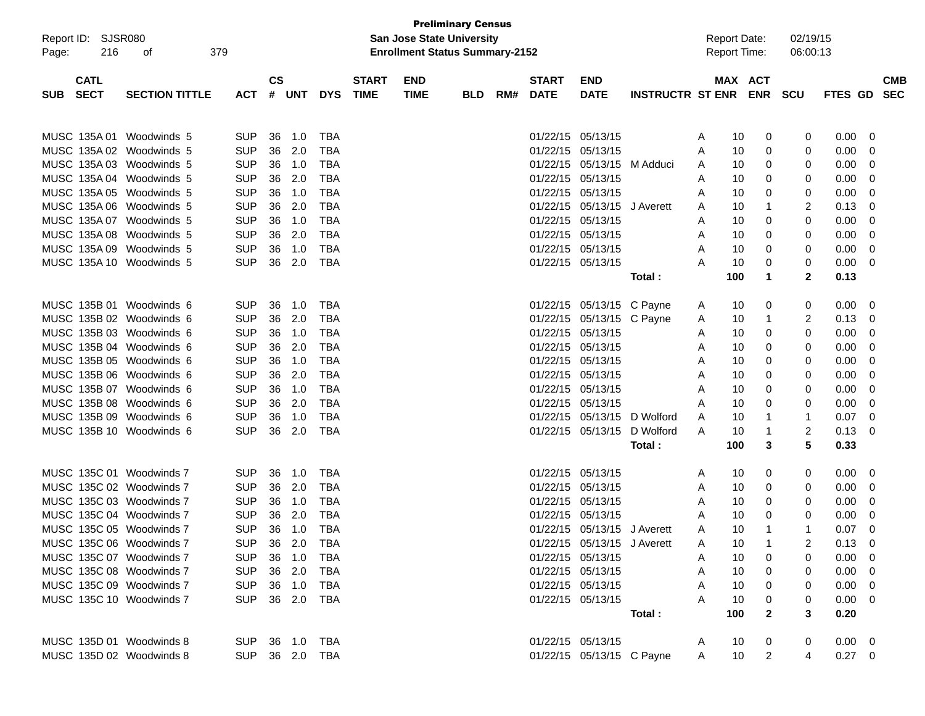|                          |                       |                |                        |        |            |                                  |                                       | <b>Preliminary Census</b> |     |                   |                             |                             |                     |                     |                |                |                |            |
|--------------------------|-----------------------|----------------|------------------------|--------|------------|----------------------------------|---------------------------------------|---------------------------|-----|-------------------|-----------------------------|-----------------------------|---------------------|---------------------|----------------|----------------|----------------|------------|
| Report ID: SJSR080       |                       |                |                        |        |            | <b>San Jose State University</b> |                                       |                           |     |                   |                             |                             | <b>Report Date:</b> |                     | 02/19/15       |                |                |            |
| 216<br>Page:             | 379<br>οf             |                |                        |        |            |                                  | <b>Enrollment Status Summary-2152</b> |                           |     |                   |                             |                             |                     | <b>Report Time:</b> |                | 06:00:13       |                |            |
|                          |                       |                |                        |        |            |                                  |                                       |                           |     |                   |                             |                             |                     |                     |                |                |                |            |
| <b>CATL</b>              |                       |                | $\mathbf{c}\mathbf{s}$ |        |            | <b>START</b>                     | <b>END</b>                            |                           |     | <b>START</b>      | <b>END</b>                  |                             |                     | MAX ACT             |                |                |                | <b>CMB</b> |
| <b>SECT</b><br>SUB.      | <b>SECTION TITTLE</b> | <b>ACT</b>     |                        | # UNT  | <b>DYS</b> | <b>TIME</b>                      | <b>TIME</b>                           | <b>BLD</b>                | RM# | <b>DATE</b>       | <b>DATE</b>                 | <b>INSTRUCTR ST ENR</b>     |                     |                     | <b>ENR</b>     | <b>SCU</b>     | FTES GD        | <b>SEC</b> |
|                          |                       |                |                        |        |            |                                  |                                       |                           |     |                   |                             |                             |                     |                     |                |                |                |            |
|                          |                       |                |                        |        |            |                                  |                                       |                           |     |                   |                             |                             |                     |                     |                |                |                |            |
| MUSC 135A 01 Woodwinds 5 |                       | <b>SUP</b>     | 36                     | 1.0    | TBA        |                                  |                                       |                           |     | 01/22/15 05/13/15 |                             |                             | A                   | 10                  | 0              | 0              | 0.00           | - 0        |
| MUSC 135A 02 Woodwinds 5 |                       | <b>SUP</b>     | 36                     | 2.0    | TBA        |                                  |                                       |                           |     | 01/22/15 05/13/15 |                             |                             | A                   | 10                  | 0              | 0              | 0.00           | -0         |
| MUSC 135A 03 Woodwinds 5 |                       | <b>SUP</b>     | 36                     | 1.0    | TBA        |                                  |                                       |                           |     |                   | 01/22/15 05/13/15 M Adduci  |                             | A                   | 10                  | 0              | 0              | 0.00           | -0         |
| MUSC 135A 04 Woodwinds 5 |                       | <b>SUP</b>     | 36                     | 2.0    | <b>TBA</b> |                                  |                                       |                           |     | 01/22/15 05/13/15 |                             |                             | A                   | 10                  | 0              | 0              | 0.00           | -0         |
| MUSC 135A 05 Woodwinds 5 |                       | <b>SUP</b>     | 36                     | 1.0    | <b>TBA</b> |                                  |                                       |                           |     | 01/22/15 05/13/15 |                             |                             | A                   | 10                  | 0              | 0              | 0.00           | -0         |
| MUSC 135A 06 Woodwinds 5 |                       | <b>SUP</b>     | 36                     | 2.0    | TBA        |                                  |                                       |                           |     |                   | 01/22/15 05/13/15           | J Averett                   | A                   | 10                  | 1              | 2              | 0.13           | 0          |
| MUSC 135A 07 Woodwinds 5 |                       | <b>SUP</b>     | 36                     | 1.0    | TBA        |                                  |                                       |                           |     | 01/22/15 05/13/15 |                             |                             | A                   | 10                  | 0              | 0              | 0.00           | -0         |
| MUSC 135A 08 Woodwinds 5 |                       | <b>SUP</b>     | 36                     | 2.0    | <b>TBA</b> |                                  |                                       |                           |     | 01/22/15 05/13/15 |                             |                             | A                   | 10                  | 0              | 0              | 0.00           | -0         |
| MUSC 135A 09 Woodwinds 5 |                       | <b>SUP</b>     | 36                     | 1.0    | <b>TBA</b> |                                  |                                       |                           |     | 01/22/15 05/13/15 |                             |                             | A                   | 10                  | 0              | 0              | 0.00           | -0         |
| MUSC 135A 10 Woodwinds 5 |                       | <b>SUP</b>     | 36                     | 2.0    | <b>TBA</b> |                                  |                                       |                           |     |                   | 01/22/15 05/13/15           |                             | A                   | 10                  | 0              | 0              | 0.00           | -0         |
|                          |                       |                |                        |        |            |                                  |                                       |                           |     |                   |                             | Total :                     |                     | 100                 | 1              | $\mathbf{2}$   | 0.13           |            |
|                          |                       |                |                        |        |            |                                  |                                       |                           |     |                   |                             |                             |                     |                     |                |                |                |            |
| MUSC 135B 01 Woodwinds 6 |                       | <b>SUP</b>     | 36                     | 1.0    | TBA        |                                  |                                       |                           |     |                   | 01/22/15 05/13/15 C Payne   |                             | A                   | 10                  | 0              | 0              | 0.00           | - 0        |
| MUSC 135B 02 Woodwinds 6 |                       | <b>SUP</b>     | 36                     | 2.0    | TBA        |                                  |                                       |                           |     |                   | 01/22/15 05/13/15 C Payne   |                             | A                   | 10                  | 1              | 2              | 0.13           | - 0        |
| MUSC 135B 03 Woodwinds 6 |                       | <b>SUP</b>     | 36                     | 1.0    | TBA        |                                  |                                       |                           |     | 01/22/15 05/13/15 |                             |                             | A                   | 10                  | 0              | 0              | 0.00           | -0         |
| MUSC 135B 04 Woodwinds 6 |                       | <b>SUP</b>     | 36                     | 2.0    | TBA        |                                  |                                       |                           |     | 01/22/15 05/13/15 |                             |                             | A                   | 10                  | 0              | 0              | 0.00           | -0         |
| MUSC 135B 05 Woodwinds 6 |                       | <b>SUP</b>     | 36                     | 1.0    | TBA        |                                  |                                       |                           |     | 01/22/15 05/13/15 |                             |                             | A                   | 10                  | 0              | 0              | 0.00           | -0         |
| MUSC 135B 06 Woodwinds 6 |                       | <b>SUP</b>     | 36                     | 2.0    | TBA        |                                  |                                       |                           |     | 01/22/15 05/13/15 |                             |                             | A                   | 10                  | 0              | 0              | 0.00           | -0         |
| MUSC 135B 07 Woodwinds 6 |                       | <b>SUP</b>     | 36                     | 1.0    | <b>TBA</b> |                                  |                                       |                           |     | 01/22/15 05/13/15 |                             |                             | A                   | 10                  | 0              | 0              | 0.00           | -0         |
| MUSC 135B 08 Woodwinds 6 |                       | <b>SUP</b>     | 36                     | 2.0    | <b>TBA</b> |                                  |                                       |                           |     | 01/22/15 05/13/15 |                             |                             | A                   | 10                  | 0              | 0              | 0.00           | -0         |
| MUSC 135B 09 Woodwinds 6 |                       | <b>SUP</b>     | 36                     | 1.0    | TBA        |                                  |                                       |                           |     |                   |                             | 01/22/15 05/13/15 D Wolford | A                   | 10                  |                | -1             | 0.07           | 0          |
| MUSC 135B 10 Woodwinds 6 |                       | <b>SUP</b>     | 36                     | 2.0    | TBA        |                                  |                                       |                           |     |                   | 01/22/15 05/13/15           | D Wolford                   | A                   | 10                  |                | 2              | 0.13           | 0          |
|                          |                       |                |                        |        |            |                                  |                                       |                           |     |                   |                             | Total :                     |                     | 100                 | 3              | 5              | 0.33           |            |
|                          |                       |                |                        |        |            |                                  |                                       |                           |     |                   |                             |                             |                     |                     |                |                |                |            |
| MUSC 135C 01 Woodwinds 7 |                       | <b>SUP</b>     | 36                     | 1.0    | TBA        |                                  |                                       |                           |     | 01/22/15 05/13/15 |                             |                             | A                   | 10                  | 0              | 0              | $0.00\,$       | - 0        |
| MUSC 135C 02 Woodwinds 7 |                       | <b>SUP</b>     | 36                     | 2.0    | TBA        |                                  |                                       |                           |     | 01/22/15 05/13/15 |                             |                             | A                   | 10                  | 0              | 0              | 0.00           | -0         |
| MUSC 135C 03 Woodwinds 7 |                       | <b>SUP</b>     | 36                     | 1.0    | TBA        |                                  |                                       |                           |     | 01/22/15 05/13/15 |                             |                             | A                   | 10                  | 0              | 0              | 0.00           | -0         |
| MUSC 135C 04 Woodwinds 7 |                       | <b>SUP</b>     | 36                     | 2.0    | TBA        |                                  |                                       |                           |     | 01/22/15 05/13/15 |                             |                             | A                   | 10                  | 0              | 0              | 0.00           | -0         |
| MUSC 135C 05 Woodwinds 7 |                       | <b>SUP</b>     | 36                     | 1.0    | <b>TBA</b> |                                  |                                       |                           |     |                   | 01/22/15 05/13/15 J Averett |                             | A                   | 10                  |                | -1             | 0.07           | -0         |
| MUSC 135C 06 Woodwinds 7 |                       | <b>SUP</b>     |                        | 36 2.0 | TBA        |                                  |                                       |                           |     |                   | 01/22/15 05/13/15 J Averett |                             | A                   | 10                  |                |                | 0.13           | 0          |
| MUSC 135C 07 Woodwinds 7 |                       | SUP 36 1.0 TBA |                        |        |            |                                  |                                       |                           |     |                   | 01/22/15 05/13/15           |                             | A                   | 10                  | $\mathbf{0}$   | 0              | $0.00 \t 0$    |            |
| MUSC 135C 08 Woodwinds 7 |                       | SUP 36 2.0 TBA |                        |        |            |                                  |                                       |                           |     |                   | 01/22/15 05/13/15           |                             | A                   | 10                  | $\mathbf 0$    | 0              | $0.00 \t 0$    |            |
| MUSC 135C 09 Woodwinds 7 |                       | SUP 36 1.0 TBA |                        |        |            |                                  |                                       |                           |     |                   | 01/22/15 05/13/15           |                             | A                   | 10                  | $\mathbf{0}$   | 0              | $0.00 \quad 0$ |            |
| MUSC 135C 10 Woodwinds 7 |                       | SUP 36 2.0 TBA |                        |        |            |                                  |                                       |                           |     |                   | 01/22/15 05/13/15           |                             | A                   | 10                  | $\mathbf{0}$   | 0              | $0.00 \quad 0$ |            |
|                          |                       |                |                        |        |            |                                  |                                       |                           |     |                   |                             | Total:                      |                     | 100                 | $\mathbf{2}$   | 3              | 0.20           |            |
|                          |                       |                |                        |        |            |                                  |                                       |                           |     |                   |                             |                             |                     |                     |                |                |                |            |
| MUSC 135D 01 Woodwinds 8 |                       | SUP 36 1.0 TBA |                        |        |            |                                  |                                       |                           |     |                   | 01/22/15 05/13/15           |                             | A                   | 10                  | 0              | $\mathbf{0}$   | $0.00 \quad 0$ |            |
| MUSC 135D 02 Woodwinds 8 |                       | SUP 36 2.0 TBA |                        |        |            |                                  |                                       |                           |     |                   |                             | 01/22/15 05/13/15 C Payne   | $A \quad \Box$      | 10                  | $\overline{2}$ | $\overline{4}$ | $0.27 \ 0$     |            |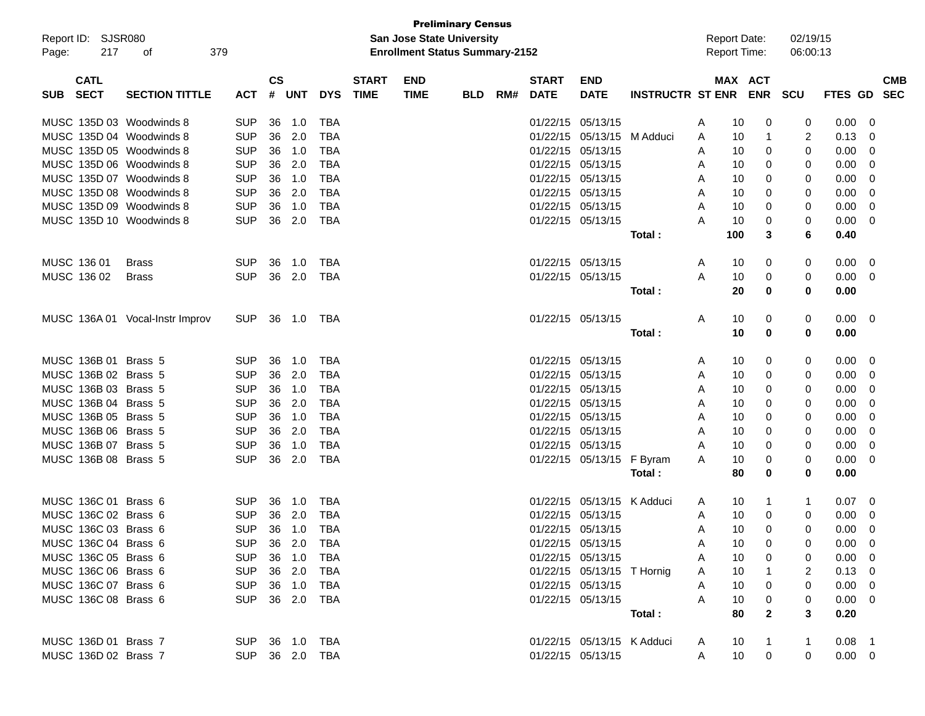|            |                      |                                 |                |               |            |            |              |                                       | <b>Preliminary Census</b> |     |                   |                            |                          |   |                     |              |          |                |                |            |
|------------|----------------------|---------------------------------|----------------|---------------|------------|------------|--------------|---------------------------------------|---------------------------|-----|-------------------|----------------------------|--------------------------|---|---------------------|--------------|----------|----------------|----------------|------------|
|            | Report ID: SJSR080   |                                 |                |               |            |            |              | <b>San Jose State University</b>      |                           |     |                   |                            |                          |   | <b>Report Date:</b> |              | 02/19/15 |                |                |            |
| Page:      | 217                  | 379<br>οf                       |                |               |            |            |              | <b>Enrollment Status Summary-2152</b> |                           |     |                   |                            |                          |   | <b>Report Time:</b> |              | 06:00:13 |                |                |            |
|            |                      |                                 |                |               |            |            |              |                                       |                           |     |                   |                            |                          |   |                     |              |          |                |                |            |
|            | <b>CATL</b>          |                                 |                | $\mathsf{cs}$ |            |            | <b>START</b> | <b>END</b>                            |                           |     | <b>START</b>      | <b>END</b>                 |                          |   | MAX ACT             |              |          |                |                | <b>CMB</b> |
| <b>SUB</b> | <b>SECT</b>          | <b>SECTION TITTLE</b>           | ACT            | #             | <b>UNT</b> | <b>DYS</b> | <b>TIME</b>  | <b>TIME</b>                           | <b>BLD</b>                | RM# | <b>DATE</b>       | <b>DATE</b>                | INSTRUCTR ST ENR ENR SCU |   |                     |              |          | <b>FTES GD</b> |                | SEC        |
|            |                      | MUSC 135D 03 Woodwinds 8        | <b>SUP</b>     | 36            | 1.0        | TBA        |              |                                       |                           |     |                   | 01/22/15 05/13/15          |                          | A | 10                  | 0            | 0        | 0.00           | 0              |            |
|            |                      | MUSC 135D 04 Woodwinds 8        | <b>SUP</b>     | 36            | 2.0        | TBA        |              |                                       |                           |     |                   | 01/22/15 05/13/15 M Adduci |                          |   | 10                  | 1            |          | 0.13           | 0              |            |
|            |                      | MUSC 135D 05 Woodwinds 8        | <b>SUP</b>     | 36            | 1.0        | TBA        |              |                                       |                           |     | 01/22/15 05/13/15 |                            |                          | A | 10                  |              | 2<br>0   | 0.00           | 0              |            |
|            |                      | MUSC 135D 06 Woodwinds 8        |                | 36            | 2.0        | TBA        |              |                                       |                           |     |                   | 01/22/15 05/13/15          |                          | A |                     | 0            |          |                | 0              |            |
|            |                      |                                 | <b>SUP</b>     |               |            |            |              |                                       |                           |     |                   |                            |                          | A | 10                  | 0            | 0        | 0.00           |                |            |
|            |                      | MUSC 135D 07 Woodwinds 8        | <b>SUP</b>     | 36            | 1.0        | TBA        |              |                                       |                           |     |                   | 01/22/15 05/13/15          |                          | A | 10                  | 0            | 0        | 0.00           | 0              |            |
|            |                      | MUSC 135D 08 Woodwinds 8        | <b>SUP</b>     | 36            | 2.0        | TBA        |              |                                       |                           |     |                   | 01/22/15 05/13/15          |                          | A | 10                  | 0            | 0        | 0.00           | 0              |            |
|            |                      | MUSC 135D 09 Woodwinds 8        | <b>SUP</b>     | 36            | 1.0        | TBA        |              |                                       |                           |     | 01/22/15 05/13/15 |                            |                          | A | 10                  | 0            | 0        | 0.00           | 0              |            |
|            |                      | MUSC 135D 10 Woodwinds 8        | <b>SUP</b>     | 36            | 2.0        | TBA        |              |                                       |                           |     |                   | 01/22/15 05/13/15          |                          | A | 10                  | 0            | 0        | 0.00           | 0              |            |
|            |                      |                                 |                |               |            |            |              |                                       |                           |     |                   |                            | Total:                   |   | 100                 | 3            | 6        | 0.40           |                |            |
|            | MUSC 136 01          | <b>Brass</b>                    | <b>SUP</b>     | 36            | 1.0        | TBA        |              |                                       |                           |     | 01/22/15 05/13/15 |                            |                          | A | 10                  | 0            | 0        | 0.00           | 0              |            |
|            | MUSC 136 02          | <b>Brass</b>                    | <b>SUP</b>     | 36            | 2.0        | TBA        |              |                                       |                           |     |                   | 01/22/15 05/13/15          |                          | A | 10                  | 0            | 0        | 0.00           | 0              |            |
|            |                      |                                 |                |               |            |            |              |                                       |                           |     |                   |                            | Total:                   |   | 20                  | 0            | 0        | 0.00           |                |            |
|            |                      |                                 |                |               |            |            |              |                                       |                           |     |                   |                            |                          |   |                     |              |          |                |                |            |
|            |                      | MUSC 136A 01 Vocal-Instr Improv | <b>SUP</b>     |               | 36 1.0     | TBA        |              |                                       |                           |     |                   | 01/22/15 05/13/15          |                          | A | 10                  | 0            | 0        | 0.00           | 0              |            |
|            |                      |                                 |                |               |            |            |              |                                       |                           |     |                   |                            | Total:                   |   | 10                  | 0            | 0        | 0.00           |                |            |
|            |                      |                                 |                |               |            |            |              |                                       |                           |     |                   |                            |                          |   |                     |              |          |                |                |            |
|            | MUSC 136B 01 Brass 5 |                                 | <b>SUP</b>     | 36            | 1.0        | TBA        |              |                                       |                           |     | 01/22/15 05/13/15 |                            |                          | A | 10                  | 0            | 0        | 0.00           | 0              |            |
|            | MUSC 136B 02 Brass 5 |                                 | <b>SUP</b>     | 36            | 2.0        | TBA        |              |                                       |                           |     |                   | 01/22/15 05/13/15          |                          | A | 10                  | 0            | 0        | 0.00           | 0              |            |
|            | MUSC 136B 03 Brass 5 |                                 | <b>SUP</b>     | 36            | 1.0        | TBA        |              |                                       |                           |     |                   | 01/22/15 05/13/15          |                          | A | 10                  | 0            | 0        | 0.00           | 0              |            |
|            | MUSC 136B 04 Brass 5 |                                 | <b>SUP</b>     | 36            | 2.0        | TBA        |              |                                       |                           |     |                   | 01/22/15 05/13/15          |                          | A | 10                  | 0            | 0        | 0.00           | 0              |            |
|            | MUSC 136B 05 Brass 5 |                                 | <b>SUP</b>     | 36            | 1.0        | TBA        |              |                                       |                           |     |                   | 01/22/15 05/13/15          |                          | A | 10                  | 0            | 0        | 0.00           | 0              |            |
|            | MUSC 136B 06 Brass 5 |                                 | <b>SUP</b>     | 36            | 2.0        | TBA        |              |                                       |                           |     |                   | 01/22/15 05/13/15          |                          | A | 10                  | 0            | 0        | 0.00           | 0              |            |
|            | MUSC 136B 07 Brass 5 |                                 | <b>SUP</b>     | 36            | 1.0        | TBA        |              |                                       |                           |     |                   | 01/22/15 05/13/15          |                          | A | 10                  | 0            | 0        | 0.00           | 0              |            |
|            | MUSC 136B 08 Brass 5 |                                 | <b>SUP</b>     | 36            | 2.0        | TBA        |              |                                       |                           |     |                   | 01/22/15 05/13/15 F Byram  |                          | A | 10                  | 0            | 0        | 0.00           | 0              |            |
|            |                      |                                 |                |               |            |            |              |                                       |                           |     |                   |                            | Total :                  |   | 80                  | 0            | 0        | 0.00           |                |            |
|            |                      |                                 |                |               |            |            |              |                                       |                           |     |                   |                            |                          |   |                     |              |          |                |                |            |
|            | MUSC 136C 01 Brass 6 |                                 | SUP.           | 36            | 1.0        | TBA        |              |                                       |                           |     |                   | 01/22/15 05/13/15 K Adduci |                          | A | 10                  | 1            | 1        | 0.07           | $\overline{0}$ |            |
|            | MUSC 136C 02 Brass 6 |                                 | <b>SUP</b>     | 36            | 2.0        | TBA        |              |                                       |                           |     |                   | 01/22/15 05/13/15          |                          | A | 10                  | 0            | 0        | 0.00           | 0              |            |
|            | MUSC 136C 03 Brass 6 |                                 | <b>SUP</b>     |               | 36 1.0     | TBA        |              |                                       |                           |     |                   | 01/22/15 05/13/15          |                          | A | 10                  | 0            | 0        | 0.00           | 0              |            |
|            | MUSC 136C 04 Brass 6 |                                 | SUP 36 2.0     |               |            | <b>TBA</b> |              |                                       |                           |     | 01/22/15 05/13/15 |                            |                          | Α | $10$                | 0            |          | $0.00 \t 0$    |                |            |
|            | MUSC 136C 05 Brass 6 |                                 | <b>SUP</b>     |               | 36 1.0     | TBA        |              |                                       |                           |     |                   | 01/22/15 05/13/15          |                          | A | 10                  | 0            |          | 0.00           | $\overline{0}$ |            |
|            | MUSC 136C 06 Brass 6 |                                 | <b>SUP</b>     |               | 36 2.0     | TBA        |              |                                       |                           |     |                   | 01/22/15 05/13/15 T Hornig |                          | A | 10                  |              | 2        | 0.13           | $\overline{0}$ |            |
|            | MUSC 136C 07 Brass 6 |                                 | <b>SUP</b>     |               | 36 1.0     | TBA        |              |                                       |                           |     |                   | 01/22/15 05/13/15          |                          | A | 10                  | 0            | 0        | 0.00           | $\overline{0}$ |            |
|            | MUSC 136C 08 Brass 6 |                                 | SUP 36 2.0 TBA |               |            |            |              |                                       |                           |     |                   | 01/22/15 05/13/15          |                          | A | 10                  | 0            | 0        | 0.00           | $\overline{0}$ |            |
|            |                      |                                 |                |               |            |            |              |                                       |                           |     |                   |                            | Total:                   |   | 80                  | $\mathbf{2}$ | 3        | 0.20           |                |            |
|            |                      |                                 |                |               |            |            |              |                                       |                           |     |                   |                            |                          |   |                     |              |          |                |                |            |
|            | MUSC 136D 01 Brass 7 |                                 | SUP 36 1.0 TBA |               |            |            |              |                                       |                           |     |                   | 01/22/15 05/13/15 K Adduci |                          | A | 10                  |              |          | $0.08$ 1       |                |            |
|            | MUSC 136D 02 Brass 7 |                                 | SUP 36 2.0 TBA |               |            |            |              |                                       |                           |     |                   | 01/22/15 05/13/15          |                          | A | 10                  | 0            | 0        | $0.00 \t 0$    |                |            |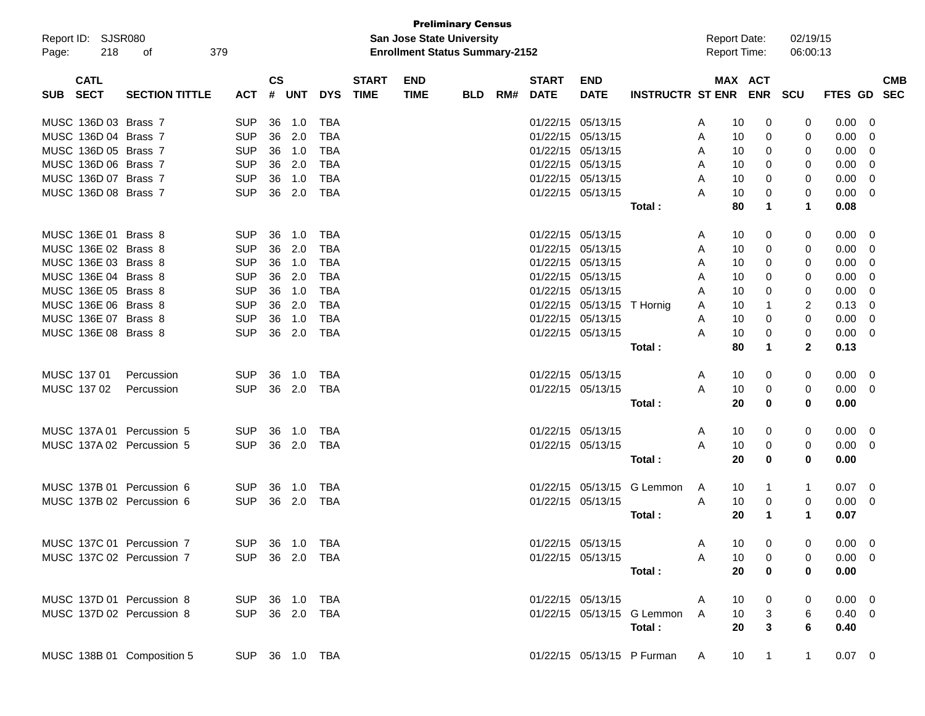|            |                      |                            |                |               |            |            |              |                                       | <b>Preliminary Census</b> |     |                   |                            |                              |                     |                                   |                      |                |                         |            |
|------------|----------------------|----------------------------|----------------|---------------|------------|------------|--------------|---------------------------------------|---------------------------|-----|-------------------|----------------------------|------------------------------|---------------------|-----------------------------------|----------------------|----------------|-------------------------|------------|
|            | Report ID: SJSR080   |                            |                |               |            |            |              | <b>San Jose State University</b>      |                           |     |                   |                            |                              | <b>Report Date:</b> |                                   | 02/19/15             |                |                         |            |
| Page:      | 218                  | οf                         | 379            |               |            |            |              | <b>Enrollment Status Summary-2152</b> |                           |     |                   |                            |                              | Report Time:        |                                   | 06:00:13             |                |                         |            |
|            | <b>CATL</b>          |                            |                | $\mathsf{cs}$ |            |            | <b>START</b> | <b>END</b>                            |                           |     | <b>START</b>      | <b>END</b>                 |                              |                     | MAX ACT                           |                      |                |                         | <b>CMB</b> |
| <b>SUB</b> | <b>SECT</b>          | <b>SECTION TITTLE</b>      | <b>ACT</b>     | #             | <b>UNT</b> | <b>DYS</b> | <b>TIME</b>  | <b>TIME</b>                           | <b>BLD</b>                | RM# | <b>DATE</b>       | <b>DATE</b>                | <b>INSTRUCTR ST ENR ENR</b>  |                     |                                   | <b>SCU</b>           | FTES GD SEC    |                         |            |
|            | MUSC 136D 03 Brass 7 |                            | <b>SUP</b>     | 36            | 1.0        | TBA        |              |                                       |                           |     | 01/22/15 05/13/15 |                            |                              | A                   | 10<br>0                           | 0                    | 0.00           | 0                       |            |
|            | MUSC 136D 04 Brass 7 |                            | <b>SUP</b>     |               | 36 2.0     | TBA        |              |                                       |                           |     | 01/22/15 05/13/15 |                            |                              | A                   | 10<br>0                           | 0                    | 0.00           | $\mathbf 0$             |            |
|            | MUSC 136D 05 Brass 7 |                            | <b>SUP</b>     |               | 36 1.0     | <b>TBA</b> |              |                                       |                           |     | 01/22/15 05/13/15 |                            |                              | A                   | 0<br>10                           | 0                    | 0.00           | $\mathbf 0$             |            |
|            | MUSC 136D 06 Brass 7 |                            | <b>SUP</b>     |               | 36 2.0     | <b>TBA</b> |              |                                       |                           |     | 01/22/15 05/13/15 |                            |                              | A                   | 10<br>0                           | 0                    | 0.00           | 0                       |            |
|            | MUSC 136D 07 Brass 7 |                            | <b>SUP</b>     | 36            | 1.0        | <b>TBA</b> |              |                                       |                           |     | 01/22/15 05/13/15 |                            |                              | A                   | 0<br>10                           | 0                    | 0.00           | 0                       |            |
|            | MUSC 136D 08 Brass 7 |                            | <b>SUP</b>     | 36            | 2.0        | <b>TBA</b> |              |                                       |                           |     | 01/22/15 05/13/15 |                            |                              | A                   | 0<br>10                           | 0                    | 0.00           | 0                       |            |
|            |                      |                            |                |               |            |            |              |                                       |                           |     |                   |                            | Total:                       |                     | 80<br>$\mathbf 1$                 | $\mathbf 1$          | 0.08           |                         |            |
|            | MUSC 136E 01 Brass 8 |                            | <b>SUP</b>     | 36            | 1.0        | TBA        |              |                                       |                           |     | 01/22/15 05/13/15 |                            |                              | A                   | 10<br>0                           | 0                    | 0.00           | - 0                     |            |
|            | MUSC 136E 02 Brass 8 |                            | <b>SUP</b>     |               | 36 2.0     | TBA        |              |                                       |                           |     | 01/22/15 05/13/15 |                            |                              | A                   | 10<br>0                           | 0                    | 0.00           | $\overline{0}$          |            |
|            | MUSC 136E 03 Brass 8 |                            | <b>SUP</b>     |               | 36 1.0     | <b>TBA</b> |              |                                       |                           |     | 01/22/15 05/13/15 |                            |                              | A                   | 0<br>10                           | 0                    | 0.00           | $\mathbf 0$             |            |
|            | MUSC 136E 04 Brass 8 |                            | <b>SUP</b>     |               | 36 2.0     | <b>TBA</b> |              |                                       |                           |     | 01/22/15 05/13/15 |                            |                              | A                   | 10<br>0                           | 0                    | 0.00           | 0                       |            |
|            | MUSC 136E 05 Brass 8 |                            | <b>SUP</b>     |               | 36 1.0     | <b>TBA</b> |              |                                       |                           |     | 01/22/15 05/13/15 |                            |                              | A                   | 0<br>10                           | 0                    | 0.00           | 0                       |            |
|            | MUSC 136E 06 Brass 8 |                            | <b>SUP</b>     |               | 36 2.0     | <b>TBA</b> |              |                                       |                           |     |                   | 01/22/15 05/13/15 T Hornig |                              | A                   | 10<br>-1                          | 2                    | 0.13           | 0                       |            |
|            | MUSC 136E 07 Brass 8 |                            | <b>SUP</b>     |               | 36 1.0     | <b>TBA</b> |              |                                       |                           |     | 01/22/15 05/13/15 |                            |                              | A                   | 0<br>10                           | 0                    | 0.00           | 0                       |            |
|            | MUSC 136E 08 Brass 8 |                            | <b>SUP</b>     |               | 36 2.0     | <b>TBA</b> |              |                                       |                           |     | 01/22/15 05/13/15 |                            |                              | A                   | 0<br>10                           | 0                    | 0.00           | 0                       |            |
|            |                      |                            |                |               |            |            |              |                                       |                           |     |                   |                            | Total:                       |                     | 80<br>$\mathbf 1$                 | $\mathbf{2}$         | 0.13           |                         |            |
|            | MUSC 137 01          | Percussion                 | <b>SUP</b>     | 36            | 1.0        | TBA        |              |                                       |                           |     | 01/22/15 05/13/15 |                            |                              | A                   | 10<br>0                           | 0                    | 0.00           | - 0                     |            |
|            | MUSC 137 02          | Percussion                 | <b>SUP</b>     |               | 36 2.0     | TBA        |              |                                       |                           |     |                   | 01/22/15 05/13/15          |                              | A                   | 10<br>0                           | 0                    | $0.00 \t 0$    |                         |            |
|            |                      |                            |                |               |            |            |              |                                       |                           |     |                   |                            | Total:                       |                     | 20<br>$\mathbf 0$                 | 0                    | 0.00           |                         |            |
|            |                      | MUSC 137A 01 Percussion 5  | <b>SUP</b>     | 36            | 1.0        | TBA        |              |                                       |                           |     | 01/22/15 05/13/15 |                            |                              | A                   | 10<br>0                           | 0                    | 0.00           | - 0                     |            |
|            |                      | MUSC 137A 02 Percussion 5  | <b>SUP</b>     |               | 36 2.0     | TBA        |              |                                       |                           |     |                   | 01/22/15 05/13/15          |                              | A                   | 10<br>0                           | 0                    | $0.00 \t 0$    |                         |            |
|            |                      |                            |                |               |            |            |              |                                       |                           |     |                   |                            | Total:                       |                     | 20<br>$\mathbf 0$                 | 0                    | 0.00           |                         |            |
|            |                      | MUSC 137B 01 Percussion 6  | <b>SUP</b>     | 36            | $-1.0$     | TBA        |              |                                       |                           |     |                   | 01/22/15 05/13/15          | G Lemmon                     | A                   | 10<br>$\mathbf 1$                 | $\mathbf{1}$         | $0.07 \quad 0$ |                         |            |
|            |                      | MUSC 137B 02 Percussion 6  | <b>SUP</b>     |               | 36 2.0     | TBA        |              |                                       |                           |     |                   | 01/22/15 05/13/15          |                              | A<br>10             | 0                                 | 0                    | 0.00           | $\overline{\mathbf{0}}$ |            |
|            |                      |                            |                |               |            |            |              |                                       |                           |     |                   |                            | Total:                       |                     | 20<br>$\mathbf 1$                 | $\blacktriangleleft$ | 0.07           |                         |            |
|            |                      | MUSC 137C 01 Percussion 7  | SUP 36 1.0 TBA |               |            |            |              |                                       |                           |     |                   | 01/22/15 05/13/15          |                              | A                   | $10 \qquad 0$                     | $\overline{0}$       | $0.00 \t 0$    |                         |            |
|            |                      | MUSC 137C 02 Percussion 7  | SUP 36 2.0 TBA |               |            |            |              |                                       |                           |     |                   | 01/22/15 05/13/15          |                              | A                   | 10<br>0                           | 0                    | $0.00 \quad 0$ |                         |            |
|            |                      |                            |                |               |            |            |              |                                       |                           |     |                   |                            | Total:                       |                     | 20<br>$\mathbf 0$                 | 0                    | 0.00           |                         |            |
|            |                      | MUSC 137D 01 Percussion 8  | SUP 36 1.0 TBA |               |            |            |              |                                       |                           |     |                   | 01/22/15 05/13/15          |                              | A                   | 10<br>$\mathbf 0$                 | 0                    | $0.00 \quad 0$ |                         |            |
|            |                      | MUSC 137D 02 Percussion 8  | SUP 36 2.0 TBA |               |            |            |              |                                       |                           |     |                   |                            | 01/22/15 05/13/15 G Lemmon A |                     | $\overline{\mathbf{3}}$<br>10     | 6                    | $0.40 \ 0$     |                         |            |
|            |                      |                            |                |               |            |            |              |                                       |                           |     |                   |                            | Total:                       |                     | $\overline{\mathbf{3}}$<br>20     | 6                    | 0.40           |                         |            |
|            |                      |                            |                |               |            |            |              |                                       |                           |     |                   |                            |                              |                     |                                   |                      |                |                         |            |
|            |                      | MUSC 138B 01 Composition 5 | SUP 36 1.0 TBA |               |            |            |              |                                       |                           |     |                   |                            | 01/22/15 05/13/15 P Furman   | A                   | 10 <sup>°</sup><br>$\overline{1}$ | $\mathbf 1$          | $0.07 \ 0$     |                         |            |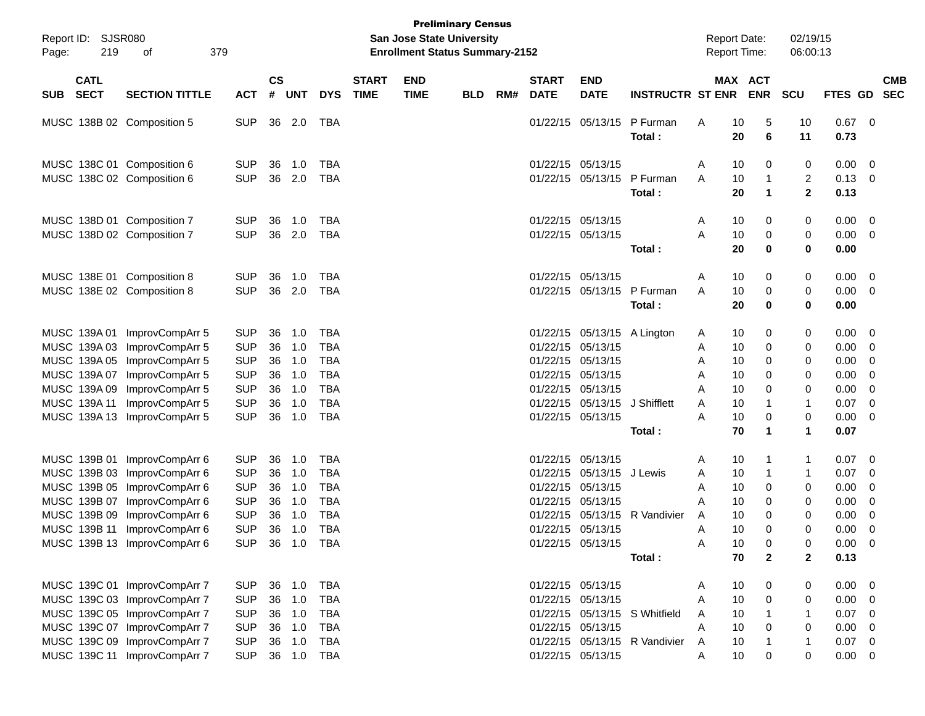| Report ID: SJSR080<br>219<br>Page:<br>379<br>оf |                                                              |                                                                                                                              |                                                      | <b>Preliminary Census</b><br><b>San Jose State University</b><br><b>Enrollment Status Summary-2152</b> |                                      |                                                      |                             |                           |            |     |                             |                                                                                   |                               | <b>Report Date:</b><br><b>Report Time:</b> |                            | 02/19/15<br>06:00:13                       |                                     |                                                           |                          |
|-------------------------------------------------|--------------------------------------------------------------|------------------------------------------------------------------------------------------------------------------------------|------------------------------------------------------|--------------------------------------------------------------------------------------------------------|--------------------------------------|------------------------------------------------------|-----------------------------|---------------------------|------------|-----|-----------------------------|-----------------------------------------------------------------------------------|-------------------------------|--------------------------------------------|----------------------------|--------------------------------------------|-------------------------------------|-----------------------------------------------------------|--------------------------|
| <b>SUB</b>                                      | <b>CATL</b><br><b>SECT</b>                                   | <b>SECTION TITTLE</b>                                                                                                        | <b>ACT</b>                                           | $\mathsf{cs}$<br>#                                                                                     | <b>UNT</b>                           | <b>DYS</b>                                           | <b>START</b><br><b>TIME</b> | <b>END</b><br><b>TIME</b> | <b>BLD</b> | RM# | <b>START</b><br><b>DATE</b> | <b>END</b><br><b>DATE</b>                                                         | <b>INSTRUCTR ST ENR</b>       |                                            | MAX ACT<br><b>ENR</b>      | <b>SCU</b>                                 | <b>FTES GD</b>                      |                                                           | <b>CMB</b><br><b>SEC</b> |
|                                                 |                                                              | MUSC 138B 02 Composition 5                                                                                                   | <b>SUP</b>                                           |                                                                                                        | 36 2.0                               | TBA                                                  |                             |                           |            |     |                             | 01/22/15 05/13/15                                                                 | P Furman<br>Total:            | Α<br>10<br>20                              | 5<br>6                     | 10<br>11                                   | $0.67$ 0<br>0.73                    |                                                           |                          |
|                                                 |                                                              | MUSC 138C 01 Composition 6<br>MUSC 138C 02 Composition 6                                                                     | <b>SUP</b><br><b>SUP</b>                             | 36<br>36                                                                                               | 1.0<br>2.0                           | TBA<br><b>TBA</b>                                    |                             |                           |            |     |                             | 01/22/15 05/13/15<br>01/22/15 05/13/15                                            | P Furman<br>Total:            | 10<br>A<br>10<br>A<br>20                   | 0<br>1<br>1                | 0<br>$\overline{c}$<br>$\mathbf{2}$        | 0.00<br>0.13<br>0.13                | $\overline{0}$<br>0                                       |                          |
|                                                 |                                                              | MUSC 138D 01 Composition 7<br>MUSC 138D 02 Composition 7                                                                     | <b>SUP</b><br><b>SUP</b>                             | 36<br>36                                                                                               | 1.0<br>2.0                           | <b>TBA</b><br><b>TBA</b>                             |                             |                           |            |     |                             | 01/22/15 05/13/15<br>01/22/15 05/13/15                                            | Total:                        | 10<br>A<br>10<br>A<br>20                   | 0<br>0<br>0                | 0<br>0<br>$\mathbf 0$                      | 0.00<br>0.00<br>0.00                | $\overline{0}$<br>0                                       |                          |
|                                                 |                                                              | MUSC 138E 01 Composition 8<br>MUSC 138E 02 Composition 8                                                                     | <b>SUP</b><br><b>SUP</b>                             | 36<br>36                                                                                               | 1.0<br>2.0                           | TBA<br><b>TBA</b>                                    |                             |                           |            |     |                             | 01/22/15 05/13/15<br>01/22/15 05/13/15                                            | P Furman<br>Total:            | 10<br>A<br>10<br>A<br>20                   | 0<br>0<br>0                | 0<br>0<br>$\mathbf 0$                      | 0.00<br>0.00<br>0.00                | 0<br>0                                                    |                          |
|                                                 | MUSC 139A 01<br>MUSC 139A03<br>MUSC 139A 05                  | ImprovCompArr 5<br>ImprovCompArr 5<br>ImprovCompArr 5<br>ImprovCompArr 5                                                     | <b>SUP</b><br><b>SUP</b><br><b>SUP</b><br><b>SUP</b> | 36<br>36<br>36<br>36                                                                                   | 1.0<br>1.0<br>1.0<br>1.0             | <b>TBA</b><br><b>TBA</b><br><b>TBA</b><br><b>TBA</b> |                             |                           |            |     | 01/22/15                    | 01/22/15 05/13/15 A Lington<br>05/13/15<br>01/22/15 05/13/15<br>01/22/15 05/13/15 |                               | 10<br>A<br>10<br>A<br>10<br>A<br>10        | 0<br>0<br>0<br>0           | 0<br>0<br>0                                | 0.00<br>0.00<br>0.00<br>0.00        | 0<br>0<br>0<br>0                                          |                          |
|                                                 | MUSC 139A 07<br>MUSC 139A 09<br>MUSC 139A 11<br>MUSC 139A 13 | ImprovCompArr 5<br>ImprovCompArr 5<br>ImprovCompArr 5                                                                        | <b>SUP</b><br><b>SUP</b><br><b>SUP</b>               | 36<br>36<br>36                                                                                         | 1.0<br>1.0<br>1.0                    | <b>TBA</b><br><b>TBA</b><br><b>TBA</b>               |                             |                           |            |     |                             | 01/22/15 05/13/15<br>01/22/15 05/13/15<br>01/22/15 05/13/15                       | J Shifflett                   | A<br>10<br>A<br>10<br>A<br>10<br>Α<br>70   | 0<br>1<br>0<br>$\mathbf 1$ | 0<br>0<br>$\mathbf{1}$<br>$\mathbf 0$<br>1 | 0.00<br>0.07<br>0.00<br>0.07        | 0<br>0<br>0                                               |                          |
|                                                 | MUSC 139B 01<br>MUSC 139B 03                                 | ImprovCompArr 6<br>ImprovCompArr 6                                                                                           | <b>SUP</b><br><b>SUP</b>                             | 36<br>36                                                                                               | 1.0<br>1.0                           | <b>TBA</b><br><b>TBA</b>                             |                             |                           |            |     | 01/22/15<br>01/22/15        | 05/13/15<br>05/13/15                                                              | Total:<br>J Lewis             | 10<br>A<br>10<br>A                         | 1<br>1                     | 1<br>$\mathbf 1$                           | 0.07<br>0.07                        | $\overline{0}$<br>0                                       |                          |
|                                                 | MUSC 139B 09                                                 | MUSC 139B 05 ImprovCompArr 6<br>MUSC 139B 07 ImprovCompArr 6<br>ImprovCompArr 6<br>MUSC 139B 11 ImprovCompArr 6              | <b>SUP</b><br><b>SUP</b><br><b>SUP</b><br><b>SUP</b> | 36<br>36<br>36<br>36                                                                                   | 1.0<br>1.0<br>1.0<br>1.0             | <b>TBA</b><br><b>TBA</b><br><b>TBA</b><br><b>TBA</b> |                             |                           |            |     | 01/22/15                    | 01/22/15 05/13/15<br>01/22/15 05/13/15<br>05/13/15<br>01/22/15 05/13/15           | R Vandivier                   | 10<br>Α<br>10<br>А<br>10<br>A<br>10<br>A   | 0<br>0<br>0<br>$\Omega$    | 0<br>0<br>0<br>0                           | 0.00<br>0.00<br>0.00<br>0.00        | 0<br>0<br>0<br>0                                          |                          |
|                                                 |                                                              | MUSC 139B 13 ImprovCompArr 6                                                                                                 |                                                      |                                                                                                        | SUP 36 1.0 TBA                       |                                                      |                             |                           |            |     |                             | 01/22/15 05/13/15                                                                 | Total:                        | Α<br>10<br>70                              | 0<br>$\overline{2}$        | 0<br>$\mathbf{2}$                          | $0.00 \t 0$<br>0.13                 |                                                           |                          |
|                                                 |                                                              | MUSC 139C 01 ImprovCompArr 7<br>MUSC 139C 03 ImprovCompArr 7<br>MUSC 139C 05 ImprovCompArr 7<br>MUSC 139C 07 ImprovCompArr 7 | <b>SUP</b><br><b>SUP</b><br><b>SUP</b><br><b>SUP</b> |                                                                                                        | 36 1.0<br>36 1.0<br>36 1.0<br>36 1.0 | TBA<br>TBA<br>TBA<br><b>TBA</b>                      |                             |                           |            |     |                             | 01/22/15 05/13/15<br>01/22/15 05/13/15<br>01/22/15 05/13/15                       | 01/22/15 05/13/15 S Whitfield | 10<br>A<br>10<br>A<br>10<br>A<br>10<br>A   | 0<br>0<br>0                | 0<br>0<br>$\mathbf{1}$<br>0                | $0.00 \t 0$<br>0.00<br>0.07<br>0.00 | $\overline{\phantom{0}}$<br>$\overline{\phantom{0}}$<br>0 |                          |
|                                                 |                                                              | MUSC 139C 09 ImprovCompArr 7<br>MUSC 139C 11 ImprovCompArr 7                                                                 | <b>SUP</b><br>SUP                                    |                                                                                                        | 36 1.0<br>36 1.0 TBA                 | <b>TBA</b>                                           |                             |                           |            |     |                             | 01/22/15 05/13/15                                                                 | 01/22/15 05/13/15 R Vandivier | 10<br>A<br>10<br>A                         | 0                          | $\mathbf{1}$<br>0                          | $0.07$ 0<br>$0.00 \t 0$             |                                                           |                          |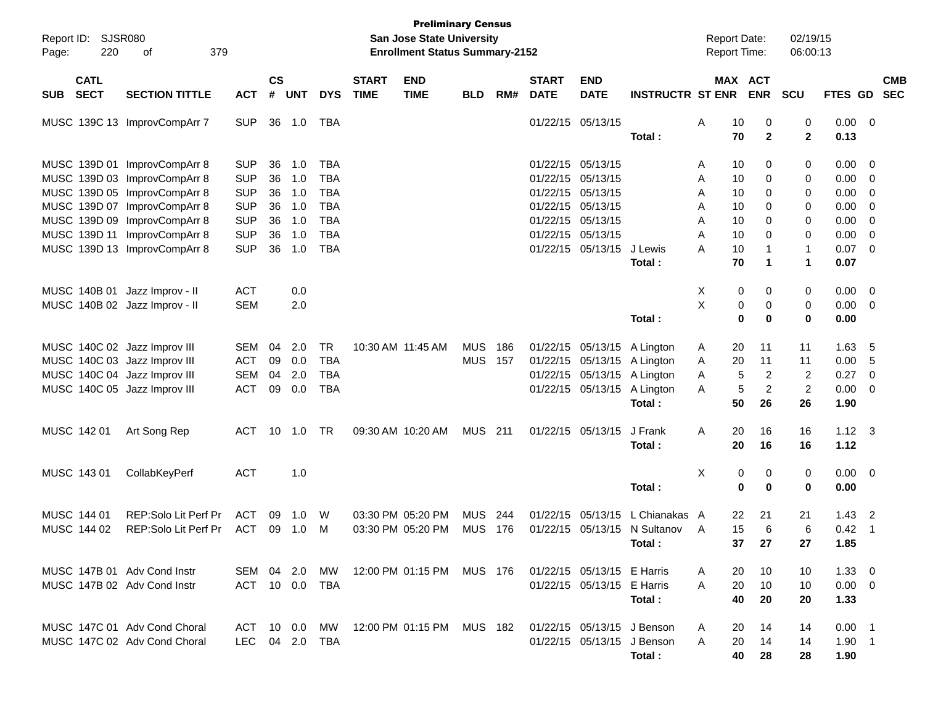| Report ID:<br>Page: | SJSR080<br>220             | 379<br>οf                     |            |                |              |            |                             | <b>Preliminary Census</b><br>San Jose State University<br><b>Enrollment Status Summary-2152</b> |                |     |                             |                            |                              | <b>Report Date:</b><br>Report Time: |                       | 02/19/15<br>06:00:13 |                |                            |
|---------------------|----------------------------|-------------------------------|------------|----------------|--------------|------------|-----------------------------|-------------------------------------------------------------------------------------------------|----------------|-----|-----------------------------|----------------------------|------------------------------|-------------------------------------|-----------------------|----------------------|----------------|----------------------------|
| <b>SUB</b>          | <b>CATL</b><br><b>SECT</b> | <b>SECTION TITTLE</b>         | <b>ACT</b> | <b>CS</b><br># | <b>UNT</b>   | <b>DYS</b> | <b>START</b><br><b>TIME</b> | <b>END</b><br><b>TIME</b>                                                                       | <b>BLD</b>     | RM# | <b>START</b><br><b>DATE</b> | <b>END</b><br><b>DATE</b>  | <b>INSTRUCTR ST ENR</b>      |                                     | MAX ACT<br><b>ENR</b> | <b>SCU</b>           |                | <b>CMB</b><br>FTES GD SEC  |
|                     |                            | MUSC 139C 13 ImprovCompArr 7  | <b>SUP</b> | 36             | 1.0          | TBA        |                             |                                                                                                 |                |     |                             | 01/22/15 05/13/15          | Total:                       | Α<br>10<br>70                       | 0<br>$\overline{2}$   | 0<br>$\mathbf{2}$    | 0.00<br>0.13   | $\overline{\mathbf{0}}$    |
|                     |                            |                               |            |                |              |            |                             |                                                                                                 |                |     |                             |                            |                              |                                     |                       |                      |                |                            |
|                     |                            | MUSC 139D 01 ImprovCompArr 8  | <b>SUP</b> | 36             | 1.0          | <b>TBA</b> |                             |                                                                                                 |                |     |                             | 01/22/15 05/13/15          |                              | 10<br>Α                             | 0                     | 0                    | 0.00           | 0                          |
|                     |                            | MUSC 139D 03 ImprovCompArr 8  | <b>SUP</b> | 36             | 1.0          | <b>TBA</b> |                             |                                                                                                 |                |     | 01/22/15                    | 05/13/15                   |                              | Α<br>10                             | 0                     | 0                    | 0.00           | 0                          |
|                     |                            | MUSC 139D 05 ImprovCompArr 8  | <b>SUP</b> | 36             | 1.0          | <b>TBA</b> |                             |                                                                                                 |                |     | 01/22/15                    | 05/13/15                   |                              | Α<br>10                             | 0                     | 0                    | 0.00           | 0                          |
|                     |                            | MUSC 139D 07 ImprovCompArr 8  | <b>SUP</b> | 36             | 1.0          | <b>TBA</b> |                             |                                                                                                 |                |     |                             | 01/22/15 05/13/15          |                              | Α<br>10                             | 0                     | 0                    | 0.00           | 0                          |
|                     |                            | MUSC 139D 09 ImprovCompArr 8  | <b>SUP</b> | 36             | 1.0          | <b>TBA</b> |                             |                                                                                                 |                |     |                             | 01/22/15 05/13/15          |                              | Α<br>10                             | 0                     | 0                    | 0.00           | 0                          |
|                     | MUSC 139D 11               | ImprovCompArr 8               | <b>SUP</b> | 36             | 1.0          | <b>TBA</b> |                             |                                                                                                 |                |     |                             | 01/22/15 05/13/15          |                              | A<br>10                             | 0                     | 0                    | 0.00           | 0                          |
|                     |                            | MUSC 139D 13 ImprovCompArr 8  | <b>SUP</b> | 36             | 1.0          | <b>TBA</b> |                             |                                                                                                 |                |     |                             | 01/22/15 05/13/15          | J Lewis                      | А<br>10                             | 1                     | $\mathbf{1}$         | 0.07           | 0                          |
|                     |                            |                               |            |                |              |            |                             |                                                                                                 |                |     |                             |                            | Total:                       | 70                                  | 1                     | $\mathbf 1$          | 0.07           |                            |
|                     | MUSC 140B 01               | Jazz Improv - II              | <b>ACT</b> |                | 0.0          |            |                             |                                                                                                 |                |     |                             |                            |                              | X                                   | 0<br>0                | 0                    | 0.00           | $\overline{0}$             |
|                     |                            | MUSC 140B 02 Jazz Improv - II | <b>SEM</b> |                | 2.0          |            |                             |                                                                                                 |                |     |                             |                            |                              | X                                   | $\pmb{0}$<br>0        | 0                    | 0.00           | $\overline{0}$             |
|                     |                            |                               |            |                |              |            |                             |                                                                                                 |                |     |                             |                            | Total:                       |                                     | $\mathbf 0$<br>0      | $\bf{0}$             | 0.00           |                            |
|                     |                            | MUSC 140C 02 Jazz Improv III  | <b>SEM</b> | 04             | 2.0          | <b>TR</b>  |                             | 10:30 AM 11:45 AM                                                                               | MUS            | 186 |                             | 01/22/15 05/13/15          | A Lington                    | 20<br>A                             | 11                    | 11                   | 1.63           | 5                          |
|                     |                            | MUSC 140C 03 Jazz Improv III  | <b>ACT</b> | 09             | 0.0          | <b>TBA</b> |                             |                                                                                                 | <b>MUS</b>     | 157 |                             | 01/22/15 05/13/15          | A Lington                    | 20<br>Α                             | 11                    | 11                   | 0.00           | 5                          |
|                     |                            | MUSC 140C 04 Jazz Improv III  | <b>SEM</b> | 04             | 2.0          | <b>TBA</b> |                             |                                                                                                 |                |     |                             | 01/22/15 05/13/15          | A Lington                    | Α                                   | $\overline{c}$<br>5   | $\overline{2}$       | 0.27           | 0                          |
|                     |                            | MUSC 140C 05 Jazz Improv III  | <b>ACT</b> | 09             | 0.0          | <b>TBA</b> |                             |                                                                                                 |                |     |                             | 01/22/15 05/13/15          | A Lington                    | A                                   | 5<br>$\overline{c}$   | $\overline{2}$       | 0.00           | 0                          |
|                     |                            |                               |            |                |              |            |                             |                                                                                                 |                |     |                             |                            | Total:                       | 50                                  | 26                    | 26                   | 1.90           |                            |
|                     | MUSC 142 01                |                               | ACT        | 10             |              | TR         |                             | 09:30 AM 10:20 AM                                                                               | <b>MUS</b> 211 |     |                             | 01/22/15 05/13/15          | J Frank                      | A<br>20                             | 16                    | 16                   | $1.12 \quad 3$ |                            |
|                     |                            | Art Song Rep                  |            |                | 1.0          |            |                             |                                                                                                 |                |     |                             |                            | Total:                       | 20                                  | 16                    | 16                   | 1.12           |                            |
|                     |                            |                               |            |                |              |            |                             |                                                                                                 |                |     |                             |                            |                              |                                     |                       |                      |                |                            |
|                     | MUSC 143 01                | CollabKeyPerf                 | ACT        |                | 1.0          |            |                             |                                                                                                 |                |     |                             |                            |                              | X                                   | 0<br>0                | 0                    | 0.00           | $\overline{\mathbf{0}}$    |
|                     |                            |                               |            |                |              |            |                             |                                                                                                 |                |     |                             |                            | Total:                       |                                     | $\bf{0}$<br>$\bf{0}$  | $\bf{0}$             | 0.00           |                            |
|                     | MUSC 144 01                | REP:Solo Lit Perf Pr          | ACT        | 09             | 1.0          | W          |                             | 03:30 PM 05:20 PM                                                                               | <b>MUS</b>     | 244 | 01/22/15                    | 05/13/15                   | L Chianakas                  | 22<br>A                             | 21                    | 21                   | 1.43           | $\overline{2}$             |
|                     | MUSC 144 02                | REP:Solo Lit Perf Pr          | <b>ACT</b> | 09             | 1.0          | M          |                             | 03:30 PM 05:20 PM                                                                               | <b>MUS</b>     | 176 |                             |                            | 01/22/15 05/13/15 N Sultanov | 15<br>A                             | 6                     | 6                    | 0.42           | $\overline{\phantom{0}}$ 1 |
|                     |                            |                               |            |                |              |            |                             |                                                                                                 |                |     |                             |                            | Total:                       |                                     | 37 27                 | 27                   | 1.85           |                            |
|                     |                            |                               |            |                |              |            |                             |                                                                                                 |                |     |                             |                            |                              |                                     |                       |                      |                |                            |
|                     |                            | MUSC 147B 01 Adv Cond Instr   | SEM 04 2.0 |                |              | MW.        |                             | 12:00 PM 01:15 PM                                                                               | MUS 176        |     |                             | 01/22/15 05/13/15 E Harris |                              | 20<br>A                             | 10                    | 10                   | $1.33 \ 0$     |                            |
|                     |                            | MUSC 147B 02 Adv Cond Instr   | ACT 10 0.0 |                |              | TBA        |                             |                                                                                                 |                |     |                             | 01/22/15 05/13/15 E Harris |                              | 20<br>A                             | 10                    | 10                   | $0.00 \t 0$    |                            |
|                     |                            |                               |            |                |              |            |                             |                                                                                                 |                |     |                             |                            | Total:                       | 40                                  | 20                    | 20                   | 1.33           |                            |
|                     |                            | MUSC 147C 01 Adv Cond Choral  | ACT 10 0.0 |                |              | MW.        |                             | 12:00 PM 01:15 PM                                                                               | MUS 182        |     |                             |                            | 01/22/15 05/13/15 J Benson   | A<br>20                             | 14                    | 14                   | $0.00$ 1       |                            |
|                     |                            | MUSC 147C 02 Adv Cond Choral  | LEC        |                | 04  2.0  TBA |            |                             |                                                                                                 |                |     |                             |                            | 01/22/15 05/13/15 J Benson   | A<br>20                             | 14                    | 14                   | $1.90$ 1       |                            |
|                     |                            |                               |            |                |              |            |                             |                                                                                                 |                |     |                             |                            | Total:                       | 40                                  | 28                    | 28                   | 1.90           |                            |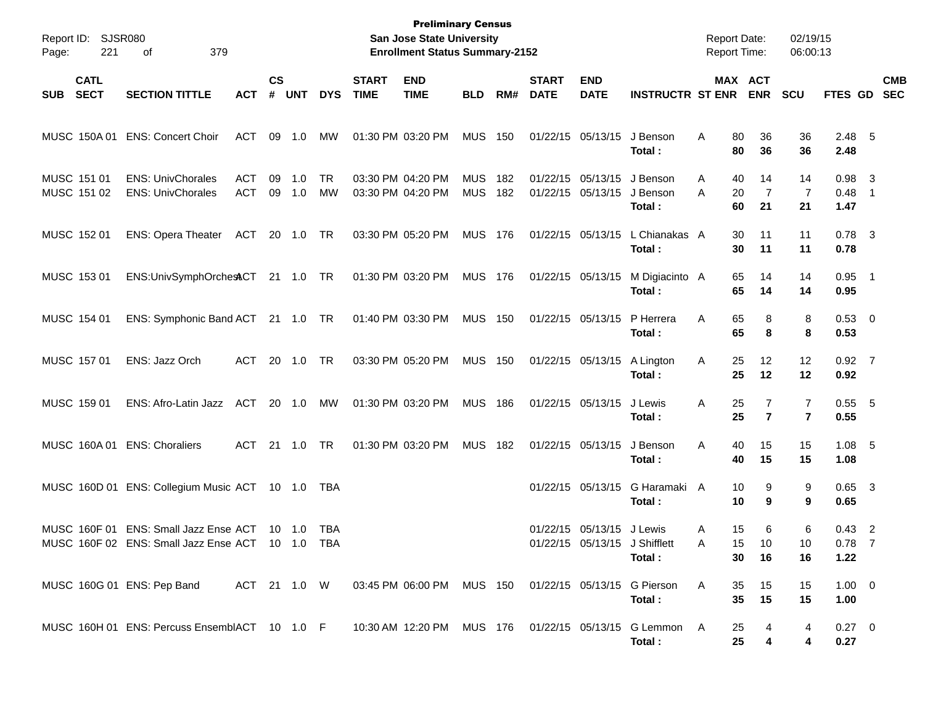| Report ID:<br>221<br>Page:               | SJSR080<br>379<br>οf                                                                                 |                          |                    |                |                 |                             | <b>Preliminary Census</b><br>San Jose State University<br><b>Enrollment Status Summary-2152</b> |                          |            |                             |                           |                                                    | <b>Report Date:</b><br>Report Time: |                                 | 02/19/15<br>06:00:13 |                              |                          |
|------------------------------------------|------------------------------------------------------------------------------------------------------|--------------------------|--------------------|----------------|-----------------|-----------------------------|-------------------------------------------------------------------------------------------------|--------------------------|------------|-----------------------------|---------------------------|----------------------------------------------------|-------------------------------------|---------------------------------|----------------------|------------------------------|--------------------------|
| <b>CATL</b><br><b>SECT</b><br><b>SUB</b> | <b>SECTION TITTLE</b>                                                                                | <b>ACT</b>               | $\mathsf{cs}$<br># | <b>UNT</b>     | <b>DYS</b>      | <b>START</b><br><b>TIME</b> | <b>END</b><br><b>TIME</b>                                                                       | <b>BLD</b>               | RM#        | <b>START</b><br><b>DATE</b> | <b>END</b><br><b>DATE</b> | <b>INSTRUCTR ST ENR</b>                            |                                     | MAX ACT<br><b>ENR</b>           | <b>SCU</b>           | FTES GD                      | <b>CMB</b><br><b>SEC</b> |
| MUSC 150A 01                             | <b>ENS: Concert Choir</b>                                                                            | ACT                      | 09                 | 1.0            | МW              |                             | 01:30 PM 03:20 PM                                                                               | <b>MUS</b>               | 150        |                             | 01/22/15 05/13/15         | J Benson<br>Total:                                 | Α                                   | 80<br>36<br>80<br>36            | 36<br>36             | 2.48 5<br>2.48               |                          |
| MUSC 151 01<br>MUSC 151 02               | <b>ENS: UnivChorales</b><br><b>ENS: UnivChorales</b>                                                 | <b>ACT</b><br><b>ACT</b> | 09<br>09           | 1.0<br>1.0     | <b>TR</b><br>MW |                             | 03:30 PM 04:20 PM<br>03:30 PM 04:20 PM                                                          | <b>MUS</b><br><b>MUS</b> | 182<br>182 | 01/22/15 05/13/15           | 01/22/15 05/13/15         | J Benson<br>J Benson<br>Total:                     | A<br>A                              | 14<br>40<br>7<br>20<br>60<br>21 | 14<br>7<br>21        | $0.98$ 3<br>$0.48$ 1<br>1.47 |                          |
| MUSC 152 01                              | ENS: Opera Theater ACT 20 1.0 TR                                                                     |                          |                    |                |                 |                             | 03:30 PM 05:20 PM                                                                               | <b>MUS 176</b>           |            |                             | 01/22/15 05/13/15         | L Chianakas A<br>Total:                            |                                     | 30<br>11<br>30<br>11            | 11<br>11             | $0.78$ 3<br>0.78             |                          |
| MUSC 153 01                              | ENS:UnivSymphOrchestCT 21 1.0 TR                                                                     |                          |                    |                |                 |                             | 01:30 PM 03:20 PM                                                                               | <b>MUS 176</b>           |            | 01/22/15 05/13/15           |                           | M Digiacinto A<br>Total:                           |                                     | 14<br>65<br>65<br>14            | 14<br>14             | $0.95$ 1<br>0.95             |                          |
| MUSC 154 01                              | ENS: Symphonic Band ACT 21 1.0 TR                                                                    |                          |                    |                |                 |                             | 01:40 PM 03:30 PM                                                                               | <b>MUS 150</b>           |            |                             | 01/22/15 05/13/15         | P Herrera<br>Total:                                | A                                   | 65<br>8<br>65<br>8              | 8<br>8               | 0.53 0<br>0.53               |                          |
| MUSC 157 01                              | ENS: Jazz Orch                                                                                       | ACT                      |                    | 20 1.0         | TR              |                             | 03:30 PM 05:20 PM                                                                               | <b>MUS 150</b>           |            |                             | 01/22/15 05/13/15         | A Lington<br>Total:                                | Α                                   | 25<br>12<br>25<br>12            | 12<br>12             | $0.92$ 7<br>0.92             |                          |
| MUSC 159 01                              | ENS: Afro-Latin Jazz                                                                                 | ACT                      |                    | 20 1.0         | МW              |                             | 01:30 PM 03:20 PM                                                                               | <b>MUS 186</b>           |            |                             | 01/22/15 05/13/15         | J Lewis<br>Total:                                  | Α                                   | 25<br>7<br>25<br>$\overline{7}$ | 7<br>$\overline{7}$  | $0.55$ 5<br>0.55             |                          |
| MUSC 160A01                              | <b>ENS: Choraliers</b>                                                                               | ACT                      |                    | 21  1.0        | TR              |                             | 01:30 PM 03:20 PM                                                                               | MUS 182                  |            |                             | 01/22/15 05/13/15         | J Benson<br>Total:                                 | Α                                   | 40<br>15<br>40<br>15            | 15<br>15             | $1.08$ 5<br>1.08             |                          |
|                                          | MUSC 160D 01 ENS: Collegium Music ACT 10 1.0                                                         |                          |                    |                | TBA             |                             |                                                                                                 |                          |            |                             | 01/22/15 05/13/15         | G Haramaki A<br>Total:                             |                                     | 10<br>9<br>10<br>9              | 9<br>9               | $0.65$ 3<br>0.65             |                          |
| MUSC 160F 01                             | <b>ENS: Small Jazz Ense ACT</b><br>MUSC 160F 02 ENS: Small Jazz Ense ACT 10 1.0 TBA                  |                          |                    | $10 \quad 1.0$ | TBA             |                             |                                                                                                 |                          |            |                             | 01/22/15 05/13/15         | J Lewis<br>01/22/15 05/13/15 J Shifflett<br>Total: | Α<br>A                              | 15<br>6<br>15<br>10<br>30<br>16 | 6<br>10<br>16        | $0.43$ 2<br>$0.78$ 7<br>1.22 |                          |
|                                          | MUSC 160G 01 ENS: Pep Band                                                                           |                          |                    |                |                 |                             | ACT 21 1.0 W  03:45 PM  06:00 PM  MUS  150  01/22/15  05/13/15  G  Pierson                      |                          |            |                             |                           | Total:                                             | A                                   | 35<br>15<br>35<br>15            | 15<br>15             | $1.00 \t 0$<br>1.00          |                          |
|                                          | MUSC 160H 01 ENS: Percuss EnsemblACT 10 1.0 F 10:30 AM 12:20 PM MUS 176 01/22/15 05/13/15 G Lemmon A |                          |                    |                |                 |                             |                                                                                                 |                          |            |                             |                           | Total:                                             |                                     | 25<br>4<br>25<br>4              | 4<br>4               | $0.27 \quad 0$<br>0.27       |                          |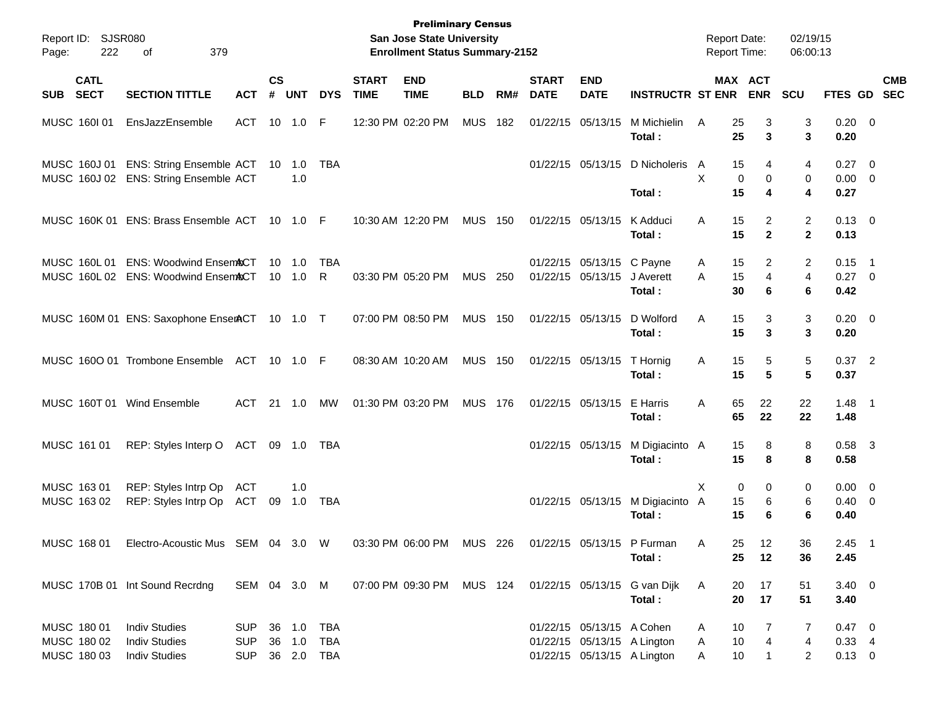| Page:      | Report ID: SJSR080<br>222                 | 379<br>of                                                                             |                                        |                | <b>Preliminary Census</b><br>San Jose State University<br><b>Enrollment Status Summary-2152</b> |                  |                             |                                                      |                |     | <b>Report Date:</b><br><b>Report Time:</b> |                                                | 02/19/15<br>06:00:13                                       |                                 |                          |                                |                                       |                           |
|------------|-------------------------------------------|---------------------------------------------------------------------------------------|----------------------------------------|----------------|-------------------------------------------------------------------------------------------------|------------------|-----------------------------|------------------------------------------------------|----------------|-----|--------------------------------------------|------------------------------------------------|------------------------------------------------------------|---------------------------------|--------------------------|--------------------------------|---------------------------------------|---------------------------|
| <b>SUB</b> | <b>CATL</b><br><b>SECT</b>                | <b>SECTION TITTLE</b>                                                                 | <b>ACT</b>                             | <b>CS</b><br># | <b>UNT</b>                                                                                      | <b>DYS</b>       | <b>START</b><br><b>TIME</b> | <b>END</b><br><b>TIME</b>                            | <b>BLD</b>     | RM# | <b>START</b><br><b>DATE</b>                | <b>END</b><br><b>DATE</b>                      | <b>INSTRUCTR ST ENR</b>                                    |                                 | MAX ACT<br><b>ENR</b>    | SCU                            |                                       | <b>CMB</b><br>FTES GD SEC |
|            | MUSC 160101                               | EnsJazzEnsemble                                                                       | ACT 10 1.0                             |                |                                                                                                 | -F               |                             | 12:30 PM 02:20 PM                                    | <b>MUS</b>     | 182 |                                            | 01/22/15 05/13/15                              | M Michielin<br>Total:                                      | 25<br>A<br>25                   | 3<br>3                   | 3<br>3                         | $0.20 \ 0$<br>0.20                    |                           |
|            |                                           | MUSC 160J 01 ENS: String Ensemble ACT 10 1.0<br>MUSC 160J 02 ENS: String Ensemble ACT |                                        |                | 1.0                                                                                             | TBA              |                             |                                                      |                |     |                                            | 01/22/15 05/13/15                              | D Nicholeris<br>Total:                                     | 15<br>A<br>X<br>15              | 4<br>0<br>0<br>4         | 4<br>0<br>4                    | $0.27 \ 0$<br>$0.00 \t 0$<br>0.27     |                           |
|            |                                           | MUSC 160K 01 ENS: Brass Ensemble ACT 10 1.0 F                                         |                                        |                |                                                                                                 |                  |                             | 10:30 AM 12:20 PM                                    | <b>MUS 150</b> |     |                                            | 01/22/15 05/13/15                              | K Adduci<br>Total:                                         | 15<br>A<br>15                   | 2<br>$\mathbf{2}$        | $\overline{c}$<br>$\mathbf{2}$ | $0.13 \quad 0$<br>0.13                |                           |
|            |                                           | MUSC 160L 01 ENS: Woodwind EnsemACT<br>MUSC 160L 02 ENS: Woodwind EnsemACT            |                                        | 10             | 1.0<br>10 1.0                                                                                   | <b>TBA</b><br>R. |                             | 03:30 PM 05:20 PM                                    | MUS 250        |     |                                            | 01/22/15 05/13/15 C Payne<br>01/22/15 05/13/15 | J Averett<br>Total:                                        | 15<br>A<br>15<br>A<br>30        | 2<br>$\overline{4}$<br>6 | 2<br>4<br>6                    | $0.15$ 1<br>$0.27$ 0<br>0.42          |                           |
|            |                                           | MUSC 160M 01 ENS: Saxophone EnserACT 10 1.0 T                                         |                                        |                |                                                                                                 |                  |                             | 07:00 PM 08:50 PM                                    | <b>MUS 150</b> |     |                                            | 01/22/15 05/13/15                              | D Wolford<br>Total:                                        | 15<br>A<br>15                   | 3<br>3                   | 3<br>3                         | $0.20 \ 0$<br>0.20                    |                           |
|            |                                           | MUSC 1600 01 Trombone Ensemble ACT 10 1.0 F                                           |                                        |                |                                                                                                 |                  |                             | 08:30 AM 10:20 AM                                    | <b>MUS 150</b> |     |                                            | 01/22/15 05/13/15                              | T Hornig<br>Total:                                         | 15<br>Α<br>15                   | 5<br>$5\phantom{.0}$     | 5<br>5                         | $0.37$ 2<br>0.37                      |                           |
|            |                                           | MUSC 160T 01 Wind Ensemble                                                            | <b>ACT</b>                             |                | 21 1.0                                                                                          | MW               |                             | 01:30 PM 03:20 PM                                    | <b>MUS 176</b> |     |                                            | 01/22/15 05/13/15                              | E Harris<br>Total:                                         | 65<br>A<br>65                   | 22<br>22                 | 22<br>22                       | $1.48$ 1<br>1.48                      |                           |
|            | MUSC 161 01                               | REP: Styles Interp O ACT 09 1.0 TBA                                                   |                                        |                |                                                                                                 |                  |                             |                                                      |                |     |                                            | 01/22/15 05/13/15                              | M Digiacinto A<br>Total:                                   | 15<br>15                        | 8<br>8                   | 8<br>8                         | $0.58$ 3<br>0.58                      |                           |
|            | MUSC 163 01<br>MUSC 163 02                | REP: Styles Intrp Op<br>REP: Styles Intrp Op                                          | <b>ACT</b><br>ACT                      | 09             | 1.0<br>1.0                                                                                      | TBA              |                             |                                                      |                |     |                                            | 01/22/15 05/13/15                              | M Digiacinto<br>Total:                                     | X<br>15<br>A<br>15              | 0<br>0<br>6<br>6         | 0<br>6<br>6                    | $0.00 \t 0$<br>$0.40 \quad 0$<br>0.40 |                           |
|            |                                           | MUSC 168 01 Electro-Acoustic Mus SEM 04 3.0 W                                         |                                        |                |                                                                                                 |                  |                             | 03:30 PM 06:00 PM MUS 226 01/22/15 05/13/15 P Furman |                |     |                                            |                                                | Total:                                                     | 25<br>A<br>25                   | 12<br>12                 | 36<br>36                       | $2.45$ 1<br>2.45                      |                           |
|            |                                           | MUSC 170B 01 Int Sound Recrdng                                                        | SEM 04 3.0 M                           |                |                                                                                                 |                  |                             | 07:00 PM 09:30 PM MUS 124                            |                |     |                                            |                                                | 01/22/15 05/13/15 G van Dijk<br>Total:                     | 20<br>A<br>20                   | 17<br>17                 | 51<br>51                       | $3.40 \ 0$<br>3.40                    |                           |
|            | MUSC 180 01<br>MUSC 180 02<br>MUSC 180 03 | <b>Indiv Studies</b><br><b>Indiv Studies</b><br><b>Indiv Studies</b>                  | <b>SUP</b><br><b>SUP</b><br><b>SUP</b> |                | 36  1.0  TBA<br>36 1.0 TBA                                                                      | 36 2.0 TBA       |                             |                                                      |                |     |                                            | 01/22/15 05/13/15 A Cohen                      | 01/22/15 05/13/15 A Lington<br>01/22/15 05/13/15 A Lington | 10<br>A<br>$10$<br>Α<br>10<br>Α | 7<br>4<br>$\mathbf{1}$   | 7<br>4<br>$\overline{c}$       | 0.47 0<br>$0.33 + 4$<br>$0.13 \ 0$    |                           |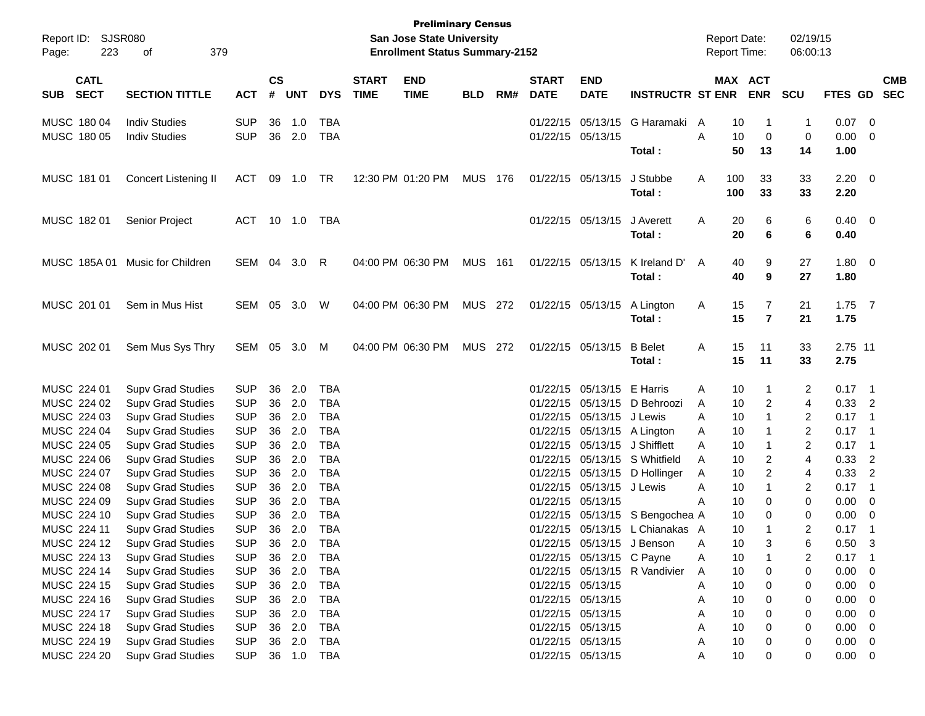| Report ID:<br>223<br>Page:               | SJSR080<br>379<br>οf                         |                          |                |            |                   |                             | <b>Preliminary Census</b><br><b>San Jose State University</b><br><b>Enrollment Status Summary-2152</b> |            |     |                             |                                        |                                 | <b>Report Date:</b><br><b>Report Time:</b> |                       | 02/19/15<br>06:00:13 |              |                                 |
|------------------------------------------|----------------------------------------------|--------------------------|----------------|------------|-------------------|-----------------------------|--------------------------------------------------------------------------------------------------------|------------|-----|-----------------------------|----------------------------------------|---------------------------------|--------------------------------------------|-----------------------|----------------------|--------------|---------------------------------|
| <b>CATL</b><br><b>SECT</b><br><b>SUB</b> | <b>SECTION TITTLE</b>                        | <b>ACT</b>               | <b>CS</b><br># | <b>UNT</b> | <b>DYS</b>        | <b>START</b><br><b>TIME</b> | <b>END</b><br><b>TIME</b>                                                                              | <b>BLD</b> | RM# | <b>START</b><br><b>DATE</b> | <b>END</b><br><b>DATE</b>              | <b>INSTRUCTR ST ENR</b>         |                                            | MAX ACT<br><b>ENR</b> | <b>SCU</b>           | FTES GD      | <b>CMB</b><br><b>SEC</b>        |
|                                          |                                              |                          |                |            |                   |                             |                                                                                                        |            |     |                             |                                        |                                 |                                            |                       |                      |              |                                 |
| MUSC 180 04<br>MUSC 180 05               | <b>Indiv Studies</b><br><b>Indiv Studies</b> | <b>SUP</b><br><b>SUP</b> | 36<br>36       | 1.0<br>2.0 | TBA<br><b>TBA</b> |                             |                                                                                                        |            |     |                             | 01/22/15 05/13/15<br>01/22/15 05/13/15 | G Haramaki                      | A<br>A                                     | 10<br>-1<br>10        | $\mathbf{1}$         | 0.07<br>0.00 | $\overline{\phantom{0}}$<br>- 0 |
|                                          |                                              |                          |                |            |                   |                             |                                                                                                        |            |     |                             |                                        | Total:                          |                                            | 0<br>50<br>13         | 0<br>14              | 1.00         |                                 |
| MUSC 181 01                              | Concert Listening II                         | ACT                      | 09             | 1.0        | TR                |                             | 12:30 PM 01:20 PM                                                                                      | MUS 176    |     |                             | 01/22/15 05/13/15                      | J Stubbe                        | 100<br>Α                                   | 33                    | 33                   | $2.20 \t 0$  |                                 |
|                                          |                                              |                          |                |            |                   |                             |                                                                                                        |            |     |                             |                                        | Total:                          | 100                                        | 33                    | 33                   | 2.20         |                                 |
| MUSC 182 01                              | Senior Project                               | ACT                      |                | 10 1.0     | TBA               |                             |                                                                                                        |            |     |                             | 01/22/15 05/13/15                      | J Averett                       | A                                          | 20<br>6               | 6                    | $0.40 \ 0$   |                                 |
|                                          |                                              |                          |                |            |                   |                             |                                                                                                        |            |     |                             |                                        | Total:                          |                                            | 20<br>6               | 6                    | 0.40         |                                 |
| MUSC 185A 01                             | Music for Children                           | SEM 04                   |                | 3.0        | R                 |                             | 04:00 PM 06:30 PM                                                                                      | MUS        | 161 |                             | 01/22/15 05/13/15                      | K Ireland D'                    | A                                          | 40<br>9               | 27                   | 1.80 0       |                                 |
|                                          |                                              |                          |                |            |                   |                             |                                                                                                        |            |     |                             |                                        | Total:                          |                                            | 40<br>9               | 27                   | 1.80         |                                 |
| MUSC 201 01                              | Sem in Mus Hist                              | SEM 05 3.0               |                |            | W                 |                             | 04:00 PM 06:30 PM                                                                                      | MUS 272    |     |                             | 01/22/15 05/13/15                      | A Lington                       | A                                          | 15<br>7               | 21                   | $1.75$ 7     |                                 |
|                                          |                                              |                          |                |            |                   |                             |                                                                                                        |            |     |                             |                                        | Total:                          |                                            | 15<br>$\overline{7}$  | 21                   | 1.75         |                                 |
| MUSC 202 01                              | Sem Mus Sys Thry                             | SEM 05                   |                | 3.0        | M                 |                             | 04:00 PM 06:30 PM                                                                                      | MUS 272    |     |                             | 01/22/15 05/13/15                      | <b>B</b> Belet                  | Α                                          | 15<br>11              | 33                   | 2.75 11      |                                 |
|                                          |                                              |                          |                |            |                   |                             |                                                                                                        |            |     |                             |                                        | Total:                          |                                            | 15<br>11              | 33                   | 2.75         |                                 |
| MUSC 224 01                              | <b>Supv Grad Studies</b>                     | <b>SUP</b>               | 36             | 2.0        | TBA               |                             |                                                                                                        |            |     |                             | 01/22/15 05/13/15                      | E Harris                        | A                                          | 10<br>1               | 2                    | $0.17$ 1     |                                 |
| MUSC 224 02                              | <b>Supv Grad Studies</b>                     | <b>SUP</b>               | 36             | 2.0        | <b>TBA</b>        |                             |                                                                                                        |            |     |                             |                                        | 01/22/15 05/13/15 D Behroozi    | A                                          | 10<br>2               | 4                    | $0.33$ 2     |                                 |
| MUSC 224 03                              | <b>Supv Grad Studies</b>                     | <b>SUP</b>               | 36             | 2.0        | <b>TBA</b>        |                             |                                                                                                        |            |     |                             | 01/22/15 05/13/15 J Lewis              |                                 | A                                          | 10                    | 2                    | 0.17         | $\overline{\phantom{1}}$        |
| MUSC 224 04                              | <b>Supv Grad Studies</b>                     | <b>SUP</b>               | 36             | 2.0        | <b>TBA</b>        |                             |                                                                                                        |            |     |                             | 01/22/15 05/13/15 A Lington            |                                 | A                                          | 10                    | $\overline{2}$       | 0.17         | $\overline{\phantom{1}}$        |
| MUSC 224 05                              | <b>Supv Grad Studies</b>                     | <b>SUP</b>               | 36             | 2.0        | <b>TBA</b>        |                             |                                                                                                        |            |     |                             | 01/22/15 05/13/15 J Shifflett          |                                 | A                                          | 10                    | 2                    | 0.17         | - 1                             |
| MUSC 224 06                              | <b>Supv Grad Studies</b>                     | <b>SUP</b>               | 36             | 2.0        | <b>TBA</b>        |                             |                                                                                                        |            |     |                             |                                        | 01/22/15 05/13/15 S Whitfield   | A                                          | 10<br>2               | $\overline{4}$       | 0.33         | $\overline{2}$                  |
| MUSC 224 07                              | <b>Supv Grad Studies</b>                     | <b>SUP</b>               | 36             | 2.0        | <b>TBA</b>        |                             |                                                                                                        |            |     |                             |                                        | 01/22/15 05/13/15 D Hollinger   | A                                          | 10<br>2               | 4                    | 0.33         | $\overline{2}$                  |
| MUSC 224 08                              | <b>Supv Grad Studies</b>                     | <b>SUP</b>               | 36             | 2.0        | <b>TBA</b>        |                             |                                                                                                        |            |     |                             | 01/22/15 05/13/15                      | J Lewis                         | A                                          | 10                    | 2                    | 0.17         | $\overline{\phantom{0}}$ 1      |
| MUSC 224 09                              | <b>Supv Grad Studies</b>                     | <b>SUP</b>               | 36             | 2.0        | <b>TBA</b>        |                             |                                                                                                        |            |     |                             | 01/22/15 05/13/15                      |                                 | A                                          | 10<br>0               | 0                    | 0.00         | $\overline{\mathbf{0}}$         |
| MUSC 224 10                              | <b>Supv Grad Studies</b>                     | <b>SUP</b>               | 36             | 2.0        | <b>TBA</b>        |                             |                                                                                                        |            |     |                             |                                        | 01/22/15 05/13/15 S Bengochea A |                                            | 10<br>0               | 0                    | 0.00         | $\overline{\mathbf{0}}$         |
| MUSC 224 11                              | <b>Supv Grad Studies</b>                     | <b>SUP</b>               | 36             | 2.0        | <b>TBA</b>        |                             |                                                                                                        |            |     |                             |                                        | 01/22/15 05/13/15 L Chianakas A |                                            | 10                    | $\overline{2}$       | 0.17         | - 1                             |
| MUSC 224 12                              | <b>Supv Grad Studies</b>                     | <b>SUP</b>               |                | 36 2.0     | <b>TBA</b>        |                             |                                                                                                        |            |     |                             |                                        | 01/22/15 05/13/15 J Benson      | A                                          | 10                    | 6                    | 0.50         | 3                               |
| MUSC 224 13                              | <b>Supv Grad Studies</b>                     | <b>SUP</b>               | 36             | 2.0        | TBA               |                             |                                                                                                        |            |     |                             | 01/22/15 05/13/15 C Payne              |                                 | A                                          | 10                    | 2                    | 0.17         | $\blacksquare$                  |
| MUSC 224 14                              | <b>Supv Grad Studies</b>                     | <b>SUP</b>               | 36             | 2.0        | <b>TBA</b>        |                             |                                                                                                        |            |     |                             |                                        | 01/22/15 05/13/15 R Vandivier   | A                                          | 10<br>0               | 0                    | 0.00         | $\overline{\phantom{0}}$        |
| MUSC 224 15                              | <b>Supv Grad Studies</b>                     | <b>SUP</b>               |                | 36 2.0     | <b>TBA</b>        |                             |                                                                                                        |            |     |                             | 01/22/15 05/13/15                      |                                 | A                                          | 10<br>0               | 0                    | 0.00         | $\overline{\phantom{0}}$        |
| MUSC 224 16                              | <b>Supv Grad Studies</b>                     | <b>SUP</b>               |                | 36 2.0     | <b>TBA</b>        |                             |                                                                                                        |            |     |                             | 01/22/15 05/13/15                      |                                 | A                                          | 10<br>0               | 0                    | 0.00         | $\overline{\mathbf{0}}$         |
| MUSC 224 17                              | <b>Supv Grad Studies</b>                     | <b>SUP</b>               | 36             | 2.0        | TBA               |                             |                                                                                                        |            |     |                             | 01/22/15 05/13/15                      |                                 | Α                                          | 10<br>0               | 0                    | 0.00         | $\overline{\mathbf{0}}$         |
| MUSC 224 18                              | <b>Supv Grad Studies</b>                     | <b>SUP</b>               | 36             | 2.0        | TBA               |                             |                                                                                                        |            |     |                             | 01/22/15 05/13/15                      |                                 | Α                                          | 10<br>0               | 0                    | 0.00         | $\overline{\phantom{0}}$        |
| MUSC 224 19                              | <b>Supv Grad Studies</b>                     | <b>SUP</b>               | 36             | 2.0        | <b>TBA</b>        |                             |                                                                                                        |            |     |                             | 01/22/15 05/13/15                      |                                 | A                                          | 10<br>0               | 0                    | 0.00         | $\overline{\phantom{0}}$        |
| MUSC 224 20                              | <b>Supv Grad Studies</b>                     | <b>SUP</b>               |                | 36 1.0     | <b>TBA</b>        |                             |                                                                                                        |            |     |                             | 01/22/15 05/13/15                      |                                 | A                                          | 10<br>0               | 0                    | $0.00 \t 0$  |                                 |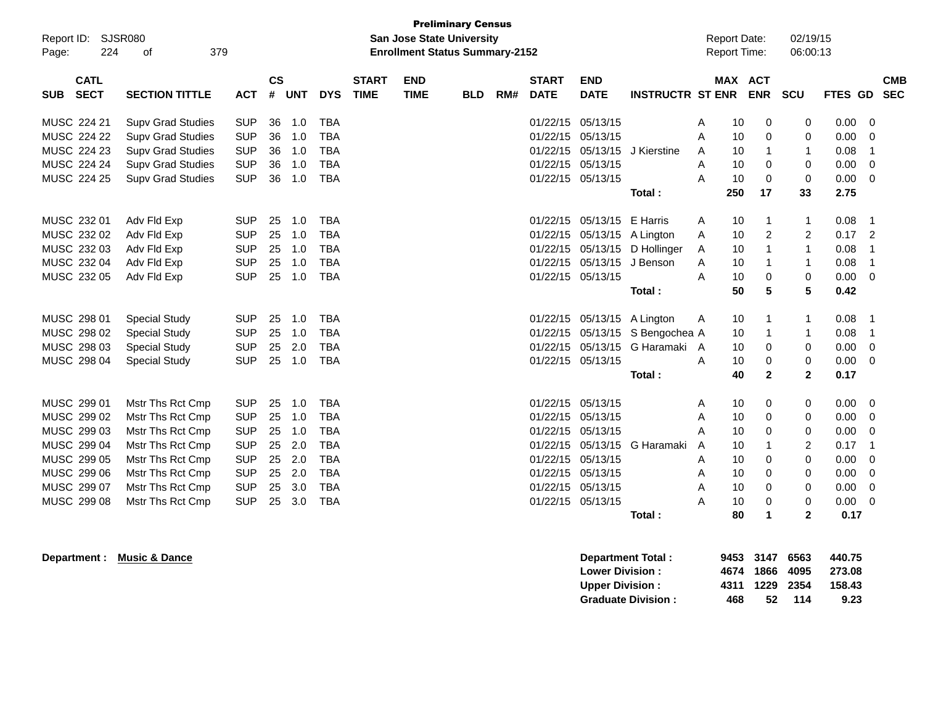| Report ID:<br>Page:                      | <b>Preliminary Census</b><br>SJSR080<br><b>San Jose State University</b><br>224<br>379<br><b>Enrollment Status Summary-2152</b><br>of |            |                |            |            |                             |                           |            |     |                             |                             | <b>Report Date:</b><br><b>Report Time:</b> |   | 02/19/15<br>06:00:13 |                |                         |             |                |            |
|------------------------------------------|---------------------------------------------------------------------------------------------------------------------------------------|------------|----------------|------------|------------|-----------------------------|---------------------------|------------|-----|-----------------------------|-----------------------------|--------------------------------------------|---|----------------------|----------------|-------------------------|-------------|----------------|------------|
| <b>CATL</b><br><b>SECT</b><br><b>SUB</b> | <b>SECTION TITTLE</b>                                                                                                                 | <b>ACT</b> | <b>CS</b><br># | <b>UNT</b> | <b>DYS</b> | <b>START</b><br><b>TIME</b> | <b>END</b><br><b>TIME</b> | <b>BLD</b> | RM# | <b>START</b><br><b>DATE</b> | <b>END</b><br><b>DATE</b>   | <b>INSTRUCTR ST ENR</b>                    |   | MAX ACT              | <b>ENR</b>     | <b>SCU</b>              | FTES GD SEC |                | <b>CMB</b> |
| MUSC 224 21                              | <b>Supv Grad Studies</b>                                                                                                              | <b>SUP</b> | 36             | 1.0        | <b>TBA</b> |                             |                           |            |     |                             | 01/22/15 05/13/15           |                                            | Α | 10                   | 0              | 0                       | 0.00        | $\mathbf 0$    |            |
| MUSC 224 22                              | <b>Supv Grad Studies</b>                                                                                                              | <b>SUP</b> | 36             | 1.0        | <b>TBA</b> |                             |                           |            |     | 01/22/15 05/13/15           |                             |                                            | Α | 10                   | 0              | $\Omega$                | 0.00        | 0              |            |
| MUSC 224 23                              | <b>Supv Grad Studies</b>                                                                                                              | <b>SUP</b> | 36             | 1.0        | <b>TBA</b> |                             |                           |            |     |                             | 01/22/15 05/13/15           | J Kierstine                                | A | 10                   | 1              | -1                      | 0.08        | $\overline{1}$ |            |
| MUSC 224 24                              | <b>Supv Grad Studies</b>                                                                                                              | <b>SUP</b> | 36             | 1.0        | <b>TBA</b> |                             |                           |            |     | 01/22/15 05/13/15           |                             |                                            | A | 10                   | $\Omega$       | 0                       | 0.00        | 0              |            |
| MUSC 224 25                              | <b>Supv Grad Studies</b>                                                                                                              | <b>SUP</b> | 36             | 1.0        | <b>TBA</b> |                             |                           |            |     |                             | 01/22/15 05/13/15           |                                            | A | 10                   | $\Omega$       | $\Omega$                | 0.00        | $\Omega$       |            |
|                                          |                                                                                                                                       |            |                |            |            |                             |                           |            |     |                             |                             | Total:                                     |   | 250                  | 17             | 33                      | 2.75        |                |            |
| MUSC 232 01                              | Adv Fld Exp                                                                                                                           | <b>SUP</b> | 25             | 1.0        | TBA        |                             |                           |            |     |                             | 01/22/15 05/13/15 E Harris  |                                            | A | 10                   | 1              | -1                      | 0.08        | -1             |            |
| MUSC 232 02                              | Adv Fld Exp                                                                                                                           | <b>SUP</b> | 25             | 1.0        | <b>TBA</b> |                             |                           |            |     |                             | 01/22/15 05/13/15 A Lington |                                            | Α | 10                   | $\overline{c}$ | $\overline{2}$          | 0.17        | $\overline{2}$ |            |
| MUSC 232 03                              | Adv Fld Exp                                                                                                                           | <b>SUP</b> | 25             | 1.0        | <b>TBA</b> |                             |                           |            |     |                             |                             | 01/22/15 05/13/15 D Hollinger              | A | 10                   | 1              | $\overline{\mathbf{1}}$ | 0.08        | $\overline{1}$ |            |
| MUSC 232 04                              | Adv Fld Exp                                                                                                                           | <b>SUP</b> | 25             | 1.0        | <b>TBA</b> |                             |                           |            |     |                             | 01/22/15 05/13/15 J Benson  |                                            | A | 10                   | 1              | -1                      | 0.08        | $\overline{1}$ |            |
| MUSC 232 05                              | Adv Fld Exp                                                                                                                           | <b>SUP</b> | 25             | 1.0        | <b>TBA</b> |                             |                           |            |     |                             | 01/22/15 05/13/15           |                                            | A | 10                   | 0              | 0                       | 0.00        | $\mathbf 0$    |            |
|                                          |                                                                                                                                       |            |                |            |            |                             |                           |            |     |                             |                             | Total:                                     |   | 50                   | 5              | 5                       | 0.42        |                |            |
|                                          |                                                                                                                                       |            |                |            |            |                             |                           |            |     |                             |                             |                                            |   |                      |                |                         |             |                |            |
| MUSC 298 01                              | <b>Special Study</b>                                                                                                                  | <b>SUP</b> | 25             | 1.0        | <b>TBA</b> |                             |                           |            |     |                             | 01/22/15 05/13/15 A Lington |                                            | A | 10                   | -1             | -1                      | 0.08        | -1             |            |
| MUSC 298 02                              | <b>Special Study</b>                                                                                                                  | <b>SUP</b> | 25             | 1.0        | <b>TBA</b> |                             |                           |            |     |                             |                             | 01/22/15 05/13/15 S Bengochea A            |   | 10                   | 1              | -1                      | 0.08        | $\overline{1}$ |            |
| MUSC 298 03                              | <b>Special Study</b>                                                                                                                  | <b>SUP</b> | 25             | 2.0        | <b>TBA</b> |                             |                           |            |     |                             |                             | 01/22/15 05/13/15 G Haramaki A             |   | 10                   | 0              | 0                       | 0.00        | 0              |            |
| MUSC 298 04                              | <b>Special Study</b>                                                                                                                  | <b>SUP</b> | 25             | 1.0        | <b>TBA</b> |                             |                           |            |     | 01/22/15 05/13/15           |                             |                                            | A | 10                   | 0              | 0                       | 0.00        | 0              |            |
|                                          |                                                                                                                                       |            |                |            |            |                             |                           |            |     |                             |                             | Total:                                     |   | 40                   | $\mathbf{2}$   | $\mathbf{2}$            | 0.17        |                |            |
| MUSC 299 01                              | Mstr Ths Rct Cmp                                                                                                                      | <b>SUP</b> | 25             | 1.0        | <b>TBA</b> |                             |                           |            |     | 01/22/15 05/13/15           |                             |                                            | A | 10                   | 0              | 0                       | 0.00        | 0              |            |
| MUSC 299 02                              | Mstr Ths Rct Cmp                                                                                                                      | <b>SUP</b> | 25             | 1.0        | <b>TBA</b> |                             |                           |            |     | 01/22/15 05/13/15           |                             |                                            | Α | 10                   | 0              | 0                       | 0.00        | 0              |            |
| MUSC 299 03                              | Mstr Ths Rct Cmp                                                                                                                      | <b>SUP</b> | 25             | 1.0        | <b>TBA</b> |                             |                           |            |     | 01/22/15 05/13/15           |                             |                                            | A | 10                   | 0              | 0                       | 0.00        | 0              |            |
| MUSC 299 04                              | Mstr Ths Rct Cmp                                                                                                                      | <b>SUP</b> | 25             | 2.0        | <b>TBA</b> |                             |                           |            |     |                             | 01/22/15 05/13/15           | G Haramaki                                 | A | 10                   | 1              | 2                       | 0.17        | $\overline{1}$ |            |
| MUSC 299 05                              | Mstr Ths Rct Cmp                                                                                                                      | <b>SUP</b> | 25             | 2.0        | <b>TBA</b> |                             |                           |            |     | 01/22/15 05/13/15           |                             |                                            | Α | 10                   | 0              | 0                       | 0.00        | 0              |            |
| MUSC 299 06                              | Mstr Ths Rct Cmp                                                                                                                      | <b>SUP</b> | 25             | 2.0        | <b>TBA</b> |                             |                           |            |     | 01/22/15 05/13/15           |                             |                                            | A | 10                   | 0              | 0                       | 0.00        | 0              |            |
| MUSC 299 07                              | Mstr Ths Rct Cmp                                                                                                                      | <b>SUP</b> | 25             | 3.0        | <b>TBA</b> |                             |                           |            |     | 01/22/15 05/13/15           |                             |                                            | Α | 10                   | 0              | 0                       | 0.00        | 0              |            |
| MUSC 299 08                              | Mstr Ths Rct Cmp                                                                                                                      | <b>SUP</b> | 25             | 3.0        | <b>TBA</b> |                             |                           |            |     | 01/22/15 05/13/15           |                             |                                            | A | 10                   | 0              | 0                       | 0.00        | 0              |            |
|                                          |                                                                                                                                       |            |                |            |            |                             |                           |            |     |                             |                             | Total:                                     |   | 80                   | 1              | $\mathbf{2}$            | 0.17        |                |            |
|                                          |                                                                                                                                       |            |                |            |            |                             |                           |            |     |                             |                             |                                            |   |                      |                |                         |             |                |            |

**Department : Music & Dance Department Total : 9453 3147 6563 440.75 Lower Division : 4674 1866 4095<br>
Upper Division : 4311 1229 2354 Upper Division : 4311 1229 2354 158.43 Graduate Division :**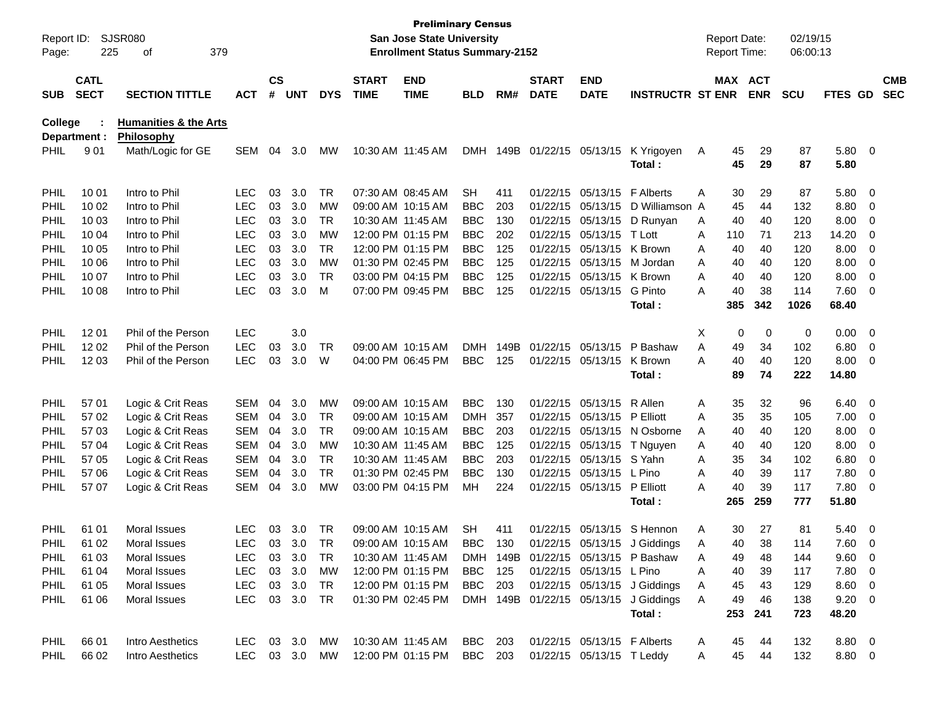| Report ID:<br>Page: | 225                        | SJSR080<br>379<br>οf             |               |                    |            |               |                             | <b>Preliminary Census</b><br>San Jose State University<br><b>Enrollment Status Summary-2152</b> |            |      |                             |                             |                                       | <b>Report Date:</b><br>Report Time: |          |                       | 02/19/15<br>06:00:13 |                |                          |                          |
|---------------------|----------------------------|----------------------------------|---------------|--------------------|------------|---------------|-----------------------------|-------------------------------------------------------------------------------------------------|------------|------|-----------------------------|-----------------------------|---------------------------------------|-------------------------------------|----------|-----------------------|----------------------|----------------|--------------------------|--------------------------|
| <b>SUB</b>          | <b>CATL</b><br><b>SECT</b> | <b>SECTION TITTLE</b>            | <b>ACT</b>    | $\mathsf{cs}$<br># | <b>UNT</b> | <b>DYS</b>    | <b>START</b><br><b>TIME</b> | <b>END</b><br><b>TIME</b>                                                                       | <b>BLD</b> | RM#  | <b>START</b><br><b>DATE</b> | <b>END</b><br><b>DATE</b>   | <b>INSTRUCTR ST ENR</b>               |                                     |          | MAX ACT<br><b>ENR</b> | <b>SCU</b>           | <b>FTES GD</b> |                          | <b>CMB</b><br><b>SEC</b> |
| College             |                            | <b>Humanities &amp; the Arts</b> |               |                    |            |               |                             |                                                                                                 |            |      |                             |                             |                                       |                                     |          |                       |                      |                |                          |                          |
|                     | Department :               | <b>Philosophy</b>                |               |                    |            |               |                             |                                                                                                 |            |      |                             |                             |                                       |                                     |          |                       |                      |                |                          |                          |
| <b>PHIL</b>         | 901                        | Math/Logic for GE                | <b>SEM</b>    | 04                 | 3.0        | МW            | 10:30 AM 11:45 AM           |                                                                                                 | <b>DMH</b> |      |                             | 149B 01/22/15 05/13/15      | K Yrigoyen<br>Total:                  | A                                   | 45<br>45 | 29<br>29              | 87<br>87             | 5.80 0<br>5.80 |                          |                          |
| PHIL                | 10 01                      | Intro to Phil                    | LEC           | 03                 | 3.0        | <b>TR</b>     |                             | 07:30 AM 08:45 AM                                                                               | <b>SH</b>  | 411  |                             | 01/22/15 05/13/15 F Alberts |                                       | Α                                   | 30       | 29                    | 87                   | 5.80 0         |                          |                          |
| PHIL                | 10 02                      | Intro to Phil                    | <b>LEC</b>    | 03                 | 3.0        | <b>MW</b>     |                             | 09:00 AM 10:15 AM                                                                               | <b>BBC</b> | 203  |                             |                             | 01/22/15 05/13/15 D Williamson A      |                                     | 45       | 44                    | 132                  | 8.80           | $\overline{\phantom{0}}$ |                          |
| PHIL                | 10 03                      | Intro to Phil                    | <b>LEC</b>    | 03                 | 3.0        | <b>TR</b>     |                             | 10:30 AM 11:45 AM                                                                               | <b>BBC</b> | 130  |                             |                             | 01/22/15 05/13/15 D Runyan            | A                                   | 40       | 40                    | 120                  | 8.00           | $\overline{\phantom{0}}$ |                          |
| PHIL                | 10 04                      | Intro to Phil                    | <b>LEC</b>    | 03                 | 3.0        | <b>MW</b>     |                             | 12:00 PM 01:15 PM                                                                               | <b>BBC</b> | 202  |                             | 01/22/15 05/13/15           | T Lott                                | A                                   | 110      | 71                    | 213                  | 14.20          | $\overline{\mathbf{0}}$  |                          |
| PHIL                | 10 05                      | Intro to Phil                    | <b>LEC</b>    | 03                 | 3.0        | <b>TR</b>     |                             | 12:00 PM 01:15 PM                                                                               | <b>BBC</b> | 125  |                             | 01/22/15 05/13/15 K Brown   |                                       | A                                   | 40       | 40                    | 120                  | 8.00           | $\overline{\phantom{0}}$ |                          |
| PHIL                | 10 06                      | Intro to Phil                    | <b>LEC</b>    | 03                 | 3.0        | <b>MW</b>     |                             | 01:30 PM 02:45 PM                                                                               | <b>BBC</b> | 125  |                             | 01/22/15 05/13/15 M Jordan  |                                       | A                                   | 40       | 40                    | 120                  | 8.00           | $\overline{\phantom{0}}$ |                          |
| PHIL                | 10 07                      | Intro to Phil                    | <b>LEC</b>    | 03                 | 3.0        | <b>TR</b>     |                             | 03:00 PM 04:15 PM                                                                               | <b>BBC</b> | 125  |                             | 01/22/15 05/13/15 K Brown   |                                       | A                                   | 40       | 40                    | 120                  | 8.00           | $\overline{\mathbf{0}}$  |                          |
| PHIL                | 10 08                      | Intro to Phil                    | <b>LEC</b>    | 03                 | 3.0        | м             |                             | 07:00 PM 09:45 PM                                                                               | <b>BBC</b> | 125  |                             | 01/22/15 05/13/15           | G Pinto                               | A                                   | 40       | 38                    | 114                  | 7.60 0         |                          |                          |
|                     |                            |                                  |               |                    |            |               |                             |                                                                                                 |            |      |                             |                             | Total:                                |                                     | 385      | 342                   | 1026                 | 68.40          |                          |                          |
| <b>PHIL</b>         | 12 01                      | Phil of the Person               | <b>LEC</b>    |                    | 3.0        |               |                             |                                                                                                 |            |      |                             |                             |                                       | X                                   | 0        | 0                     | 0                    | $0.00 \t 0$    |                          |                          |
| PHIL                | 12 02                      | Phil of the Person               | <b>LEC</b>    | 03                 | 3.0        | TR            |                             | 09:00 AM 10:15 AM                                                                               | DMH        | 149B |                             | 01/22/15 05/13/15           | P Bashaw                              | A                                   | 49       | 34                    | 102                  | 6.80           | $\overline{\phantom{0}}$ |                          |
| <b>PHIL</b>         | 12 03                      | Phil of the Person               | <b>LEC</b>    | 03                 | 3.0        | W             |                             | 04:00 PM 06:45 PM                                                                               | <b>BBC</b> | 125  |                             | 01/22/15 05/13/15           | K Brown                               | A                                   | 40       | 40                    | 120                  | $8.00 \t 0$    |                          |                          |
|                     |                            |                                  |               |                    |            |               |                             |                                                                                                 |            |      |                             |                             | Total:                                |                                     | 89       | 74                    | 222                  | 14.80          |                          |                          |
| <b>PHIL</b>         | 57 01                      | Logic & Crit Reas                | <b>SEM</b>    | 04                 | 3.0        | <b>MW</b>     |                             | 09:00 AM 10:15 AM                                                                               | <b>BBC</b> | 130  |                             | 01/22/15 05/13/15 R Allen   |                                       | A                                   | 35       | 32                    | 96                   | $6.40 \quad 0$ |                          |                          |
| PHIL                | 57 02                      | Logic & Crit Reas                | <b>SEM</b>    | 04                 | 3.0        | TR            |                             | 09:00 AM 10:15 AM                                                                               | <b>DMH</b> | 357  |                             | 01/22/15 05/13/15 P Elliott |                                       | A                                   | 35       | 35                    | 105                  | 7.00           | $\overline{\phantom{0}}$ |                          |
| PHIL                | 57 03                      | Logic & Crit Reas                | <b>SEM</b>    | 04                 | 3.0        | <b>TR</b>     |                             | 09:00 AM 10:15 AM                                                                               | <b>BBC</b> | 203  |                             |                             | 01/22/15 05/13/15 N Osborne           | A                                   | 40       | 40                    | 120                  | 8.00           | $\overline{\phantom{0}}$ |                          |
| PHIL                | 57 04                      | Logic & Crit Reas                | <b>SEM</b>    | 04                 | 3.0        | <b>MW</b>     | 10:30 AM 11:45 AM           |                                                                                                 | <b>BBC</b> | 125  |                             | 01/22/15 05/13/15           | T Nguyen                              | A                                   | 40       | 40                    | 120                  | 8.00           | $\overline{\mathbf{0}}$  |                          |
| PHIL                | 57 05                      | Logic & Crit Reas                | <b>SEM</b>    | 04                 | 3.0        | <b>TR</b>     | 10:30 AM 11:45 AM           |                                                                                                 | <b>BBC</b> | 203  |                             | 01/22/15 05/13/15 S Yahn    |                                       | A                                   | 35       | 34                    | 102                  | 6.80           | $\overline{\mathbf{0}}$  |                          |
| PHIL                | 57 06                      | Logic & Crit Reas                | <b>SEM</b>    | 04                 | 3.0        | <b>TR</b>     |                             | 01:30 PM 02:45 PM                                                                               | <b>BBC</b> | 130  |                             | 01/22/15 05/13/15 L Pino    |                                       | A                                   | 40       | 39                    | 117                  | 7.80           | $\overline{\mathbf{0}}$  |                          |
| <b>PHIL</b>         | 57 07                      | Logic & Crit Reas                | <b>SEM</b>    | 04                 | 3.0        | МW            |                             | 03:00 PM 04:15 PM                                                                               | MН         | 224  |                             | 01/22/15 05/13/15 P Elliott |                                       | A                                   | 40       | 39                    | 117                  | 7.80 0         |                          |                          |
|                     |                            |                                  |               |                    |            |               |                             |                                                                                                 |            |      |                             |                             | Total :                               |                                     | 265      | 259                   | 777                  | 51.80          |                          |                          |
| <b>PHIL</b>         | 61 01                      | <b>Moral Issues</b>              | <b>LEC</b>    | 03                 | 3.0        | <b>TR</b>     |                             | 09:00 AM 10:15 AM                                                                               | <b>SH</b>  | 411  |                             |                             | 01/22/15 05/13/15 S Hennon            | Α                                   | 30       | 27                    | 81                   | $5.40 \ 0$     |                          |                          |
| PHIL                | 61 02                      | Moral Issues                     | LEC           |                    | 03 3.0 TR  |               |                             | 09:00 AM 10:15 AM                                                                               | BBC        | 130  |                             |                             | 01/22/15 05/13/15 J Giddings          | A                                   | 40       | 38                    | 114                  | 7.60 0         |                          |                          |
| PHIL                | 61 03                      | Moral Issues                     | LEC.          |                    | 03 3.0     | TR            |                             | 10:30 AM 11:45 AM                                                                               |            |      |                             |                             | DMH 149B 01/22/15 05/13/15 P Bashaw   | A                                   | 49       | 48                    | 144                  | $9.60 \quad 0$ |                          |                          |
| PHIL                | 61 04                      | Moral Issues                     | LEC           |                    | 03 3.0     | MW            |                             | 12:00 PM 01:15 PM                                                                               | BBC 125    |      |                             | 01/22/15 05/13/15 L Pino    |                                       | A                                   | 40       | 39                    | 117                  | $7.80\quad 0$  |                          |                          |
| PHIL                | 61 05                      | Moral Issues                     | LEC 03 3.0    |                    |            | TR            |                             | 12:00 PM 01:15 PM                                                                               | BBC 203    |      |                             |                             | 01/22/15 05/13/15 J Giddings          | A                                   | 45       | 43                    | 129                  | 8.60 0         |                          |                          |
| PHIL                | 61 06                      | Moral Issues                     | LEC 03 3.0 TR |                    |            |               |                             | 01:30 PM 02:45 PM                                                                               |            |      |                             |                             | DMH 149B 01/22/15 05/13/15 J Giddings | A                                   | 49       | 46                    | 138                  | $9.20 \ 0$     |                          |                          |
|                     |                            |                                  |               |                    |            |               |                             |                                                                                                 |            |      |                             |                             | Total:                                |                                     |          | 253 241               | 723                  | 48.20          |                          |                          |
|                     | PHIL 66 01                 | Intro Aesthetics                 | LEC 03 3.0 MW |                    |            |               |                             | 10:30 AM 11:45 AM                                                                               | BBC 203    |      |                             | 01/22/15 05/13/15 F Alberts |                                       | A                                   | 45       | 44                    | 132                  | 8.80 0         |                          |                          |
| PHIL                | 66 02                      | Intro Aesthetics                 |               |                    |            | LEC 03 3.0 MW |                             | 12:00 PM 01:15 PM BBC 203 01/22/15 05/13/15 T Leddy                                             |            |      |                             |                             |                                       | A                                   |          | 45 44                 | 132                  | 8.80 0         |                          |                          |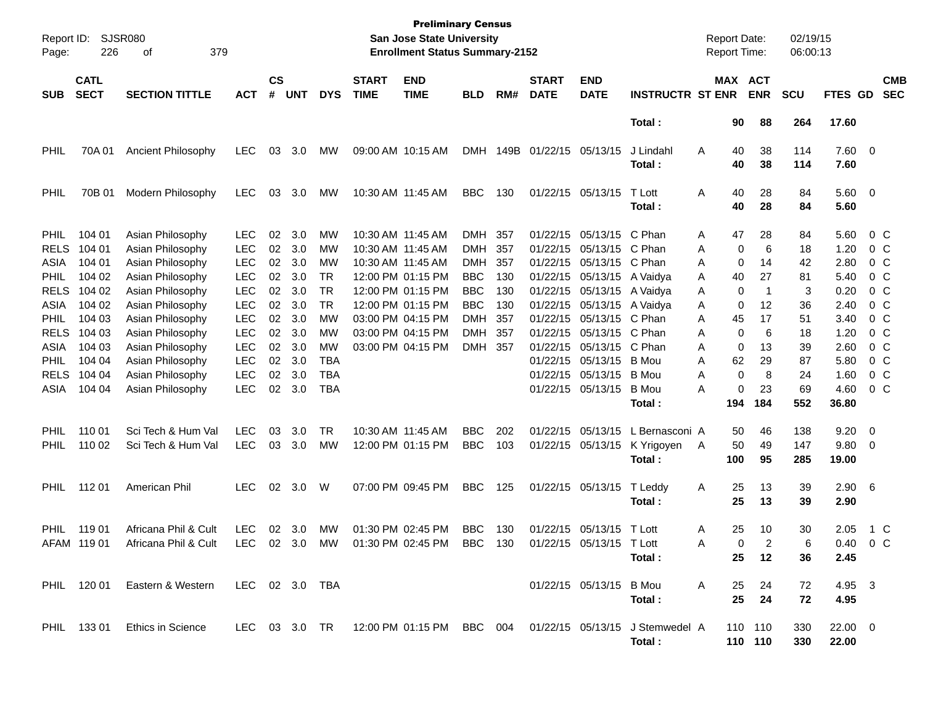| Report ID:<br>Page: | 226                        | <b>SJSR080</b><br>379<br>οf          |                          |                    |            |            |                             | <b>Preliminary Census</b><br>San Jose State University<br><b>Enrollment Status Summary-2152</b> |                   |            |                             |                                        |                                                                                   | <b>Report Date:</b><br><b>Report Time:</b> |           |                       | 02/19/15<br>06:00:13 |                        |                         |                          |
|---------------------|----------------------------|--------------------------------------|--------------------------|--------------------|------------|------------|-----------------------------|-------------------------------------------------------------------------------------------------|-------------------|------------|-----------------------------|----------------------------------------|-----------------------------------------------------------------------------------|--------------------------------------------|-----------|-----------------------|----------------------|------------------------|-------------------------|--------------------------|
| <b>SUB</b>          | <b>CATL</b><br><b>SECT</b> | <b>SECTION TITTLE</b>                | <b>ACT</b>               | $\mathsf{cs}$<br># | <b>UNT</b> | <b>DYS</b> | <b>START</b><br><b>TIME</b> | <b>END</b><br><b>TIME</b>                                                                       | <b>BLD</b>        | RM#        | <b>START</b><br><b>DATE</b> | <b>END</b><br><b>DATE</b>              | <b>INSTRUCTR ST ENR</b>                                                           |                                            |           | MAX ACT<br><b>ENR</b> | <b>SCU</b>           | FTES GD                |                         | <b>CMB</b><br><b>SEC</b> |
|                     |                            |                                      |                          |                    |            |            |                             |                                                                                                 |                   |            |                             |                                        | Total:                                                                            |                                            | 90        | 88                    | 264                  | 17.60                  |                         |                          |
| PHIL                | 70A 01                     | Ancient Philosophy                   | LEC                      | 03                 | 3.0        | MW         | 09:00 AM 10:15 AM           |                                                                                                 | <b>DMH</b>        | 149B       | 01/22/15 05/13/15           |                                        | J Lindahl<br>Total:                                                               | Α                                          | 40<br>40  | 38<br>38              | 114<br>114           | 7.60 0<br>7.60         |                         |                          |
| <b>PHIL</b>         | 70B 01                     | Modern Philosophy                    | LEC                      | 03                 | 3.0        | MW         | 10:30 AM 11:45 AM           |                                                                                                 | <b>BBC</b>        | 130        |                             | 01/22/15 05/13/15                      | T Lott<br>Total:                                                                  | Α                                          | 40<br>40  | 28<br>28              | 84<br>84             | 5.60 0<br>5.60         |                         |                          |
| <b>PHIL</b>         | 104 01                     | Asian Philosophy                     | <b>LEC</b>               | 02                 | 3.0        | MW         | 10:30 AM 11:45 AM           |                                                                                                 | DMH 357           |            |                             | 01/22/15 05/13/15 C Phan               |                                                                                   | Α                                          | 47        | 28                    | 84                   | 5.60                   | $0\,$ C                 |                          |
| <b>RELS</b>         | 104 01                     | Asian Philosophy                     | <b>LEC</b>               | 02                 | 3.0        | MW         | 10:30 AM 11:45 AM           |                                                                                                 | DMH               | 357        |                             | 01/22/15 05/13/15                      | C Phan                                                                            | Α                                          | 0         | 6                     | 18                   | 1.20                   | $0\,$ C                 |                          |
| ASIA<br><b>PHIL</b> | 104 01<br>104 02           | Asian Philosophy<br>Asian Philosophy | <b>LEC</b><br><b>LEC</b> | 02<br>02           | 3.0<br>3.0 | MW<br>TR   | 10:30 AM 11:45 AM           | 12:00 PM 01:15 PM                                                                               | DMH<br><b>BBC</b> | 357<br>130 |                             | 01/22/15 05/13/15                      | C Phan                                                                            | Α                                          | 0         | 14<br>27              | 42<br>81             | 2.80<br>5.40           | $0\,$ C<br>$0\,$ C      |                          |
| <b>RELS</b>         | 104 02                     | Asian Philosophy                     | <b>LEC</b>               | 02                 | 3.0        | <b>TR</b>  |                             | 12:00 PM 01:15 PM                                                                               | <b>BBC</b>        | 130        |                             | 01/22/15 05/13/15<br>01/22/15 05/13/15 | A Vaidya<br>A Vaidya                                                              | Α<br>Α                                     | 40<br>0   | -1                    | 3                    | 0.20                   | $0\,$ C                 |                          |
| ASIA                | 104 02                     | Asian Philosophy                     | <b>LEC</b>               | 02                 | 3.0        | <b>TR</b>  |                             | 12:00 PM 01:15 PM                                                                               | <b>BBC</b>        | 130        |                             | 01/22/15 05/13/15 A Vaidya             |                                                                                   | A                                          | 0         | 12                    | 36                   | 2.40                   | $0\,$ C                 |                          |
| <b>PHIL</b>         | 104 03                     | Asian Philosophy                     | <b>LEC</b>               | 02                 | 3.0        | MW         |                             | 03:00 PM 04:15 PM                                                                               | DMH               | 357        |                             | 01/22/15 05/13/15                      | C Phan                                                                            | Α                                          | 45        | 17                    | 51                   | 3.40                   | $0\,$ C                 |                          |
| <b>RELS</b>         | 104 03                     | Asian Philosophy                     | <b>LEC</b>               | 02                 | 3.0        | MW         |                             | 03:00 PM 04:15 PM                                                                               | DMH 357           |            | 01/22/15                    | 05/13/15                               | C Phan                                                                            | Α                                          | 0         | 6                     | 18                   | 1.20                   | $0\,$ C                 |                          |
| ASIA                | 104 03                     | Asian Philosophy                     | <b>LEC</b>               | 02                 | 3.0        | MW         |                             | 03:00 PM 04:15 PM                                                                               | DMH 357           |            | 01/22/15                    | 05/13/15                               | C Phan                                                                            | Α                                          | 0         | 13                    | 39                   | 2.60                   | $0\,$ C                 |                          |
| <b>PHIL</b>         | 104 04                     | Asian Philosophy                     | <b>LEC</b>               | 02                 | 3.0        | TBA        |                             |                                                                                                 |                   |            |                             | 01/22/15 05/13/15                      | B Mou                                                                             | Α                                          | 62        | 29                    | 87                   | 5.80                   | $0\,$ C                 |                          |
| <b>RELS</b>         | 104 04                     | Asian Philosophy                     | <b>LEC</b>               | 02                 | 3.0        | <b>TBA</b> |                             |                                                                                                 |                   |            |                             | 01/22/15 05/13/15                      | B Mou                                                                             | Α                                          | 0         | 8                     | 24                   | 1.60                   | $0\,$ C                 |                          |
| ASIA                | 104 04                     | Asian Philosophy                     | <b>LEC</b>               | 02                 | 3.0        | <b>TBA</b> |                             |                                                                                                 |                   |            |                             | 01/22/15 05/13/15                      | B Mou                                                                             | Α                                          | 0         | 23                    | 69                   | 4.60                   | $0\,$ C                 |                          |
|                     |                            |                                      |                          |                    |            |            |                             |                                                                                                 |                   |            |                             |                                        | Total:                                                                            |                                            | 194       | 184                   | 552                  | 36.80                  |                         |                          |
| <b>PHIL</b>         | 110 01                     | Sci Tech & Hum Val                   | <b>LEC</b>               | 03                 | 3.0        | TR         | 10:30 AM 11:45 AM           |                                                                                                 | <b>BBC</b>        | 202        |                             | 01/22/15 05/13/15                      | L Bernasconi A                                                                    |                                            | 50        | 46                    | 138                  | 9.20                   | $\overline{\mathbf{0}}$ |                          |
| <b>PHIL</b>         | 110 02                     | Sci Tech & Hum Val                   | <b>LEC</b>               | 03                 | 3.0        | MW         |                             | 12:00 PM 01:15 PM                                                                               | <b>BBC</b>        | 103        |                             | 01/22/15 05/13/15                      | K Yrigoyen<br>Total:                                                              | A                                          | 50<br>100 | 49<br>95              | 147<br>285           | 9.80<br>19.00          | $\overline{0}$          |                          |
| <b>PHIL</b>         | 112 01                     | American Phil                        | LEC.                     | 02                 | 3.0        | W          | 07:00 PM 09:45 PM           |                                                                                                 | <b>BBC</b>        | 125        |                             | 01/22/15 05/13/15                      | T Leddy<br>Total:                                                                 | Α                                          | 25<br>25  | 13<br>13              | 39<br>39             | $2.90\quad 6$<br>2.90  |                         |                          |
| <b>PHIL</b>         | 119 01                     | Africana Phil & Cult                 | <b>LEC</b>               | 02                 | 3.0        | MW         | 01:30 PM 02:45 PM           |                                                                                                 | <b>BBC</b>        | 130        |                             | 01/22/15 05/13/15                      | T Lott                                                                            | Α                                          | 25        | 10                    | 30                   | 2.05                   | 1 C                     |                          |
|                     | AFAM 119 01                | Africana Phil & Cult                 | LEC                      |                    | 02 3.0     | MW         |                             | 01:30 PM 02:45 PM                                                                               | BBC.              | 130        |                             | 01/22/15 05/13/15 T Lott               |                                                                                   | A                                          | $\Omega$  |                       | 6                    | $0.40 \quad 0 \quad C$ |                         |                          |
|                     |                            |                                      |                          |                    |            |            |                             |                                                                                                 |                   |            |                             |                                        | Total:                                                                            |                                            | 25        | 12                    | 36                   | 2.45                   |                         |                          |
|                     |                            | PHIL 120 01 Eastern & Western        | LEC 02 3.0 TBA           |                    |            |            |                             |                                                                                                 |                   |            |                             | 01/22/15 05/13/15 B Mou                |                                                                                   | $\mathsf{A}$                               | 25        | 24                    | 72                   | 4.95 3                 |                         |                          |
|                     |                            |                                      |                          |                    |            |            |                             |                                                                                                 |                   |            |                             |                                        | Total:                                                                            |                                            | 25        | 24                    | 72                   | 4.95                   |                         |                          |
|                     |                            | PHIL 133 01 Ethics in Science        |                          |                    |            |            |                             |                                                                                                 |                   |            |                             |                                        | LEC 03 3.0 TR 12:00 PM 01:15 PM BBC 004 01/22/15 05/13/15 J Stemwedel A<br>Total: |                                            |           | 110 110<br>110 110    | 330<br>330           | $22.00 \t 0$<br>22.00  |                         |                          |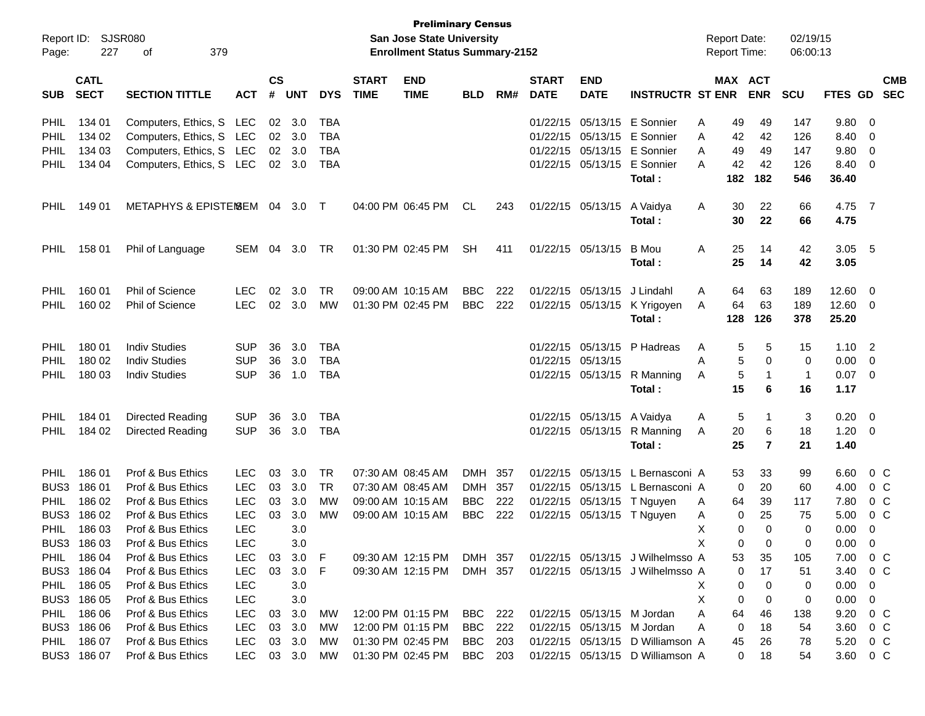| <b>Preliminary Census</b><br>Report ID: SJSR080<br><b>San Jose State University</b><br><b>Enrollment Status Summary-2152</b><br>227<br>379<br>Page:<br>οf |                            |                                |            |                    |            |            |                             |                           |            |      |                             |                            | <b>Report Date:</b><br><b>Report Time:</b> |   | 02/19/15<br>06:00:13 |                         |              |                |                          |                          |
|-----------------------------------------------------------------------------------------------------------------------------------------------------------|----------------------------|--------------------------------|------------|--------------------|------------|------------|-----------------------------|---------------------------|------------|------|-----------------------------|----------------------------|--------------------------------------------|---|----------------------|-------------------------|--------------|----------------|--------------------------|--------------------------|
| <b>SUB</b>                                                                                                                                                | <b>CATL</b><br><b>SECT</b> | <b>SECTION TITTLE</b>          | <b>ACT</b> | $\mathsf{cs}$<br># | <b>UNT</b> | <b>DYS</b> | <b>START</b><br><b>TIME</b> | <b>END</b><br><b>TIME</b> | <b>BLD</b> | RM#  | <b>START</b><br><b>DATE</b> | <b>END</b><br><b>DATE</b>  | <b>INSTRUCTR ST ENR</b>                    |   | <b>MAX ACT</b>       | <b>ENR</b>              | <b>SCU</b>   | <b>FTES GD</b> |                          | <b>CMB</b><br><b>SEC</b> |
| <b>PHIL</b>                                                                                                                                               | 134 01                     | Computers, Ethics, S LEC       |            |                    | 02 3.0     | TBA        |                             |                           |            |      | 01/22/15                    | 05/13/15                   | E Sonnier                                  | Α | 49                   | 49                      | 147          | 9.80           | -0                       |                          |
| <b>PHIL</b>                                                                                                                                               | 134 02                     | Computers, Ethics, S LEC       |            | 02 <sub>2</sub>    | 3.0        | <b>TBA</b> |                             |                           |            |      | 01/22/15                    | 05/13/15                   | E Sonnier                                  | A | 42                   | 42                      | 126          | 8.40           | - 0                      |                          |
| <b>PHIL</b>                                                                                                                                               | 134 03                     | Computers, Ethics, S LEC       |            |                    | 02 3.0     | <b>TBA</b> |                             |                           |            |      | 01/22/15                    | 05/13/15                   | E Sonnier                                  | A | 49                   | 49                      | 147          | 9.80           | - 0                      |                          |
| <b>PHIL</b>                                                                                                                                               | 134 04                     | Computers, Ethics, S LEC       |            |                    | 02 3.0     | TBA        |                             |                           |            |      |                             | 01/22/15 05/13/15          | E Sonnier<br>Total:                        | A | 42<br>182            | 42<br>182               | 126<br>546   | 8.40<br>36.40  | - 0                      |                          |
| <b>PHIL</b>                                                                                                                                               | 149 01                     | METAPHYS & EPISTEMSEM 04 3.0 T |            |                    |            |            |                             | 04:00 PM 06:45 PM         | CL         | 243  |                             | 01/22/15 05/13/15          | A Vaidya<br>Total:                         | A | 30<br>30             | 22<br>22                | 66<br>66     | 4.75 7<br>4.75 |                          |                          |
| <b>PHIL</b>                                                                                                                                               | 158 01                     | Phil of Language               | SEM        | 04                 | 3.0        | TR         |                             | 01:30 PM 02:45 PM         | <b>SH</b>  | 411  |                             | 01/22/15 05/13/15          | B Mou<br>Total:                            | Α | 25<br>25             | 14<br>14                | 42<br>42     | 3.05<br>3.05   | $-5$                     |                          |
| <b>PHIL</b>                                                                                                                                               | 160 01                     | <b>Phil of Science</b>         | LEC        | 02                 | 3.0        | TR         |                             | 09:00 AM 10:15 AM         | <b>BBC</b> | 222  | 01/22/15                    | 05/13/15                   | J Lindahl                                  | A | 64                   | 63                      | 189          | 12.60          | - 0                      |                          |
| <b>PHIL</b>                                                                                                                                               | 160 02                     | Phil of Science                | <b>LEC</b> | 02                 | 3.0        | <b>MW</b>  |                             | 01:30 PM 02:45 PM         | <b>BBC</b> | 222  |                             | 01/22/15 05/13/15          | K Yrigoyen                                 | A | 64                   | 63                      | 189          | 12.60          | $\overline{\phantom{0}}$ |                          |
|                                                                                                                                                           |                            |                                |            |                    |            |            |                             |                           |            |      |                             |                            | Total:                                     |   | 128                  | 126                     | 378          | 25.20          |                          |                          |
| <b>PHIL</b>                                                                                                                                               | 180 01                     | <b>Indiv Studies</b>           | <b>SUP</b> | 36                 | 3.0        | TBA        |                             |                           |            |      | 01/22/15                    | 05/13/15                   | P Hadreas                                  | A | 5                    | 5                       | 15           | $1.10$ 2       |                          |                          |
| <b>PHIL</b>                                                                                                                                               | 180 02                     | <b>Indiv Studies</b>           | <b>SUP</b> | 36                 | 3.0        | <b>TBA</b> |                             |                           |            |      | 01/22/15                    | 05/13/15                   |                                            | A | 5                    | $\Omega$                | $\mathbf 0$  | 0.00           | $\overline{0}$           |                          |
| <b>PHIL</b>                                                                                                                                               | 180 03                     | <b>Indiv Studies</b>           | <b>SUP</b> | 36                 | 1.0        | <b>TBA</b> |                             |                           |            |      |                             | 01/22/15 05/13/15          | R Manning                                  | A | 5                    | $\mathbf{1}$            | $\mathbf{1}$ | 0.07           | $\overline{\mathbf{0}}$  |                          |
|                                                                                                                                                           |                            |                                |            |                    |            |            |                             |                           |            |      |                             |                            | Total:                                     |   | 15                   | 6                       | 16           | 1.17           |                          |                          |
| <b>PHIL</b>                                                                                                                                               | 184 01                     | Directed Reading               | <b>SUP</b> | 36                 | 3.0        | TBA        |                             |                           |            |      | 01/22/15                    | 05/13/15                   | A Vaidya                                   | A | 5                    | -1                      | 3            | 0.20           | - 0                      |                          |
| <b>PHIL</b>                                                                                                                                               | 184 02                     | Directed Reading               | <b>SUP</b> | 36                 | 3.0        | <b>TBA</b> |                             |                           |            |      |                             | 01/22/15 05/13/15          | R Manning                                  | Α | 20                   | 6                       | 18           | 1.20           | - 0                      |                          |
|                                                                                                                                                           |                            |                                |            |                    |            |            |                             |                           |            |      |                             |                            | Total:                                     |   | 25                   | $\overline{\mathbf{r}}$ | 21           | 1.40           |                          |                          |
| <b>PHIL</b>                                                                                                                                               | 18601                      | Prof & Bus Ethics              | LEC        | 03                 | 3.0        | TR         |                             | 07:30 AM 08:45 AM         | DMH        | -357 | 01/22/15                    | 05/13/15                   | L Bernasconi A                             |   | 53                   | 33                      | 99           | 6.60           | $0\,C$                   |                          |
| BUS3                                                                                                                                                      | 18601                      | Prof & Bus Ethics              | <b>LEC</b> | 03                 | 3.0        | <b>TR</b>  |                             | 07:30 AM 08:45 AM         | <b>DMH</b> | 357  | 01/22/15                    | 05/13/15                   | L Bernasconi A                             |   | 0                    | 20                      | 60           | 4.00           | 0 <sup>C</sup>           |                          |
| <b>PHIL</b>                                                                                                                                               | 186 02                     | Prof & Bus Ethics              | <b>LEC</b> | 03                 | 3.0        | МW         |                             | 09:00 AM 10:15 AM         | <b>BBC</b> | 222  | 01/22/15                    | 05/13/15                   | T Nguyen                                   | A | 64                   | 39                      | 117          | 7.80           | $0\,C$                   |                          |
| BUS3                                                                                                                                                      | 186 02                     | Prof & Bus Ethics              | <b>LEC</b> | 03                 | 3.0        | МW         |                             | 09:00 AM 10:15 AM         | <b>BBC</b> | 222  | 01/22/15                    | 05/13/15                   | T Nguyen                                   | A | 0                    | 25                      | 75           | 5.00           | 0 <sup>o</sup>           |                          |
| PHIL                                                                                                                                                      | 186 03                     | Prof & Bus Ethics              | <b>LEC</b> |                    | 3.0        |            |                             |                           |            |      |                             |                            |                                            | Χ | $\Omega$             | $\Omega$                | 0            | 0.00           | 0                        |                          |
|                                                                                                                                                           | BUS3 186 03                | Prof & Bus Ethics              | <b>LEC</b> |                    | 3.0        |            |                             |                           |            |      |                             |                            |                                            | х | 0                    | 0                       | 0            | 0.00           | $\overline{0}$           |                          |
| PHIL                                                                                                                                                      | 18604                      | Prof & Bus Ethics              | <b>LEC</b> | 03                 | 3.0        | F          |                             | 09:30 AM 12:15 PM         | DMH 357    |      |                             |                            | 01/22/15 05/13/15 J Wilhelmsso A           |   | 53                   | 35                      | 105          | 7.00           | $0\,$ C                  |                          |
|                                                                                                                                                           | BUS3 186 04                | Prof & Bus Ethics              | <b>LEC</b> | 03                 | 3.0        | F          |                             | 09:30 AM 12:15 PM         | DMH 357    |      |                             |                            | 01/22/15 05/13/15 J Wilhelmsso A           |   | 0                    | 17                      | 51           | 3.40           | $0\,$ C                  |                          |
| PHIL                                                                                                                                                      | 186 05                     | Prof & Bus Ethics              | <b>LEC</b> |                    | 3.0        |            |                             |                           |            |      |                             |                            |                                            | X | 0                    | 0                       | 0            | 0.00           | $\overline{0}$           |                          |
|                                                                                                                                                           | BUS3 186 05                | Prof & Bus Ethics              | <b>LEC</b> |                    | 3.0        |            |                             |                           |            |      |                             |                            |                                            | X | 0                    | 0                       | 0            | 0.00           | 0                        |                          |
| PHIL                                                                                                                                                      | 186 06                     | Prof & Bus Ethics              | <b>LEC</b> |                    | 03 3.0     | МW         |                             | 12:00 PM 01:15 PM         | BBC 222    |      |                             | 01/22/15 05/13/15 M Jordan |                                            | Α | 64                   | 46                      | 138          | 9.20           | $0\,$ C                  |                          |
|                                                                                                                                                           | BUS3 186 06                | Prof & Bus Ethics              | <b>LEC</b> |                    | 03 3.0     | МW         |                             | 12:00 PM 01:15 PM         | BBC        | 222  |                             | 01/22/15 05/13/15 M Jordan |                                            | Α | 0                    | 18                      | 54           | 3.60           | $0\,$ C                  |                          |
| PHIL                                                                                                                                                      | 186 07                     | Prof & Bus Ethics              | <b>LEC</b> |                    | 03 3.0     | МW         |                             | 01:30 PM 02:45 PM         | BBC        | 203  |                             |                            | 01/22/15 05/13/15 D Williamson A           |   | 45                   | 26                      | 78           | 5.20           | $0\,$ C                  |                          |
|                                                                                                                                                           | BUS3 186 07                | Prof & Bus Ethics              | <b>LEC</b> |                    | 03 3.0     | MW         |                             | 01:30 PM 02:45 PM         | BBC        | 203  |                             |                            | 01/22/15 05/13/15 D Williamson A           |   | 0                    | 18                      | 54           | 3.60 0 C       |                          |                          |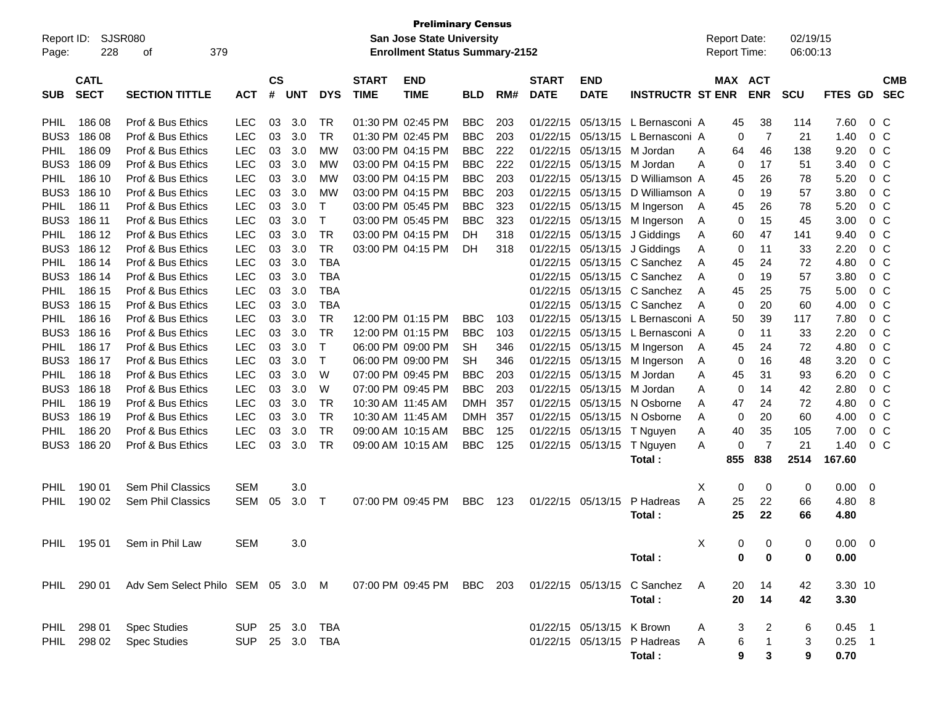| <b>Preliminary Census</b><br>SJSR080<br><b>San Jose State University</b><br>Report ID:<br>379<br><b>Enrollment Status Summary-2152</b><br>228<br>Page:<br>οf |                            |                                   |                |                    |            |            |                             |                           |            | <b>Report Date:</b><br>Report Time: |                             |                           | 02/19/15<br>06:00:13        |   |     |                       |            |             |                |                          |
|--------------------------------------------------------------------------------------------------------------------------------------------------------------|----------------------------|-----------------------------------|----------------|--------------------|------------|------------|-----------------------------|---------------------------|------------|-------------------------------------|-----------------------------|---------------------------|-----------------------------|---|-----|-----------------------|------------|-------------|----------------|--------------------------|
| <b>SUB</b>                                                                                                                                                   | <b>CATL</b><br><b>SECT</b> | <b>SECTION TITTLE</b>             | <b>ACT</b>     | $\mathsf{cs}$<br># | <b>UNT</b> | <b>DYS</b> | <b>START</b><br><b>TIME</b> | <b>END</b><br><b>TIME</b> | <b>BLD</b> | RM#                                 | <b>START</b><br><b>DATE</b> | <b>END</b><br><b>DATE</b> | <b>INSTRUCTR ST ENR</b>     |   |     | MAX ACT<br><b>ENR</b> | <b>SCU</b> | FTES GD     |                | <b>CMB</b><br><b>SEC</b> |
| <b>PHIL</b>                                                                                                                                                  | 186 08                     | Prof & Bus Ethics                 | <b>LEC</b>     | 03                 | 3.0        | TR.        |                             | 01:30 PM 02:45 PM         | <b>BBC</b> | 203                                 | 01/22/15                    |                           | 05/13/15 L Bernasconi A     |   | 45  | 38                    | 114        | 7.60        | 0 <sup>o</sup> |                          |
| BUS3                                                                                                                                                         | 186 08                     | Prof & Bus Ethics                 | <b>LEC</b>     | 03                 | 3.0        | TR         |                             | 01:30 PM 02:45 PM         | <b>BBC</b> | 203                                 | 01/22/15                    | 05/13/15                  | L Bernasconi A              |   | 0   | 7                     | 21         | 1.40        | 0 <sup>o</sup> |                          |
| PHIL                                                                                                                                                         | 186 09                     | Prof & Bus Ethics                 | <b>LEC</b>     | 03                 | 3.0        | МW         |                             | 03:00 PM 04:15 PM         | <b>BBC</b> | 222                                 | 01/22/15                    | 05/13/15                  | M Jordan                    | A | 64  | 46                    | 138        | 9.20        | 0 <sup>o</sup> |                          |
| BUS3                                                                                                                                                         | 186 09                     | Prof & Bus Ethics                 | <b>LEC</b>     | 03                 | 3.0        | МW         |                             | 03:00 PM 04:15 PM         | <b>BBC</b> | 222                                 | 01/22/15                    | 05/13/15                  | M Jordan                    | A | 0   | 17                    | 51         | 3.40        | 0 <sup>o</sup> |                          |
| PHIL.                                                                                                                                                        | 186 10                     | Prof & Bus Ethics                 | <b>LEC</b>     | 03                 | 3.0        | МW         |                             | 03:00 PM 04:15 PM         | <b>BBC</b> | 203                                 | 01/22/15                    | 05/13/15                  | D Williamson A              |   | 45  | 26                    | 78         | 5.20        | 0 <sup>o</sup> |                          |
| BUS3                                                                                                                                                         | 186 10                     | Prof & Bus Ethics                 | <b>LEC</b>     | 03                 | 3.0        | МW         |                             | 03:00 PM 04:15 PM         | <b>BBC</b> | 203                                 | 01/22/15                    | 05/13/15                  | D Williamson A              |   | 0   | 19                    | 57         | 3.80        | 0 <sup>o</sup> |                          |
| PHIL                                                                                                                                                         | 186 11                     | Prof & Bus Ethics                 | <b>LEC</b>     | 03                 | 3.0        | Т          |                             | 03:00 PM 05:45 PM         | <b>BBC</b> | 323                                 | 01/22/15                    | 05/13/15                  | M Ingerson                  | A | 45  | 26                    | 78         | 5.20        | 0 <sup>o</sup> |                          |
| BUS3                                                                                                                                                         | 186 11                     | Prof & Bus Ethics                 | <b>LEC</b>     | 03                 | 3.0        | Т          |                             | 03:00 PM 05:45 PM         | <b>BBC</b> | 323                                 | 01/22/15                    | 05/13/15                  | M Ingerson                  | A | 0   | 15                    | 45         | 3.00        | 0 <sup>o</sup> |                          |
| PHIL.                                                                                                                                                        | 186 12                     | Prof & Bus Ethics                 | <b>LEC</b>     | 03                 | 3.0        | <b>TR</b>  |                             | 03:00 PM 04:15 PM         | DН         | 318                                 | 01/22/15                    | 05/13/15                  | J Giddings                  | A | 60  | 47                    | 141        | 9.40        | 0 <sup>o</sup> |                          |
| BUS3                                                                                                                                                         | 186 12                     | Prof & Bus Ethics                 | <b>LEC</b>     | 03                 | 3.0        | <b>TR</b>  |                             | 03:00 PM 04:15 PM         | DH         | 318                                 | 01/22/15                    |                           | 05/13/15 J Giddings         | A | 0   | 11                    | 33         | 2.20        | 0 <sup>o</sup> |                          |
| PHIL.                                                                                                                                                        | 186 14                     | Prof & Bus Ethics                 | <b>LEC</b>     | 03                 | 3.0        | <b>TBA</b> |                             |                           |            |                                     | 01/22/15                    |                           | 05/13/15 C Sanchez          | A | 45  | 24                    | 72         | 4.80        | 0 <sup>o</sup> |                          |
| BUS3                                                                                                                                                         | 186 14                     | Prof & Bus Ethics                 | <b>LEC</b>     | 03                 | 3.0        | <b>TBA</b> |                             |                           |            |                                     | 01/22/15                    |                           | 05/13/15 C Sanchez          | A | 0   | 19                    | 57         | 3.80        | 0 <sup>o</sup> |                          |
| PHIL.                                                                                                                                                        | 186 15                     | Prof & Bus Ethics                 | <b>LEC</b>     | 03                 | 3.0        | <b>TBA</b> |                             |                           |            |                                     | 01/22/15                    | 05/13/15                  | C Sanchez                   | A | 45  | 25                    | 75         | 5.00        | 0 <sup>o</sup> |                          |
| BUS3                                                                                                                                                         | 186 15                     | Prof & Bus Ethics                 | <b>LEC</b>     | 03                 | 3.0        | <b>TBA</b> |                             |                           |            |                                     | 01/22/15                    |                           | 05/13/15 C Sanchez          | A | 0   | 20                    | 60         | 4.00        | 0 <sup>o</sup> |                          |
| PHIL                                                                                                                                                         | 186 16                     | Prof & Bus Ethics                 | <b>LEC</b>     | 03                 | 3.0        | <b>TR</b>  |                             | 12:00 PM 01:15 PM         | <b>BBC</b> | 103                                 | 01/22/15                    |                           | 05/13/15 L Bernasconi A     |   | 50  | 39                    | 117        | 7.80        | 0 <sup>o</sup> |                          |
| BUS3                                                                                                                                                         | 186 16                     | Prof & Bus Ethics                 | <b>LEC</b>     | 03                 | 3.0        | TR         |                             | 12:00 PM 01:15 PM         | <b>BBC</b> | 103                                 | 01/22/15                    | 05/13/15                  | L Bernasconi A              |   | 0   | 11                    | 33         | 2.20        | 0 <sup>o</sup> |                          |
| PHIL.                                                                                                                                                        | 186 17                     | Prof & Bus Ethics                 | <b>LEC</b>     | 03                 | 3.0        | т          |                             | 06:00 PM 09:00 PM         | <b>SH</b>  | 346                                 | 01/22/15                    | 05/13/15                  | M Ingerson                  | A | 45  | 24                    | 72         | 4.80        | 0 <sup>o</sup> |                          |
| BUS3                                                                                                                                                         | 186 17                     | Prof & Bus Ethics                 | <b>LEC</b>     | 03                 | 3.0        | т          |                             | 06:00 PM 09:00 PM         | <b>SH</b>  | 346                                 | 01/22/15                    | 05/13/15                  | M Ingerson                  | A | 0   | 16                    | 48         | 3.20        | 0 <sup>o</sup> |                          |
| <b>PHIL</b>                                                                                                                                                  | 186 18                     | Prof & Bus Ethics                 | <b>LEC</b>     | 03                 | 3.0        | W          |                             | 07:00 PM 09:45 PM         | <b>BBC</b> | 203                                 | 01/22/15                    | 05/13/15                  | M Jordan                    | A | 45  | 31                    | 93         | 6.20        | 0 <sup>o</sup> |                          |
| BUS3                                                                                                                                                         | 186 18                     | Prof & Bus Ethics                 | <b>LEC</b>     | 03                 | 3.0        | W          |                             | 07:00 PM 09:45 PM         | <b>BBC</b> | 203                                 | 01/22/15                    | 05/13/15                  | M Jordan                    | A | 0   | 14                    | 42         | 2.80        | 0 <sup>o</sup> |                          |
| PHIL.                                                                                                                                                        | 186 19                     | Prof & Bus Ethics                 | <b>LEC</b>     | 03                 | 3.0        | TR         | 10:30 AM 11:45 AM           |                           | <b>DMH</b> | 357                                 | 01/22/15                    | 05/13/15                  | N Osborne                   | A | 47  | 24                    | 72         | 4.80        | 0 <sup>o</sup> |                          |
| BUS3                                                                                                                                                         | 186 19                     | Prof & Bus Ethics                 | <b>LEC</b>     | 03                 | 3.0        | <b>TR</b>  | 10:30 AM 11:45 AM           |                           | <b>DMH</b> | 357                                 | 01/22/15                    | 05/13/15                  | N Osborne                   | A | 0   | 20                    | 60         | 4.00        | 0 <sup>o</sup> |                          |
| PHIL.                                                                                                                                                        | 186 20                     | Prof & Bus Ethics                 | <b>LEC</b>     | 03                 | 3.0        | <b>TR</b>  |                             | 09:00 AM 10:15 AM         | <b>BBC</b> | 125                                 | 01/22/15                    | 05/13/15                  | T Nguyen                    | A | 40  | 35                    | 105        | 7.00        | 0 <sup>o</sup> |                          |
| BUS3                                                                                                                                                         | 186 20                     | Prof & Bus Ethics                 | <b>LEC</b>     | 03                 | 3.0        | TR         |                             | 09:00 AM 10:15 AM         | <b>BBC</b> | 125                                 |                             | 01/22/15 05/13/15         | T Nguyen                    | A | 0   | $\overline{7}$        | 21         | 1.40        | 0 <sup>o</sup> |                          |
|                                                                                                                                                              |                            |                                   |                |                    |            |            |                             |                           |            |                                     |                             |                           | Total:                      |   | 855 | 838                   | 2514       | 167.60      |                |                          |
| <b>PHIL</b>                                                                                                                                                  | 190 01                     | Sem Phil Classics                 | <b>SEM</b>     |                    | 3.0        |            |                             |                           |            |                                     |                             |                           |                             | Х | 0   | 0                     | 0          | 0.00        | 0              |                          |
| PHIL                                                                                                                                                         | 190 02                     | Sem Phil Classics                 | <b>SEM</b>     | 05                 | 3.0        | $\top$     |                             | 07:00 PM 09:45 PM         | <b>BBC</b> | 123                                 | 01/22/15 05/13/15           |                           | P Hadreas                   | A | 25  | 22                    | 66         | 4.80        | 8              |                          |
|                                                                                                                                                              |                            |                                   |                |                    |            |            |                             |                           |            |                                     |                             |                           | Total:                      |   | 25  | 22                    | 66         | 4.80        |                |                          |
|                                                                                                                                                              | PHIL 195 01                | Sem in Phil Law                   | <b>SEM</b>     |                    | 3.0        |            |                             |                           |            |                                     |                             |                           |                             | Χ | 0   | 0                     | 0          | $0.00 \t 0$ |                |                          |
|                                                                                                                                                              |                            |                                   |                |                    |            |            |                             |                           |            |                                     |                             |                           | Total:                      |   | 0   | 0                     | 0          | 0.00        |                |                          |
|                                                                                                                                                              |                            |                                   |                |                    |            |            |                             |                           |            |                                     |                             |                           |                             |   |     |                       |            |             |                |                          |
|                                                                                                                                                              | PHIL 290 01                | Adv Sem Select Philo SEM 05 3.0 M |                |                    |            |            |                             | 07:00 PM 09:45 PM BBC 203 |            |                                     |                             |                           | 01/22/15 05/13/15 C Sanchez | A | 20  | 14                    | 42         | 3.30 10     |                |                          |
|                                                                                                                                                              |                            |                                   |                |                    |            |            |                             |                           |            |                                     |                             |                           | Total:                      |   | 20  | 14                    | 42         | 3.30        |                |                          |
|                                                                                                                                                              |                            |                                   |                |                    |            |            |                             |                           |            |                                     |                             |                           |                             |   |     |                       |            |             |                |                          |
|                                                                                                                                                              | PHIL 298 01                | <b>Spec Studies</b>               | SUP 25 3.0 TBA |                    |            |            |                             |                           |            |                                     |                             | 01/22/15 05/13/15 K Brown |                             | A | 3   | 2                     | 6          | $0.45$ 1    |                |                          |
| PHIL                                                                                                                                                         | 298 02                     | <b>Spec Studies</b>               | <b>SUP</b>     |                    | 25 3.0 TBA |            |                             |                           |            |                                     |                             |                           | 01/22/15 05/13/15 P Hadreas | A | 6   | $\mathbf{1}$          | 3          | $0.25$ 1    |                |                          |
|                                                                                                                                                              |                            |                                   |                |                    |            |            |                             |                           |            |                                     |                             |                           | Total:                      |   | 9   | 3                     | 9          | 0.70        |                |                          |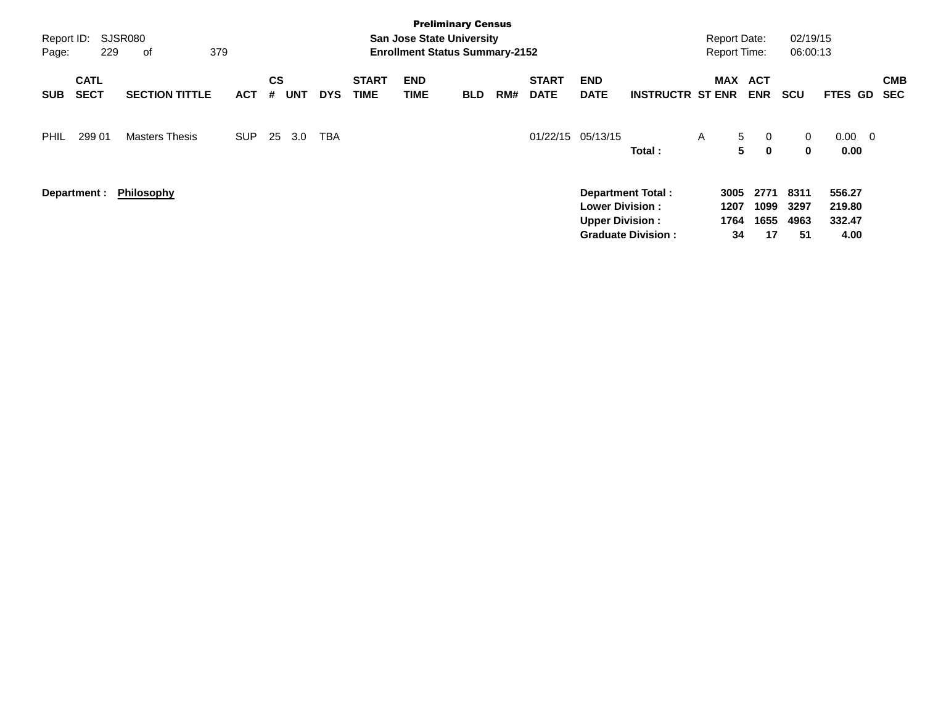| Report ID:<br>Page: | 229                        | SJSR080<br>379<br>of  |            |                |            |            |                             | <b>San Jose State University</b><br><b>Enrollment Status Summary-2152</b> | <b>Preliminary Census</b> |     |                             |                                                  |                                                       | <b>Report Date:</b><br><b>Report Time:</b> |                                         | 02/19/15<br>06:00:13        |                                    |                          |
|---------------------|----------------------------|-----------------------|------------|----------------|------------|------------|-----------------------------|---------------------------------------------------------------------------|---------------------------|-----|-----------------------------|--------------------------------------------------|-------------------------------------------------------|--------------------------------------------|-----------------------------------------|-----------------------------|------------------------------------|--------------------------|
| <b>SUB</b>          | <b>CATL</b><br><b>SECT</b> | <b>SECTION TITTLE</b> | <b>ACT</b> | <b>CS</b><br># | <b>UNT</b> | <b>DYS</b> | <b>START</b><br><b>TIME</b> | <b>END</b><br><b>TIME</b>                                                 | <b>BLD</b>                | RM# | <b>START</b><br><b>DATE</b> | <b>END</b><br><b>DATE</b>                        | <b>INSTRUCTR ST ENR</b>                               | MAX                                        | ACT<br><b>ENR</b>                       | <b>SCU</b>                  | FTES GD                            | <b>CMB</b><br><b>SEC</b> |
| <b>PHIL</b>         | 299 01                     | <b>Masters Thesis</b> | <b>SUP</b> | 25             | 3.0        | <b>TBA</b> |                             |                                                                           |                           |     | 01/22/15                    | 05/13/15                                         | Total:                                                | A                                          | 5<br>$\overline{0}$<br>5<br>$\mathbf 0$ | $\mathbf{0}$<br>$\bf{0}$    | $0.00 \quad 0$<br>0.00             |                          |
|                     | Department :               | <b>Philosophy</b>     |            |                |            |            |                             |                                                                           |                           |     |                             | <b>Lower Division:</b><br><b>Upper Division:</b> | <b>Department Total:</b><br><b>Graduate Division:</b> | 3005<br>1207<br>1764<br>34                 | 2771<br>1099<br>1655<br>17              | 8311<br>3297<br>4963<br>-51 | 556.27<br>219.80<br>332.47<br>4.00 |                          |